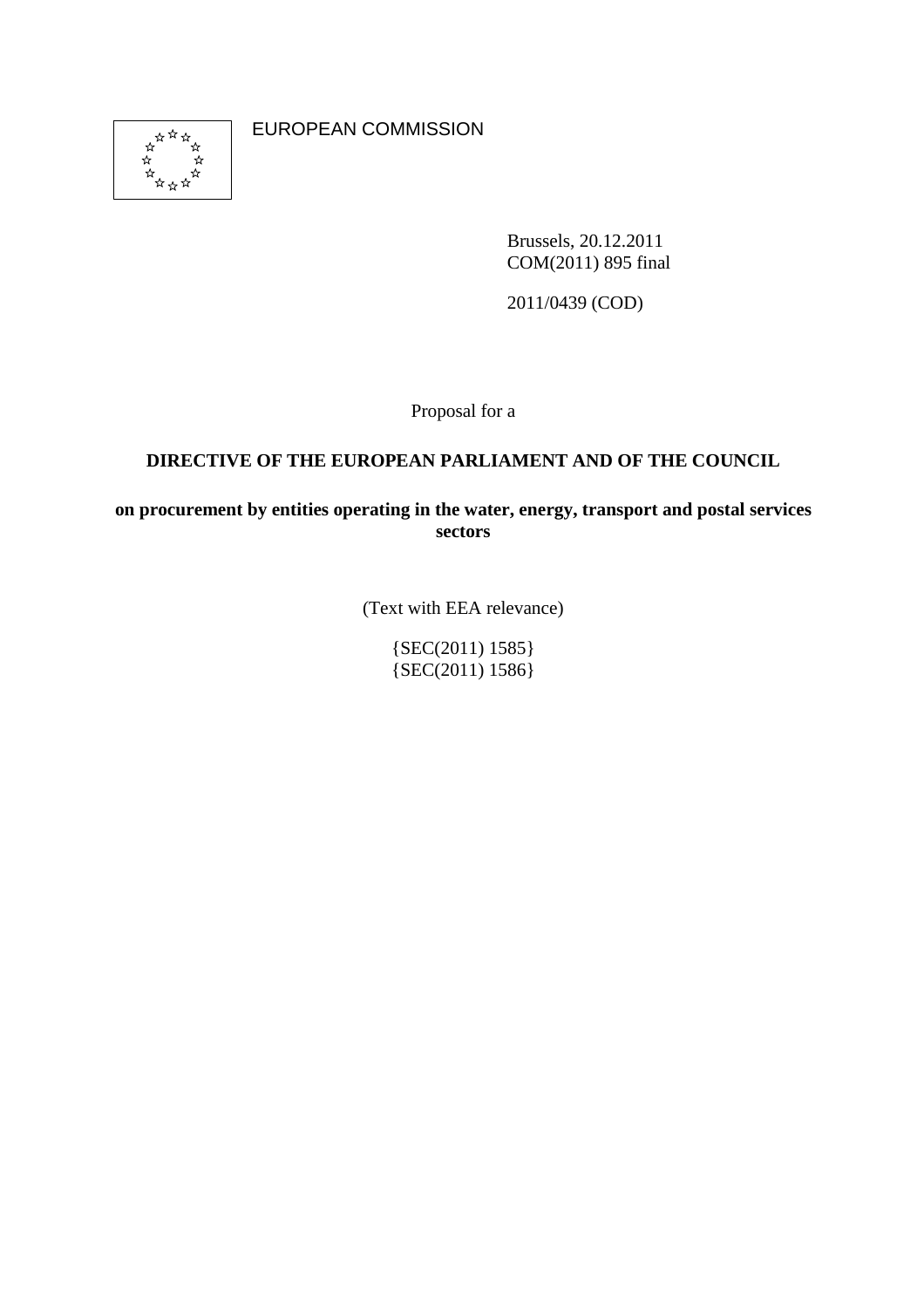

EUROPEAN COMMISSION

Brussels, 20.12.2011 COM(2011) 895 final

2011/0439 (COD)

Proposal for a

### **DIRECTIVE OF THE EUROPEAN PARLIAMENT AND OF THE COUNCIL**

**on procurement by entities operating in the water, energy, transport and postal services sectors** 

(Text with EEA relevance)

 ${SEC(2011) 1585}$ {SEC(2011) 1586}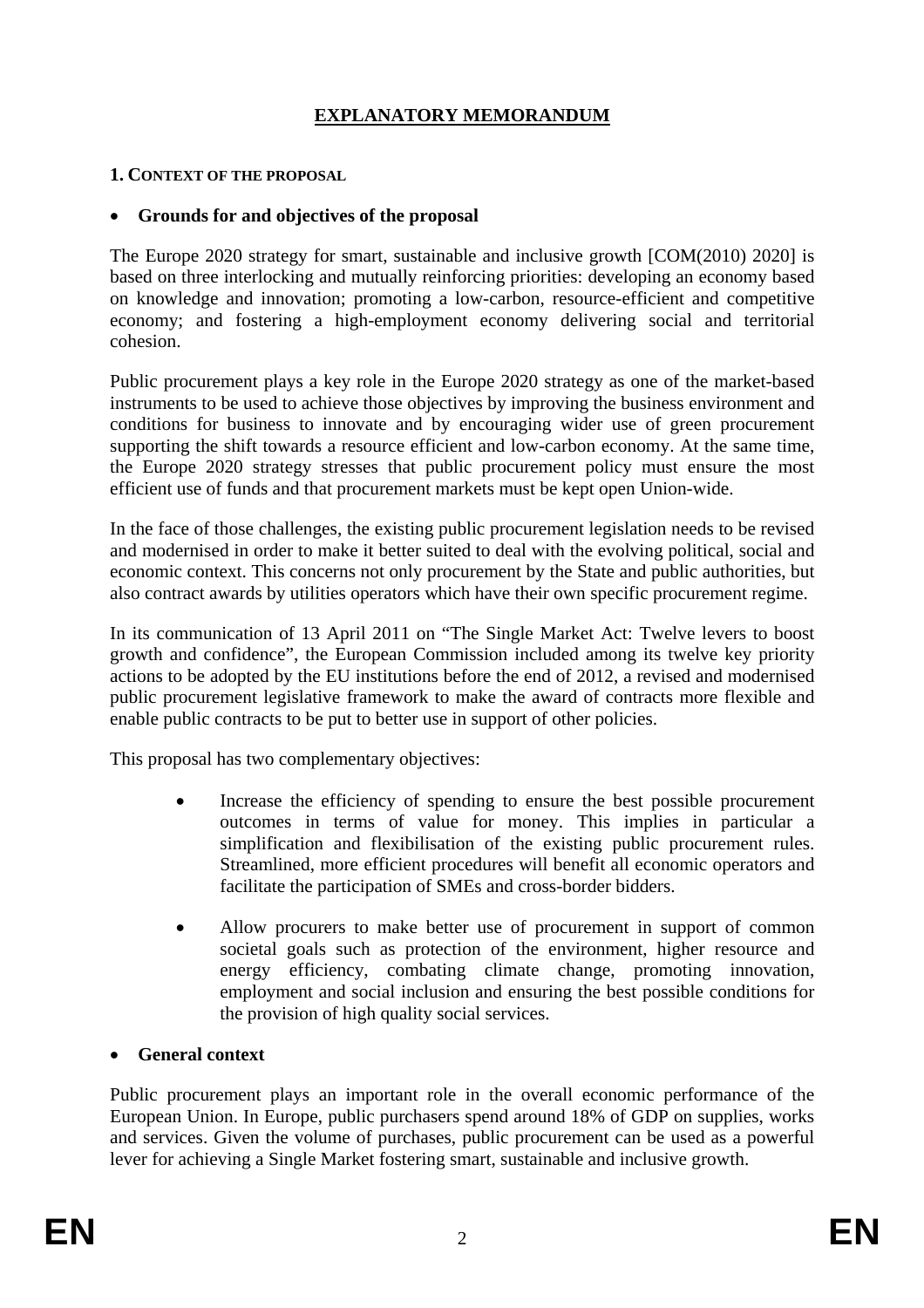# **EXPLANATORY MEMORANDUM**

#### **1. CONTEXT OF THE PROPOSAL**

#### • **Grounds for and objectives of the proposal**

The Europe 2020 strategy for smart, sustainable and inclusive growth [COM(2010) 2020] is based on three interlocking and mutually reinforcing priorities: developing an economy based on knowledge and innovation; promoting a low-carbon, resource-efficient and competitive economy; and fostering a high-employment economy delivering social and territorial cohesion.

Public procurement plays a key role in the Europe 2020 strategy as one of the market-based instruments to be used to achieve those objectives by improving the business environment and conditions for business to innovate and by encouraging wider use of green procurement supporting the shift towards a resource efficient and low-carbon economy. At the same time, the Europe 2020 strategy stresses that public procurement policy must ensure the most efficient use of funds and that procurement markets must be kept open Union-wide.

In the face of those challenges, the existing public procurement legislation needs to be revised and modernised in order to make it better suited to deal with the evolving political, social and economic context. This concerns not only procurement by the State and public authorities, but also contract awards by utilities operators which have their own specific procurement regime.

In its communication of 13 April 2011 on "The Single Market Act: Twelve levers to boost growth and confidence", the European Commission included among its twelve key priority actions to be adopted by the EU institutions before the end of 2012, a revised and modernised public procurement legislative framework to make the award of contracts more flexible and enable public contracts to be put to better use in support of other policies.

This proposal has two complementary objectives:

- Increase the efficiency of spending to ensure the best possible procurement outcomes in terms of value for money. This implies in particular a simplification and flexibilisation of the existing public procurement rules. Streamlined, more efficient procedures will benefit all economic operators and facilitate the participation of SMEs and cross-border bidders.
- Allow procurers to make better use of procurement in support of common societal goals such as protection of the environment, higher resource and energy efficiency, combating climate change, promoting innovation, employment and social inclusion and ensuring the best possible conditions for the provision of high quality social services.

#### • **General context**

Public procurement plays an important role in the overall economic performance of the European Union. In Europe, public purchasers spend around 18% of GDP on supplies, works and services. Given the volume of purchases, public procurement can be used as a powerful lever for achieving a Single Market fostering smart, sustainable and inclusive growth.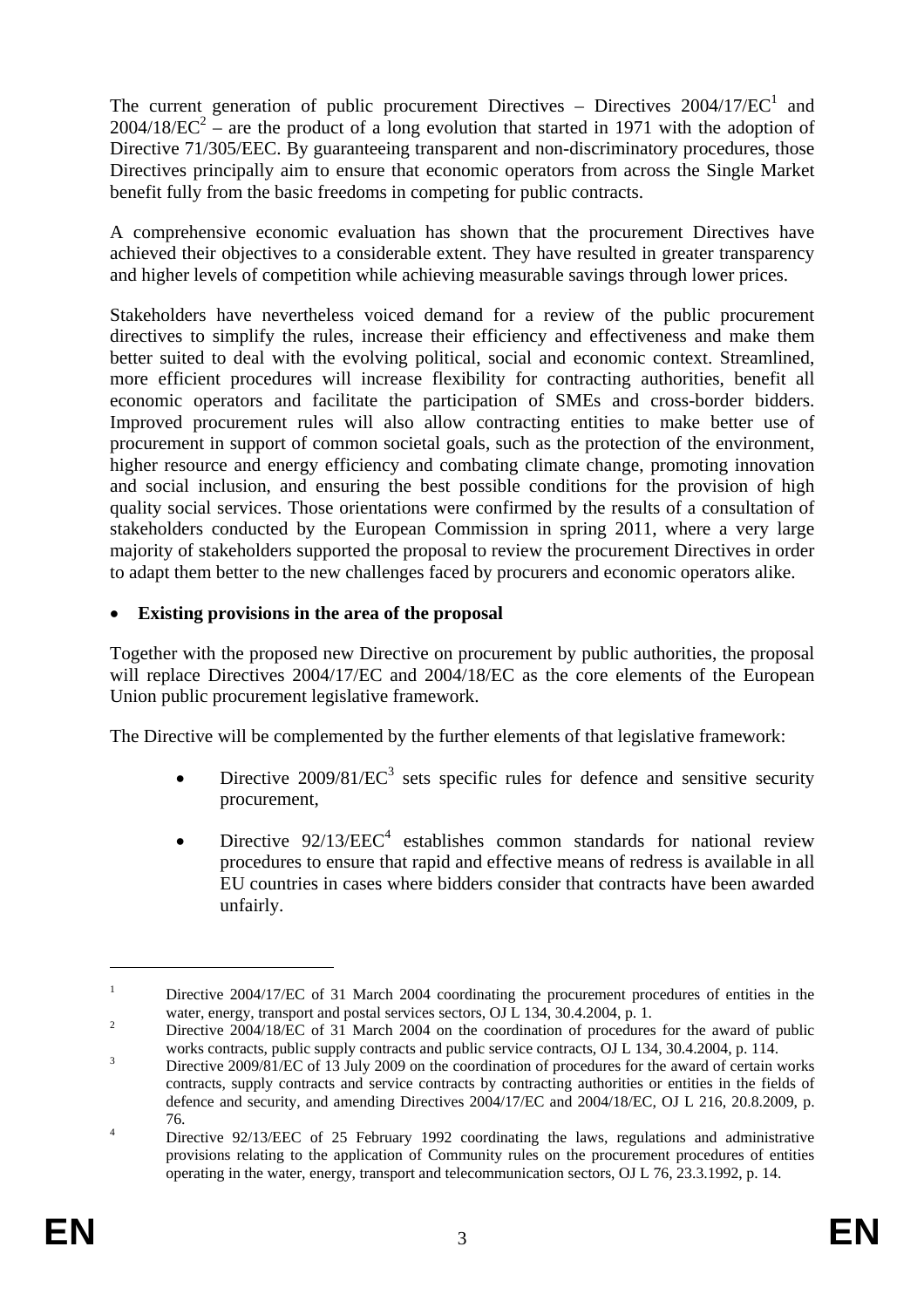The current generation of public procurement Directives – Directives  $2004/17/EC^1$  and  $2004/18/EC^2$  – are the product of a long evolution that started in 1971 with the adoption of Directive 71/305/EEC. By guaranteeing transparent and non-discriminatory procedures, those Directives principally aim to ensure that economic operators from across the Single Market benefit fully from the basic freedoms in competing for public contracts.

A comprehensive economic evaluation has shown that the procurement Directives have achieved their objectives to a considerable extent. They have resulted in greater transparency and higher levels of competition while achieving measurable savings through lower prices.

Stakeholders have nevertheless voiced demand for a review of the public procurement directives to simplify the rules, increase their efficiency and effectiveness and make them better suited to deal with the evolving political, social and economic context. Streamlined, more efficient procedures will increase flexibility for contracting authorities, benefit all economic operators and facilitate the participation of SMEs and cross-border bidders. Improved procurement rules will also allow contracting entities to make better use of procurement in support of common societal goals, such as the protection of the environment, higher resource and energy efficiency and combating climate change, promoting innovation and social inclusion, and ensuring the best possible conditions for the provision of high quality social services. Those orientations were confirmed by the results of a consultation of stakeholders conducted by the European Commission in spring 2011, where a very large majority of stakeholders supported the proposal to review the procurement Directives in order to adapt them better to the new challenges faced by procurers and economic operators alike.

### • **Existing provisions in the area of the proposal**

Together with the proposed new Directive on procurement by public authorities, the proposal will replace Directives 2004/17/EC and 2004/18/EC as the core elements of the European Union public procurement legislative framework.

The Directive will be complemented by the further elements of that legislative framework:

- Directive  $2009/81/EC^3$  sets specific rules for defence and sensitive security procurement,
- Directive  $92/13/EEC<sup>4</sup>$  establishes common standards for national review procedures to ensure that rapid and effective means of redress is available in all EU countries in cases where bidders consider that contracts have been awarded unfairly.

<u>.</u>

<sup>1</sup> Directive 2004/17/EC of 31 March 2004 coordinating the procurement procedures of entities in the water, energy, transport and postal services sectors, OJ L 134, 30.4.2004, p. 1.

Directive 2004/18/EC of 31 March 2004 on the coordination of procedures for the award of public works contracts, public supply contracts and public service contracts, OJ L 134, 30.4.2004, p. 114.

Directive 2009/81/EC of 13 July 2009 on the coordination of procedures for the award of certain works contracts, supply contracts and service contracts by contracting authorities or entities in the fields of defence and security, and amending Directives 2004/17/EC and 2004/18/EC, OJ L 216, 20.8.2009, p.  $rac{76.}{\Sigma}$ 

Directive 92/13/EEC of 25 February 1992 coordinating the laws, regulations and administrative provisions relating to the application of Community rules on the procurement procedures of entities operating in the water, energy, transport and telecommunication sectors, OJ L 76, 23.3.1992, p. 14.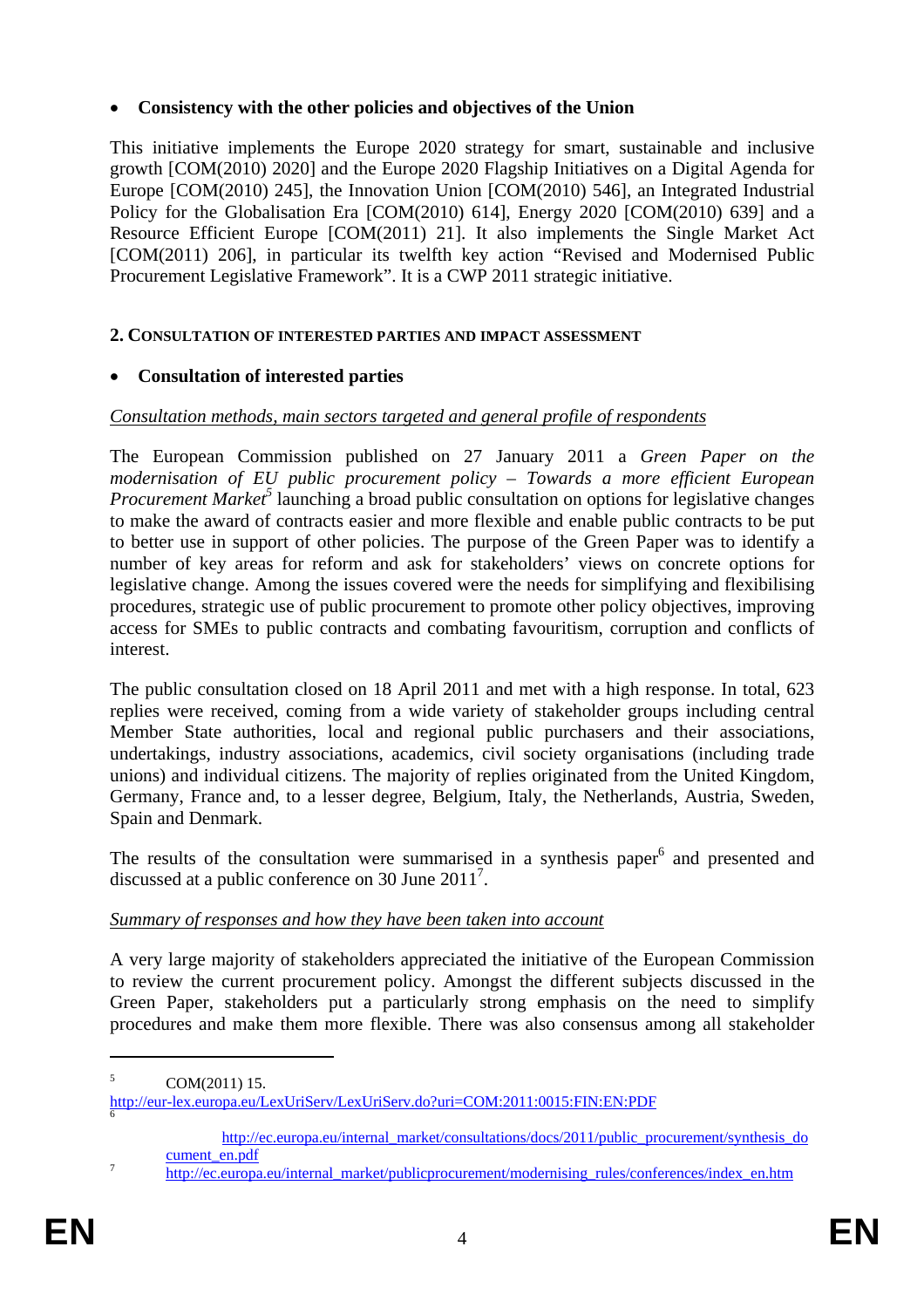### • **Consistency with the other policies and objectives of the Union**

This initiative implements the Europe 2020 strategy for smart, sustainable and inclusive growth [COM(2010) 2020] and the Europe 2020 Flagship Initiatives on a Digital Agenda for Europe [COM(2010) 245], the Innovation Union [COM(2010) 546], an Integrated Industrial Policy for the Globalisation Era [COM(2010) 614], Energy 2020 [COM(2010) 639] and a Resource Efficient Europe [COM(2011) 21]. It also implements the Single Market Act [COM(2011) 206], in particular its twelfth key action "Revised and Modernised Public Procurement Legislative Framework". It is a CWP 2011 strategic initiative.

### **2. CONSULTATION OF INTERESTED PARTIES AND IMPACT ASSESSMENT**

# • **Consultation of interested parties**

### *Consultation methods, main sectors targeted and general profile of respondents*

The European Commission published on 27 January 2011 a *Green Paper on the modernisation of EU public procurement policy – Towards a more efficient European*  Procurement Market<sup>5</sup> launching a broad public consultation on options for legislative changes to make the award of contracts easier and more flexible and enable public contracts to be put to better use in support of other policies. The purpose of the Green Paper was to identify a number of key areas for reform and ask for stakeholders' views on concrete options for legislative change. Among the issues covered were the needs for simplifying and flexibilising procedures, strategic use of public procurement to promote other policy objectives, improving access for SMEs to public contracts and combating favouritism, corruption and conflicts of interest.

The public consultation closed on 18 April 2011 and met with a high response. In total, 623 replies were received, coming from a wide variety of stakeholder groups including central Member State authorities, local and regional public purchasers and their associations, undertakings, industry associations, academics, civil society organisations (including trade unions) and individual citizens. The majority of replies originated from the United Kingdom, Germany, France and, to a lesser degree, Belgium, Italy, the Netherlands, Austria, Sweden, Spain and Denmark.

The results of the consultation were summarised in a synthesis paper<sup>6</sup> and presented and discussed at a public conference on 30 June  $2011^7$ .

### *Summary of responses and how they have been taken into account*

A very large majority of stakeholders appreciated the initiative of the European Commission to review the current procurement policy. Amongst the different subjects discussed in the Green Paper, stakeholders put a particularly strong emphasis on the need to simplify procedures and make them more flexible. There was also consensus among all stakeholder

<sup>5</sup> COM(2011) 15.

<http://eur-lex.europa.eu/LexUriServ/LexUriServ.do?uri=COM:2011:0015:FIN:EN:PDF> <sup>6</sup>

[http://ec.europa.eu/internal\\_market/consultations/docs/2011/public\\_procurement/synthesis\\_do](http://ec.europa.eu/internal_market/consultations/docs/2011/public_procurement/synthesis_document_en.pdf) [cument\\_en.pdf](http://ec.europa.eu/internal_market/consultations/docs/2011/public_procurement/synthesis_document_en.pdf)<br>
<sup>7</sup> [http://ec.europa.eu/internal\\_market/publicprocurement/modernising\\_rules/conferences/index\\_en.htm](http://ec.europa.eu/internal_market/publicprocurement/modernising_rules/conferences/index_en.htm)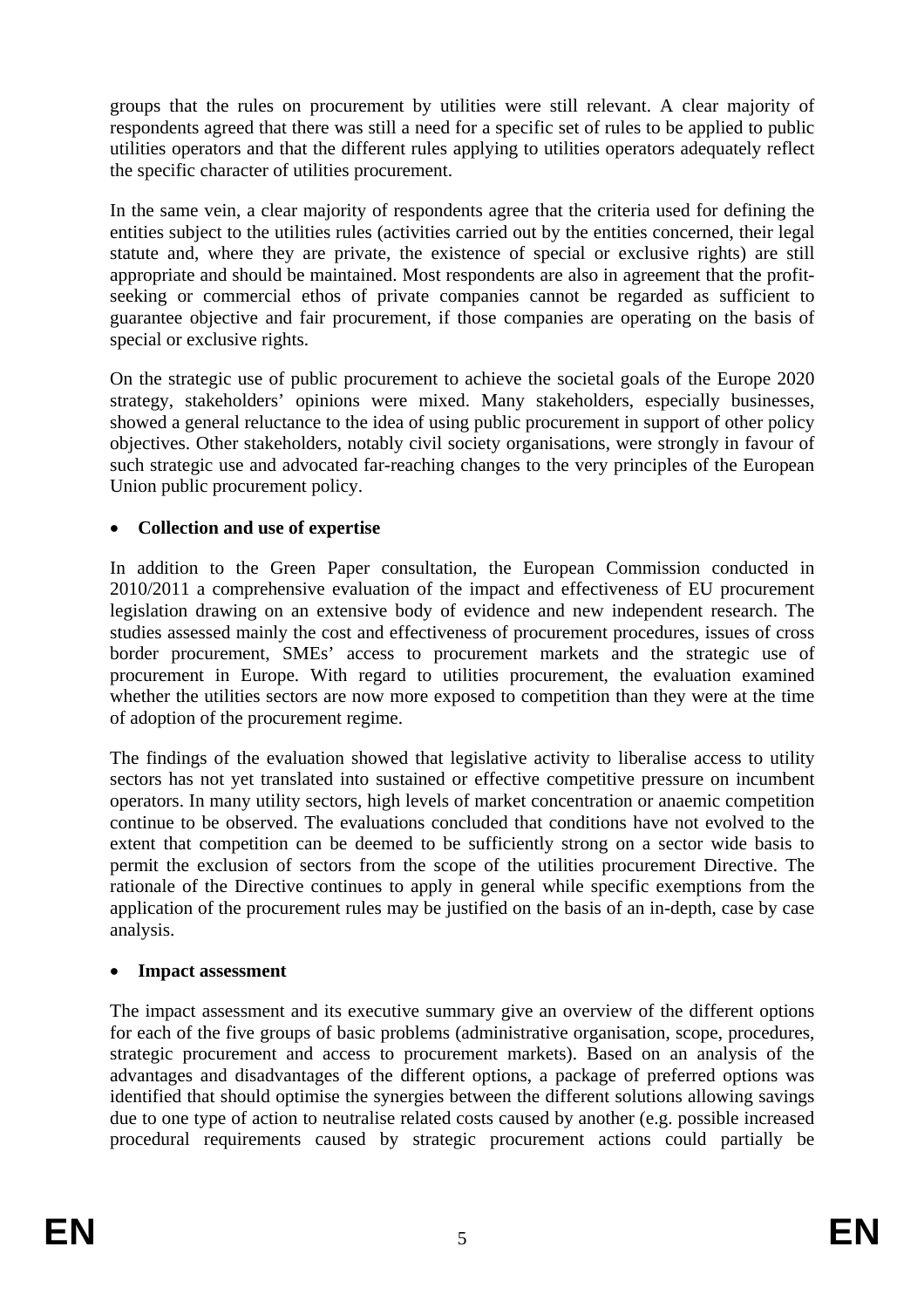groups that the rules on procurement by utilities were still relevant. A clear majority of respondents agreed that there was still a need for a specific set of rules to be applied to public utilities operators and that the different rules applying to utilities operators adequately reflect the specific character of utilities procurement.

In the same vein, a clear majority of respondents agree that the criteria used for defining the entities subject to the utilities rules (activities carried out by the entities concerned, their legal statute and, where they are private, the existence of special or exclusive rights) are still appropriate and should be maintained. Most respondents are also in agreement that the profitseeking or commercial ethos of private companies cannot be regarded as sufficient to guarantee objective and fair procurement, if those companies are operating on the basis of special or exclusive rights.

On the strategic use of public procurement to achieve the societal goals of the Europe 2020 strategy, stakeholders' opinions were mixed. Many stakeholders, especially businesses, showed a general reluctance to the idea of using public procurement in support of other policy objectives. Other stakeholders, notably civil society organisations, were strongly in favour of such strategic use and advocated far-reaching changes to the very principles of the European Union public procurement policy.

### • **Collection and use of expertise**

In addition to the Green Paper consultation, the European Commission conducted in 2010/2011 a comprehensive evaluation of the impact and effectiveness of EU procurement legislation drawing on an extensive body of evidence and new independent research. The studies assessed mainly the cost and effectiveness of procurement procedures, issues of cross border procurement, SMEs' access to procurement markets and the strategic use of procurement in Europe. With regard to utilities procurement, the evaluation examined whether the utilities sectors are now more exposed to competition than they were at the time of adoption of the procurement regime.

The findings of the evaluation showed that legislative activity to liberalise access to utility sectors has not yet translated into sustained or effective competitive pressure on incumbent operators. In many utility sectors, high levels of market concentration or anaemic competition continue to be observed. The evaluations concluded that conditions have not evolved to the extent that competition can be deemed to be sufficiently strong on a sector wide basis to permit the exclusion of sectors from the scope of the utilities procurement Directive. The rationale of the Directive continues to apply in general while specific exemptions from the application of the procurement rules may be justified on the basis of an in-depth, case by case analysis.

### • **Impact assessment**

The impact assessment and its executive summary give an overview of the different options for each of the five groups of basic problems (administrative organisation, scope, procedures, strategic procurement and access to procurement markets). Based on an analysis of the advantages and disadvantages of the different options, a package of preferred options was identified that should optimise the synergies between the different solutions allowing savings due to one type of action to neutralise related costs caused by another (e.g. possible increased procedural requirements caused by strategic procurement actions could partially be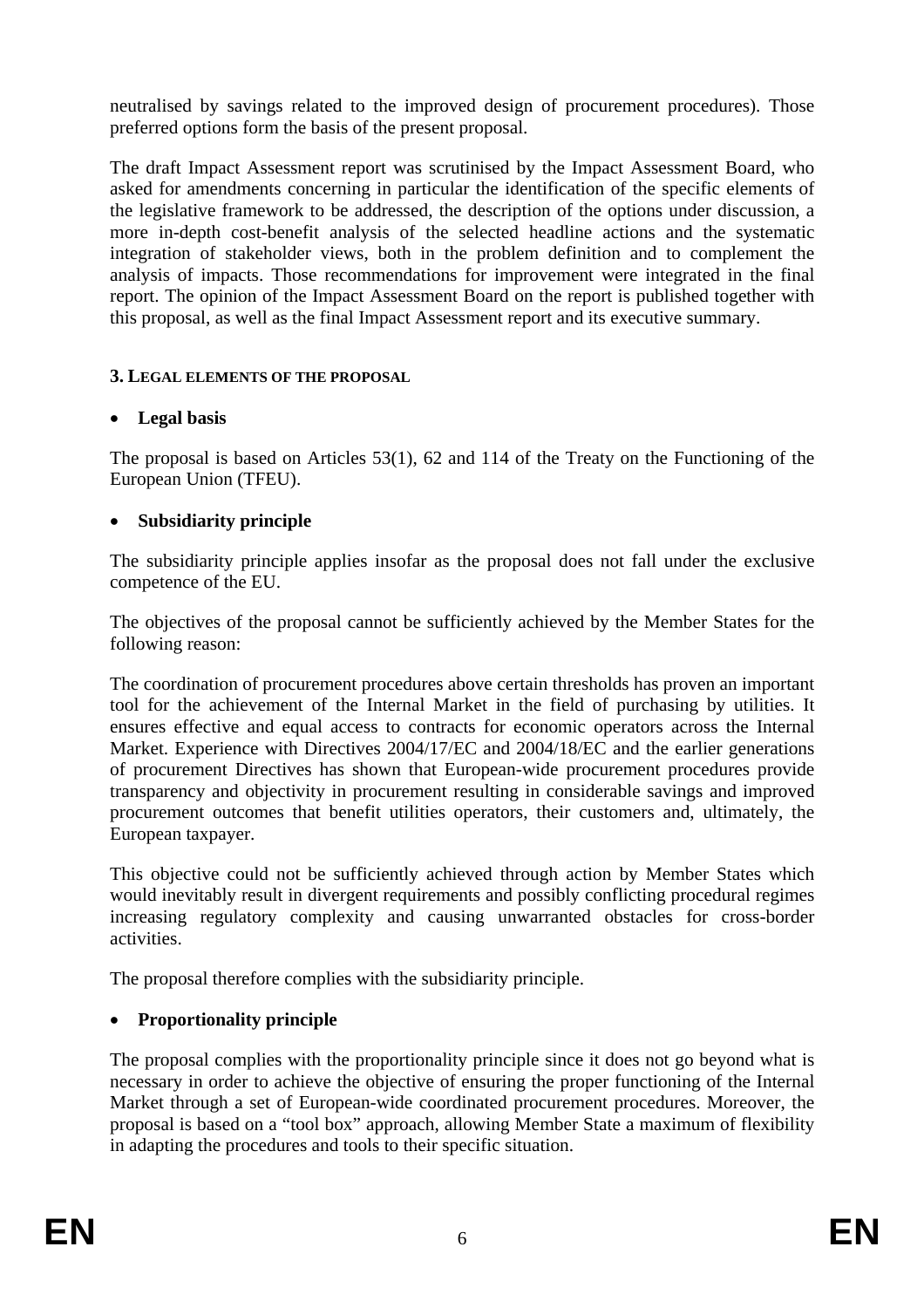neutralised by savings related to the improved design of procurement procedures). Those preferred options form the basis of the present proposal.

The draft Impact Assessment report was scrutinised by the Impact Assessment Board, who asked for amendments concerning in particular the identification of the specific elements of the legislative framework to be addressed, the description of the options under discussion, a more in-depth cost-benefit analysis of the selected headline actions and the systematic integration of stakeholder views, both in the problem definition and to complement the analysis of impacts. Those recommendations for improvement were integrated in the final report. The opinion of the Impact Assessment Board on the report is published together with this proposal, as well as the final Impact Assessment report and its executive summary.

#### **3. LEGAL ELEMENTS OF THE PROPOSAL**

### • **Legal basis**

The proposal is based on Articles 53(1), 62 and 114 of the Treaty on the Functioning of the European Union (TFEU).

### • **Subsidiarity principle**

The subsidiarity principle applies insofar as the proposal does not fall under the exclusive competence of the EU.

The objectives of the proposal cannot be sufficiently achieved by the Member States for the following reason:

The coordination of procurement procedures above certain thresholds has proven an important tool for the achievement of the Internal Market in the field of purchasing by utilities. It ensures effective and equal access to contracts for economic operators across the Internal Market. Experience with Directives 2004/17/EC and 2004/18/EC and the earlier generations of procurement Directives has shown that European-wide procurement procedures provide transparency and objectivity in procurement resulting in considerable savings and improved procurement outcomes that benefit utilities operators, their customers and, ultimately, the European taxpayer.

This objective could not be sufficiently achieved through action by Member States which would inevitably result in divergent requirements and possibly conflicting procedural regimes increasing regulatory complexity and causing unwarranted obstacles for cross-border activities.

The proposal therefore complies with the subsidiarity principle.

### • **Proportionality principle**

The proposal complies with the proportionality principle since it does not go beyond what is necessary in order to achieve the objective of ensuring the proper functioning of the Internal Market through a set of European-wide coordinated procurement procedures. Moreover, the proposal is based on a "tool box" approach, allowing Member State a maximum of flexibility in adapting the procedures and tools to their specific situation.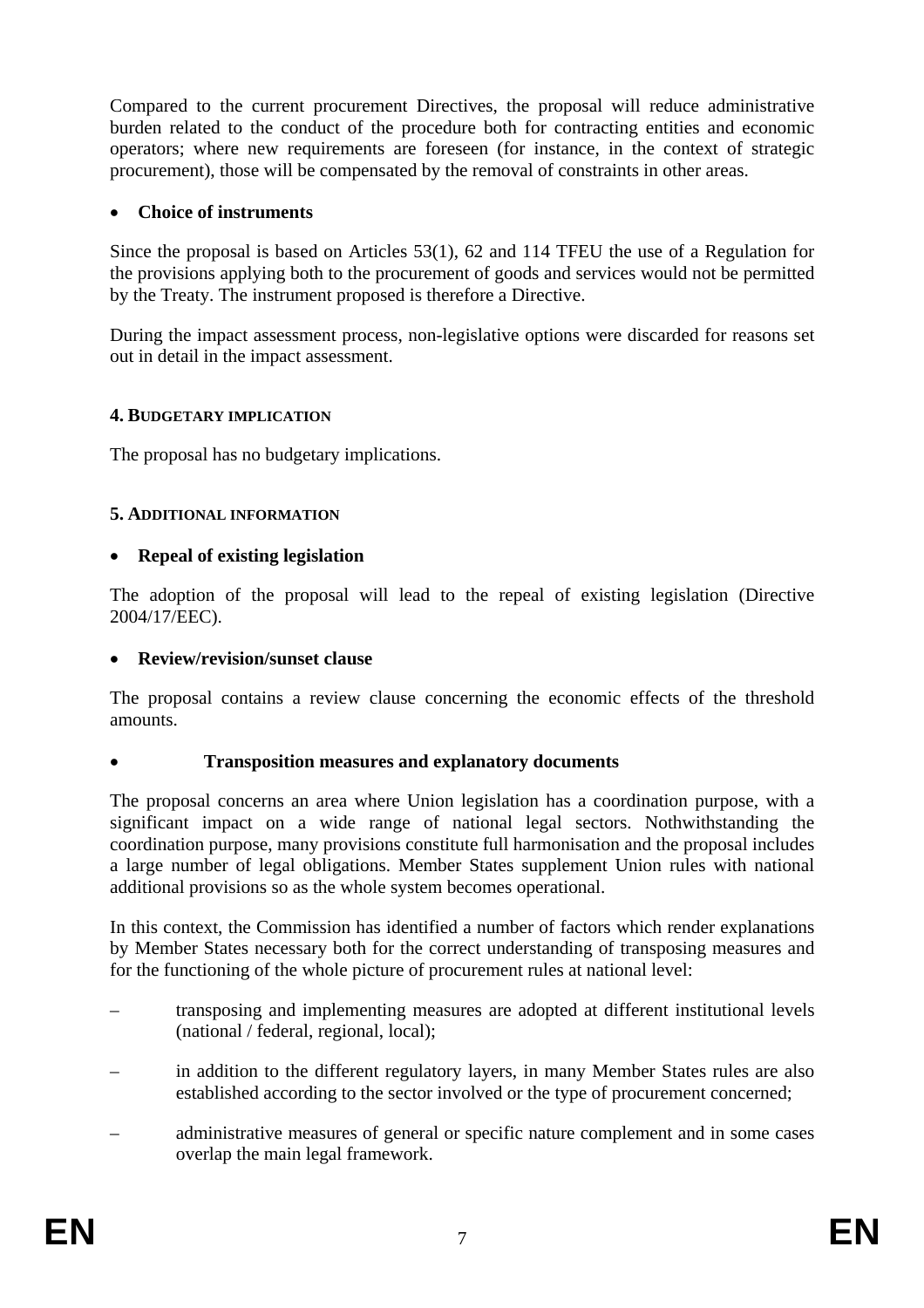Compared to the current procurement Directives, the proposal will reduce administrative burden related to the conduct of the procedure both for contracting entities and economic operators; where new requirements are foreseen (for instance, in the context of strategic procurement), those will be compensated by the removal of constraints in other areas.

#### • **Choice of instruments**

Since the proposal is based on Articles 53(1), 62 and 114 TFEU the use of a Regulation for the provisions applying both to the procurement of goods and services would not be permitted by the Treaty. The instrument proposed is therefore a Directive.

During the impact assessment process, non-legislative options were discarded for reasons set out in detail in the impact assessment.

#### **4. BUDGETARY IMPLICATION**

The proposal has no budgetary implications.

#### **5. ADDITIONAL INFORMATION**

#### • **Repeal of existing legislation**

The adoption of the proposal will lead to the repeal of existing legislation (Directive 2004/17/EEC).

#### • **Review/revision/sunset clause**

The proposal contains a review clause concerning the economic effects of the threshold amounts.

#### • **Transposition measures and explanatory documents**

The proposal concerns an area where Union legislation has a coordination purpose, with a significant impact on a wide range of national legal sectors. Nothwithstanding the coordination purpose, many provisions constitute full harmonisation and the proposal includes a large number of legal obligations. Member States supplement Union rules with national additional provisions so as the whole system becomes operational.

In this context, the Commission has identified a number of factors which render explanations by Member States necessary both for the correct understanding of transposing measures and for the functioning of the whole picture of procurement rules at national level:

- transposing and implementing measures are adopted at different institutional levels (national / federal, regional, local);
- in addition to the different regulatory layers, in many Member States rules are also established according to the sector involved or the type of procurement concerned;
- administrative measures of general or specific nature complement and in some cases overlap the main legal framework.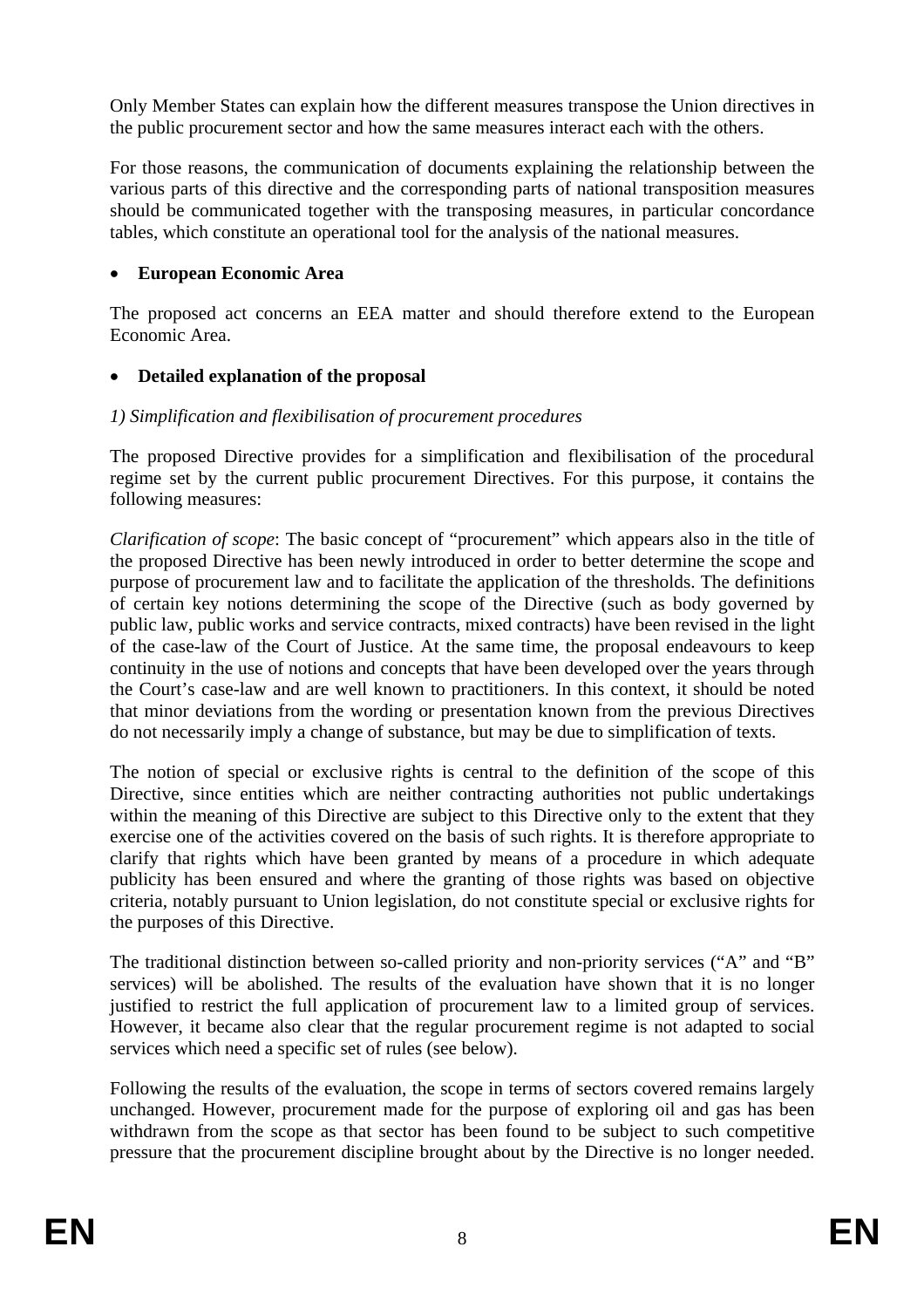Only Member States can explain how the different measures transpose the Union directives in the public procurement sector and how the same measures interact each with the others.

For those reasons, the communication of documents explaining the relationship between the various parts of this directive and the corresponding parts of national transposition measures should be communicated together with the transposing measures, in particular concordance tables, which constitute an operational tool for the analysis of the national measures.

### • **European Economic Area**

The proposed act concerns an EEA matter and should therefore extend to the European Economic Area.

### • **Detailed explanation of the proposal**

### *1) Simplification and flexibilisation of procurement procedures*

The proposed Directive provides for a simplification and flexibilisation of the procedural regime set by the current public procurement Directives. For this purpose, it contains the following measures:

*Clarification of scope*: The basic concept of "procurement" which appears also in the title of the proposed Directive has been newly introduced in order to better determine the scope and purpose of procurement law and to facilitate the application of the thresholds. The definitions of certain key notions determining the scope of the Directive (such as body governed by public law, public works and service contracts, mixed contracts) have been revised in the light of the case-law of the Court of Justice. At the same time, the proposal endeavours to keep continuity in the use of notions and concepts that have been developed over the years through the Court's case-law and are well known to practitioners. In this context, it should be noted that minor deviations from the wording or presentation known from the previous Directives do not necessarily imply a change of substance, but may be due to simplification of texts.

The notion of special or exclusive rights is central to the definition of the scope of this Directive, since entities which are neither contracting authorities not public undertakings within the meaning of this Directive are subject to this Directive only to the extent that they exercise one of the activities covered on the basis of such rights. It is therefore appropriate to clarify that rights which have been granted by means of a procedure in which adequate publicity has been ensured and where the granting of those rights was based on objective criteria, notably pursuant to Union legislation, do not constitute special or exclusive rights for the purposes of this Directive.

The traditional distinction between so-called priority and non-priority services ("A" and "B" services) will be abolished. The results of the evaluation have shown that it is no longer justified to restrict the full application of procurement law to a limited group of services. However, it became also clear that the regular procurement regime is not adapted to social services which need a specific set of rules (see below).

Following the results of the evaluation, the scope in terms of sectors covered remains largely unchanged. However, procurement made for the purpose of exploring oil and gas has been withdrawn from the scope as that sector has been found to be subject to such competitive pressure that the procurement discipline brought about by the Directive is no longer needed.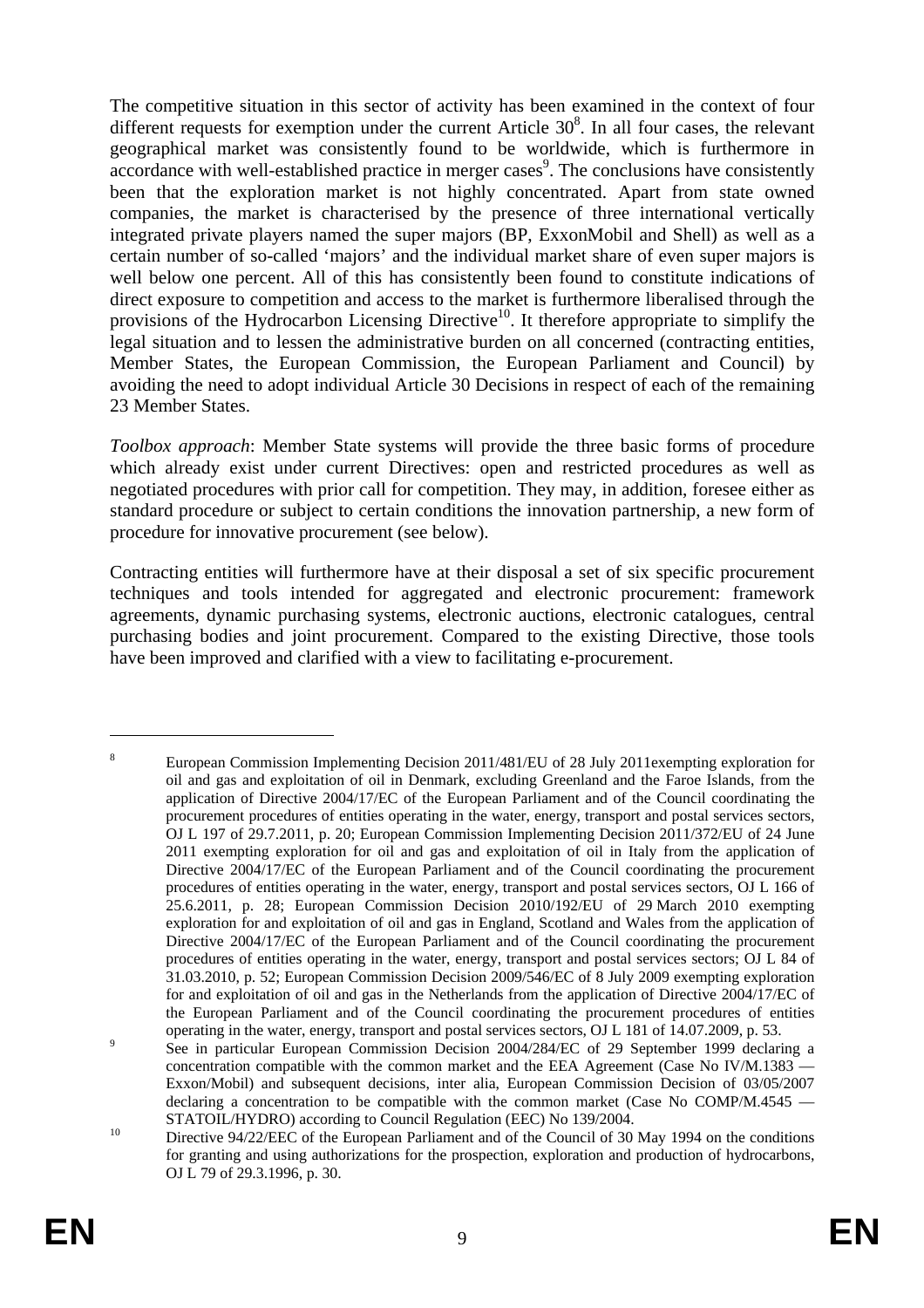The competitive situation in this sector of activity has been examined in the context of four different requests for exemption under the current Article  $30<sup>8</sup>$ . In all four cases, the relevant geographical market was consistently found to be worldwide, which is furthermore in accordance with well-established practice in merger cases<sup>9</sup>. The conclusions have consistently been that the exploration market is not highly concentrated. Apart from state owned companies, the market is characterised by the presence of three international vertically integrated private players named the super majors (BP, ExxonMobil and Shell) as well as a certain number of so-called 'majors' and the individual market share of even super majors is well below one percent. All of this has consistently been found to constitute indications of direct exposure to competition and access to the market is furthermore liberalised through the provisions of the Hydrocarbon Licensing Directive<sup>10</sup>. It therefore appropriate to simplify the legal situation and to lessen the administrative burden on all concerned (contracting entities, Member States, the European Commission, the European Parliament and Council) by avoiding the need to adopt individual Article 30 Decisions in respect of each of the remaining 23 Member States.

*Toolbox approach*: Member State systems will provide the three basic forms of procedure which already exist under current Directives: open and restricted procedures as well as negotiated procedures with prior call for competition. They may, in addition, foresee either as standard procedure or subject to certain conditions the innovation partnership, a new form of procedure for innovative procurement (see below).

Contracting entities will furthermore have at their disposal a set of six specific procurement techniques and tools intended for aggregated and electronic procurement: framework agreements, dynamic purchasing systems, electronic auctions, electronic catalogues, central purchasing bodies and joint procurement. Compared to the existing Directive, those tools have been improved and clarified with a view to facilitating e-procurement.

<sup>8</sup> European Commission Implementing Decision 2011/481/EU of 28 July 2011exempting exploration for oil and gas and exploitation of oil in Denmark, excluding Greenland and the Faroe Islands, from the application of Directive 2004/17/EC of the European Parliament and of the Council coordinating the procurement procedures of entities operating in the water, energy, transport and postal services sectors, OJ L 197 of 29.7.2011, p. 20; European Commission Implementing Decision 2011/372/EU of 24 June 2011 exempting exploration for oil and gas and exploitation of oil in Italy from the application of Directive 2004/17/EC of the European Parliament and of the Council coordinating the procurement procedures of entities operating in the water, energy, transport and postal services sectors, OJ L 166 of 25.6.2011, p. 28; European Commission Decision 2010/192/EU of 29 March 2010 exempting exploration for and exploitation of oil and gas in England, Scotland and Wales from the application of Directive 2004/17/EC of the European Parliament and of the Council coordinating the procurement procedures of entities operating in the water, energy, transport and postal services sectors; OJ L 84 of 31.03.2010, p. 52; European Commission Decision 2009/546/EC of 8 July 2009 exempting exploration for and exploitation of oil and gas in the Netherlands from the application of Directive 2004/17/EC of the European Parliament and of the Council coordinating the procurement procedures of entities operating in the water, energy, transport and postal services sectors, OJ L 181 of 14.07.2009, p. 53.

See in particular European Commission Decision 2004/284/EC of 29 September 1999 declaring a concentration compatible with the common market and the EEA Agreement (Case No IV/M.1383 — Exxon/Mobil) and subsequent decisions, inter alia, European Commission Decision of 03/05/2007 declaring a concentration to be compatible with the common market (Case No COMP/M.4545 — STATOIL/HYDRO) according to Council Regulation (EEC) No 139/2004.<br><sup>10</sup> Directive 94/22/EEC of the European Parliament and of the Council of 30 May 1994 on the conditions

for granting and using authorizations for the prospection, exploration and production of hydrocarbons, OJ L 79 of 29.3.1996, p. 30.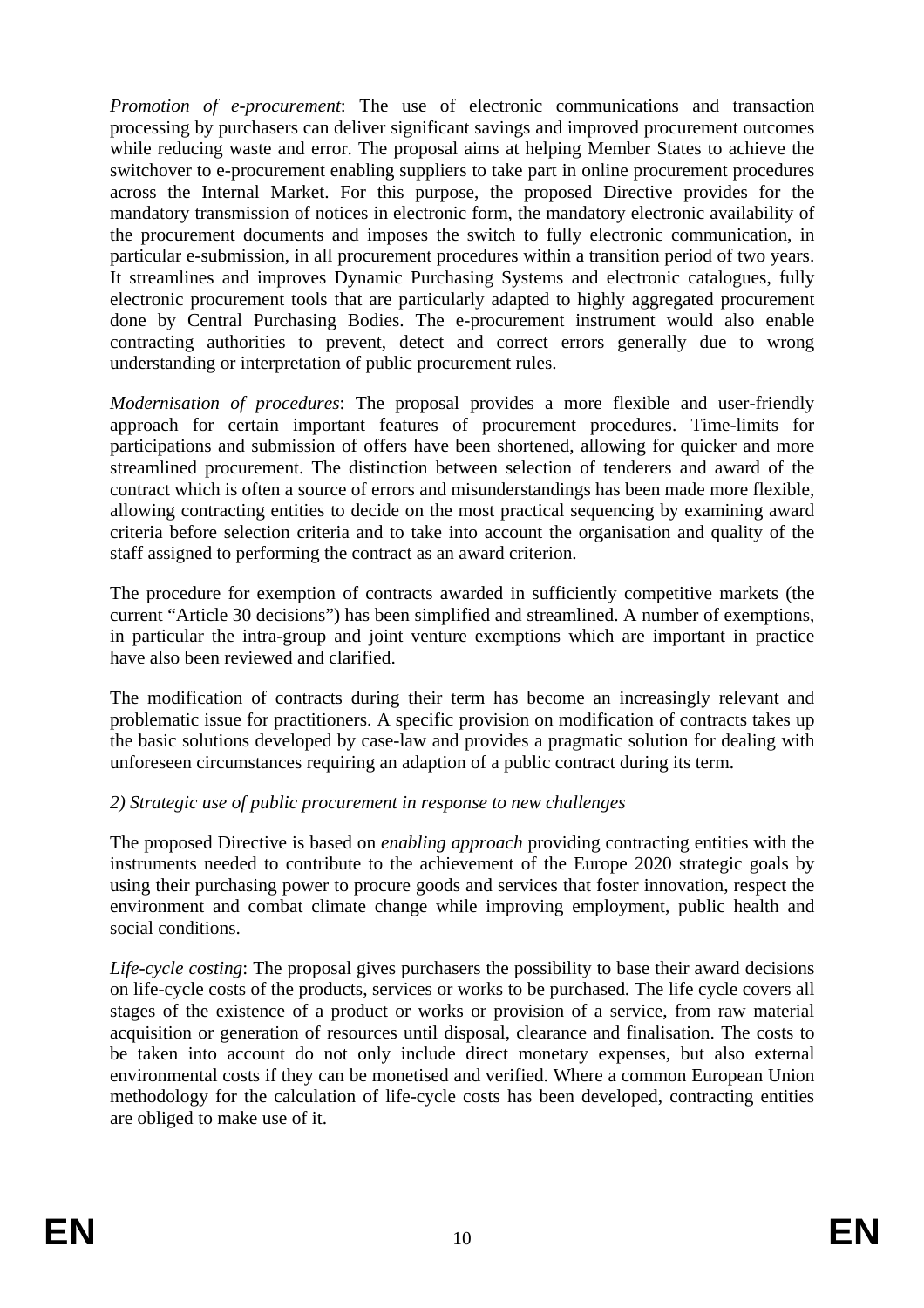*Promotion of e-procurement*: The use of electronic communications and transaction processing by purchasers can deliver significant savings and improved procurement outcomes while reducing waste and error. The proposal aims at helping Member States to achieve the switchover to e-procurement enabling suppliers to take part in online procurement procedures across the Internal Market. For this purpose, the proposed Directive provides for the mandatory transmission of notices in electronic form, the mandatory electronic availability of the procurement documents and imposes the switch to fully electronic communication, in particular e-submission, in all procurement procedures within a transition period of two years. It streamlines and improves Dynamic Purchasing Systems and electronic catalogues, fully electronic procurement tools that are particularly adapted to highly aggregated procurement done by Central Purchasing Bodies. The e-procurement instrument would also enable contracting authorities to prevent, detect and correct errors generally due to wrong understanding or interpretation of public procurement rules.

*Modernisation of procedures*: The proposal provides a more flexible and user-friendly approach for certain important features of procurement procedures. Time-limits for participations and submission of offers have been shortened, allowing for quicker and more streamlined procurement. The distinction between selection of tenderers and award of the contract which is often a source of errors and misunderstandings has been made more flexible, allowing contracting entities to decide on the most practical sequencing by examining award criteria before selection criteria and to take into account the organisation and quality of the staff assigned to performing the contract as an award criterion.

The procedure for exemption of contracts awarded in sufficiently competitive markets (the current "Article 30 decisions") has been simplified and streamlined. A number of exemptions, in particular the intra-group and joint venture exemptions which are important in practice have also been reviewed and clarified.

The modification of contracts during their term has become an increasingly relevant and problematic issue for practitioners. A specific provision on modification of contracts takes up the basic solutions developed by case-law and provides a pragmatic solution for dealing with unforeseen circumstances requiring an adaption of a public contract during its term.

### *2) Strategic use of public procurement in response to new challenges*

The proposed Directive is based on *enabling approach* providing contracting entities with the instruments needed to contribute to the achievement of the Europe 2020 strategic goals by using their purchasing power to procure goods and services that foster innovation, respect the environment and combat climate change while improving employment, public health and social conditions.

*Life-cycle costing*: The proposal gives purchasers the possibility to base their award decisions on life-cycle costs of the products, services or works to be purchased*.* The life cycle covers all stages of the existence of a product or works or provision of a service, from raw material acquisition or generation of resources until disposal, clearance and finalisation. The costs to be taken into account do not only include direct monetary expenses, but also external environmental costs if they can be monetised and verified. Where a common European Union methodology for the calculation of life-cycle costs has been developed, contracting entities are obliged to make use of it.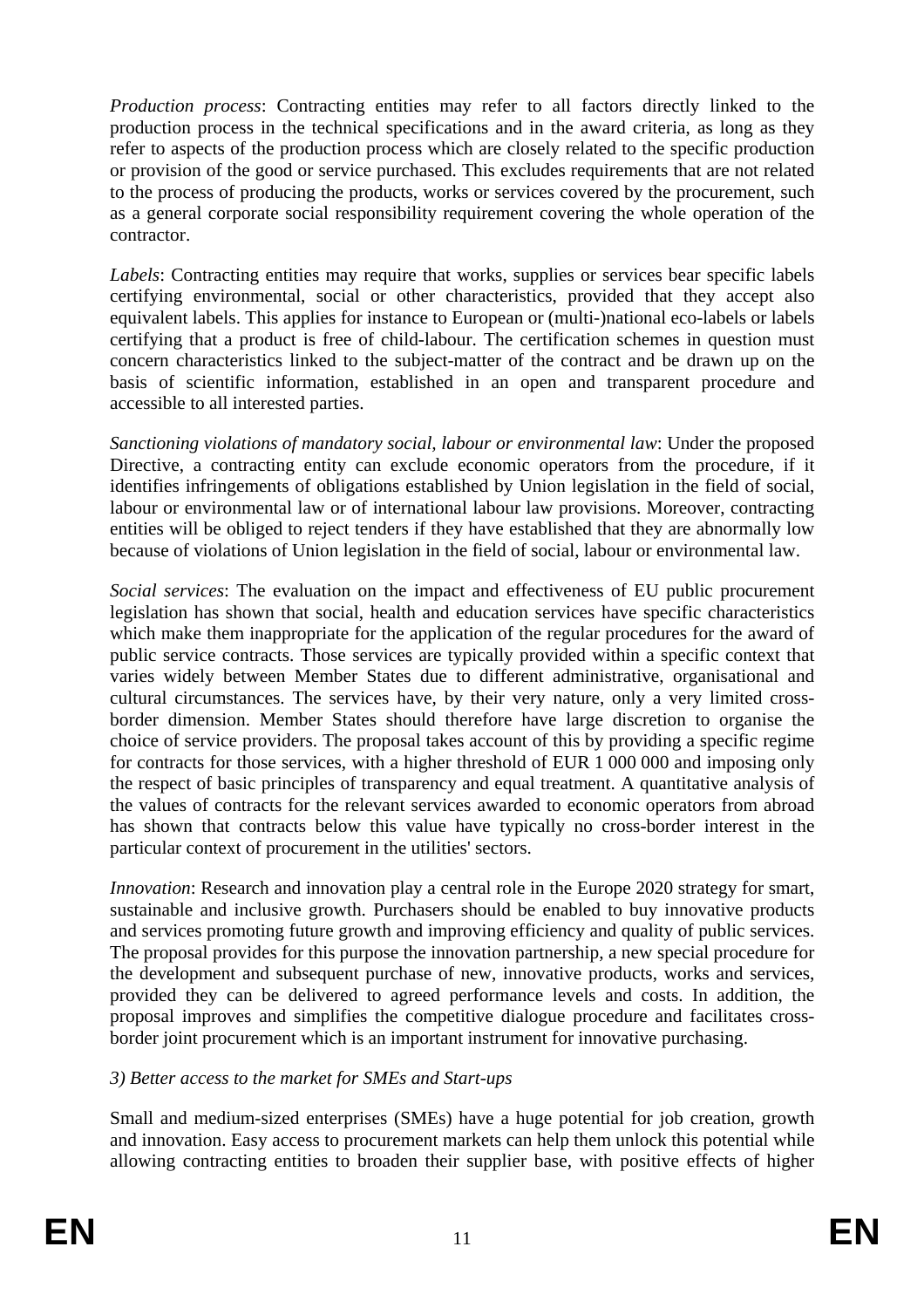*Production process*: Contracting entities may refer to all factors directly linked to the production process in the technical specifications and in the award criteria, as long as they refer to aspects of the production process which are closely related to the specific production or provision of the good or service purchased. This excludes requirements that are not related to the process of producing the products, works or services covered by the procurement, such as a general corporate social responsibility requirement covering the whole operation of the contractor.

*Labels*: Contracting entities may require that works, supplies or services bear specific labels certifying environmental, social or other characteristics, provided that they accept also equivalent labels. This applies for instance to European or (multi-)national eco-labels or labels certifying that a product is free of child-labour. The certification schemes in question must concern characteristics linked to the subject-matter of the contract and be drawn up on the basis of scientific information, established in an open and transparent procedure and accessible to all interested parties.

*Sanctioning violations of mandatory social, labour or environmental law*: Under the proposed Directive, a contracting entity can exclude economic operators from the procedure, if it identifies infringements of obligations established by Union legislation in the field of social, labour or environmental law or of international labour law provisions. Moreover, contracting entities will be obliged to reject tenders if they have established that they are abnormally low because of violations of Union legislation in the field of social, labour or environmental law.

*Social services*: The evaluation on the impact and effectiveness of EU public procurement legislation has shown that social, health and education services have specific characteristics which make them inappropriate for the application of the regular procedures for the award of public service contracts. Those services are typically provided within a specific context that varies widely between Member States due to different administrative, organisational and cultural circumstances. The services have, by their very nature, only a very limited crossborder dimension. Member States should therefore have large discretion to organise the choice of service providers. The proposal takes account of this by providing a specific regime for contracts for those services, with a higher threshold of EUR 1 000 000 and imposing only the respect of basic principles of transparency and equal treatment. A quantitative analysis of the values of contracts for the relevant services awarded to economic operators from abroad has shown that contracts below this value have typically no cross-border interest in the particular context of procurement in the utilities' sectors.

*Innovation*: Research and innovation play a central role in the Europe 2020 strategy for smart, sustainable and inclusive growth. Purchasers should be enabled to buy innovative products and services promoting future growth and improving efficiency and quality of public services. The proposal provides for this purpose the innovation partnership, a new special procedure for the development and subsequent purchase of new, innovative products, works and services, provided they can be delivered to agreed performance levels and costs. In addition, the proposal improves and simplifies the competitive dialogue procedure and facilitates crossborder joint procurement which is an important instrument for innovative purchasing.

### *3) Better access to the market for SMEs and Start-ups*

Small and medium-sized enterprises (SMEs) have a huge potential for job creation, growth and innovation. Easy access to procurement markets can help them unlock this potential while allowing contracting entities to broaden their supplier base, with positive effects of higher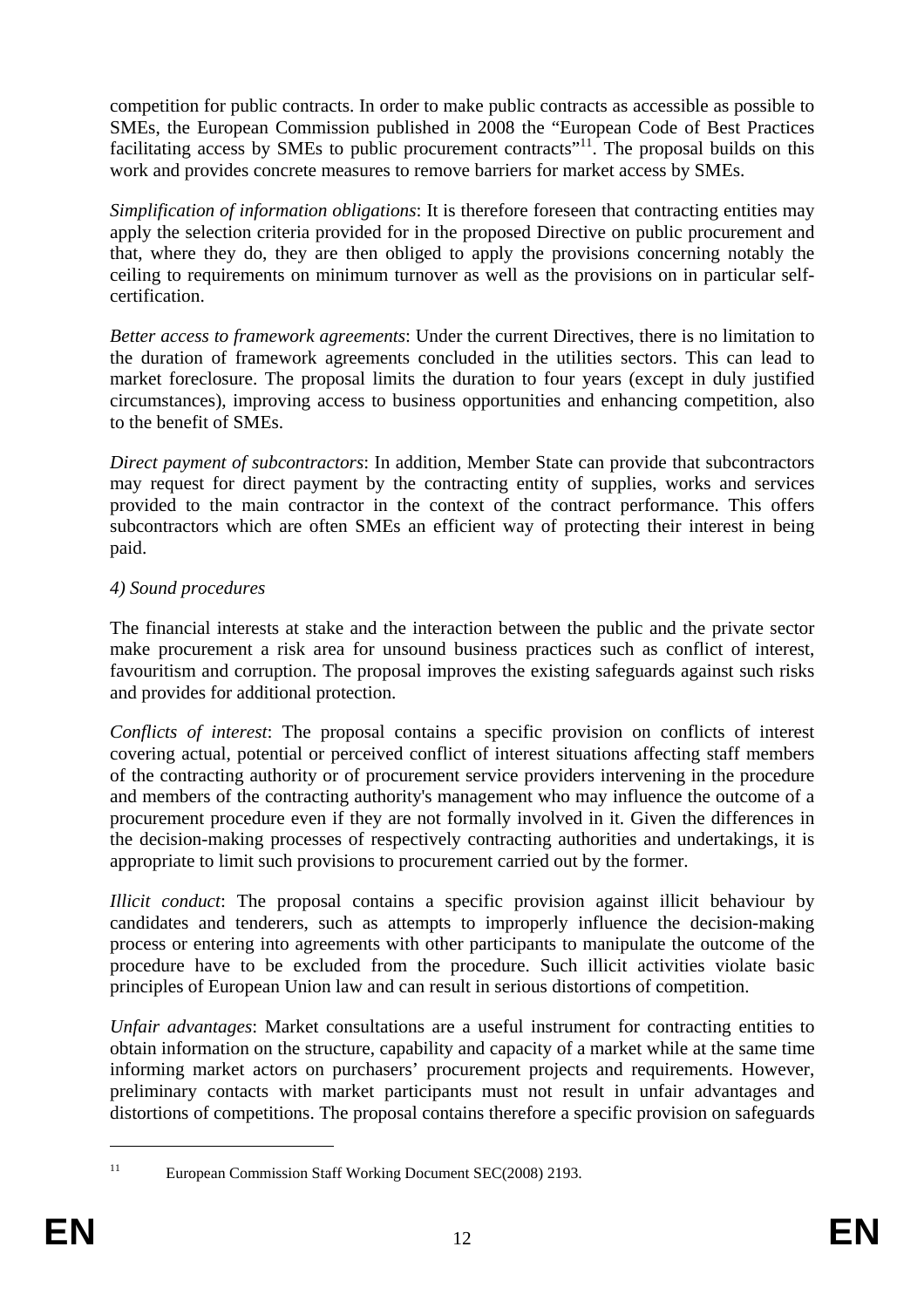competition for public contracts. In order to make public contracts as accessible as possible to SMEs, the European Commission published in 2008 the "European Code of Best Practices facilitating access by SMEs to public procurement contracts<sup>"11</sup>. The proposal builds on this work and provides concrete measures to remove barriers for market access by SMEs.

*Simplification of information obligations*: It is therefore foreseen that contracting entities may apply the selection criteria provided for in the proposed Directive on public procurement and that, where they do, they are then obliged to apply the provisions concerning notably the ceiling to requirements on minimum turnover as well as the provisions on in particular selfcertification.

*Better access to framework agreements*: Under the current Directives, there is no limitation to the duration of framework agreements concluded in the utilities sectors. This can lead to market foreclosure. The proposal limits the duration to four years (except in duly justified circumstances), improving access to business opportunities and enhancing competition, also to the benefit of SMEs.

*Direct payment of subcontractors*: In addition, Member State can provide that subcontractors may request for direct payment by the contracting entity of supplies, works and services provided to the main contractor in the context of the contract performance. This offers subcontractors which are often SMEs an efficient way of protecting their interest in being paid.

### *4) Sound procedures*

The financial interests at stake and the interaction between the public and the private sector make procurement a risk area for unsound business practices such as conflict of interest, favouritism and corruption. The proposal improves the existing safeguards against such risks and provides for additional protection.

*Conflicts of interest*: The proposal contains a specific provision on conflicts of interest covering actual, potential or perceived conflict of interest situations affecting staff members of the contracting authority or of procurement service providers intervening in the procedure and members of the contracting authority's management who may influence the outcome of a procurement procedure even if they are not formally involved in it. Given the differences in the decision-making processes of respectively contracting authorities and undertakings, it is appropriate to limit such provisions to procurement carried out by the former.

*Illicit conduct*: The proposal contains a specific provision against illicit behaviour by candidates and tenderers, such as attempts to improperly influence the decision-making process or entering into agreements with other participants to manipulate the outcome of the procedure have to be excluded from the procedure. Such illicit activities violate basic principles of European Union law and can result in serious distortions of competition.

*Unfair advantages*: Market consultations are a useful instrument for contracting entities to obtain information on the structure, capability and capacity of a market while at the same time informing market actors on purchasers' procurement projects and requirements. However, preliminary contacts with market participants must not result in unfair advantages and distortions of competitions. The proposal contains therefore a specific provision on safeguards

<sup>1</sup> 

<sup>&</sup>lt;sup>11</sup> European Commission Staff Working Document SEC(2008) 2193.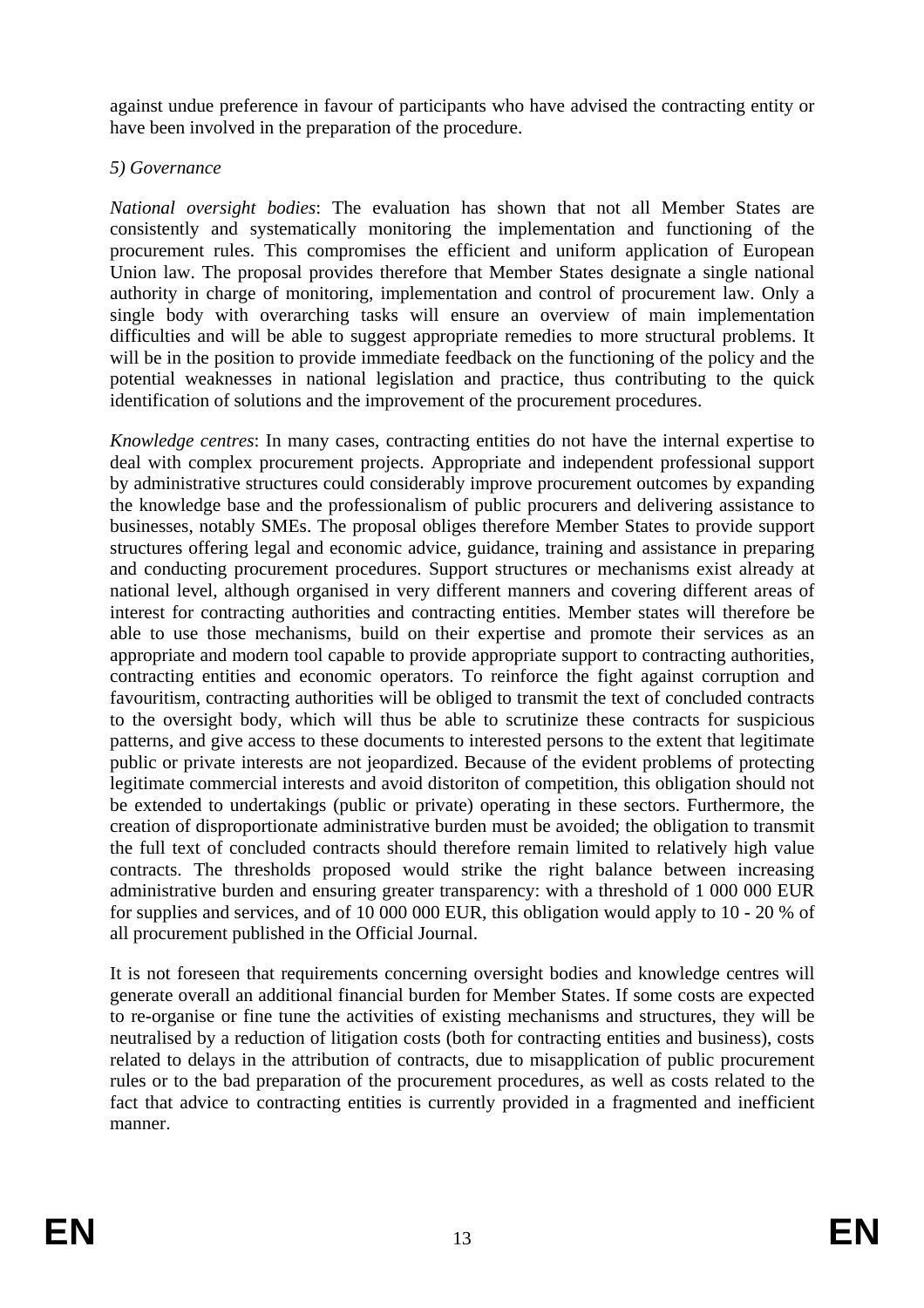against undue preference in favour of participants who have advised the contracting entity or have been involved in the preparation of the procedure.

### *5) Governance*

*National oversight bodies*: The evaluation has shown that not all Member States are consistently and systematically monitoring the implementation and functioning of the procurement rules. This compromises the efficient and uniform application of European Union law. The proposal provides therefore that Member States designate a single national authority in charge of monitoring, implementation and control of procurement law. Only a single body with overarching tasks will ensure an overview of main implementation difficulties and will be able to suggest appropriate remedies to more structural problems. It will be in the position to provide immediate feedback on the functioning of the policy and the potential weaknesses in national legislation and practice, thus contributing to the quick identification of solutions and the improvement of the procurement procedures.

*Knowledge centres*: In many cases, contracting entities do not have the internal expertise to deal with complex procurement projects. Appropriate and independent professional support by administrative structures could considerably improve procurement outcomes by expanding the knowledge base and the professionalism of public procurers and delivering assistance to businesses, notably SMEs. The proposal obliges therefore Member States to provide support structures offering legal and economic advice, guidance, training and assistance in preparing and conducting procurement procedures. Support structures or mechanisms exist already at national level, although organised in very different manners and covering different areas of interest for contracting authorities and contracting entities. Member states will therefore be able to use those mechanisms, build on their expertise and promote their services as an appropriate and modern tool capable to provide appropriate support to contracting authorities, contracting entities and economic operators. To reinforce the fight against corruption and favouritism, contracting authorities will be obliged to transmit the text of concluded contracts to the oversight body, which will thus be able to scrutinize these contracts for suspicious patterns, and give access to these documents to interested persons to the extent that legitimate public or private interests are not jeopardized. Because of the evident problems of protecting legitimate commercial interests and avoid distoriton of competition, this obligation should not be extended to undertakings (public or private) operating in these sectors. Furthermore, the creation of disproportionate administrative burden must be avoided; the obligation to transmit the full text of concluded contracts should therefore remain limited to relatively high value contracts. The thresholds proposed would strike the right balance between increasing administrative burden and ensuring greater transparency: with a threshold of 1 000 000 EUR for supplies and services, and of 10 000 000 EUR, this obligation would apply to 10 - 20 % of all procurement published in the Official Journal.

It is not foreseen that requirements concerning oversight bodies and knowledge centres will generate overall an additional financial burden for Member States. If some costs are expected to re-organise or fine tune the activities of existing mechanisms and structures, they will be neutralised by a reduction of litigation costs (both for contracting entities and business), costs related to delays in the attribution of contracts, due to misapplication of public procurement rules or to the bad preparation of the procurement procedures, as well as costs related to the fact that advice to contracting entities is currently provided in a fragmented and inefficient manner.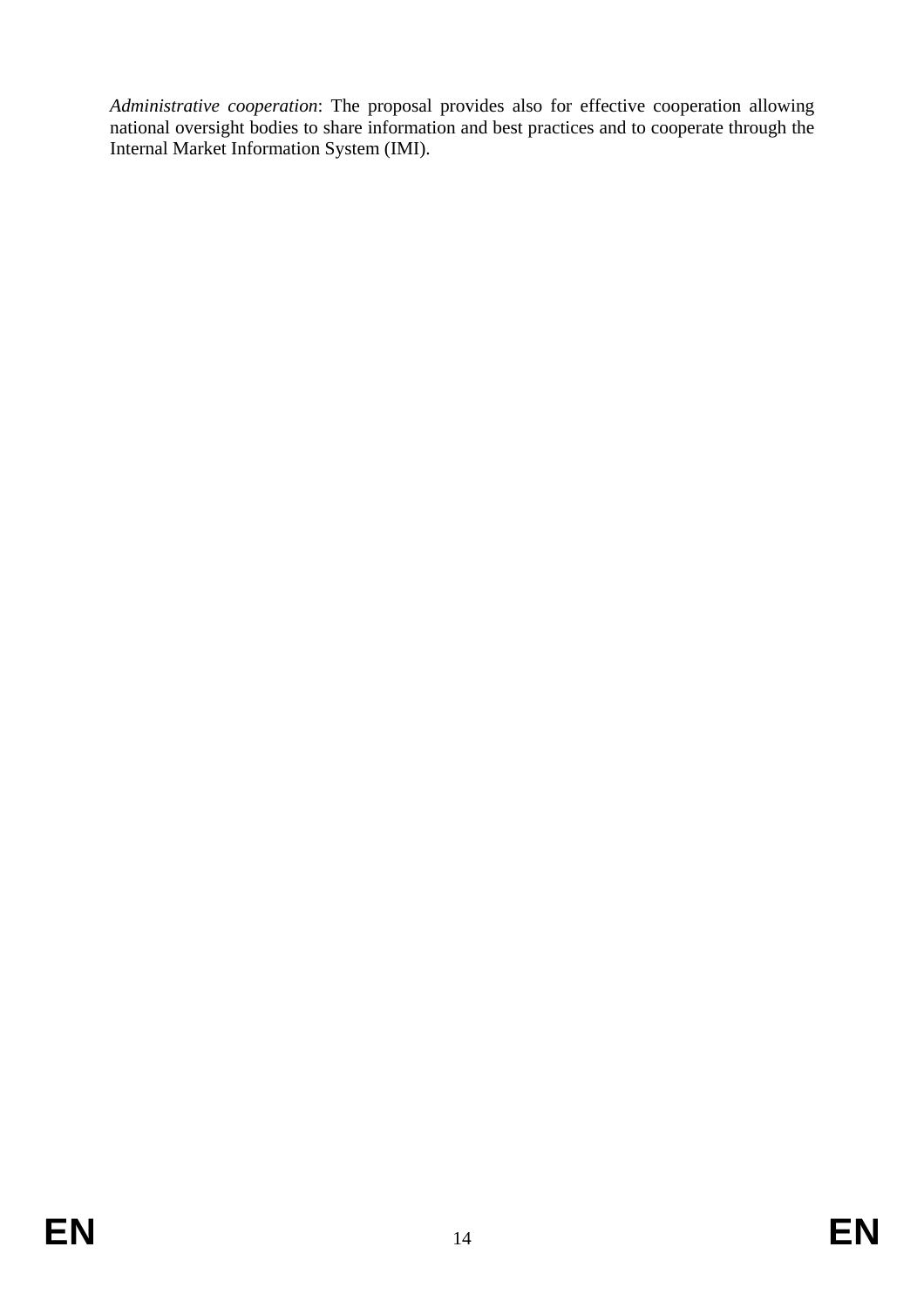*Administrative cooperation*: The proposal provides also for effective cooperation allowing national oversight bodies to share information and best practices and to cooperate through the Internal Market Information System (IMI).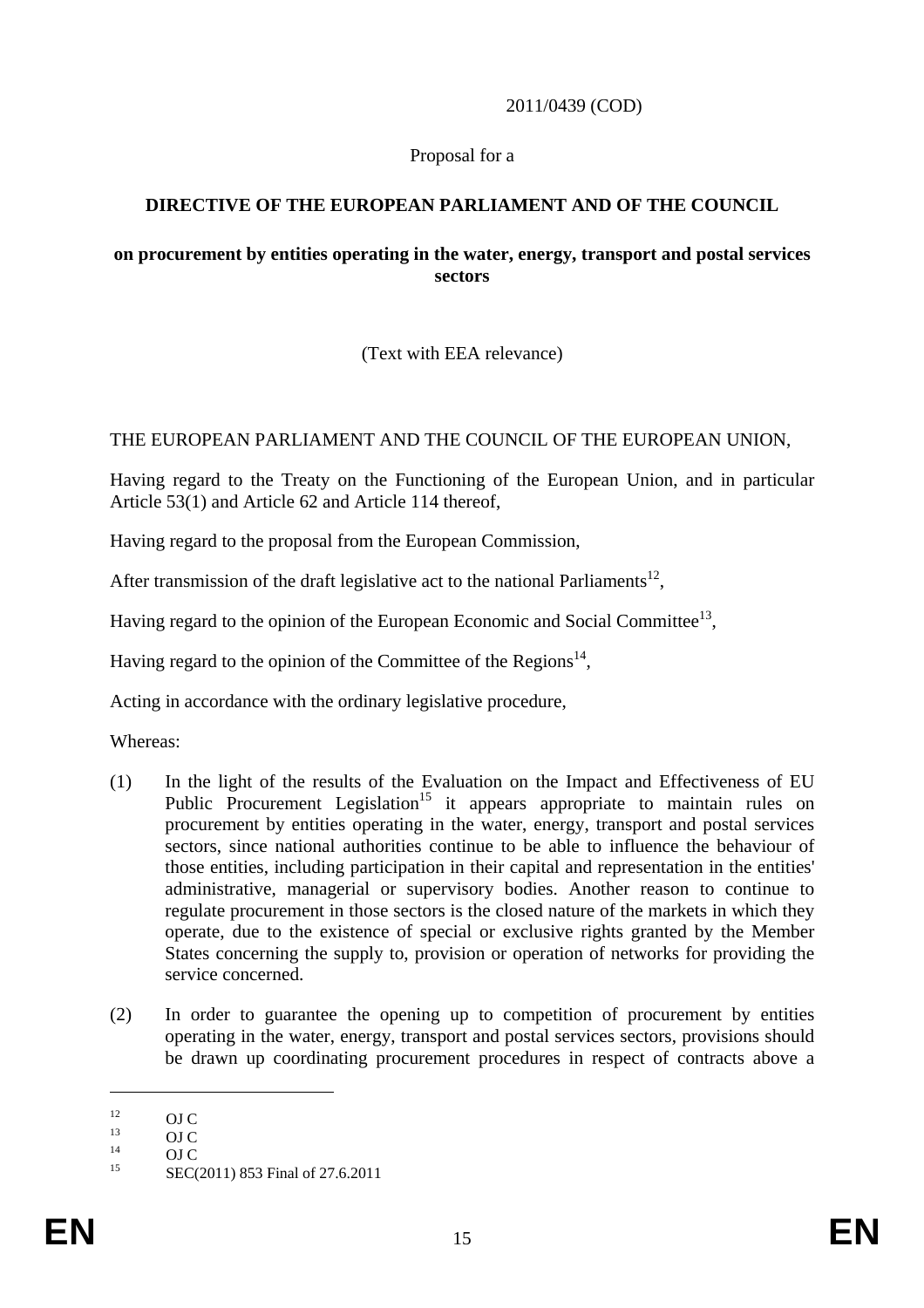2011/0439 (COD)

### Proposal for a

# **DIRECTIVE OF THE EUROPEAN PARLIAMENT AND OF THE COUNCIL**

#### **on procurement by entities operating in the water, energy, transport and postal services sectors**

(Text with EEA relevance)

### THE EUROPEAN PARLIAMENT AND THE COUNCIL OF THE EUROPEAN UNION,

Having regard to the Treaty on the Functioning of the European Union, and in particular Article 53(1) and Article 62 and Article 114 thereof,

Having regard to the proposal from the European Commission,

After transmission of the draft legislative act to the national Parliaments<sup>12</sup>,

Having regard to the opinion of the European Economic and Social Committee<sup>13</sup>,

Having regard to the opinion of the Committee of the Regions<sup>14</sup>,

Acting in accordance with the ordinary legislative procedure,

Whereas:

- (1) In the light of the results of the Evaluation on the Impact and Effectiveness of EU Public Procurement Legislation<sup>15</sup> it appears appropriate to maintain rules on procurement by entities operating in the water, energy, transport and postal services sectors, since national authorities continue to be able to influence the behaviour of those entities, including participation in their capital and representation in the entities' administrative, managerial or supervisory bodies. Another reason to continue to regulate procurement in those sectors is the closed nature of the markets in which they operate, due to the existence of special or exclusive rights granted by the Member States concerning the supply to, provision or operation of networks for providing the service concerned.
- (2) In order to guarantee the opening up to competition of procurement by entities operating in the water, energy, transport and postal services sectors, provisions should be drawn up coordinating procurement procedures in respect of contracts above a

 $\frac{12}{13}$  OJ C

 $\frac{13}{14}$  OJ C

 $\frac{14}{15}$  OJ C

SEC(2011) 853 Final of 27.6.2011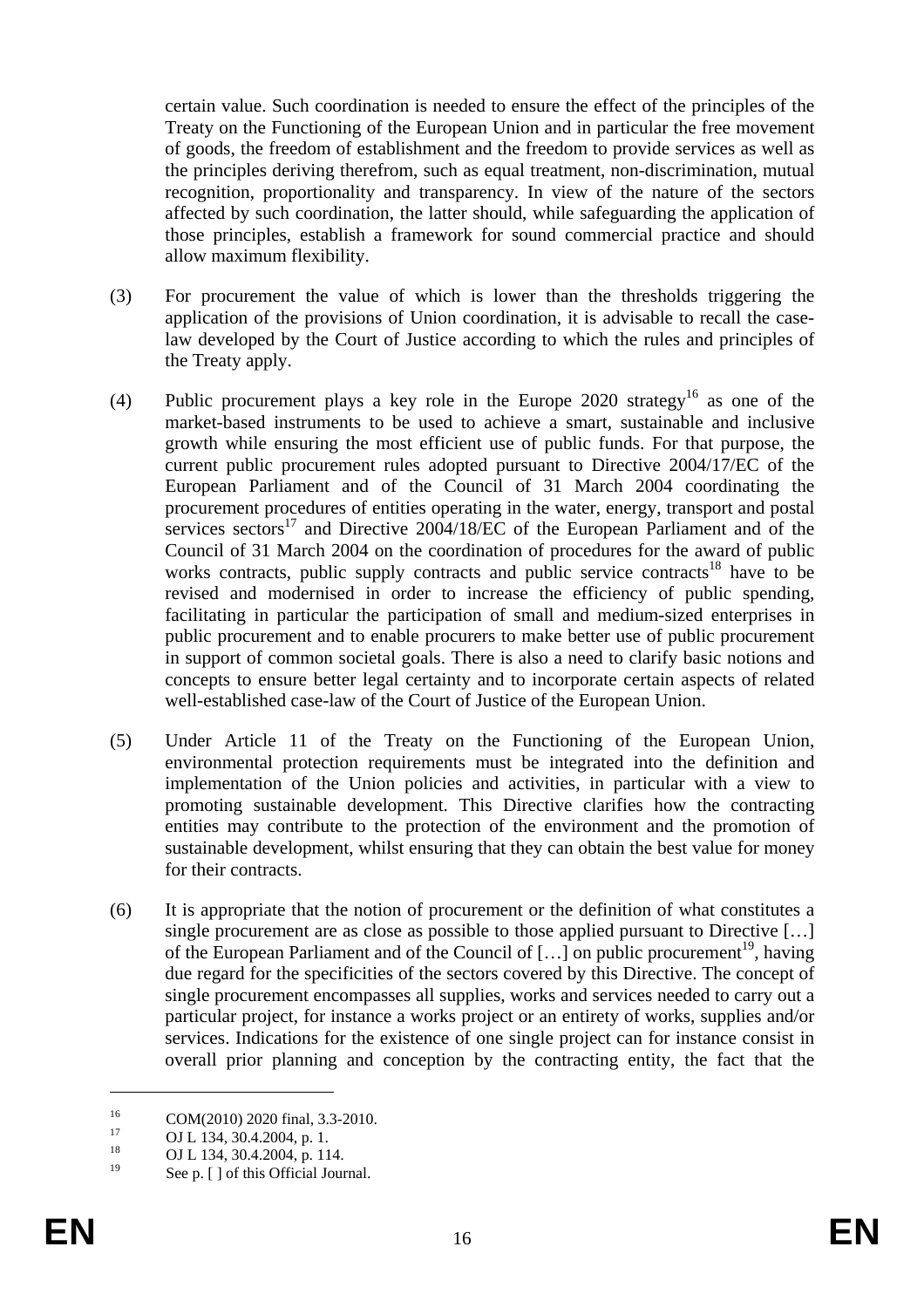certain value. Such coordination is needed to ensure the effect of the principles of the Treaty on the Functioning of the European Union and in particular the free movement of goods, the freedom of establishment and the freedom to provide services as well as the principles deriving therefrom, such as equal treatment, non-discrimination, mutual recognition, proportionality and transparency. In view of the nature of the sectors affected by such coordination, the latter should, while safeguarding the application of those principles, establish a framework for sound commercial practice and should allow maximum flexibility.

- (3) For procurement the value of which is lower than the thresholds triggering the application of the provisions of Union coordination, it is advisable to recall the caselaw developed by the Court of Justice according to which the rules and principles of the Treaty apply.
- (4) Public procurement plays a key role in the Europe 2020 strategy16 as one of the market-based instruments to be used to achieve a smart, sustainable and inclusive growth while ensuring the most efficient use of public funds. For that purpose, the current public procurement rules adopted pursuant to Directive 2004/17/EC of the European Parliament and of the Council of 31 March 2004 coordinating the procurement procedures of entities operating in the water, energy, transport and postal services sectors $17$  and Directive 2004/18/EC of the European Parliament and of the Council of 31 March 2004 on the coordination of procedures for the award of public works contracts, public supply contracts and public service contracts<sup>18</sup> have to be revised and modernised in order to increase the efficiency of public spending, facilitating in particular the participation of small and medium-sized enterprises in public procurement and to enable procurers to make better use of public procurement in support of common societal goals. There is also a need to clarify basic notions and concepts to ensure better legal certainty and to incorporate certain aspects of related well-established case-law of the Court of Justice of the European Union.
- (5) Under Article 11 of the Treaty on the Functioning of the European Union, environmental protection requirements must be integrated into the definition and implementation of the Union policies and activities, in particular with a view to promoting sustainable development. This Directive clarifies how the contracting entities may contribute to the protection of the environment and the promotion of sustainable development, whilst ensuring that they can obtain the best value for money for their contracts.
- (6) It is appropriate that the notion of procurement or the definition of what constitutes a single procurement are as close as possible to those applied pursuant to Directive […] of the European Parliament and of the Council of  $[...]$  on public procurement<sup>19</sup>, having due regard for the specificities of the sectors covered by this Directive. The concept of single procurement encompasses all supplies, works and services needed to carry out a particular project, for instance a works project or an entirety of works, supplies and/or services. Indications for the existence of one single project can for instance consist in overall prior planning and conception by the contracting entity, the fact that the

 $^{16}$  COM(2010) 2020 final, 3.3-2010.

 $17$  OJ L 134, 30.4.2004, p. 1.<br>18

<sup>&</sup>lt;sup>18</sup> OJ L 134, 30.4.2004, p. 114.

See p. [ ] of this Official Journal.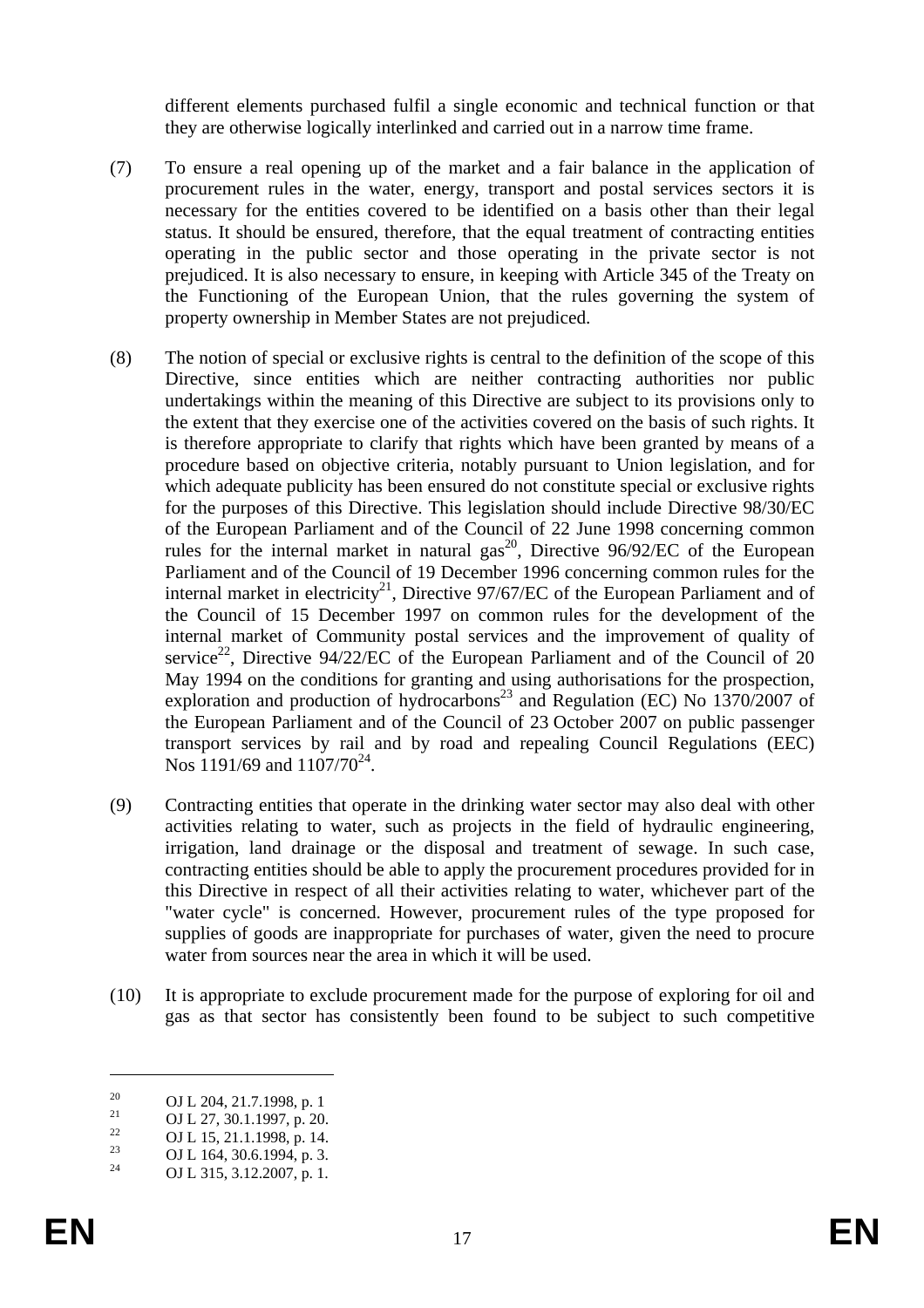different elements purchased fulfil a single economic and technical function or that they are otherwise logically interlinked and carried out in a narrow time frame.

- (7) To ensure a real opening up of the market and a fair balance in the application of procurement rules in the water, energy, transport and postal services sectors it is necessary for the entities covered to be identified on a basis other than their legal status. It should be ensured, therefore, that the equal treatment of contracting entities operating in the public sector and those operating in the private sector is not prejudiced. It is also necessary to ensure, in keeping with Article 345 of the Treaty on the Functioning of the European Union, that the rules governing the system of property ownership in Member States are not prejudiced.
- (8) The notion of special or exclusive rights is central to the definition of the scope of this Directive, since entities which are neither contracting authorities nor public undertakings within the meaning of this Directive are subject to its provisions only to the extent that they exercise one of the activities covered on the basis of such rights. It is therefore appropriate to clarify that rights which have been granted by means of a procedure based on objective criteria, notably pursuant to Union legislation, and for which adequate publicity has been ensured do not constitute special or exclusive rights for the purposes of this Directive. This legislation should include Directive 98/30/EC of the European Parliament and of the Council of 22 June 1998 concerning common rules for the internal market in natural  $gas^{20}$ , Directive 96/92/EC of the European Parliament and of the Council of 19 December 1996 concerning common rules for the internal market in electricity<sup>21</sup>, Directive 97/67/EC of the European Parliament and of the Council of 15 December 1997 on common rules for the development of the internal market of Community postal services and the improvement of quality of service<sup>22</sup>, Directive  $94/22/EC$  of the European Parliament and of the Council of 20 May 1994 on the conditions for granting and using authorisations for the prospection, exploration and production of hydrocarbons<sup>23</sup> and Regulation (EC) No  $1370/2007$  of the European Parliament and of the Council of 23 October 2007 on public passenger transport services by rail and by road and repealing Council Regulations (EEC) Nos 1191/69 and  $1107/70^{24}$ .
- (9) Contracting entities that operate in the drinking water sector may also deal with other activities relating to water, such as projects in the field of hydraulic engineering, irrigation, land drainage or the disposal and treatment of sewage. In such case, contracting entities should be able to apply the procurement procedures provided for in this Directive in respect of all their activities relating to water, whichever part of the "water cycle" is concerned. However, procurement rules of the type proposed for supplies of goods are inappropriate for purchases of water, given the need to procure water from sources near the area in which it will be used.
- (10) It is appropriate to exclude procurement made for the purpose of exploring for oil and gas as that sector has consistently been found to be subject to such competitive

<u>.</u>

<sup>&</sup>lt;sup>20</sup> OJ L 204, 21.7.1998, p. 1<br><sup>21</sup> OJ L 27, 29, 1,1997, p. 29

<sup>&</sup>lt;sup>21</sup> OJ L 27, 30.1.1997, p. 20.

<sup>&</sup>lt;sup>22</sup> OJ L 15, 21.1.1998, p. 14.<br><sup>23</sup> OJ L 164, 20.6.1994, p. 2

<sup>&</sup>lt;sup>23</sup> OJ L 164, 30.6.1994, p. 3.<br><sup>24</sup> OJ L 215, 2.12, 2007, p. 1.

OJ L 315, 3.12.2007, p. 1.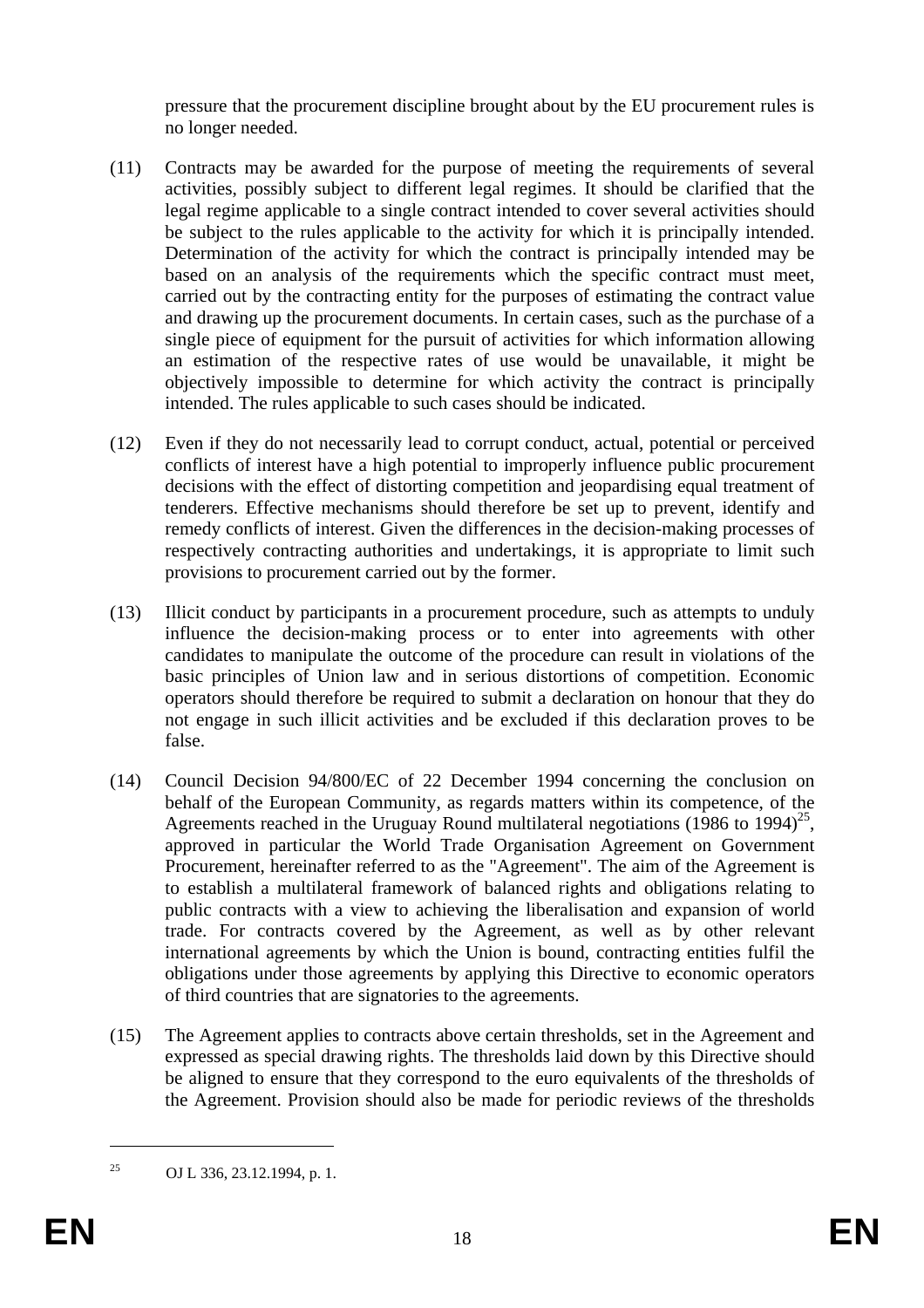pressure that the procurement discipline brought about by the EU procurement rules is no longer needed.

- (11) Contracts may be awarded for the purpose of meeting the requirements of several activities, possibly subject to different legal regimes. It should be clarified that the legal regime applicable to a single contract intended to cover several activities should be subject to the rules applicable to the activity for which it is principally intended. Determination of the activity for which the contract is principally intended may be based on an analysis of the requirements which the specific contract must meet, carried out by the contracting entity for the purposes of estimating the contract value and drawing up the procurement documents. In certain cases, such as the purchase of a single piece of equipment for the pursuit of activities for which information allowing an estimation of the respective rates of use would be unavailable, it might be objectively impossible to determine for which activity the contract is principally intended. The rules applicable to such cases should be indicated.
- (12) Even if they do not necessarily lead to corrupt conduct, actual, potential or perceived conflicts of interest have a high potential to improperly influence public procurement decisions with the effect of distorting competition and jeopardising equal treatment of tenderers. Effective mechanisms should therefore be set up to prevent, identify and remedy conflicts of interest. Given the differences in the decision-making processes of respectively contracting authorities and undertakings, it is appropriate to limit such provisions to procurement carried out by the former.
- (13) Illicit conduct by participants in a procurement procedure, such as attempts to unduly influence the decision-making process or to enter into agreements with other candidates to manipulate the outcome of the procedure can result in violations of the basic principles of Union law and in serious distortions of competition. Economic operators should therefore be required to submit a declaration on honour that they do not engage in such illicit activities and be excluded if this declaration proves to be false.
- (14) Council Decision 94/800/EC of 22 December 1994 concerning the conclusion on behalf of the European Community, as regards matters within its competence, of the Agreements reached in the Uruguay Round multilateral negotiations (1986 to 1994)<sup>25</sup>, approved in particular the World Trade Organisation Agreement on Government Procurement, hereinafter referred to as the "Agreement". The aim of the Agreement is to establish a multilateral framework of balanced rights and obligations relating to public contracts with a view to achieving the liberalisation and expansion of world trade. For contracts covered by the Agreement, as well as by other relevant international agreements by which the Union is bound, contracting entities fulfil the obligations under those agreements by applying this Directive to economic operators of third countries that are signatories to the agreements.
- (15) The Agreement applies to contracts above certain thresholds, set in the Agreement and expressed as special drawing rights. The thresholds laid down by this Directive should be aligned to ensure that they correspond to the euro equivalents of the thresholds of the Agreement. Provision should also be made for periodic reviews of the thresholds

<sup>25</sup> OJ L 336, 23.12.1994, p. 1.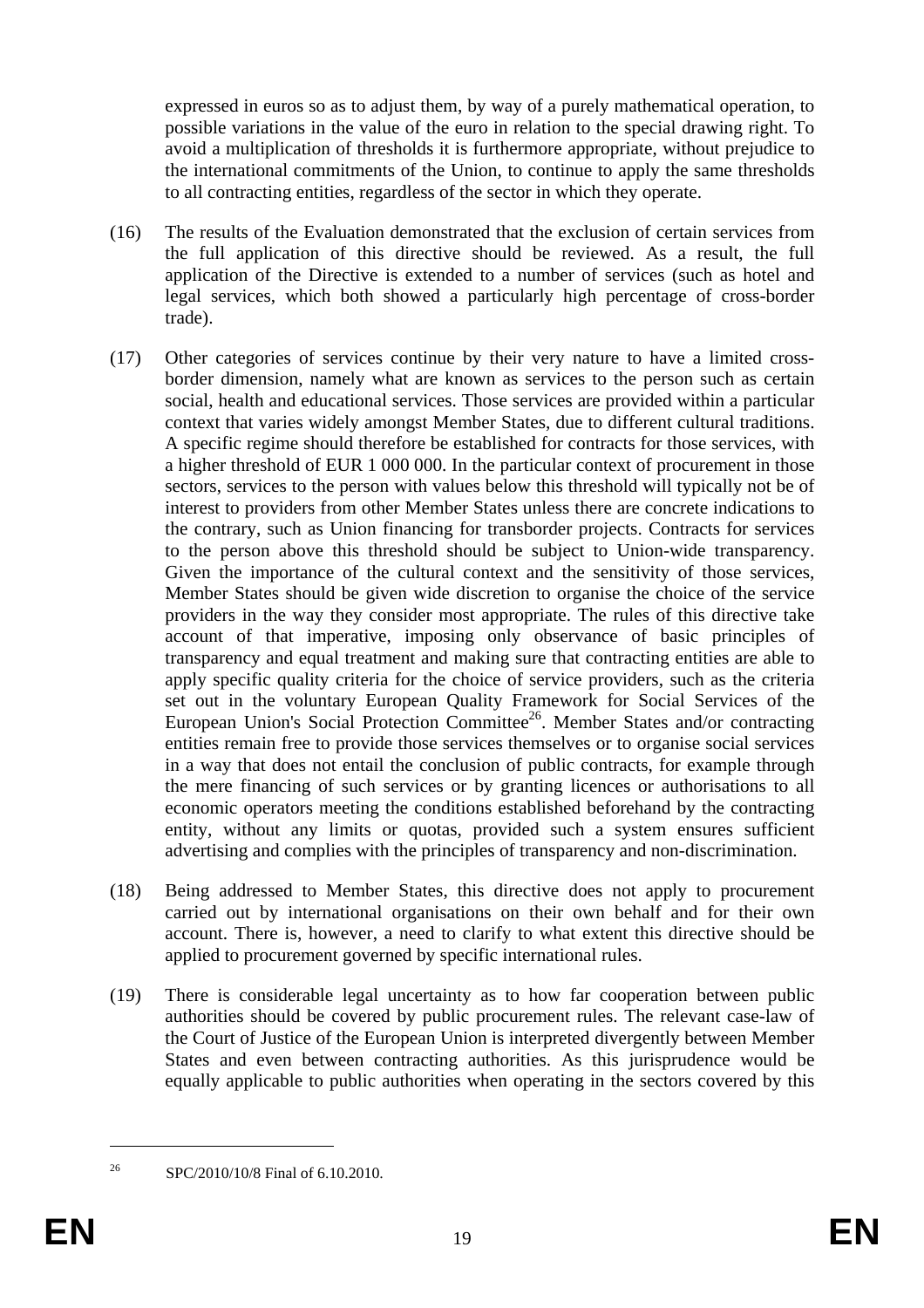expressed in euros so as to adjust them, by way of a purely mathematical operation, to possible variations in the value of the euro in relation to the special drawing right. To avoid a multiplication of thresholds it is furthermore appropriate, without prejudice to the international commitments of the Union, to continue to apply the same thresholds to all contracting entities, regardless of the sector in which they operate.

- (16) The results of the Evaluation demonstrated that the exclusion of certain services from the full application of this directive should be reviewed. As a result, the full application of the Directive is extended to a number of services (such as hotel and legal services, which both showed a particularly high percentage of cross-border trade).
- (17) Other categories of services continue by their very nature to have a limited crossborder dimension, namely what are known as services to the person such as certain social, health and educational services. Those services are provided within a particular context that varies widely amongst Member States, due to different cultural traditions. A specific regime should therefore be established for contracts for those services, with a higher threshold of EUR 1 000 000. In the particular context of procurement in those sectors, services to the person with values below this threshold will typically not be of interest to providers from other Member States unless there are concrete indications to the contrary, such as Union financing for transborder projects. Contracts for services to the person above this threshold should be subject to Union-wide transparency. Given the importance of the cultural context and the sensitivity of those services, Member States should be given wide discretion to organise the choice of the service providers in the way they consider most appropriate. The rules of this directive take account of that imperative, imposing only observance of basic principles of transparency and equal treatment and making sure that contracting entities are able to apply specific quality criteria for the choice of service providers, such as the criteria set out in the voluntary European Quality Framework for Social Services of the European Union's Social Protection Committee<sup>26</sup>. Member States and/or contracting entities remain free to provide those services themselves or to organise social services in a way that does not entail the conclusion of public contracts, for example through the mere financing of such services or by granting licences or authorisations to all economic operators meeting the conditions established beforehand by the contracting entity, without any limits or quotas, provided such a system ensures sufficient advertising and complies with the principles of transparency and non-discrimination.
- (18) Being addressed to Member States, this directive does not apply to procurement carried out by international organisations on their own behalf and for their own account. There is, however, a need to clarify to what extent this directive should be applied to procurement governed by specific international rules.
- (19) There is considerable legal uncertainty as to how far cooperation between public authorities should be covered by public procurement rules. The relevant case-law of the Court of Justice of the European Union is interpreted divergently between Member States and even between contracting authorities. As this jurisprudence would be equally applicable to public authorities when operating in the sectors covered by this

<sup>&</sup>lt;sup>26</sup> SPC/2010/10/8 Final of 6.10.2010.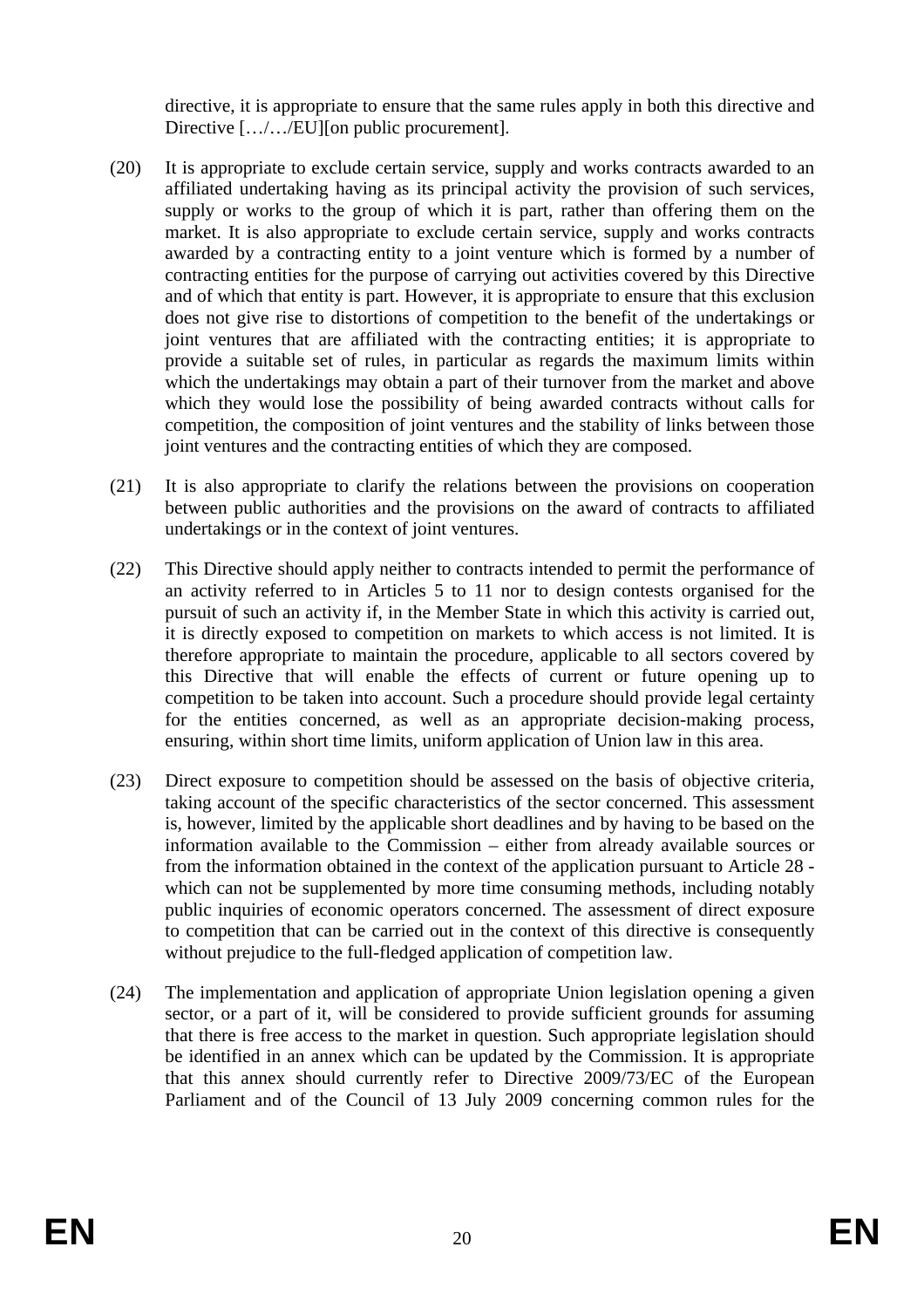directive, it is appropriate to ensure that the same rules apply in both this directive and Directive [.../.../EU][on public procurement].

- (20) It is appropriate to exclude certain service, supply and works contracts awarded to an affiliated undertaking having as its principal activity the provision of such services, supply or works to the group of which it is part, rather than offering them on the market. It is also appropriate to exclude certain service, supply and works contracts awarded by a contracting entity to a joint venture which is formed by a number of contracting entities for the purpose of carrying out activities covered by this Directive and of which that entity is part. However, it is appropriate to ensure that this exclusion does not give rise to distortions of competition to the benefit of the undertakings or joint ventures that are affiliated with the contracting entities; it is appropriate to provide a suitable set of rules, in particular as regards the maximum limits within which the undertakings may obtain a part of their turnover from the market and above which they would lose the possibility of being awarded contracts without calls for competition, the composition of joint ventures and the stability of links between those joint ventures and the contracting entities of which they are composed.
- (21) It is also appropriate to clarify the relations between the provisions on cooperation between public authorities and the provisions on the award of contracts to affiliated undertakings or in the context of joint ventures.
- (22) This Directive should apply neither to contracts intended to permit the performance of an activity referred to in Articles 5 to 11 nor to design contests organised for the pursuit of such an activity if, in the Member State in which this activity is carried out, it is directly exposed to competition on markets to which access is not limited. It is therefore appropriate to maintain the procedure, applicable to all sectors covered by this Directive that will enable the effects of current or future opening up to competition to be taken into account. Such a procedure should provide legal certainty for the entities concerned, as well as an appropriate decision-making process, ensuring, within short time limits, uniform application of Union law in this area.
- (23) Direct exposure to competition should be assessed on the basis of objective criteria, taking account of the specific characteristics of the sector concerned. This assessment is, however, limited by the applicable short deadlines and by having to be based on the information available to the Commission – either from already available sources or from the information obtained in the context of the application pursuant to Article 28 which can not be supplemented by more time consuming methods, including notably public inquiries of economic operators concerned. The assessment of direct exposure to competition that can be carried out in the context of this directive is consequently without prejudice to the full-fledged application of competition law.
- (24) The implementation and application of appropriate Union legislation opening a given sector, or a part of it, will be considered to provide sufficient grounds for assuming that there is free access to the market in question. Such appropriate legislation should be identified in an annex which can be updated by the Commission. It is appropriate that this annex should currently refer to Directive 2009/73/EC of the European Parliament and of the Council of 13 July 2009 concerning common rules for the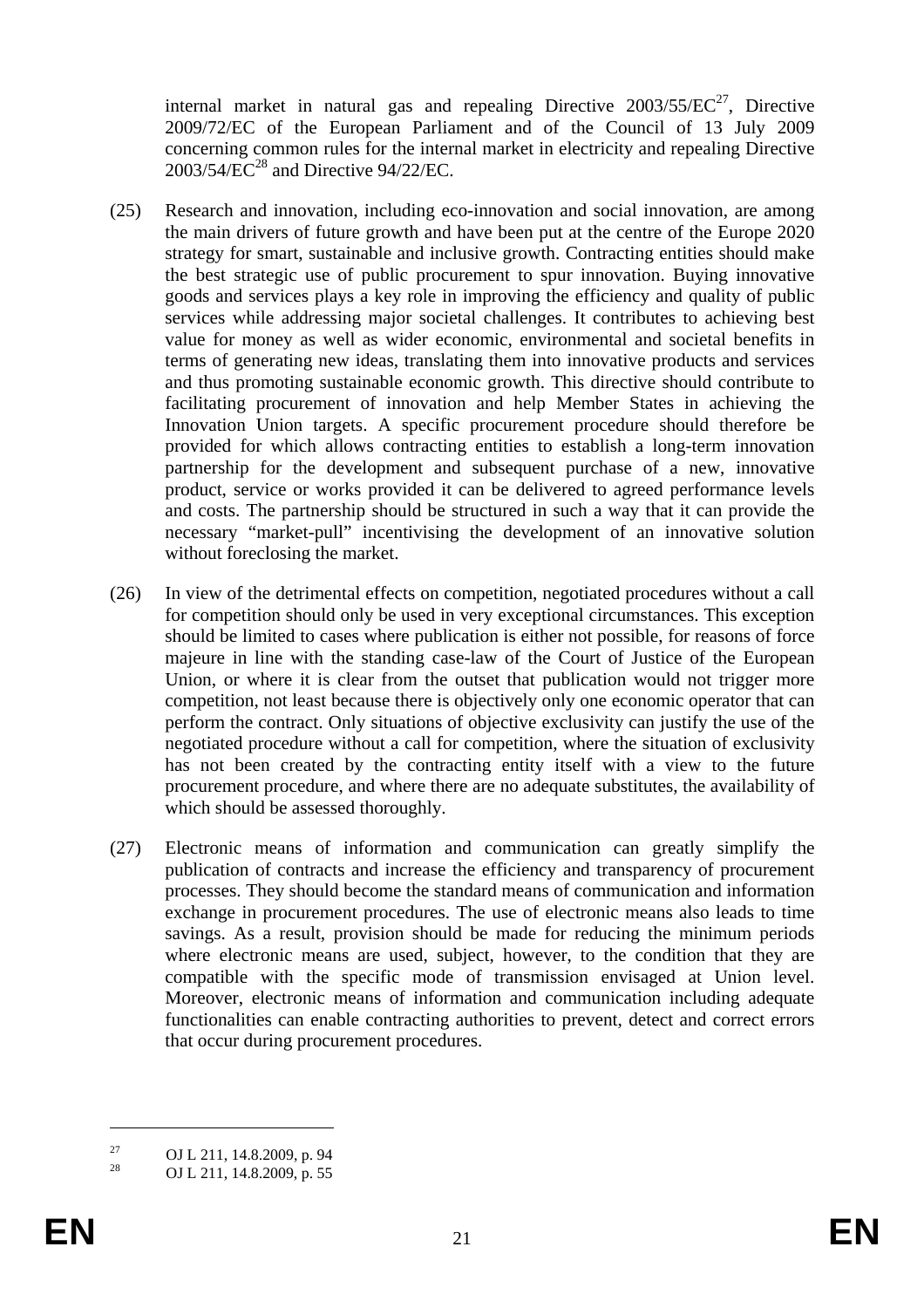internal market in natural gas and repealing Directive  $2003/55/EC^{27}$ , Directive 2009/72/EC of the European Parliament and of the Council of 13 July 2009 concerning common rules for the internal market in electricity and repealing Directive  $2003/54/\overline{EC}^{28}$  and Directive 94/22/EC.

- (25) Research and innovation, including eco-innovation and social innovation, are among the main drivers of future growth and have been put at the centre of the Europe 2020 strategy for smart, sustainable and inclusive growth. Contracting entities should make the best strategic use of public procurement to spur innovation. Buying innovative goods and services plays a key role in improving the efficiency and quality of public services while addressing major societal challenges. It contributes to achieving best value for money as well as wider economic, environmental and societal benefits in terms of generating new ideas, translating them into innovative products and services and thus promoting sustainable economic growth. This directive should contribute to facilitating procurement of innovation and help Member States in achieving the Innovation Union targets. A specific procurement procedure should therefore be provided for which allows contracting entities to establish a long-term innovation partnership for the development and subsequent purchase of a new, innovative product, service or works provided it can be delivered to agreed performance levels and costs. The partnership should be structured in such a way that it can provide the necessary "market-pull" incentivising the development of an innovative solution without foreclosing the market.
- (26) In view of the detrimental effects on competition, negotiated procedures without a call for competition should only be used in very exceptional circumstances. This exception should be limited to cases where publication is either not possible, for reasons of force majeure in line with the standing case-law of the Court of Justice of the European Union, or where it is clear from the outset that publication would not trigger more competition, not least because there is objectively only one economic operator that can perform the contract. Only situations of objective exclusivity can justify the use of the negotiated procedure without a call for competition, where the situation of exclusivity has not been created by the contracting entity itself with a view to the future procurement procedure, and where there are no adequate substitutes, the availability of which should be assessed thoroughly.
- (27) Electronic means of information and communication can greatly simplify the publication of contracts and increase the efficiency and transparency of procurement processes. They should become the standard means of communication and information exchange in procurement procedures. The use of electronic means also leads to time savings. As a result, provision should be made for reducing the minimum periods where electronic means are used, subject, however, to the condition that they are compatible with the specific mode of transmission envisaged at Union level. Moreover, electronic means of information and communication including adequate functionalities can enable contracting authorities to prevent, detect and correct errors that occur during procurement procedures.

<u>.</u>

<sup>&</sup>lt;sup>27</sup> OJ L 211, 14.8.2009, p. 94<br><sup>28</sup> OJ L 211, 14.8.2000, p. 55

<sup>28</sup> OJ L 211, 14.8.2009, p. 55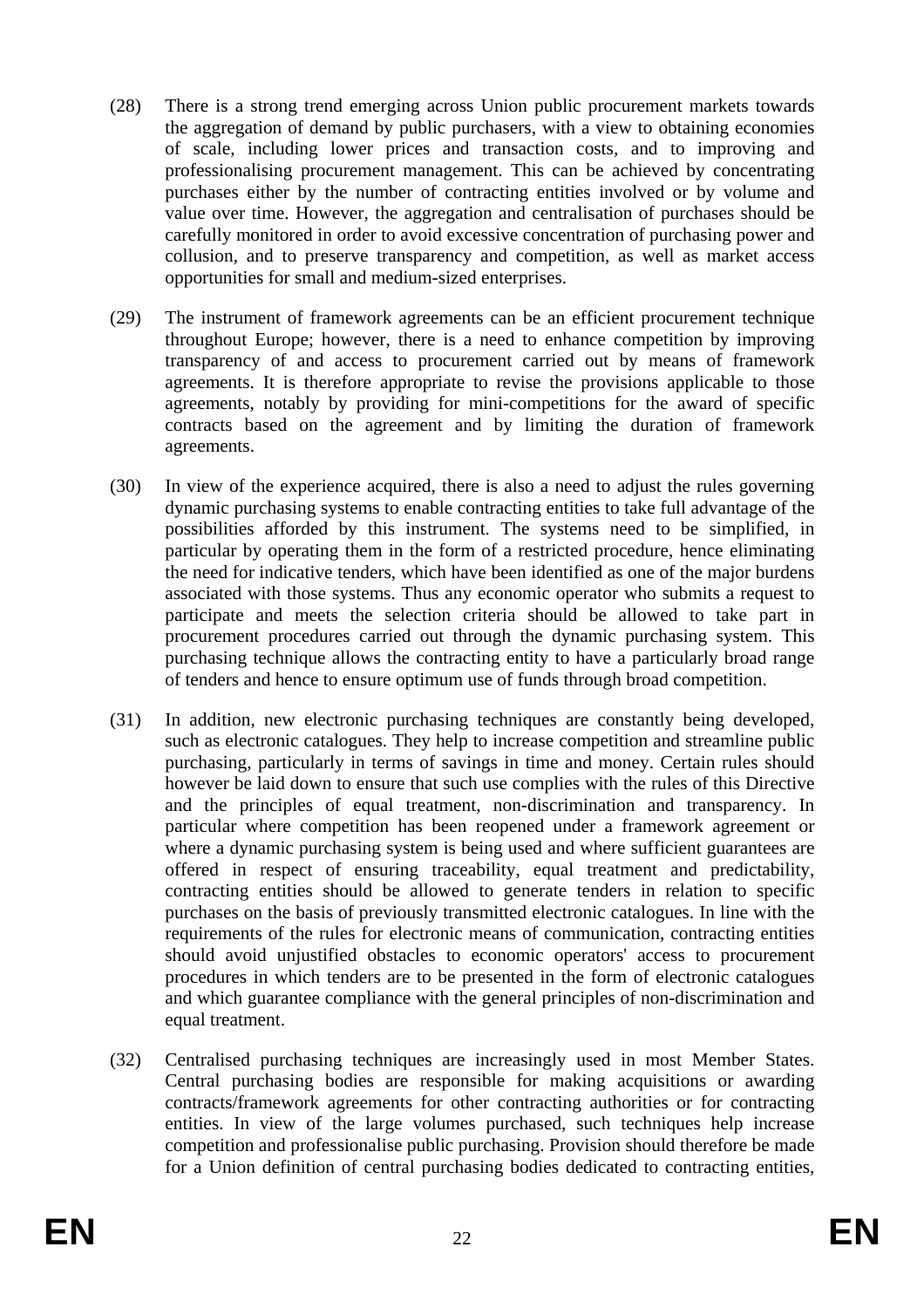- (28) There is a strong trend emerging across Union public procurement markets towards the aggregation of demand by public purchasers, with a view to obtaining economies of scale, including lower prices and transaction costs, and to improving and professionalising procurement management. This can be achieved by concentrating purchases either by the number of contracting entities involved or by volume and value over time. However, the aggregation and centralisation of purchases should be carefully monitored in order to avoid excessive concentration of purchasing power and collusion, and to preserve transparency and competition, as well as market access opportunities for small and medium-sized enterprises.
- (29) The instrument of framework agreements can be an efficient procurement technique throughout Europe; however, there is a need to enhance competition by improving transparency of and access to procurement carried out by means of framework agreements. It is therefore appropriate to revise the provisions applicable to those agreements, notably by providing for mini-competitions for the award of specific contracts based on the agreement and by limiting the duration of framework agreements.
- (30) In view of the experience acquired, there is also a need to adjust the rules governing dynamic purchasing systems to enable contracting entities to take full advantage of the possibilities afforded by this instrument. The systems need to be simplified, in particular by operating them in the form of a restricted procedure, hence eliminating the need for indicative tenders, which have been identified as one of the major burdens associated with those systems. Thus any economic operator who submits a request to participate and meets the selection criteria should be allowed to take part in procurement procedures carried out through the dynamic purchasing system. This purchasing technique allows the contracting entity to have a particularly broad range of tenders and hence to ensure optimum use of funds through broad competition.
- (31) In addition, new electronic purchasing techniques are constantly being developed, such as electronic catalogues. They help to increase competition and streamline public purchasing, particularly in terms of savings in time and money. Certain rules should however be laid down to ensure that such use complies with the rules of this Directive and the principles of equal treatment, non-discrimination and transparency. In particular where competition has been reopened under a framework agreement or where a dynamic purchasing system is being used and where sufficient guarantees are offered in respect of ensuring traceability, equal treatment and predictability, contracting entities should be allowed to generate tenders in relation to specific purchases on the basis of previously transmitted electronic catalogues. In line with the requirements of the rules for electronic means of communication, contracting entities should avoid unjustified obstacles to economic operators' access to procurement procedures in which tenders are to be presented in the form of electronic catalogues and which guarantee compliance with the general principles of non-discrimination and equal treatment.
- (32) Centralised purchasing techniques are increasingly used in most Member States. Central purchasing bodies are responsible for making acquisitions or awarding contracts/framework agreements for other contracting authorities or for contracting entities. In view of the large volumes purchased, such techniques help increase competition and professionalise public purchasing. Provision should therefore be made for a Union definition of central purchasing bodies dedicated to contracting entities,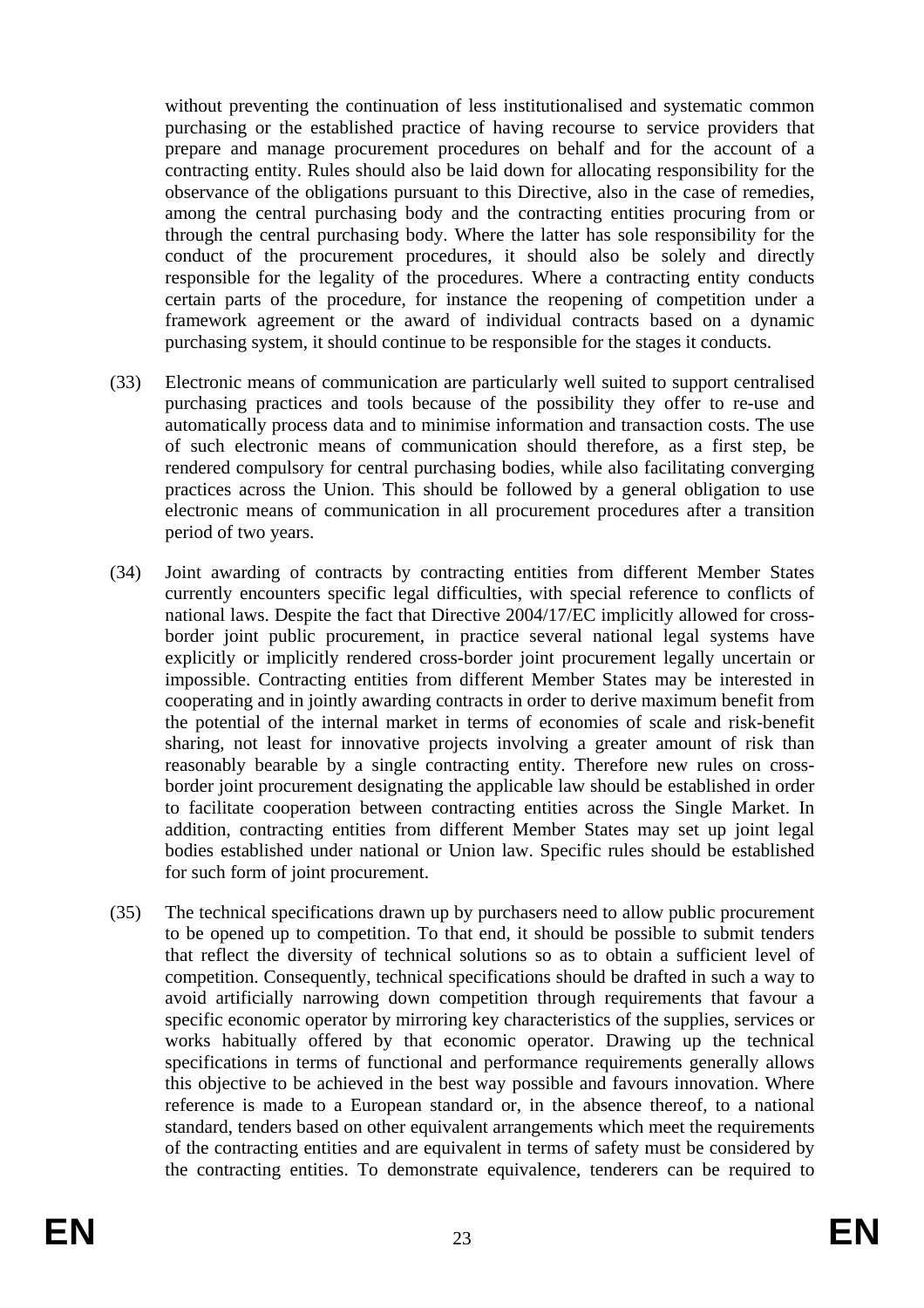without preventing the continuation of less institutionalised and systematic common purchasing or the established practice of having recourse to service providers that prepare and manage procurement procedures on behalf and for the account of a contracting entity. Rules should also be laid down for allocating responsibility for the observance of the obligations pursuant to this Directive, also in the case of remedies, among the central purchasing body and the contracting entities procuring from or through the central purchasing body. Where the latter has sole responsibility for the conduct of the procurement procedures, it should also be solely and directly responsible for the legality of the procedures. Where a contracting entity conducts certain parts of the procedure, for instance the reopening of competition under a framework agreement or the award of individual contracts based on a dynamic purchasing system, it should continue to be responsible for the stages it conducts.

- (33) Electronic means of communication are particularly well suited to support centralised purchasing practices and tools because of the possibility they offer to re-use and automatically process data and to minimise information and transaction costs. The use of such electronic means of communication should therefore, as a first step, be rendered compulsory for central purchasing bodies, while also facilitating converging practices across the Union. This should be followed by a general obligation to use electronic means of communication in all procurement procedures after a transition period of two years.
- (34) Joint awarding of contracts by contracting entities from different Member States currently encounters specific legal difficulties, with special reference to conflicts of national laws. Despite the fact that Directive 2004/17/EC implicitly allowed for crossborder joint public procurement, in practice several national legal systems have explicitly or implicitly rendered cross-border joint procurement legally uncertain or impossible. Contracting entities from different Member States may be interested in cooperating and in jointly awarding contracts in order to derive maximum benefit from the potential of the internal market in terms of economies of scale and risk-benefit sharing, not least for innovative projects involving a greater amount of risk than reasonably bearable by a single contracting entity. Therefore new rules on crossborder joint procurement designating the applicable law should be established in order to facilitate cooperation between contracting entities across the Single Market. In addition, contracting entities from different Member States may set up joint legal bodies established under national or Union law. Specific rules should be established for such form of joint procurement.
- (35) The technical specifications drawn up by purchasers need to allow public procurement to be opened up to competition. To that end, it should be possible to submit tenders that reflect the diversity of technical solutions so as to obtain a sufficient level of competition. Consequently, technical specifications should be drafted in such a way to avoid artificially narrowing down competition through requirements that favour a specific economic operator by mirroring key characteristics of the supplies, services or works habitually offered by that economic operator. Drawing up the technical specifications in terms of functional and performance requirements generally allows this objective to be achieved in the best way possible and favours innovation. Where reference is made to a European standard or, in the absence thereof, to a national standard, tenders based on other equivalent arrangements which meet the requirements of the contracting entities and are equivalent in terms of safety must be considered by the contracting entities. To demonstrate equivalence, tenderers can be required to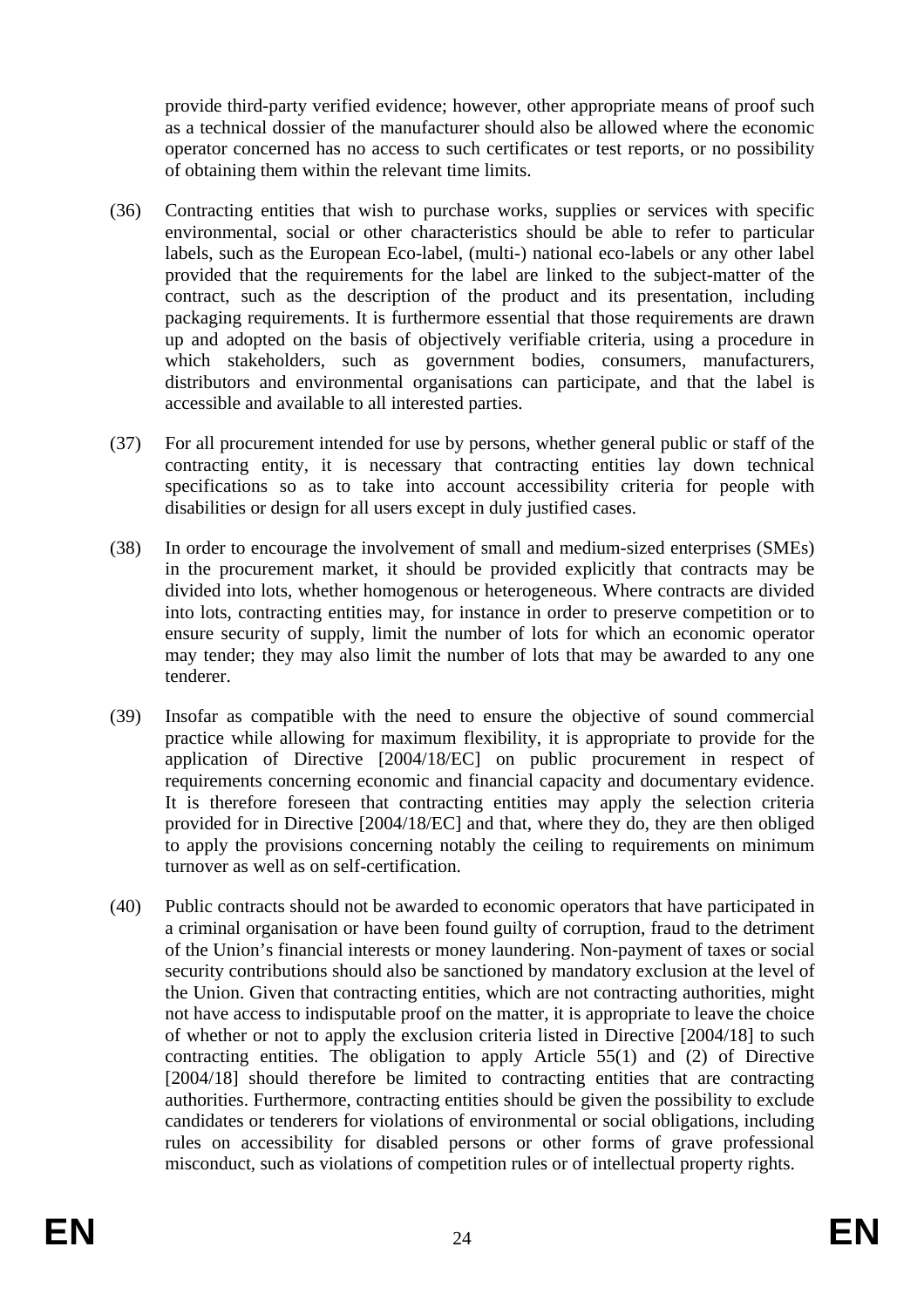provide third-party verified evidence; however, other appropriate means of proof such as a technical dossier of the manufacturer should also be allowed where the economic operator concerned has no access to such certificates or test reports, or no possibility of obtaining them within the relevant time limits.

- (36) Contracting entities that wish to purchase works, supplies or services with specific environmental, social or other characteristics should be able to refer to particular labels, such as the European Eco-label, (multi-) national eco-labels or any other label provided that the requirements for the label are linked to the subject-matter of the contract, such as the description of the product and its presentation, including packaging requirements. It is furthermore essential that those requirements are drawn up and adopted on the basis of objectively verifiable criteria, using a procedure in which stakeholders, such as government bodies, consumers, manufacturers, distributors and environmental organisations can participate, and that the label is accessible and available to all interested parties.
- (37) For all procurement intended for use by persons, whether general public or staff of the contracting entity, it is necessary that contracting entities lay down technical specifications so as to take into account accessibility criteria for people with disabilities or design for all users except in duly justified cases.
- (38) In order to encourage the involvement of small and medium-sized enterprises (SMEs) in the procurement market, it should be provided explicitly that contracts may be divided into lots, whether homogenous or heterogeneous. Where contracts are divided into lots, contracting entities may, for instance in order to preserve competition or to ensure security of supply, limit the number of lots for which an economic operator may tender; they may also limit the number of lots that may be awarded to any one tenderer.
- (39) Insofar as compatible with the need to ensure the objective of sound commercial practice while allowing for maximum flexibility, it is appropriate to provide for the application of Directive [2004/18/EC] on public procurement in respect of requirements concerning economic and financial capacity and documentary evidence. It is therefore foreseen that contracting entities may apply the selection criteria provided for in Directive [2004/18/EC] and that, where they do, they are then obliged to apply the provisions concerning notably the ceiling to requirements on minimum turnover as well as on self-certification.
- (40) Public contracts should not be awarded to economic operators that have participated in a criminal organisation or have been found guilty of corruption, fraud to the detriment of the Union's financial interests or money laundering. Non-payment of taxes or social security contributions should also be sanctioned by mandatory exclusion at the level of the Union. Given that contracting entities, which are not contracting authorities, might not have access to indisputable proof on the matter, it is appropriate to leave the choice of whether or not to apply the exclusion criteria listed in Directive [2004/18] to such contracting entities. The obligation to apply Article 55(1) and (2) of Directive [2004/18] should therefore be limited to contracting entities that are contracting authorities. Furthermore, contracting entities should be given the possibility to exclude candidates or tenderers for violations of environmental or social obligations, including rules on accessibility for disabled persons or other forms of grave professional misconduct, such as violations of competition rules or of intellectual property rights.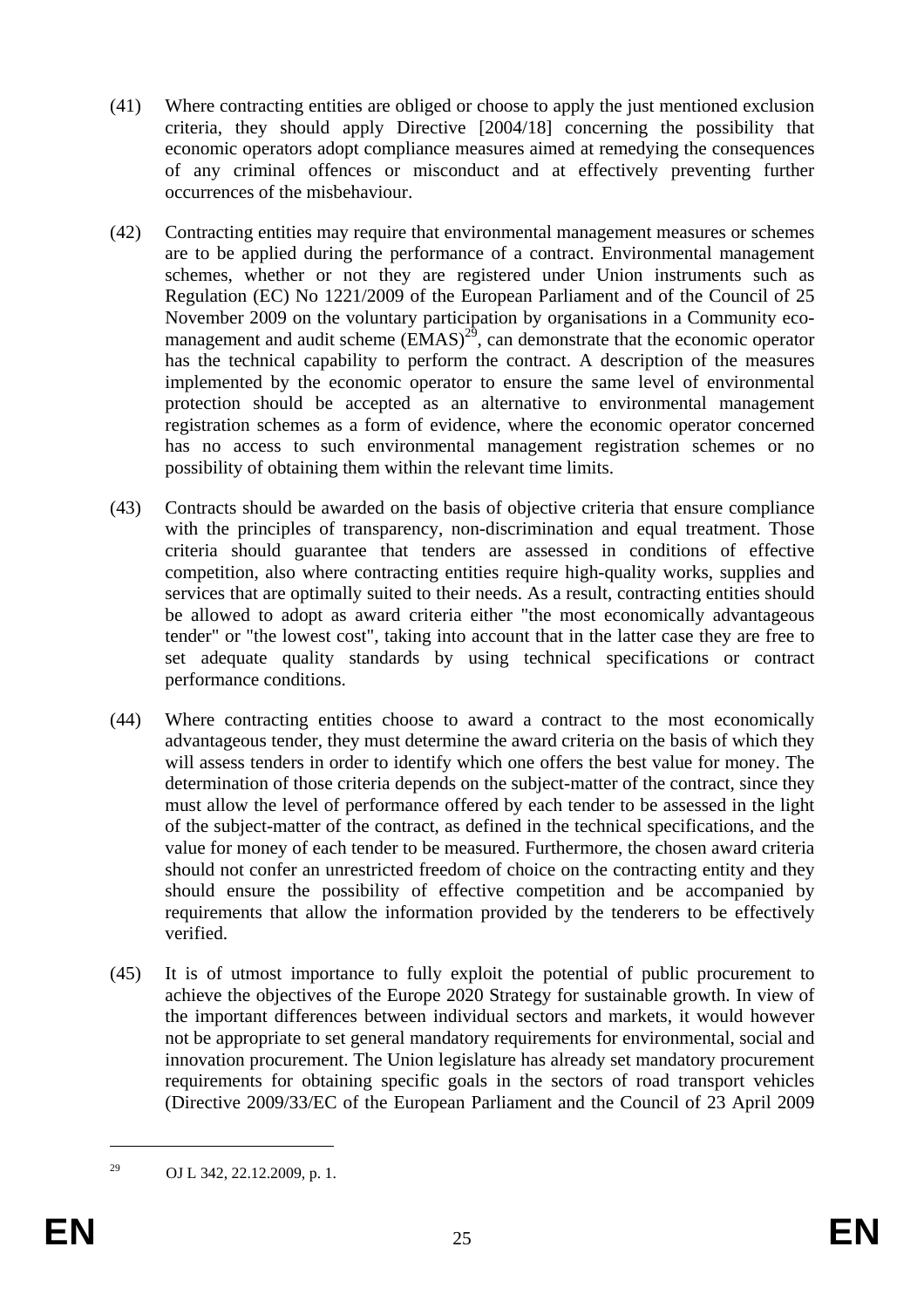- (41) Where contracting entities are obliged or choose to apply the just mentioned exclusion criteria, they should apply Directive [2004/18] concerning the possibility that economic operators adopt compliance measures aimed at remedying the consequences of any criminal offences or misconduct and at effectively preventing further occurrences of the misbehaviour.
- (42) Contracting entities may require that environmental management measures or schemes are to be applied during the performance of a contract. Environmental management schemes, whether or not they are registered under Union instruments such as Regulation (EC) No 1221/2009 of the European Parliament and of the Council of 25 November 2009 on the voluntary participation by organisations in a Community ecomanagement and audit scheme  $(\overrightarrow{EMAS})^{29}$ , can demonstrate that the economic operator has the technical capability to perform the contract. A description of the measures implemented by the economic operator to ensure the same level of environmental protection should be accepted as an alternative to environmental management registration schemes as a form of evidence, where the economic operator concerned has no access to such environmental management registration schemes or no possibility of obtaining them within the relevant time limits.
- (43) Contracts should be awarded on the basis of objective criteria that ensure compliance with the principles of transparency, non-discrimination and equal treatment. Those criteria should guarantee that tenders are assessed in conditions of effective competition, also where contracting entities require high-quality works, supplies and services that are optimally suited to their needs. As a result, contracting entities should be allowed to adopt as award criteria either "the most economically advantageous tender" or "the lowest cost", taking into account that in the latter case they are free to set adequate quality standards by using technical specifications or contract performance conditions.
- (44) Where contracting entities choose to award a contract to the most economically advantageous tender, they must determine the award criteria on the basis of which they will assess tenders in order to identify which one offers the best value for money. The determination of those criteria depends on the subject-matter of the contract, since they must allow the level of performance offered by each tender to be assessed in the light of the subject-matter of the contract, as defined in the technical specifications, and the value for money of each tender to be measured. Furthermore, the chosen award criteria should not confer an unrestricted freedom of choice on the contracting entity and they should ensure the possibility of effective competition and be accompanied by requirements that allow the information provided by the tenderers to be effectively verified.
- (45) It is of utmost importance to fully exploit the potential of public procurement to achieve the objectives of the Europe 2020 Strategy for sustainable growth. In view of the important differences between individual sectors and markets, it would however not be appropriate to set general mandatory requirements for environmental, social and innovation procurement. The Union legislature has already set mandatory procurement requirements for obtaining specific goals in the sectors of road transport vehicles (Directive 2009/33/EC of the European Parliament and the Council of 23 April 2009

<sup>29</sup> OJ L 342, 22.12.2009, p. 1.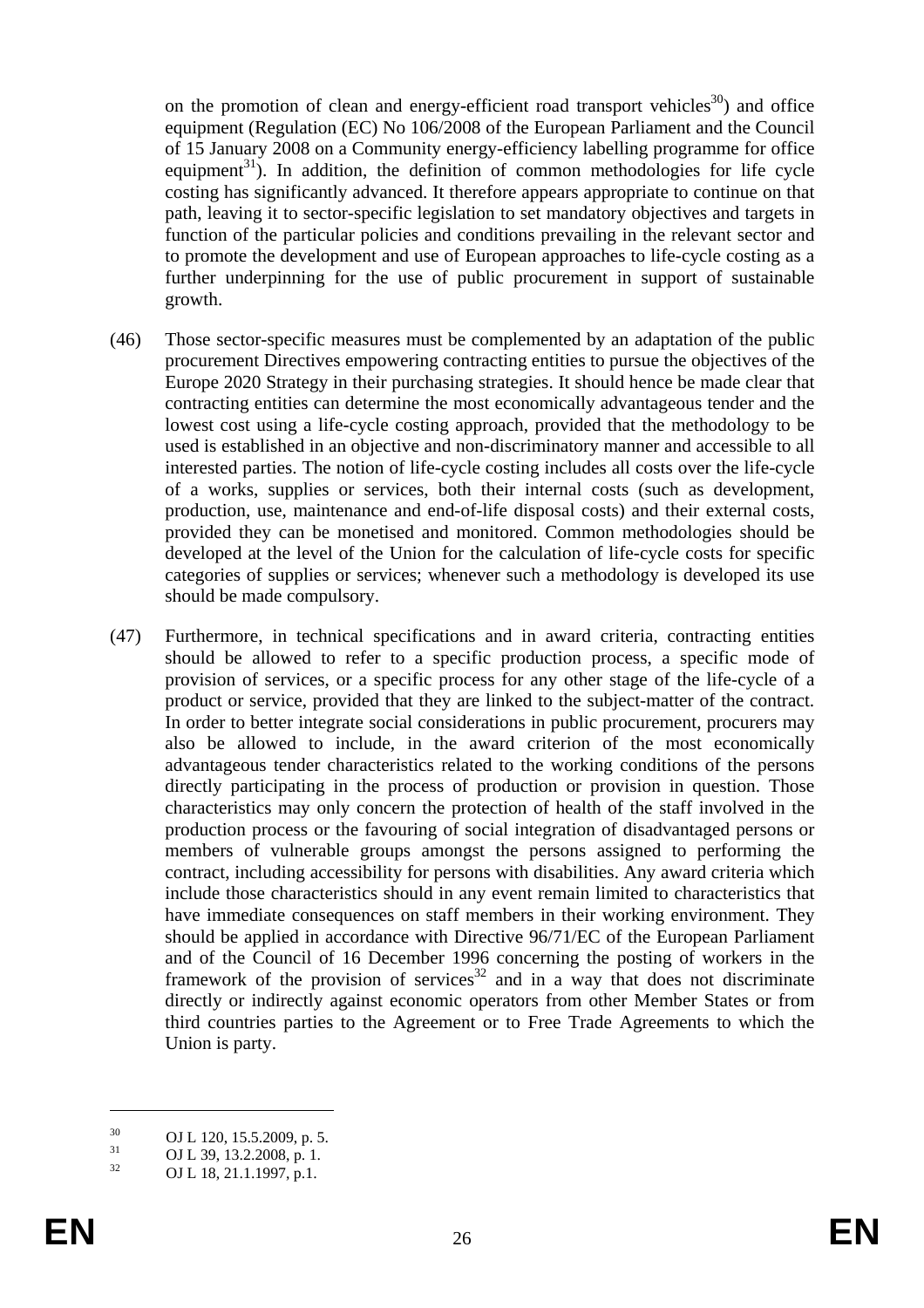on the promotion of clean and energy-efficient road transport vehicles<sup>30</sup>) and office equipment (Regulation (EC) No 106/2008 of the European Parliament and the Council of 15 January 2008 on a Community energy-efficiency labelling programme for office equipment<sup>31</sup>). In addition, the definition of common methodologies for life cycle costing has significantly advanced. It therefore appears appropriate to continue on that path, leaving it to sector-specific legislation to set mandatory objectives and targets in function of the particular policies and conditions prevailing in the relevant sector and to promote the development and use of European approaches to life-cycle costing as a further underpinning for the use of public procurement in support of sustainable growth.

- (46) Those sector-specific measures must be complemented by an adaptation of the public procurement Directives empowering contracting entities to pursue the objectives of the Europe 2020 Strategy in their purchasing strategies. It should hence be made clear that contracting entities can determine the most economically advantageous tender and the lowest cost using a life-cycle costing approach, provided that the methodology to be used is established in an objective and non-discriminatory manner and accessible to all interested parties. The notion of life-cycle costing includes all costs over the life-cycle of a works, supplies or services, both their internal costs (such as development, production, use, maintenance and end-of-life disposal costs) and their external costs, provided they can be monetised and monitored. Common methodologies should be developed at the level of the Union for the calculation of life-cycle costs for specific categories of supplies or services; whenever such a methodology is developed its use should be made compulsory.
- (47) Furthermore, in technical specifications and in award criteria, contracting entities should be allowed to refer to a specific production process, a specific mode of provision of services, or a specific process for any other stage of the life-cycle of a product or service, provided that they are linked to the subject-matter of the contract. In order to better integrate social considerations in public procurement, procurers may also be allowed to include, in the award criterion of the most economically advantageous tender characteristics related to the working conditions of the persons directly participating in the process of production or provision in question. Those characteristics may only concern the protection of health of the staff involved in the production process or the favouring of social integration of disadvantaged persons or members of vulnerable groups amongst the persons assigned to performing the contract, including accessibility for persons with disabilities. Any award criteria which include those characteristics should in any event remain limited to characteristics that have immediate consequences on staff members in their working environment. They should be applied in accordance with Directive 96/71/EC of the European Parliament and of the Council of 16 December 1996 concerning the posting of workers in the framework of the provision of services<sup>32</sup> and in a way that does not discriminate directly or indirectly against economic operators from other Member States or from third countries parties to the Agreement or to Free Trade Agreements to which the Union is party.

 $^{30}$  OJ L 120, 15.5.2009, p. 5.<br> $^{31}$  OJ L 20, 12.2.2009, p. 1.

 $\frac{31}{32}$  OJ L 39, 13.2.2008, p. 1.

OJ L 18, 21.1.1997, p.1.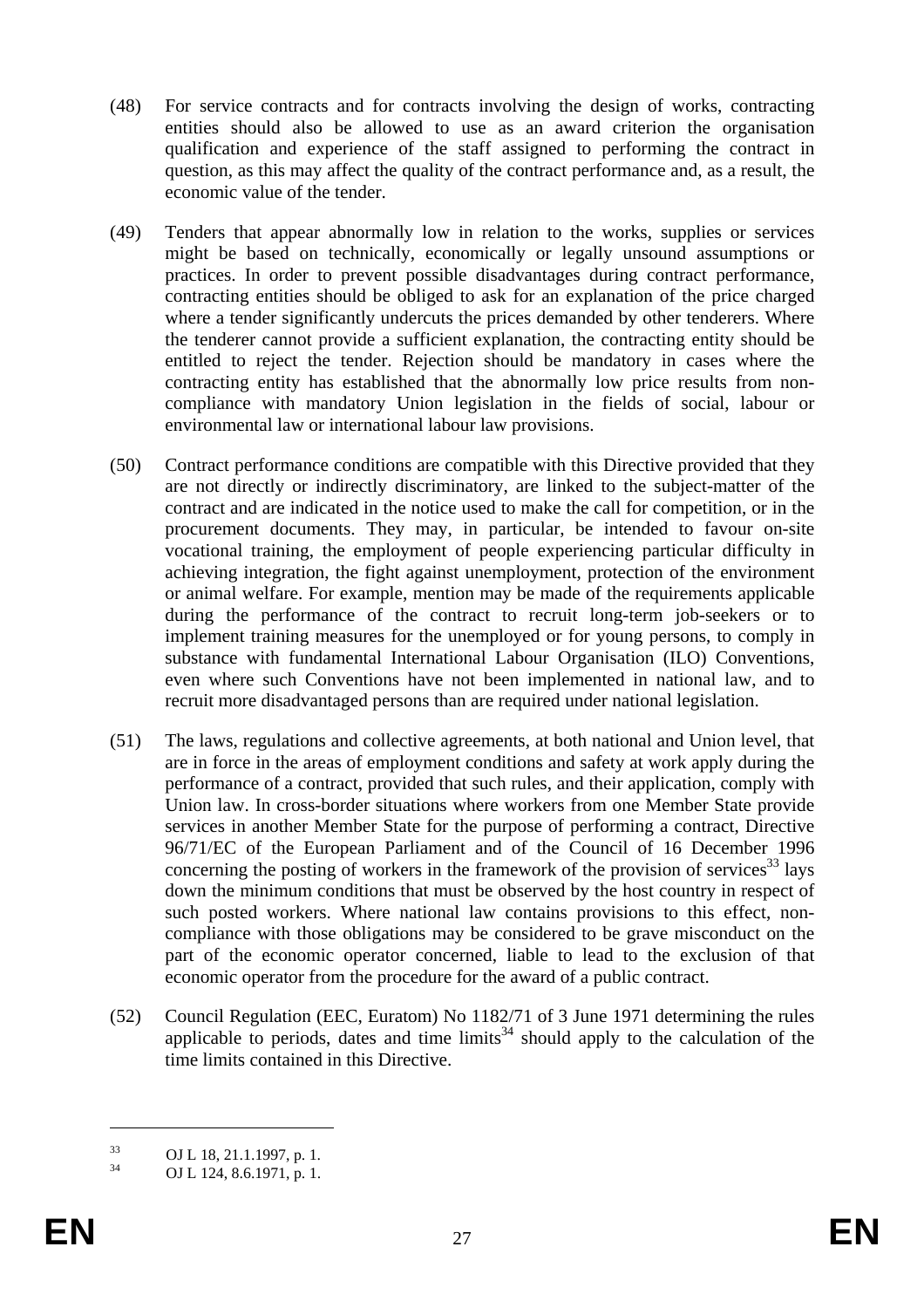- (48) For service contracts and for contracts involving the design of works, contracting entities should also be allowed to use as an award criterion the organisation qualification and experience of the staff assigned to performing the contract in question, as this may affect the quality of the contract performance and, as a result, the economic value of the tender.
- (49) Tenders that appear abnormally low in relation to the works, supplies or services might be based on technically, economically or legally unsound assumptions or practices. In order to prevent possible disadvantages during contract performance, contracting entities should be obliged to ask for an explanation of the price charged where a tender significantly undercuts the prices demanded by other tenderers. Where the tenderer cannot provide a sufficient explanation, the contracting entity should be entitled to reject the tender. Rejection should be mandatory in cases where the contracting entity has established that the abnormally low price results from noncompliance with mandatory Union legislation in the fields of social, labour or environmental law or international labour law provisions.
- (50) Contract performance conditions are compatible with this Directive provided that they are not directly or indirectly discriminatory, are linked to the subject-matter of the contract and are indicated in the notice used to make the call for competition, or in the procurement documents. They may, in particular, be intended to favour on-site vocational training, the employment of people experiencing particular difficulty in achieving integration, the fight against unemployment, protection of the environment or animal welfare. For example, mention may be made of the requirements applicable during the performance of the contract to recruit long-term job-seekers or to implement training measures for the unemployed or for young persons, to comply in substance with fundamental International Labour Organisation (ILO) Conventions, even where such Conventions have not been implemented in national law, and to recruit more disadvantaged persons than are required under national legislation.
- (51) The laws, regulations and collective agreements, at both national and Union level, that are in force in the areas of employment conditions and safety at work apply during the performance of a contract, provided that such rules, and their application, comply with Union law. In cross-border situations where workers from one Member State provide services in another Member State for the purpose of performing a contract, Directive 96/71/EC of the European Parliament and of the Council of 16 December 1996 concerning the posting of workers in the framework of the provision of services<sup>33</sup> lays down the minimum conditions that must be observed by the host country in respect of such posted workers. Where national law contains provisions to this effect, noncompliance with those obligations may be considered to be grave misconduct on the part of the economic operator concerned, liable to lead to the exclusion of that economic operator from the procedure for the award of a public contract.
- (52) Council Regulation (EEC, Euratom) No 1182/71 of 3 June 1971 determining the rules applicable to periods, dates and time limits<sup>34</sup> should apply to the calculation of the time limits contained in this Directive.

<u>.</u>

 $^{33}$  OJ L 18, 21.1.1997, p. 1.<br> $^{34}$  OJ L 124, 8 6 1971, p. 1.

OJ L 124, 8.6.1971, p. 1.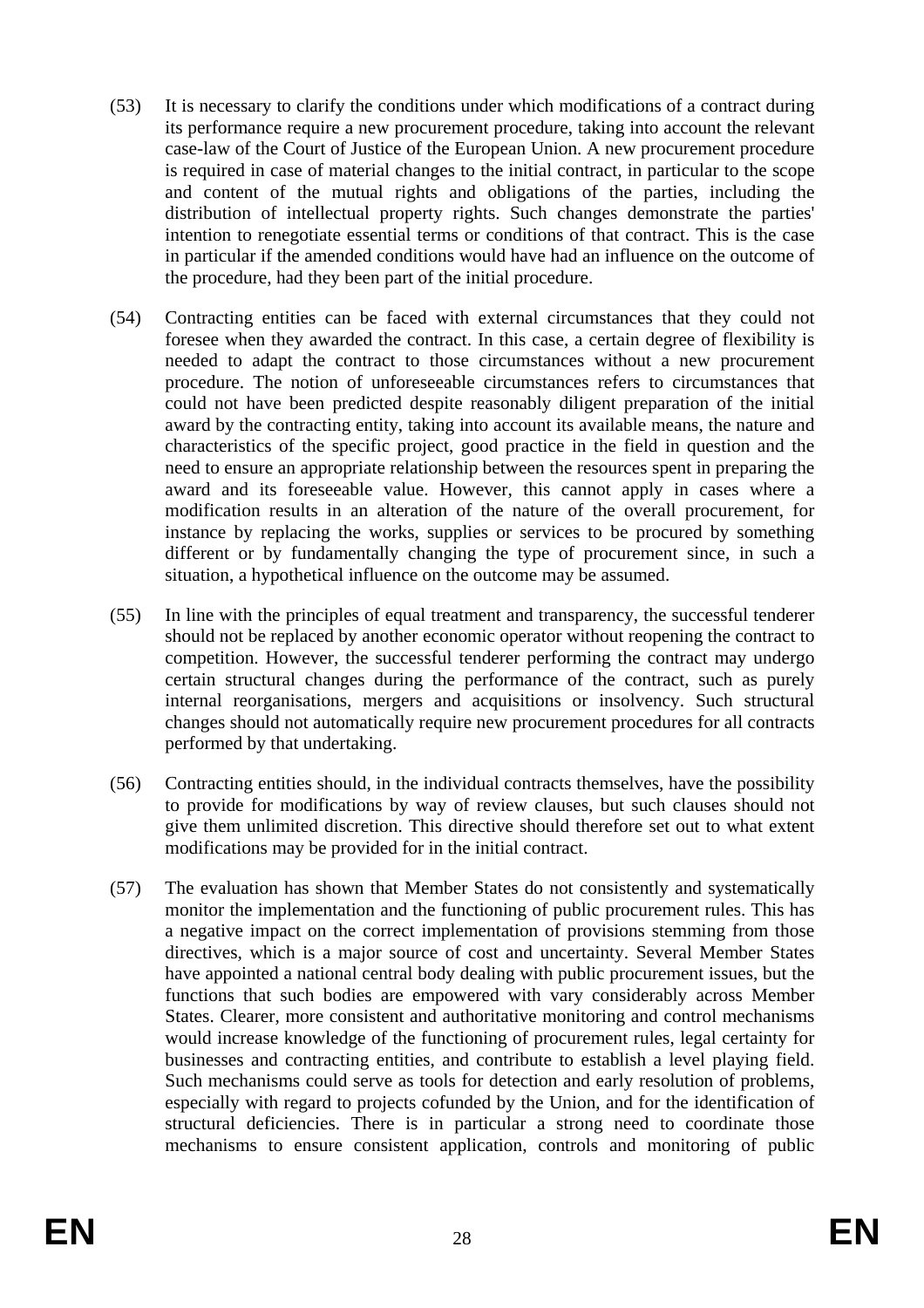- (53) It is necessary to clarify the conditions under which modifications of a contract during its performance require a new procurement procedure, taking into account the relevant case-law of the Court of Justice of the European Union. A new procurement procedure is required in case of material changes to the initial contract, in particular to the scope and content of the mutual rights and obligations of the parties, including the distribution of intellectual property rights. Such changes demonstrate the parties' intention to renegotiate essential terms or conditions of that contract. This is the case in particular if the amended conditions would have had an influence on the outcome of the procedure, had they been part of the initial procedure.
- (54) Contracting entities can be faced with external circumstances that they could not foresee when they awarded the contract. In this case, a certain degree of flexibility is needed to adapt the contract to those circumstances without a new procurement procedure. The notion of unforeseeable circumstances refers to circumstances that could not have been predicted despite reasonably diligent preparation of the initial award by the contracting entity, taking into account its available means, the nature and characteristics of the specific project, good practice in the field in question and the need to ensure an appropriate relationship between the resources spent in preparing the award and its foreseeable value. However, this cannot apply in cases where a modification results in an alteration of the nature of the overall procurement, for instance by replacing the works, supplies or services to be procured by something different or by fundamentally changing the type of procurement since, in such a situation, a hypothetical influence on the outcome may be assumed.
- (55) In line with the principles of equal treatment and transparency, the successful tenderer should not be replaced by another economic operator without reopening the contract to competition. However, the successful tenderer performing the contract may undergo certain structural changes during the performance of the contract, such as purely internal reorganisations, mergers and acquisitions or insolvency. Such structural changes should not automatically require new procurement procedures for all contracts performed by that undertaking.
- (56) Contracting entities should, in the individual contracts themselves, have the possibility to provide for modifications by way of review clauses, but such clauses should not give them unlimited discretion. This directive should therefore set out to what extent modifications may be provided for in the initial contract.
- (57) The evaluation has shown that Member States do not consistently and systematically monitor the implementation and the functioning of public procurement rules. This has a negative impact on the correct implementation of provisions stemming from those directives, which is a major source of cost and uncertainty. Several Member States have appointed a national central body dealing with public procurement issues, but the functions that such bodies are empowered with vary considerably across Member States. Clearer, more consistent and authoritative monitoring and control mechanisms would increase knowledge of the functioning of procurement rules, legal certainty for businesses and contracting entities, and contribute to establish a level playing field. Such mechanisms could serve as tools for detection and early resolution of problems, especially with regard to projects cofunded by the Union, and for the identification of structural deficiencies. There is in particular a strong need to coordinate those mechanisms to ensure consistent application, controls and monitoring of public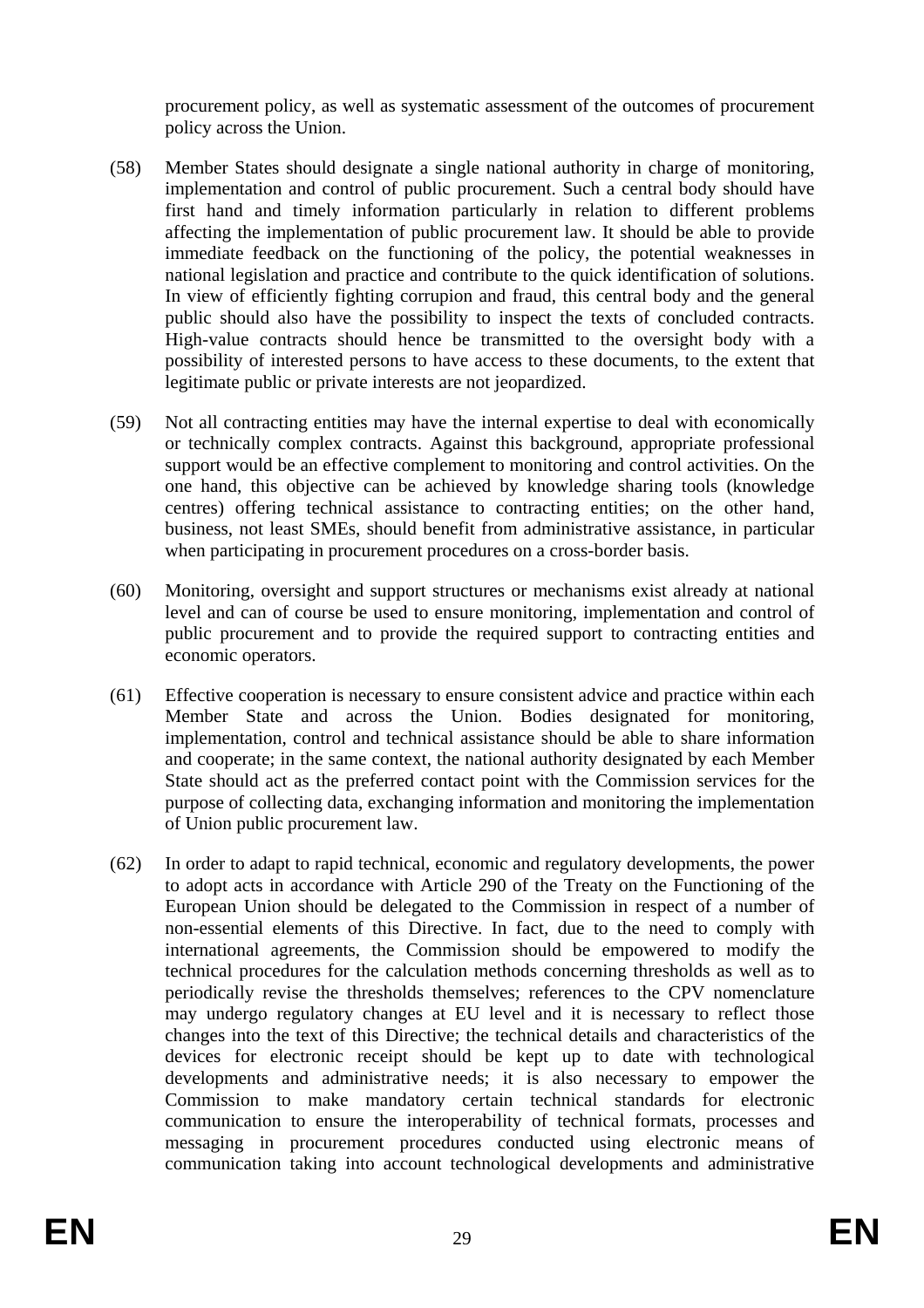procurement policy, as well as systematic assessment of the outcomes of procurement policy across the Union.

- (58) Member States should designate a single national authority in charge of monitoring, implementation and control of public procurement. Such a central body should have first hand and timely information particularly in relation to different problems affecting the implementation of public procurement law. It should be able to provide immediate feedback on the functioning of the policy, the potential weaknesses in national legislation and practice and contribute to the quick identification of solutions. In view of efficiently fighting corrupion and fraud, this central body and the general public should also have the possibility to inspect the texts of concluded contracts. High-value contracts should hence be transmitted to the oversight body with a possibility of interested persons to have access to these documents, to the extent that legitimate public or private interests are not jeopardized.
- (59) Not all contracting entities may have the internal expertise to deal with economically or technically complex contracts. Against this background, appropriate professional support would be an effective complement to monitoring and control activities. On the one hand, this objective can be achieved by knowledge sharing tools (knowledge centres) offering technical assistance to contracting entities; on the other hand, business, not least SMEs, should benefit from administrative assistance, in particular when participating in procurement procedures on a cross-border basis.
- (60) Monitoring, oversight and support structures or mechanisms exist already at national level and can of course be used to ensure monitoring, implementation and control of public procurement and to provide the required support to contracting entities and economic operators.
- (61) Effective cooperation is necessary to ensure consistent advice and practice within each Member State and across the Union. Bodies designated for monitoring, implementation, control and technical assistance should be able to share information and cooperate; in the same context, the national authority designated by each Member State should act as the preferred contact point with the Commission services for the purpose of collecting data, exchanging information and monitoring the implementation of Union public procurement law.
- (62) In order to adapt to rapid technical, economic and regulatory developments, the power to adopt acts in accordance with Article 290 of the Treaty on the Functioning of the European Union should be delegated to the Commission in respect of a number of non-essential elements of this Directive. In fact, due to the need to comply with international agreements, the Commission should be empowered to modify the technical procedures for the calculation methods concerning thresholds as well as to periodically revise the thresholds themselves; references to the CPV nomenclature may undergo regulatory changes at EU level and it is necessary to reflect those changes into the text of this Directive; the technical details and characteristics of the devices for electronic receipt should be kept up to date with technological developments and administrative needs; it is also necessary to empower the Commission to make mandatory certain technical standards for electronic communication to ensure the interoperability of technical formats, processes and messaging in procurement procedures conducted using electronic means of communication taking into account technological developments and administrative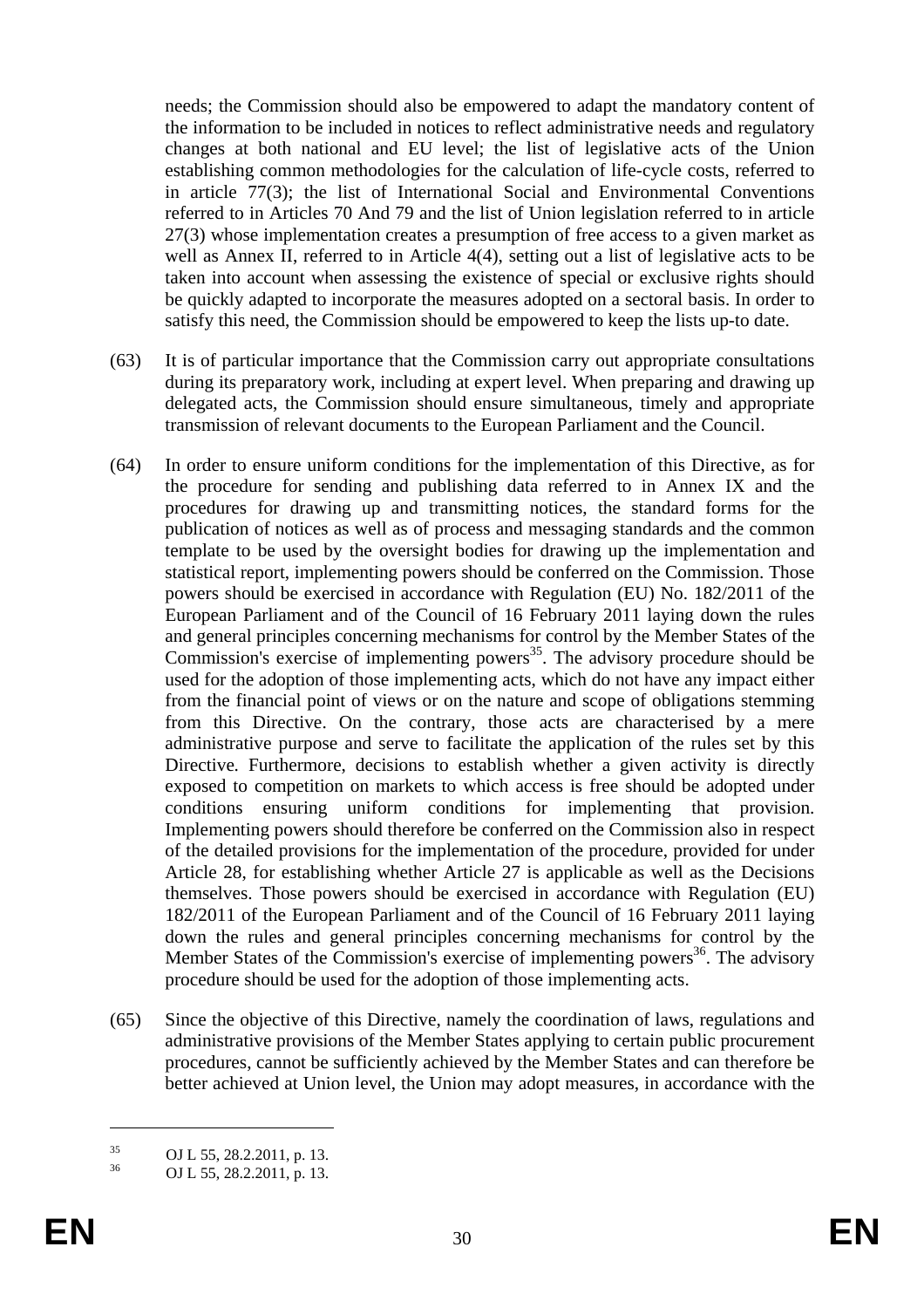needs; the Commission should also be empowered to adapt the mandatory content of the information to be included in notices to reflect administrative needs and regulatory changes at both national and EU level; the list of legislative acts of the Union establishing common methodologies for the calculation of life-cycle costs, referred to in article 77(3); the list of International Social and Environmental Conventions referred to in Articles 70 And 79 and the list of Union legislation referred to in article 27(3) whose implementation creates a presumption of free access to a given market as well as Annex II, referred to in Article 4(4), setting out a list of legislative acts to be taken into account when assessing the existence of special or exclusive rights should be quickly adapted to incorporate the measures adopted on a sectoral basis. In order to satisfy this need, the Commission should be empowered to keep the lists up-to date.

- (63) It is of particular importance that the Commission carry out appropriate consultations during its preparatory work, including at expert level. When preparing and drawing up delegated acts, the Commission should ensure simultaneous, timely and appropriate transmission of relevant documents to the European Parliament and the Council.
- (64) In order to ensure uniform conditions for the implementation of this Directive, as for the procedure for sending and publishing data referred to in Annex IX and the procedures for drawing up and transmitting notices, the standard forms for the publication of notices as well as of process and messaging standards and the common template to be used by the oversight bodies for drawing up the implementation and statistical report, implementing powers should be conferred on the Commission. Those powers should be exercised in accordance with Regulation (EU) No. 182/2011 of the European Parliament and of the Council of 16 February 2011 laying down the rules and general principles concerning mechanisms for control by the Member States of the Commission's exercise of implementing powers<sup>35</sup>. The advisory procedure should be used for the adoption of those implementing acts, which do not have any impact either from the financial point of views or on the nature and scope of obligations stemming from this Directive. On the contrary, those acts are characterised by a mere administrative purpose and serve to facilitate the application of the rules set by this Directive*.* Furthermore, decisions to establish whether a given activity is directly exposed to competition on markets to which access is free should be adopted under conditions ensuring uniform conditions for implementing that provision. Implementing powers should therefore be conferred on the Commission also in respect of the detailed provisions for the implementation of the procedure, provided for under Article 28, for establishing whether Article 27 is applicable as well as the Decisions themselves. Those powers should be exercised in accordance with Regulation (EU) 182/2011 of the European Parliament and of the Council of 16 February 2011 laying down the rules and general principles concerning mechanisms for control by the Member States of the Commission's exercise of implementing powers<sup>36</sup>. The advisory procedure should be used for the adoption of those implementing acts.
- (65) Since the objective of this Directive, namely the coordination of laws, regulations and administrative provisions of the Member States applying to certain public procurement procedures, cannot be sufficiently achieved by the Member States and can therefore be better achieved at Union level, the Union may adopt measures, in accordance with the

<u>.</u>

 $\frac{35}{36}$  OJ L 55, 28.2.2011, p. 13.

OJ L 55, 28.2.2011, p. 13.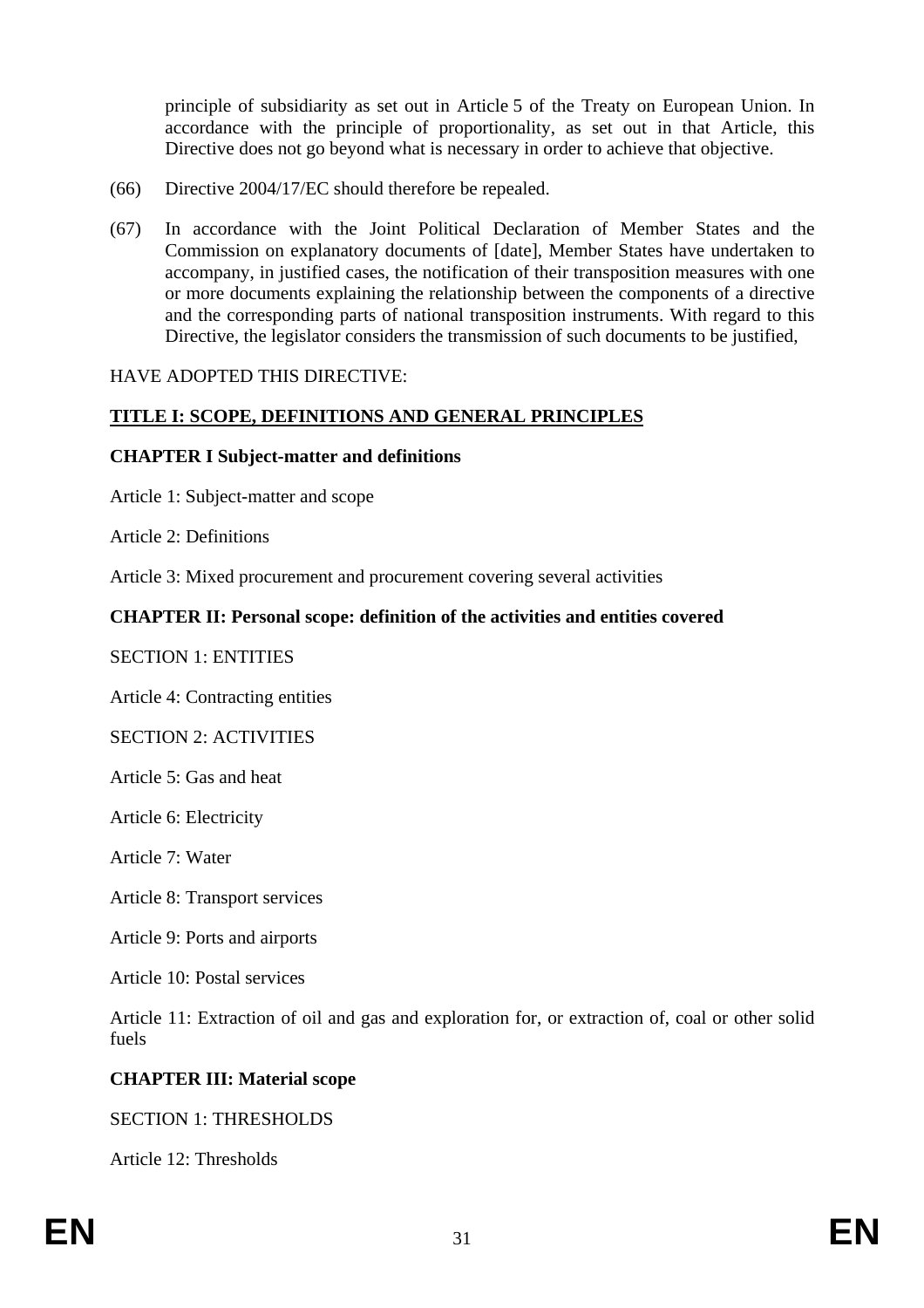principle of subsidiarity as set out in Article 5 of the Treaty on European Union. In accordance with the principle of proportionality, as set out in that Article, this Directive does not go beyond what is necessary in order to achieve that objective.

- (66) Directive 2004/17/EC should therefore be repealed.
- (67) In accordance with the Joint Political Declaration of Member States and the Commission on explanatory documents of [date], Member States have undertaken to accompany, in justified cases, the notification of their transposition measures with one or more documents explaining the relationship between the components of a directive and the corresponding parts of national transposition instruments. With regard to this Directive, the legislator considers the transmission of such documents to be justified,

#### HAVE ADOPTED THIS DIRECTIVE:

#### **TITLE I: SCOPE, DEFINITIONS AND GENERAL PRINCIPLES**

#### **CHAPTER I Subject-matter and definitions**

Article 1: Subject-matter and scope

Article 2: Definitions

Article 3: Mixed procurement and procurement covering several activities

### **CHAPTER II: Personal scope: definition of the activities and entities covered**

#### SECTION 1: ENTITIES

Article 4: Contracting entities

#### SECTION 2: ACTIVITIES

Article 5: Gas and heat

Article 6: Electricity

Article 7: Water

Article 8: Transport services

Article 9: Ports and airports

Article 10: Postal services

Article 11: Extraction of oil and gas and exploration for, or extraction of, coal or other solid fuels

#### **CHAPTER III: Material scope**

#### SECTION 1: THRESHOLDS

Article 12: Thresholds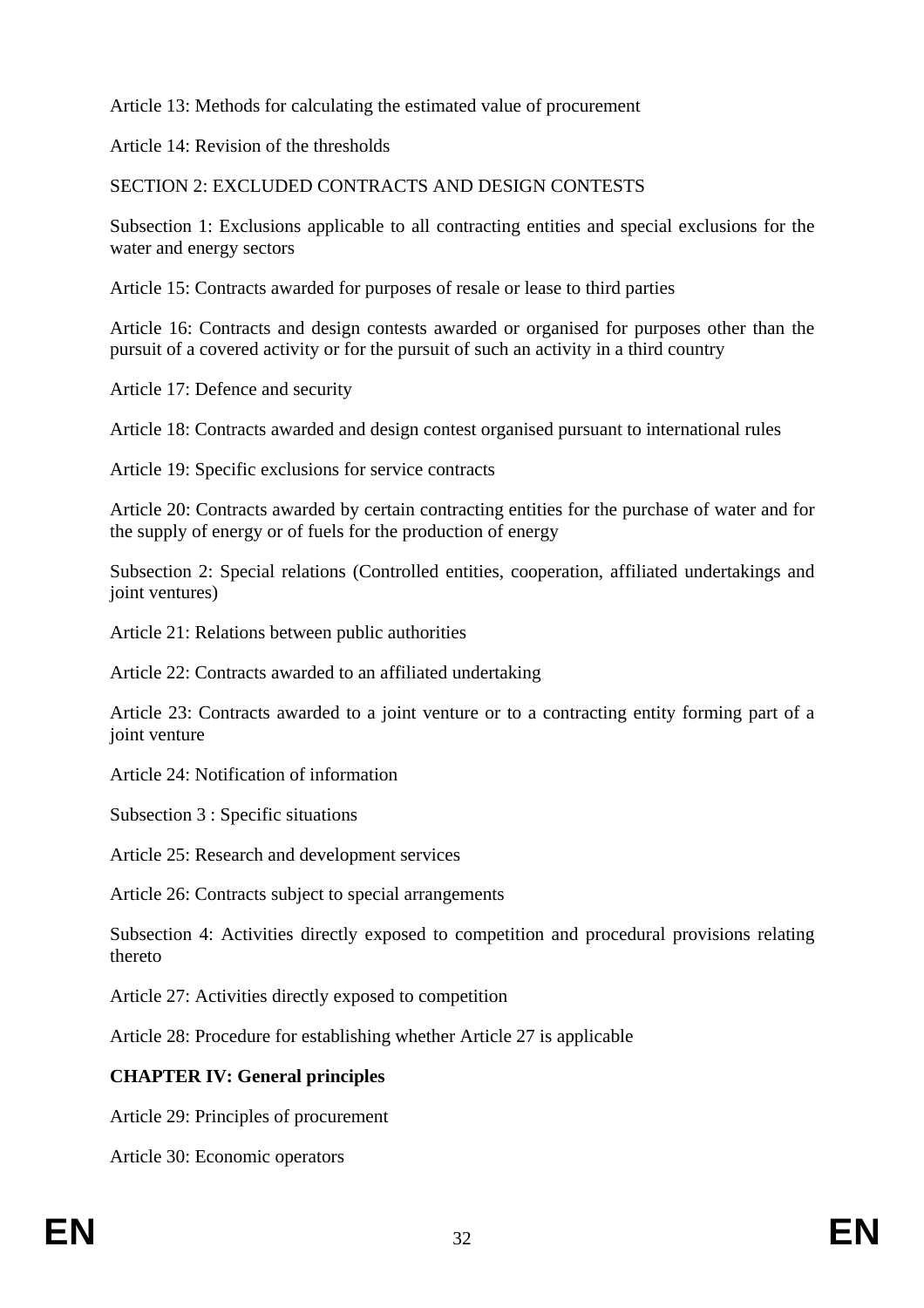Article 13: Methods for calculating the estimated value of procurement

Article 14: Revision of the thresholds

SECTION 2: EXCLUDED CONTRACTS AND DESIGN CONTESTS

Subsection 1: Exclusions applicable to all contracting entities and special exclusions for the water and energy sectors

Article 15: Contracts awarded for purposes of resale or lease to third parties

Article 16: Contracts and design contests awarded or organised for purposes other than the pursuit of a covered activity or for the pursuit of such an activity in a third country

Article 17: Defence and security

Article 18: Contracts awarded and design contest organised pursuant to international rules

Article 19: Specific exclusions for service contracts

Article 20: Contracts awarded by certain contracting entities for the purchase of water and for the supply of energy or of fuels for the production of energy

Subsection 2: Special relations (Controlled entities, cooperation, affiliated undertakings and joint ventures)

Article 21: Relations between public authorities

Article 22: Contracts awarded to an affiliated undertaking

Article 23: Contracts awarded to a joint venture or to a contracting entity forming part of a joint venture

Article 24: Notification of information

Subsection 3 : Specific situations

Article 25: Research and development services

Article 26: Contracts subject to special arrangements

Subsection 4: Activities directly exposed to competition and procedural provisions relating thereto

Article 27: Activities directly exposed to competition

Article 28: Procedure for establishing whether Article 27 is applicable

# **CHAPTER IV: General principles**

Article 29: Principles of procurement

Article 30: Economic operators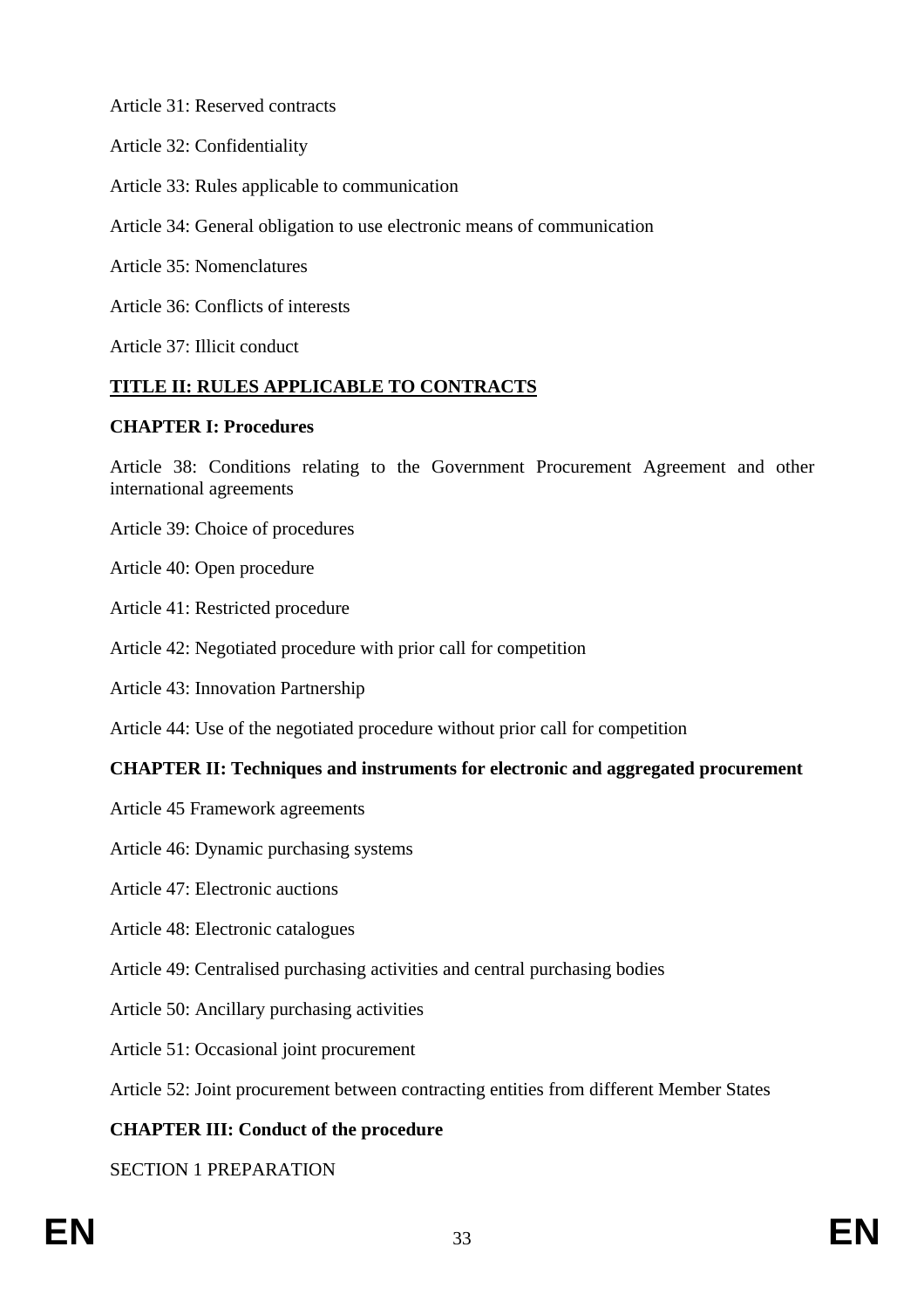Article 31: Reserved contracts

- Article 32: Confidentiality
- Article 33: Rules applicable to communication
- Article 34: General obligation to use electronic means of communication
- Article 35: Nomenclatures
- Article 36: Conflicts of interests

Article 37: Illicit conduct

# **TITLE II: RULES APPLICABLE TO CONTRACTS**

### **CHAPTER I: Procedures**

Article 38: Conditions relating to the Government Procurement Agreement and other international agreements

- Article 39: Choice of procedures
- Article 40: Open procedure
- Article 41: Restricted procedure
- Article 42: Negotiated procedure with prior call for competition
- Article 43: Innovation Partnership
- Article 44: Use of the negotiated procedure without prior call for competition

# **CHAPTER II: Techniques and instruments for electronic and aggregated procurement**

- Article 45 Framework agreements
- Article 46: Dynamic purchasing systems
- Article 47: Electronic auctions
- Article 48: Electronic catalogues
- Article 49: Centralised purchasing activities and central purchasing bodies
- Article 50: Ancillary purchasing activities
- Article 51: Occasional joint procurement

Article 52: Joint procurement between contracting entities from different Member States

# **CHAPTER III: Conduct of the procedure**

SECTION 1 PREPARATION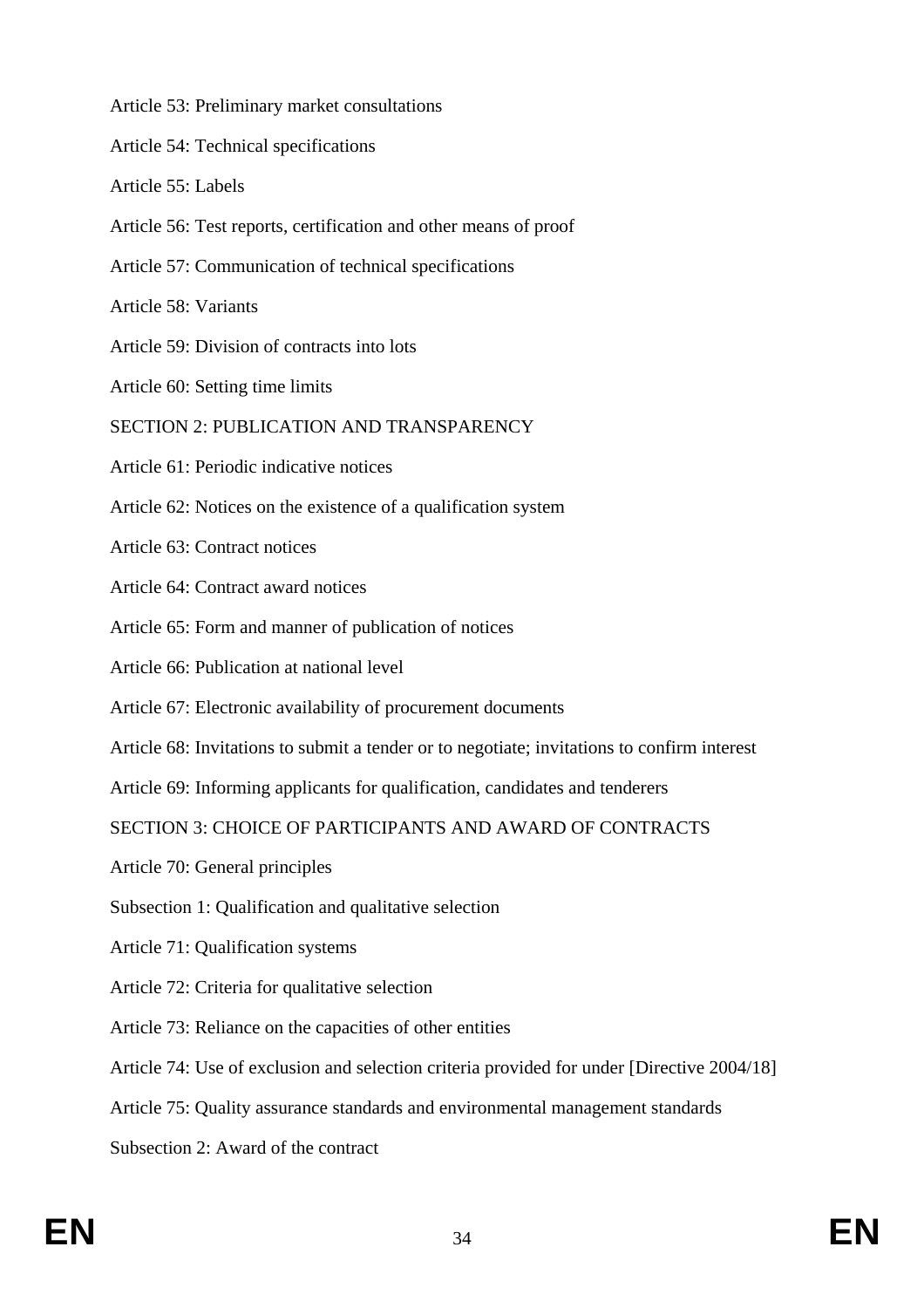- Article 53: Preliminary market consultations
- Article 54: Technical specifications
- Article 55: Labels
- Article 56: Test reports, certification and other means of proof
- Article 57: Communication of technical specifications
- Article 58: Variants
- Article 59: Division of contracts into lots
- Article 60: Setting time limits
- SECTION 2: PUBLICATION AND TRANSPARENCY
- Article 61: Periodic indicative notices
- Article 62: Notices on the existence of a qualification system
- Article 63: Contract notices
- Article 64: Contract award notices
- Article 65: Form and manner of publication of notices
- Article 66: Publication at national level
- Article 67: Electronic availability of procurement documents
- Article 68: Invitations to submit a tender or to negotiate; invitations to confirm interest
- Article 69: Informing applicants for qualification, candidates and tenderers

SECTION 3: CHOICE OF PARTICIPANTS AND AWARD OF CONTRACTS

- Article 70: General principles
- Subsection 1: Qualification and qualitative selection
- Article 71: Qualification systems
- Article 72: Criteria for qualitative selection
- Article 73: Reliance on the capacities of other entities
- Article 74: Use of exclusion and selection criteria provided for under [Directive 2004/18]
- Article 75: Quality assurance standards and environmental management standards
- Subsection 2: Award of the contract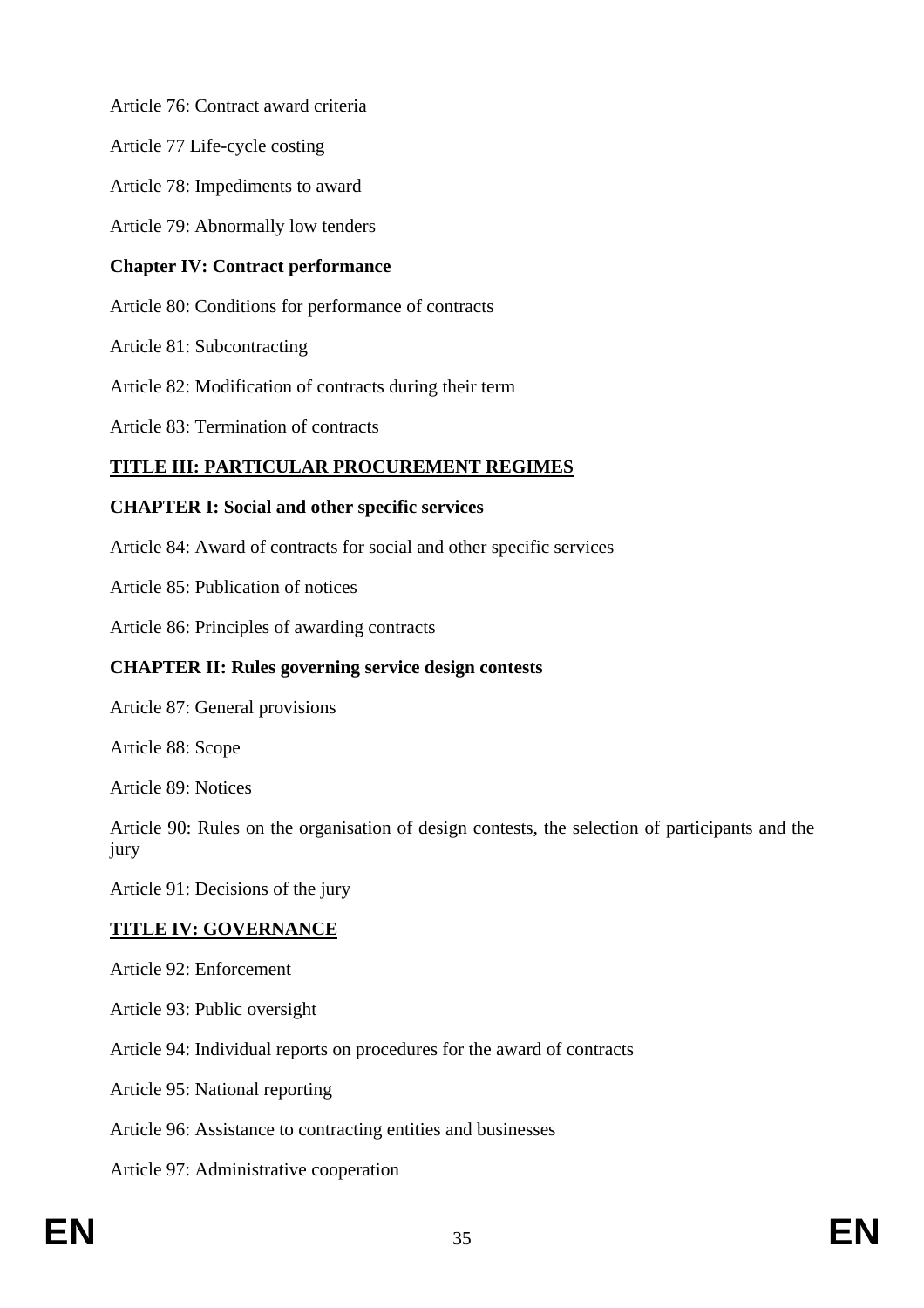Article 76: Contract award criteria

Article 77 Life-cycle costing

Article 78: Impediments to award

Article 79: Abnormally low tenders

# **Chapter IV: Contract performance**

Article 80: Conditions for performance of contracts

Article 81: Subcontracting

Article 82: Modification of contracts during their term

Article 83: Termination of contracts

# **TITLE III: PARTICULAR PROCUREMENT REGIMES**

# **CHAPTER I: Social and other specific services**

Article 84: Award of contracts for social and other specific services

Article 85: Publication of notices

Article 86: Principles of awarding contracts

# **CHAPTER II: Rules governing service design contests**

Article 87: General provisions

Article 88: Scope

Article 89: Notices

Article 90: Rules on the organisation of design contests, the selection of participants and the jury

Article 91: Decisions of the jury

# **TITLE IV: GOVERNANCE**

Article 92: Enforcement

Article 93: Public oversight

Article 94: Individual reports on procedures for the award of contracts

Article 95: National reporting

Article 96: Assistance to contracting entities and businesses

Article 97: Administrative cooperation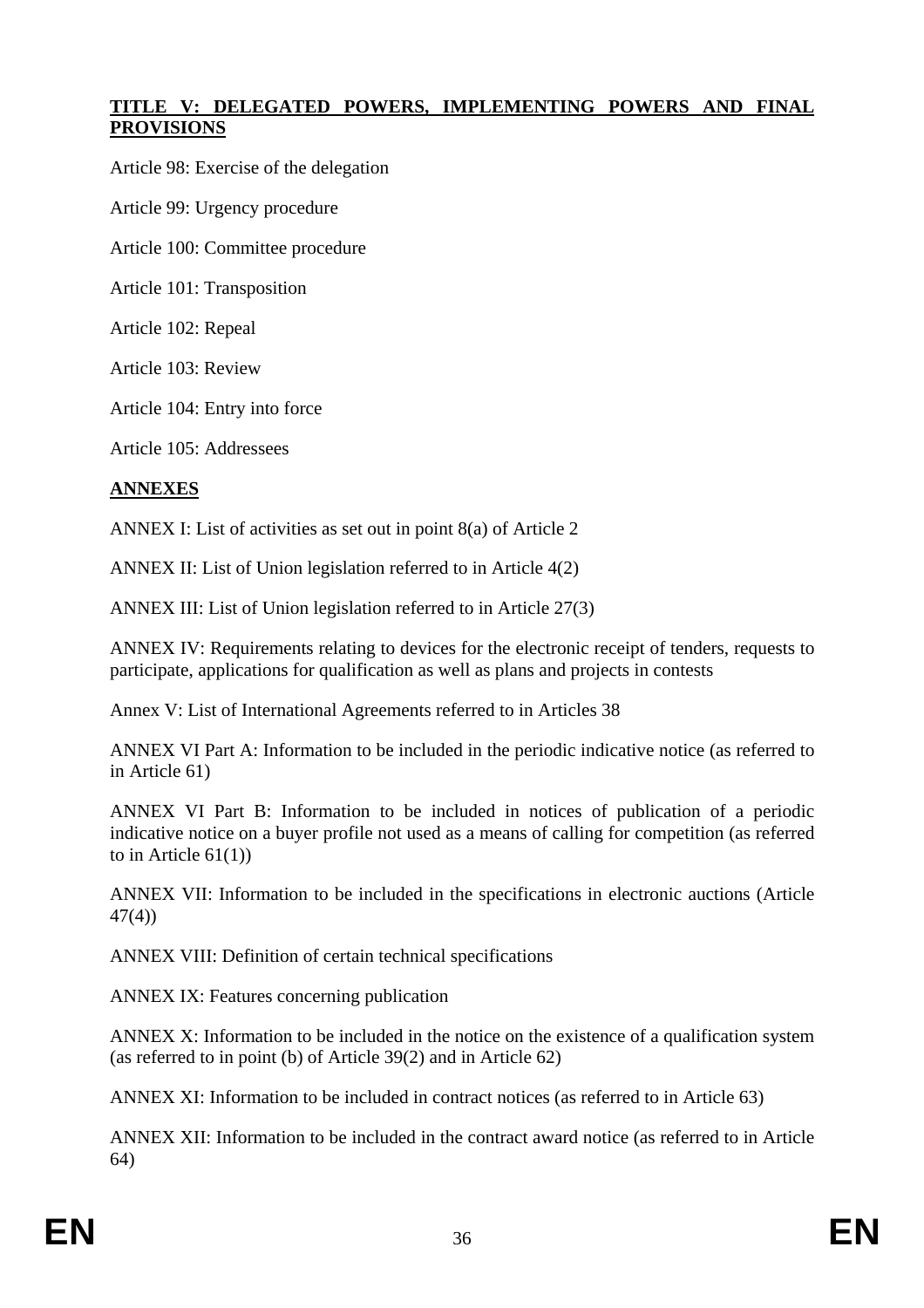### **TITLE V: DELEGATED POWERS, IMPLEMENTING POWERS AND FINAL PROVISIONS**

Article 98: Exercise of the delegation

Article 99: Urgency procedure

Article 100: Committee procedure

Article 101: Transposition

Article 102: Repeal

Article 103: Review

Article 104: Entry into force

Article 105: Addressees

#### **ANNEXES**

ANNEX I: List of activities as set out in point 8(a) of Article 2

ANNEX II: List of Union legislation referred to in Article 4(2)

ANNEX III: List of Union legislation referred to in Article 27(3)

ANNEX IV: Requirements relating to devices for the electronic receipt of tenders, requests to participate, applications for qualification as well as plans and projects in contests

Annex V: List of International Agreements referred to in Articles 38

ANNEX VI Part A: Information to be included in the periodic indicative notice (as referred to in Article 61)

ANNEX VI Part B: Information to be included in notices of publication of a periodic indicative notice on a buyer profile not used as a means of calling for competition (as referred to in Article  $61(1)$ )

ANNEX VII: Information to be included in the specifications in electronic auctions (Article 47(4))

ANNEX VIII: Definition of certain technical specifications

ANNEX IX: Features concerning publication

ANNEX X: Information to be included in the notice on the existence of a qualification system (as referred to in point (b) of Article 39(2) and in Article 62)

ANNEX XI: Information to be included in contract notices (as referred to in Article 63)

ANNEX XII: Information to be included in the contract award notice (as referred to in Article 64)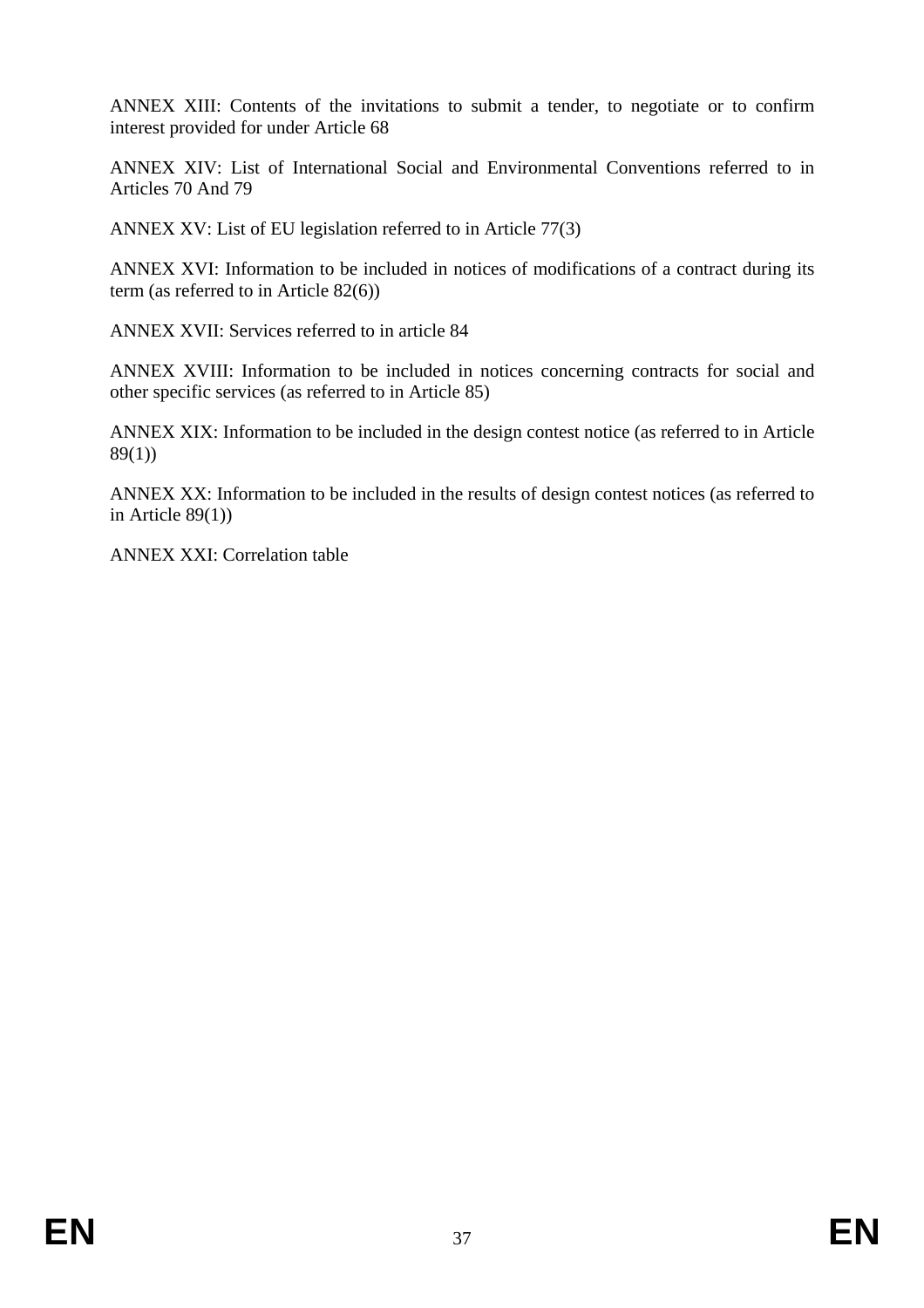ANNEX XIII: Contents of the invitations to submit a tender, to negotiate or to confirm interest provided for under Article 68

ANNEX XIV: List of International Social and Environmental Conventions referred to in Articles 70 And 79

ANNEX XV: List of EU legislation referred to in Article 77(3)

ANNEX XVI: Information to be included in notices of modifications of a contract during its term (as referred to in Article 82(6))

ANNEX XVII: Services referred to in article 84

ANNEX XVIII: Information to be included in notices concerning contracts for social and other specific services (as referred to in Article 85)

ANNEX XIX: Information to be included in the design contest notice (as referred to in Article 89(1))

ANNEX XX: Information to be included in the results of design contest notices (as referred to in Article  $89(1)$ )

ANNEX XXI: Correlation table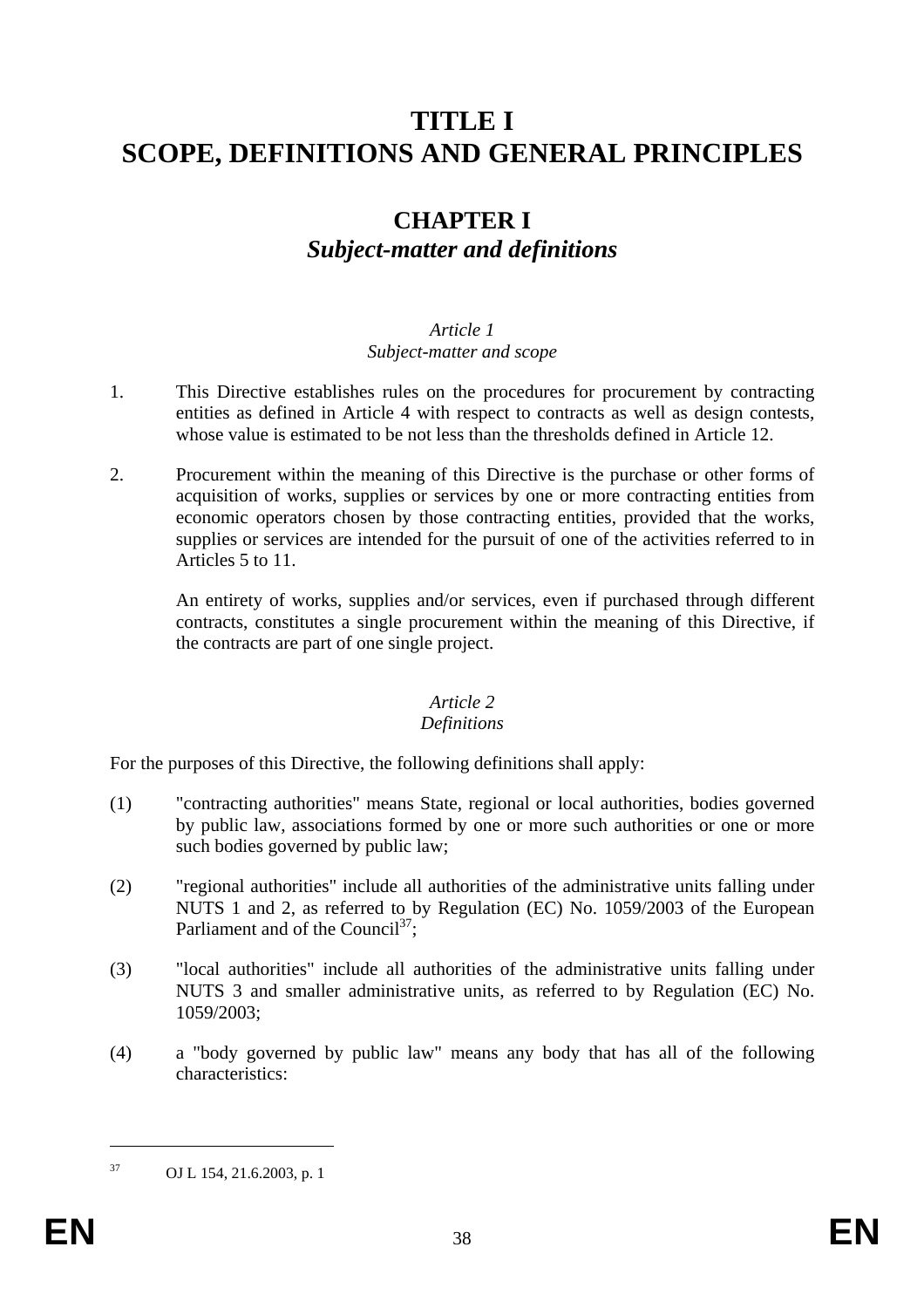# **TITLE I SCOPE, DEFINITIONS AND GENERAL PRINCIPLES**

## **CHAPTER I**  *Subject-matter and definitions*

#### *Article 1 Subject-matter and scope*

- 1. This Directive establishes rules on the procedures for procurement by contracting entities as defined in Article 4 with respect to contracts as well as design contests, whose value is estimated to be not less than the thresholds defined in Article 12.
- 2. Procurement within the meaning of this Directive is the purchase or other forms of acquisition of works, supplies or services by one or more contracting entities from economic operators chosen by those contracting entities, provided that the works, supplies or services are intended for the pursuit of one of the activities referred to in Articles 5 to 11.

An entirety of works, supplies and/or services, even if purchased through different contracts, constitutes a single procurement within the meaning of this Directive, if the contracts are part of one single project.

#### *Article 2*

#### *Definitions*

For the purposes of this Directive, the following definitions shall apply:

- (1) "contracting authorities" means State, regional or local authorities, bodies governed by public law, associations formed by one or more such authorities or one or more such bodies governed by public law;
- (2) "regional authorities" include all authorities of the administrative units falling under NUTS 1 and 2, as referred to by Regulation (EC) No. 1059/2003 of the European Parliament and of the Council<sup>37</sup>:
- (3) "local authorities" include all authorities of the administrative units falling under NUTS 3 and smaller administrative units, as referred to by Regulation (EC) No. 1059/2003;
- (4) a "body governed by public law" means any body that has all of the following characteristics:

1

<sup>37</sup> OJ L 154, 21.6.2003, p. 1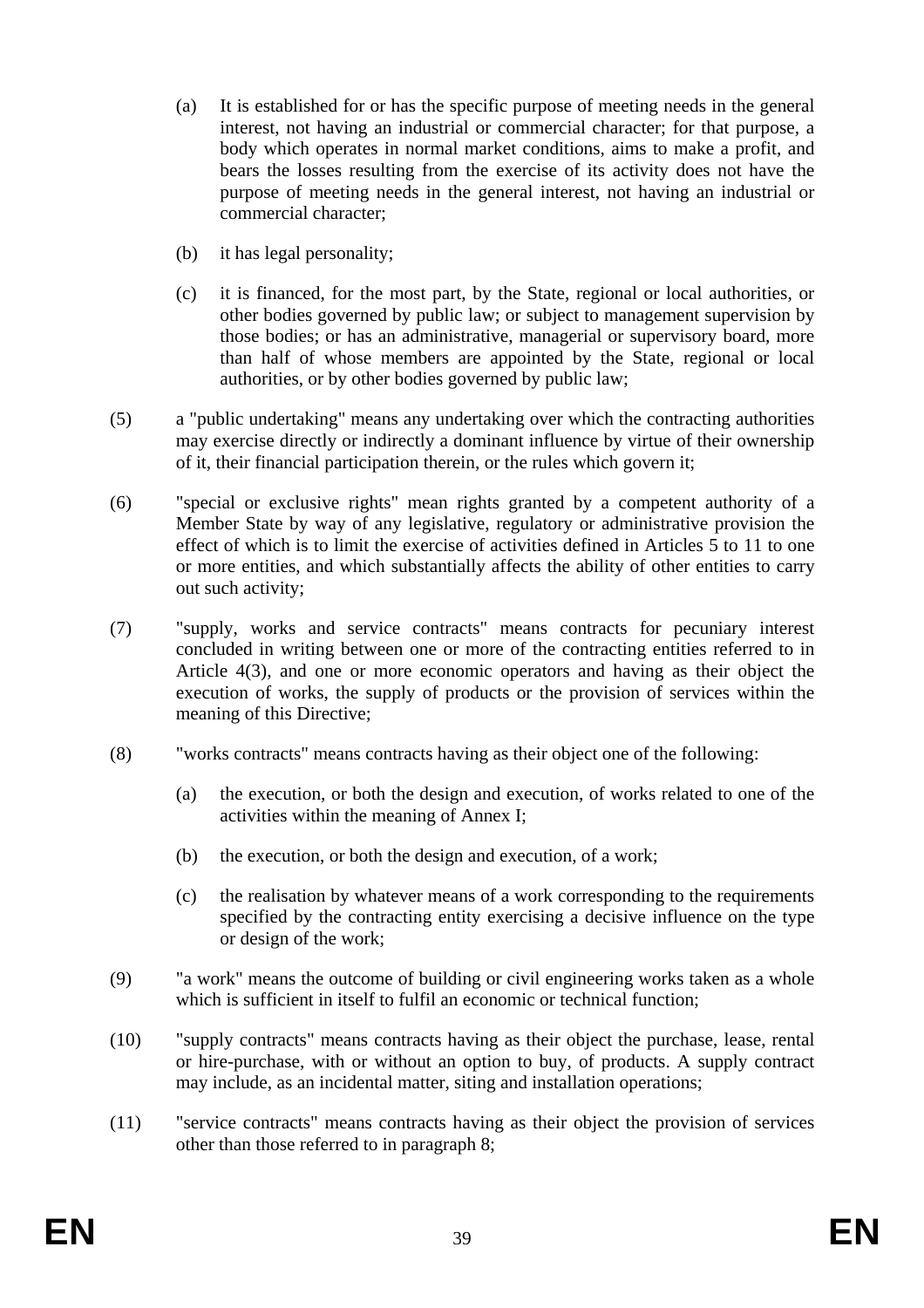- (a) It is established for or has the specific purpose of meeting needs in the general interest, not having an industrial or commercial character; for that purpose, a body which operates in normal market conditions, aims to make a profit, and bears the losses resulting from the exercise of its activity does not have the purpose of meeting needs in the general interest, not having an industrial or commercial character;
- (b) it has legal personality;
- (c) it is financed, for the most part, by the State, regional or local authorities, or other bodies governed by public law; or subject to management supervision by those bodies; or has an administrative, managerial or supervisory board, more than half of whose members are appointed by the State, regional or local authorities, or by other bodies governed by public law;
- (5) a "public undertaking" means any undertaking over which the contracting authorities may exercise directly or indirectly a dominant influence by virtue of their ownership of it, their financial participation therein, or the rules which govern it;
- (6) "special or exclusive rights" mean rights granted by a competent authority of a Member State by way of any legislative, regulatory or administrative provision the effect of which is to limit the exercise of activities defined in Articles 5 to 11 to one or more entities, and which substantially affects the ability of other entities to carry out such activity;
- (7) "supply, works and service contracts" means contracts for pecuniary interest concluded in writing between one or more of the contracting entities referred to in Article 4(3), and one or more economic operators and having as their object the execution of works, the supply of products or the provision of services within the meaning of this Directive;
- (8) "works contracts" means contracts having as their object one of the following:
	- (a) the execution, or both the design and execution, of works related to one of the activities within the meaning of Annex I;
	- (b) the execution, or both the design and execution, of a work;
	- (c) the realisation by whatever means of a work corresponding to the requirements specified by the contracting entity exercising a decisive influence on the type or design of the work;
- (9) "a work" means the outcome of building or civil engineering works taken as a whole which is sufficient in itself to fulfil an economic or technical function:
- (10) "supply contracts" means contracts having as their object the purchase, lease, rental or hire-purchase, with or without an option to buy, of products. A supply contract may include, as an incidental matter, siting and installation operations;
- (11) "service contracts" means contracts having as their object the provision of services other than those referred to in paragraph 8;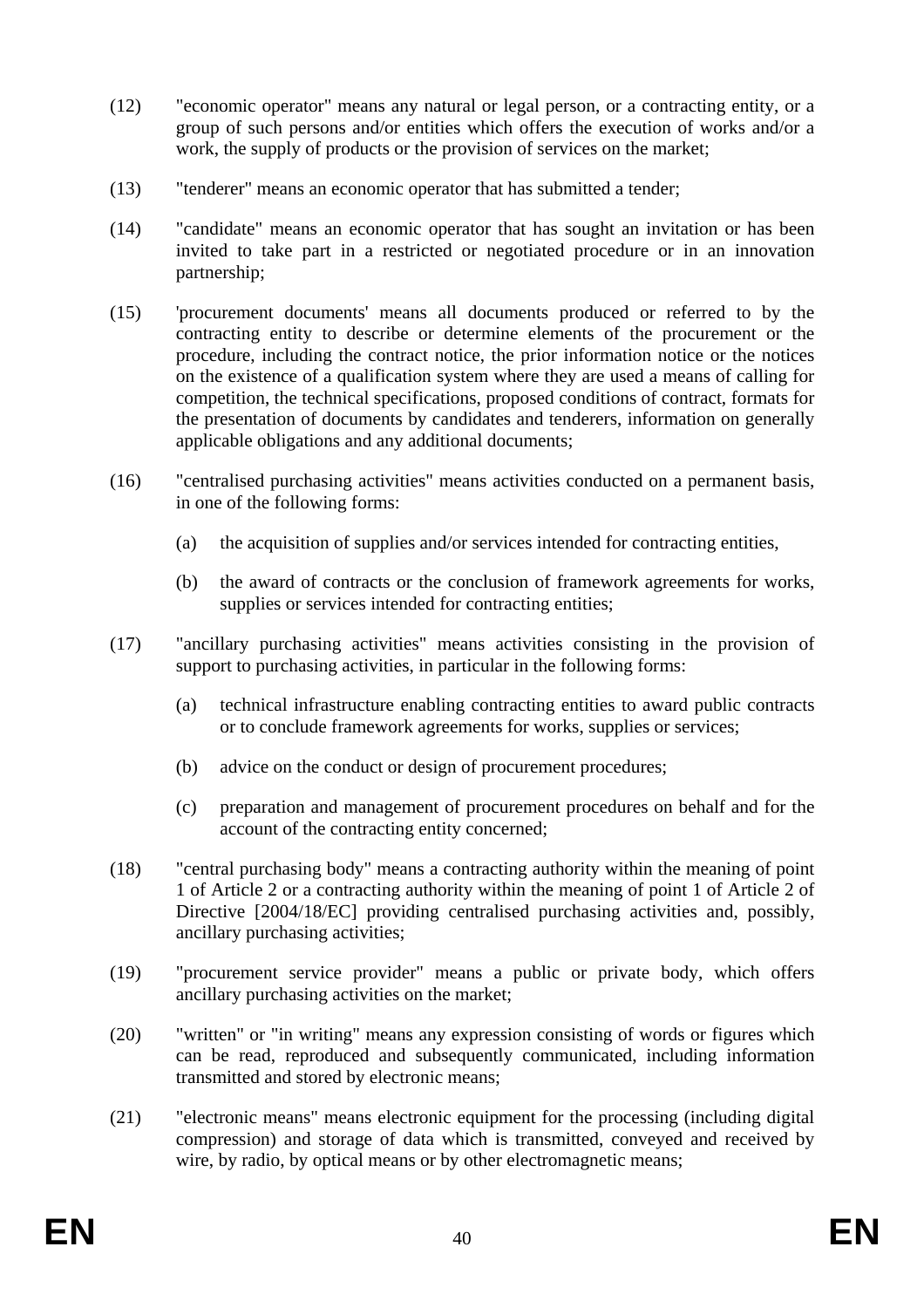- (12) "economic operator" means any natural or legal person, or a contracting entity, or a group of such persons and/or entities which offers the execution of works and/or a work, the supply of products or the provision of services on the market;
- (13) "tenderer" means an economic operator that has submitted a tender;
- (14) "candidate" means an economic operator that has sought an invitation or has been invited to take part in a restricted or negotiated procedure or in an innovation partnership;
- (15) 'procurement documents' means all documents produced or referred to by the contracting entity to describe or determine elements of the procurement or the procedure, including the contract notice, the prior information notice or the notices on the existence of a qualification system where they are used a means of calling for competition, the technical specifications, proposed conditions of contract, formats for the presentation of documents by candidates and tenderers, information on generally applicable obligations and any additional documents;
- (16) "centralised purchasing activities" means activities conducted on a permanent basis, in one of the following forms:
	- (a) the acquisition of supplies and/or services intended for contracting entities,
	- (b) the award of contracts or the conclusion of framework agreements for works, supplies or services intended for contracting entities;
- (17) "ancillary purchasing activities" means activities consisting in the provision of support to purchasing activities, in particular in the following forms:
	- (a) technical infrastructure enabling contracting entities to award public contracts or to conclude framework agreements for works, supplies or services;
	- (b) advice on the conduct or design of procurement procedures;
	- (c) preparation and management of procurement procedures on behalf and for the account of the contracting entity concerned;
- (18) "central purchasing body" means a contracting authority within the meaning of point 1 of Article 2 or a contracting authority within the meaning of point 1 of Article 2 of Directive [2004/18/EC] providing centralised purchasing activities and, possibly, ancillary purchasing activities;
- (19) "procurement service provider" means a public or private body, which offers ancillary purchasing activities on the market;
- (20) "written" or "in writing" means any expression consisting of words or figures which can be read, reproduced and subsequently communicated, including information transmitted and stored by electronic means;
- (21) "electronic means" means electronic equipment for the processing (including digital compression) and storage of data which is transmitted, conveyed and received by wire, by radio, by optical means or by other electromagnetic means;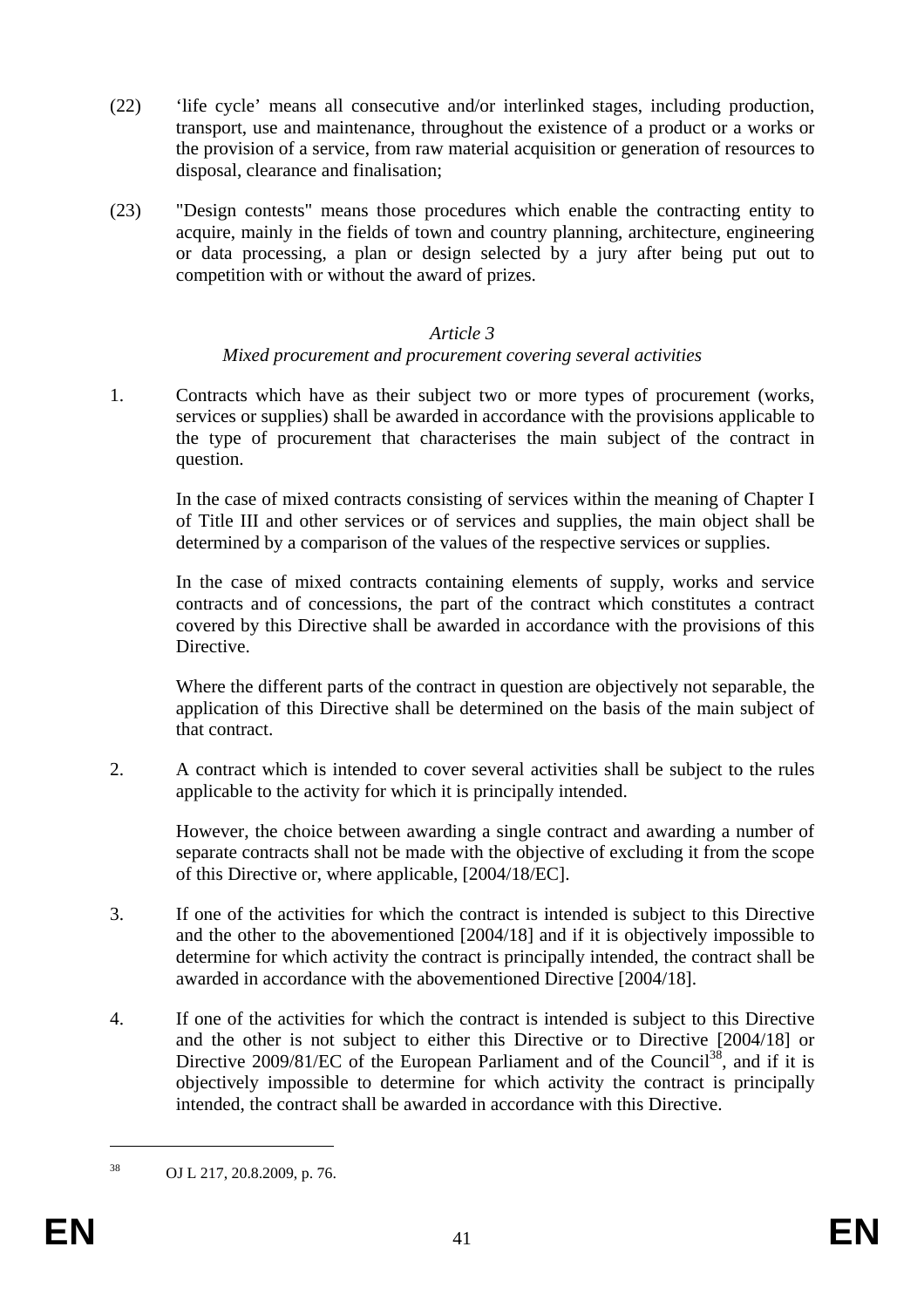- (22) 'life cycle' means all consecutive and/or interlinked stages, including production, transport, use and maintenance, throughout the existence of a product or a works or the provision of a service, from raw material acquisition or generation of resources to disposal, clearance and finalisation;
- (23) "Design contests" means those procedures which enable the contracting entity to acquire, mainly in the fields of town and country planning, architecture, engineering or data processing, a plan or design selected by a jury after being put out to competition with or without the award of prizes.

#### *Article 3*

#### *Mixed procurement and procurement covering several activities*

1. Contracts which have as their subject two or more types of procurement (works, services or supplies) shall be awarded in accordance with the provisions applicable to the type of procurement that characterises the main subject of the contract in question.

In the case of mixed contracts consisting of services within the meaning of Chapter I of Title III and other services or of services and supplies, the main object shall be determined by a comparison of the values of the respective services or supplies.

In the case of mixed contracts containing elements of supply, works and service contracts and of concessions, the part of the contract which constitutes a contract covered by this Directive shall be awarded in accordance with the provisions of this **Directive** 

Where the different parts of the contract in question are objectively not separable, the application of this Directive shall be determined on the basis of the main subject of that contract.

2. A contract which is intended to cover several activities shall be subject to the rules applicable to the activity for which it is principally intended.

However, the choice between awarding a single contract and awarding a number of separate contracts shall not be made with the objective of excluding it from the scope of this Directive or, where applicable, [2004/18/EC].

- 3. If one of the activities for which the contract is intended is subject to this Directive and the other to the abovementioned [2004/18] and if it is objectively impossible to determine for which activity the contract is principally intended, the contract shall be awarded in accordance with the abovementioned Directive [2004/18].
- 4. If one of the activities for which the contract is intended is subject to this Directive and the other is not subject to either this Directive or to Directive [2004/18] or Directive 2009/81/EC of the European Parliament and of the Council<sup>38</sup>, and if it is objectively impossible to determine for which activity the contract is principally intended, the contract shall be awarded in accordance with this Directive.

1

<sup>38</sup> OJ L 217, 20.8.2009, p. 76.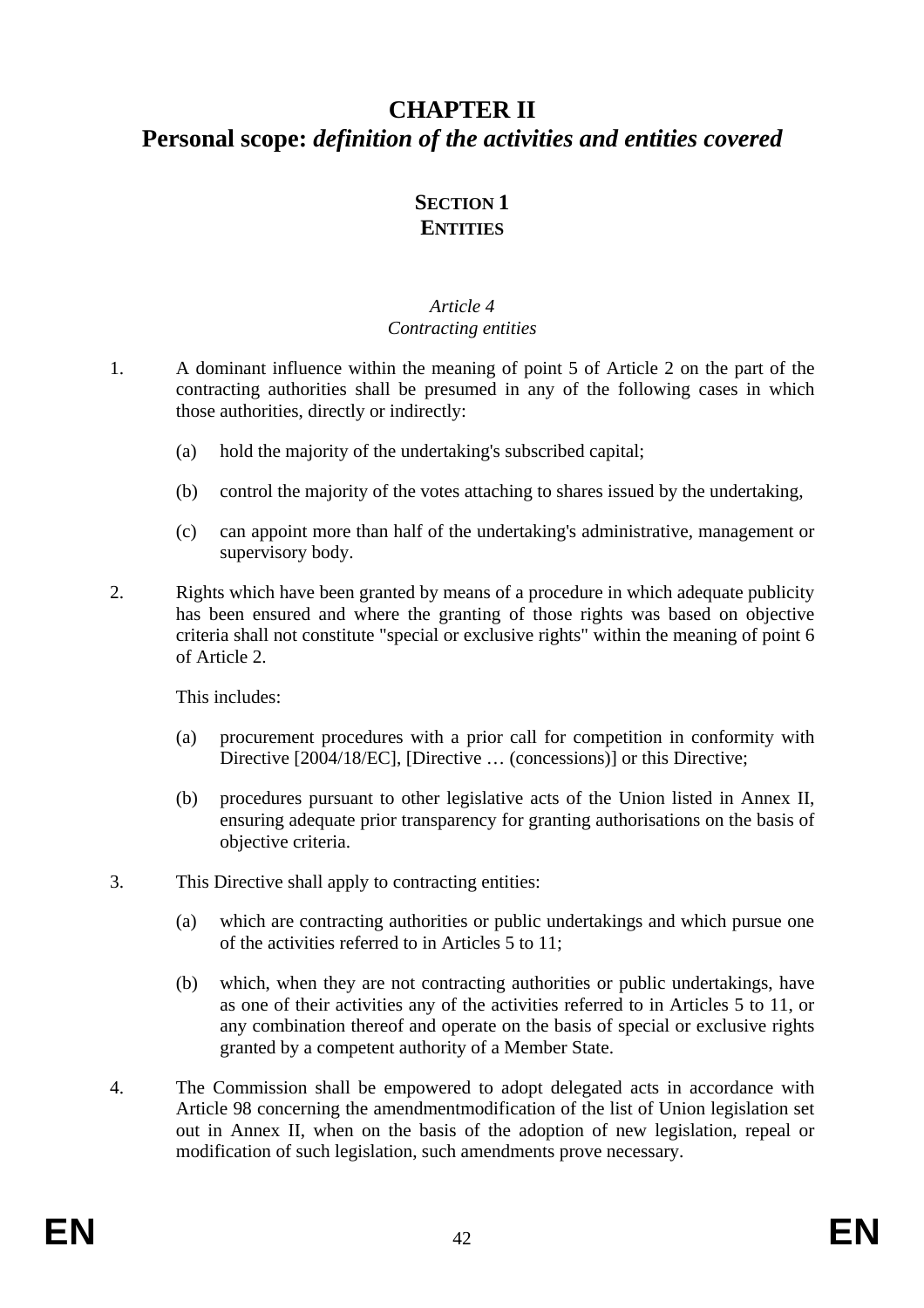## **CHAPTER II Personal scope:** *definition of the activities and entities covered*

## **SECTION 1 ENTITIES**

#### *Article 4 Contracting entities*

- 1. A dominant influence within the meaning of point 5 of Article 2 on the part of the contracting authorities shall be presumed in any of the following cases in which those authorities, directly or indirectly:
	- (a) hold the majority of the undertaking's subscribed capital;
	- (b) control the majority of the votes attaching to shares issued by the undertaking,
	- (c) can appoint more than half of the undertaking's administrative, management or supervisory body.
- 2. Rights which have been granted by means of a procedure in which adequate publicity has been ensured and where the granting of those rights was based on objective criteria shall not constitute "special or exclusive rights" within the meaning of point 6 of Article 2.

This includes:

- (a) procurement procedures with a prior call for competition in conformity with Directive [2004/18/EC], [Directive ... (concessions)] or this Directive;
- (b) procedures pursuant to other legislative acts of the Union listed in Annex II, ensuring adequate prior transparency for granting authorisations on the basis of objective criteria.
- 3. This Directive shall apply to contracting entities:
	- (a) which are contracting authorities or public undertakings and which pursue one of the activities referred to in Articles 5 to 11;
	- (b) which, when they are not contracting authorities or public undertakings, have as one of their activities any of the activities referred to in Articles 5 to 11, or any combination thereof and operate on the basis of special or exclusive rights granted by a competent authority of a Member State.
- 4. The Commission shall be empowered to adopt delegated acts in accordance with Article 98 concerning the amendmentmodification of the list of Union legislation set out in Annex II, when on the basis of the adoption of new legislation, repeal or modification of such legislation, such amendments prove necessary.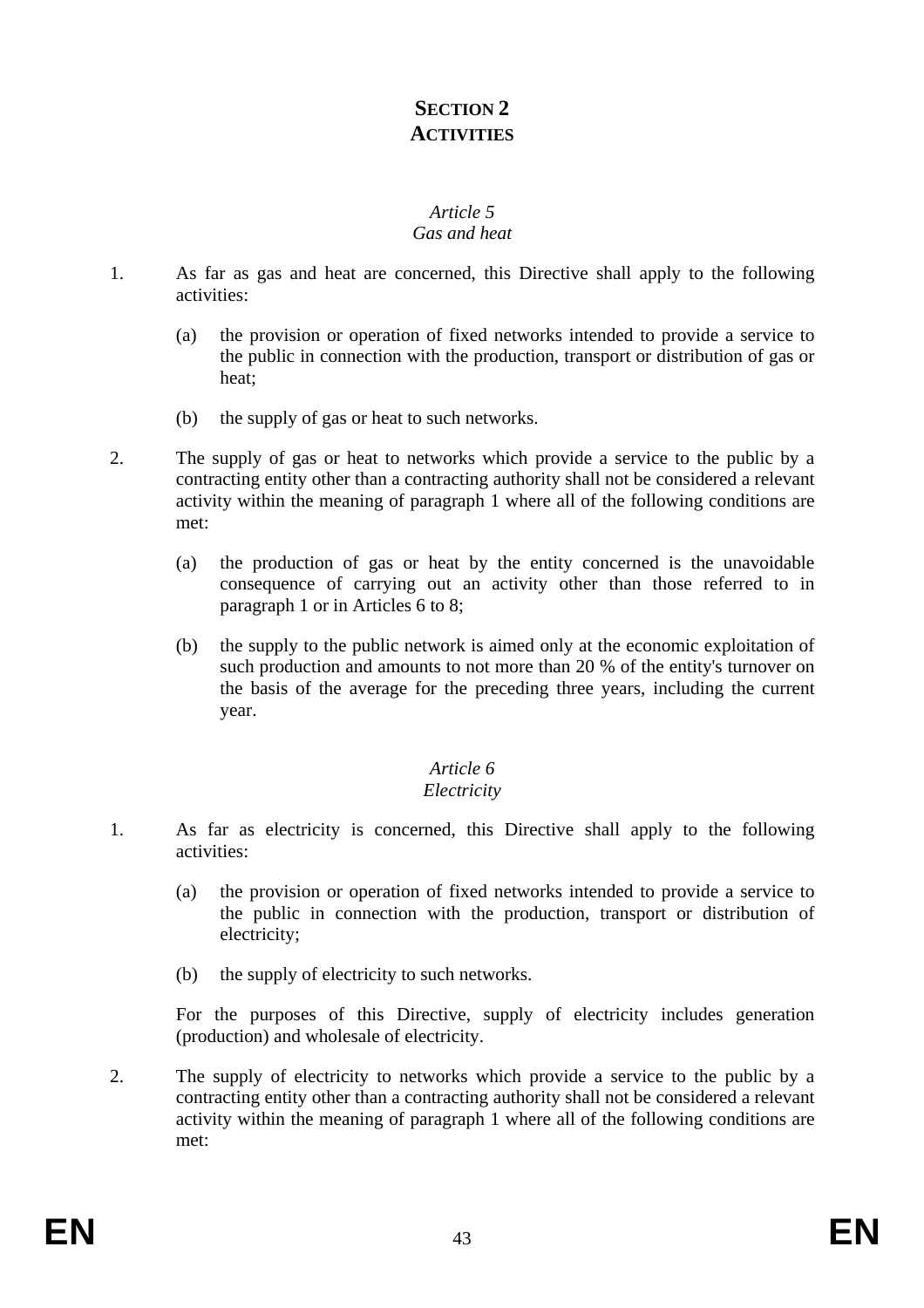## **SECTION 2 ACTIVITIES**

#### *Article 5 Gas and heat*

- 1. As far as gas and heat are concerned, this Directive shall apply to the following activities:
	- (a) the provision or operation of fixed networks intended to provide a service to the public in connection with the production, transport or distribution of gas or heat;
	- (b) the supply of gas or heat to such networks.
- 2. The supply of gas or heat to networks which provide a service to the public by a contracting entity other than a contracting authority shall not be considered a relevant activity within the meaning of paragraph 1 where all of the following conditions are met:
	- (a) the production of gas or heat by the entity concerned is the unavoidable consequence of carrying out an activity other than those referred to in paragraph 1 or in Articles 6 to 8;
	- (b) the supply to the public network is aimed only at the economic exploitation of such production and amounts to not more than 20 % of the entity's turnover on the basis of the average for the preceding three years, including the current year.

### *Article 6*

#### *Electricity*

- 1. As far as electricity is concerned, this Directive shall apply to the following activities:
	- (a) the provision or operation of fixed networks intended to provide a service to the public in connection with the production, transport or distribution of electricity;
	- (b) the supply of electricity to such networks.

For the purposes of this Directive, supply of electricity includes generation (production) and wholesale of electricity.

2. The supply of electricity to networks which provide a service to the public by a contracting entity other than a contracting authority shall not be considered a relevant activity within the meaning of paragraph 1 where all of the following conditions are met: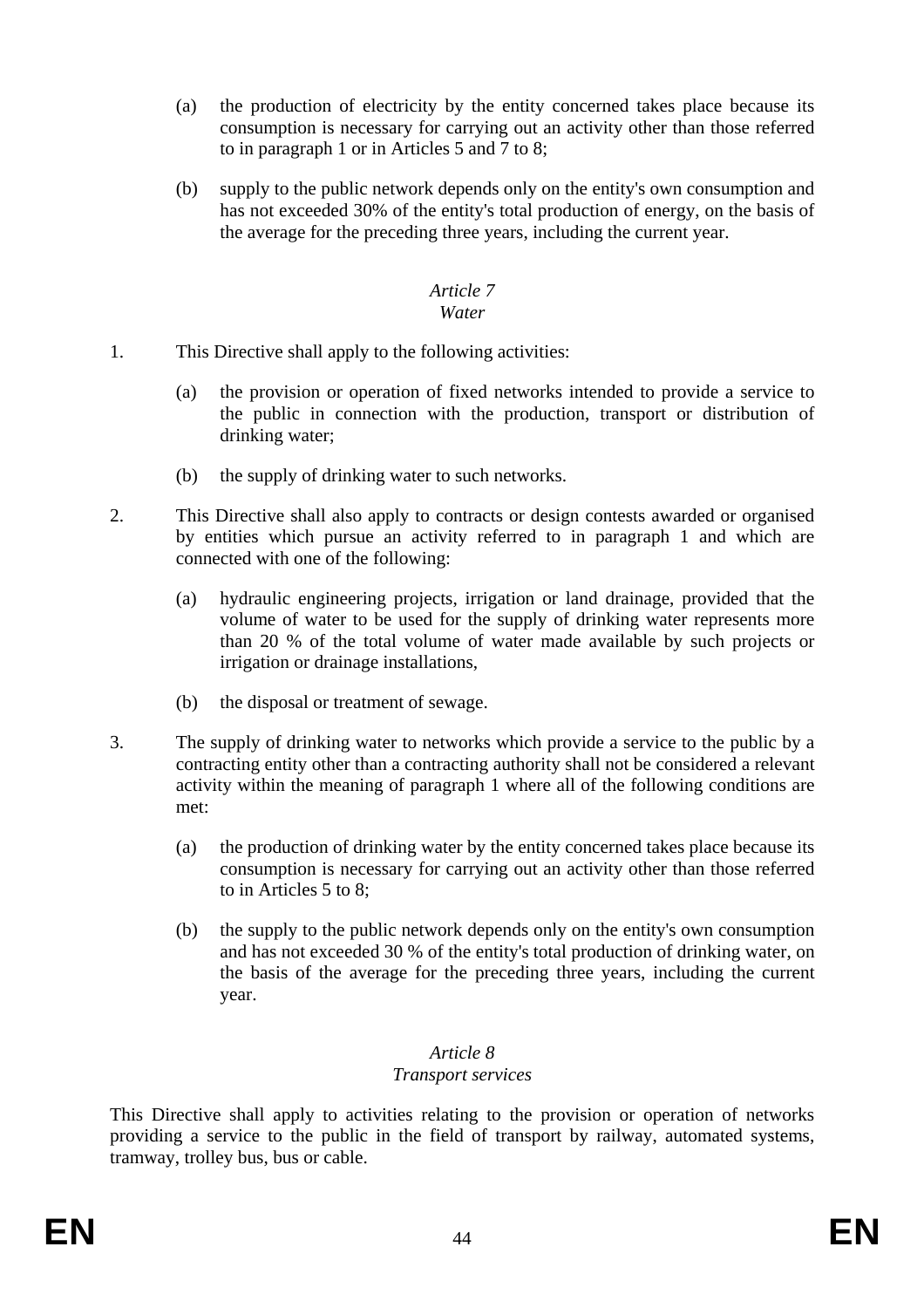- (a) the production of electricity by the entity concerned takes place because its consumption is necessary for carrying out an activity other than those referred to in paragraph 1 or in Articles 5 and 7 to 8;
- (b) supply to the public network depends only on the entity's own consumption and has not exceeded 30% of the entity's total production of energy, on the basis of the average for the preceding three years, including the current year.

#### *Article 7 Water*

- 1. This Directive shall apply to the following activities:
	- (a) the provision or operation of fixed networks intended to provide a service to the public in connection with the production, transport or distribution of drinking water;
	- (b) the supply of drinking water to such networks.
- 2. This Directive shall also apply to contracts or design contests awarded or organised by entities which pursue an activity referred to in paragraph 1 and which are connected with one of the following:
	- (a) hydraulic engineering projects, irrigation or land drainage, provided that the volume of water to be used for the supply of drinking water represents more than 20 % of the total volume of water made available by such projects or irrigation or drainage installations,
	- (b) the disposal or treatment of sewage.
- 3. The supply of drinking water to networks which provide a service to the public by a contracting entity other than a contracting authority shall not be considered a relevant activity within the meaning of paragraph 1 where all of the following conditions are met:
	- (a) the production of drinking water by the entity concerned takes place because its consumption is necessary for carrying out an activity other than those referred to in Articles 5 to 8;
	- (b) the supply to the public network depends only on the entity's own consumption and has not exceeded 30 % of the entity's total production of drinking water, on the basis of the average for the preceding three years, including the current year.

#### *Article 8*

#### *Transport services*

This Directive shall apply to activities relating to the provision or operation of networks providing a service to the public in the field of transport by railway, automated systems, tramway, trolley bus, bus or cable.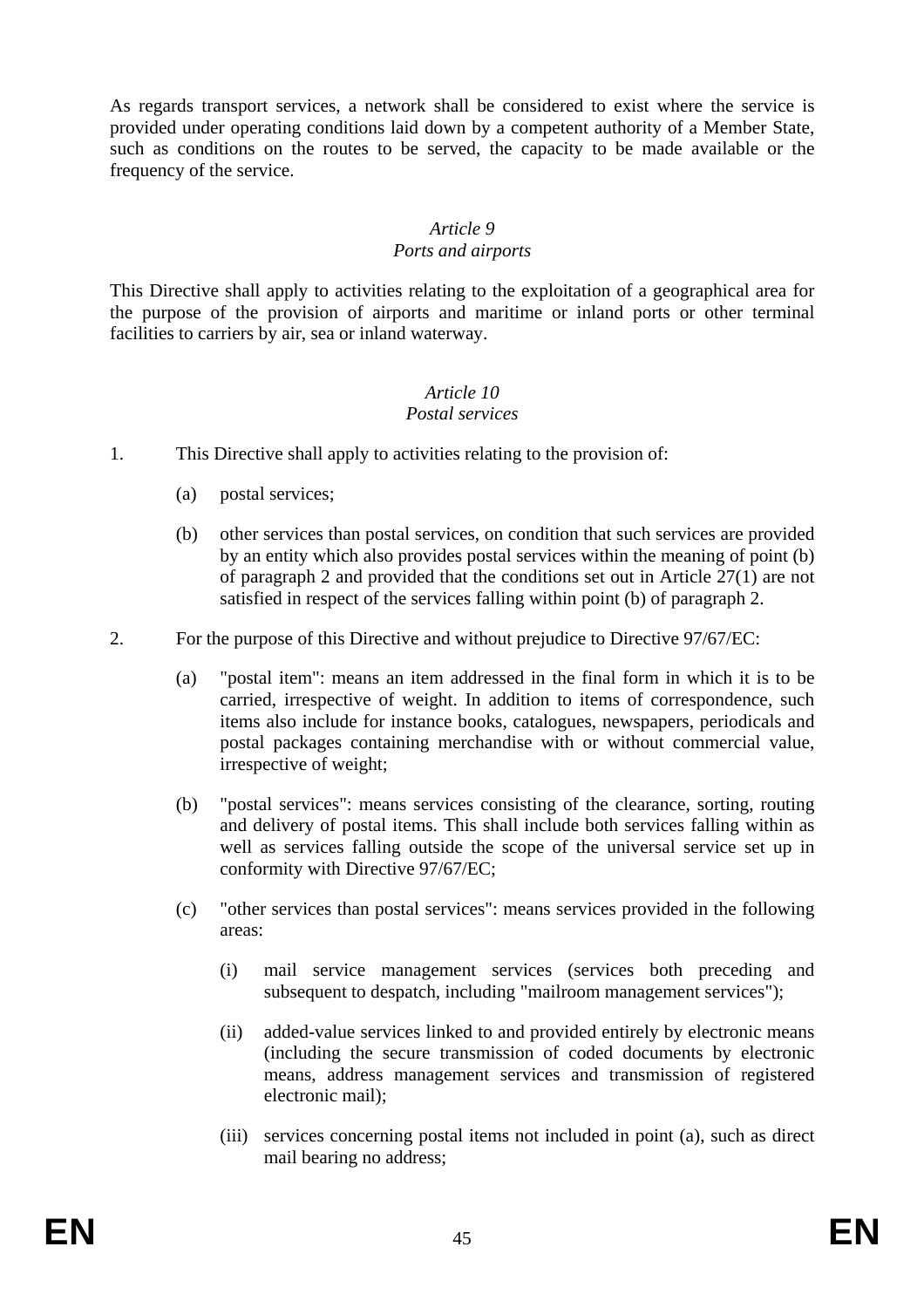As regards transport services, a network shall be considered to exist where the service is provided under operating conditions laid down by a competent authority of a Member State, such as conditions on the routes to be served, the capacity to be made available or the frequency of the service.

#### *Article 9*

#### *Ports and airports*

This Directive shall apply to activities relating to the exploitation of a geographical area for the purpose of the provision of airports and maritime or inland ports or other terminal facilities to carriers by air, sea or inland waterway.

## *Article 10*

### *Postal services*

- 1. This Directive shall apply to activities relating to the provision of:
	- (a) postal services;
	- (b) other services than postal services, on condition that such services are provided by an entity which also provides postal services within the meaning of point (b) of paragraph 2 and provided that the conditions set out in Article 27(1) are not satisfied in respect of the services falling within point (b) of paragraph 2.
- 2. For the purpose of this Directive and without prejudice to Directive 97/67/EC:
	- (a) "postal item": means an item addressed in the final form in which it is to be carried, irrespective of weight. In addition to items of correspondence, such items also include for instance books, catalogues, newspapers, periodicals and postal packages containing merchandise with or without commercial value, irrespective of weight;
	- (b) "postal services": means services consisting of the clearance, sorting, routing and delivery of postal items. This shall include both services falling within as well as services falling outside the scope of the universal service set up in conformity with Directive 97/67/EC;
	- (c) "other services than postal services": means services provided in the following areas:
		- (i) mail service management services (services both preceding and subsequent to despatch, including "mailroom management services");
		- (ii) added-value services linked to and provided entirely by electronic means (including the secure transmission of coded documents by electronic means, address management services and transmission of registered electronic mail);
		- (iii) services concerning postal items not included in point (a), such as direct mail bearing no address;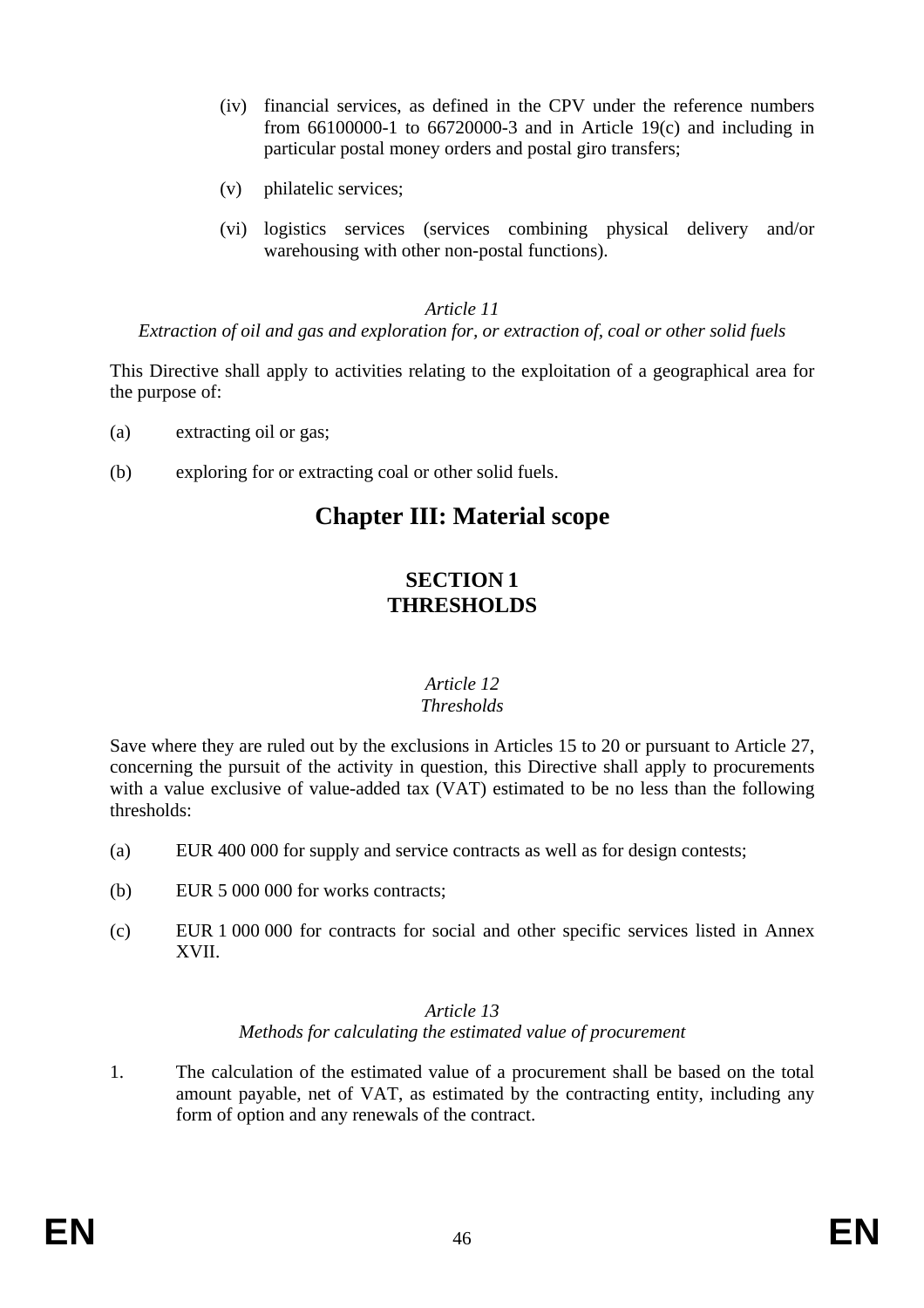- (iv) financial services, as defined in the CPV under the reference numbers from  $66100000-1$  to  $66720000-3$  and in Article 19(c) and including in particular postal money orders and postal giro transfers;
- (v) philatelic services;
- (vi) logistics services (services combining physical delivery and/or warehousing with other non-postal functions).

#### *Article 11*

*Extraction of oil and gas and exploration for, or extraction of, coal or other solid fuels* 

This Directive shall apply to activities relating to the exploitation of a geographical area for the purpose of:

- (a) extracting oil or gas;
- (b) exploring for or extracting coal or other solid fuels.

## **Chapter III: Material scope**

### **SECTION 1 THRESHOLDS**

#### *Article 12 Thresholds*

Save where they are ruled out by the exclusions in Articles 15 to 20 or pursuant to Article 27, concerning the pursuit of the activity in question, this Directive shall apply to procurements with a value exclusive of value-added tax (VAT) estimated to be no less than the following thresholds:

- (a) EUR 400 000 for supply and service contracts as well as for design contests;
- (b) EUR 5 000 000 for works contracts;
- (c) EUR 1 000 000 for contracts for social and other specific services listed in Annex XVII.

#### *Article 13 Methods for calculating the estimated value of procurement*

1. The calculation of the estimated value of a procurement shall be based on the total amount payable, net of VAT, as estimated by the contracting entity, including any form of option and any renewals of the contract.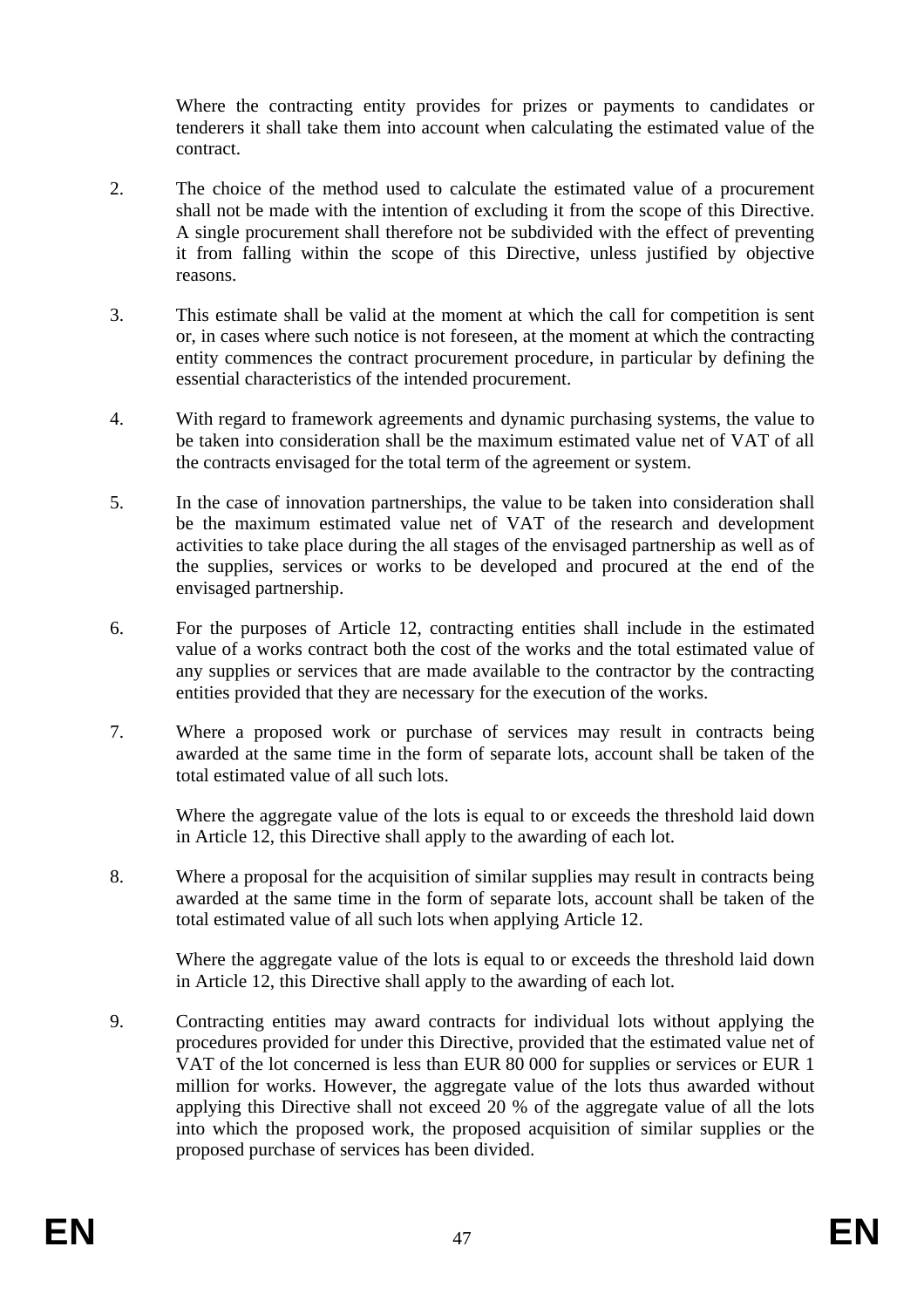Where the contracting entity provides for prizes or payments to candidates or tenderers it shall take them into account when calculating the estimated value of the contract.

- 2. The choice of the method used to calculate the estimated value of a procurement shall not be made with the intention of excluding it from the scope of this Directive. A single procurement shall therefore not be subdivided with the effect of preventing it from falling within the scope of this Directive, unless justified by objective reasons.
- 3. This estimate shall be valid at the moment at which the call for competition is sent or, in cases where such notice is not foreseen, at the moment at which the contracting entity commences the contract procurement procedure, in particular by defining the essential characteristics of the intended procurement.
- 4. With regard to framework agreements and dynamic purchasing systems, the value to be taken into consideration shall be the maximum estimated value net of VAT of all the contracts envisaged for the total term of the agreement or system.
- 5. In the case of innovation partnerships, the value to be taken into consideration shall be the maximum estimated value net of VAT of the research and development activities to take place during the all stages of the envisaged partnership as well as of the supplies, services or works to be developed and procured at the end of the envisaged partnership.
- 6. For the purposes of Article 12, contracting entities shall include in the estimated value of a works contract both the cost of the works and the total estimated value of any supplies or services that are made available to the contractor by the contracting entities provided that they are necessary for the execution of the works.
- 7. Where a proposed work or purchase of services may result in contracts being awarded at the same time in the form of separate lots, account shall be taken of the total estimated value of all such lots.

Where the aggregate value of the lots is equal to or exceeds the threshold laid down in Article 12, this Directive shall apply to the awarding of each lot.

8. Where a proposal for the acquisition of similar supplies may result in contracts being awarded at the same time in the form of separate lots, account shall be taken of the total estimated value of all such lots when applying Article 12.

Where the aggregate value of the lots is equal to or exceeds the threshold laid down in Article 12, this Directive shall apply to the awarding of each lot.

9. Contracting entities may award contracts for individual lots without applying the procedures provided for under this Directive, provided that the estimated value net of VAT of the lot concerned is less than EUR 80 000 for supplies or services or EUR 1 million for works. However, the aggregate value of the lots thus awarded without applying this Directive shall not exceed 20 % of the aggregate value of all the lots into which the proposed work, the proposed acquisition of similar supplies or the proposed purchase of services has been divided.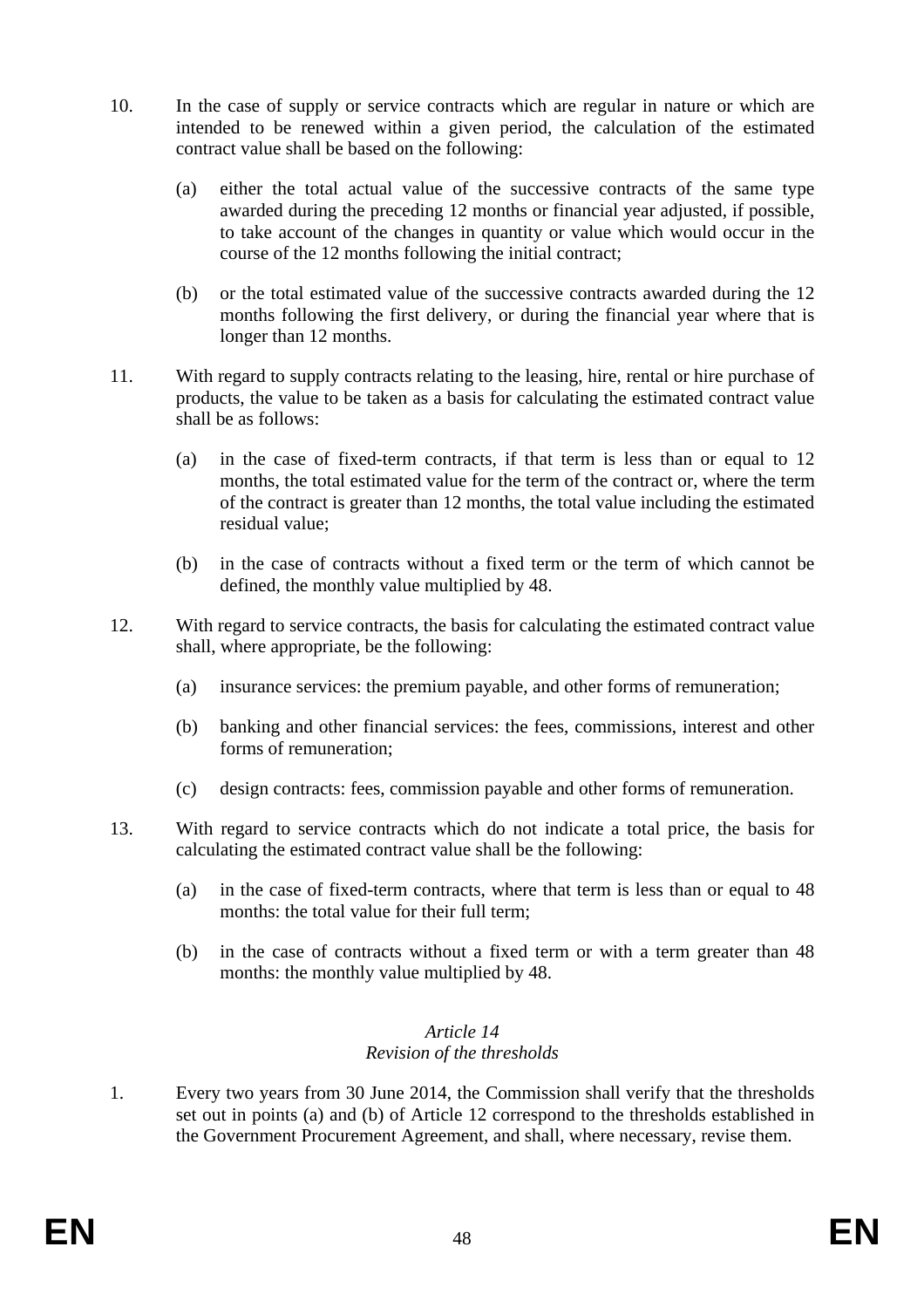- 10. In the case of supply or service contracts which are regular in nature or which are intended to be renewed within a given period, the calculation of the estimated contract value shall be based on the following:
	- (a) either the total actual value of the successive contracts of the same type awarded during the preceding 12 months or financial year adjusted, if possible, to take account of the changes in quantity or value which would occur in the course of the 12 months following the initial contract;
	- (b) or the total estimated value of the successive contracts awarded during the 12 months following the first delivery, or during the financial year where that is longer than 12 months.
- 11. With regard to supply contracts relating to the leasing, hire, rental or hire purchase of products, the value to be taken as a basis for calculating the estimated contract value shall be as follows:
	- (a) in the case of fixed-term contracts, if that term is less than or equal to 12 months, the total estimated value for the term of the contract or, where the term of the contract is greater than 12 months, the total value including the estimated residual value;
	- (b) in the case of contracts without a fixed term or the term of which cannot be defined, the monthly value multiplied by 48.
- 12. With regard to service contracts, the basis for calculating the estimated contract value shall, where appropriate, be the following:
	- (a) insurance services: the premium payable, and other forms of remuneration;
	- (b) banking and other financial services: the fees, commissions, interest and other forms of remuneration;
	- (c) design contracts: fees, commission payable and other forms of remuneration.
- 13. With regard to service contracts which do not indicate a total price, the basis for calculating the estimated contract value shall be the following:
	- (a) in the case of fixed-term contracts, where that term is less than or equal to 48 months: the total value for their full term:
	- (b) in the case of contracts without a fixed term or with a term greater than 48 months: the monthly value multiplied by 48.

#### *Article 14 Revision of the thresholds*

1. Every two years from 30 June 2014, the Commission shall verify that the thresholds set out in points (a) and (b) of Article 12 correspond to the thresholds established in the Government Procurement Agreement, and shall, where necessary, revise them.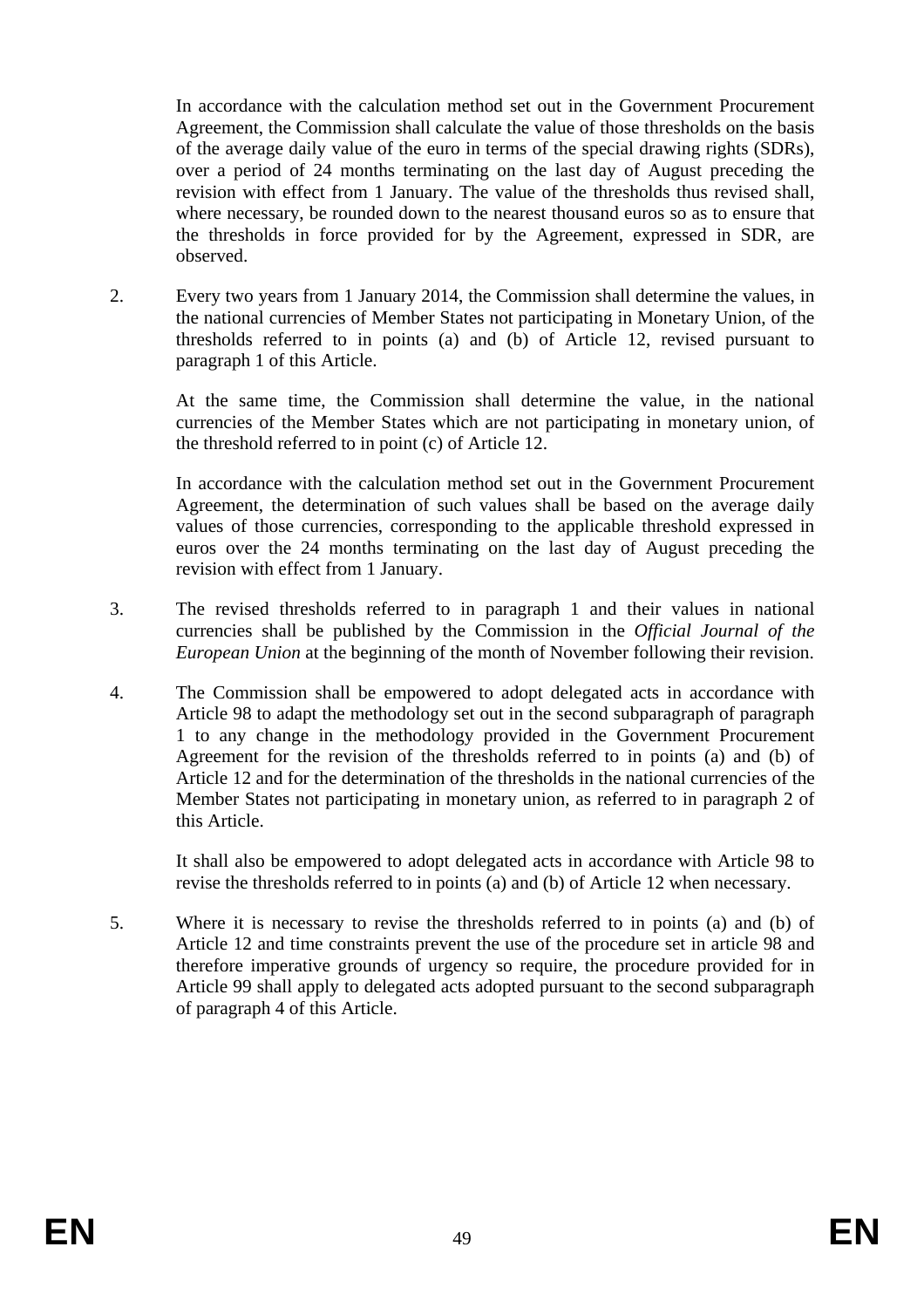In accordance with the calculation method set out in the Government Procurement Agreement, the Commission shall calculate the value of those thresholds on the basis of the average daily value of the euro in terms of the special drawing rights (SDRs), over a period of 24 months terminating on the last day of August preceding the revision with effect from 1 January. The value of the thresholds thus revised shall, where necessary, be rounded down to the nearest thousand euros so as to ensure that the thresholds in force provided for by the Agreement, expressed in SDR, are observed.

2. Every two years from 1 January 2014, the Commission shall determine the values, in the national currencies of Member States not participating in Monetary Union, of the thresholds referred to in points (a) and (b) of Article 12, revised pursuant to paragraph 1 of this Article.

At the same time, the Commission shall determine the value, in the national currencies of the Member States which are not participating in monetary union, of the threshold referred to in point (c) of Article 12.

In accordance with the calculation method set out in the Government Procurement Agreement, the determination of such values shall be based on the average daily values of those currencies, corresponding to the applicable threshold expressed in euros over the 24 months terminating on the last day of August preceding the revision with effect from 1 January.

- 3. The revised thresholds referred to in paragraph 1 and their values in national currencies shall be published by the Commission in the *Official Journal of the European Union* at the beginning of the month of November following their revision.
- 4. The Commission shall be empowered to adopt delegated acts in accordance with Article 98 to adapt the methodology set out in the second subparagraph of paragraph 1 to any change in the methodology provided in the Government Procurement Agreement for the revision of the thresholds referred to in points (a) and (b) of Article 12 and for the determination of the thresholds in the national currencies of the Member States not participating in monetary union, as referred to in paragraph 2 of this Article.

It shall also be empowered to adopt delegated acts in accordance with Article 98 to revise the thresholds referred to in points (a) and (b) of Article 12 when necessary.

5. Where it is necessary to revise the thresholds referred to in points (a) and (b) of Article 12 and time constraints prevent the use of the procedure set in article 98 and therefore imperative grounds of urgency so require, the procedure provided for in Article 99 shall apply to delegated acts adopted pursuant to the second subparagraph of paragraph 4 of this Article.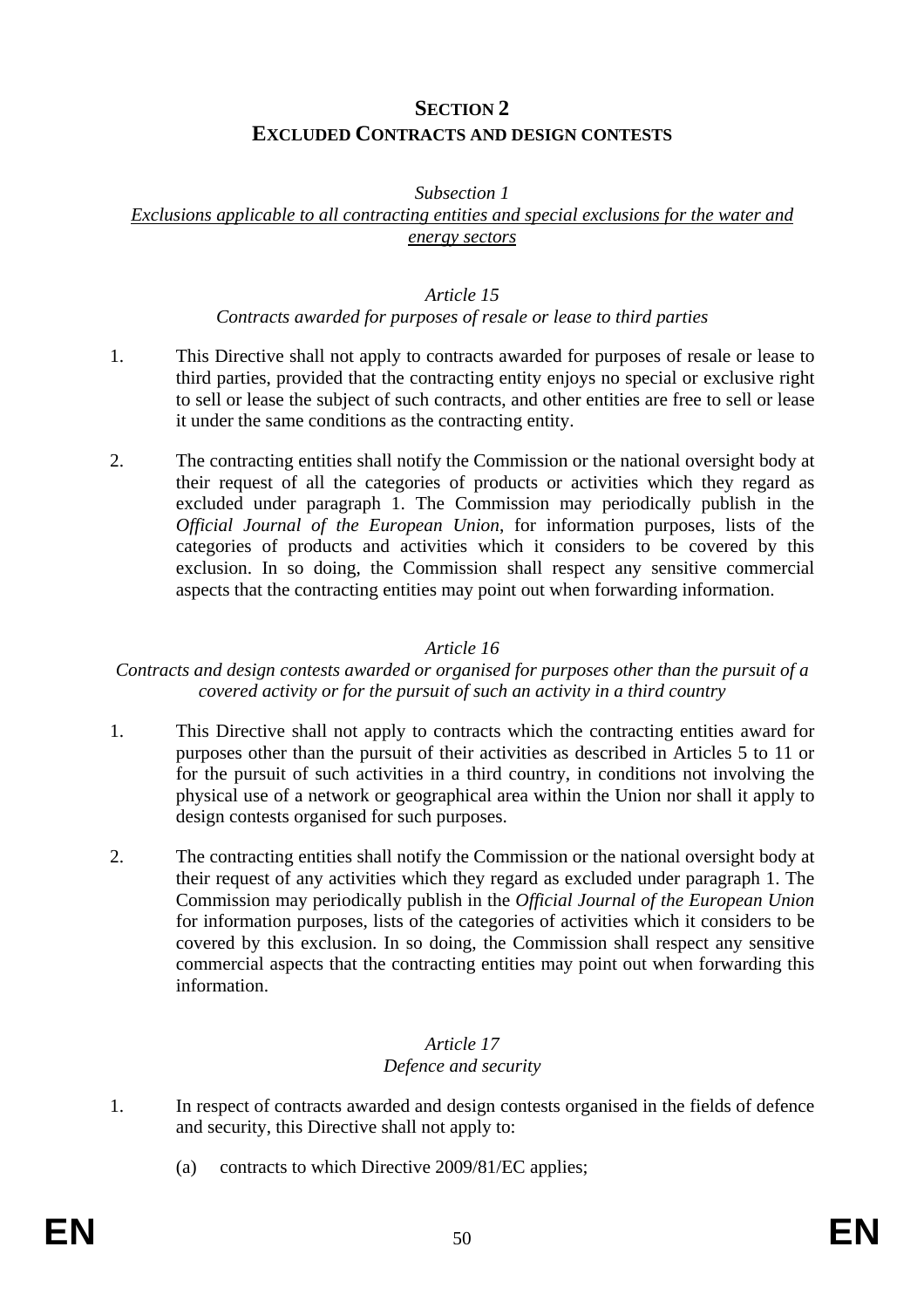## **SECTION 2 EXCLUDED CONTRACTS AND DESIGN CONTESTS**

#### *Subsection 1*

*Exclusions applicable to all contracting entities and special exclusions for the water and energy sectors*

#### *Article 15*

#### *Contracts awarded for purposes of resale or lease to third parties*

- 1. This Directive shall not apply to contracts awarded for purposes of resale or lease to third parties, provided that the contracting entity enjoys no special or exclusive right to sell or lease the subject of such contracts, and other entities are free to sell or lease it under the same conditions as the contracting entity.
- 2. The contracting entities shall notify the Commission or the national oversight body at their request of all the categories of products or activities which they regard as excluded under paragraph 1. The Commission may periodically publish in the *Official Journal of the European Union*, for information purposes, lists of the categories of products and activities which it considers to be covered by this exclusion. In so doing, the Commission shall respect any sensitive commercial aspects that the contracting entities may point out when forwarding information.

#### *Article 16*

#### *Contracts and design contests awarded or organised for purposes other than the pursuit of a covered activity or for the pursuit of such an activity in a third country*

- 1. This Directive shall not apply to contracts which the contracting entities award for purposes other than the pursuit of their activities as described in Articles 5 to 11 or for the pursuit of such activities in a third country, in conditions not involving the physical use of a network or geographical area within the Union nor shall it apply to design contests organised for such purposes.
- 2. The contracting entities shall notify the Commission or the national oversight body at their request of any activities which they regard as excluded under paragraph 1. The Commission may periodically publish in the *Official Journal of the European Union* for information purposes, lists of the categories of activities which it considers to be covered by this exclusion. In so doing, the Commission shall respect any sensitive commercial aspects that the contracting entities may point out when forwarding this information.

#### *Article 17 Defence and security*

- 1. In respect of contracts awarded and design contests organised in the fields of defence and security, this Directive shall not apply to:
	- (a) contracts to which Directive 2009/81/EC applies;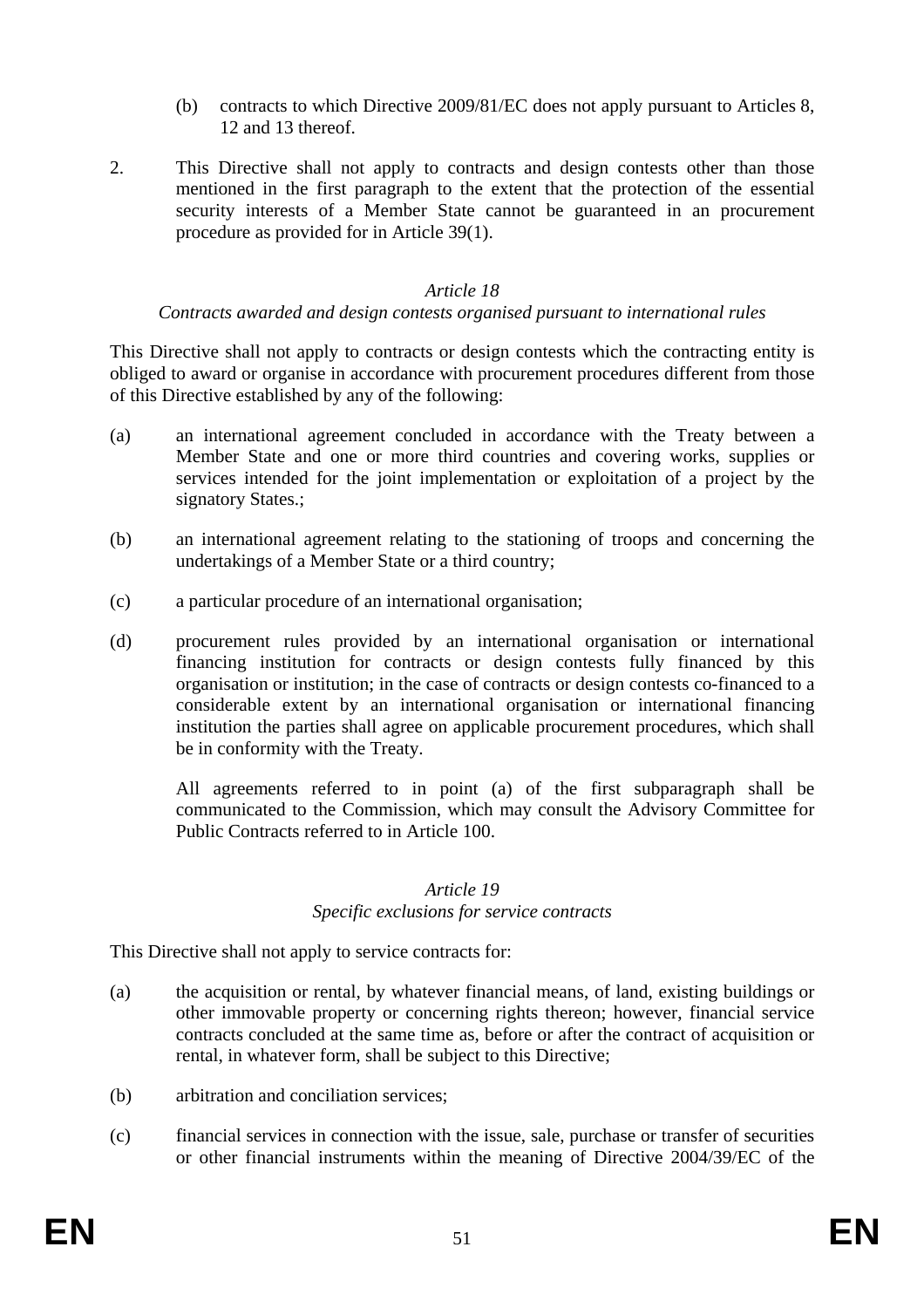- (b) contracts to which Directive 2009/81/EC does not apply pursuant to Articles 8, 12 and 13 thereof.
- 2. This Directive shall not apply to contracts and design contests other than those mentioned in the first paragraph to the extent that the protection of the essential security interests of a Member State cannot be guaranteed in an procurement procedure as provided for in Article 39(1).

#### *Article 18*

#### *Contracts awarded and design contests organised pursuant to international rules*

This Directive shall not apply to contracts or design contests which the contracting entity is obliged to award or organise in accordance with procurement procedures different from those of this Directive established by any of the following:

- (a) an international agreement concluded in accordance with the Treaty between a Member State and one or more third countries and covering works, supplies or services intended for the joint implementation or exploitation of a project by the signatory States.;
- (b) an international agreement relating to the stationing of troops and concerning the undertakings of a Member State or a third country;
- (c) a particular procedure of an international organisation;
- (d) procurement rules provided by an international organisation or international financing institution for contracts or design contests fully financed by this organisation or institution; in the case of contracts or design contests co-financed to a considerable extent by an international organisation or international financing institution the parties shall agree on applicable procurement procedures, which shall be in conformity with the Treaty.

All agreements referred to in point (a) of the first subparagraph shall be communicated to the Commission, which may consult the Advisory Committee for Public Contracts referred to in Article 100.

#### *Article 19*

#### *Specific exclusions for service contracts*

This Directive shall not apply to service contracts for:

- (a) the acquisition or rental, by whatever financial means, of land, existing buildings or other immovable property or concerning rights thereon; however, financial service contracts concluded at the same time as, before or after the contract of acquisition or rental, in whatever form, shall be subject to this Directive;
- (b) arbitration and conciliation services;
- (c) financial services in connection with the issue, sale, purchase or transfer of securities or other financial instruments within the meaning of Directive 2004/39/EC of the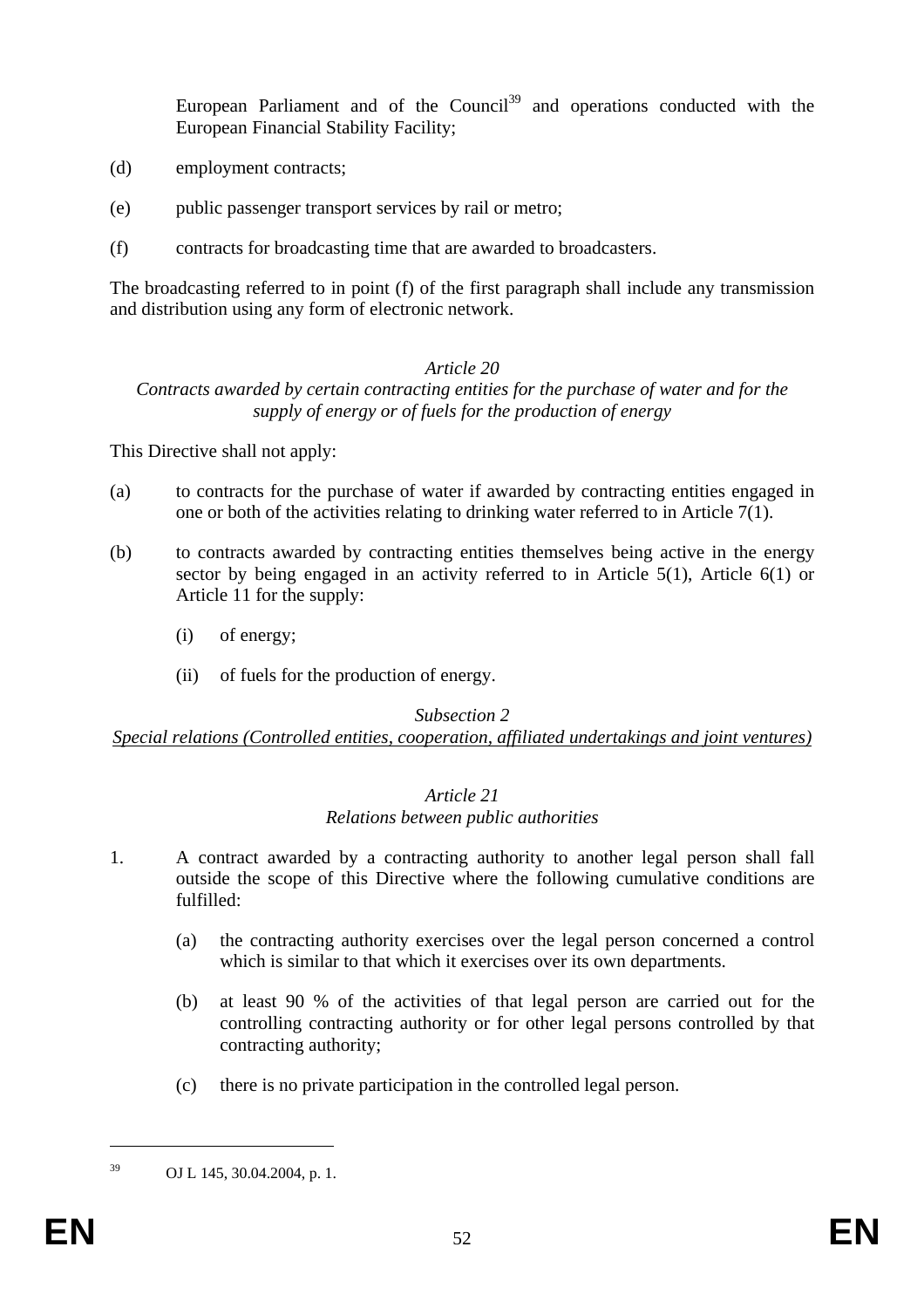European Parliament and of the Council<sup>39</sup> and operations conducted with the European Financial Stability Facility;

- (d) employment contracts;
- (e) public passenger transport services by rail or metro;
- (f) contracts for broadcasting time that are awarded to broadcasters.

The broadcasting referred to in point (f) of the first paragraph shall include any transmission and distribution using any form of electronic network.

#### *Article 20*

#### *Contracts awarded by certain contracting entities for the purchase of water and for the supply of energy or of fuels for the production of energy*

This Directive shall not apply:

- (a) to contracts for the purchase of water if awarded by contracting entities engaged in one or both of the activities relating to drinking water referred to in Article 7(1).
- (b) to contracts awarded by contracting entities themselves being active in the energy sector by being engaged in an activity referred to in Article 5(1), Article 6(1) or Article 11 for the supply:
	- (i) of energy;
	- (ii) of fuels for the production of energy.

#### *Subsection 2*

*Special relations (Controlled entities, cooperation, affiliated undertakings and joint ventures)*

#### *Article 21 Relations between public authorities*

- 1. A contract awarded by a contracting authority to another legal person shall fall outside the scope of this Directive where the following cumulative conditions are fulfilled:
	- (a) the contracting authority exercises over the legal person concerned a control which is similar to that which it exercises over its own departments.
	- (b) at least 90 % of the activities of that legal person are carried out for the controlling contracting authority or for other legal persons controlled by that contracting authority;
	- (c) there is no private participation in the controlled legal person.

1

<sup>39</sup> OJ L 145, 30.04.2004, p. 1.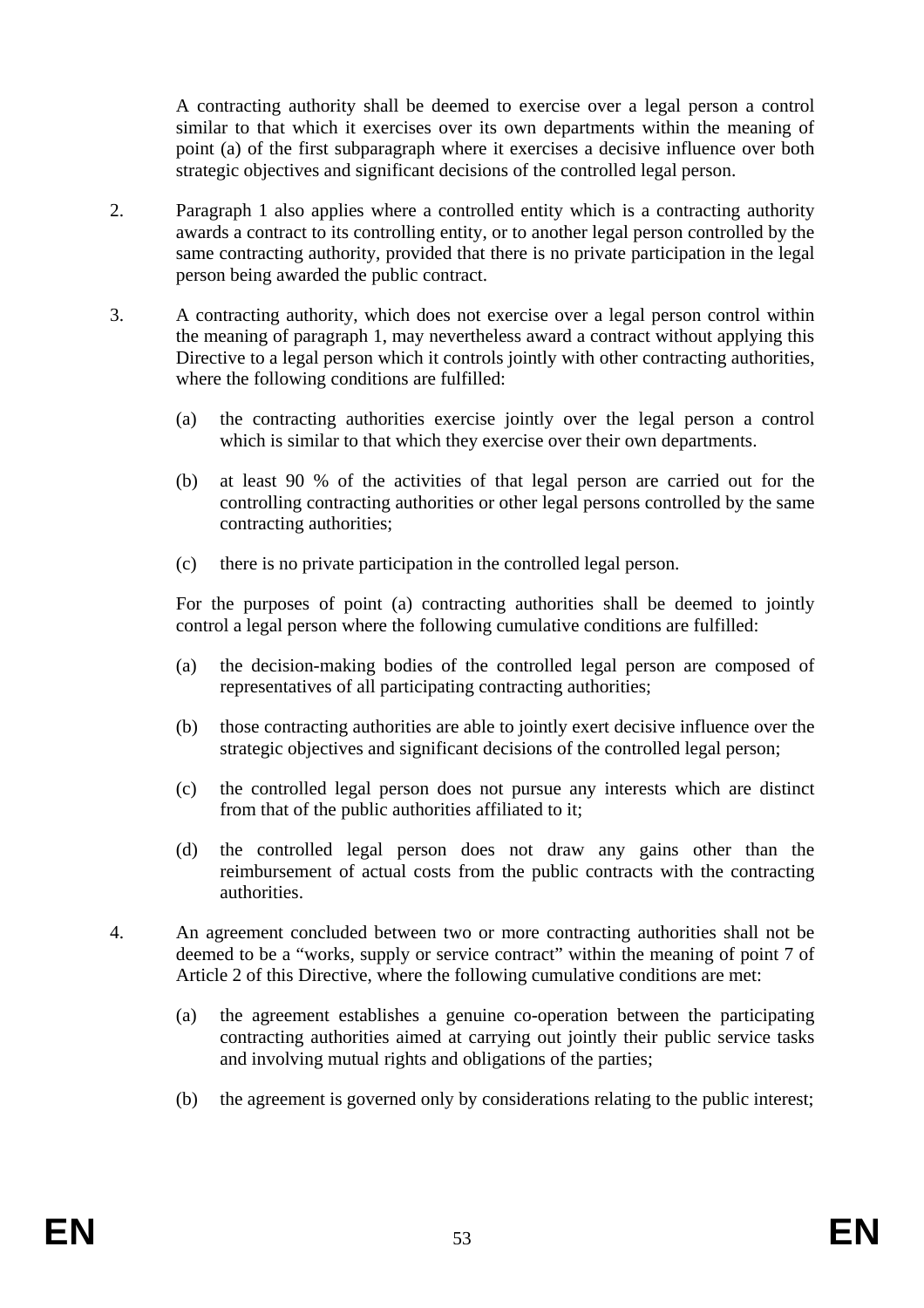A contracting authority shall be deemed to exercise over a legal person a control similar to that which it exercises over its own departments within the meaning of point (a) of the first subparagraph where it exercises a decisive influence over both strategic objectives and significant decisions of the controlled legal person.

- 2. Paragraph 1 also applies where a controlled entity which is a contracting authority awards a contract to its controlling entity, or to another legal person controlled by the same contracting authority, provided that there is no private participation in the legal person being awarded the public contract.
- 3. A contracting authority, which does not exercise over a legal person control within the meaning of paragraph 1, may nevertheless award a contract without applying this Directive to a legal person which it controls jointly with other contracting authorities, where the following conditions are fulfilled:
	- (a) the contracting authorities exercise jointly over the legal person a control which is similar to that which they exercise over their own departments.
	- (b) at least 90 % of the activities of that legal person are carried out for the controlling contracting authorities or other legal persons controlled by the same contracting authorities;
	- (c) there is no private participation in the controlled legal person.

For the purposes of point (a) contracting authorities shall be deemed to jointly control a legal person where the following cumulative conditions are fulfilled:

- (a) the decision-making bodies of the controlled legal person are composed of representatives of all participating contracting authorities;
- (b) those contracting authorities are able to jointly exert decisive influence over the strategic objectives and significant decisions of the controlled legal person;
- (c) the controlled legal person does not pursue any interests which are distinct from that of the public authorities affiliated to it;
- (d) the controlled legal person does not draw any gains other than the reimbursement of actual costs from the public contracts with the contracting authorities.
- 4. An agreement concluded between two or more contracting authorities shall not be deemed to be a "works, supply or service contract" within the meaning of point 7 of Article 2 of this Directive, where the following cumulative conditions are met:
	- (a) the agreement establishes a genuine co-operation between the participating contracting authorities aimed at carrying out jointly their public service tasks and involving mutual rights and obligations of the parties;
	- (b) the agreement is governed only by considerations relating to the public interest;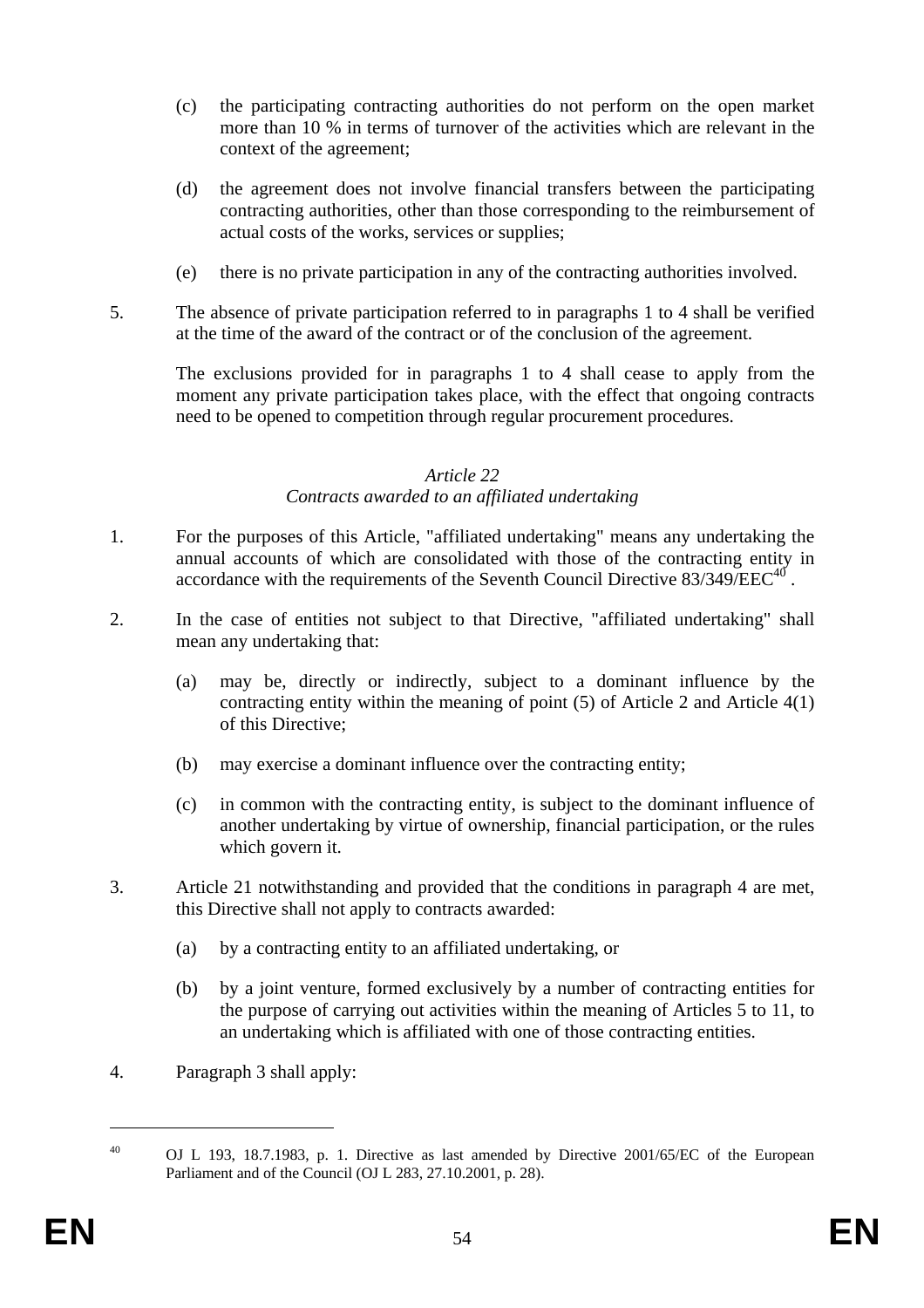- (c) the participating contracting authorities do not perform on the open market more than 10 % in terms of turnover of the activities which are relevant in the context of the agreement;
- (d) the agreement does not involve financial transfers between the participating contracting authorities, other than those corresponding to the reimbursement of actual costs of the works, services or supplies;
- (e) there is no private participation in any of the contracting authorities involved.
- 5. The absence of private participation referred to in paragraphs 1 to 4 shall be verified at the time of the award of the contract or of the conclusion of the agreement.

The exclusions provided for in paragraphs 1 to 4 shall cease to apply from the moment any private participation takes place, with the effect that ongoing contracts need to be opened to competition through regular procurement procedures.

#### *Article 22*

#### *Contracts awarded to an affiliated undertaking*

- 1. For the purposes of this Article, "affiliated undertaking" means any undertaking the annual accounts of which are consolidated with those of the contracting entity in accordance with the requirements of the Seventh Council Directive  $83/349/EEC^{40}$ .
- 2. In the case of entities not subject to that Directive, "affiliated undertaking" shall mean any undertaking that:
	- (a) may be, directly or indirectly, subject to a dominant influence by the contracting entity within the meaning of point (5) of Article 2 and Article 4(1) of this Directive;
	- (b) may exercise a dominant influence over the contracting entity;
	- (c) in common with the contracting entity, is subject to the dominant influence of another undertaking by virtue of ownership, financial participation, or the rules which govern it.
- 3. Article 21 notwithstanding and provided that the conditions in paragraph 4 are met, this Directive shall not apply to contracts awarded:
	- (a) by a contracting entity to an affiliated undertaking, or
	- (b) by a joint venture, formed exclusively by a number of contracting entities for the purpose of carrying out activities within the meaning of Articles 5 to 11, to an undertaking which is affiliated with one of those contracting entities.
- 4. Paragraph 3 shall apply:

<u>.</u>

<sup>&</sup>lt;sup>40</sup> OJ L 193, 18.7.1983, p. 1. Directive as last amended by Directive 2001/65/EC of the European Parliament and of the Council (OJ L 283, 27.10.2001, p. 28).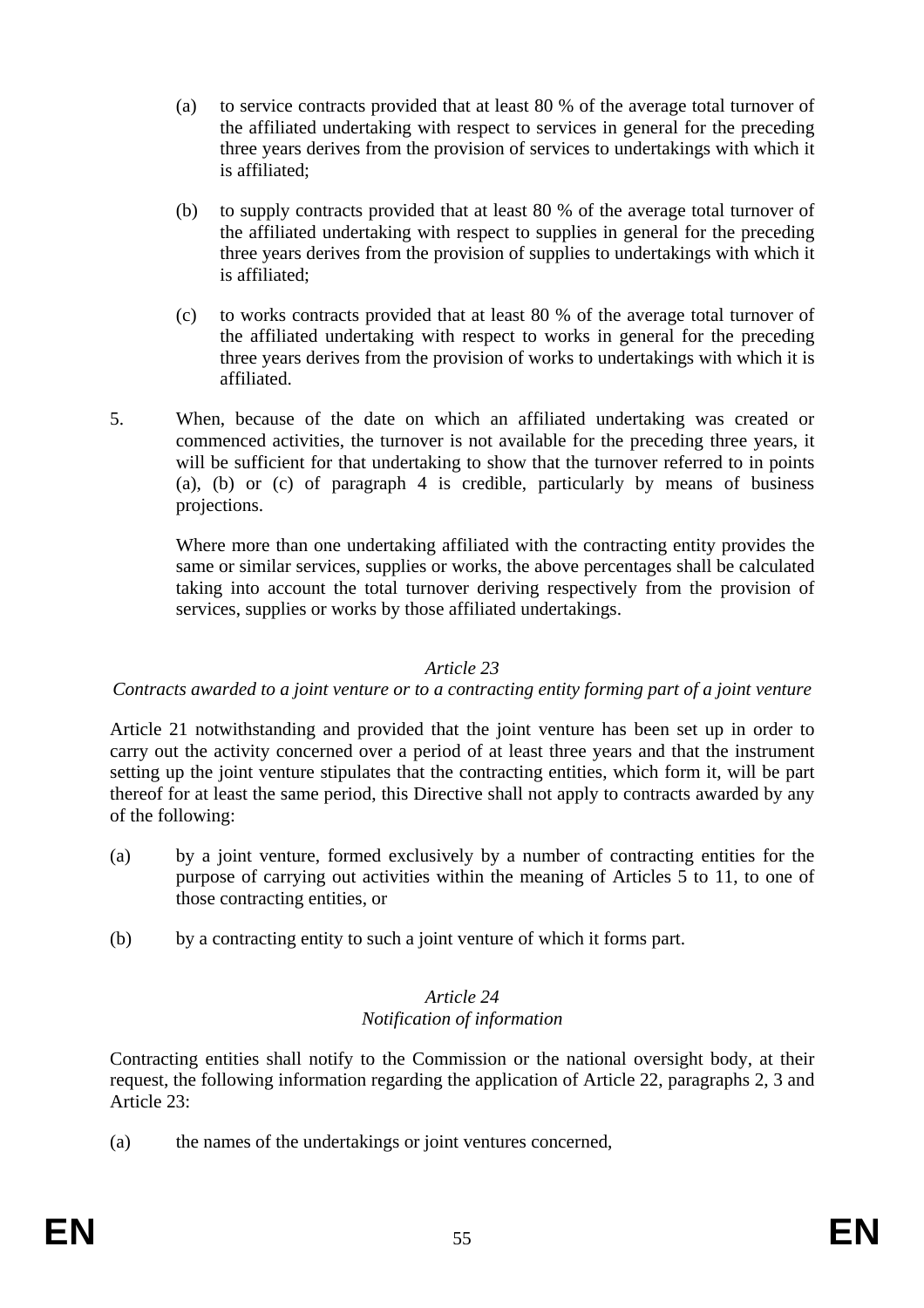- (a) to service contracts provided that at least 80 % of the average total turnover of the affiliated undertaking with respect to services in general for the preceding three years derives from the provision of services to undertakings with which it is affiliated;
- (b) to supply contracts provided that at least 80 % of the average total turnover of the affiliated undertaking with respect to supplies in general for the preceding three years derives from the provision of supplies to undertakings with which it is affiliated;
- (c) to works contracts provided that at least 80 % of the average total turnover of the affiliated undertaking with respect to works in general for the preceding three years derives from the provision of works to undertakings with which it is affiliated.
- 5. When, because of the date on which an affiliated undertaking was created or commenced activities, the turnover is not available for the preceding three years, it will be sufficient for that undertaking to show that the turnover referred to in points (a), (b) or (c) of paragraph 4 is credible, particularly by means of business projections.

Where more than one undertaking affiliated with the contracting entity provides the same or similar services, supplies or works, the above percentages shall be calculated taking into account the total turnover deriving respectively from the provision of services, supplies or works by those affiliated undertakings.

#### *Article 23*

#### *Contracts awarded to a joint venture or to a contracting entity forming part of a joint venture*

Article 21 notwithstanding and provided that the joint venture has been set up in order to carry out the activity concerned over a period of at least three years and that the instrument setting up the joint venture stipulates that the contracting entities, which form it, will be part thereof for at least the same period, this Directive shall not apply to contracts awarded by any of the following:

- (a) by a joint venture, formed exclusively by a number of contracting entities for the purpose of carrying out activities within the meaning of Articles 5 to 11, to one of those contracting entities, or
- (b) by a contracting entity to such a joint venture of which it forms part.

#### *Article 24 Notification of information*

Contracting entities shall notify to the Commission or the national oversight body, at their request, the following information regarding the application of Article 22, paragraphs 2, 3 and Article 23:

(a) the names of the undertakings or joint ventures concerned,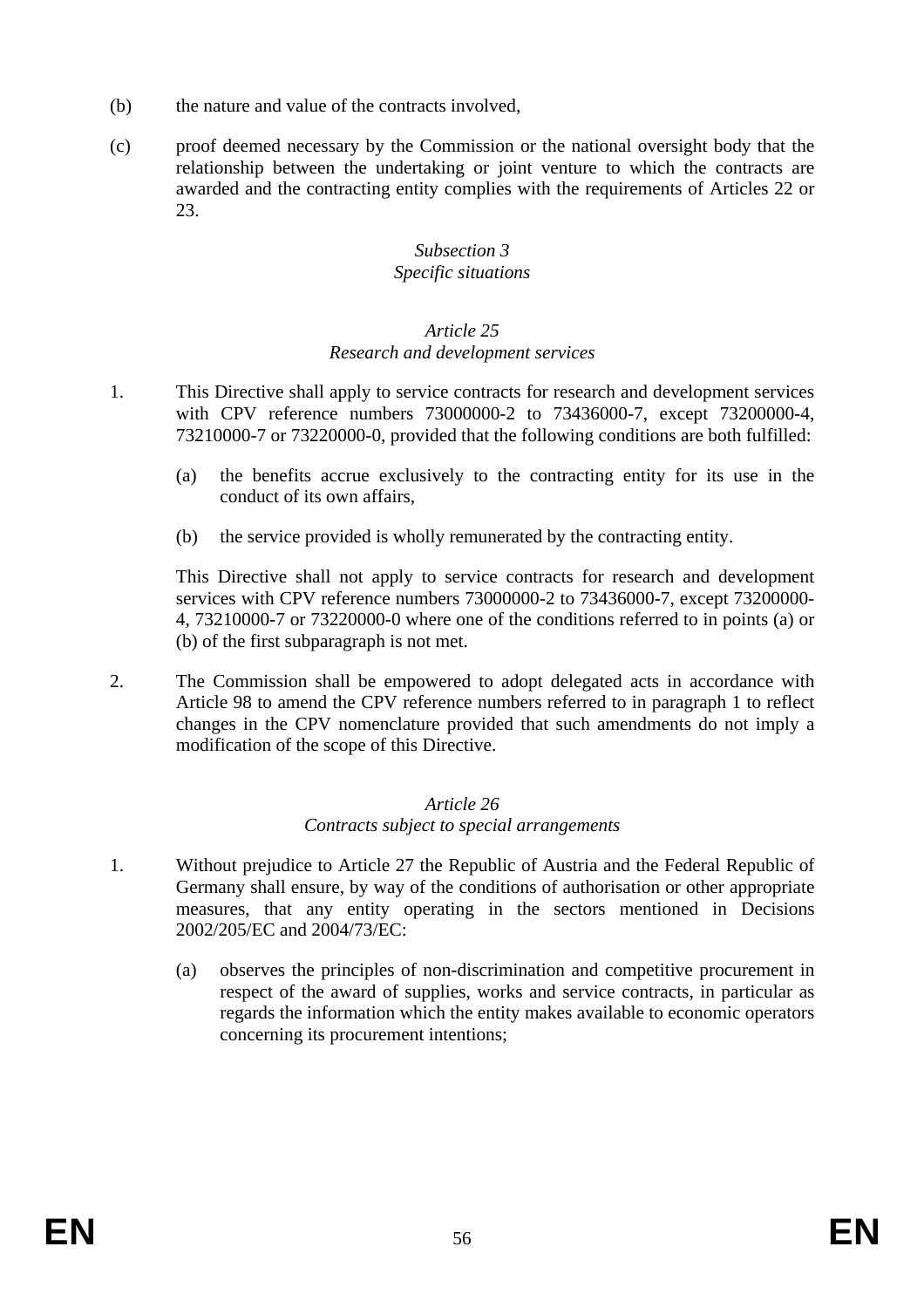- (b) the nature and value of the contracts involved,
- (c) proof deemed necessary by the Commission or the national oversight body that the relationship between the undertaking or joint venture to which the contracts are awarded and the contracting entity complies with the requirements of Articles 22 or 23.

#### *Subsection 3 Specific situations*

#### *Article 25 Research and development services*

- 1. This Directive shall apply to service contracts for research and development services with CPV reference numbers 73000000-2 to 73436000-7, except 73200000-4, 73210000-7 or 73220000-0, provided that the following conditions are both fulfilled:
	- (a) the benefits accrue exclusively to the contracting entity for its use in the conduct of its own affairs,
	- (b) the service provided is wholly remunerated by the contracting entity.

This Directive shall not apply to service contracts for research and development services with CPV reference numbers 73000000-2 to 73436000-7, except 73200000- 4, 73210000-7 or 73220000-0 where one of the conditions referred to in points (a) or (b) of the first subparagraph is not met.

2. The Commission shall be empowered to adopt delegated acts in accordance with Article 98 to amend the CPV reference numbers referred to in paragraph 1 to reflect changes in the CPV nomenclature provided that such amendments do not imply a modification of the scope of this Directive.

#### *Article 26 Contracts subject to special arrangements*

- 1. Without prejudice to Article 27 the Republic of Austria and the Federal Republic of Germany shall ensure, by way of the conditions of authorisation or other appropriate measures, that any entity operating in the sectors mentioned in Decisions 2002/205/EC and 2004/73/EC:
	- (a) observes the principles of non-discrimination and competitive procurement in respect of the award of supplies, works and service contracts, in particular as regards the information which the entity makes available to economic operators concerning its procurement intentions;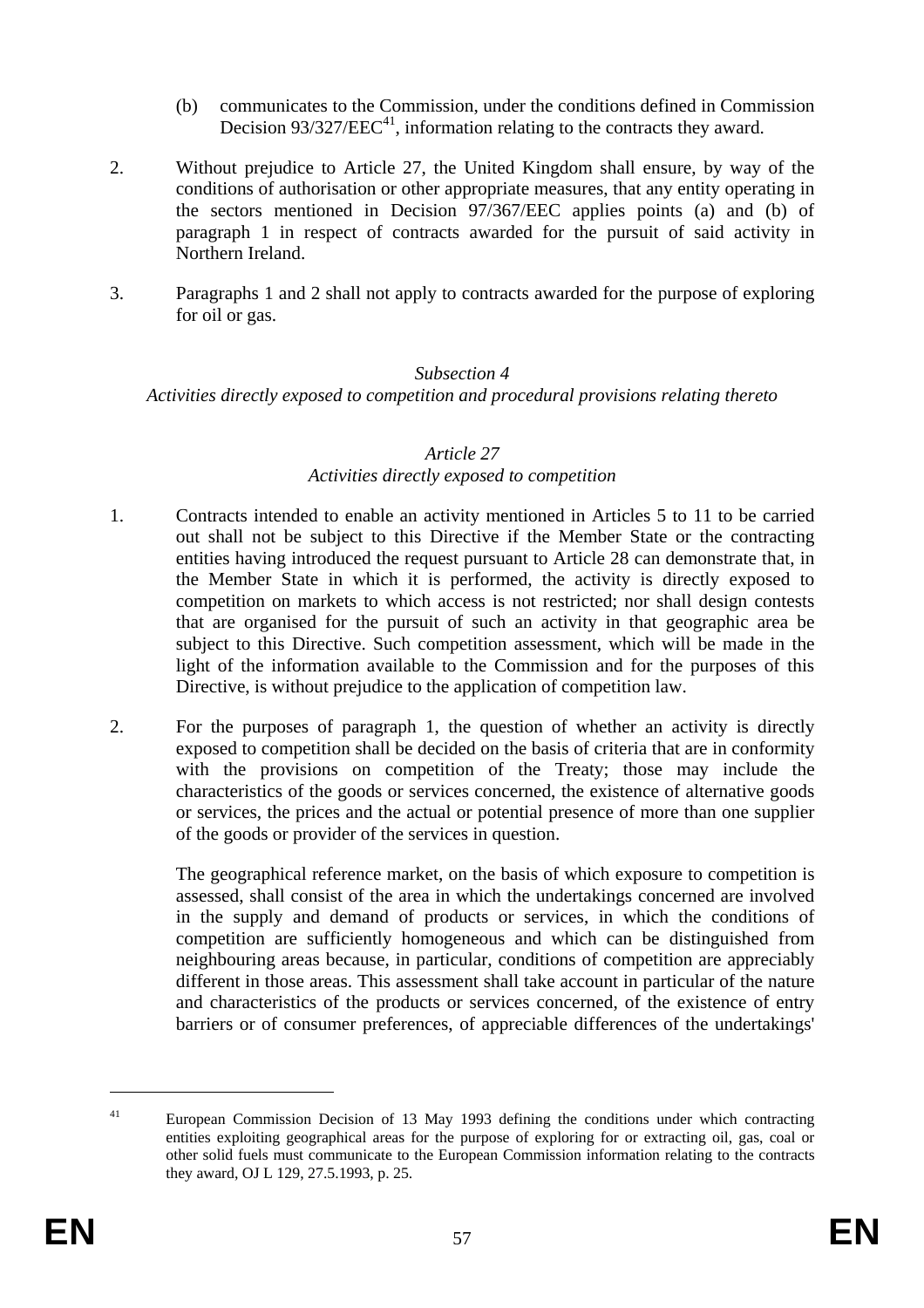- (b) communicates to the Commission, under the conditions defined in Commission Decision  $93/327/EEC^{41}$ , information relating to the contracts they award.
- 2. Without prejudice to Article 27, the United Kingdom shall ensure, by way of the conditions of authorisation or other appropriate measures, that any entity operating in the sectors mentioned in Decision 97/367/EEC applies points (a) and (b) of paragraph 1 in respect of contracts awarded for the pursuit of said activity in Northern Ireland.
- 3. Paragraphs 1 and 2 shall not apply to contracts awarded for the purpose of exploring for oil or gas.

#### *Subsection 4*

*Activities directly exposed to competition and procedural provisions relating thereto* 

#### *Article 27*

#### *Activities directly exposed to competition*

- 1. Contracts intended to enable an activity mentioned in Articles 5 to 11 to be carried out shall not be subject to this Directive if the Member State or the contracting entities having introduced the request pursuant to Article 28 can demonstrate that, in the Member State in which it is performed, the activity is directly exposed to competition on markets to which access is not restricted; nor shall design contests that are organised for the pursuit of such an activity in that geographic area be subject to this Directive. Such competition assessment, which will be made in the light of the information available to the Commission and for the purposes of this Directive, is without prejudice to the application of competition law.
- 2. For the purposes of paragraph 1, the question of whether an activity is directly exposed to competition shall be decided on the basis of criteria that are in conformity with the provisions on competition of the Treaty; those may include the characteristics of the goods or services concerned, the existence of alternative goods or services, the prices and the actual or potential presence of more than one supplier of the goods or provider of the services in question.

The geographical reference market, on the basis of which exposure to competition is assessed, shall consist of the area in which the undertakings concerned are involved in the supply and demand of products or services, in which the conditions of competition are sufficiently homogeneous and which can be distinguished from neighbouring areas because, in particular, conditions of competition are appreciably different in those areas. This assessment shall take account in particular of the nature and characteristics of the products or services concerned, of the existence of entry barriers or of consumer preferences, of appreciable differences of the undertakings'

1

<sup>&</sup>lt;sup>41</sup> European Commission Decision of 13 May 1993 defining the conditions under which contracting entities exploiting geographical areas for the purpose of exploring for or extracting oil, gas, coal or other solid fuels must communicate to the European Commission information relating to the contracts they award, OJ L 129, 27.5.1993, p. 25.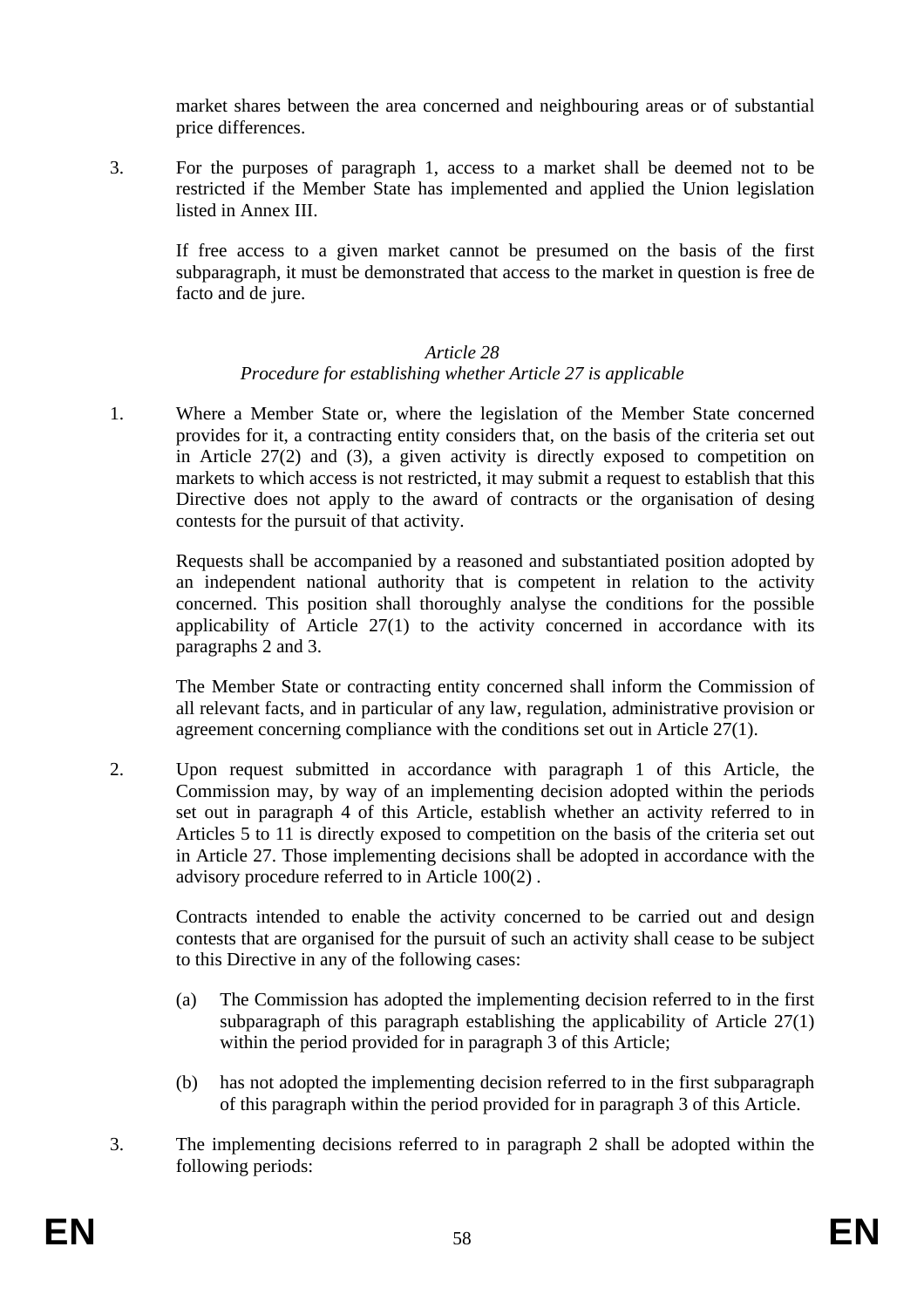market shares between the area concerned and neighbouring areas or of substantial price differences.

3. For the purposes of paragraph 1, access to a market shall be deemed not to be restricted if the Member State has implemented and applied the Union legislation listed in Annex III.

If free access to a given market cannot be presumed on the basis of the first subparagraph, it must be demonstrated that access to the market in question is free de facto and de jure.

#### *Article 28*

### *Procedure for establishing whether Article 27 is applicable*

1. Where a Member State or, where the legislation of the Member State concerned provides for it, a contracting entity considers that, on the basis of the criteria set out in Article 27(2) and (3), a given activity is directly exposed to competition on markets to which access is not restricted, it may submit a request to establish that this Directive does not apply to the award of contracts or the organisation of desing contests for the pursuit of that activity.

Requests shall be accompanied by a reasoned and substantiated position adopted by an independent national authority that is competent in relation to the activity concerned. This position shall thoroughly analyse the conditions for the possible applicability of Article 27(1) to the activity concerned in accordance with its paragraphs 2 and 3.

The Member State or contracting entity concerned shall inform the Commission of all relevant facts, and in particular of any law, regulation, administrative provision or agreement concerning compliance with the conditions set out in Article 27(1).

2. Upon request submitted in accordance with paragraph 1 of this Article, the Commission may, by way of an implementing decision adopted within the periods set out in paragraph 4 of this Article, establish whether an activity referred to in Articles 5 to 11 is directly exposed to competition on the basis of the criteria set out in Article 27. Those implementing decisions shall be adopted in accordance with the advisory procedure referred to in Article 100(2) .

Contracts intended to enable the activity concerned to be carried out and design contests that are organised for the pursuit of such an activity shall cease to be subject to this Directive in any of the following cases:

- (a) The Commission has adopted the implementing decision referred to in the first subparagraph of this paragraph establishing the applicability of Article 27(1) within the period provided for in paragraph 3 of this Article;
- (b) has not adopted the implementing decision referred to in the first subparagraph of this paragraph within the period provided for in paragraph 3 of this Article.
- 3. The implementing decisions referred to in paragraph 2 shall be adopted within the following periods: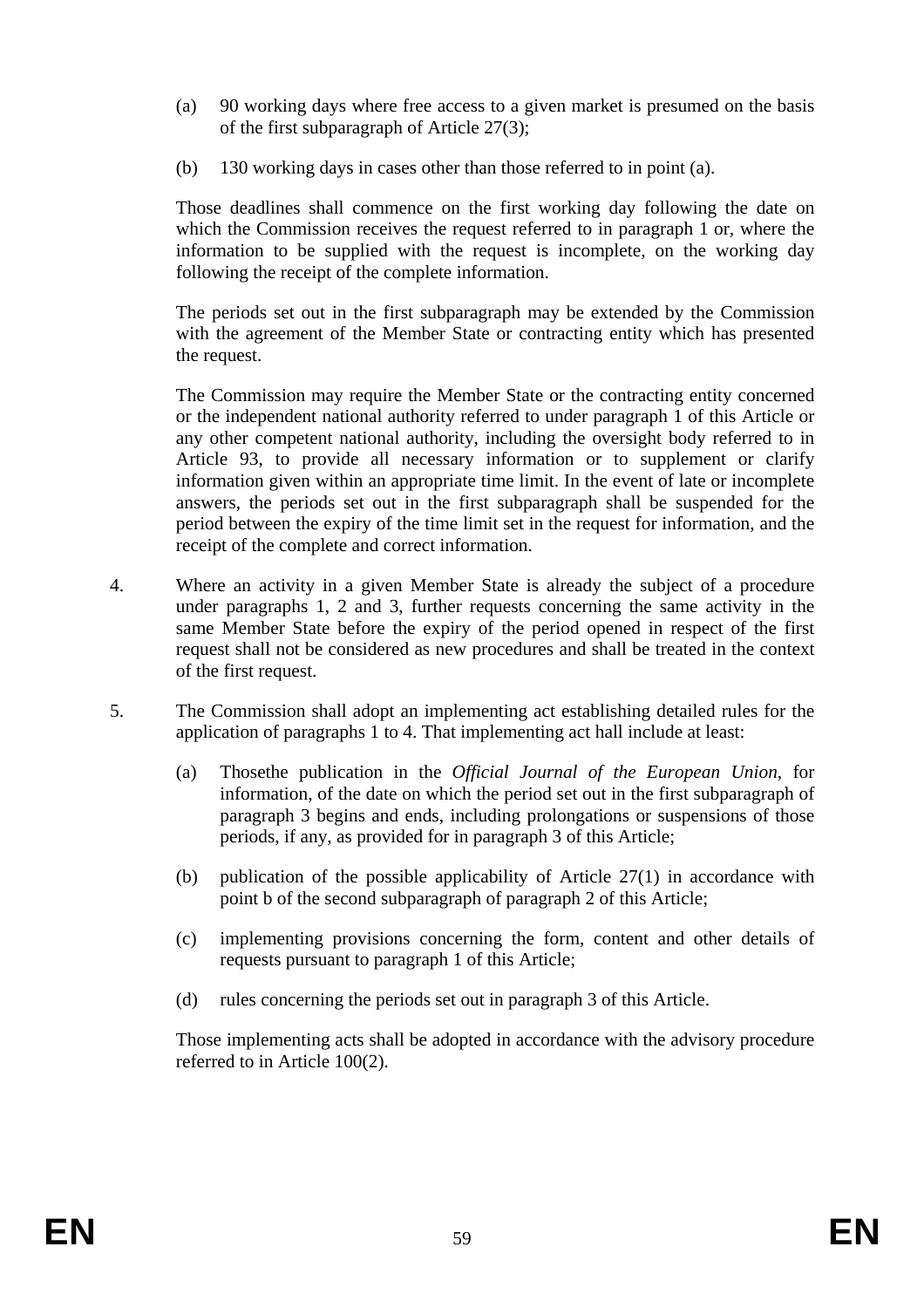- (a) 90 working days where free access to a given market is presumed on the basis of the first subparagraph of Article 27(3);
- (b) 130 working days in cases other than those referred to in point (a).

Those deadlines shall commence on the first working day following the date on which the Commission receives the request referred to in paragraph 1 or, where the information to be supplied with the request is incomplete, on the working day following the receipt of the complete information.

The periods set out in the first subparagraph may be extended by the Commission with the agreement of the Member State or contracting entity which has presented the request.

The Commission may require the Member State or the contracting entity concerned or the independent national authority referred to under paragraph 1 of this Article or any other competent national authority, including the oversight body referred to in Article 93, to provide all necessary information or to supplement or clarify information given within an appropriate time limit. In the event of late or incomplete answers, the periods set out in the first subparagraph shall be suspended for the period between the expiry of the time limit set in the request for information, and the receipt of the complete and correct information.

- 4. Where an activity in a given Member State is already the subject of a procedure under paragraphs 1, 2 and 3, further requests concerning the same activity in the same Member State before the expiry of the period opened in respect of the first request shall not be considered as new procedures and shall be treated in the context of the first request.
- 5. The Commission shall adopt an implementing act establishing detailed rules for the application of paragraphs 1 to 4. That implementing act hall include at least:
	- (a) Thosethe publication in the *Official Journal of the European Union*, for information, of the date on which the period set out in the first subparagraph of paragraph 3 begins and ends, including prolongations or suspensions of those periods, if any, as provided for in paragraph 3 of this Article;
	- (b) publication of the possible applicability of Article 27(1) in accordance with point b of the second subparagraph of paragraph 2 of this Article;
	- (c) implementing provisions concerning the form, content and other details of requests pursuant to paragraph 1 of this Article;
	- (d) rules concerning the periods set out in paragraph 3 of this Article.

Those implementing acts shall be adopted in accordance with the advisory procedure referred to in Article 100(2).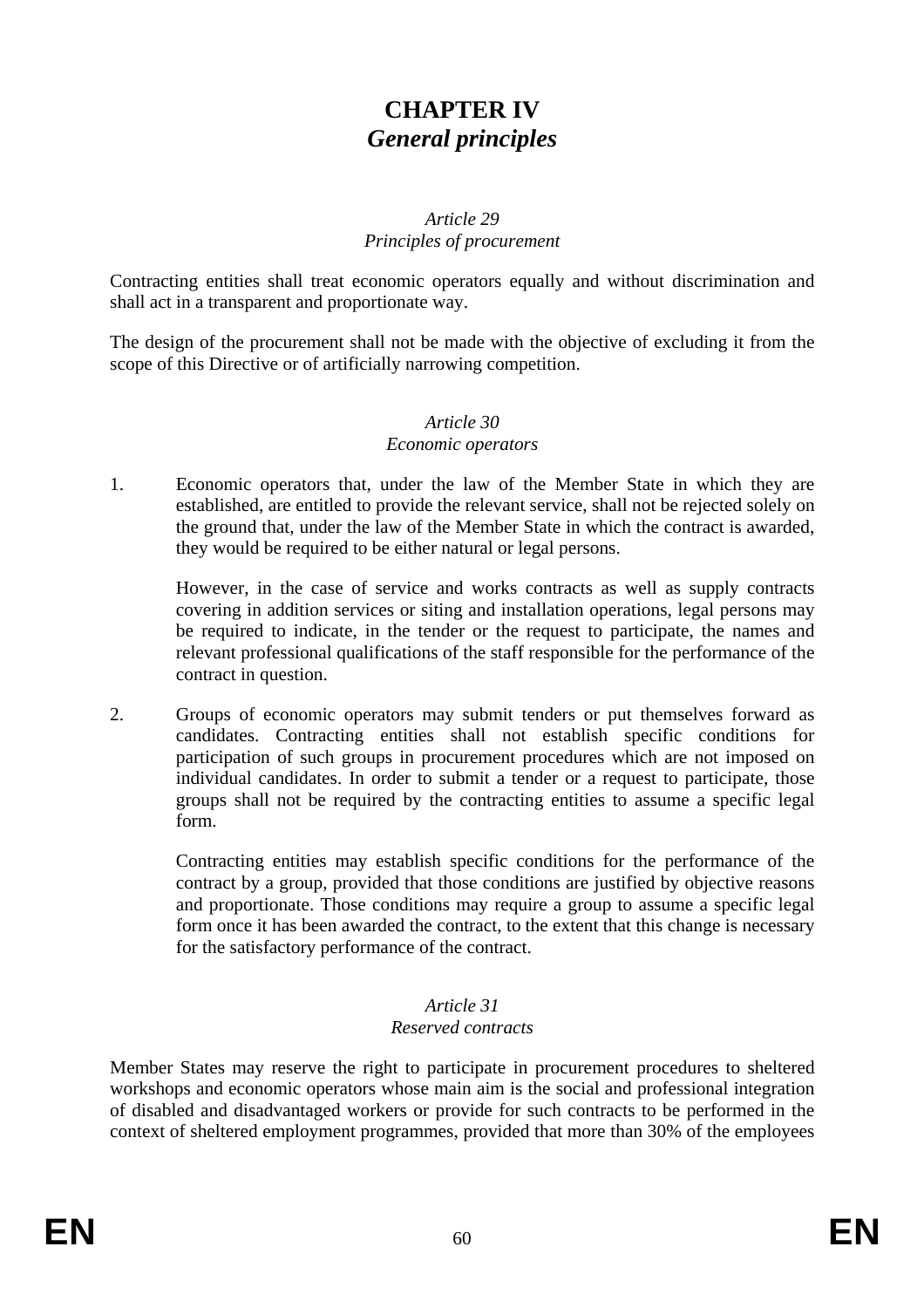## **CHAPTER IV**  *General principles*

#### *Article 29 Principles of procurement*

Contracting entities shall treat economic operators equally and without discrimination and shall act in a transparent and proportionate way.

The design of the procurement shall not be made with the objective of excluding it from the scope of this Directive or of artificially narrowing competition.

#### *Article 30 Economic operators*

1. Economic operators that, under the law of the Member State in which they are established, are entitled to provide the relevant service, shall not be rejected solely on the ground that, under the law of the Member State in which the contract is awarded, they would be required to be either natural or legal persons.

However, in the case of service and works contracts as well as supply contracts covering in addition services or siting and installation operations, legal persons may be required to indicate, in the tender or the request to participate, the names and relevant professional qualifications of the staff responsible for the performance of the contract in question.

2. Groups of economic operators may submit tenders or put themselves forward as candidates. Contracting entities shall not establish specific conditions for participation of such groups in procurement procedures which are not imposed on individual candidates. In order to submit a tender or a request to participate, those groups shall not be required by the contracting entities to assume a specific legal form.

Contracting entities may establish specific conditions for the performance of the contract by a group, provided that those conditions are justified by objective reasons and proportionate. Those conditions may require a group to assume a specific legal form once it has been awarded the contract, to the extent that this change is necessary for the satisfactory performance of the contract.

#### *Article 31 Reserved contracts*

Member States may reserve the right to participate in procurement procedures to sheltered workshops and economic operators whose main aim is the social and professional integration of disabled and disadvantaged workers or provide for such contracts to be performed in the context of sheltered employment programmes, provided that more than 30% of the employees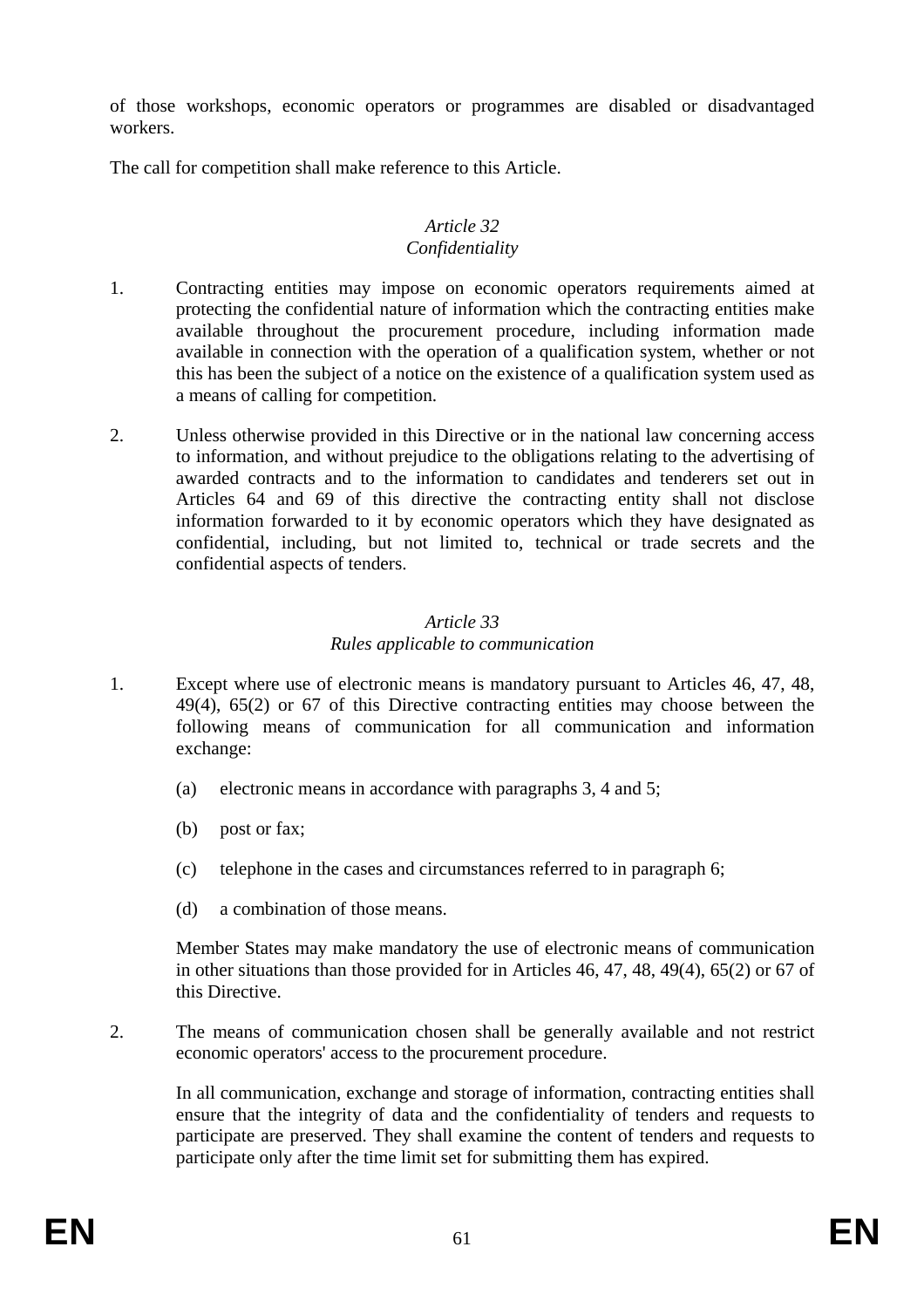of those workshops, economic operators or programmes are disabled or disadvantaged workers.

The call for competition shall make reference to this Article.

# *Article 32*

### *Confidentiality*

- 1. Contracting entities may impose on economic operators requirements aimed at protecting the confidential nature of information which the contracting entities make available throughout the procurement procedure, including information made available in connection with the operation of a qualification system, whether or not this has been the subject of a notice on the existence of a qualification system used as a means of calling for competition.
- 2. Unless otherwise provided in this Directive or in the national law concerning access to information, and without prejudice to the obligations relating to the advertising of awarded contracts and to the information to candidates and tenderers set out in Articles 64 and 69 of this directive the contracting entity shall not disclose information forwarded to it by economic operators which they have designated as confidential, including, but not limited to, technical or trade secrets and the confidential aspects of tenders.

### *Article 33 Rules applicable to communication*

- 1. Except where use of electronic means is mandatory pursuant to Articles 46, 47, 48, 49(4), 65(2) or 67 of this Directive contracting entities may choose between the following means of communication for all communication and information exchange:
	- (a) electronic means in accordance with paragraphs 3, 4 and 5;
	- (b) post or fax;
	- (c) telephone in the cases and circumstances referred to in paragraph 6;
	- (d) a combination of those means.

Member States may make mandatory the use of electronic means of communication in other situations than those provided for in Articles 46, 47, 48, 49(4), 65(2) or 67 of this Directive.

2. The means of communication chosen shall be generally available and not restrict economic operators' access to the procurement procedure.

In all communication, exchange and storage of information, contracting entities shall ensure that the integrity of data and the confidentiality of tenders and requests to participate are preserved. They shall examine the content of tenders and requests to participate only after the time limit set for submitting them has expired.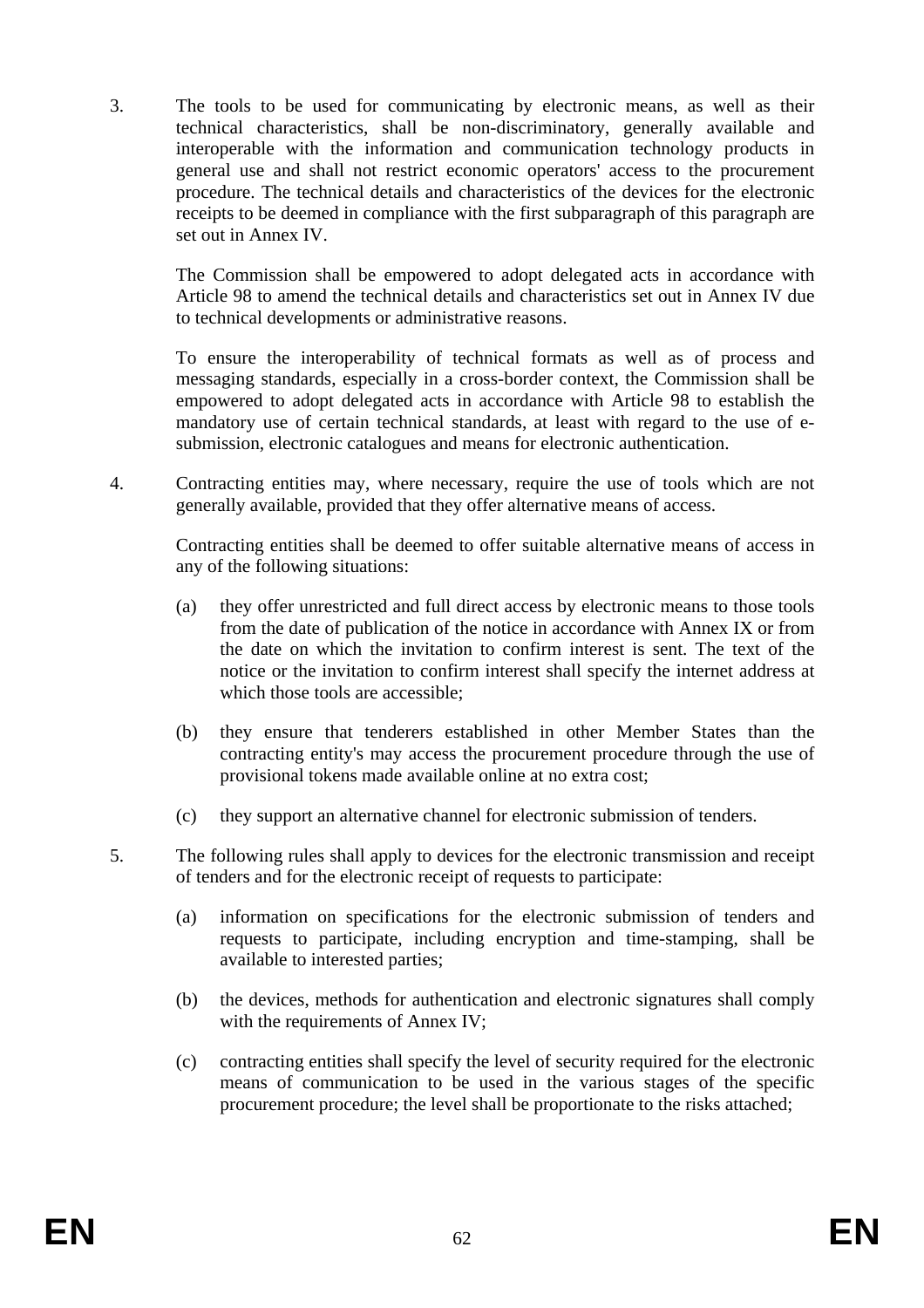3. The tools to be used for communicating by electronic means, as well as their technical characteristics, shall be non-discriminatory, generally available and interoperable with the information and communication technology products in general use and shall not restrict economic operators' access to the procurement procedure. The technical details and characteristics of the devices for the electronic receipts to be deemed in compliance with the first subparagraph of this paragraph are set out in Annex IV.

The Commission shall be empowered to adopt delegated acts in accordance with Article 98 to amend the technical details and characteristics set out in Annex IV due to technical developments or administrative reasons.

To ensure the interoperability of technical formats as well as of process and messaging standards, especially in a cross-border context, the Commission shall be empowered to adopt delegated acts in accordance with Article 98 to establish the mandatory use of certain technical standards, at least with regard to the use of esubmission, electronic catalogues and means for electronic authentication.

4. Contracting entities may, where necessary, require the use of tools which are not generally available, provided that they offer alternative means of access.

Contracting entities shall be deemed to offer suitable alternative means of access in any of the following situations:

- (a) they offer unrestricted and full direct access by electronic means to those tools from the date of publication of the notice in accordance with Annex IX or from the date on which the invitation to confirm interest is sent. The text of the notice or the invitation to confirm interest shall specify the internet address at which those tools are accessible;
- (b) they ensure that tenderers established in other Member States than the contracting entity's may access the procurement procedure through the use of provisional tokens made available online at no extra cost;
- (c) they support an alternative channel for electronic submission of tenders.
- 5. The following rules shall apply to devices for the electronic transmission and receipt of tenders and for the electronic receipt of requests to participate:
	- (a) information on specifications for the electronic submission of tenders and requests to participate, including encryption and time-stamping, shall be available to interested parties;
	- (b) the devices, methods for authentication and electronic signatures shall comply with the requirements of Annex IV;
	- (c) contracting entities shall specify the level of security required for the electronic means of communication to be used in the various stages of the specific procurement procedure; the level shall be proportionate to the risks attached;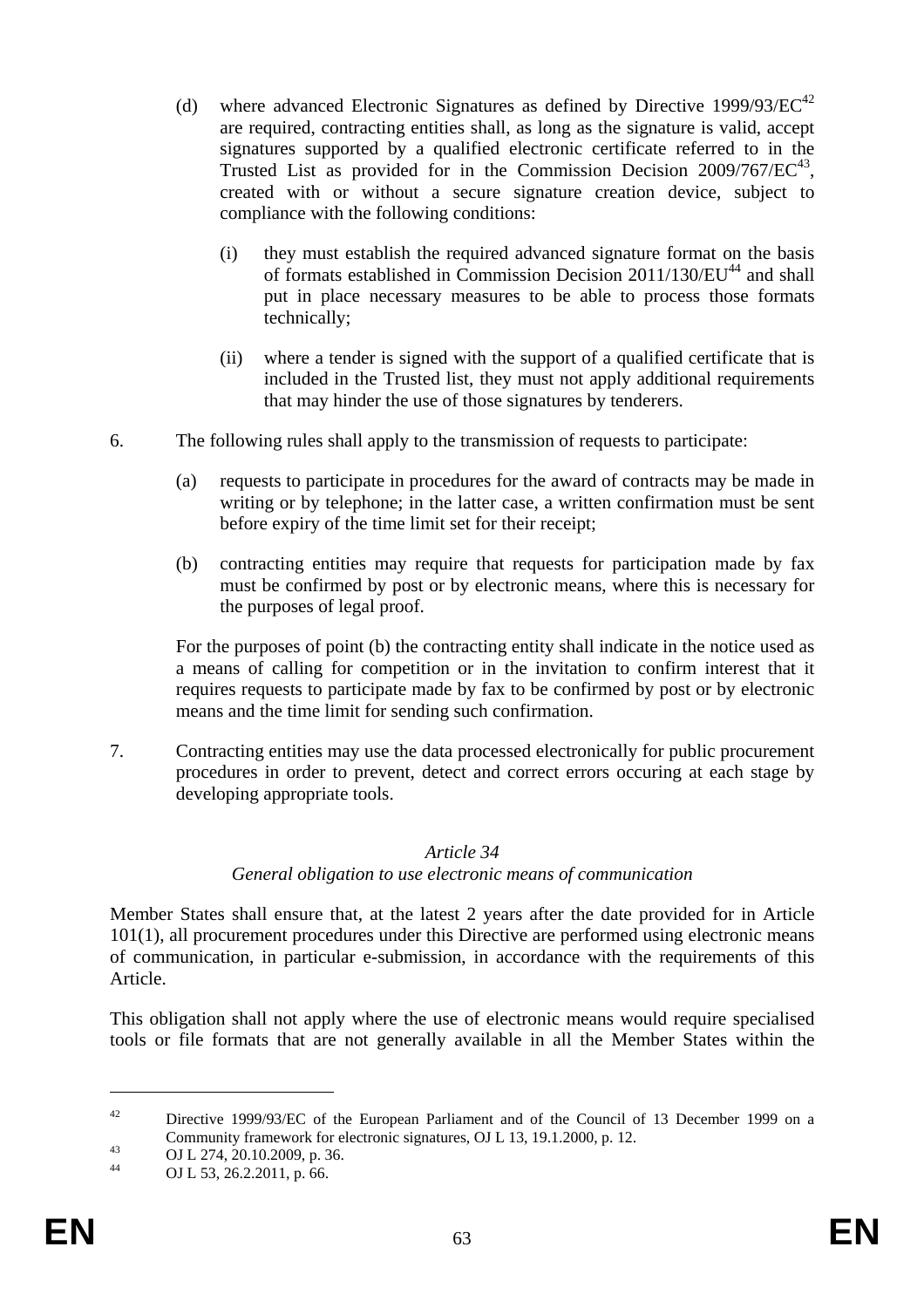- (d) where advanced Electronic Signatures as defined by Directive 1999/93/ $\mathrm{EC}^{42}$ are required, contracting entities shall, as long as the signature is valid, accept signatures supported by a qualified electronic certificate referred to in the Trusted List as provided for in the Commission Decision  $2009/767/EC^{43}$ . created with or without a secure signature creation device, subject to compliance with the following conditions:
	- (i) they must establish the required advanced signature format on the basis of formats established in Commission Decision  $2011/130/EU<sup>44</sup>$  and shall put in place necessary measures to be able to process those formats technically;
	- (ii) where a tender is signed with the support of a qualified certificate that is included in the Trusted list, they must not apply additional requirements that may hinder the use of those signatures by tenderers.
- 6. The following rules shall apply to the transmission of requests to participate:
	- (a) requests to participate in procedures for the award of contracts may be made in writing or by telephone; in the latter case, a written confirmation must be sent before expiry of the time limit set for their receipt;
	- (b) contracting entities may require that requests for participation made by fax must be confirmed by post or by electronic means, where this is necessary for the purposes of legal proof.

For the purposes of point (b) the contracting entity shall indicate in the notice used as a means of calling for competition or in the invitation to confirm interest that it requires requests to participate made by fax to be confirmed by post or by electronic means and the time limit for sending such confirmation.

7. Contracting entities may use the data processed electronically for public procurement procedures in order to prevent, detect and correct errors occuring at each stage by developing appropriate tools.

#### *Article 34*

#### *General obligation to use electronic means of communication*

Member States shall ensure that, at the latest 2 years after the date provided for in Article 101(1), all procurement procedures under this Directive are performed using electronic means of communication, in particular e-submission, in accordance with the requirements of this Article.

This obligation shall not apply where the use of electronic means would require specialised tools or file formats that are not generally available in all the Member States within the

1

<sup>&</sup>lt;sup>42</sup> Directive 1999/93/EC of the European Parliament and of the Council of 13 December 1999 on a Community framework for electronic signatures, OJ L 13, 19.1.2000, p. 12.<br>
OJ L 274, 20.10.2009, p. 36.<br>
OJ L 52, 26.20011, p. 66.

OJ L 53, 26.2.2011, p. 66.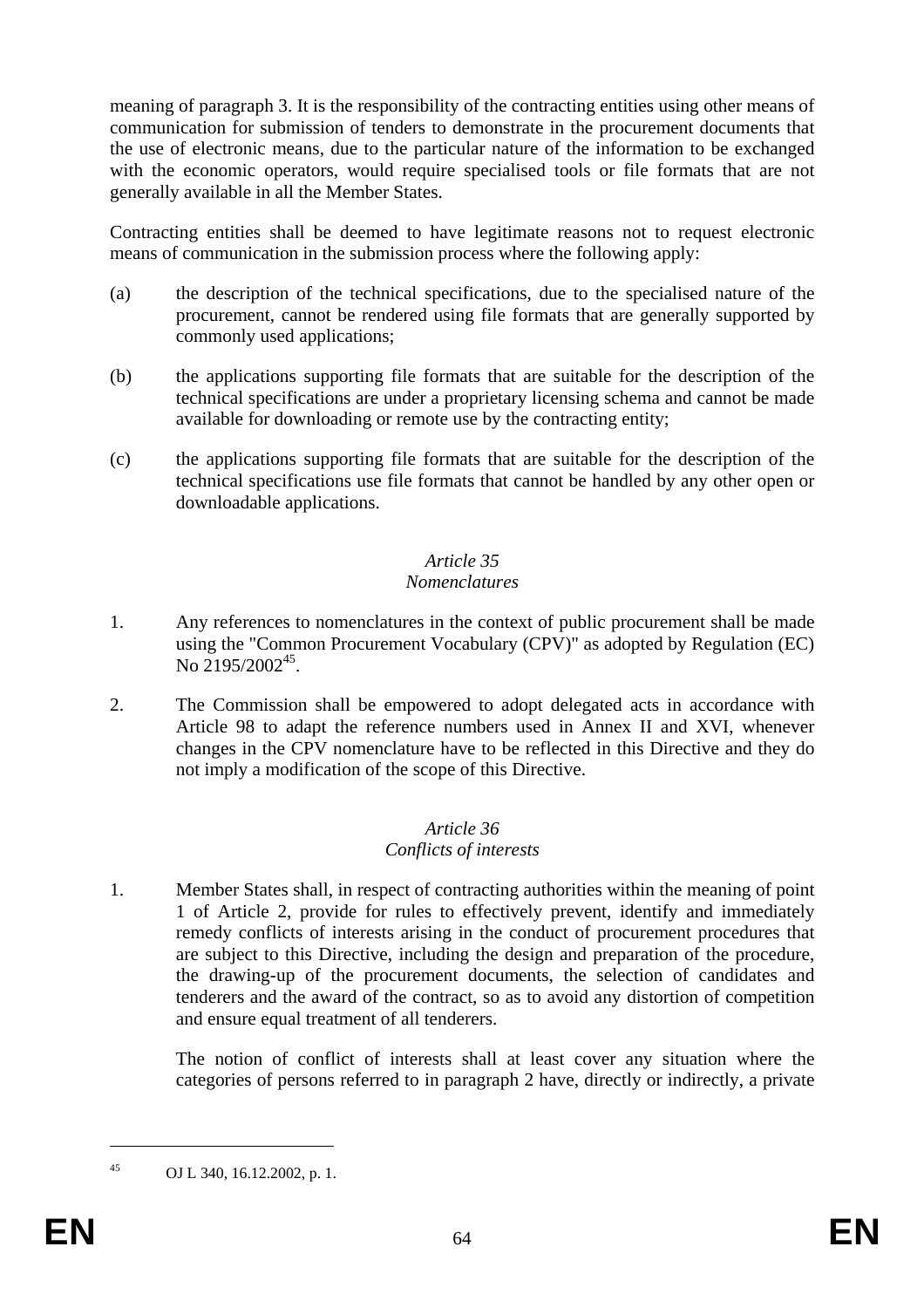meaning of paragraph 3. It is the responsibility of the contracting entities using other means of communication for submission of tenders to demonstrate in the procurement documents that the use of electronic means, due to the particular nature of the information to be exchanged with the economic operators, would require specialised tools or file formats that are not generally available in all the Member States.

Contracting entities shall be deemed to have legitimate reasons not to request electronic means of communication in the submission process where the following apply:

- (a) the description of the technical specifications, due to the specialised nature of the procurement, cannot be rendered using file formats that are generally supported by commonly used applications;
- (b) the applications supporting file formats that are suitable for the description of the technical specifications are under a proprietary licensing schema and cannot be made available for downloading or remote use by the contracting entity;
- (c) the applications supporting file formats that are suitable for the description of the technical specifications use file formats that cannot be handled by any other open or downloadable applications.

### *Article 35*

#### *Nomenclatures*

- 1. Any references to nomenclatures in the context of public procurement shall be made using the "Common Procurement Vocabulary (CPV)" as adopted by Regulation (EC) No  $2195/2002^{45}$ .
- 2. The Commission shall be empowered to adopt delegated acts in accordance with Article 98 to adapt the reference numbers used in Annex II and XVI, whenever changes in the CPV nomenclature have to be reflected in this Directive and they do not imply a modification of the scope of this Directive.

#### *Article 36 Conflicts of interests*

1. Member States shall, in respect of contracting authorities within the meaning of point 1 of Article 2, provide for rules to effectively prevent, identify and immediately remedy conflicts of interests arising in the conduct of procurement procedures that are subject to this Directive, including the design and preparation of the procedure, the drawing-up of the procurement documents, the selection of candidates and tenderers and the award of the contract, so as to avoid any distortion of competition and ensure equal treatment of all tenderers.

The notion of conflict of interests shall at least cover any situation where the categories of persons referred to in paragraph 2 have, directly or indirectly, a private

1

<sup>45</sup> OJ L 340, 16.12.2002, p. 1.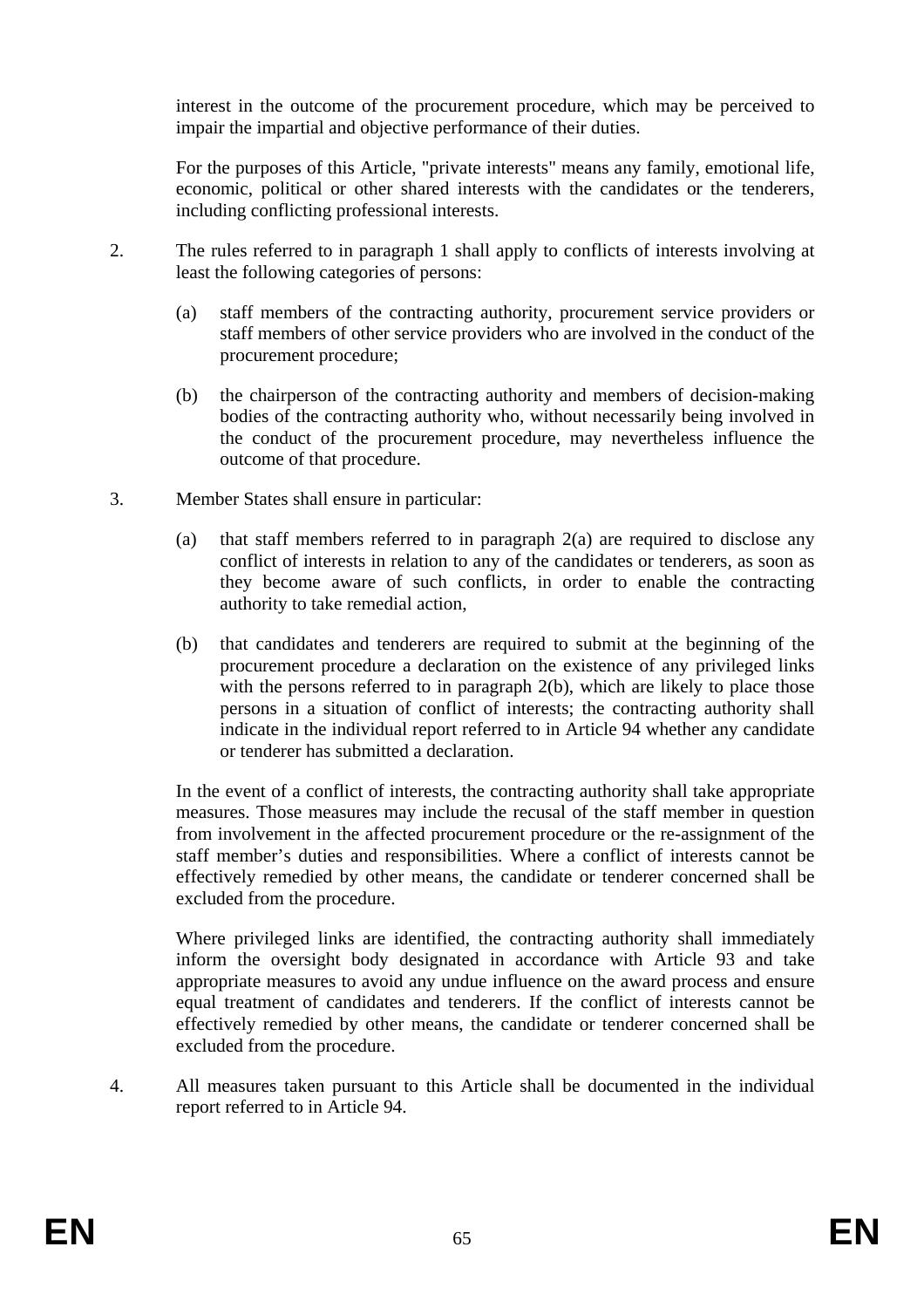interest in the outcome of the procurement procedure, which may be perceived to impair the impartial and objective performance of their duties.

For the purposes of this Article, "private interests" means any family, emotional life, economic, political or other shared interests with the candidates or the tenderers, including conflicting professional interests.

- 2. The rules referred to in paragraph 1 shall apply to conflicts of interests involving at least the following categories of persons:
	- (a) staff members of the contracting authority, procurement service providers or staff members of other service providers who are involved in the conduct of the procurement procedure;
	- (b) the chairperson of the contracting authority and members of decision-making bodies of the contracting authority who, without necessarily being involved in the conduct of the procurement procedure, may nevertheless influence the outcome of that procedure.
- 3. Member States shall ensure in particular:
	- (a) that staff members referred to in paragraph 2(a) are required to disclose any conflict of interests in relation to any of the candidates or tenderers, as soon as they become aware of such conflicts, in order to enable the contracting authority to take remedial action,
	- (b) that candidates and tenderers are required to submit at the beginning of the procurement procedure a declaration on the existence of any privileged links with the persons referred to in paragraph 2(b), which are likely to place those persons in a situation of conflict of interests; the contracting authority shall indicate in the individual report referred to in Article 94 whether any candidate or tenderer has submitted a declaration.

In the event of a conflict of interests, the contracting authority shall take appropriate measures. Those measures may include the recusal of the staff member in question from involvement in the affected procurement procedure or the re-assignment of the staff member's duties and responsibilities. Where a conflict of interests cannot be effectively remedied by other means, the candidate or tenderer concerned shall be excluded from the procedure.

Where privileged links are identified, the contracting authority shall immediately inform the oversight body designated in accordance with Article 93 and take appropriate measures to avoid any undue influence on the award process and ensure equal treatment of candidates and tenderers. If the conflict of interests cannot be effectively remedied by other means, the candidate or tenderer concerned shall be excluded from the procedure.

4. All measures taken pursuant to this Article shall be documented in the individual report referred to in Article 94.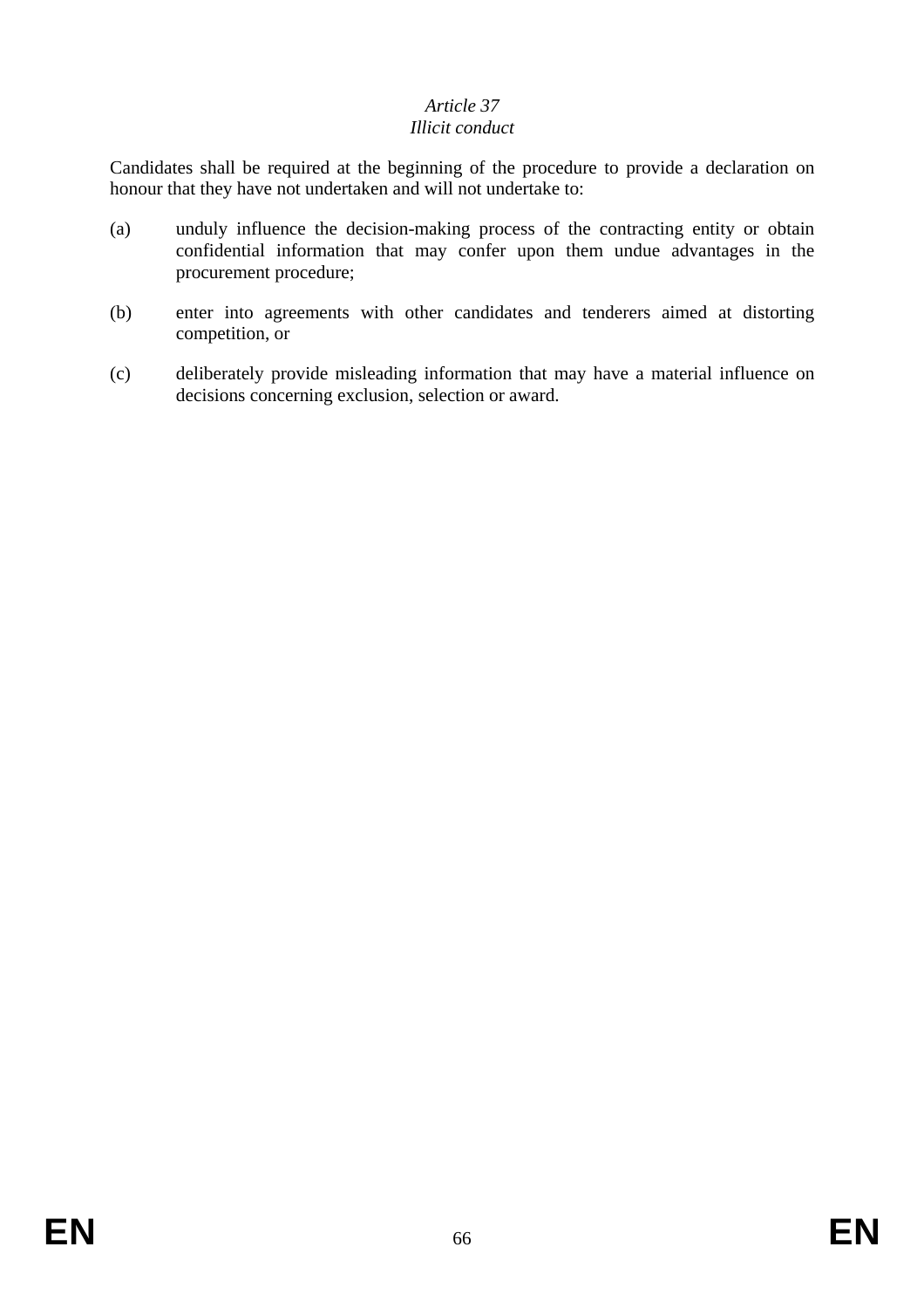### *Article 37*

#### *Illicit conduct*

Candidates shall be required at the beginning of the procedure to provide a declaration on honour that they have not undertaken and will not undertake to:

- (a) unduly influence the decision-making process of the contracting entity or obtain confidential information that may confer upon them undue advantages in the procurement procedure;
- (b) enter into agreements with other candidates and tenderers aimed at distorting competition, or
- (c) deliberately provide misleading information that may have a material influence on decisions concerning exclusion, selection or award.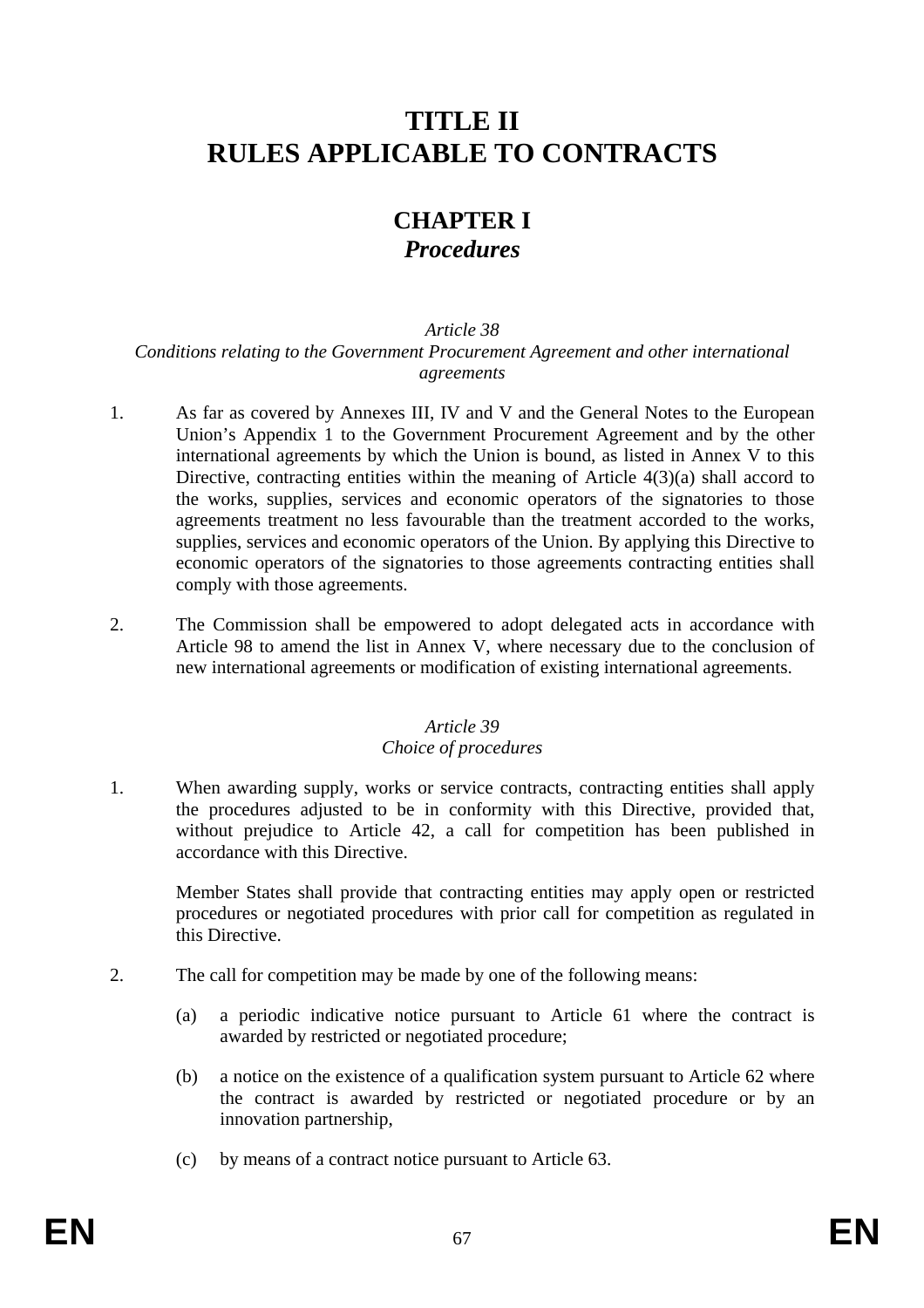# **TITLE II RULES APPLICABLE TO CONTRACTS**

## **CHAPTER I**  *Procedures*

#### *Article 38*

#### *Conditions relating to the Government Procurement Agreement and other international agreements*

- 1. As far as covered by Annexes III, IV and V and the General Notes to the European Union's Appendix 1 to the Government Procurement Agreement and by the other international agreements by which the Union is bound, as listed in Annex V to this Directive, contracting entities within the meaning of Article 4(3)(a) shall accord to the works, supplies, services and economic operators of the signatories to those agreements treatment no less favourable than the treatment accorded to the works, supplies, services and economic operators of the Union. By applying this Directive to economic operators of the signatories to those agreements contracting entities shall comply with those agreements.
- 2. The Commission shall be empowered to adopt delegated acts in accordance with Article 98 to amend the list in Annex V, where necessary due to the conclusion of new international agreements or modification of existing international agreements.

#### *Article 39*

#### *Choice of procedures*

1. When awarding supply, works or service contracts, contracting entities shall apply the procedures adjusted to be in conformity with this Directive, provided that, without prejudice to Article 42, a call for competition has been published in accordance with this Directive.

Member States shall provide that contracting entities may apply open or restricted procedures or negotiated procedures with prior call for competition as regulated in this Directive.

- 2. The call for competition may be made by one of the following means:
	- (a) a periodic indicative notice pursuant to Article 61 where the contract is awarded by restricted or negotiated procedure;
	- (b) a notice on the existence of a qualification system pursuant to Article 62 where the contract is awarded by restricted or negotiated procedure or by an innovation partnership,
	- (c) by means of a contract notice pursuant to Article 63.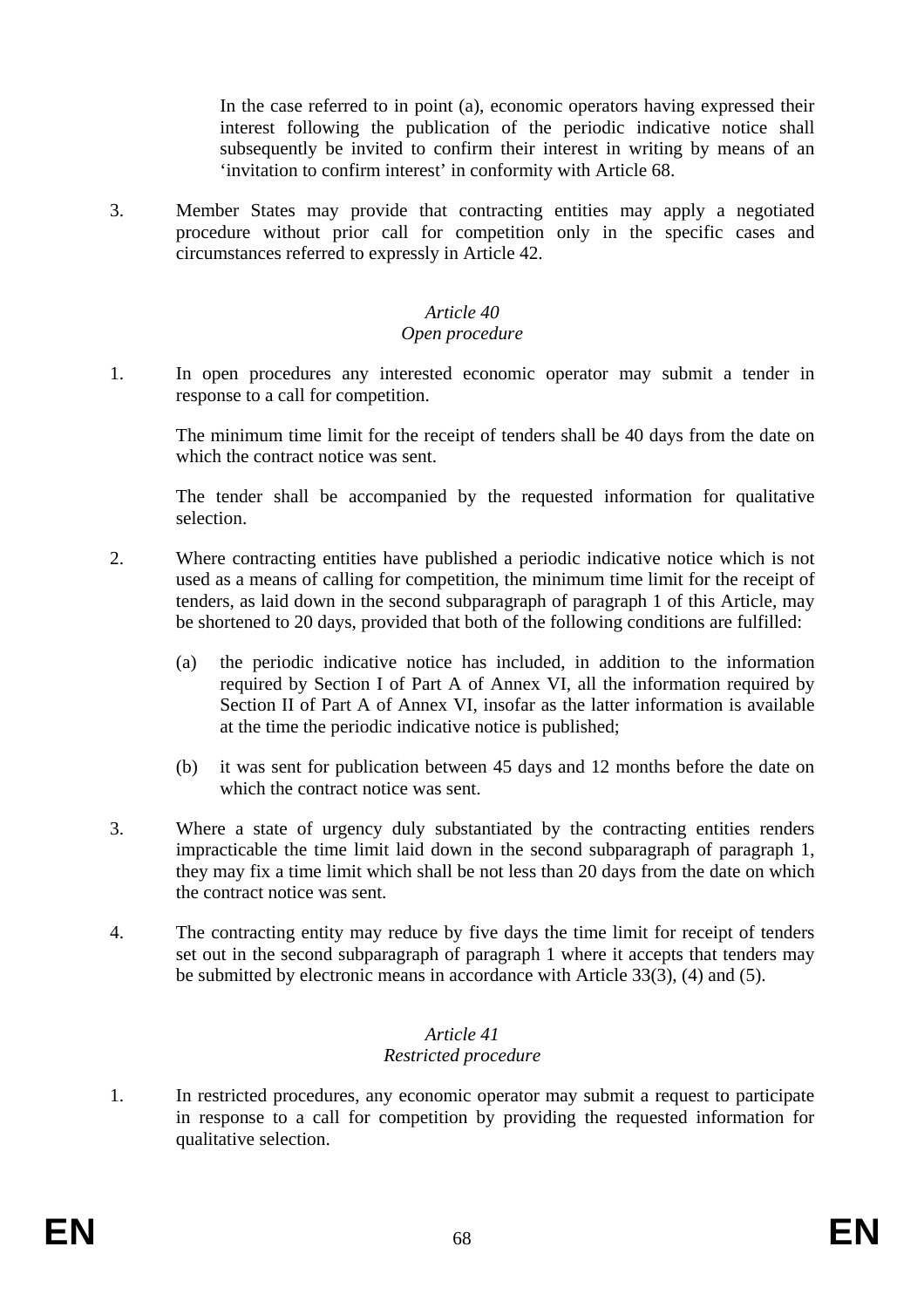In the case referred to in point (a), economic operators having expressed their interest following the publication of the periodic indicative notice shall subsequently be invited to confirm their interest in writing by means of an 'invitation to confirm interest' in conformity with Article 68.

3. Member States may provide that contracting entities may apply a negotiated procedure without prior call for competition only in the specific cases and circumstances referred to expressly in Article 42.

#### *Article 40*

#### *Open procedure*

1. In open procedures any interested economic operator may submit a tender in response to a call for competition.

The minimum time limit for the receipt of tenders shall be 40 days from the date on which the contract notice was sent.

The tender shall be accompanied by the requested information for qualitative selection.

- 2. Where contracting entities have published a periodic indicative notice which is not used as a means of calling for competition, the minimum time limit for the receipt of tenders, as laid down in the second subparagraph of paragraph 1 of this Article, may be shortened to 20 days, provided that both of the following conditions are fulfilled:
	- (a) the periodic indicative notice has included, in addition to the information required by Section I of Part A of Annex VI, all the information required by Section II of Part A of Annex VI, insofar as the latter information is available at the time the periodic indicative notice is published;
	- (b) it was sent for publication between 45 days and 12 months before the date on which the contract notice was sent.
- 3. Where a state of urgency duly substantiated by the contracting entities renders impracticable the time limit laid down in the second subparagraph of paragraph 1, they may fix a time limit which shall be not less than 20 days from the date on which the contract notice was sent.
- 4. The contracting entity may reduce by five days the time limit for receipt of tenders set out in the second subparagraph of paragraph 1 where it accepts that tenders may be submitted by electronic means in accordance with Article 33(3), (4) and (5).

#### *Article 41 Restricted procedure*

1. In restricted procedures, any economic operator may submit a request to participate in response to a call for competition by providing the requested information for qualitative selection.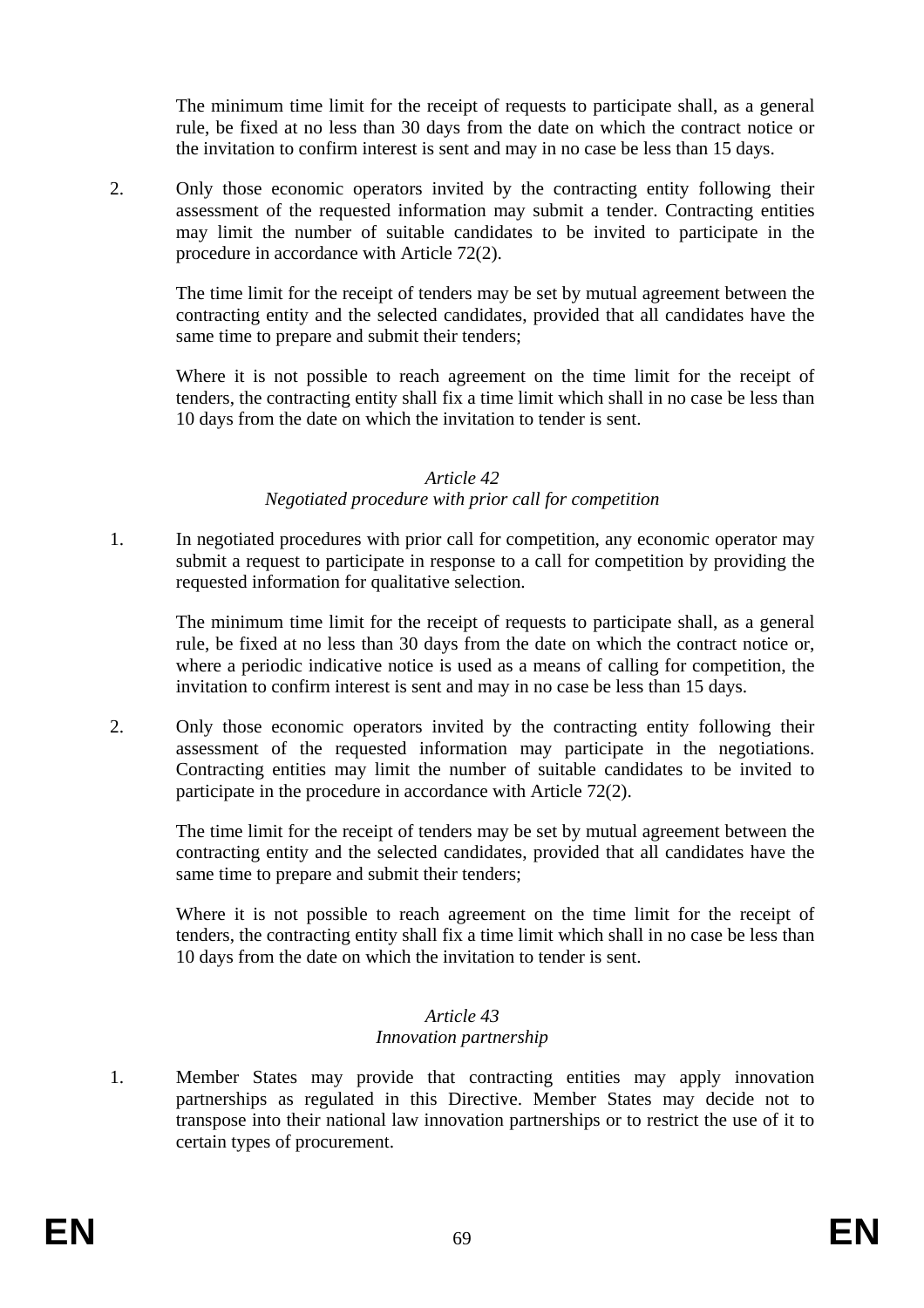The minimum time limit for the receipt of requests to participate shall, as a general rule, be fixed at no less than 30 days from the date on which the contract notice or the invitation to confirm interest is sent and may in no case be less than 15 days.

2. Only those economic operators invited by the contracting entity following their assessment of the requested information may submit a tender. Contracting entities may limit the number of suitable candidates to be invited to participate in the procedure in accordance with Article 72(2).

The time limit for the receipt of tenders may be set by mutual agreement between the contracting entity and the selected candidates, provided that all candidates have the same time to prepare and submit their tenders;

Where it is not possible to reach agreement on the time limit for the receipt of tenders, the contracting entity shall fix a time limit which shall in no case be less than 10 days from the date on which the invitation to tender is sent.

#### *Article 42 Negotiated procedure with prior call for competition*

1. In negotiated procedures with prior call for competition, any economic operator may submit a request to participate in response to a call for competition by providing the requested information for qualitative selection.

The minimum time limit for the receipt of requests to participate shall, as a general rule, be fixed at no less than 30 days from the date on which the contract notice or, where a periodic indicative notice is used as a means of calling for competition, the invitation to confirm interest is sent and may in no case be less than 15 days.

2. Only those economic operators invited by the contracting entity following their assessment of the requested information may participate in the negotiations. Contracting entities may limit the number of suitable candidates to be invited to participate in the procedure in accordance with Article 72(2).

The time limit for the receipt of tenders may be set by mutual agreement between the contracting entity and the selected candidates, provided that all candidates have the same time to prepare and submit their tenders;

Where it is not possible to reach agreement on the time limit for the receipt of tenders, the contracting entity shall fix a time limit which shall in no case be less than 10 days from the date on which the invitation to tender is sent.

#### *Article 43 Innovation partnership*

1. Member States may provide that contracting entities may apply innovation partnerships as regulated in this Directive. Member States may decide not to transpose into their national law innovation partnerships or to restrict the use of it to certain types of procurement.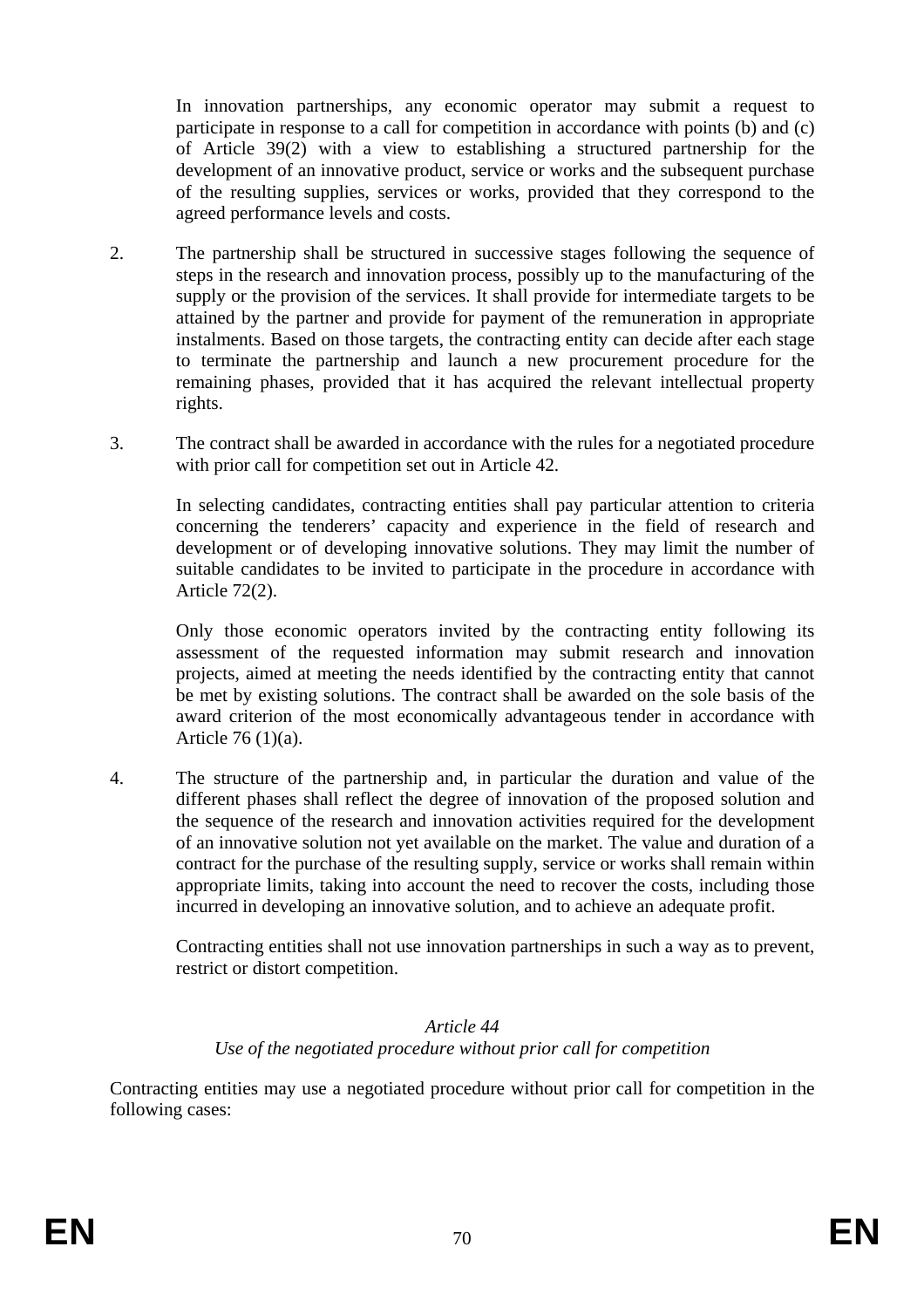In innovation partnerships, any economic operator may submit a request to participate in response to a call for competition in accordance with points (b) and (c) of Article 39(2) with a view to establishing a structured partnership for the development of an innovative product, service or works and the subsequent purchase of the resulting supplies, services or works, provided that they correspond to the agreed performance levels and costs.

- 2. The partnership shall be structured in successive stages following the sequence of steps in the research and innovation process, possibly up to the manufacturing of the supply or the provision of the services. It shall provide for intermediate targets to be attained by the partner and provide for payment of the remuneration in appropriate instalments. Based on those targets, the contracting entity can decide after each stage to terminate the partnership and launch a new procurement procedure for the remaining phases, provided that it has acquired the relevant intellectual property rights.
- 3. The contract shall be awarded in accordance with the rules for a negotiated procedure with prior call for competition set out in Article 42.

In selecting candidates, contracting entities shall pay particular attention to criteria concerning the tenderers' capacity and experience in the field of research and development or of developing innovative solutions. They may limit the number of suitable candidates to be invited to participate in the procedure in accordance with Article 72(2).

Only those economic operators invited by the contracting entity following its assessment of the requested information may submit research and innovation projects, aimed at meeting the needs identified by the contracting entity that cannot be met by existing solutions. The contract shall be awarded on the sole basis of the award criterion of the most economically advantageous tender in accordance with Article 76 (1)(a).

4. The structure of the partnership and, in particular the duration and value of the different phases shall reflect the degree of innovation of the proposed solution and the sequence of the research and innovation activities required for the development of an innovative solution not yet available on the market. The value and duration of a contract for the purchase of the resulting supply, service or works shall remain within appropriate limits, taking into account the need to recover the costs, including those incurred in developing an innovative solution, and to achieve an adequate profit.

Contracting entities shall not use innovation partnerships in such a way as to prevent, restrict or distort competition.

#### *Article 44 Use of the negotiated procedure without prior call for competition*

Contracting entities may use a negotiated procedure without prior call for competition in the following cases: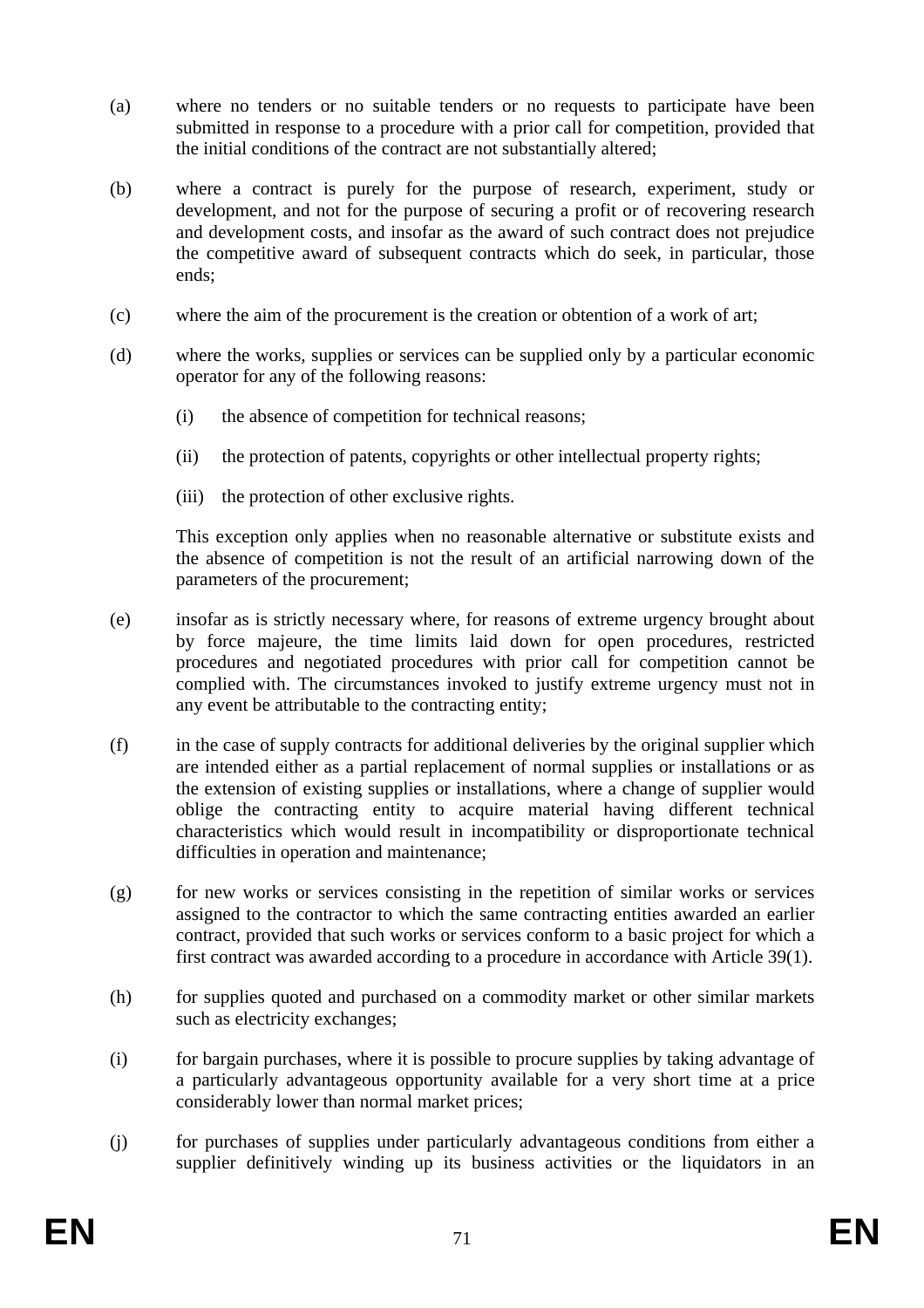- (a) where no tenders or no suitable tenders or no requests to participate have been submitted in response to a procedure with a prior call for competition, provided that the initial conditions of the contract are not substantially altered;
- (b) where a contract is purely for the purpose of research, experiment, study or development, and not for the purpose of securing a profit or of recovering research and development costs, and insofar as the award of such contract does not prejudice the competitive award of subsequent contracts which do seek, in particular, those ends;
- (c) where the aim of the procurement is the creation or obtention of a work of art;
- (d) where the works, supplies or services can be supplied only by a particular economic operator for any of the following reasons:
	- (i) the absence of competition for technical reasons;
	- (ii) the protection of patents, copyrights or other intellectual property rights;
	- (iii) the protection of other exclusive rights.

This exception only applies when no reasonable alternative or substitute exists and the absence of competition is not the result of an artificial narrowing down of the parameters of the procurement;

- (e) insofar as is strictly necessary where, for reasons of extreme urgency brought about by force majeure, the time limits laid down for open procedures, restricted procedures and negotiated procedures with prior call for competition cannot be complied with. The circumstances invoked to justify extreme urgency must not in any event be attributable to the contracting entity;
- (f) in the case of supply contracts for additional deliveries by the original supplier which are intended either as a partial replacement of normal supplies or installations or as the extension of existing supplies or installations, where a change of supplier would oblige the contracting entity to acquire material having different technical characteristics which would result in incompatibility or disproportionate technical difficulties in operation and maintenance;
- (g) for new works or services consisting in the repetition of similar works or services assigned to the contractor to which the same contracting entities awarded an earlier contract, provided that such works or services conform to a basic project for which a first contract was awarded according to a procedure in accordance with Article 39(1).
- (h) for supplies quoted and purchased on a commodity market or other similar markets such as electricity exchanges;
- (i) for bargain purchases, where it is possible to procure supplies by taking advantage of a particularly advantageous opportunity available for a very short time at a price considerably lower than normal market prices;
- (j) for purchases of supplies under particularly advantageous conditions from either a supplier definitively winding up its business activities or the liquidators in an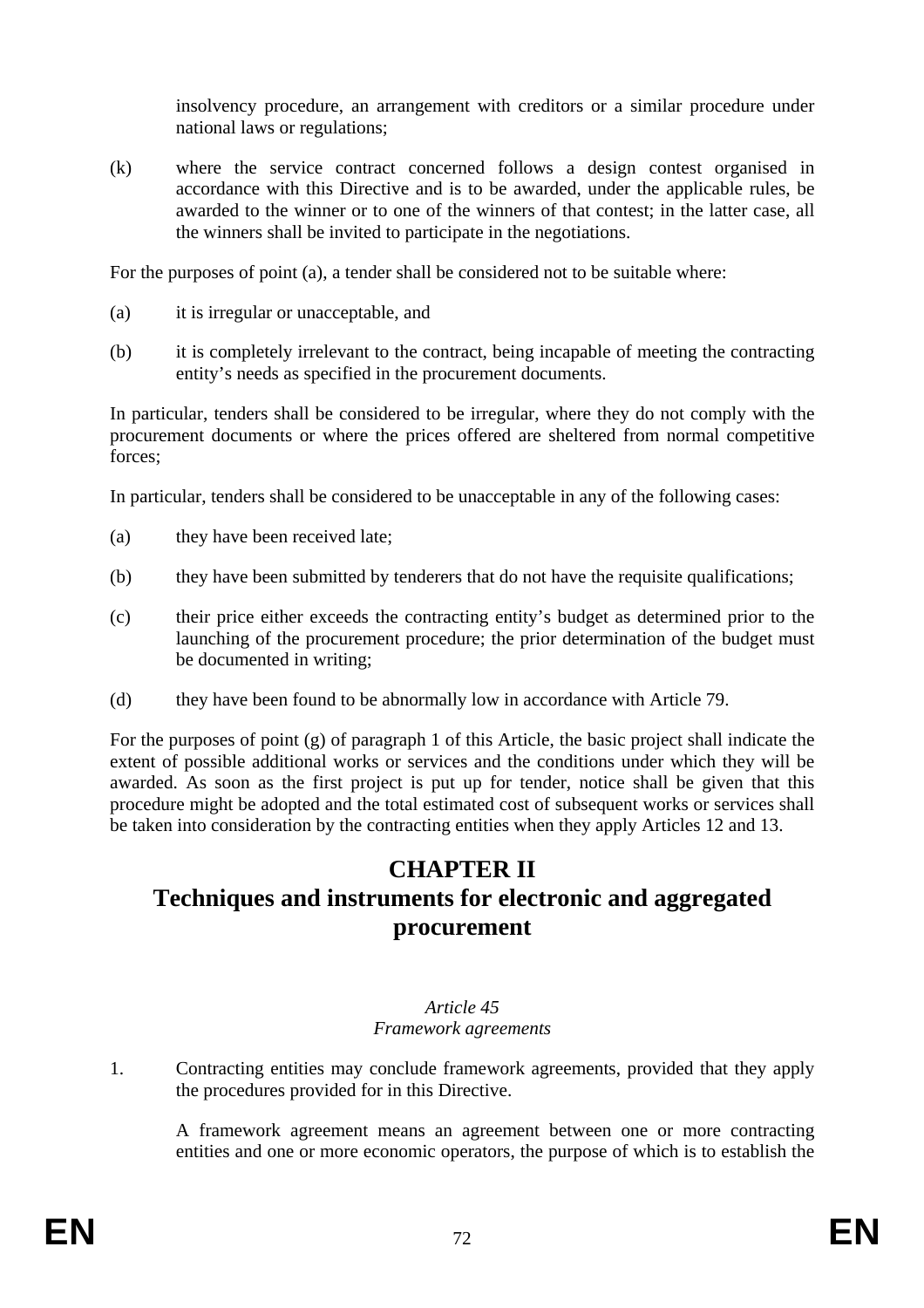insolvency procedure, an arrangement with creditors or a similar procedure under national laws or regulations;

(k) where the service contract concerned follows a design contest organised in accordance with this Directive and is to be awarded, under the applicable rules, be awarded to the winner or to one of the winners of that contest; in the latter case, all the winners shall be invited to participate in the negotiations.

For the purposes of point (a), a tender shall be considered not to be suitable where:

- (a) it is irregular or unacceptable, and
- (b) it is completely irrelevant to the contract, being incapable of meeting the contracting entity's needs as specified in the procurement documents.

In particular, tenders shall be considered to be irregular, where they do not comply with the procurement documents or where the prices offered are sheltered from normal competitive forces;

In particular, tenders shall be considered to be unacceptable in any of the following cases:

- (a) they have been received late;
- (b) they have been submitted by tenderers that do not have the requisite qualifications;
- (c) their price either exceeds the contracting entity's budget as determined prior to the launching of the procurement procedure; the prior determination of the budget must be documented in writing;
- (d) they have been found to be abnormally low in accordance with Article 79.

For the purposes of point  $(g)$  of paragraph 1 of this Article, the basic project shall indicate the extent of possible additional works or services and the conditions under which they will be awarded. As soon as the first project is put up for tender, notice shall be given that this procedure might be adopted and the total estimated cost of subsequent works or services shall be taken into consideration by the contracting entities when they apply Articles 12 and 13.

## **CHAPTER II Techniques and instruments for electronic and aggregated procurement**

#### *Article 45 Framework agreements*

1. Contracting entities may conclude framework agreements, provided that they apply the procedures provided for in this Directive.

A framework agreement means an agreement between one or more contracting entities and one or more economic operators, the purpose of which is to establish the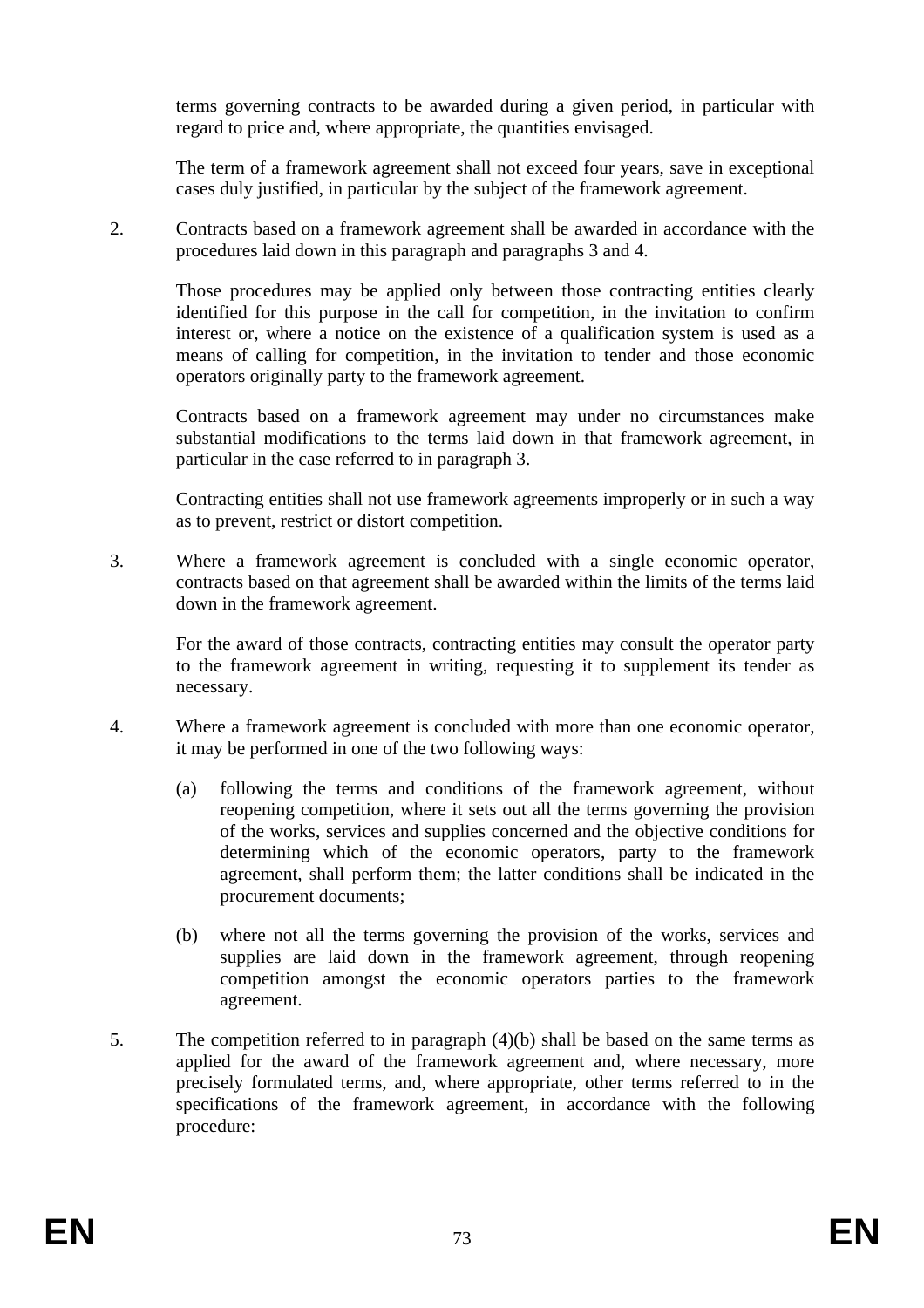terms governing contracts to be awarded during a given period, in particular with regard to price and, where appropriate, the quantities envisaged.

The term of a framework agreement shall not exceed four years, save in exceptional cases duly justified, in particular by the subject of the framework agreement.

2. Contracts based on a framework agreement shall be awarded in accordance with the procedures laid down in this paragraph and paragraphs 3 and 4.

Those procedures may be applied only between those contracting entities clearly identified for this purpose in the call for competition, in the invitation to confirm interest or, where a notice on the existence of a qualification system is used as a means of calling for competition, in the invitation to tender and those economic operators originally party to the framework agreement.

Contracts based on a framework agreement may under no circumstances make substantial modifications to the terms laid down in that framework agreement, in particular in the case referred to in paragraph 3.

Contracting entities shall not use framework agreements improperly or in such a way as to prevent, restrict or distort competition.

3. Where a framework agreement is concluded with a single economic operator, contracts based on that agreement shall be awarded within the limits of the terms laid down in the framework agreement.

For the award of those contracts, contracting entities may consult the operator party to the framework agreement in writing, requesting it to supplement its tender as necessary.

- 4. Where a framework agreement is concluded with more than one economic operator, it may be performed in one of the two following ways:
	- (a) following the terms and conditions of the framework agreement, without reopening competition, where it sets out all the terms governing the provision of the works, services and supplies concerned and the objective conditions for determining which of the economic operators, party to the framework agreement, shall perform them; the latter conditions shall be indicated in the procurement documents;
	- (b) where not all the terms governing the provision of the works, services and supplies are laid down in the framework agreement, through reopening competition amongst the economic operators parties to the framework agreement.
- 5. The competition referred to in paragraph (4)(b) shall be based on the same terms as applied for the award of the framework agreement and, where necessary, more precisely formulated terms, and, where appropriate, other terms referred to in the specifications of the framework agreement, in accordance with the following procedure: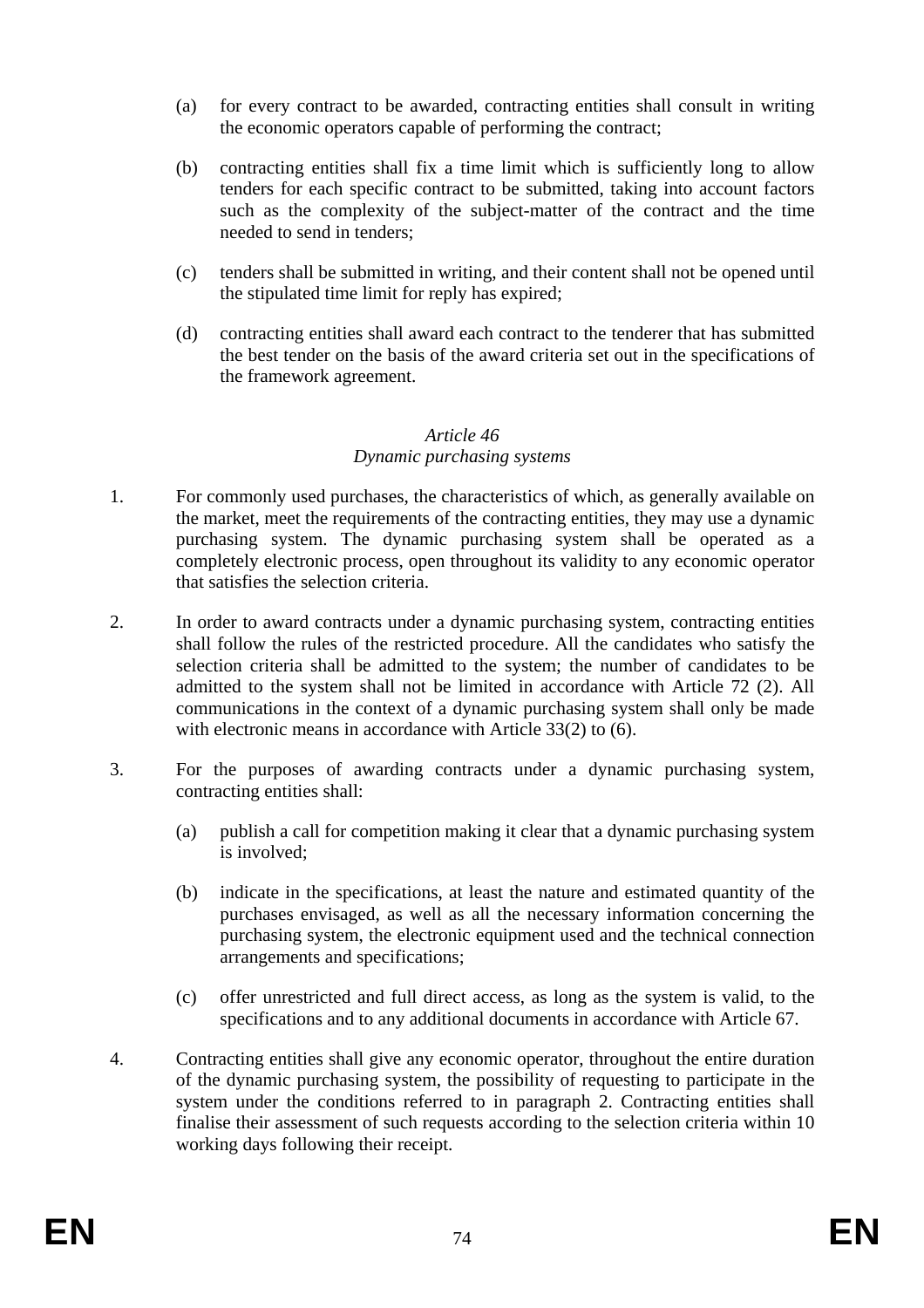- (a) for every contract to be awarded, contracting entities shall consult in writing the economic operators capable of performing the contract;
- (b) contracting entities shall fix a time limit which is sufficiently long to allow tenders for each specific contract to be submitted, taking into account factors such as the complexity of the subject-matter of the contract and the time needed to send in tenders;
- (c) tenders shall be submitted in writing, and their content shall not be opened until the stipulated time limit for reply has expired;
- (d) contracting entities shall award each contract to the tenderer that has submitted the best tender on the basis of the award criteria set out in the specifications of the framework agreement.

## *Article 46 Dynamic purchasing systems*

- 1. For commonly used purchases, the characteristics of which, as generally available on the market, meet the requirements of the contracting entities, they may use a dynamic purchasing system. The dynamic purchasing system shall be operated as a completely electronic process, open throughout its validity to any economic operator that satisfies the selection criteria.
- 2. In order to award contracts under a dynamic purchasing system, contracting entities shall follow the rules of the restricted procedure. All the candidates who satisfy the selection criteria shall be admitted to the system; the number of candidates to be admitted to the system shall not be limited in accordance with Article 72 (2). All communications in the context of a dynamic purchasing system shall only be made with electronic means in accordance with Article 33(2) to (6).
- 3. For the purposes of awarding contracts under a dynamic purchasing system, contracting entities shall:
	- (a) publish a call for competition making it clear that a dynamic purchasing system is involved;
	- (b) indicate in the specifications, at least the nature and estimated quantity of the purchases envisaged, as well as all the necessary information concerning the purchasing system, the electronic equipment used and the technical connection arrangements and specifications;
	- (c) offer unrestricted and full direct access, as long as the system is valid, to the specifications and to any additional documents in accordance with Article 67.
- 4. Contracting entities shall give any economic operator, throughout the entire duration of the dynamic purchasing system, the possibility of requesting to participate in the system under the conditions referred to in paragraph 2. Contracting entities shall finalise their assessment of such requests according to the selection criteria within 10 working days following their receipt.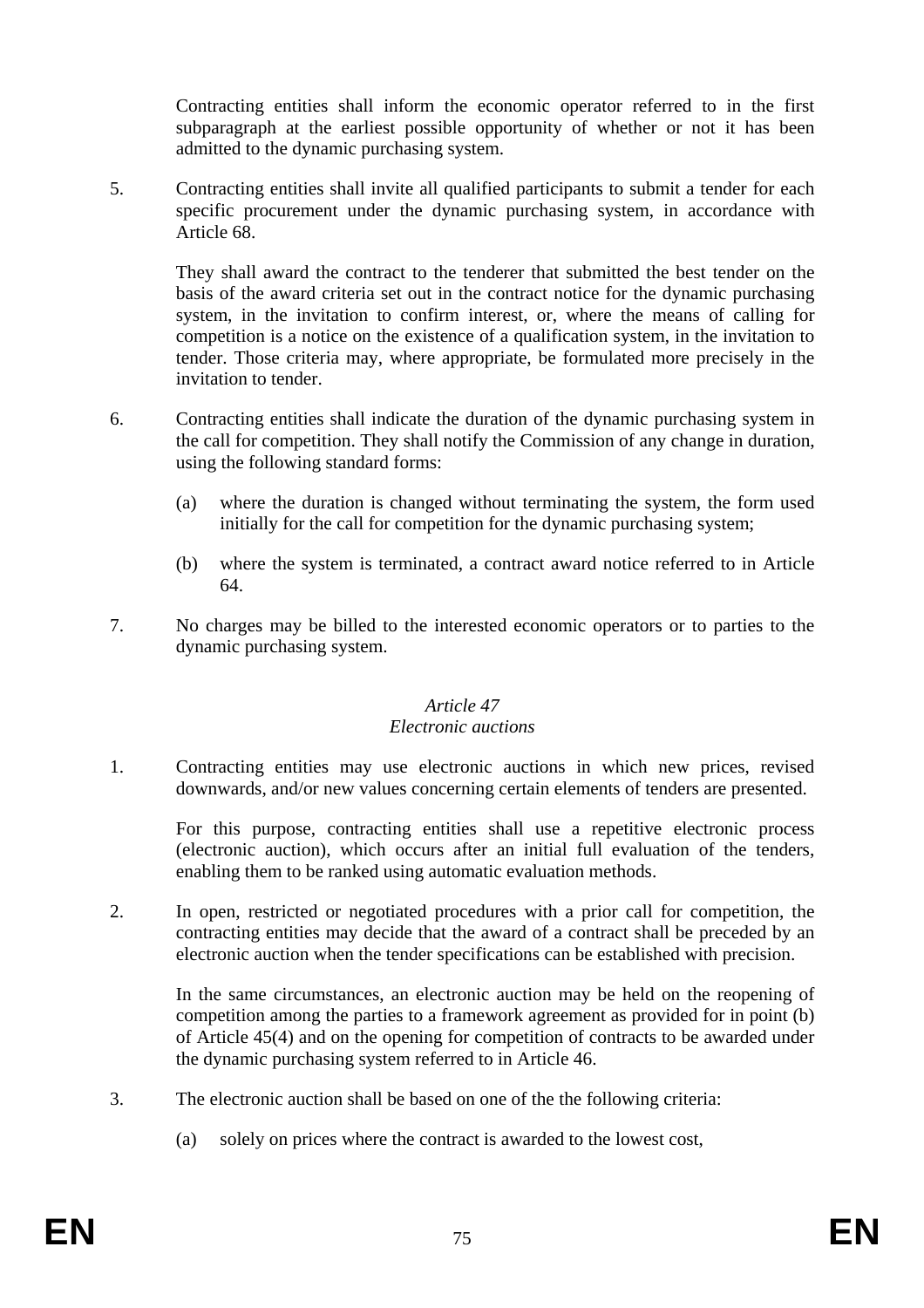Contracting entities shall inform the economic operator referred to in the first subparagraph at the earliest possible opportunity of whether or not it has been admitted to the dynamic purchasing system.

5. Contracting entities shall invite all qualified participants to submit a tender for each specific procurement under the dynamic purchasing system, in accordance with Article 68.

They shall award the contract to the tenderer that submitted the best tender on the basis of the award criteria set out in the contract notice for the dynamic purchasing system, in the invitation to confirm interest, or, where the means of calling for competition is a notice on the existence of a qualification system, in the invitation to tender. Those criteria may, where appropriate, be formulated more precisely in the invitation to tender.

- 6. Contracting entities shall indicate the duration of the dynamic purchasing system in the call for competition. They shall notify the Commission of any change in duration, using the following standard forms:
	- (a) where the duration is changed without terminating the system, the form used initially for the call for competition for the dynamic purchasing system;
	- (b) where the system is terminated, a contract award notice referred to in Article 64.
- 7. No charges may be billed to the interested economic operators or to parties to the dynamic purchasing system.

#### *Article 47 Electronic auctions*

1. Contracting entities may use electronic auctions in which new prices, revised downwards, and/or new values concerning certain elements of tenders are presented.

For this purpose, contracting entities shall use a repetitive electronic process (electronic auction), which occurs after an initial full evaluation of the tenders, enabling them to be ranked using automatic evaluation methods.

2. In open, restricted or negotiated procedures with a prior call for competition, the contracting entities may decide that the award of a contract shall be preceded by an electronic auction when the tender specifications can be established with precision.

In the same circumstances, an electronic auction may be held on the reopening of competition among the parties to a framework agreement as provided for in point (b) of Article 45(4) and on the opening for competition of contracts to be awarded under the dynamic purchasing system referred to in Article 46.

- 3. The electronic auction shall be based on one of the the following criteria:
	- (a) solely on prices where the contract is awarded to the lowest cost,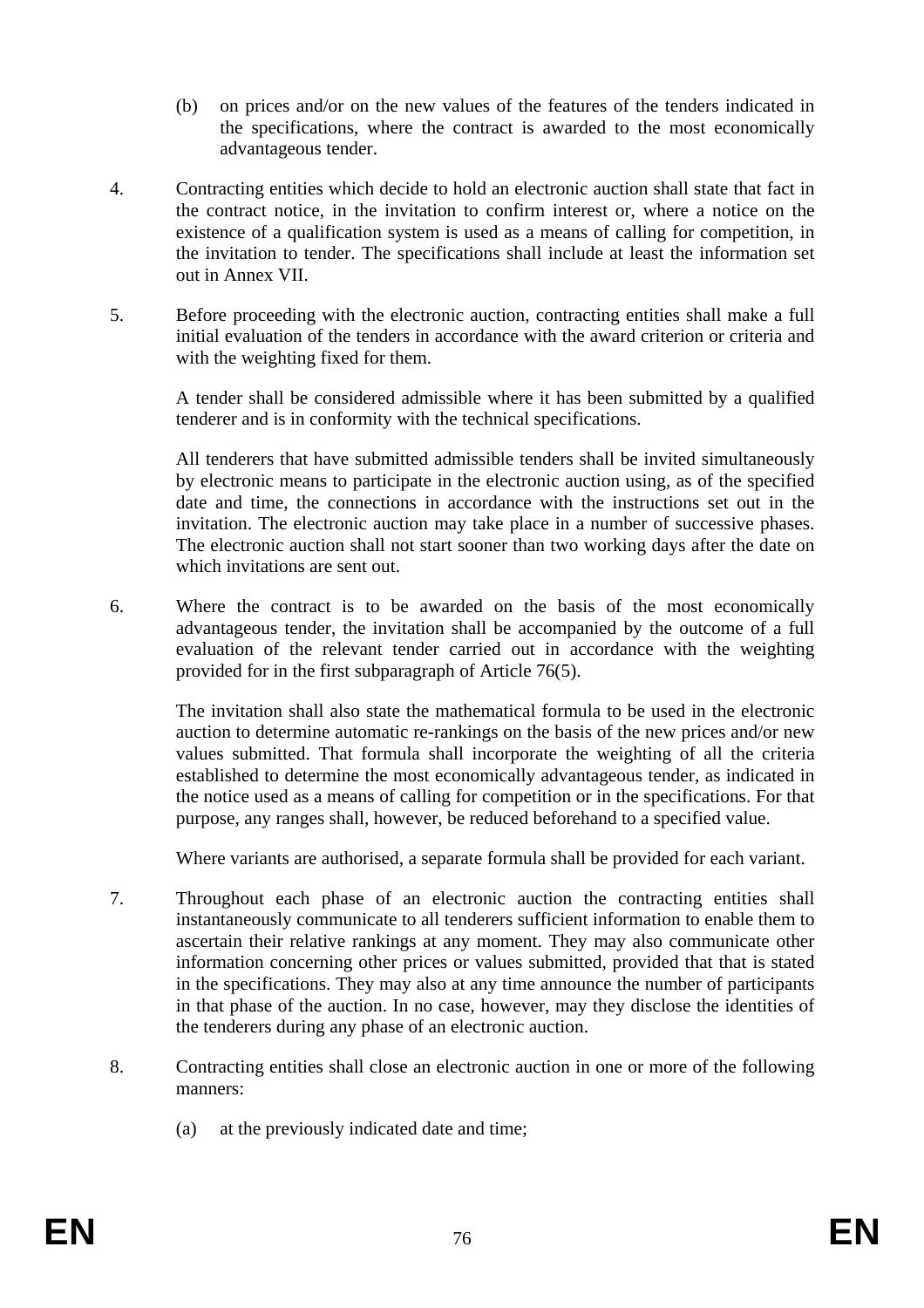- (b) on prices and/or on the new values of the features of the tenders indicated in the specifications, where the contract is awarded to the most economically advantageous tender.
- 4. Contracting entities which decide to hold an electronic auction shall state that fact in the contract notice, in the invitation to confirm interest or, where a notice on the existence of a qualification system is used as a means of calling for competition, in the invitation to tender. The specifications shall include at least the information set out in Annex VII.
- 5. Before proceeding with the electronic auction, contracting entities shall make a full initial evaluation of the tenders in accordance with the award criterion or criteria and with the weighting fixed for them.

A tender shall be considered admissible where it has been submitted by a qualified tenderer and is in conformity with the technical specifications.

All tenderers that have submitted admissible tenders shall be invited simultaneously by electronic means to participate in the electronic auction using, as of the specified date and time, the connections in accordance with the instructions set out in the invitation. The electronic auction may take place in a number of successive phases. The electronic auction shall not start sooner than two working days after the date on which invitations are sent out.

6. Where the contract is to be awarded on the basis of the most economically advantageous tender, the invitation shall be accompanied by the outcome of a full evaluation of the relevant tender carried out in accordance with the weighting provided for in the first subparagraph of Article 76(5).

The invitation shall also state the mathematical formula to be used in the electronic auction to determine automatic re-rankings on the basis of the new prices and/or new values submitted. That formula shall incorporate the weighting of all the criteria established to determine the most economically advantageous tender, as indicated in the notice used as a means of calling for competition or in the specifications. For that purpose, any ranges shall, however, be reduced beforehand to a specified value.

Where variants are authorised, a separate formula shall be provided for each variant.

- 7. Throughout each phase of an electronic auction the contracting entities shall instantaneously communicate to all tenderers sufficient information to enable them to ascertain their relative rankings at any moment. They may also communicate other information concerning other prices or values submitted, provided that that is stated in the specifications. They may also at any time announce the number of participants in that phase of the auction. In no case, however, may they disclose the identities of the tenderers during any phase of an electronic auction.
- 8. Contracting entities shall close an electronic auction in one or more of the following manners:
	- (a) at the previously indicated date and time;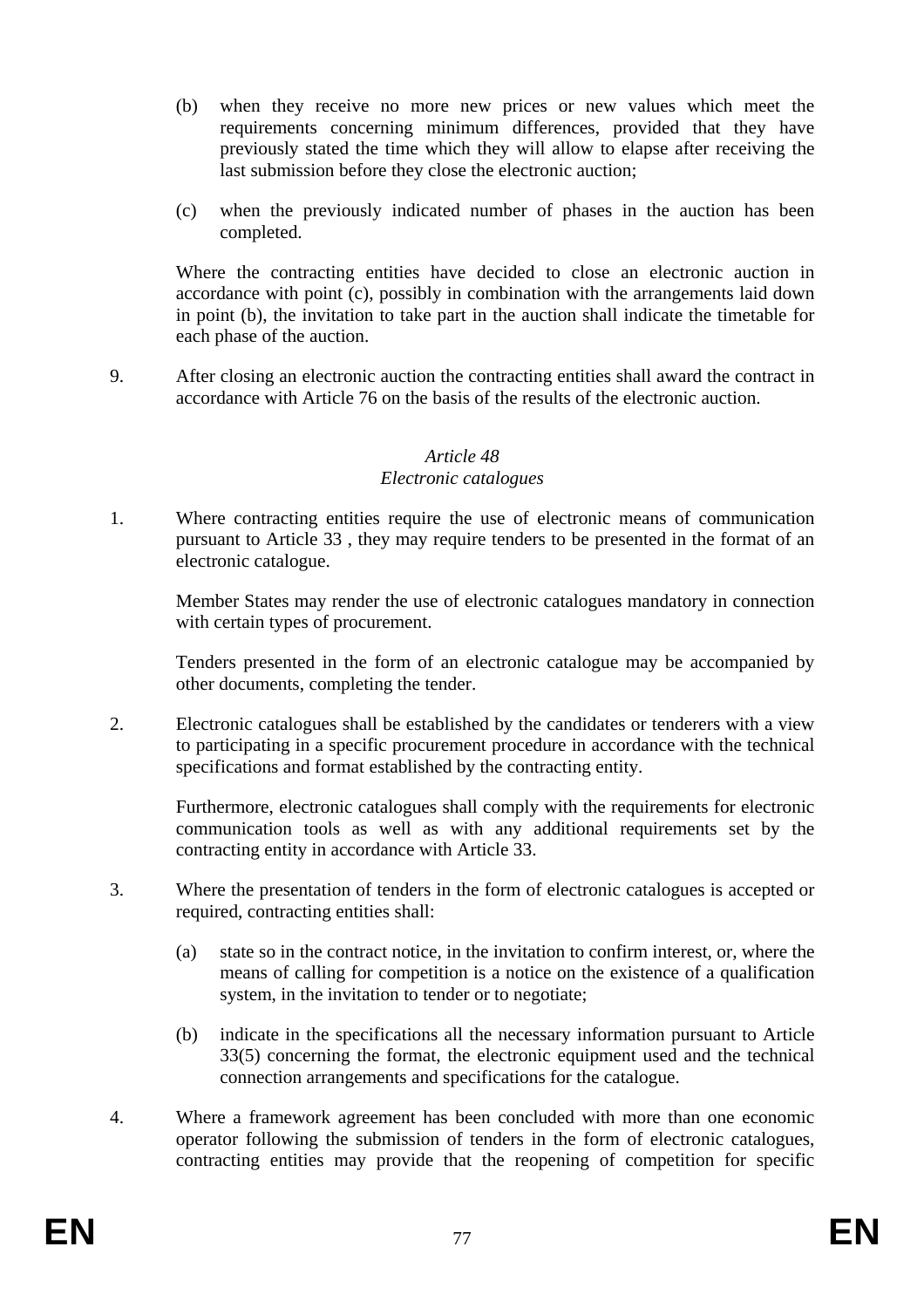- (b) when they receive no more new prices or new values which meet the requirements concerning minimum differences, provided that they have previously stated the time which they will allow to elapse after receiving the last submission before they close the electronic auction;
- (c) when the previously indicated number of phases in the auction has been completed.

Where the contracting entities have decided to close an electronic auction in accordance with point (c), possibly in combination with the arrangements laid down in point (b), the invitation to take part in the auction shall indicate the timetable for each phase of the auction.

9. After closing an electronic auction the contracting entities shall award the contract in accordance with Article 76 on the basis of the results of the electronic auction.

# *Article 48*

# *Electronic catalogues*

1. Where contracting entities require the use of electronic means of communication pursuant to Article 33 , they may require tenders to be presented in the format of an electronic catalogue.

Member States may render the use of electronic catalogues mandatory in connection with certain types of procurement.

Tenders presented in the form of an electronic catalogue may be accompanied by other documents, completing the tender.

2. Electronic catalogues shall be established by the candidates or tenderers with a view to participating in a specific procurement procedure in accordance with the technical specifications and format established by the contracting entity.

Furthermore, electronic catalogues shall comply with the requirements for electronic communication tools as well as with any additional requirements set by the contracting entity in accordance with Article 33.

- 3. Where the presentation of tenders in the form of electronic catalogues is accepted or required, contracting entities shall:
	- (a) state so in the contract notice, in the invitation to confirm interest, or, where the means of calling for competition is a notice on the existence of a qualification system, in the invitation to tender or to negotiate;
	- (b) indicate in the specifications all the necessary information pursuant to Article 33(5) concerning the format, the electronic equipment used and the technical connection arrangements and specifications for the catalogue.
- 4. Where a framework agreement has been concluded with more than one economic operator following the submission of tenders in the form of electronic catalogues, contracting entities may provide that the reopening of competition for specific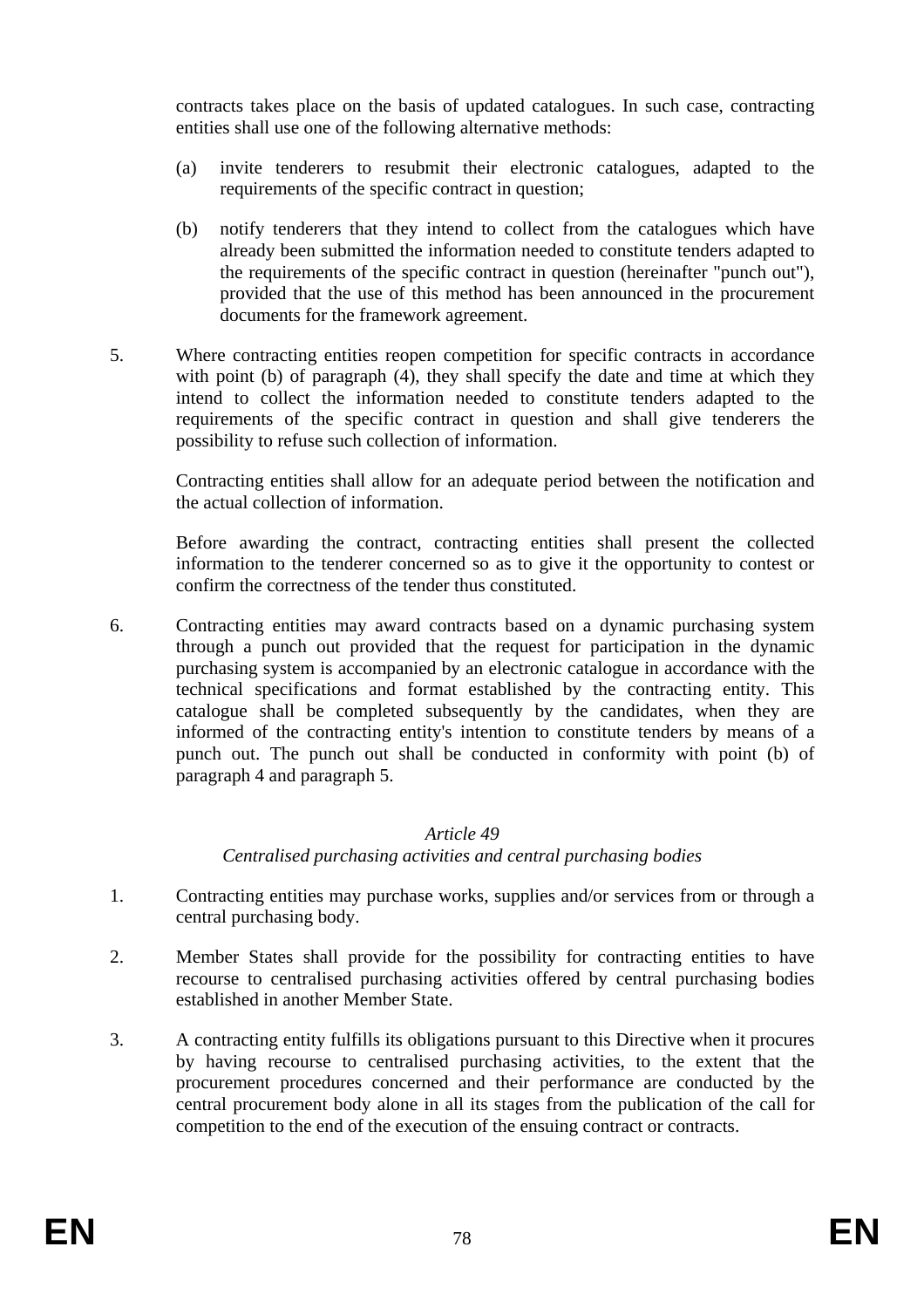contracts takes place on the basis of updated catalogues. In such case, contracting entities shall use one of the following alternative methods:

- (a) invite tenderers to resubmit their electronic catalogues, adapted to the requirements of the specific contract in question;
- (b) notify tenderers that they intend to collect from the catalogues which have already been submitted the information needed to constitute tenders adapted to the requirements of the specific contract in question (hereinafter "punch out"), provided that the use of this method has been announced in the procurement documents for the framework agreement.
- 5. Where contracting entities reopen competition for specific contracts in accordance with point (b) of paragraph (4), they shall specify the date and time at which they intend to collect the information needed to constitute tenders adapted to the requirements of the specific contract in question and shall give tenderers the possibility to refuse such collection of information.

Contracting entities shall allow for an adequate period between the notification and the actual collection of information.

Before awarding the contract, contracting entities shall present the collected information to the tenderer concerned so as to give it the opportunity to contest or confirm the correctness of the tender thus constituted.

6. Contracting entities may award contracts based on a dynamic purchasing system through a punch out provided that the request for participation in the dynamic purchasing system is accompanied by an electronic catalogue in accordance with the technical specifications and format established by the contracting entity. This catalogue shall be completed subsequently by the candidates, when they are informed of the contracting entity's intention to constitute tenders by means of a punch out. The punch out shall be conducted in conformity with point (b) of paragraph 4 and paragraph 5.

# *Article 49*

# *Centralised purchasing activities and central purchasing bodies*

- 1. Contracting entities may purchase works, supplies and/or services from or through a central purchasing body.
- 2. Member States shall provide for the possibility for contracting entities to have recourse to centralised purchasing activities offered by central purchasing bodies established in another Member State.
- 3. A contracting entity fulfills its obligations pursuant to this Directive when it procures by having recourse to centralised purchasing activities, to the extent that the procurement procedures concerned and their performance are conducted by the central procurement body alone in all its stages from the publication of the call for competition to the end of the execution of the ensuing contract or contracts.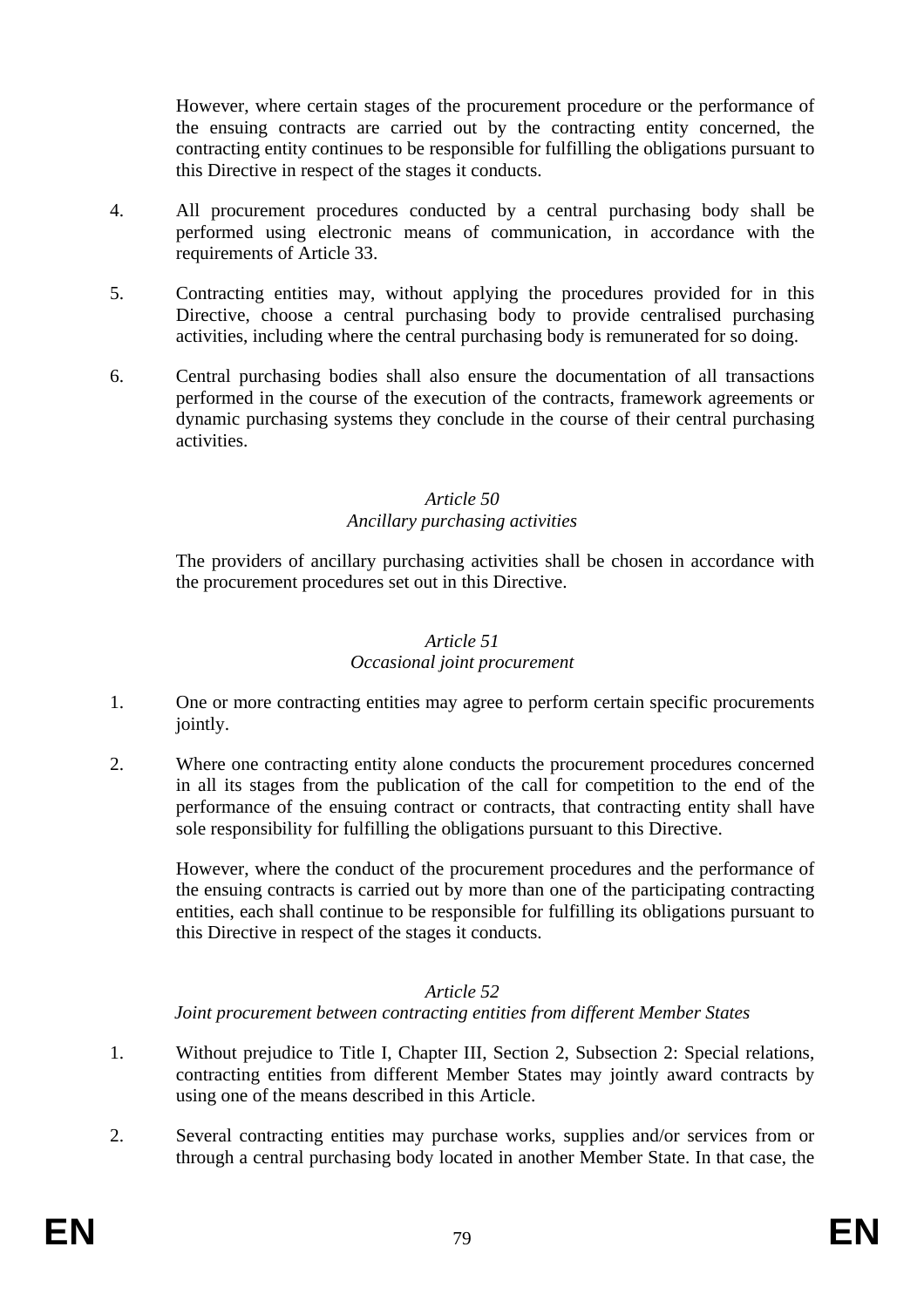However, where certain stages of the procurement procedure or the performance of the ensuing contracts are carried out by the contracting entity concerned, the contracting entity continues to be responsible for fulfilling the obligations pursuant to this Directive in respect of the stages it conducts.

- 4. All procurement procedures conducted by a central purchasing body shall be performed using electronic means of communication, in accordance with the requirements of Article 33.
- 5. Contracting entities may, without applying the procedures provided for in this Directive, choose a central purchasing body to provide centralised purchasing activities, including where the central purchasing body is remunerated for so doing.
- 6. Central purchasing bodies shall also ensure the documentation of all transactions performed in the course of the execution of the contracts, framework agreements or dynamic purchasing systems they conclude in the course of their central purchasing activities.

# *Article 50*

# *Ancillary purchasing activities*

The providers of ancillary purchasing activities shall be chosen in accordance with the procurement procedures set out in this Directive.

# *Article 51 Occasional joint procurement*

- 1. One or more contracting entities may agree to perform certain specific procurements jointly.
- 2. Where one contracting entity alone conducts the procurement procedures concerned in all its stages from the publication of the call for competition to the end of the performance of the ensuing contract or contracts, that contracting entity shall have sole responsibility for fulfilling the obligations pursuant to this Directive.

However, where the conduct of the procurement procedures and the performance of the ensuing contracts is carried out by more than one of the participating contracting entities, each shall continue to be responsible for fulfilling its obligations pursuant to this Directive in respect of the stages it conducts.

# *Article 52*

*Joint procurement between contracting entities from different Member States* 

- 1. Without prejudice to Title I, Chapter III, Section 2, Subsection 2: Special relations, contracting entities from different Member States may jointly award contracts by using one of the means described in this Article.
- 2. Several contracting entities may purchase works, supplies and/or services from or through a central purchasing body located in another Member State. In that case, the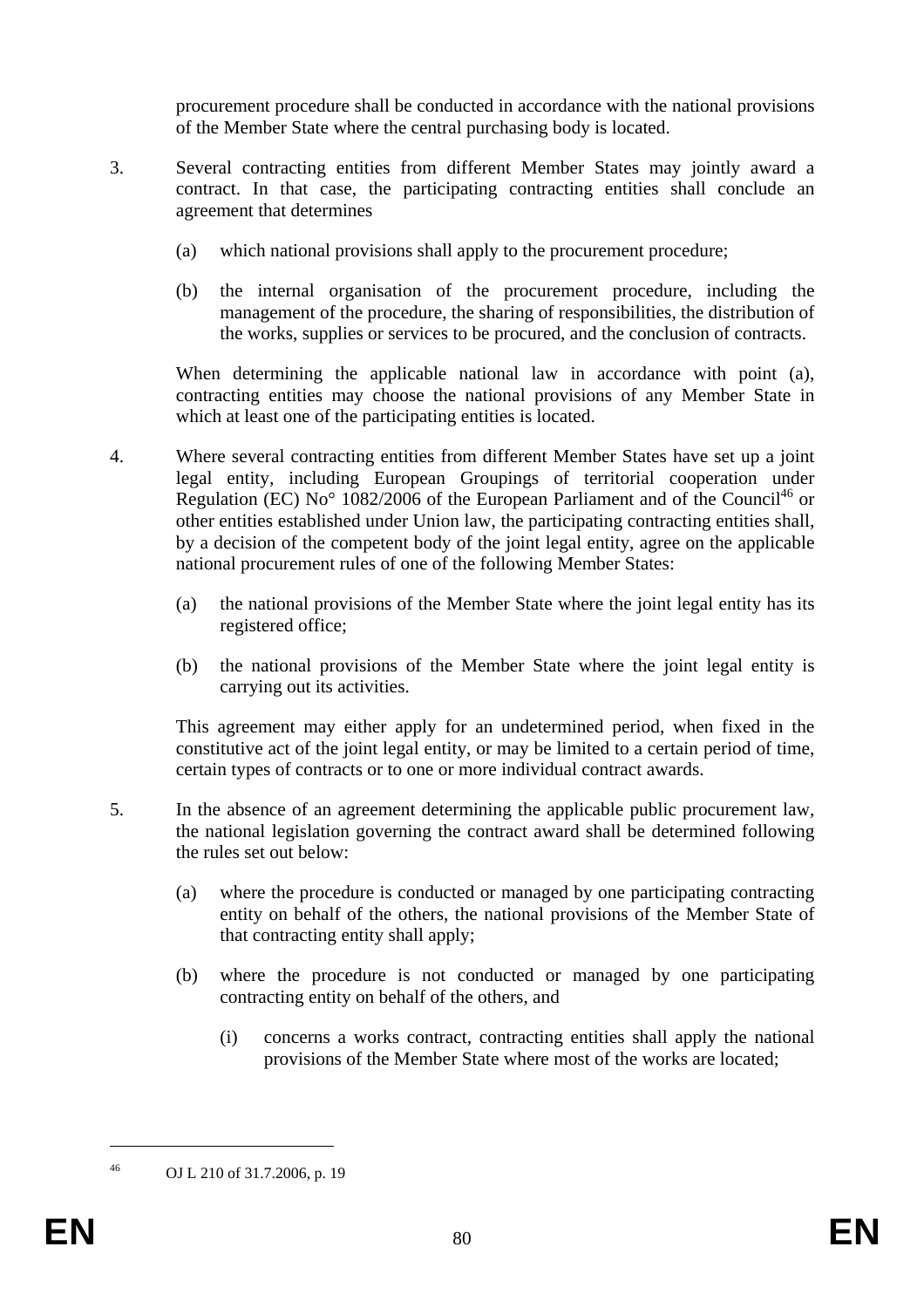procurement procedure shall be conducted in accordance with the national provisions of the Member State where the central purchasing body is located.

- 3. Several contracting entities from different Member States may jointly award a contract. In that case, the participating contracting entities shall conclude an agreement that determines
	- (a) which national provisions shall apply to the procurement procedure;
	- (b) the internal organisation of the procurement procedure, including the management of the procedure, the sharing of responsibilities, the distribution of the works, supplies or services to be procured, and the conclusion of contracts.

When determining the applicable national law in accordance with point (a), contracting entities may choose the national provisions of any Member State in which at least one of the participating entities is located.

- 4. Where several contracting entities from different Member States have set up a joint legal entity, including European Groupings of territorial cooperation under Regulation (EC) No<sup>o</sup> 1082/2006 of the European Parliament and of the Council<sup>46</sup> or other entities established under Union law, the participating contracting entities shall, by a decision of the competent body of the joint legal entity, agree on the applicable national procurement rules of one of the following Member States:
	- (a) the national provisions of the Member State where the joint legal entity has its registered office;
	- (b) the national provisions of the Member State where the joint legal entity is carrying out its activities.

This agreement may either apply for an undetermined period, when fixed in the constitutive act of the joint legal entity, or may be limited to a certain period of time, certain types of contracts or to one or more individual contract awards.

- 5. In the absence of an agreement determining the applicable public procurement law, the national legislation governing the contract award shall be determined following the rules set out below:
	- (a) where the procedure is conducted or managed by one participating contracting entity on behalf of the others, the national provisions of the Member State of that contracting entity shall apply;
	- (b) where the procedure is not conducted or managed by one participating contracting entity on behalf of the others, and
		- (i) concerns a works contract, contracting entities shall apply the national provisions of the Member State where most of the works are located;

1

<sup>46</sup> OJ L 210 of 31.7.2006, p. 19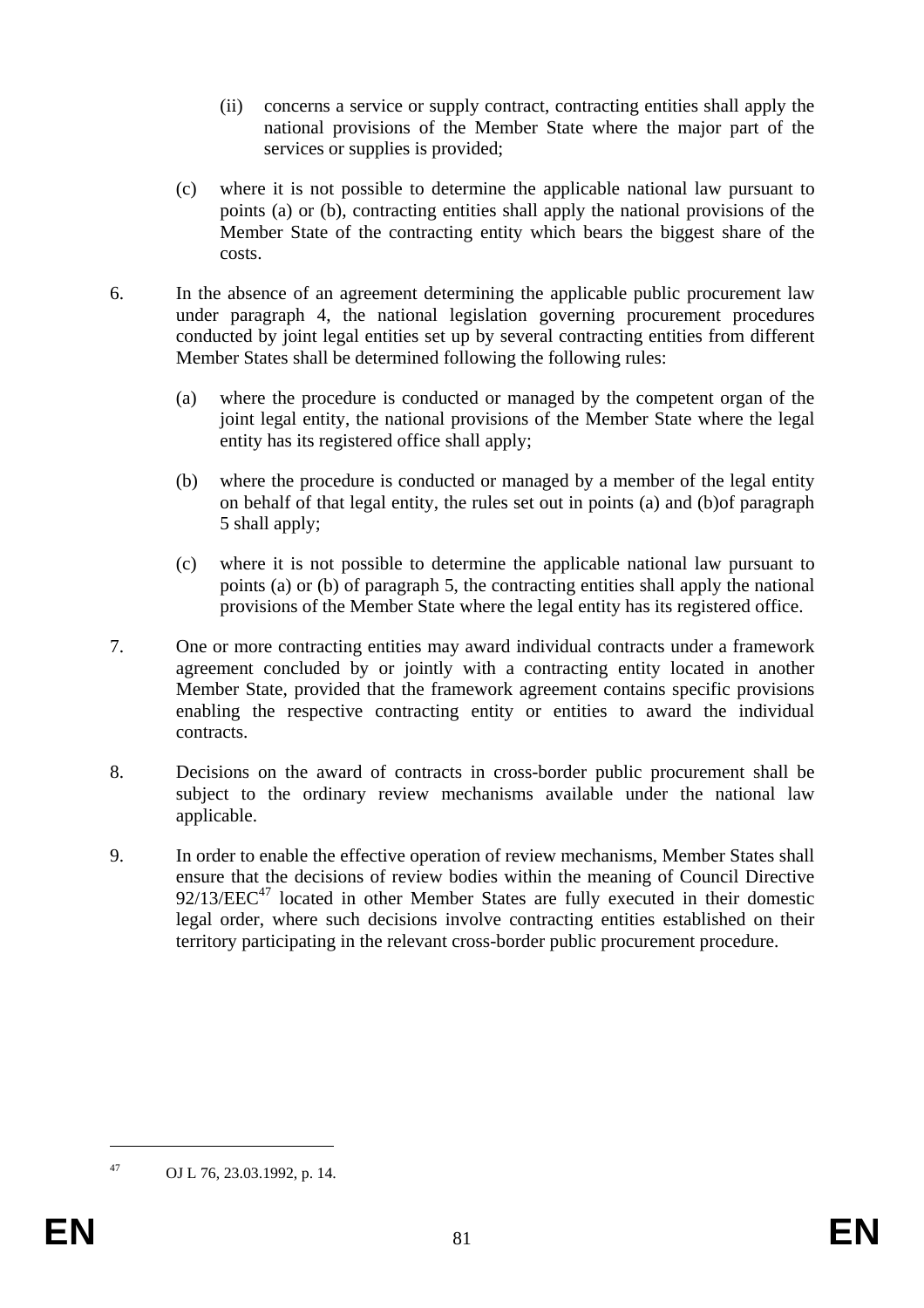- (ii) concerns a service or supply contract, contracting entities shall apply the national provisions of the Member State where the major part of the services or supplies is provided;
- (c) where it is not possible to determine the applicable national law pursuant to points (a) or (b), contracting entities shall apply the national provisions of the Member State of the contracting entity which bears the biggest share of the costs.
- 6. In the absence of an agreement determining the applicable public procurement law under paragraph 4, the national legislation governing procurement procedures conducted by joint legal entities set up by several contracting entities from different Member States shall be determined following the following rules:
	- (a) where the procedure is conducted or managed by the competent organ of the joint legal entity, the national provisions of the Member State where the legal entity has its registered office shall apply;
	- (b) where the procedure is conducted or managed by a member of the legal entity on behalf of that legal entity, the rules set out in points (a) and (b)of paragraph 5 shall apply;
	- (c) where it is not possible to determine the applicable national law pursuant to points (a) or (b) of paragraph 5, the contracting entities shall apply the national provisions of the Member State where the legal entity has its registered office.
- 7. One or more contracting entities may award individual contracts under a framework agreement concluded by or jointly with a contracting entity located in another Member State, provided that the framework agreement contains specific provisions enabling the respective contracting entity or entities to award the individual contracts.
- 8. Decisions on the award of contracts in cross-border public procurement shall be subject to the ordinary review mechanisms available under the national law applicable.
- 9. In order to enable the effective operation of review mechanisms, Member States shall ensure that the decisions of review bodies within the meaning of Council Directive  $92/13/EEC<sup>47</sup>$  located in other Member States are fully executed in their domestic legal order, where such decisions involve contracting entities established on their territory participating in the relevant cross-border public procurement procedure.

1

<sup>47</sup> OJ L 76, 23.03.1992, p. 14.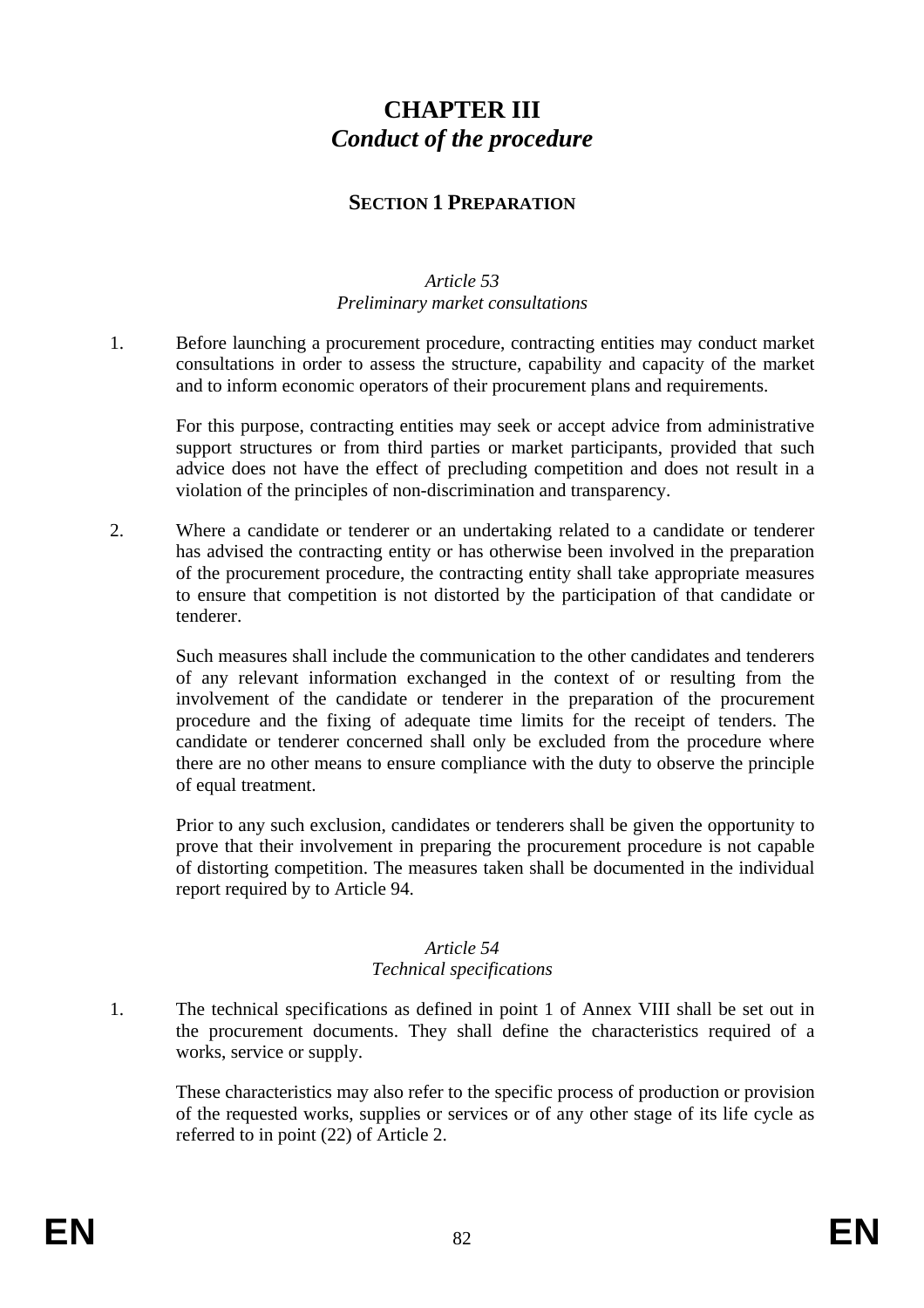# **CHAPTER III**  *Conduct of the procedure*

# **SECTION 1 PREPARATION**

### *Article 53 Preliminary market consultations*

1. Before launching a procurement procedure, contracting entities may conduct market consultations in order to assess the structure, capability and capacity of the market and to inform economic operators of their procurement plans and requirements.

For this purpose, contracting entities may seek or accept advice from administrative support structures or from third parties or market participants, provided that such advice does not have the effect of precluding competition and does not result in a violation of the principles of non-discrimination and transparency.

2. Where a candidate or tenderer or an undertaking related to a candidate or tenderer has advised the contracting entity or has otherwise been involved in the preparation of the procurement procedure, the contracting entity shall take appropriate measures to ensure that competition is not distorted by the participation of that candidate or tenderer.

Such measures shall include the communication to the other candidates and tenderers of any relevant information exchanged in the context of or resulting from the involvement of the candidate or tenderer in the preparation of the procurement procedure and the fixing of adequate time limits for the receipt of tenders. The candidate or tenderer concerned shall only be excluded from the procedure where there are no other means to ensure compliance with the duty to observe the principle of equal treatment.

Prior to any such exclusion, candidates or tenderers shall be given the opportunity to prove that their involvement in preparing the procurement procedure is not capable of distorting competition. The measures taken shall be documented in the individual report required by to Article 94.

# *Article 54*

#### *Technical specifications*

1. The technical specifications as defined in point 1 of Annex VIII shall be set out in the procurement documents. They shall define the characteristics required of a works, service or supply.

These characteristics may also refer to the specific process of production or provision of the requested works, supplies or services or of any other stage of its life cycle as referred to in point (22) of Article 2.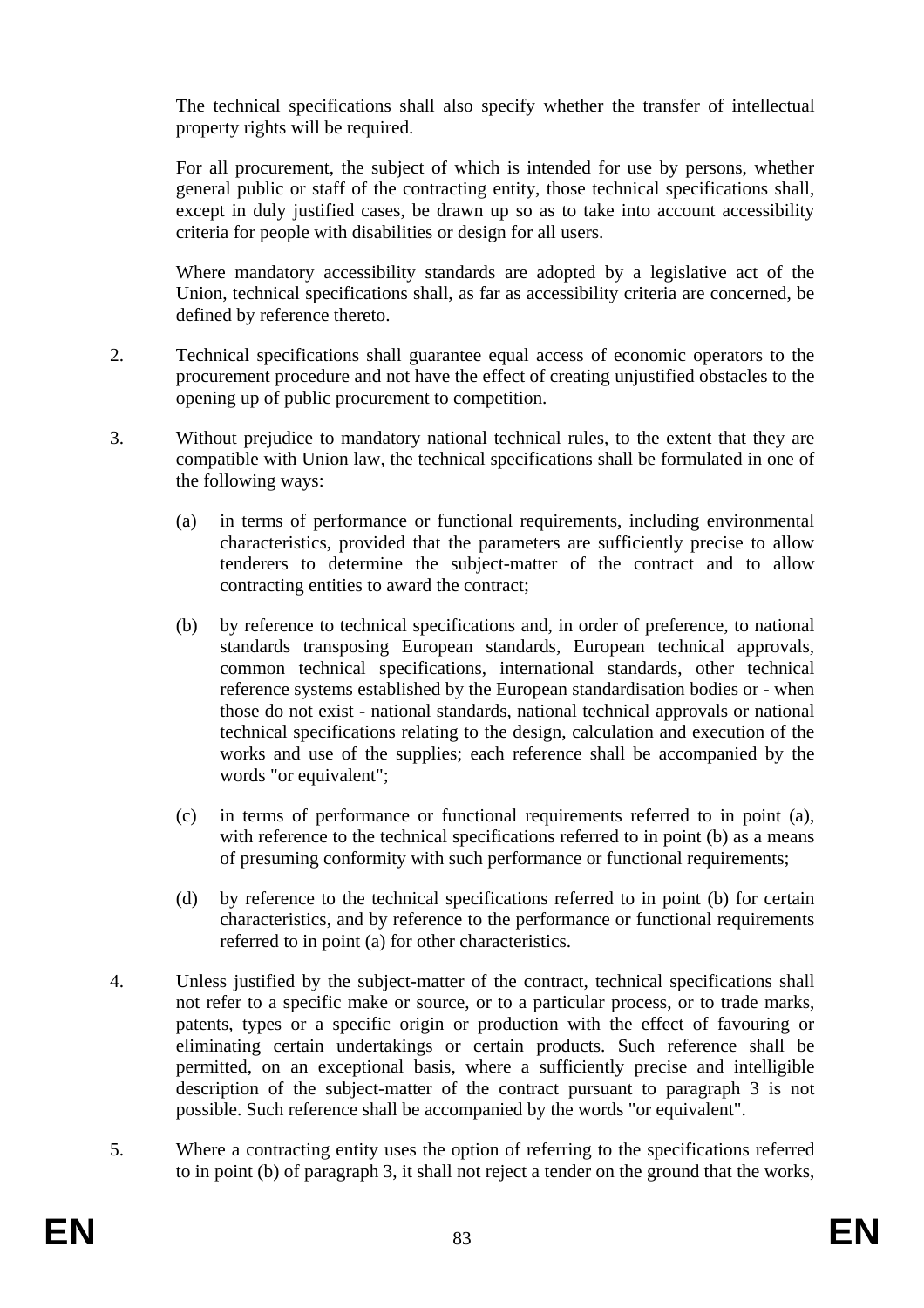The technical specifications shall also specify whether the transfer of intellectual property rights will be required.

For all procurement, the subject of which is intended for use by persons, whether general public or staff of the contracting entity, those technical specifications shall, except in duly justified cases, be drawn up so as to take into account accessibility criteria for people with disabilities or design for all users.

Where mandatory accessibility standards are adopted by a legislative act of the Union, technical specifications shall, as far as accessibility criteria are concerned, be defined by reference thereto.

- 2. Technical specifications shall guarantee equal access of economic operators to the procurement procedure and not have the effect of creating unjustified obstacles to the opening up of public procurement to competition.
- 3. Without prejudice to mandatory national technical rules, to the extent that they are compatible with Union law, the technical specifications shall be formulated in one of the following ways:
	- (a) in terms of performance or functional requirements, including environmental characteristics, provided that the parameters are sufficiently precise to allow tenderers to determine the subject-matter of the contract and to allow contracting entities to award the contract;
	- (b) by reference to technical specifications and, in order of preference, to national standards transposing European standards, European technical approvals, common technical specifications, international standards, other technical reference systems established by the European standardisation bodies or - when those do not exist - national standards, national technical approvals or national technical specifications relating to the design, calculation and execution of the works and use of the supplies; each reference shall be accompanied by the words "or equivalent";
	- (c) in terms of performance or functional requirements referred to in point (a), with reference to the technical specifications referred to in point (b) as a means of presuming conformity with such performance or functional requirements;
	- (d) by reference to the technical specifications referred to in point (b) for certain characteristics, and by reference to the performance or functional requirements referred to in point (a) for other characteristics.
- 4. Unless justified by the subject-matter of the contract, technical specifications shall not refer to a specific make or source, or to a particular process, or to trade marks, patents, types or a specific origin or production with the effect of favouring or eliminating certain undertakings or certain products. Such reference shall be permitted, on an exceptional basis, where a sufficiently precise and intelligible description of the subject-matter of the contract pursuant to paragraph 3 is not possible. Such reference shall be accompanied by the words "or equivalent".
- 5. Where a contracting entity uses the option of referring to the specifications referred to in point (b) of paragraph 3, it shall not reject a tender on the ground that the works,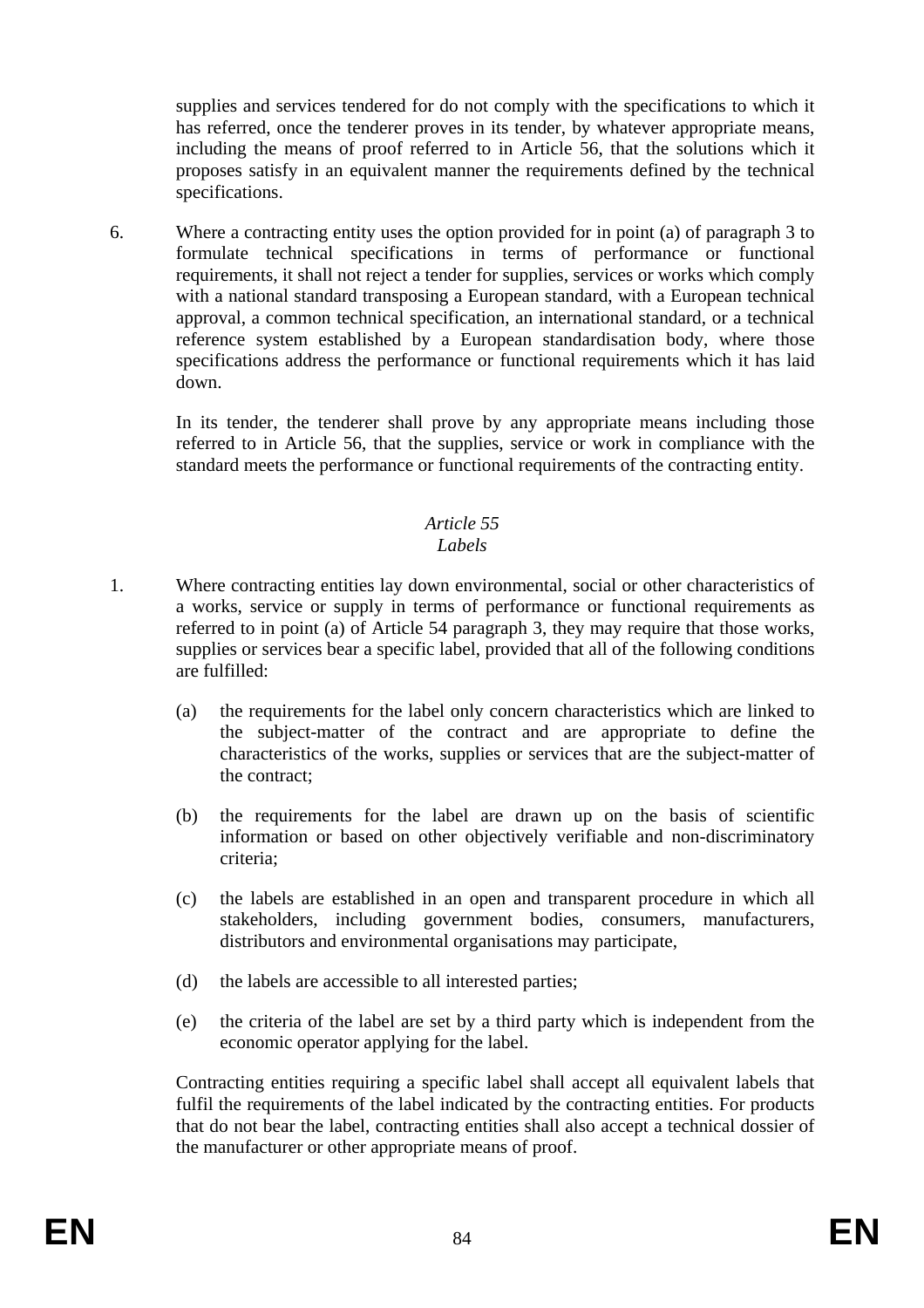supplies and services tendered for do not comply with the specifications to which it has referred, once the tenderer proves in its tender, by whatever appropriate means, including the means of proof referred to in Article 56, that the solutions which it proposes satisfy in an equivalent manner the requirements defined by the technical specifications.

6. Where a contracting entity uses the option provided for in point (a) of paragraph 3 to formulate technical specifications in terms of performance or functional requirements, it shall not reject a tender for supplies, services or works which comply with a national standard transposing a European standard, with a European technical approval, a common technical specification, an international standard, or a technical reference system established by a European standardisation body, where those specifications address the performance or functional requirements which it has laid down.

In its tender, the tenderer shall prove by any appropriate means including those referred to in Article 56, that the supplies, service or work in compliance with the standard meets the performance or functional requirements of the contracting entity.

# *Article 55*

# *Labels*

- 1. Where contracting entities lay down environmental, social or other characteristics of a works, service or supply in terms of performance or functional requirements as referred to in point (a) of Article 54 paragraph 3, they may require that those works, supplies or services bear a specific label, provided that all of the following conditions are fulfilled:
	- (a) the requirements for the label only concern characteristics which are linked to the subject-matter of the contract and are appropriate to define the characteristics of the works, supplies or services that are the subject-matter of the contract;
	- (b) the requirements for the label are drawn up on the basis of scientific information or based on other objectively verifiable and non-discriminatory criteria;
	- (c) the labels are established in an open and transparent procedure in which all stakeholders, including government bodies, consumers, manufacturers, distributors and environmental organisations may participate,
	- (d) the labels are accessible to all interested parties;
	- (e) the criteria of the label are set by a third party which is independent from the economic operator applying for the label.

Contracting entities requiring a specific label shall accept all equivalent labels that fulfil the requirements of the label indicated by the contracting entities. For products that do not bear the label, contracting entities shall also accept a technical dossier of the manufacturer or other appropriate means of proof.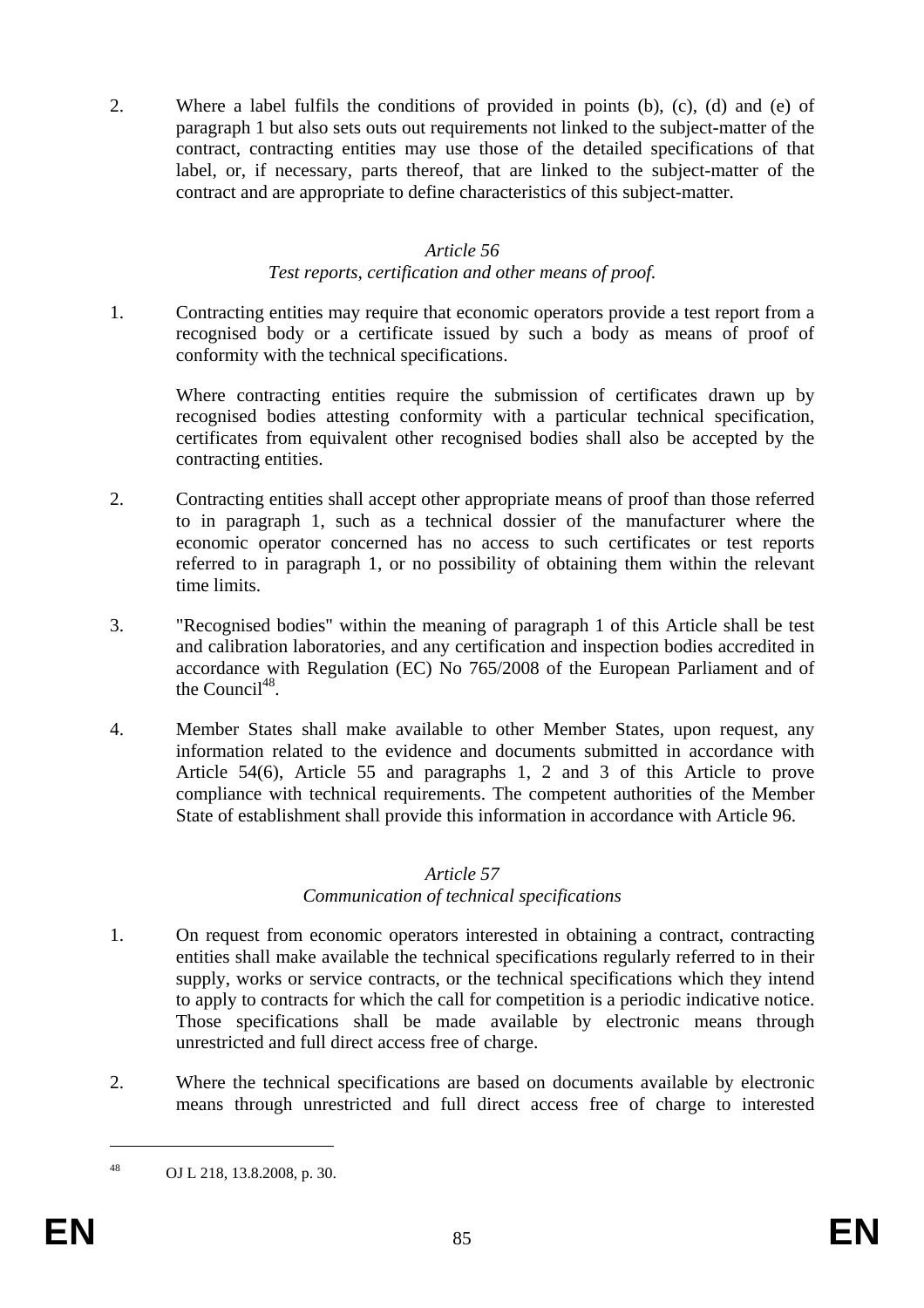2. Where a label fulfils the conditions of provided in points (b), (c), (d) and (e) of paragraph 1 but also sets outs out requirements not linked to the subject-matter of the contract, contracting entities may use those of the detailed specifications of that label, or, if necessary, parts thereof, that are linked to the subject-matter of the contract and are appropriate to define characteristics of this subject-matter.

#### *Article 56*

#### *Test reports, certification and other means of proof.*

1. Contracting entities may require that economic operators provide a test report from a recognised body or a certificate issued by such a body as means of proof of conformity with the technical specifications.

Where contracting entities require the submission of certificates drawn up by recognised bodies attesting conformity with a particular technical specification, certificates from equivalent other recognised bodies shall also be accepted by the contracting entities.

- 2. Contracting entities shall accept other appropriate means of proof than those referred to in paragraph 1, such as a technical dossier of the manufacturer where the economic operator concerned has no access to such certificates or test reports referred to in paragraph 1, or no possibility of obtaining them within the relevant time limits.
- 3. "Recognised bodies" within the meaning of paragraph 1 of this Article shall be test and calibration laboratories, and any certification and inspection bodies accredited in accordance with Regulation (EC) No 765/2008 of the European Parliament and of the Council<sup>48</sup>.
- 4. Member States shall make available to other Member States, upon request, any information related to the evidence and documents submitted in accordance with Article 54(6), Article 55 and paragraphs 1, 2 and 3 of this Article to prove compliance with technical requirements. The competent authorities of the Member State of establishment shall provide this information in accordance with Article 96.

#### *Article 57*

# *Communication of technical specifications*

- 1. On request from economic operators interested in obtaining a contract, contracting entities shall make available the technical specifications regularly referred to in their supply, works or service contracts, or the technical specifications which they intend to apply to contracts for which the call for competition is a periodic indicative notice. Those specifications shall be made available by electronic means through unrestricted and full direct access free of charge.
- 2. Where the technical specifications are based on documents available by electronic means through unrestricted and full direct access free of charge to interested

1

<sup>48</sup> OJ L 218, 13.8.2008, p. 30.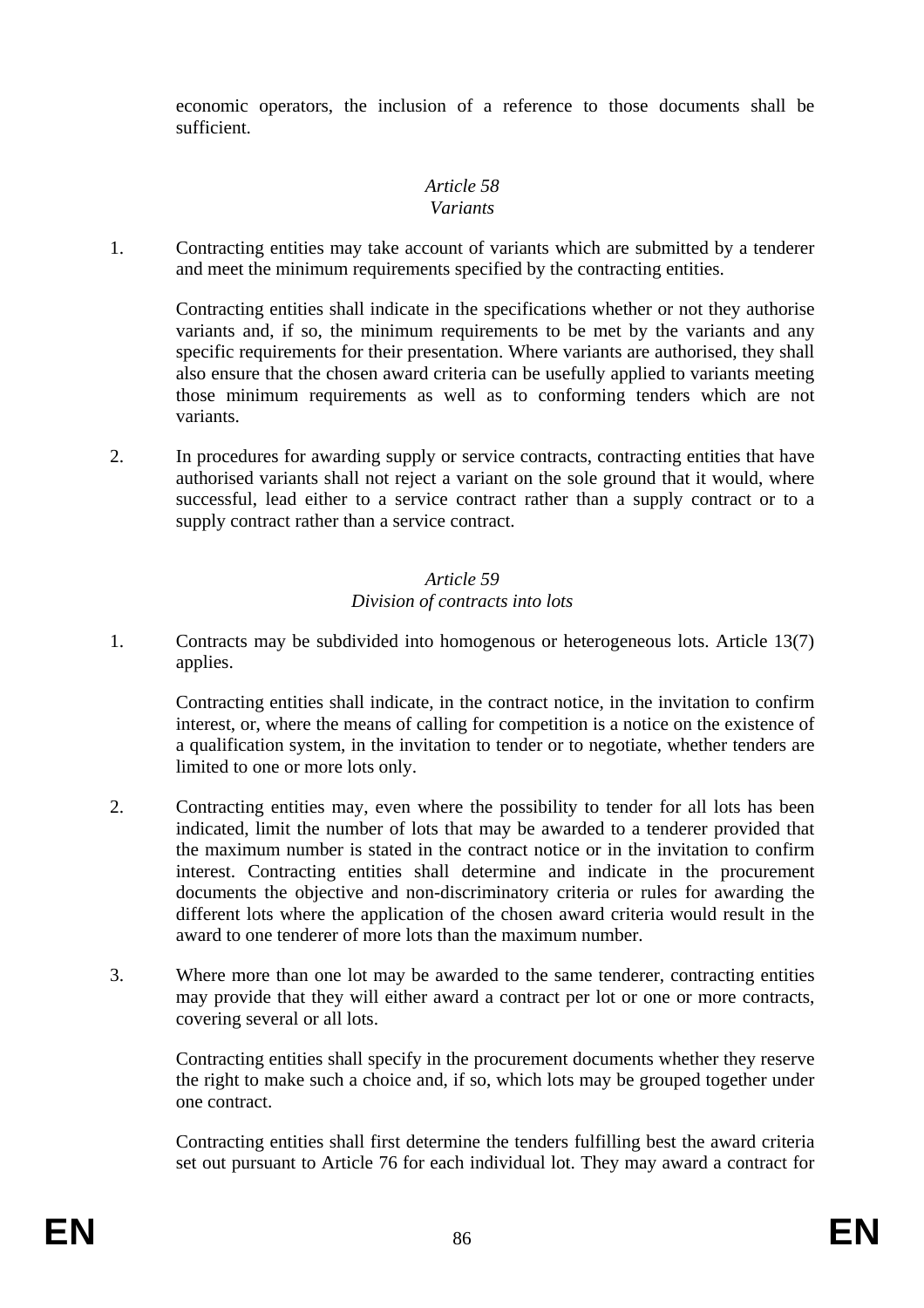economic operators, the inclusion of a reference to those documents shall be sufficient.

# *Article 58 Variants*

1. Contracting entities may take account of variants which are submitted by a tenderer and meet the minimum requirements specified by the contracting entities.

Contracting entities shall indicate in the specifications whether or not they authorise variants and, if so, the minimum requirements to be met by the variants and any specific requirements for their presentation. Where variants are authorised, they shall also ensure that the chosen award criteria can be usefully applied to variants meeting those minimum requirements as well as to conforming tenders which are not variants.

2. In procedures for awarding supply or service contracts, contracting entities that have authorised variants shall not reject a variant on the sole ground that it would, where successful, lead either to a service contract rather than a supply contract or to a supply contract rather than a service contract.

# *Article 59 Division of contracts into lots*

1. Contracts may be subdivided into homogenous or heterogeneous lots. Article 13(7) applies.

Contracting entities shall indicate, in the contract notice, in the invitation to confirm interest, or, where the means of calling for competition is a notice on the existence of a qualification system, in the invitation to tender or to negotiate, whether tenders are limited to one or more lots only.

- 2. Contracting entities may, even where the possibility to tender for all lots has been indicated, limit the number of lots that may be awarded to a tenderer provided that the maximum number is stated in the contract notice or in the invitation to confirm interest. Contracting entities shall determine and indicate in the procurement documents the objective and non-discriminatory criteria or rules for awarding the different lots where the application of the chosen award criteria would result in the award to one tenderer of more lots than the maximum number.
- 3. Where more than one lot may be awarded to the same tenderer, contracting entities may provide that they will either award a contract per lot or one or more contracts, covering several or all lots.

Contracting entities shall specify in the procurement documents whether they reserve the right to make such a choice and, if so, which lots may be grouped together under one contract.

Contracting entities shall first determine the tenders fulfilling best the award criteria set out pursuant to Article 76 for each individual lot. They may award a contract for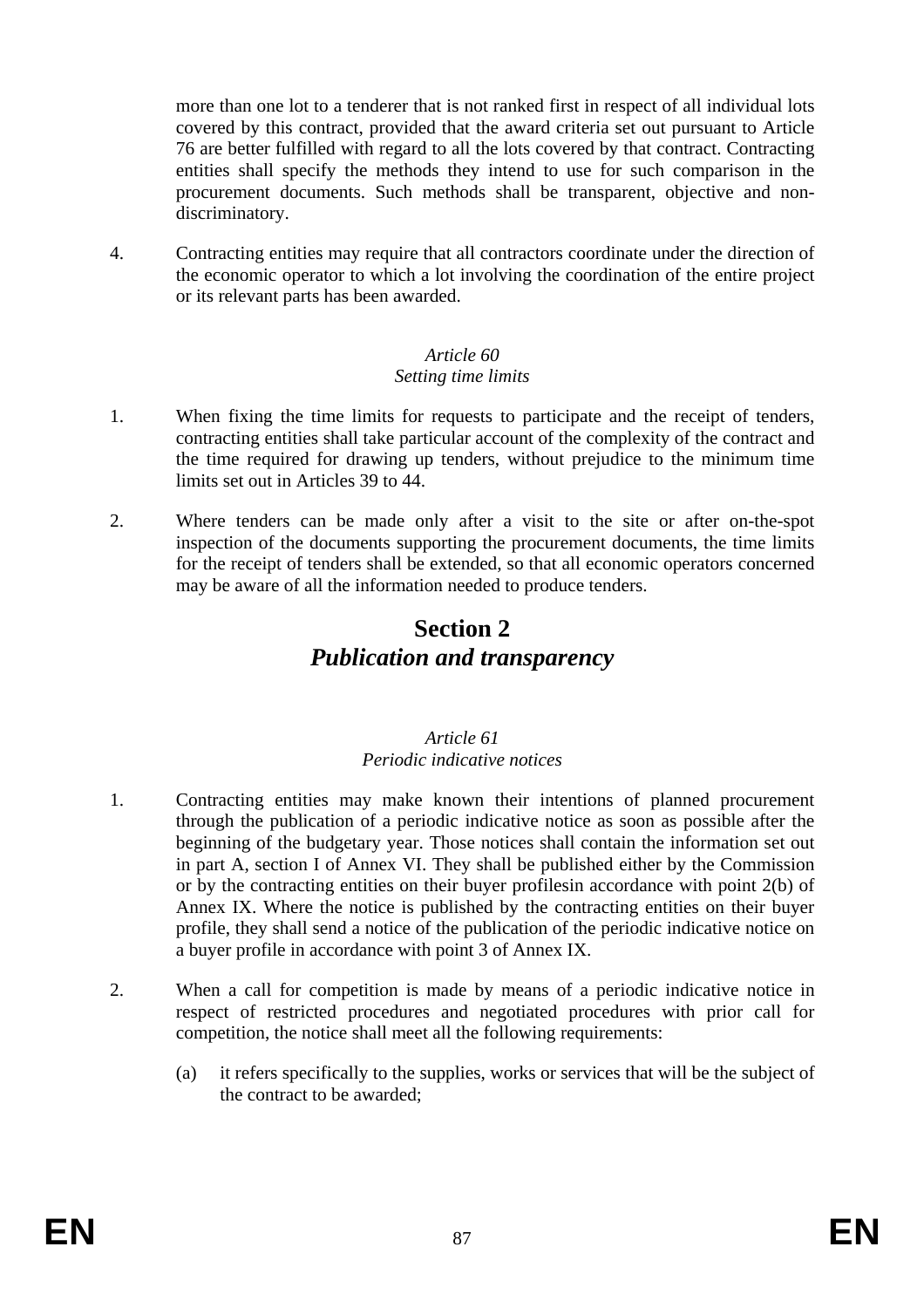more than one lot to a tenderer that is not ranked first in respect of all individual lots covered by this contract, provided that the award criteria set out pursuant to Article 76 are better fulfilled with regard to all the lots covered by that contract. Contracting entities shall specify the methods they intend to use for such comparison in the procurement documents. Such methods shall be transparent, objective and nondiscriminatory.

4. Contracting entities may require that all contractors coordinate under the direction of the economic operator to which a lot involving the coordination of the entire project or its relevant parts has been awarded.

## *Article 60 Setting time limits*

- 1. When fixing the time limits for requests to participate and the receipt of tenders, contracting entities shall take particular account of the complexity of the contract and the time required for drawing up tenders, without prejudice to the minimum time limits set out in Articles 39 to 44.
- 2. Where tenders can be made only after a visit to the site or after on-the-spot inspection of the documents supporting the procurement documents, the time limits for the receipt of tenders shall be extended, so that all economic operators concerned may be aware of all the information needed to produce tenders.

# **Section 2**  *Publication and transparency*

# *Article 61 Periodic indicative notices*

- 1. Contracting entities may make known their intentions of planned procurement through the publication of a periodic indicative notice as soon as possible after the beginning of the budgetary year. Those notices shall contain the information set out in part A, section I of Annex VI. They shall be published either by the Commission or by the contracting entities on their buyer profilesin accordance with point 2(b) of Annex IX. Where the notice is published by the contracting entities on their buyer profile, they shall send a notice of the publication of the periodic indicative notice on a buyer profile in accordance with point 3 of Annex IX.
- 2. When a call for competition is made by means of a periodic indicative notice in respect of restricted procedures and negotiated procedures with prior call for competition, the notice shall meet all the following requirements:
	- (a) it refers specifically to the supplies, works or services that will be the subject of the contract to be awarded;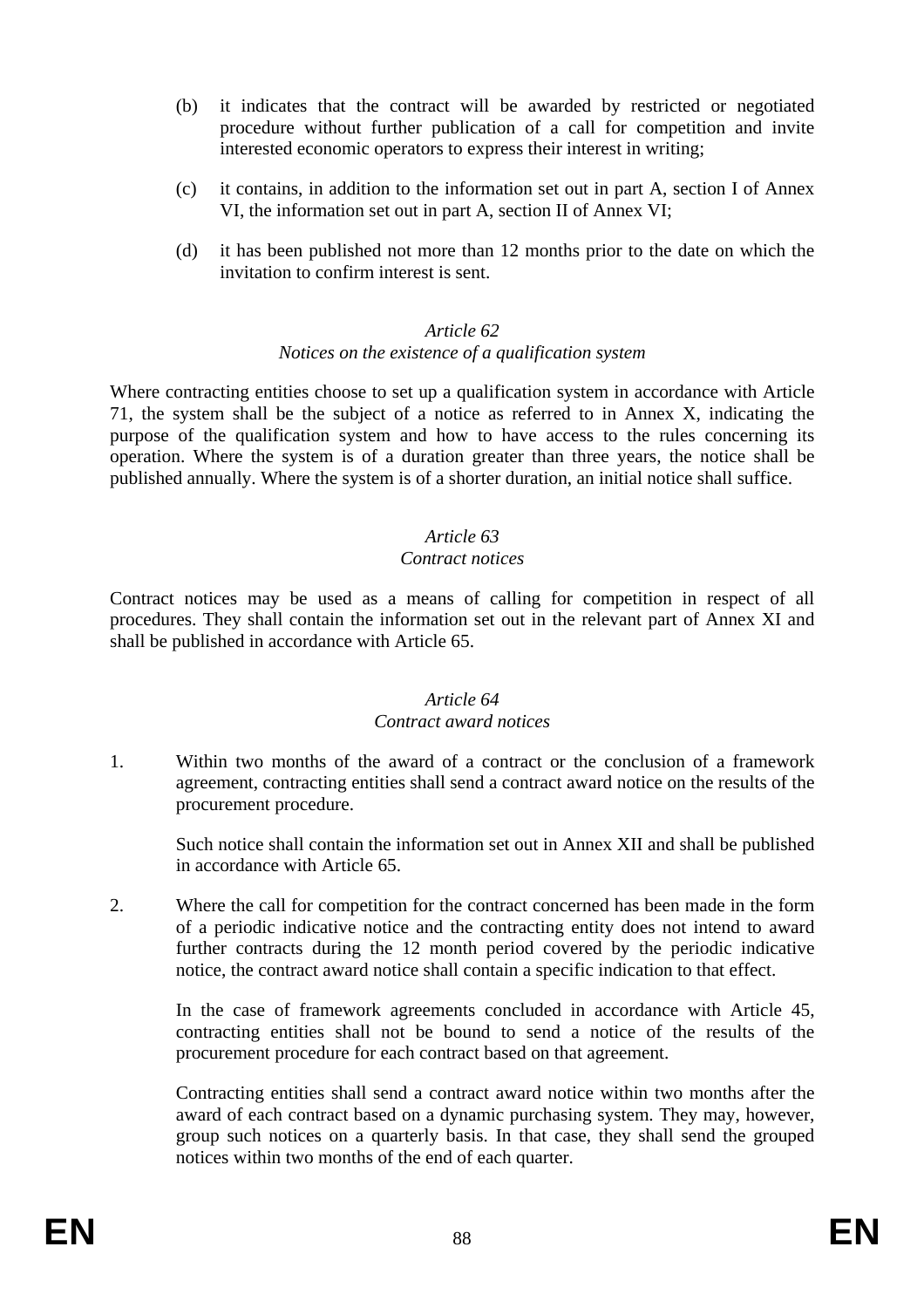- (b) it indicates that the contract will be awarded by restricted or negotiated procedure without further publication of a call for competition and invite interested economic operators to express their interest in writing;
- (c) it contains, in addition to the information set out in part A, section I of Annex VI, the information set out in part A, section II of Annex VI;
- (d) it has been published not more than 12 months prior to the date on which the invitation to confirm interest is sent.

### *Article 62 Notices on the existence of a qualification system*

Where contracting entities choose to set up a qualification system in accordance with Article 71, the system shall be the subject of a notice as referred to in Annex X, indicating the purpose of the qualification system and how to have access to the rules concerning its operation. Where the system is of a duration greater than three years, the notice shall be published annually. Where the system is of a shorter duration, an initial notice shall suffice.

# *Article 63*

#### *Contract notices*

Contract notices may be used as a means of calling for competition in respect of all procedures. They shall contain the information set out in the relevant part of Annex XI and shall be published in accordance with Article 65.

# *Article 64*

#### *Contract award notices*

1. Within two months of the award of a contract or the conclusion of a framework agreement, contracting entities shall send a contract award notice on the results of the procurement procedure.

Such notice shall contain the information set out in Annex XII and shall be published in accordance with Article 65.

2. Where the call for competition for the contract concerned has been made in the form of a periodic indicative notice and the contracting entity does not intend to award further contracts during the 12 month period covered by the periodic indicative notice, the contract award notice shall contain a specific indication to that effect.

In the case of framework agreements concluded in accordance with Article 45, contracting entities shall not be bound to send a notice of the results of the procurement procedure for each contract based on that agreement.

Contracting entities shall send a contract award notice within two months after the award of each contract based on a dynamic purchasing system. They may, however, group such notices on a quarterly basis. In that case, they shall send the grouped notices within two months of the end of each quarter.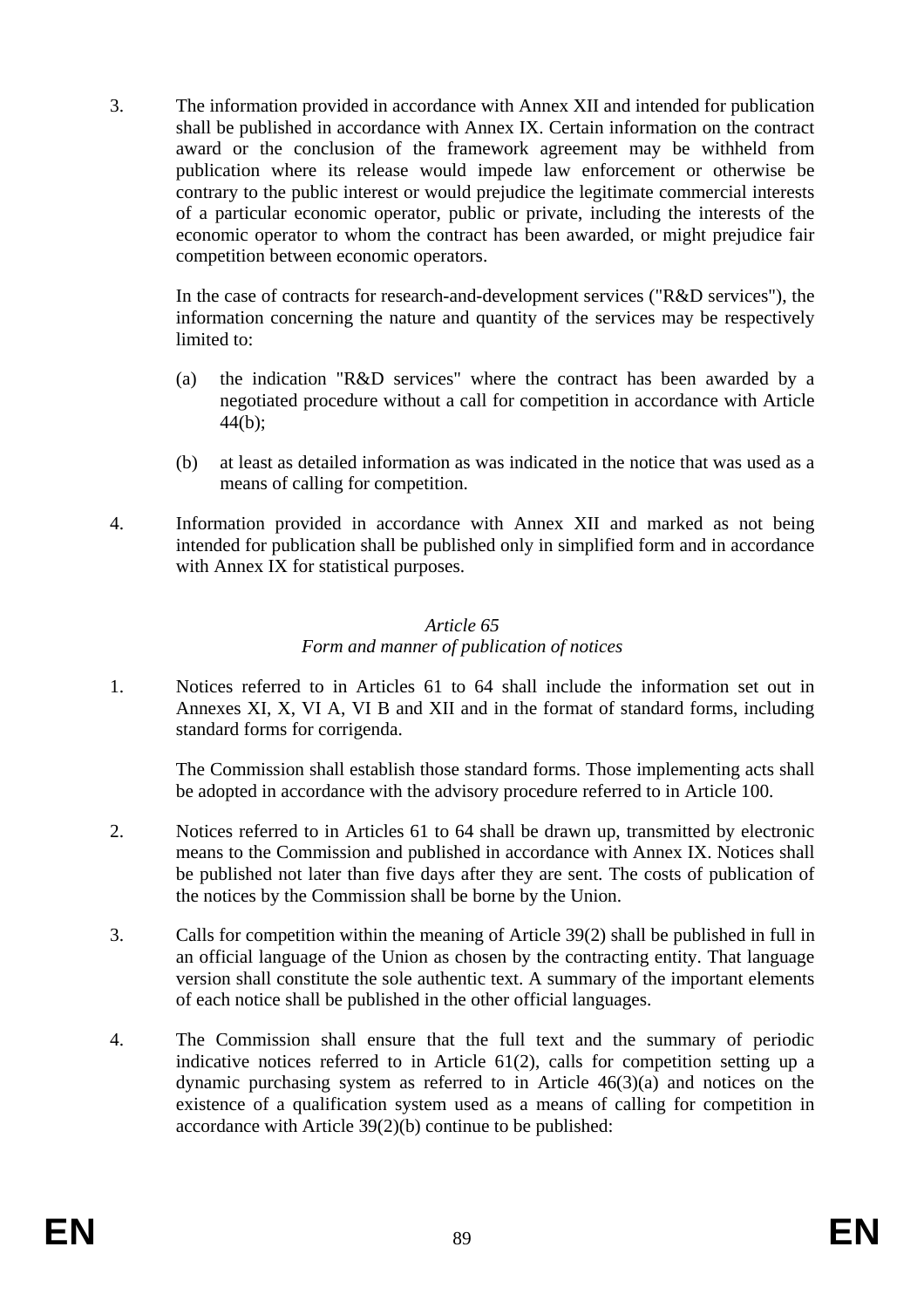3. The information provided in accordance with Annex XII and intended for publication shall be published in accordance with Annex IX. Certain information on the contract award or the conclusion of the framework agreement may be withheld from publication where its release would impede law enforcement or otherwise be contrary to the public interest or would prejudice the legitimate commercial interests of a particular economic operator, public or private, including the interests of the economic operator to whom the contract has been awarded, or might prejudice fair competition between economic operators.

In the case of contracts for research-and-development services ("R&D services"), the information concerning the nature and quantity of the services may be respectively limited to:

- (a) the indication "R&D services" where the contract has been awarded by a negotiated procedure without a call for competition in accordance with Article 44(b);
- (b) at least as detailed information as was indicated in the notice that was used as a means of calling for competition.
- 4. Information provided in accordance with Annex XII and marked as not being intended for publication shall be published only in simplified form and in accordance with Annex IX for statistical purposes.

# *Article 65 Form and manner of publication of notices*

1. Notices referred to in Articles 61 to 64 shall include the information set out in Annexes XI, X, VI A, VI B and XII and in the format of standard forms, including standard forms for corrigenda.

The Commission shall establish those standard forms. Those implementing acts shall be adopted in accordance with the advisory procedure referred to in Article 100.

- 2. Notices referred to in Articles 61 to 64 shall be drawn up, transmitted by electronic means to the Commission and published in accordance with Annex IX. Notices shall be published not later than five days after they are sent. The costs of publication of the notices by the Commission shall be borne by the Union.
- 3. Calls for competition within the meaning of Article 39(2) shall be published in full in an official language of the Union as chosen by the contracting entity. That language version shall constitute the sole authentic text. A summary of the important elements of each notice shall be published in the other official languages.
- 4. The Commission shall ensure that the full text and the summary of periodic indicative notices referred to in Article 61(2), calls for competition setting up a dynamic purchasing system as referred to in Article 46(3)(a) and notices on the existence of a qualification system used as a means of calling for competition in accordance with Article 39(2)(b) continue to be published: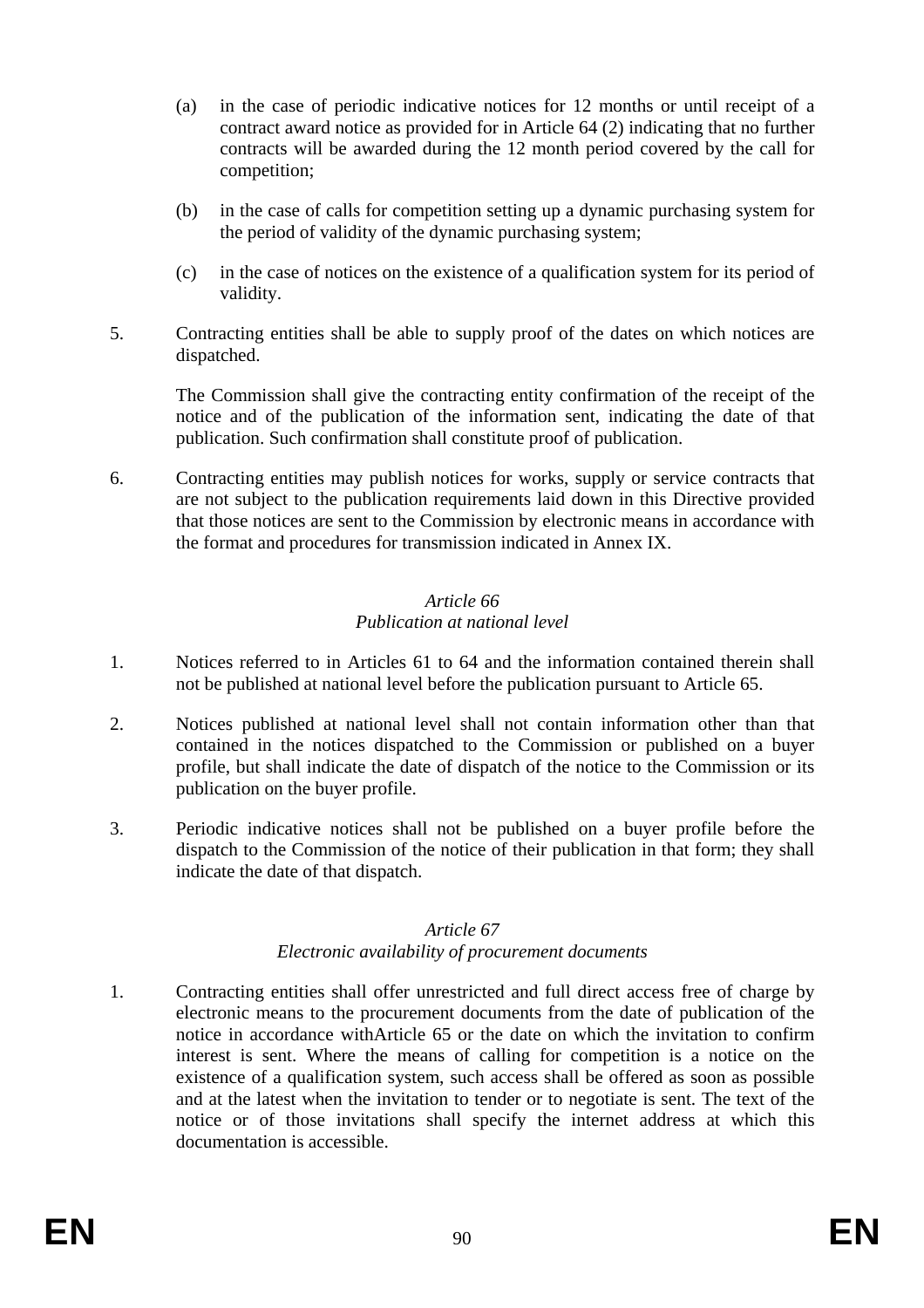- (a) in the case of periodic indicative notices for 12 months or until receipt of a contract award notice as provided for in Article 64 (2) indicating that no further contracts will be awarded during the 12 month period covered by the call for competition;
- (b) in the case of calls for competition setting up a dynamic purchasing system for the period of validity of the dynamic purchasing system;
- (c) in the case of notices on the existence of a qualification system for its period of validity.
- 5. Contracting entities shall be able to supply proof of the dates on which notices are dispatched.

The Commission shall give the contracting entity confirmation of the receipt of the notice and of the publication of the information sent, indicating the date of that publication. Such confirmation shall constitute proof of publication.

6. Contracting entities may publish notices for works, supply or service contracts that are not subject to the publication requirements laid down in this Directive provided that those notices are sent to the Commission by electronic means in accordance with the format and procedures for transmission indicated in Annex IX.

## *Article 66 Publication at national level*

- 1. Notices referred to in Articles 61 to 64 and the information contained therein shall not be published at national level before the publication pursuant to Article 65.
- 2. Notices published at national level shall not contain information other than that contained in the notices dispatched to the Commission or published on a buyer profile, but shall indicate the date of dispatch of the notice to the Commission or its publication on the buyer profile.
- 3. Periodic indicative notices shall not be published on a buyer profile before the dispatch to the Commission of the notice of their publication in that form; they shall indicate the date of that dispatch.

#### *Article 67 Electronic availability of procurement documents*

1. Contracting entities shall offer unrestricted and full direct access free of charge by electronic means to the procurement documents from the date of publication of the notice in accordance withArticle 65 or the date on which the invitation to confirm interest is sent. Where the means of calling for competition is a notice on the existence of a qualification system, such access shall be offered as soon as possible and at the latest when the invitation to tender or to negotiate is sent. The text of the notice or of those invitations shall specify the internet address at which this documentation is accessible.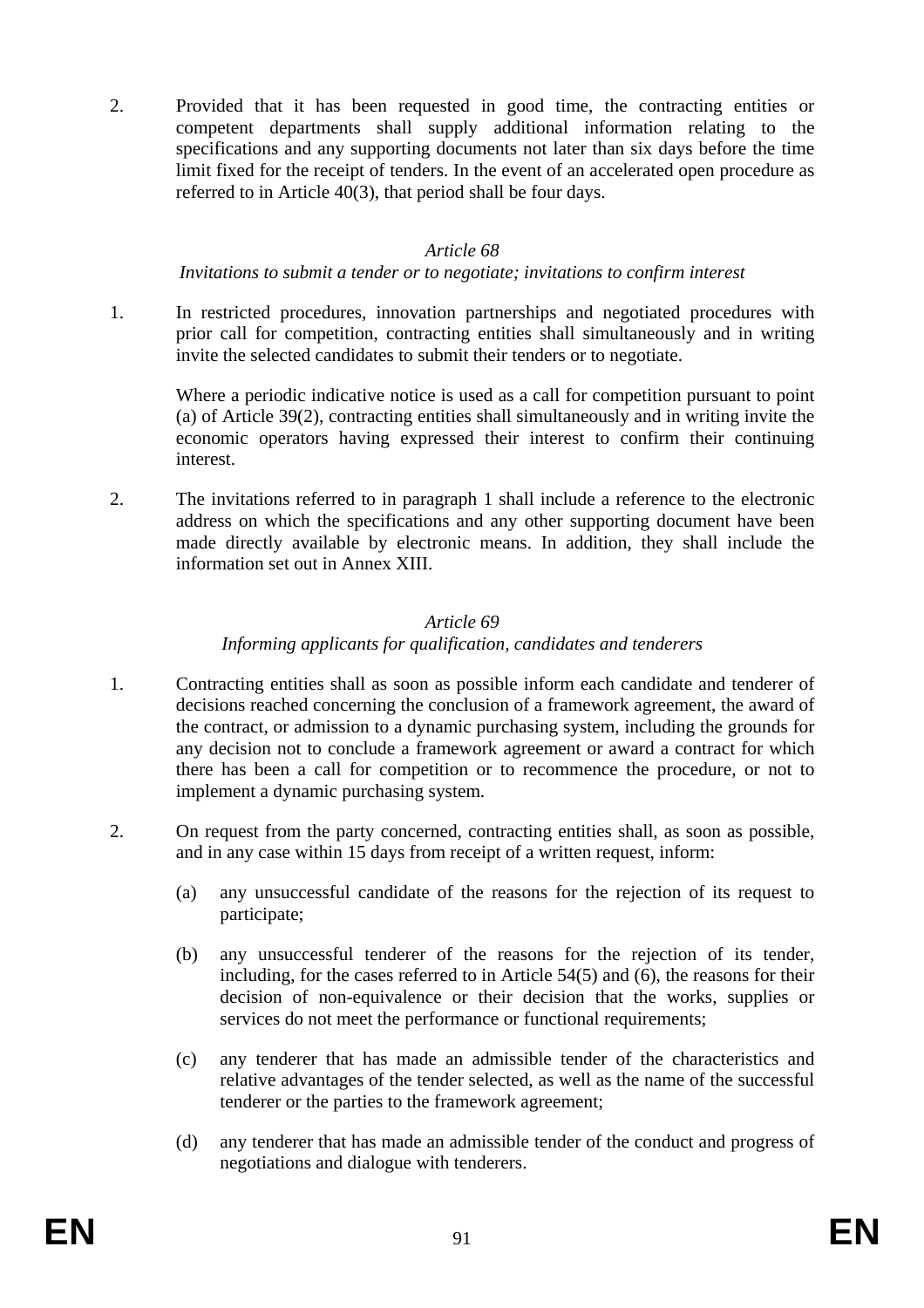2. Provided that it has been requested in good time, the contracting entities or competent departments shall supply additional information relating to the specifications and any supporting documents not later than six days before the time limit fixed for the receipt of tenders. In the event of an accelerated open procedure as referred to in Article 40(3), that period shall be four days.

#### *Article 68*

#### *Invitations to submit a tender or to negotiate; invitations to confirm interest*

1. In restricted procedures, innovation partnerships and negotiated procedures with prior call for competition, contracting entities shall simultaneously and in writing invite the selected candidates to submit their tenders or to negotiate.

Where a periodic indicative notice is used as a call for competition pursuant to point (a) of Article 39(2), contracting entities shall simultaneously and in writing invite the economic operators having expressed their interest to confirm their continuing interest.

2. The invitations referred to in paragraph 1 shall include a reference to the electronic address on which the specifications and any other supporting document have been made directly available by electronic means. In addition, they shall include the information set out in Annex XIII.

### *Article 69*

## *Informing applicants for qualification, candidates and tenderers*

- 1. Contracting entities shall as soon as possible inform each candidate and tenderer of decisions reached concerning the conclusion of a framework agreement, the award of the contract, or admission to a dynamic purchasing system, including the grounds for any decision not to conclude a framework agreement or award a contract for which there has been a call for competition or to recommence the procedure, or not to implement a dynamic purchasing system.
- 2. On request from the party concerned, contracting entities shall, as soon as possible, and in any case within 15 days from receipt of a written request, inform:
	- (a) any unsuccessful candidate of the reasons for the rejection of its request to participate;
	- (b) any unsuccessful tenderer of the reasons for the rejection of its tender, including, for the cases referred to in Article 54(5) and (6), the reasons for their decision of non-equivalence or their decision that the works, supplies or services do not meet the performance or functional requirements;
	- (c) any tenderer that has made an admissible tender of the characteristics and relative advantages of the tender selected, as well as the name of the successful tenderer or the parties to the framework agreement;
	- (d) any tenderer that has made an admissible tender of the conduct and progress of negotiations and dialogue with tenderers.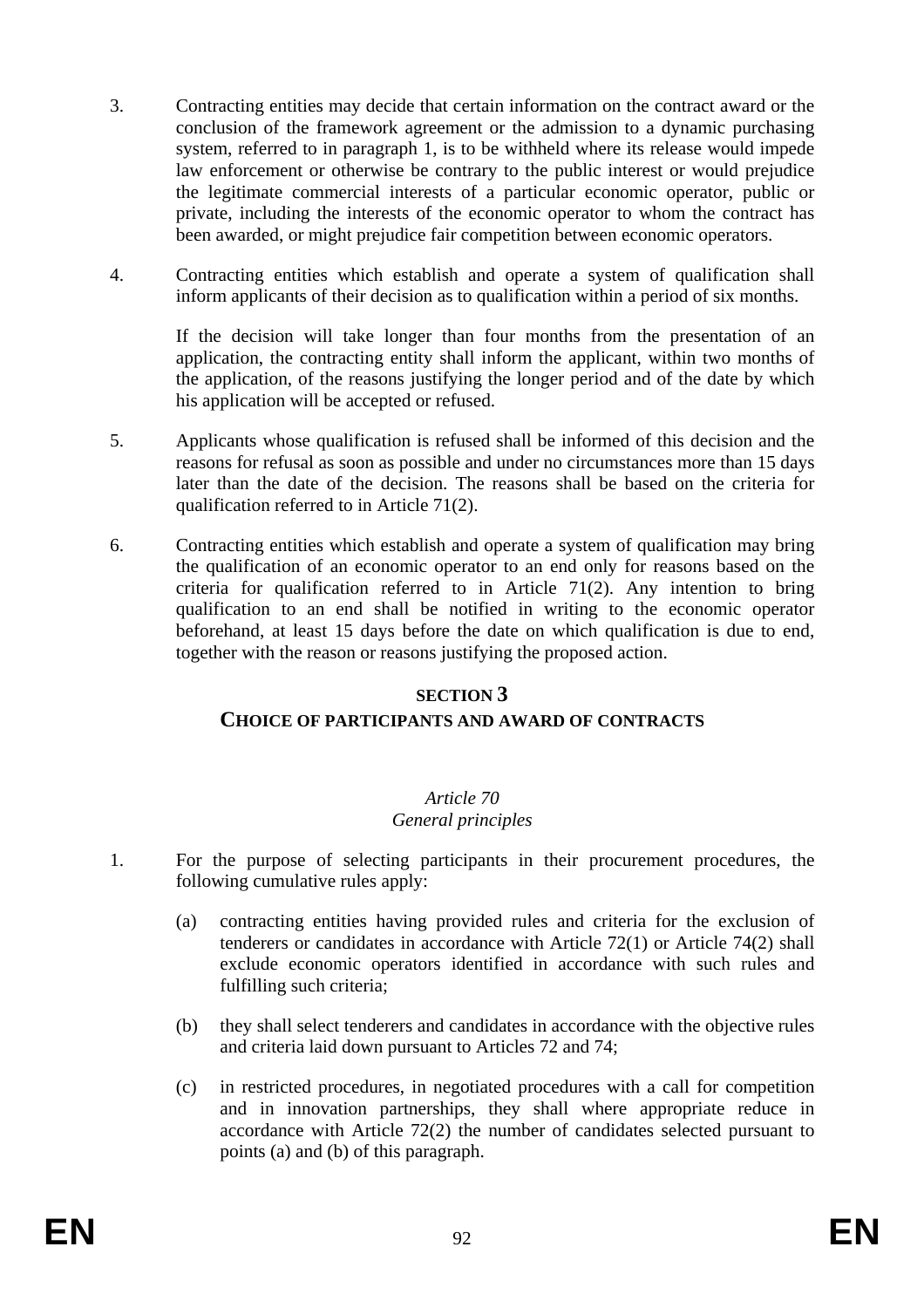- 3. Contracting entities may decide that certain information on the contract award or the conclusion of the framework agreement or the admission to a dynamic purchasing system, referred to in paragraph 1, is to be withheld where its release would impede law enforcement or otherwise be contrary to the public interest or would prejudice the legitimate commercial interests of a particular economic operator, public or private, including the interests of the economic operator to whom the contract has been awarded, or might prejudice fair competition between economic operators.
- 4. Contracting entities which establish and operate a system of qualification shall inform applicants of their decision as to qualification within a period of six months.

If the decision will take longer than four months from the presentation of an application, the contracting entity shall inform the applicant, within two months of the application, of the reasons justifying the longer period and of the date by which his application will be accepted or refused.

- 5. Applicants whose qualification is refused shall be informed of this decision and the reasons for refusal as soon as possible and under no circumstances more than 15 days later than the date of the decision. The reasons shall be based on the criteria for qualification referred to in Article 71(2).
- 6. Contracting entities which establish and operate a system of qualification may bring the qualification of an economic operator to an end only for reasons based on the criteria for qualification referred to in Article 71(2). Any intention to bring qualification to an end shall be notified in writing to the economic operator beforehand, at least 15 days before the date on which qualification is due to end, together with the reason or reasons justifying the proposed action.

### **SECTION 3**

# **CHOICE OF PARTICIPANTS AND AWARD OF CONTRACTS**

# *Article 70*

# *General principles*

- 1. For the purpose of selecting participants in their procurement procedures, the following cumulative rules apply:
	- (a) contracting entities having provided rules and criteria for the exclusion of tenderers or candidates in accordance with Article 72(1) or Article 74(2) shall exclude economic operators identified in accordance with such rules and fulfilling such criteria;
	- (b) they shall select tenderers and candidates in accordance with the objective rules and criteria laid down pursuant to Articles 72 and 74;
	- (c) in restricted procedures, in negotiated procedures with a call for competition and in innovation partnerships, they shall where appropriate reduce in accordance with Article 72(2) the number of candidates selected pursuant to points (a) and (b) of this paragraph.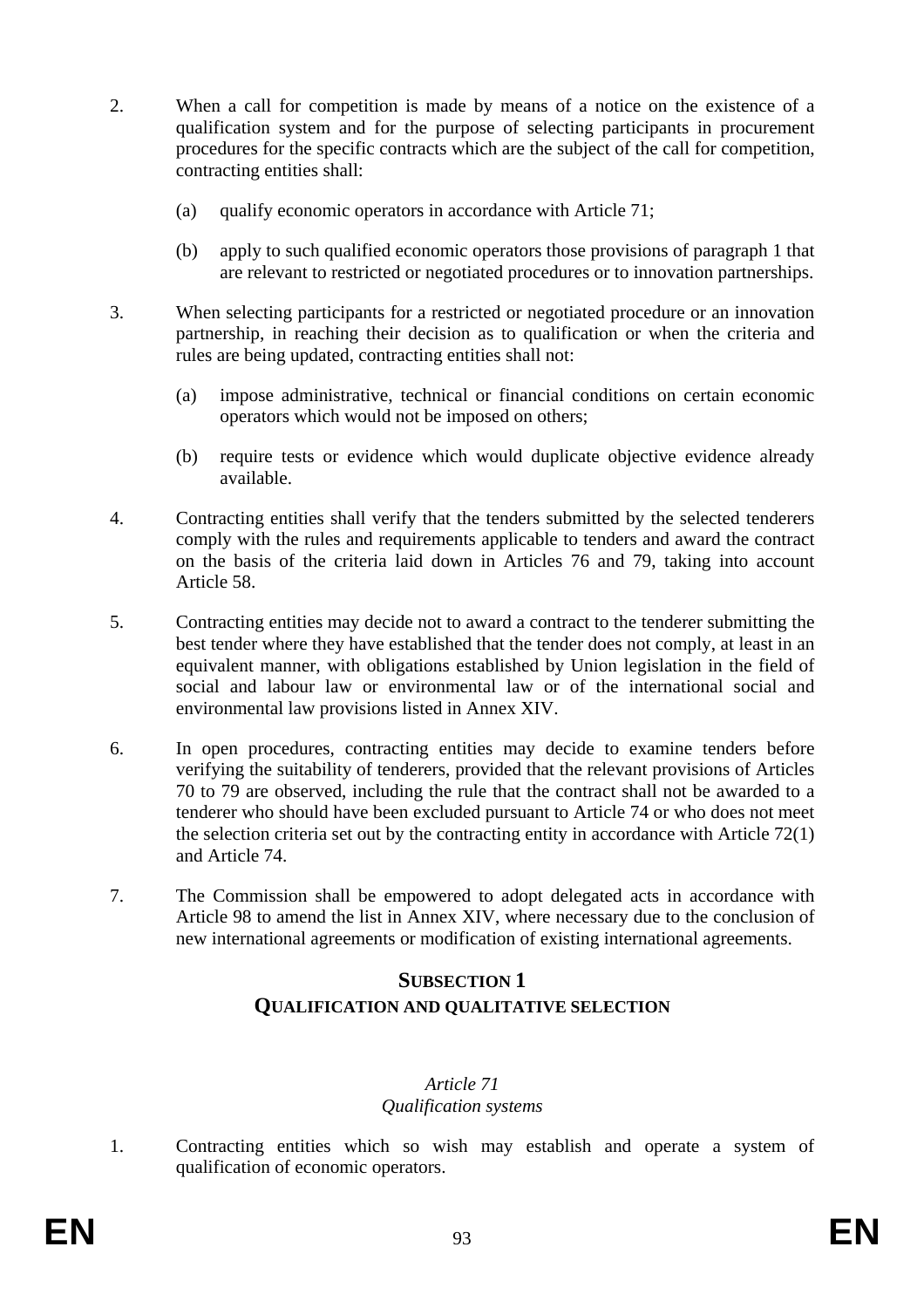- 2. When a call for competition is made by means of a notice on the existence of a qualification system and for the purpose of selecting participants in procurement procedures for the specific contracts which are the subject of the call for competition, contracting entities shall:
	- (a) qualify economic operators in accordance with Article 71;
	- (b) apply to such qualified economic operators those provisions of paragraph 1 that are relevant to restricted or negotiated procedures or to innovation partnerships.
- 3. When selecting participants for a restricted or negotiated procedure or an innovation partnership, in reaching their decision as to qualification or when the criteria and rules are being updated, contracting entities shall not:
	- (a) impose administrative, technical or financial conditions on certain economic operators which would not be imposed on others;
	- (b) require tests or evidence which would duplicate objective evidence already available.
- 4. Contracting entities shall verify that the tenders submitted by the selected tenderers comply with the rules and requirements applicable to tenders and award the contract on the basis of the criteria laid down in Articles 76 and 79, taking into account Article 58.
- 5. Contracting entities may decide not to award a contract to the tenderer submitting the best tender where they have established that the tender does not comply, at least in an equivalent manner, with obligations established by Union legislation in the field of social and labour law or environmental law or of the international social and environmental law provisions listed in Annex XIV.
- 6. In open procedures, contracting entities may decide to examine tenders before verifying the suitability of tenderers, provided that the relevant provisions of Articles 70 to 79 are observed, including the rule that the contract shall not be awarded to a tenderer who should have been excluded pursuant to Article 74 or who does not meet the selection criteria set out by the contracting entity in accordance with Article 72(1) and Article 74.
- 7. The Commission shall be empowered to adopt delegated acts in accordance with Article 98 to amend the list in Annex XIV, where necessary due to the conclusion of new international agreements or modification of existing international agreements.

# **SUBSECTION 1 QUALIFICATION AND QUALITATIVE SELECTION**

## *Article 71 Qualification systems*

1. Contracting entities which so wish may establish and operate a system of qualification of economic operators.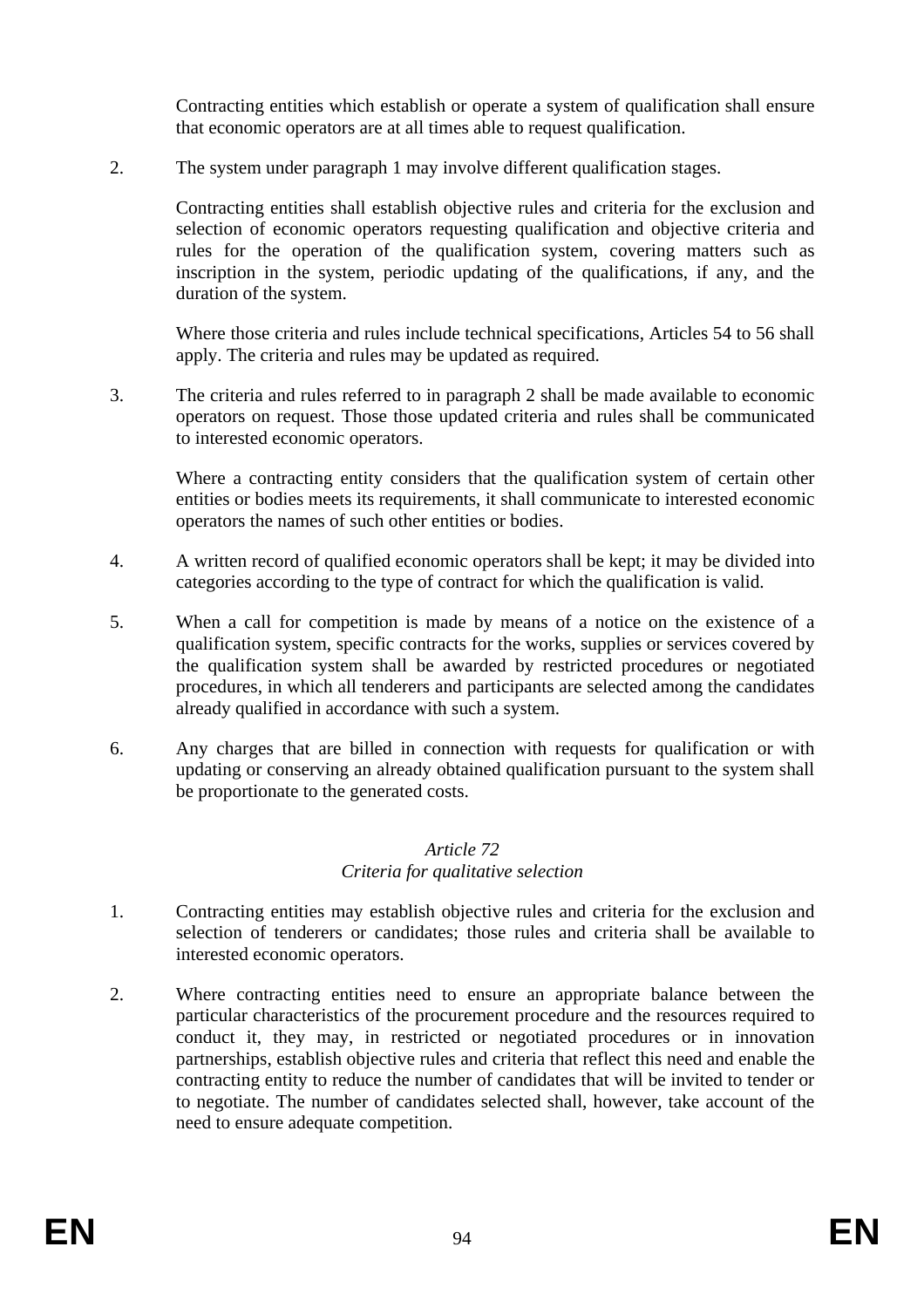Contracting entities which establish or operate a system of qualification shall ensure that economic operators are at all times able to request qualification.

2. The system under paragraph 1 may involve different qualification stages.

Contracting entities shall establish objective rules and criteria for the exclusion and selection of economic operators requesting qualification and objective criteria and rules for the operation of the qualification system, covering matters such as inscription in the system, periodic updating of the qualifications, if any, and the duration of the system.

Where those criteria and rules include technical specifications, Articles 54 to 56 shall apply. The criteria and rules may be updated as required.

3. The criteria and rules referred to in paragraph 2 shall be made available to economic operators on request. Those those updated criteria and rules shall be communicated to interested economic operators.

Where a contracting entity considers that the qualification system of certain other entities or bodies meets its requirements, it shall communicate to interested economic operators the names of such other entities or bodies.

- 4. A written record of qualified economic operators shall be kept; it may be divided into categories according to the type of contract for which the qualification is valid.
- 5. When a call for competition is made by means of a notice on the existence of a qualification system, specific contracts for the works, supplies or services covered by the qualification system shall be awarded by restricted procedures or negotiated procedures, in which all tenderers and participants are selected among the candidates already qualified in accordance with such a system.
- 6. Any charges that are billed in connection with requests for qualification or with updating or conserving an already obtained qualification pursuant to the system shall be proportionate to the generated costs.

### *Article 72 Criteria for qualitative selection*

- 1. Contracting entities may establish objective rules and criteria for the exclusion and selection of tenderers or candidates; those rules and criteria shall be available to interested economic operators.
- 2. Where contracting entities need to ensure an appropriate balance between the particular characteristics of the procurement procedure and the resources required to conduct it, they may, in restricted or negotiated procedures or in innovation partnerships, establish objective rules and criteria that reflect this need and enable the contracting entity to reduce the number of candidates that will be invited to tender or to negotiate. The number of candidates selected shall, however, take account of the need to ensure adequate competition.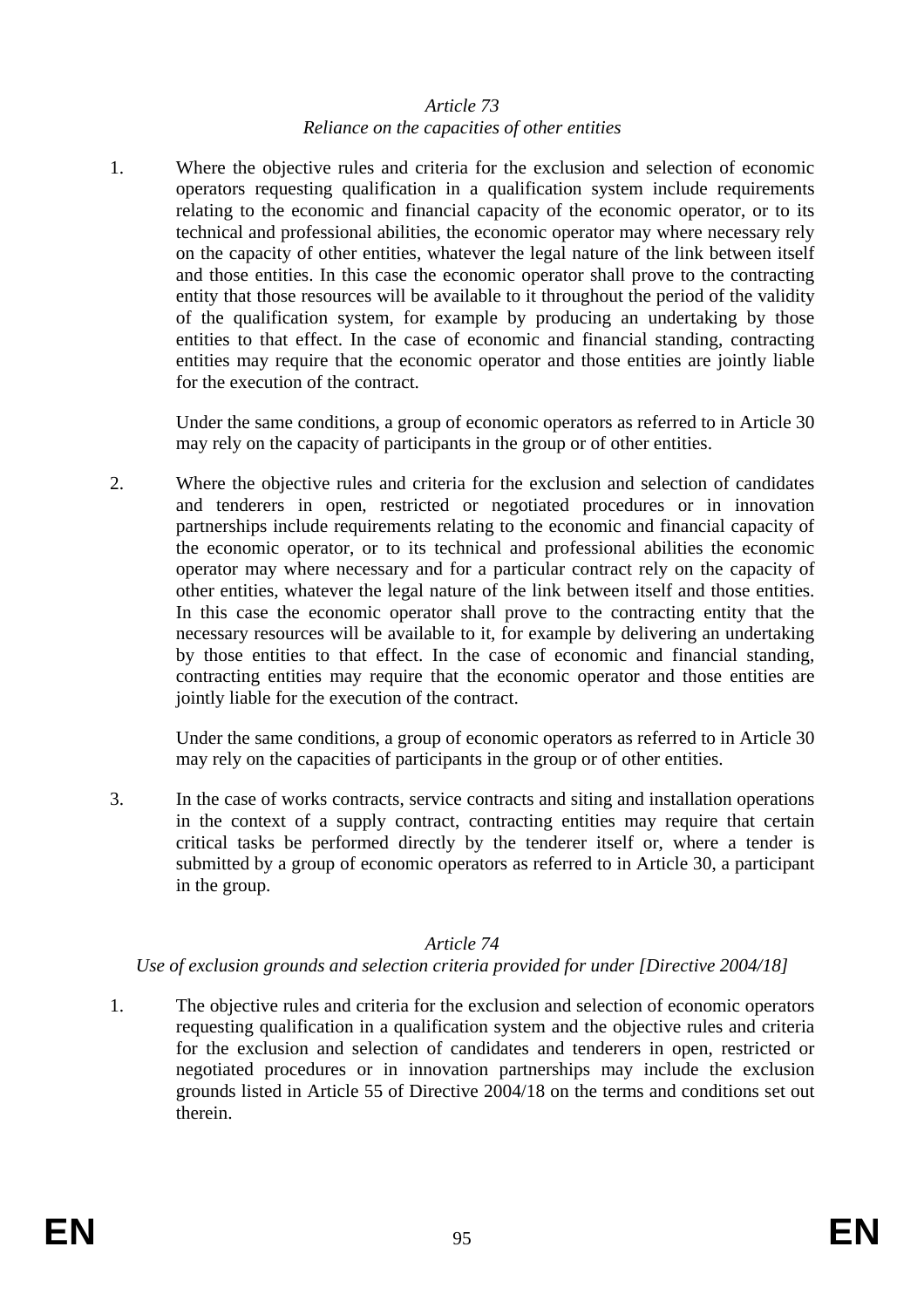#### *Article 73 Reliance on the capacities of other entities*

1. Where the objective rules and criteria for the exclusion and selection of economic operators requesting qualification in a qualification system include requirements relating to the economic and financial capacity of the economic operator, or to its technical and professional abilities, the economic operator may where necessary rely on the capacity of other entities, whatever the legal nature of the link between itself and those entities. In this case the economic operator shall prove to the contracting entity that those resources will be available to it throughout the period of the validity of the qualification system, for example by producing an undertaking by those entities to that effect. In the case of economic and financial standing, contracting entities may require that the economic operator and those entities are jointly liable for the execution of the contract.

Under the same conditions, a group of economic operators as referred to in Article 30 may rely on the capacity of participants in the group or of other entities.

2. Where the objective rules and criteria for the exclusion and selection of candidates and tenderers in open, restricted or negotiated procedures or in innovation partnerships include requirements relating to the economic and financial capacity of the economic operator, or to its technical and professional abilities the economic operator may where necessary and for a particular contract rely on the capacity of other entities, whatever the legal nature of the link between itself and those entities. In this case the economic operator shall prove to the contracting entity that the necessary resources will be available to it, for example by delivering an undertaking by those entities to that effect. In the case of economic and financial standing, contracting entities may require that the economic operator and those entities are jointly liable for the execution of the contract.

Under the same conditions, a group of economic operators as referred to in Article 30 may rely on the capacities of participants in the group or of other entities.

3. In the case of works contracts, service contracts and siting and installation operations in the context of a supply contract, contracting entities may require that certain critical tasks be performed directly by the tenderer itself or, where a tender is submitted by a group of economic operators as referred to in Article 30, a participant in the group.

# *Article 74*

#### *Use of exclusion grounds and selection criteria provided for under [Directive 2004/18]*

1. The objective rules and criteria for the exclusion and selection of economic operators requesting qualification in a qualification system and the objective rules and criteria for the exclusion and selection of candidates and tenderers in open, restricted or negotiated procedures or in innovation partnerships may include the exclusion grounds listed in Article 55 of Directive 2004/18 on the terms and conditions set out therein.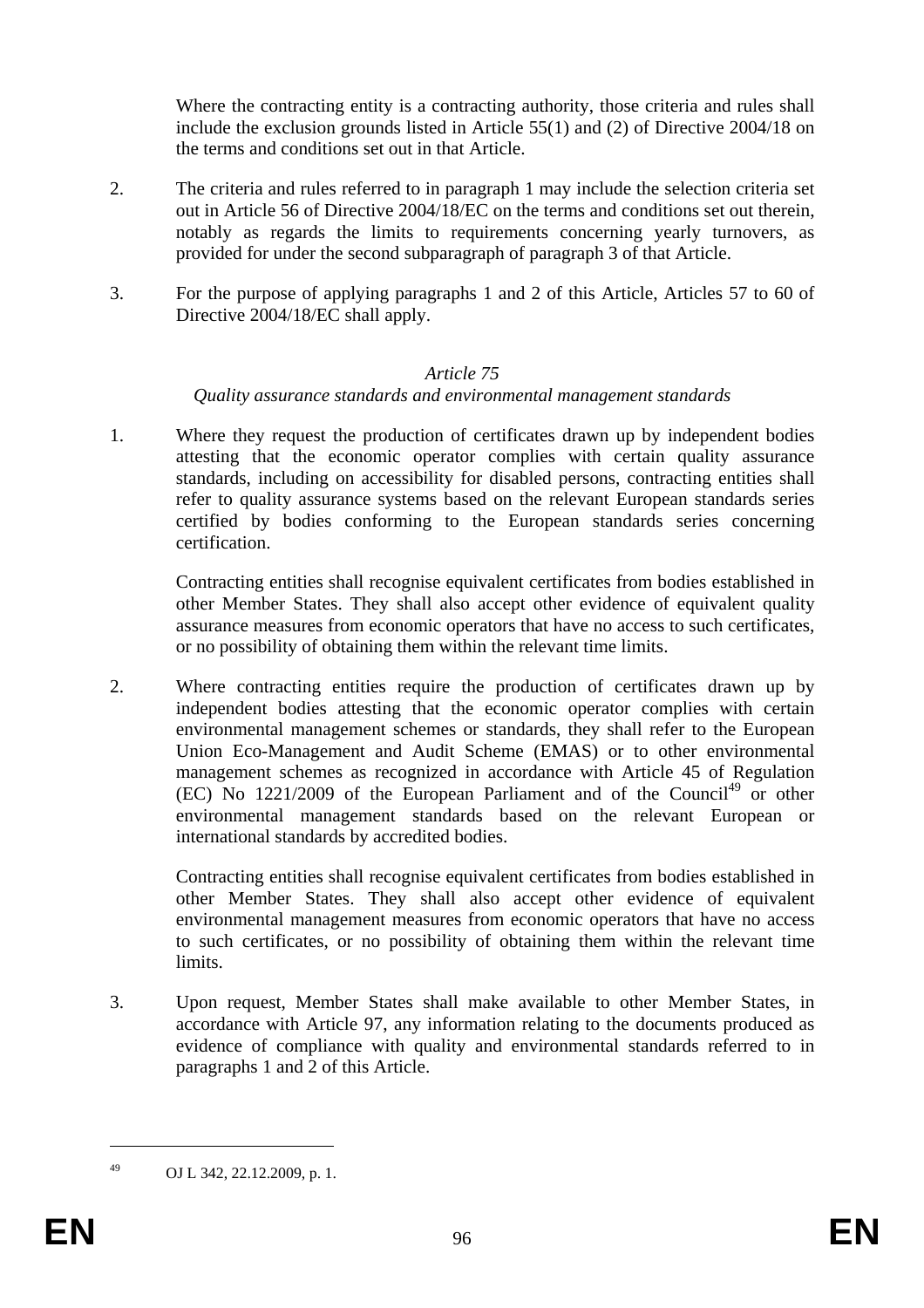Where the contracting entity is a contracting authority, those criteria and rules shall include the exclusion grounds listed in Article 55(1) and (2) of Directive 2004/18 on the terms and conditions set out in that Article.

- 2. The criteria and rules referred to in paragraph 1 may include the selection criteria set out in Article 56 of Directive 2004/18/EC on the terms and conditions set out therein, notably as regards the limits to requirements concerning yearly turnovers, as provided for under the second subparagraph of paragraph 3 of that Article.
- 3. For the purpose of applying paragraphs 1 and 2 of this Article, Articles 57 to 60 of Directive 2004/18/EC shall apply.

### *Article 75*

### *Quality assurance standards and environmental management standards*

1. Where they request the production of certificates drawn up by independent bodies attesting that the economic operator complies with certain quality assurance standards, including on accessibility for disabled persons, contracting entities shall refer to quality assurance systems based on the relevant European standards series certified by bodies conforming to the European standards series concerning certification.

Contracting entities shall recognise equivalent certificates from bodies established in other Member States. They shall also accept other evidence of equivalent quality assurance measures from economic operators that have no access to such certificates, or no possibility of obtaining them within the relevant time limits.

2. Where contracting entities require the production of certificates drawn up by independent bodies attesting that the economic operator complies with certain environmental management schemes or standards, they shall refer to the European Union Eco-Management and Audit Scheme (EMAS) or to other environmental management schemes as recognized in accordance with Article 45 of Regulation  $(EC)$  No 1221/2009 of the European Parliament and of the Council<sup>49</sup> or other environmental management standards based on the relevant European or international standards by accredited bodies.

Contracting entities shall recognise equivalent certificates from bodies established in other Member States. They shall also accept other evidence of equivalent environmental management measures from economic operators that have no access to such certificates, or no possibility of obtaining them within the relevant time limits.

3. Upon request, Member States shall make available to other Member States, in accordance with Article 97, any information relating to the documents produced as evidence of compliance with quality and environmental standards referred to in paragraphs 1 and 2 of this Article.

1

<sup>49</sup> OJ L 342, 22.12.2009, p. 1.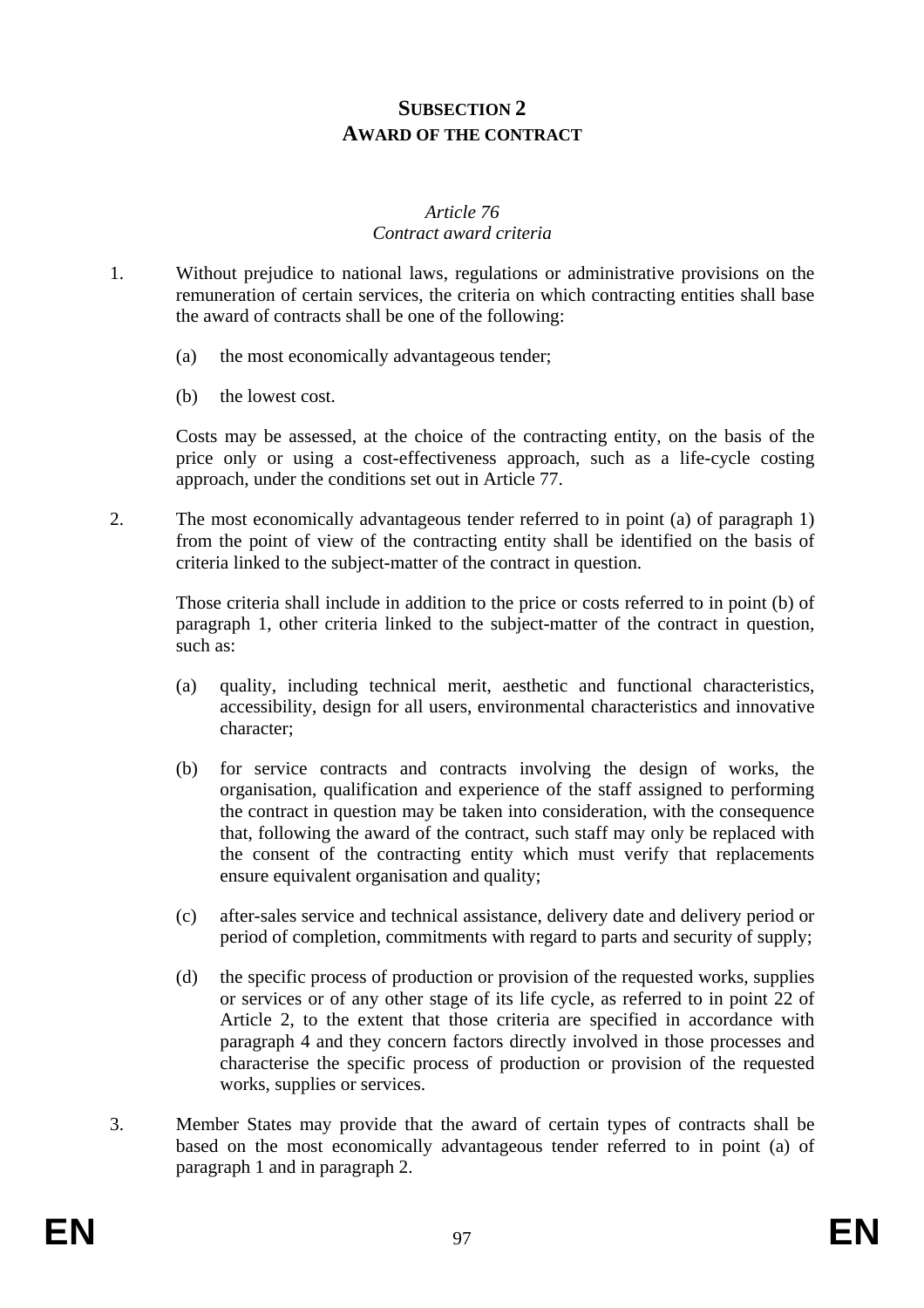# **SUBSECTION 2 AWARD OF THE CONTRACT**

#### *Article 76 Contract award criteria*

- 1. Without prejudice to national laws, regulations or administrative provisions on the remuneration of certain services, the criteria on which contracting entities shall base the award of contracts shall be one of the following:
	- (a) the most economically advantageous tender;
	- (b) the lowest cost.

Costs may be assessed, at the choice of the contracting entity, on the basis of the price only or using a cost-effectiveness approach, such as a life-cycle costing approach, under the conditions set out in Article 77.

2. The most economically advantageous tender referred to in point (a) of paragraph 1) from the point of view of the contracting entity shall be identified on the basis of criteria linked to the subject-matter of the contract in question.

Those criteria shall include in addition to the price or costs referred to in point (b) of paragraph 1, other criteria linked to the subject-matter of the contract in question, such as:

- (a) quality, including technical merit, aesthetic and functional characteristics, accessibility, design for all users, environmental characteristics and innovative character;
- (b) for service contracts and contracts involving the design of works, the organisation, qualification and experience of the staff assigned to performing the contract in question may be taken into consideration, with the consequence that, following the award of the contract, such staff may only be replaced with the consent of the contracting entity which must verify that replacements ensure equivalent organisation and quality;
- (c) after-sales service and technical assistance, delivery date and delivery period or period of completion, commitments with regard to parts and security of supply;
- (d) the specific process of production or provision of the requested works, supplies or services or of any other stage of its life cycle, as referred to in point 22 of Article 2, to the extent that those criteria are specified in accordance with paragraph 4 and they concern factors directly involved in those processes and characterise the specific process of production or provision of the requested works, supplies or services.
- 3. Member States may provide that the award of certain types of contracts shall be based on the most economically advantageous tender referred to in point (a) of paragraph 1 and in paragraph 2.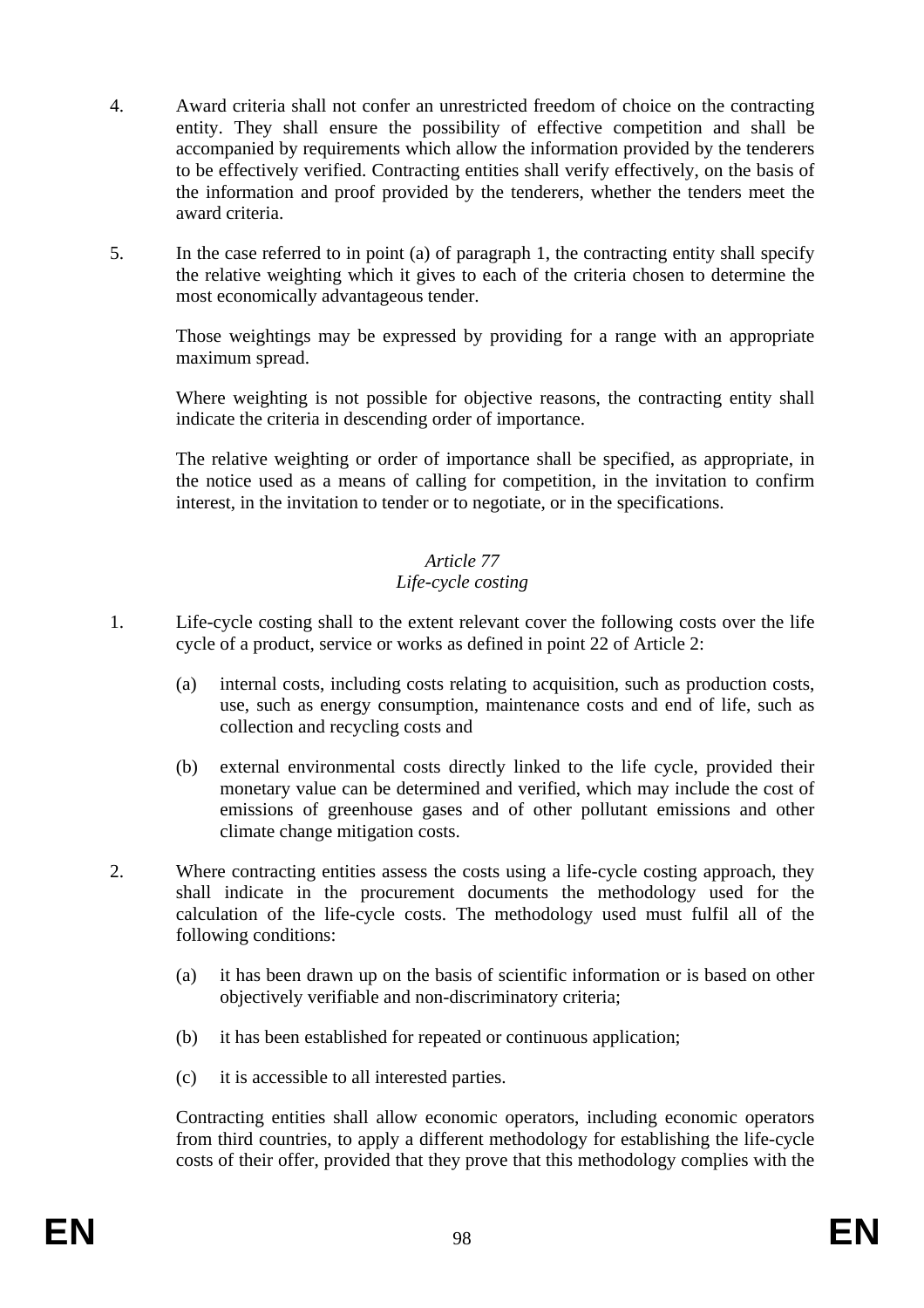- 4. Award criteria shall not confer an unrestricted freedom of choice on the contracting entity. They shall ensure the possibility of effective competition and shall be accompanied by requirements which allow the information provided by the tenderers to be effectively verified. Contracting entities shall verify effectively, on the basis of the information and proof provided by the tenderers, whether the tenders meet the award criteria.
- 5. In the case referred to in point (a) of paragraph 1, the contracting entity shall specify the relative weighting which it gives to each of the criteria chosen to determine the most economically advantageous tender.

Those weightings may be expressed by providing for a range with an appropriate maximum spread.

Where weighting is not possible for objective reasons, the contracting entity shall indicate the criteria in descending order of importance.

The relative weighting or order of importance shall be specified, as appropriate, in the notice used as a means of calling for competition, in the invitation to confirm interest, in the invitation to tender or to negotiate, or in the specifications.

#### *Article 77 Life-cycle costing*

- 1. Life-cycle costing shall to the extent relevant cover the following costs over the life cycle of a product, service or works as defined in point 22 of Article 2:
	- (a) internal costs, including costs relating to acquisition, such as production costs, use, such as energy consumption, maintenance costs and end of life, such as collection and recycling costs and
	- (b) external environmental costs directly linked to the life cycle, provided their monetary value can be determined and verified, which may include the cost of emissions of greenhouse gases and of other pollutant emissions and other climate change mitigation costs.
- 2. Where contracting entities assess the costs using a life-cycle costing approach, they shall indicate in the procurement documents the methodology used for the calculation of the life-cycle costs. The methodology used must fulfil all of the following conditions:
	- (a) it has been drawn up on the basis of scientific information or is based on other objectively verifiable and non-discriminatory criteria;
	- (b) it has been established for repeated or continuous application;
	- (c) it is accessible to all interested parties.

Contracting entities shall allow economic operators, including economic operators from third countries, to apply a different methodology for establishing the life-cycle costs of their offer, provided that they prove that this methodology complies with the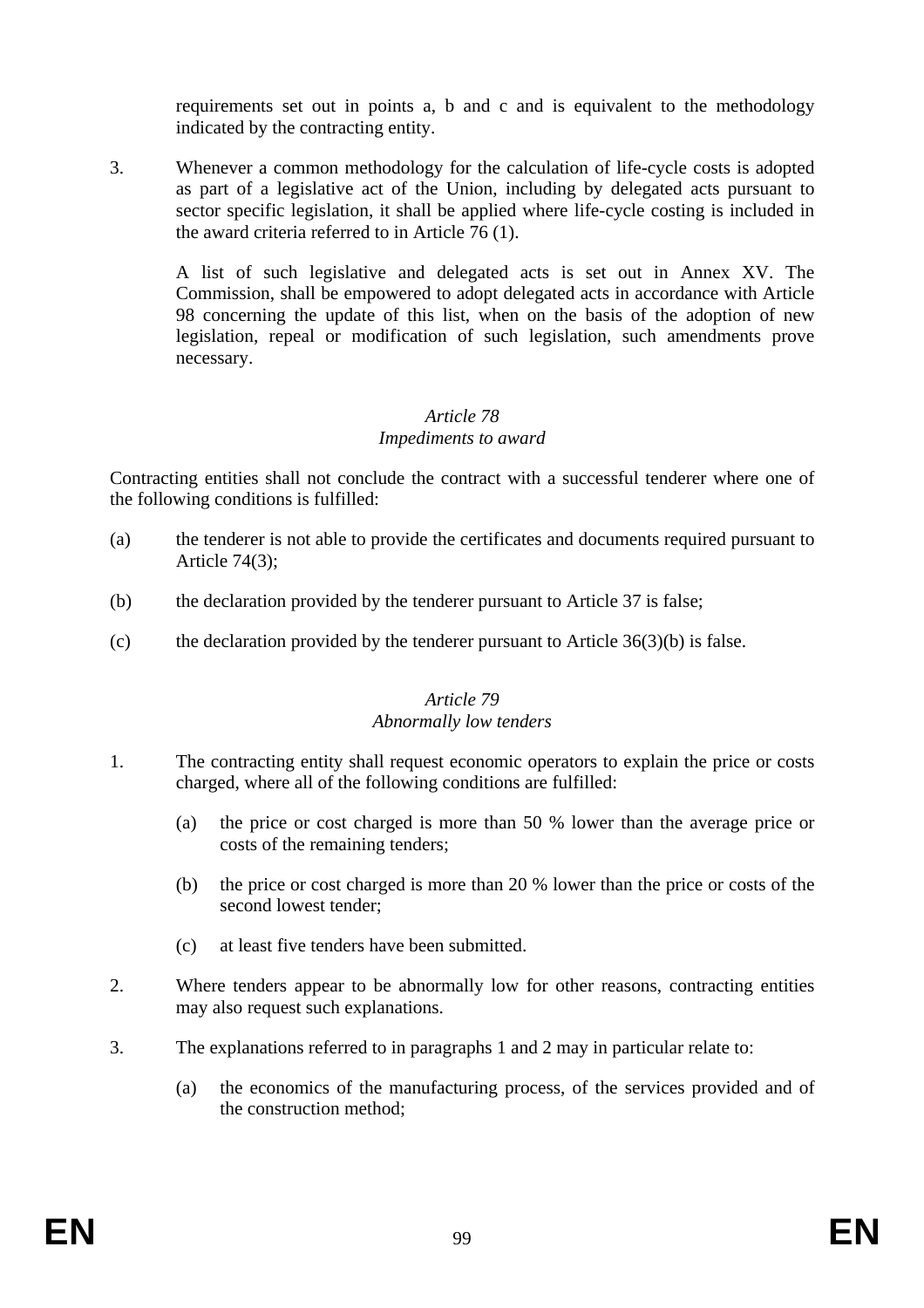requirements set out in points a, b and c and is equivalent to the methodology indicated by the contracting entity.

3. Whenever a common methodology for the calculation of life-cycle costs is adopted as part of a legislative act of the Union, including by delegated acts pursuant to sector specific legislation, it shall be applied where life-cycle costing is included in the award criteria referred to in Article 76 (1).

A list of such legislative and delegated acts is set out in Annex XV. The Commission, shall be empowered to adopt delegated acts in accordance with Article 98 concerning the update of this list, when on the basis of the adoption of new legislation, repeal or modification of such legislation, such amendments prove necessary.

### *Article 78 Impediments to award*

Contracting entities shall not conclude the contract with a successful tenderer where one of the following conditions is fulfilled:

- (a) the tenderer is not able to provide the certificates and documents required pursuant to Article 74(3);
- (b) the declaration provided by the tenderer pursuant to Article 37 is false;
- (c) the declaration provided by the tenderer pursuant to Article  $36(3)(b)$  is false.

#### *Article 79 Abnormally low tenders*

- 1. The contracting entity shall request economic operators to explain the price or costs charged, where all of the following conditions are fulfilled:
	- (a) the price or cost charged is more than 50 % lower than the average price or costs of the remaining tenders;
	- (b) the price or cost charged is more than 20 % lower than the price or costs of the second lowest tender;
	- (c) at least five tenders have been submitted.
- 2. Where tenders appear to be abnormally low for other reasons, contracting entities may also request such explanations.
- 3. The explanations referred to in paragraphs 1 and 2 may in particular relate to:
	- (a) the economics of the manufacturing process, of the services provided and of the construction method;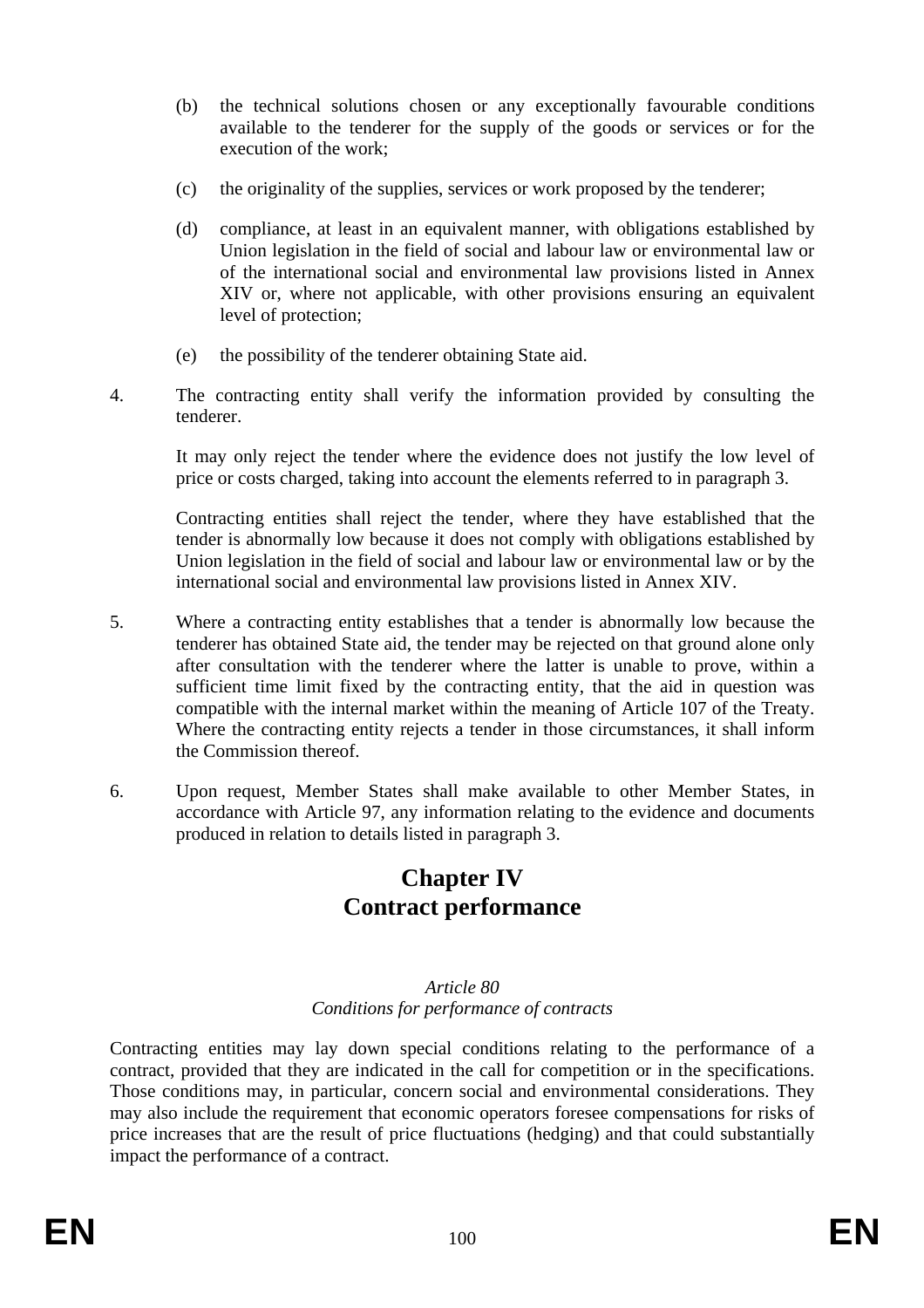- (b) the technical solutions chosen or any exceptionally favourable conditions available to the tenderer for the supply of the goods or services or for the execution of the work;
- (c) the originality of the supplies, services or work proposed by the tenderer;
- (d) compliance, at least in an equivalent manner, with obligations established by Union legislation in the field of social and labour law or environmental law or of the international social and environmental law provisions listed in Annex XIV or, where not applicable, with other provisions ensuring an equivalent level of protection;
- (e) the possibility of the tenderer obtaining State aid.
- 4. The contracting entity shall verify the information provided by consulting the tenderer.

It may only reject the tender where the evidence does not justify the low level of price or costs charged, taking into account the elements referred to in paragraph 3.

Contracting entities shall reject the tender, where they have established that the tender is abnormally low because it does not comply with obligations established by Union legislation in the field of social and labour law or environmental law or by the international social and environmental law provisions listed in Annex XIV.

- 5. Where a contracting entity establishes that a tender is abnormally low because the tenderer has obtained State aid, the tender may be rejected on that ground alone only after consultation with the tenderer where the latter is unable to prove, within a sufficient time limit fixed by the contracting entity, that the aid in question was compatible with the internal market within the meaning of Article 107 of the Treaty. Where the contracting entity rejects a tender in those circumstances, it shall inform the Commission thereof.
- 6. Upon request, Member States shall make available to other Member States, in accordance with Article 97, any information relating to the evidence and documents produced in relation to details listed in paragraph 3.

# **Chapter IV Contract performance**

#### *Article 80 Conditions for performance of contracts*

Contracting entities may lay down special conditions relating to the performance of a contract, provided that they are indicated in the call for competition or in the specifications. Those conditions may, in particular, concern social and environmental considerations. They may also include the requirement that economic operators foresee compensations for risks of price increases that are the result of price fluctuations (hedging) and that could substantially impact the performance of a contract.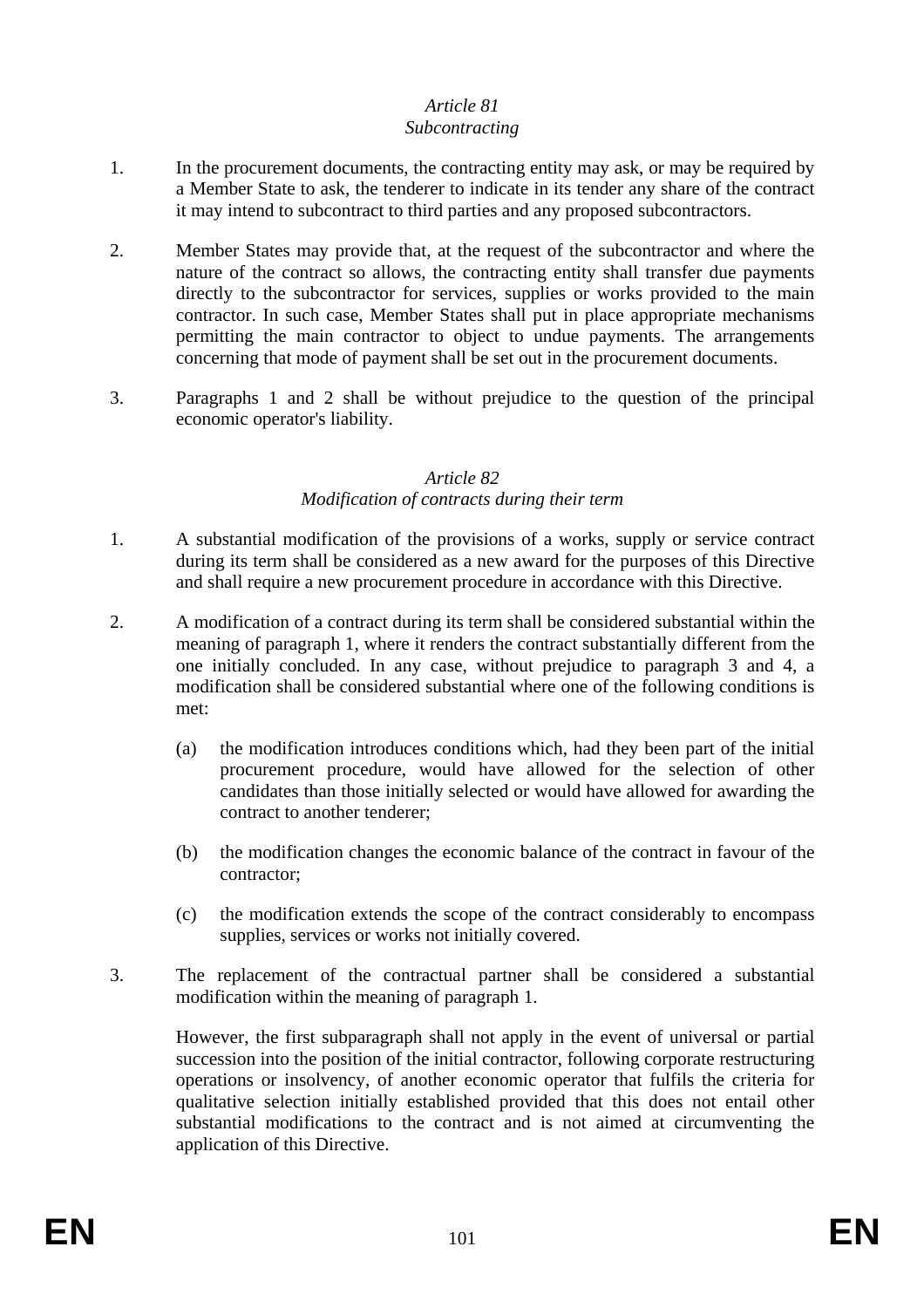#### *Article 81 Subcontracting*

- 1. In the procurement documents, the contracting entity may ask, or may be required by a Member State to ask, the tenderer to indicate in its tender any share of the contract it may intend to subcontract to third parties and any proposed subcontractors.
- 2. Member States may provide that, at the request of the subcontractor and where the nature of the contract so allows, the contracting entity shall transfer due payments directly to the subcontractor for services, supplies or works provided to the main contractor. In such case, Member States shall put in place appropriate mechanisms permitting the main contractor to object to undue payments. The arrangements concerning that mode of payment shall be set out in the procurement documents.
- 3. Paragraphs 1 and 2 shall be without prejudice to the question of the principal economic operator's liability.

# *Article 82*

# *Modification of contracts during their term*

- 1. A substantial modification of the provisions of a works, supply or service contract during its term shall be considered as a new award for the purposes of this Directive and shall require a new procurement procedure in accordance with this Directive.
- 2. A modification of a contract during its term shall be considered substantial within the meaning of paragraph 1, where it renders the contract substantially different from the one initially concluded. In any case, without prejudice to paragraph 3 and 4, a modification shall be considered substantial where one of the following conditions is met:
	- (a) the modification introduces conditions which, had they been part of the initial procurement procedure, would have allowed for the selection of other candidates than those initially selected or would have allowed for awarding the contract to another tenderer;
	- (b) the modification changes the economic balance of the contract in favour of the contractor;
	- (c) the modification extends the scope of the contract considerably to encompass supplies, services or works not initially covered.
- 3. The replacement of the contractual partner shall be considered a substantial modification within the meaning of paragraph 1.

However, the first subparagraph shall not apply in the event of universal or partial succession into the position of the initial contractor, following corporate restructuring operations or insolvency, of another economic operator that fulfils the criteria for qualitative selection initially established provided that this does not entail other substantial modifications to the contract and is not aimed at circumventing the application of this Directive.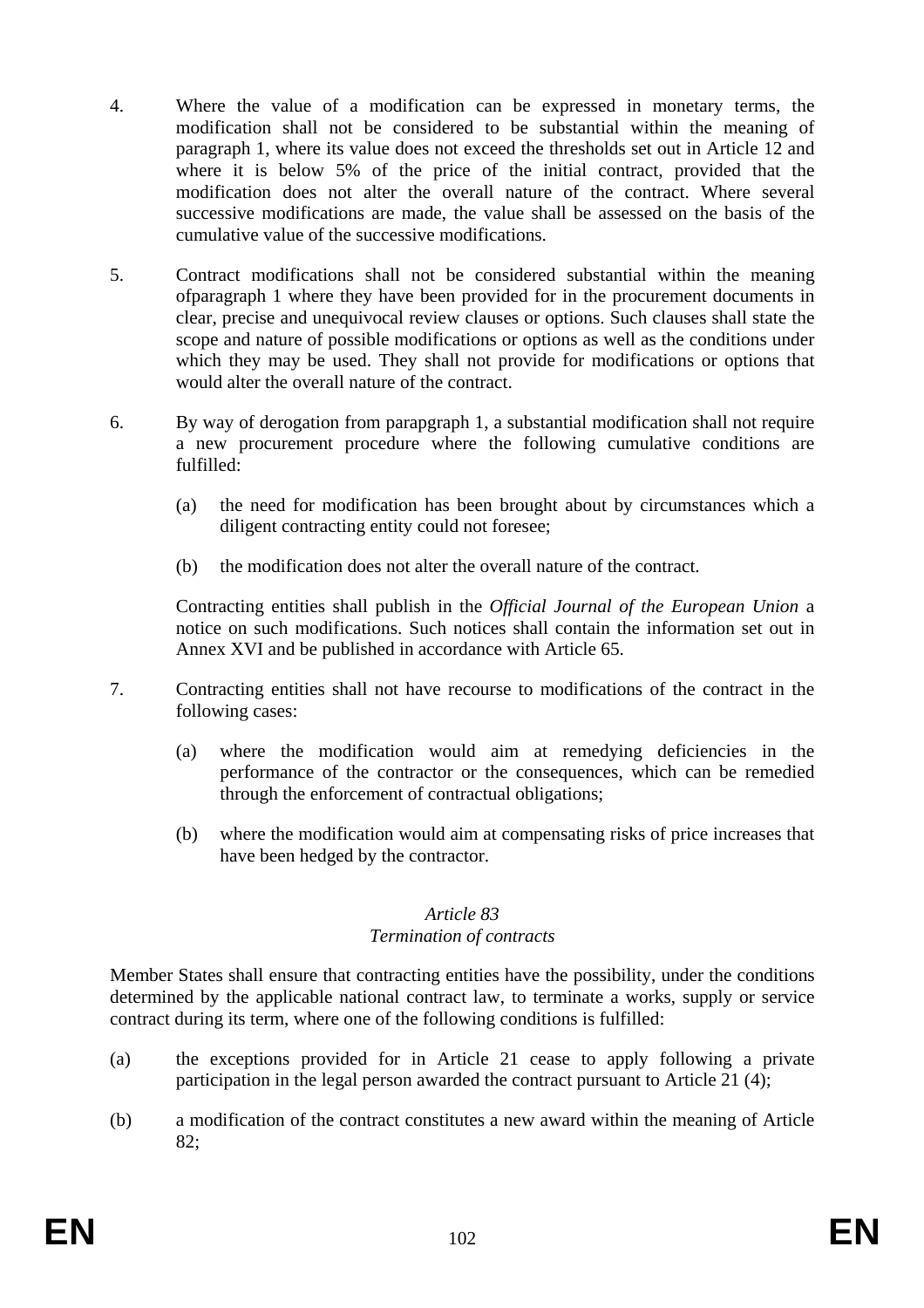- 4. Where the value of a modification can be expressed in monetary terms, the modification shall not be considered to be substantial within the meaning of paragraph 1, where its value does not exceed the thresholds set out in Article 12 and where it is below 5% of the price of the initial contract, provided that the modification does not alter the overall nature of the contract. Where several successive modifications are made, the value shall be assessed on the basis of the cumulative value of the successive modifications.
- 5. Contract modifications shall not be considered substantial within the meaning ofparagraph 1 where they have been provided for in the procurement documents in clear, precise and unequivocal review clauses or options. Such clauses shall state the scope and nature of possible modifications or options as well as the conditions under which they may be used. They shall not provide for modifications or options that would alter the overall nature of the contract.
- 6. By way of derogation from parapgraph 1, a substantial modification shall not require a new procurement procedure where the following cumulative conditions are fulfilled:
	- (a) the need for modification has been brought about by circumstances which a diligent contracting entity could not foresee;
	- (b) the modification does not alter the overall nature of the contract.

Contracting entities shall publish in the *Official Journal of the European Union* a notice on such modifications. Such notices shall contain the information set out in Annex XVI and be published in accordance with Article 65.

- 7. Contracting entities shall not have recourse to modifications of the contract in the following cases:
	- (a) where the modification would aim at remedying deficiencies in the performance of the contractor or the consequences, which can be remedied through the enforcement of contractual obligations;
	- (b) where the modification would aim at compensating risks of price increases that have been hedged by the contractor.

# *Article 83*

#### *Termination of contracts*

Member States shall ensure that contracting entities have the possibility, under the conditions determined by the applicable national contract law, to terminate a works, supply or service contract during its term, where one of the following conditions is fulfilled:

- (a) the exceptions provided for in Article 21 cease to apply following a private participation in the legal person awarded the contract pursuant to Article 21 (4);
- (b) a modification of the contract constitutes a new award within the meaning of Article 82;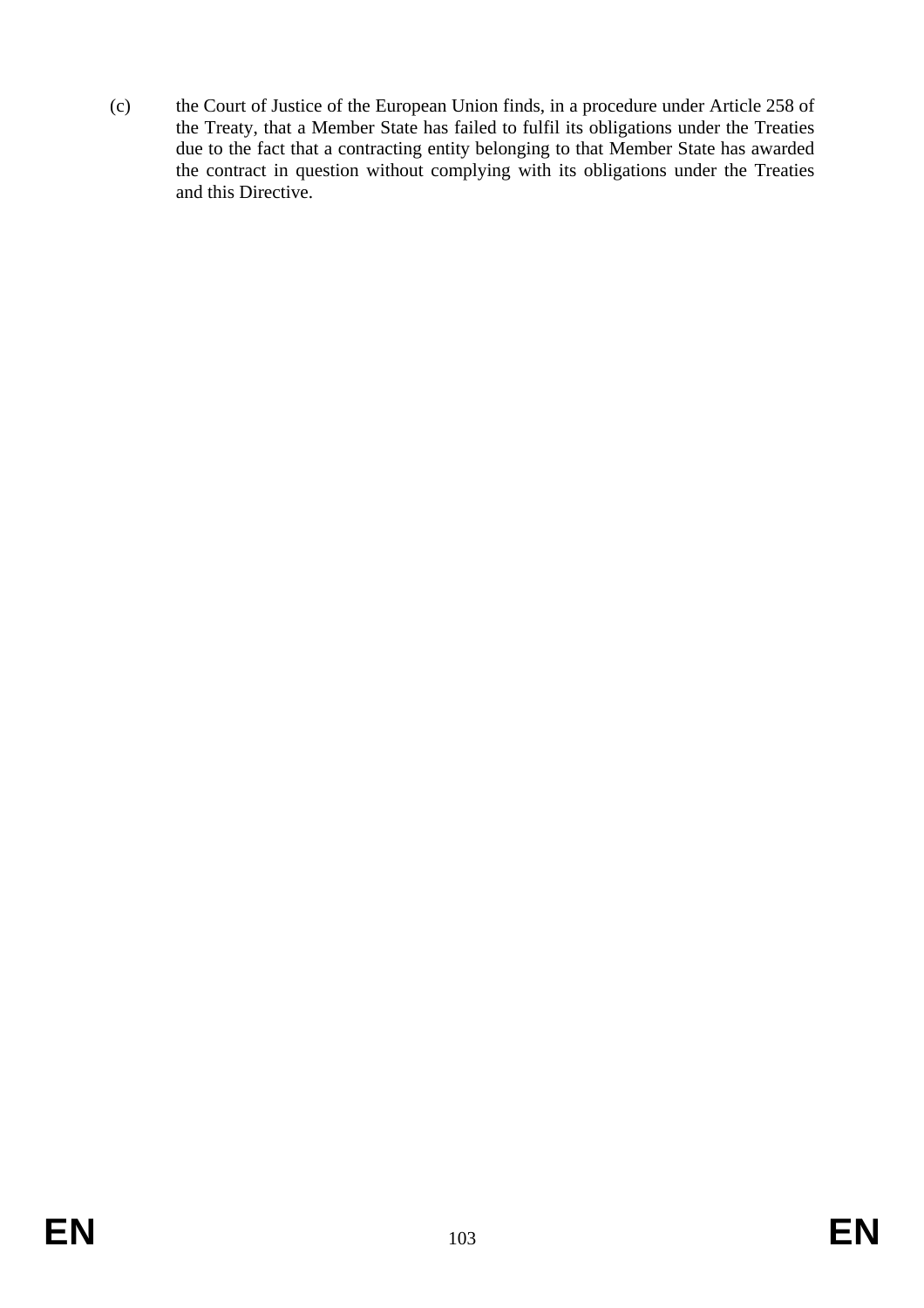(c) the Court of Justice of the European Union finds, in a procedure under Article 258 of the Treaty, that a Member State has failed to fulfil its obligations under the Treaties due to the fact that a contracting entity belonging to that Member State has awarded the contract in question without complying with its obligations under the Treaties and this Directive.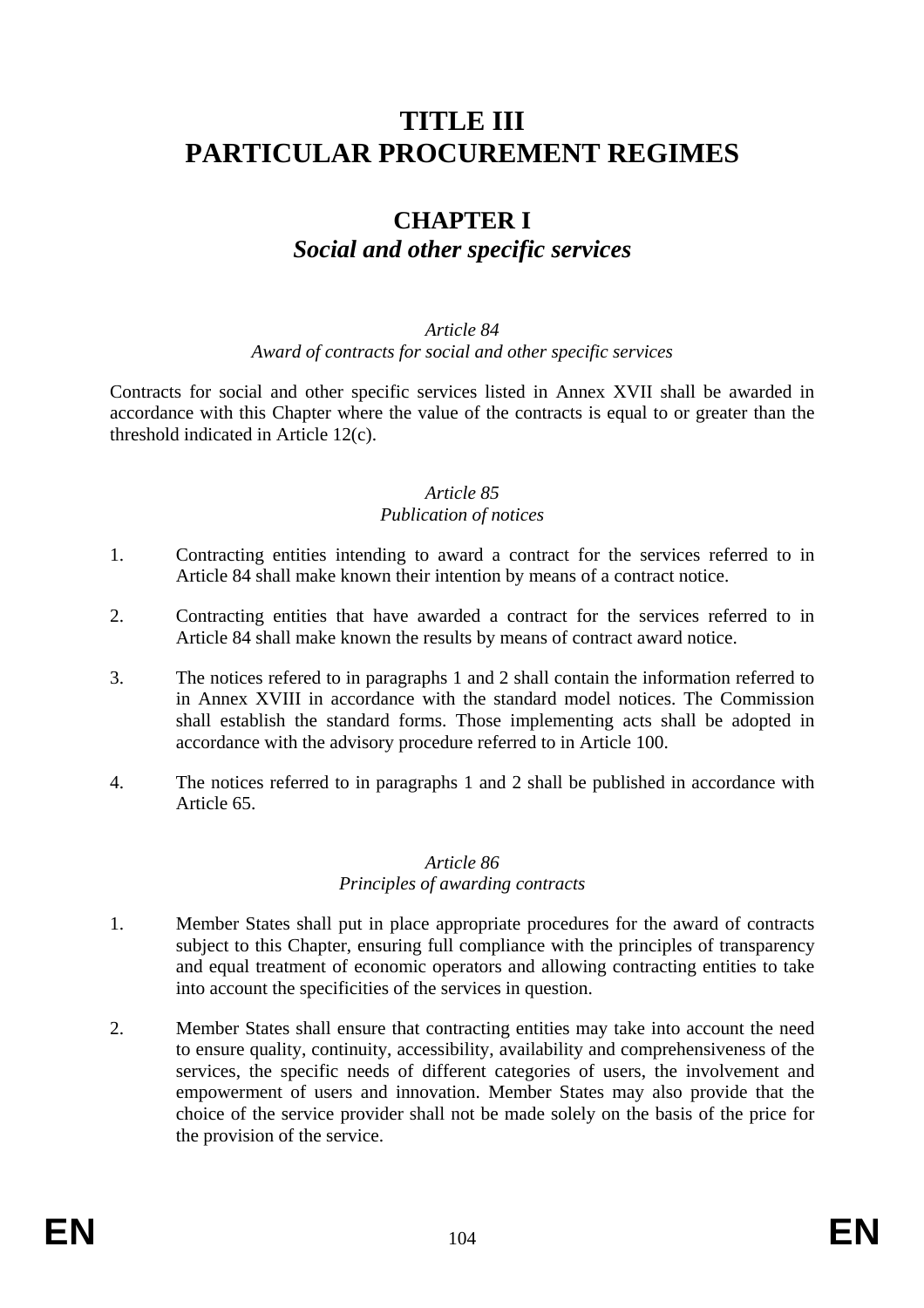# **TITLE III PARTICULAR PROCUREMENT REGIMES**

# **CHAPTER I**  *Social and other specific services*

#### *Article 84 Award of contracts for social and other specific services*

Contracts for social and other specific services listed in Annex XVII shall be awarded in accordance with this Chapter where the value of the contracts is equal to or greater than the threshold indicated in Article 12(c).

#### *Article 85 Publication of notices*

- 1. Contracting entities intending to award a contract for the services referred to in Article 84 shall make known their intention by means of a contract notice.
- 2. Contracting entities that have awarded a contract for the services referred to in Article 84 shall make known the results by means of contract award notice.
- 3. The notices refered to in paragraphs 1 and 2 shall contain the information referred to in Annex XVIII in accordance with the standard model notices. The Commission shall establish the standard forms. Those implementing acts shall be adopted in accordance with the advisory procedure referred to in Article 100.
- 4. The notices referred to in paragraphs 1 and 2 shall be published in accordance with Article 65.

#### *Article 86 Principles of awarding contracts*

- 1. Member States shall put in place appropriate procedures for the award of contracts subject to this Chapter, ensuring full compliance with the principles of transparency and equal treatment of economic operators and allowing contracting entities to take into account the specificities of the services in question.
- 2. Member States shall ensure that contracting entities may take into account the need to ensure quality, continuity, accessibility, availability and comprehensiveness of the services, the specific needs of different categories of users, the involvement and empowerment of users and innovation. Member States may also provide that the choice of the service provider shall not be made solely on the basis of the price for the provision of the service.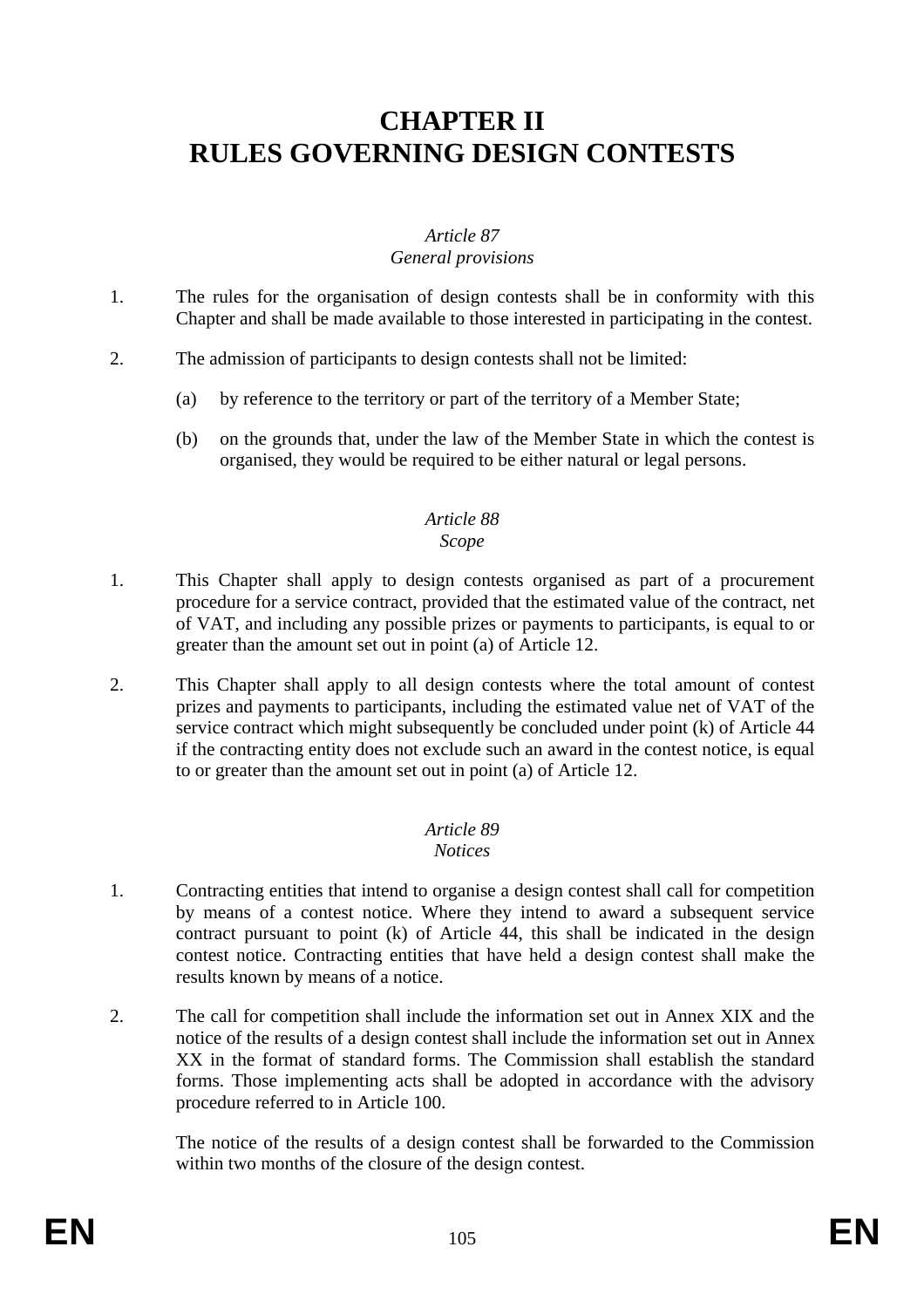# **CHAPTER II RULES GOVERNING DESIGN CONTESTS**

# *Article 87 General provisions*

- 1. The rules for the organisation of design contests shall be in conformity with this Chapter and shall be made available to those interested in participating in the contest.
- 2. The admission of participants to design contests shall not be limited:
	- (a) by reference to the territory or part of the territory of a Member State;
	- (b) on the grounds that, under the law of the Member State in which the contest is organised, they would be required to be either natural or legal persons.

#### *Article 88 Scope*

- 1. This Chapter shall apply to design contests organised as part of a procurement procedure for a service contract, provided that the estimated value of the contract, net of VAT, and including any possible prizes or payments to participants, is equal to or greater than the amount set out in point (a) of Article 12.
- 2. This Chapter shall apply to all design contests where the total amount of contest prizes and payments to participants, including the estimated value net of VAT of the service contract which might subsequently be concluded under point (k) of Article 44 if the contracting entity does not exclude such an award in the contest notice, is equal to or greater than the amount set out in point (a) of Article 12.

# *Article 89*

#### *Notices*

- 1. Contracting entities that intend to organise a design contest shall call for competition by means of a contest notice. Where they intend to award a subsequent service contract pursuant to point (k) of Article 44, this shall be indicated in the design contest notice. Contracting entities that have held a design contest shall make the results known by means of a notice.
- 2. The call for competition shall include the information set out in Annex XIX and the notice of the results of a design contest shall include the information set out in Annex XX in the format of standard forms. The Commission shall establish the standard forms. Those implementing acts shall be adopted in accordance with the advisory procedure referred to in Article 100.

The notice of the results of a design contest shall be forwarded to the Commission within two months of the closure of the design contest.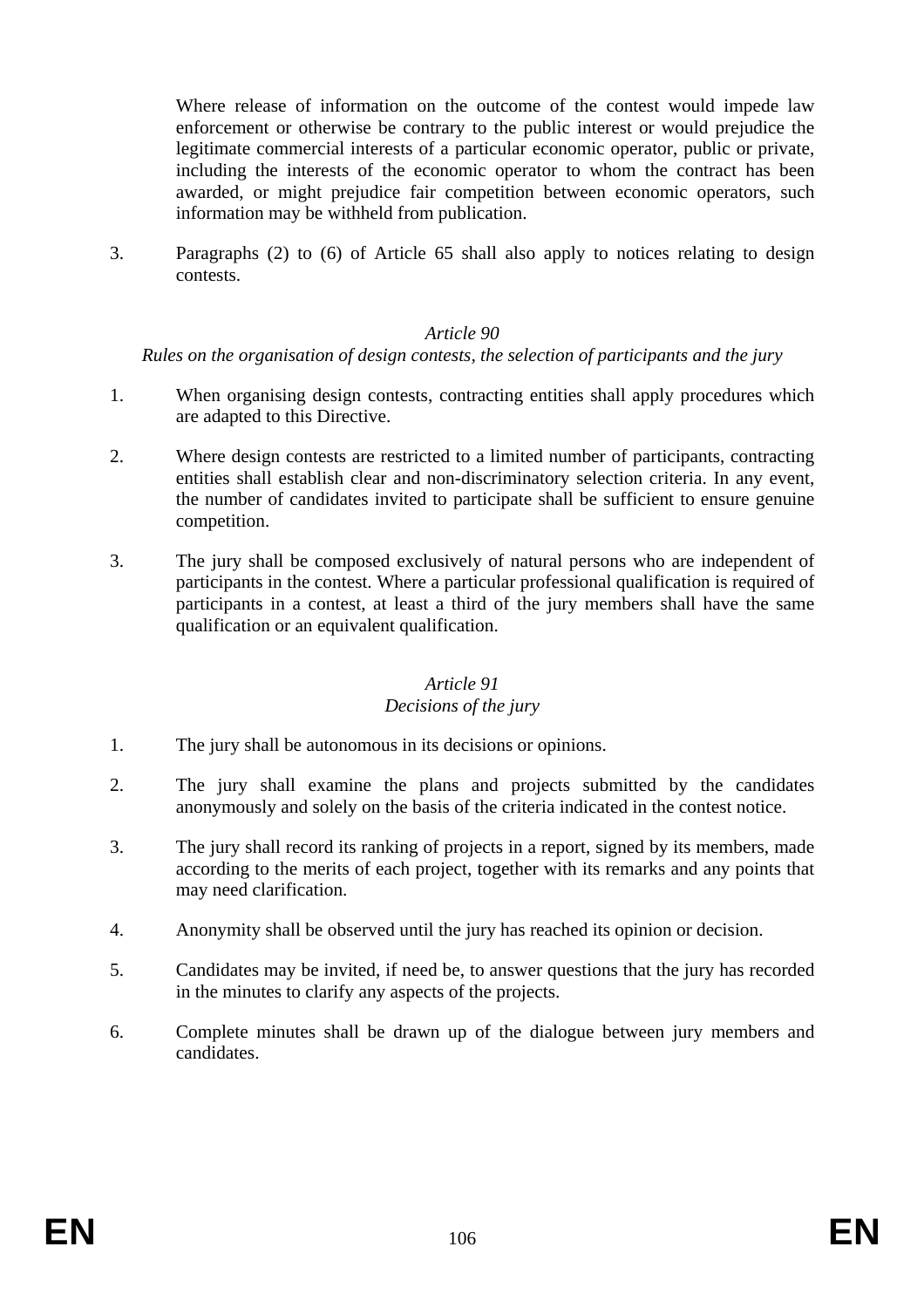Where release of information on the outcome of the contest would impede law enforcement or otherwise be contrary to the public interest or would prejudice the legitimate commercial interests of a particular economic operator, public or private, including the interests of the economic operator to whom the contract has been awarded, or might prejudice fair competition between economic operators, such information may be withheld from publication.

3. Paragraphs (2) to (6) of Article 65 shall also apply to notices relating to design contests.

#### *Article 90*

#### *Rules on the organisation of design contests, the selection of participants and the jury*

- 1. When organising design contests, contracting entities shall apply procedures which are adapted to this Directive.
- 2. Where design contests are restricted to a limited number of participants, contracting entities shall establish clear and non-discriminatory selection criteria. In any event, the number of candidates invited to participate shall be sufficient to ensure genuine competition.
- 3. The jury shall be composed exclusively of natural persons who are independent of participants in the contest. Where a particular professional qualification is required of participants in a contest, at least a third of the jury members shall have the same qualification or an equivalent qualification.

# *Article 91*

### *Decisions of the jury*

- 1. The jury shall be autonomous in its decisions or opinions.
- 2. The jury shall examine the plans and projects submitted by the candidates anonymously and solely on the basis of the criteria indicated in the contest notice.
- 3. The jury shall record its ranking of projects in a report, signed by its members, made according to the merits of each project, together with its remarks and any points that may need clarification.
- 4. Anonymity shall be observed until the jury has reached its opinion or decision.
- 5. Candidates may be invited, if need be, to answer questions that the jury has recorded in the minutes to clarify any aspects of the projects.
- 6. Complete minutes shall be drawn up of the dialogue between jury members and candidates.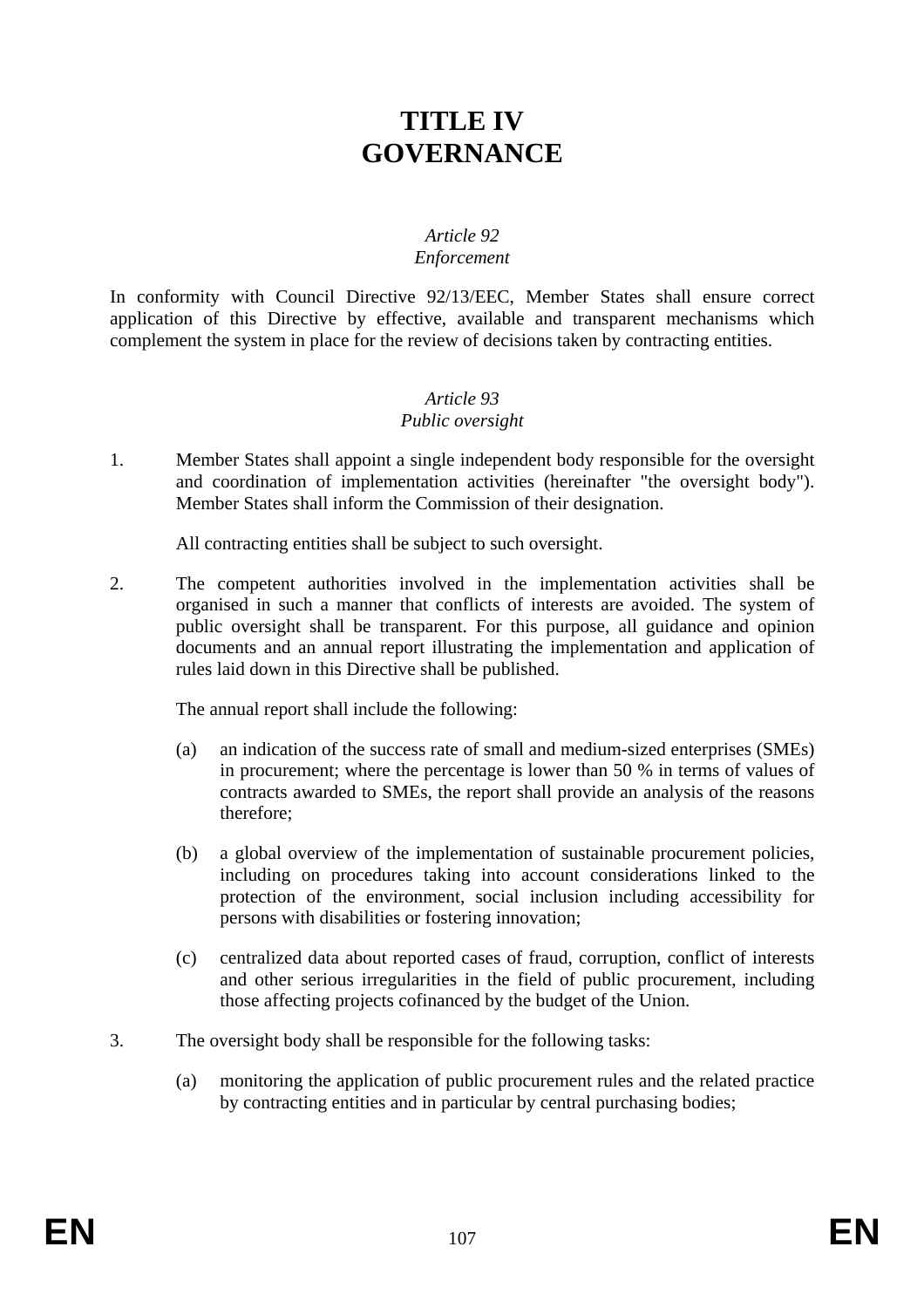# **TITLE IV GOVERNANCE**

### *Article 92 Enforcement*

In conformity with Council Directive 92/13/EEC, Member States shall ensure correct application of this Directive by effective, available and transparent mechanisms which complement the system in place for the review of decisions taken by contracting entities.

#### *Article 93 Public oversight*

1. Member States shall appoint a single independent body responsible for the oversight and coordination of implementation activities (hereinafter "the oversight body"). Member States shall inform the Commission of their designation.

All contracting entities shall be subject to such oversight.

2. The competent authorities involved in the implementation activities shall be organised in such a manner that conflicts of interests are avoided. The system of public oversight shall be transparent. For this purpose, all guidance and opinion documents and an annual report illustrating the implementation and application of rules laid down in this Directive shall be published.

The annual report shall include the following:

- (a) an indication of the success rate of small and medium-sized enterprises (SMEs) in procurement; where the percentage is lower than 50 % in terms of values of contracts awarded to SMEs, the report shall provide an analysis of the reasons therefore;
- (b) a global overview of the implementation of sustainable procurement policies, including on procedures taking into account considerations linked to the protection of the environment, social inclusion including accessibility for persons with disabilities or fostering innovation;
- (c) centralized data about reported cases of fraud, corruption, conflict of interests and other serious irregularities in the field of public procurement, including those affecting projects cofinanced by the budget of the Union.
- 3. The oversight body shall be responsible for the following tasks:
	- (a) monitoring the application of public procurement rules and the related practice by contracting entities and in particular by central purchasing bodies;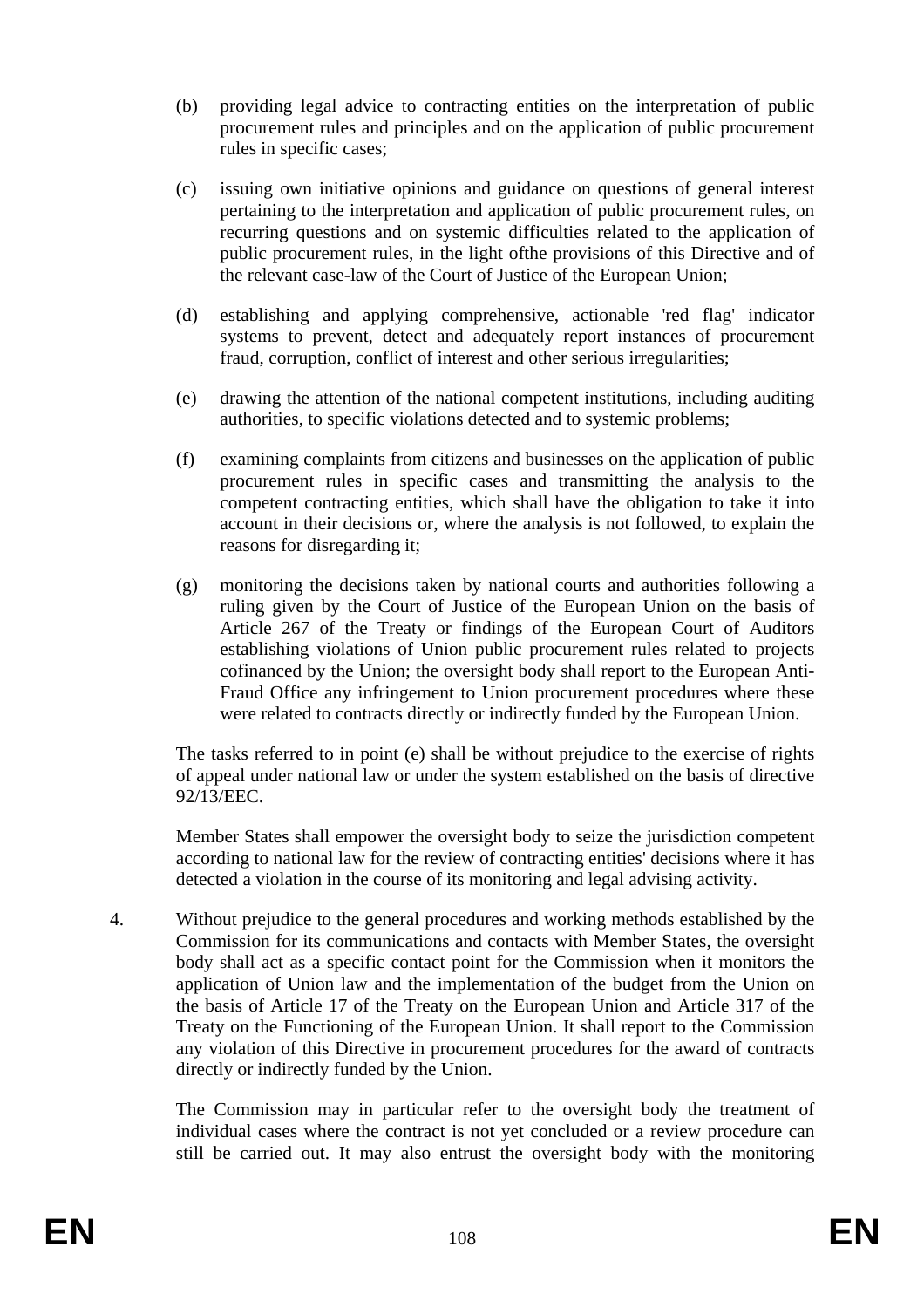- (b) providing legal advice to contracting entities on the interpretation of public procurement rules and principles and on the application of public procurement rules in specific cases;
- (c) issuing own initiative opinions and guidance on questions of general interest pertaining to the interpretation and application of public procurement rules, on recurring questions and on systemic difficulties related to the application of public procurement rules, in the light ofthe provisions of this Directive and of the relevant case-law of the Court of Justice of the European Union;
- (d) establishing and applying comprehensive, actionable 'red flag' indicator systems to prevent, detect and adequately report instances of procurement fraud, corruption, conflict of interest and other serious irregularities;
- (e) drawing the attention of the national competent institutions, including auditing authorities, to specific violations detected and to systemic problems;
- (f) examining complaints from citizens and businesses on the application of public procurement rules in specific cases and transmitting the analysis to the competent contracting entities, which shall have the obligation to take it into account in their decisions or, where the analysis is not followed, to explain the reasons for disregarding it;
- (g) monitoring the decisions taken by national courts and authorities following a ruling given by the Court of Justice of the European Union on the basis of Article 267 of the Treaty or findings of the European Court of Auditors establishing violations of Union public procurement rules related to projects cofinanced by the Union; the oversight body shall report to the European Anti-Fraud Office any infringement to Union procurement procedures where these were related to contracts directly or indirectly funded by the European Union.

The tasks referred to in point (e) shall be without prejudice to the exercise of rights of appeal under national law or under the system established on the basis of directive 92/13/EEC.

Member States shall empower the oversight body to seize the jurisdiction competent according to national law for the review of contracting entities' decisions where it has detected a violation in the course of its monitoring and legal advising activity.

4. Without prejudice to the general procedures and working methods established by the Commission for its communications and contacts with Member States, the oversight body shall act as a specific contact point for the Commission when it monitors the application of Union law and the implementation of the budget from the Union on the basis of Article 17 of the Treaty on the European Union and Article 317 of the Treaty on the Functioning of the European Union. It shall report to the Commission any violation of this Directive in procurement procedures for the award of contracts directly or indirectly funded by the Union.

The Commission may in particular refer to the oversight body the treatment of individual cases where the contract is not yet concluded or a review procedure can still be carried out. It may also entrust the oversight body with the monitoring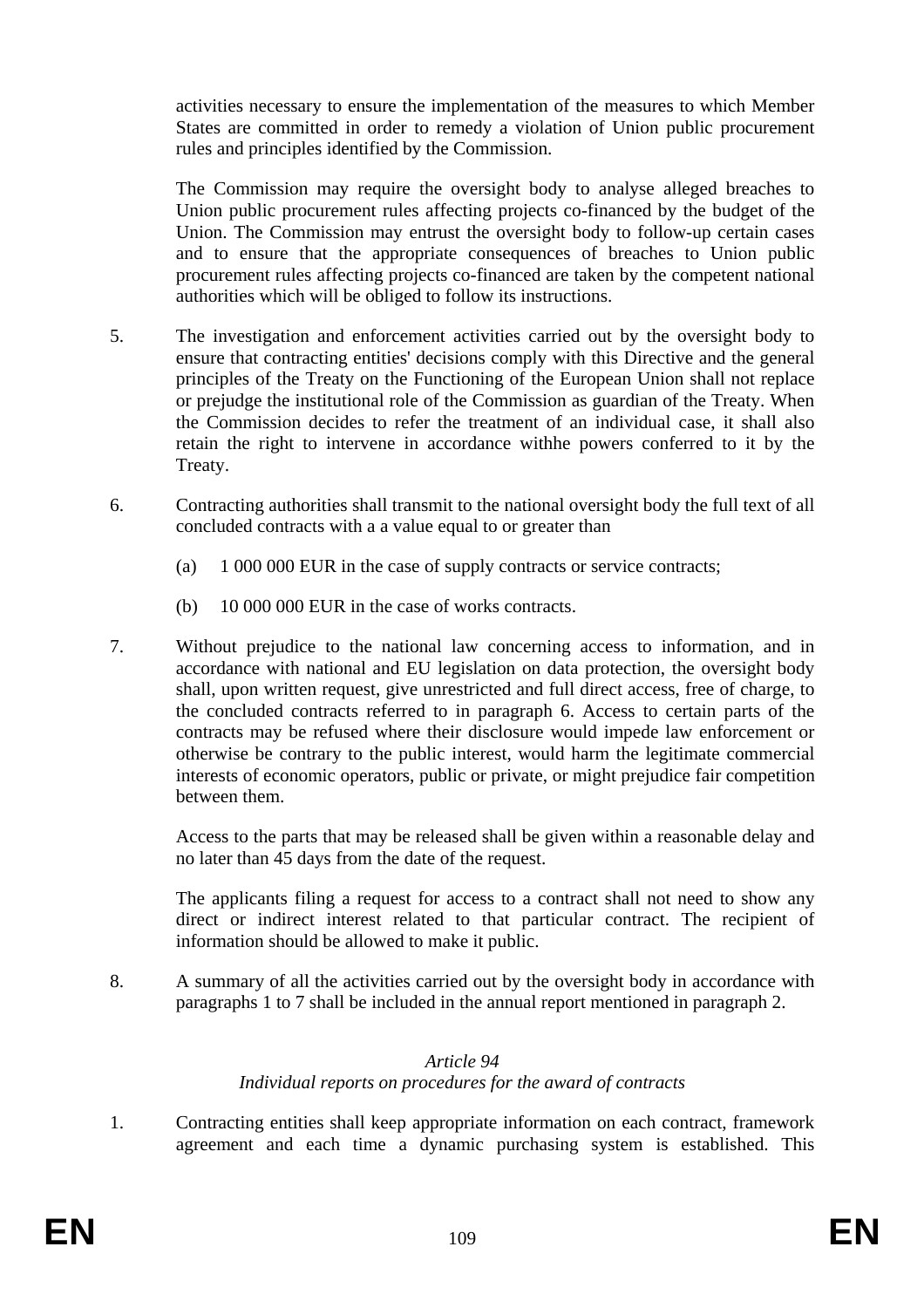activities necessary to ensure the implementation of the measures to which Member States are committed in order to remedy a violation of Union public procurement rules and principles identified by the Commission.

The Commission may require the oversight body to analyse alleged breaches to Union public procurement rules affecting projects co-financed by the budget of the Union. The Commission may entrust the oversight body to follow-up certain cases and to ensure that the appropriate consequences of breaches to Union public procurement rules affecting projects co-financed are taken by the competent national authorities which will be obliged to follow its instructions.

- 5. The investigation and enforcement activities carried out by the oversight body to ensure that contracting entities' decisions comply with this Directive and the general principles of the Treaty on the Functioning of the European Union shall not replace or prejudge the institutional role of the Commission as guardian of the Treaty. When the Commission decides to refer the treatment of an individual case, it shall also retain the right to intervene in accordance withhe powers conferred to it by the Treaty.
- 6. Contracting authorities shall transmit to the national oversight body the full text of all concluded contracts with a a value equal to or greater than
	- (a) 1 000 000 EUR in the case of supply contracts or service contracts;
	- (b) 10 000 000 EUR in the case of works contracts.
- 7. Without prejudice to the national law concerning access to information, and in accordance with national and EU legislation on data protection, the oversight body shall, upon written request, give unrestricted and full direct access, free of charge, to the concluded contracts referred to in paragraph 6. Access to certain parts of the contracts may be refused where their disclosure would impede law enforcement or otherwise be contrary to the public interest, would harm the legitimate commercial interests of economic operators, public or private, or might prejudice fair competition between them.

Access to the parts that may be released shall be given within a reasonable delay and no later than 45 days from the date of the request.

The applicants filing a request for access to a contract shall not need to show any direct or indirect interest related to that particular contract. The recipient of information should be allowed to make it public.

8. A summary of all the activities carried out by the oversight body in accordance with paragraphs 1 to 7 shall be included in the annual report mentioned in paragraph 2.

### *Article 94 Individual reports on procedures for the award of contracts*

1. Contracting entities shall keep appropriate information on each contract, framework agreement and each time a dynamic purchasing system is established. This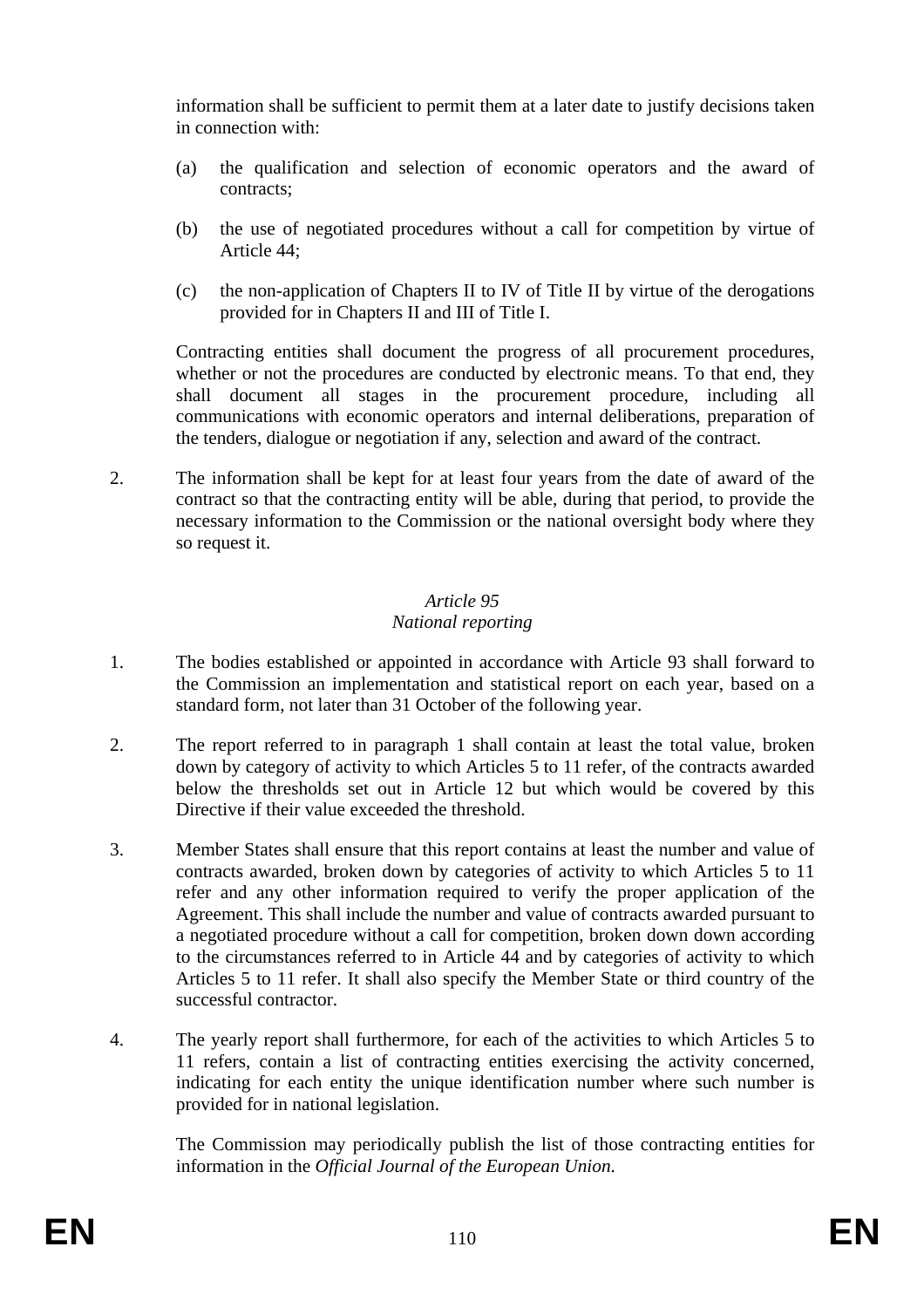information shall be sufficient to permit them at a later date to justify decisions taken in connection with:

- (a) the qualification and selection of economic operators and the award of contracts;
- (b) the use of negotiated procedures without a call for competition by virtue of Article 44;
- (c) the non-application of Chapters II to IV of Title II by virtue of the derogations provided for in Chapters II and III of Title I.

Contracting entities shall document the progress of all procurement procedures, whether or not the procedures are conducted by electronic means. To that end, they shall document all stages in the procurement procedure, including all communications with economic operators and internal deliberations, preparation of the tenders, dialogue or negotiation if any, selection and award of the contract.

2. The information shall be kept for at least four years from the date of award of the contract so that the contracting entity will be able, during that period, to provide the necessary information to the Commission or the national oversight body where they so request it.

## *Article 95*

### *National reporting*

- 1. The bodies established or appointed in accordance with Article 93 shall forward to the Commission an implementation and statistical report on each year, based on a standard form, not later than 31 October of the following year.
- 2. The report referred to in paragraph 1 shall contain at least the total value, broken down by category of activity to which Articles 5 to 11 refer, of the contracts awarded below the thresholds set out in Article 12 but which would be covered by this Directive if their value exceeded the threshold.
- 3. Member States shall ensure that this report contains at least the number and value of contracts awarded, broken down by categories of activity to which Articles 5 to 11 refer and any other information required to verify the proper application of the Agreement. This shall include the number and value of contracts awarded pursuant to a negotiated procedure without a call for competition, broken down down according to the circumstances referred to in Article 44 and by categories of activity to which Articles 5 to 11 refer. It shall also specify the Member State or third country of the successful contractor.
- 4. The yearly report shall furthermore, for each of the activities to which Articles 5 to 11 refers, contain a list of contracting entities exercising the activity concerned, indicating for each entity the unique identification number where such number is provided for in national legislation.

The Commission may periodically publish the list of those contracting entities for information in the *Official Journal of the European Union*.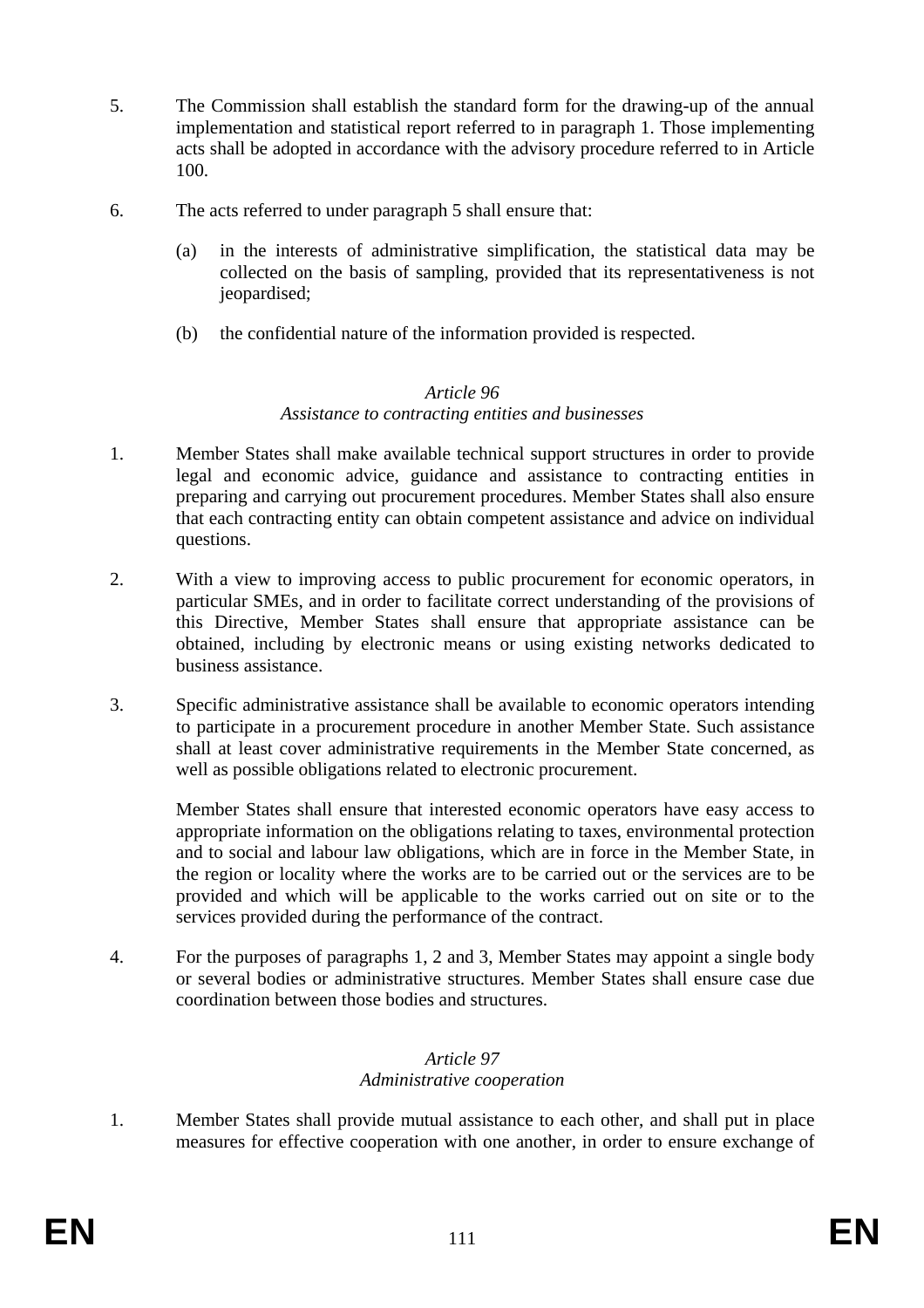- 5. The Commission shall establish the standard form for the drawing-up of the annual implementation and statistical report referred to in paragraph 1. Those implementing acts shall be adopted in accordance with the advisory procedure referred to in Article 100.
- 6. The acts referred to under paragraph 5 shall ensure that:
	- (a) in the interests of administrative simplification, the statistical data may be collected on the basis of sampling, provided that its representativeness is not jeopardised;
	- (b) the confidential nature of the information provided is respected.

#### *Article 96 Assistance to contracting entities and businesses*

- 1. Member States shall make available technical support structures in order to provide legal and economic advice, guidance and assistance to contracting entities in preparing and carrying out procurement procedures. Member States shall also ensure that each contracting entity can obtain competent assistance and advice on individual questions.
- 2. With a view to improving access to public procurement for economic operators, in particular SMEs, and in order to facilitate correct understanding of the provisions of this Directive, Member States shall ensure that appropriate assistance can be obtained, including by electronic means or using existing networks dedicated to business assistance.
- 3. Specific administrative assistance shall be available to economic operators intending to participate in a procurement procedure in another Member State. Such assistance shall at least cover administrative requirements in the Member State concerned, as well as possible obligations related to electronic procurement.

Member States shall ensure that interested economic operators have easy access to appropriate information on the obligations relating to taxes, environmental protection and to social and labour law obligations, which are in force in the Member State, in the region or locality where the works are to be carried out or the services are to be provided and which will be applicable to the works carried out on site or to the services provided during the performance of the contract.

4. For the purposes of paragraphs 1, 2 and 3, Member States may appoint a single body or several bodies or administrative structures. Member States shall ensure case due coordination between those bodies and structures.

### *Article 97 Administrative cooperation*

1. Member States shall provide mutual assistance to each other, and shall put in place measures for effective cooperation with one another, in order to ensure exchange of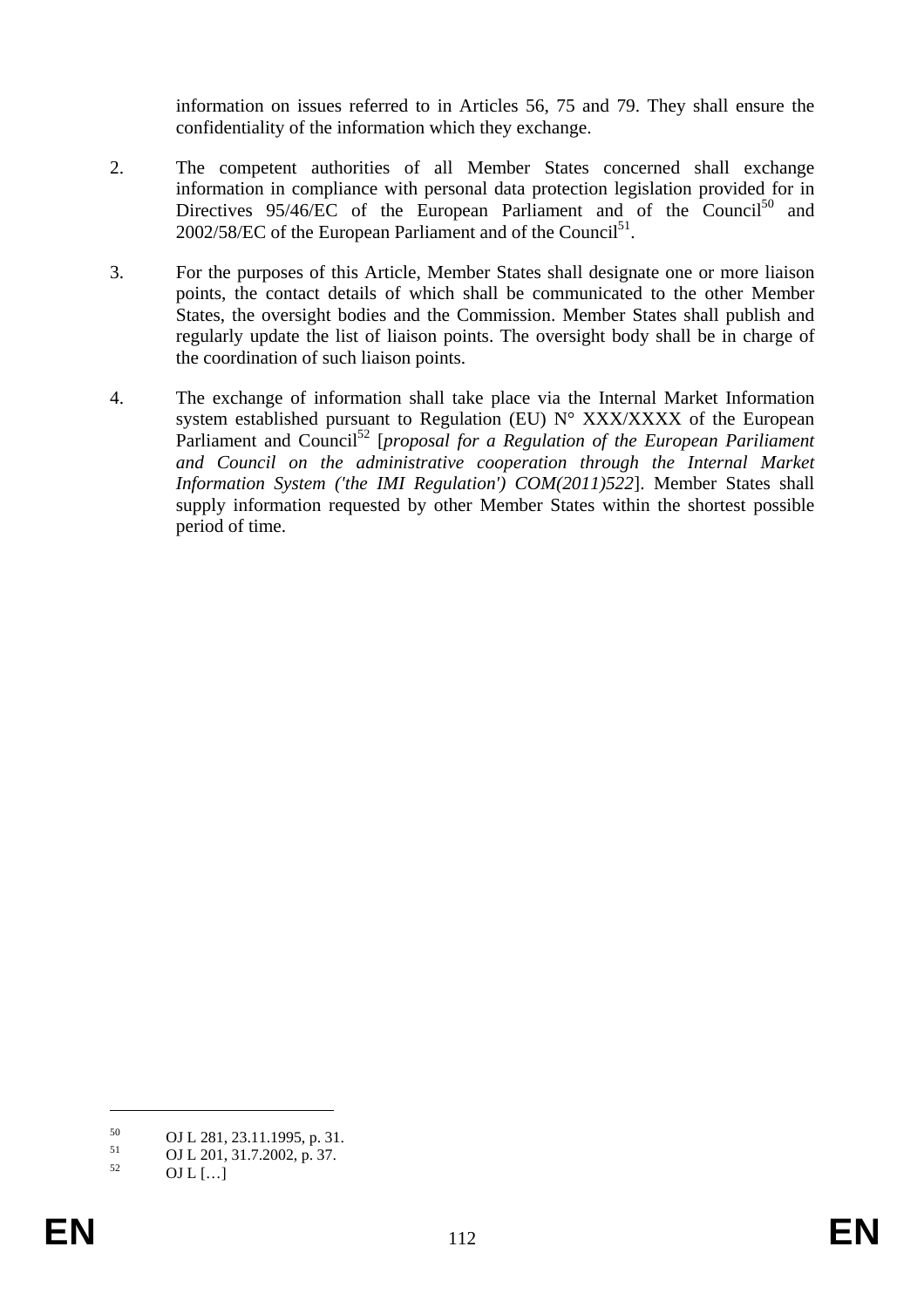information on issues referred to in Articles 56, 75 and 79. They shall ensure the confidentiality of the information which they exchange.

- 2. The competent authorities of all Member States concerned shall exchange information in compliance with personal data protection legislation provided for in Directives  $95/46/EC$  of the European Parliament and of the Council<sup>50</sup> and  $2002/58/EC$  of the European Parliament and of the Council<sup>51</sup>.
- 3. For the purposes of this Article, Member States shall designate one or more liaison points, the contact details of which shall be communicated to the other Member States, the oversight bodies and the Commission. Member States shall publish and regularly update the list of liaison points. The oversight body shall be in charge of the coordination of such liaison points.
- 4. The exchange of information shall take place via the Internal Market Information system established pursuant to Regulation (EU) N° XXX/XXXX of the European Parliament and Council52 [*proposal for a Regulation of the European Pariliament and Council on the administrative cooperation through the Internal Market Information System ('the IMI Regulation') COM(2011)522*]. Member States shall supply information requested by other Member States within the shortest possible period of time.

1

 $50$  OJ L 281, 23.11.1995, p. 31.

 $51 \qquad \qquad \text{OJ L } 201, 31.7.2002, \text{p. } 37.$ 

OJ L  $[...]$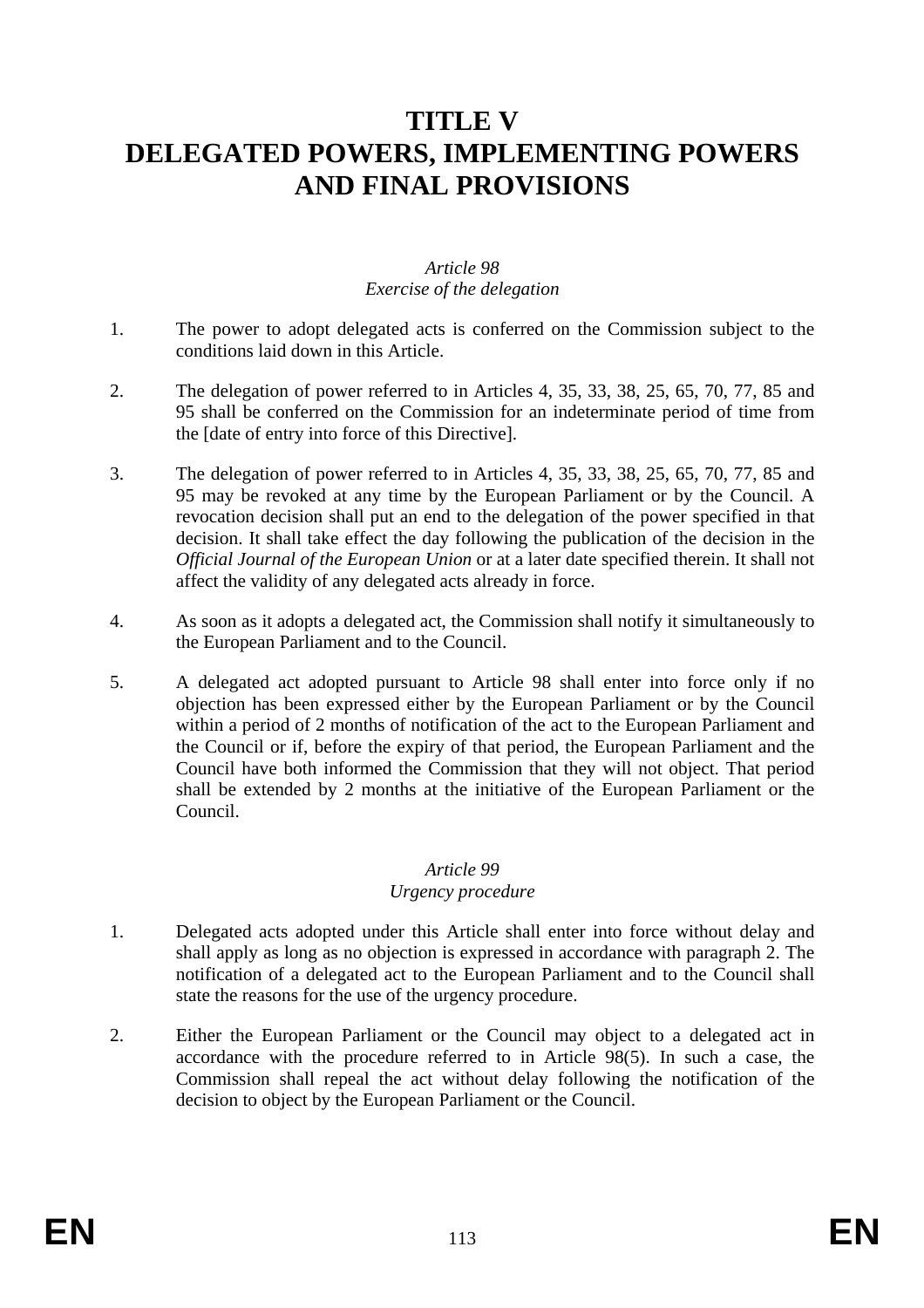# **TITLE V DELEGATED POWERS, IMPLEMENTING POWERS AND FINAL PROVISIONS**

### *Article 98 Exercise of the delegation*

- 1. The power to adopt delegated acts is conferred on the Commission subject to the conditions laid down in this Article.
- 2. The delegation of power referred to in Articles 4, 35, 33, 38, 25, 65, 70, 77, 85 and 95 shall be conferred on the Commission for an indeterminate period of time from the [date of entry into force of this Directive].
- 3. The delegation of power referred to in Articles 4, 35, 33, 38, 25, 65, 70, 77, 85 and 95 may be revoked at any time by the European Parliament or by the Council. A revocation decision shall put an end to the delegation of the power specified in that decision. It shall take effect the day following the publication of the decision in the *Official Journal of the European Union* or at a later date specified therein. It shall not affect the validity of any delegated acts already in force.
- 4. As soon as it adopts a delegated act, the Commission shall notify it simultaneously to the European Parliament and to the Council.
- 5. A delegated act adopted pursuant to Article 98 shall enter into force only if no objection has been expressed either by the European Parliament or by the Council within a period of 2 months of notification of the act to the European Parliament and the Council or if, before the expiry of that period, the European Parliament and the Council have both informed the Commission that they will not object. That period shall be extended by 2 months at the initiative of the European Parliament or the Council.

#### *Article 99*

#### *Urgency procedure*

- 1. Delegated acts adopted under this Article shall enter into force without delay and shall apply as long as no objection is expressed in accordance with paragraph 2. The notification of a delegated act to the European Parliament and to the Council shall state the reasons for the use of the urgency procedure.
- 2. Either the European Parliament or the Council may object to a delegated act in accordance with the procedure referred to in Article 98(5). In such a case, the Commission shall repeal the act without delay following the notification of the decision to object by the European Parliament or the Council.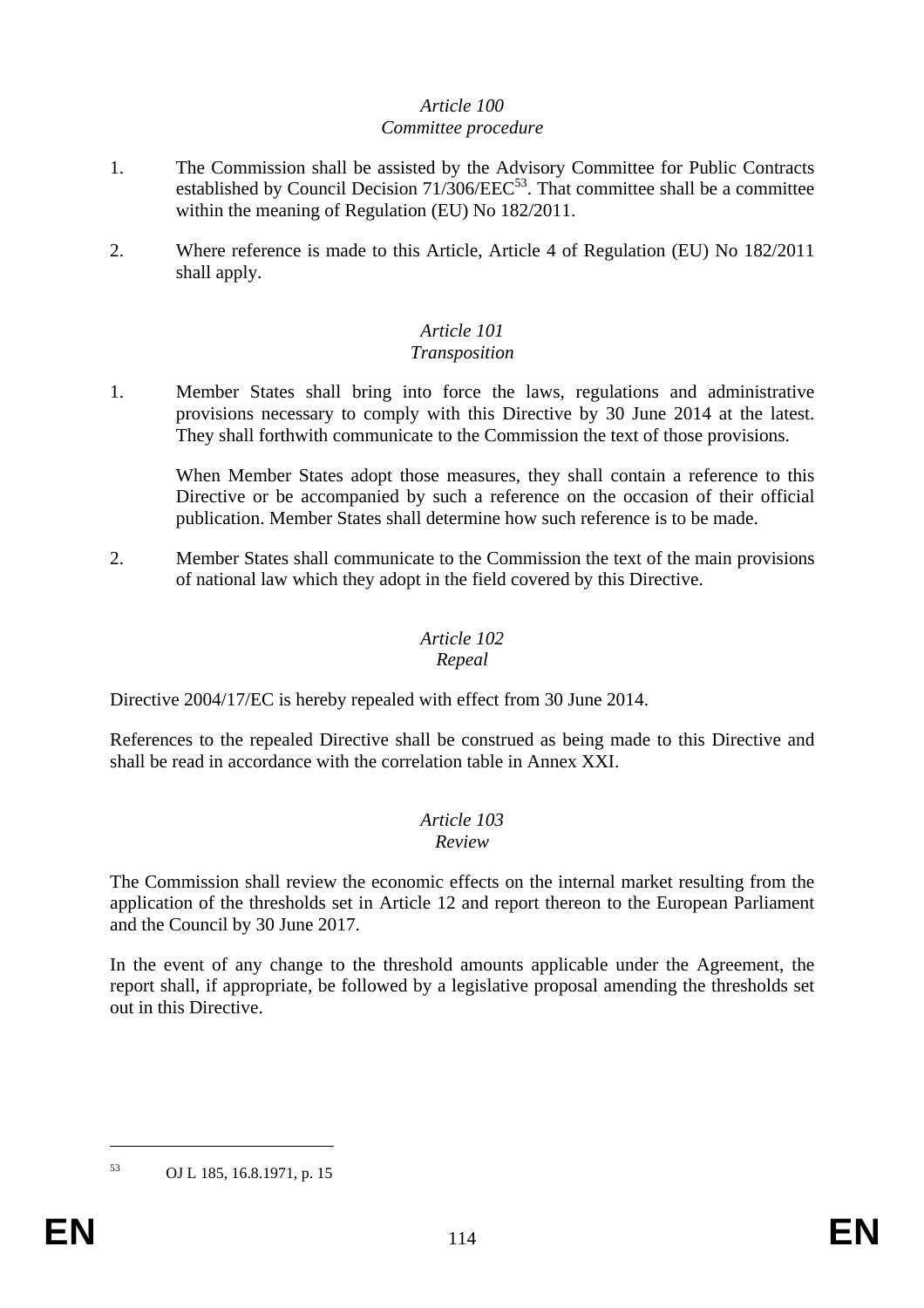#### *Article 100 Committee procedure*

- 1. The Commission shall be assisted by the Advisory Committee for Public Contracts established by Council Decision 71/306/EEC<sup>53</sup>. That committee shall be a committee within the meaning of Regulation (EU) No 182/2011.
- 2. Where reference is made to this Article, Article 4 of Regulation (EU) No 182/2011 shall apply.

## *Article 101*

### *Transposition*

1. Member States shall bring into force the laws, regulations and administrative provisions necessary to comply with this Directive by 30 June 2014 at the latest. They shall forthwith communicate to the Commission the text of those provisions.

When Member States adopt those measures, they shall contain a reference to this Directive or be accompanied by such a reference on the occasion of their official publication. Member States shall determine how such reference is to be made.

2. Member States shall communicate to the Commission the text of the main provisions of national law which they adopt in the field covered by this Directive.

### *Article 102*

### *Repeal*

Directive 2004/17/EC is hereby repealed with effect from 30 June 2014.

References to the repealed Directive shall be construed as being made to this Directive and shall be read in accordance with the correlation table in Annex XXI.

# *Article 103*

#### *Review*

The Commission shall review the economic effects on the internal market resulting from the application of the thresholds set in Article 12 and report thereon to the European Parliament and the Council by 30 June 2017.

In the event of any change to the threshold amounts applicable under the Agreement, the report shall, if appropriate, be followed by a legislative proposal amending the thresholds set out in this Directive.

1

<sup>53</sup> OJ L 185, 16.8.1971, p. 15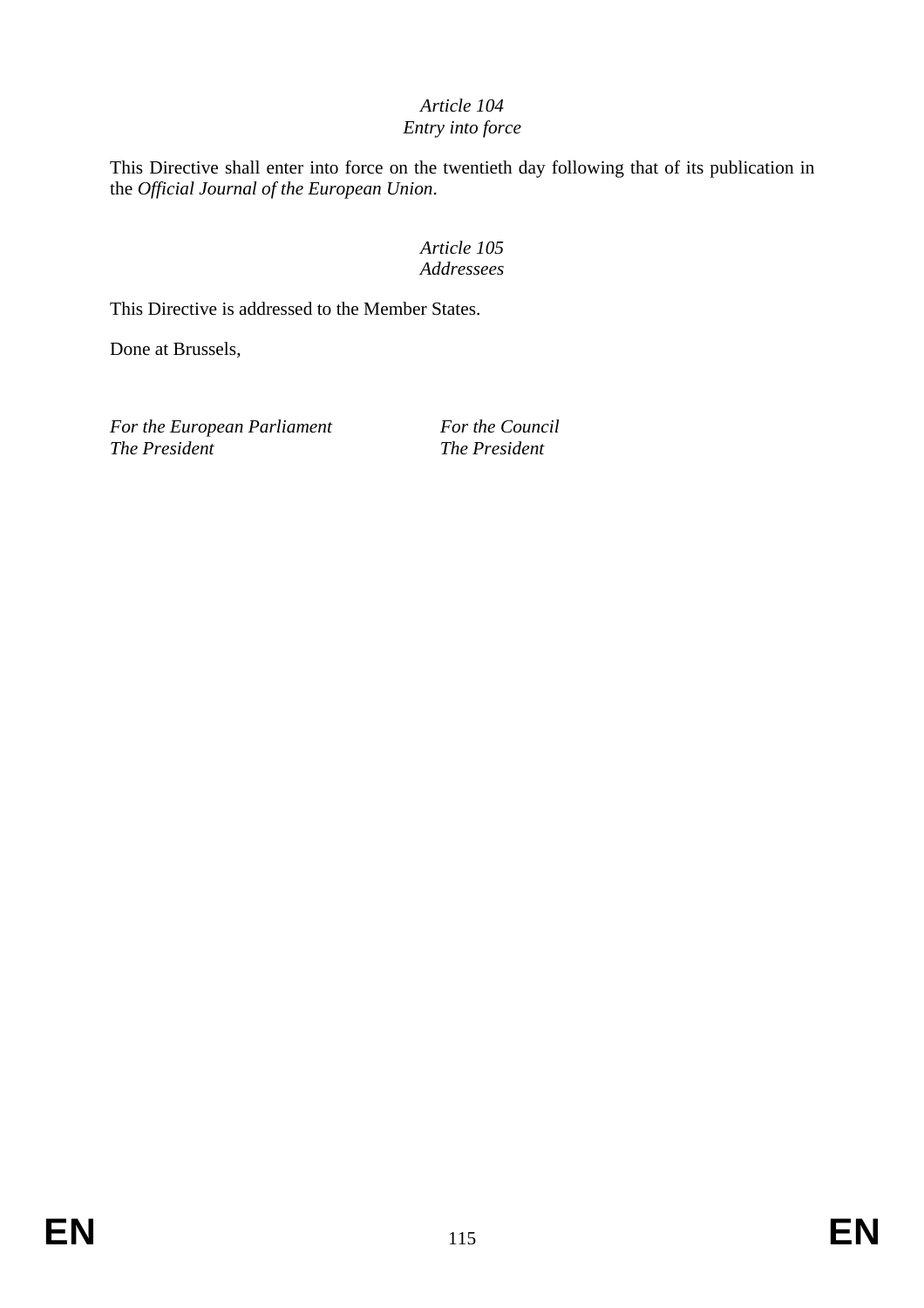#### *Article 104 Entry into force*

This Directive shall enter into force on the twentieth day following that of its publication in the *Official Journal of the European Union*.

### *Article 105 Addressees*

This Directive is addressed to the Member States.

Done at Brussels,

For the European Parliament For the Council *The President* The *President*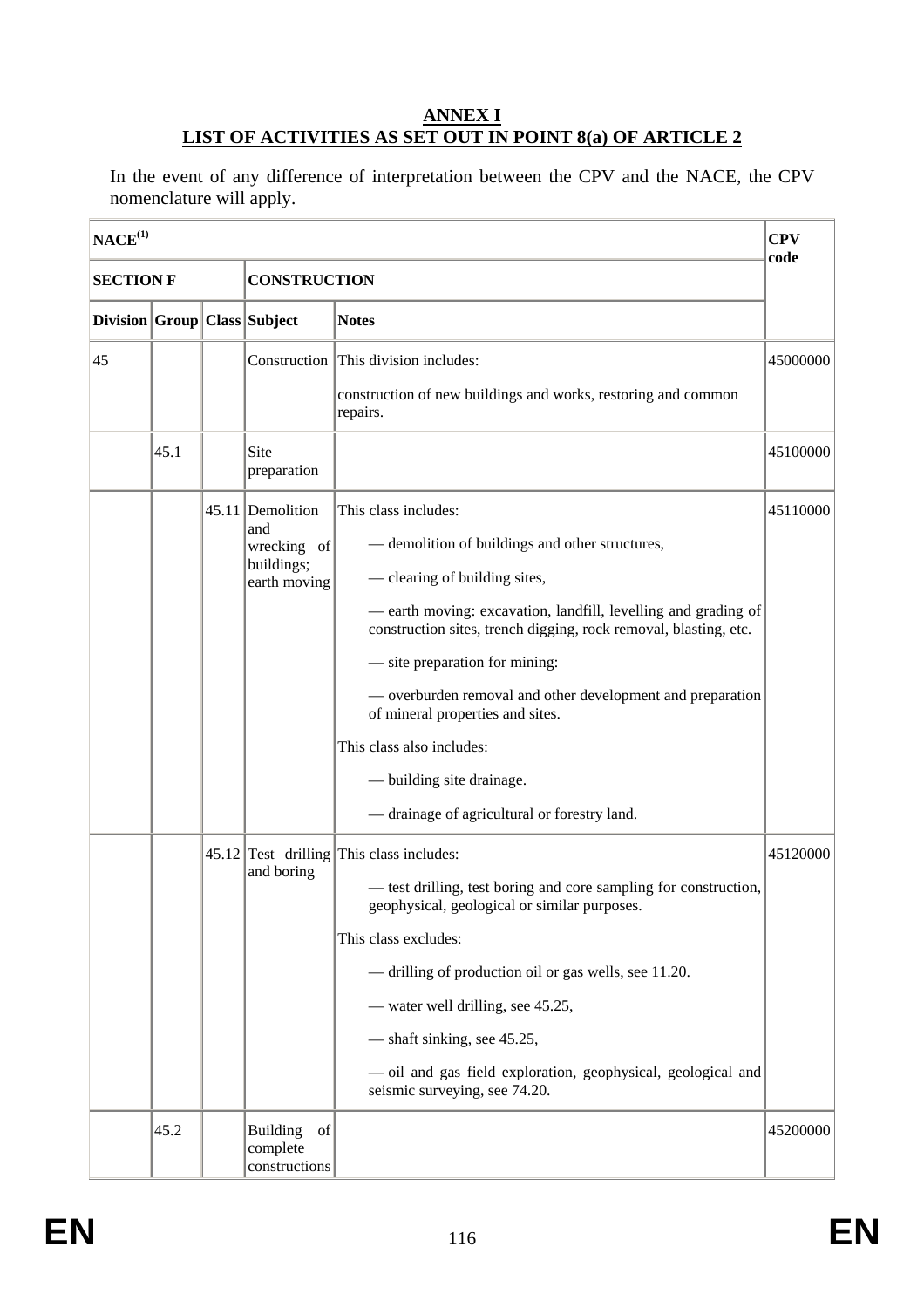### **ANNEX I LIST OF ACTIVITIES AS SET OUT IN POINT 8(a) OF ARTICLE 2**

In the event of any difference of interpretation between the CPV and the NACE, the CPV nomenclature will apply.

| NACE <sup>(1)</sup>                     |      |  |                                                                      |                                                                                                                                                                                                                                                                                                                                                                                                                                                                                              | <b>CPV</b><br>code |  |
|-----------------------------------------|------|--|----------------------------------------------------------------------|----------------------------------------------------------------------------------------------------------------------------------------------------------------------------------------------------------------------------------------------------------------------------------------------------------------------------------------------------------------------------------------------------------------------------------------------------------------------------------------------|--------------------|--|
| <b>SECTION F</b><br><b>CONSTRUCTION</b> |      |  |                                                                      |                                                                                                                                                                                                                                                                                                                                                                                                                                                                                              |                    |  |
| Division Group Class Subject            |      |  |                                                                      | <b>Notes</b>                                                                                                                                                                                                                                                                                                                                                                                                                                                                                 |                    |  |
| 45                                      |      |  |                                                                      | Construction This division includes:<br>construction of new buildings and works, restoring and common<br>repairs.                                                                                                                                                                                                                                                                                                                                                                            | 45000000           |  |
|                                         | 45.1 |  | Site<br>preparation                                                  |                                                                                                                                                                                                                                                                                                                                                                                                                                                                                              | 45100000           |  |
|                                         |      |  | 45.11 Demolition<br>and<br>wrecking of<br>buildings;<br>earth moving | This class includes:<br>- demolition of buildings and other structures,<br>- clearing of building sites,<br>- earth moving: excavation, landfill, levelling and grading of<br>construction sites, trench digging, rock removal, blasting, etc.<br>— site preparation for mining:<br>- overburden removal and other development and preparation<br>of mineral properties and sites.<br>This class also includes:<br>— building site drainage.<br>- drainage of agricultural or forestry land. | 45110000           |  |
|                                         |      |  | and boring                                                           | $45.12$ Test drilling This class includes:<br>— test drilling, test boring and core sampling for construction,<br>geophysical, geological or similar purposes.<br>This class excludes:<br>- drilling of production oil or gas wells, see 11.20.<br>- water well drilling, see 45.25,<br>— shaft sinking, see 45.25,<br>- oil and gas field exploration, geophysical, geological and<br>seismic surveying, see 74.20.                                                                         | 45120000           |  |
|                                         | 45.2 |  | <b>Building</b><br>of<br>complete<br>constructions                   |                                                                                                                                                                                                                                                                                                                                                                                                                                                                                              | 45200000           |  |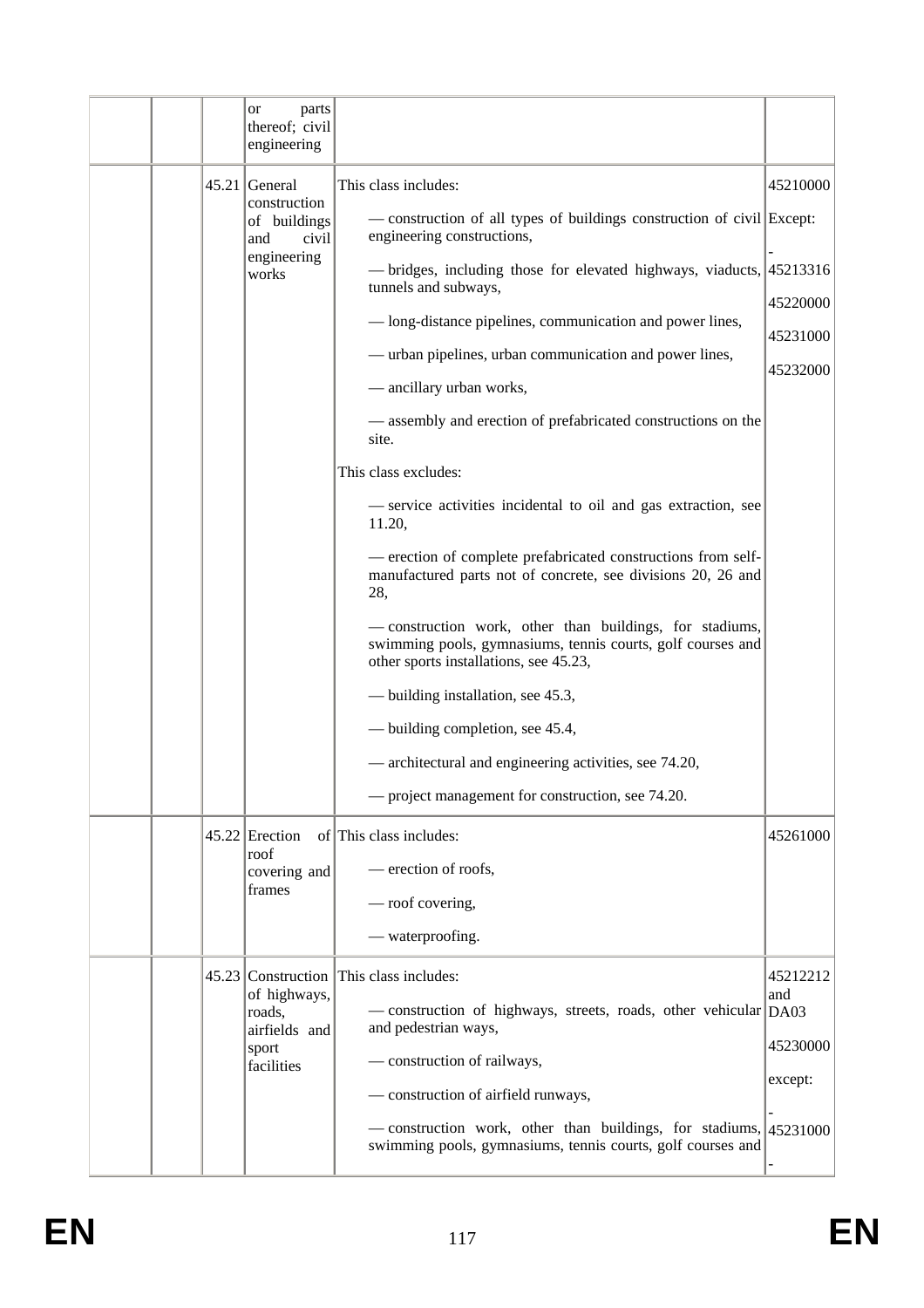|  | parts<br><sub>or</sub><br>thereof; civil<br>engineering |                                                                                                                                                                                         |                      |
|--|---------------------------------------------------------|-----------------------------------------------------------------------------------------------------------------------------------------------------------------------------------------|----------------------|
|  | $45.21$ General<br>construction<br>of buildings         | This class includes:<br>- construction of all types of buildings construction of civil Except:                                                                                          | 45210000             |
|  | and<br>civil<br>engineering<br>works                    | engineering constructions,<br>- bridges, including those for elevated highways, viaducts, 45213316<br>tunnels and subways,<br>— long-distance pipelines, communication and power lines, | 45220000<br>45231000 |
|  |                                                         | — urban pipelines, urban communication and power lines,<br>- ancillary urban works,                                                                                                     | 45232000             |
|  |                                                         | - assembly and erection of prefabricated constructions on the<br>site.                                                                                                                  |                      |
|  |                                                         | This class excludes:<br>- service activities incidental to oil and gas extraction, see<br>11.20,                                                                                        |                      |
|  |                                                         | - erection of complete prefabricated constructions from self-<br>manufactured parts not of concrete, see divisions 20, 26 and<br>28,                                                    |                      |
|  |                                                         | - construction work, other than buildings, for stadiums,<br>swimming pools, gymnasiums, tennis courts, golf courses and<br>other sports installations, see 45.23,                       |                      |
|  |                                                         | — building installation, see 45.3,                                                                                                                                                      |                      |
|  |                                                         | — building completion, see 45.4,                                                                                                                                                        |                      |
|  |                                                         | — architectural and engineering activities, see 74.20,                                                                                                                                  |                      |
|  |                                                         | — project management for construction, see 74.20.                                                                                                                                       |                      |
|  | $45.22$ Erection                                        | of This class includes:                                                                                                                                                                 | 45261000             |
|  | roof<br>covering and                                    | - erection of roofs,                                                                                                                                                                    |                      |
|  | frames                                                  | — roof covering,                                                                                                                                                                        |                      |
|  |                                                         | — waterproofing.                                                                                                                                                                        |                      |
|  | of highways,<br>roads,                                  | 45.23 Construction This class includes:<br>- construction of highways, streets, roads, other vehicular DA03                                                                             | 45212212<br>and      |
|  | airfields and<br>sport                                  | and pedestrian ways,                                                                                                                                                                    | 45230000             |
|  | facilities                                              | - construction of railways,<br>- construction of airfield runways,                                                                                                                      | except:              |
|  |                                                         | - construction work, other than buildings, for stadiums, 45231000<br>swimming pools, gymnasiums, tennis courts, golf courses and                                                        |                      |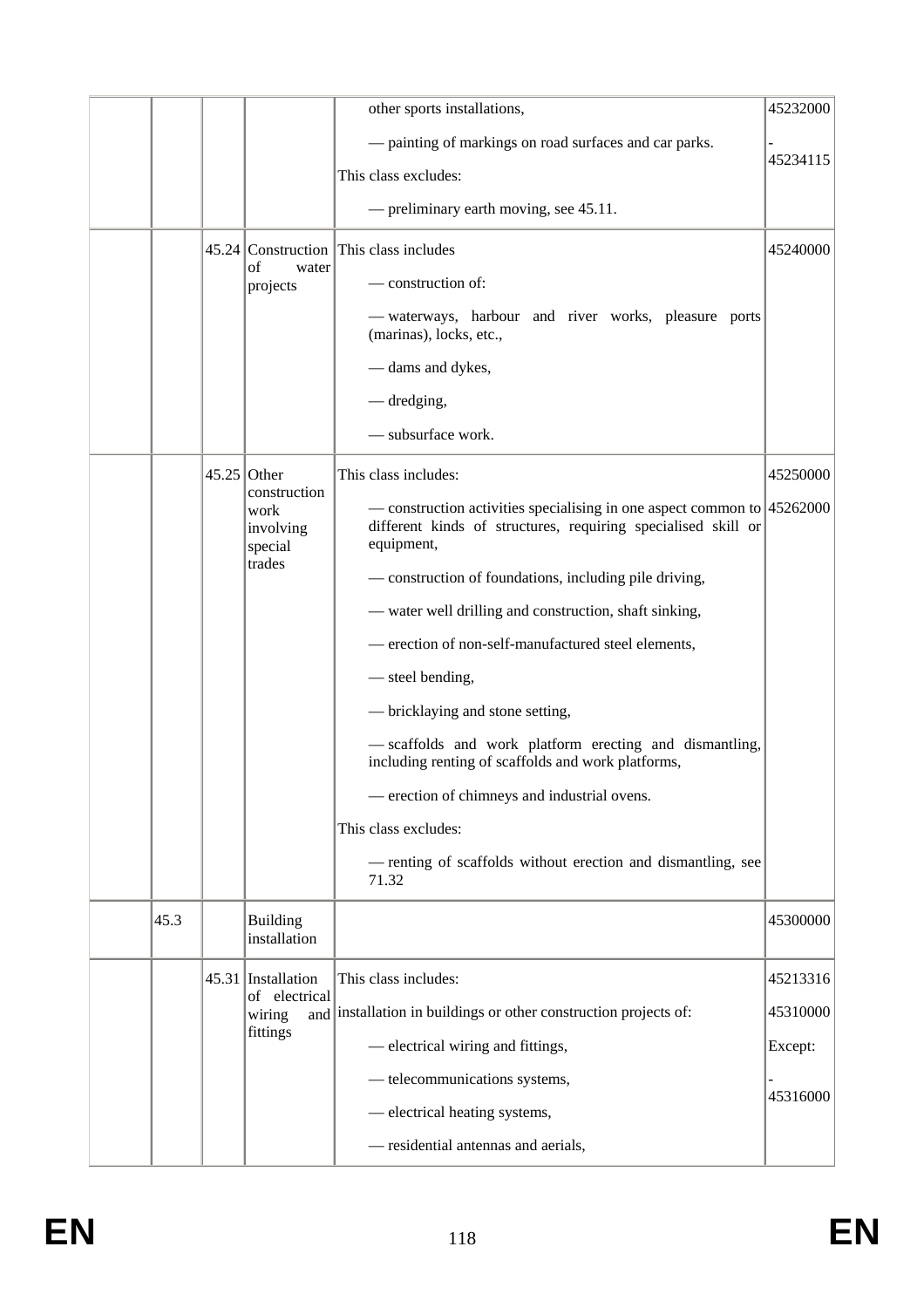|      |                                              | other sports installations,                                                                                                                                      | 45232000 |
|------|----------------------------------------------|------------------------------------------------------------------------------------------------------------------------------------------------------------------|----------|
|      |                                              | - painting of markings on road surfaces and car parks.<br>This class excludes:                                                                                   | 45234115 |
|      |                                              | - preliminary earth moving, see 45.11.                                                                                                                           |          |
|      |                                              |                                                                                                                                                                  |          |
|      | of<br>water                                  | 45.24 Construction This class includes                                                                                                                           | 45240000 |
|      | projects                                     | — construction of:                                                                                                                                               |          |
|      |                                              | — waterways, harbour and river works, pleasure ports<br>(marinas), locks, etc.,                                                                                  |          |
|      |                                              | - dams and dykes,                                                                                                                                                |          |
|      |                                              | — dredging,                                                                                                                                                      |          |
|      |                                              | - subsurface work.                                                                                                                                               |          |
|      | $45.25$ Other                                | This class includes:                                                                                                                                             | 45250000 |
|      | construction<br>work<br>involving<br>special | — construction activities specialising in one aspect common to $ 45262000\rangle$<br>different kinds of structures, requiring specialised skill or<br>equipment, |          |
|      | trades                                       | - construction of foundations, including pile driving,                                                                                                           |          |
|      |                                              | - water well drilling and construction, shaft sinking,                                                                                                           |          |
|      |                                              | - erection of non-self-manufactured steel elements,                                                                                                              |          |
|      |                                              | — steel bending,                                                                                                                                                 |          |
|      |                                              | — bricklaying and stone setting,                                                                                                                                 |          |
|      |                                              | - scaffolds and work platform erecting and dismantling,<br>including renting of scaffolds and work platforms,                                                    |          |
|      |                                              | - erection of chimneys and industrial ovens.                                                                                                                     |          |
|      |                                              | This class excludes:                                                                                                                                             |          |
|      |                                              | - renting of scaffolds without erection and dismantling, see<br>71.32                                                                                            |          |
| 45.3 | <b>Building</b><br>installation              |                                                                                                                                                                  | 45300000 |
|      | 45.31 Installation                           | This class includes:                                                                                                                                             | 45213316 |
|      | of electrical<br>wiring                      | and installation in buildings or other construction projects of:                                                                                                 | 45310000 |
|      | fittings                                     | - electrical wiring and fittings,                                                                                                                                | Except:  |
|      |                                              | - telecommunications systems,                                                                                                                                    |          |
|      |                                              | - electrical heating systems,                                                                                                                                    | 45316000 |
|      |                                              | - residential antennas and aerials,                                                                                                                              |          |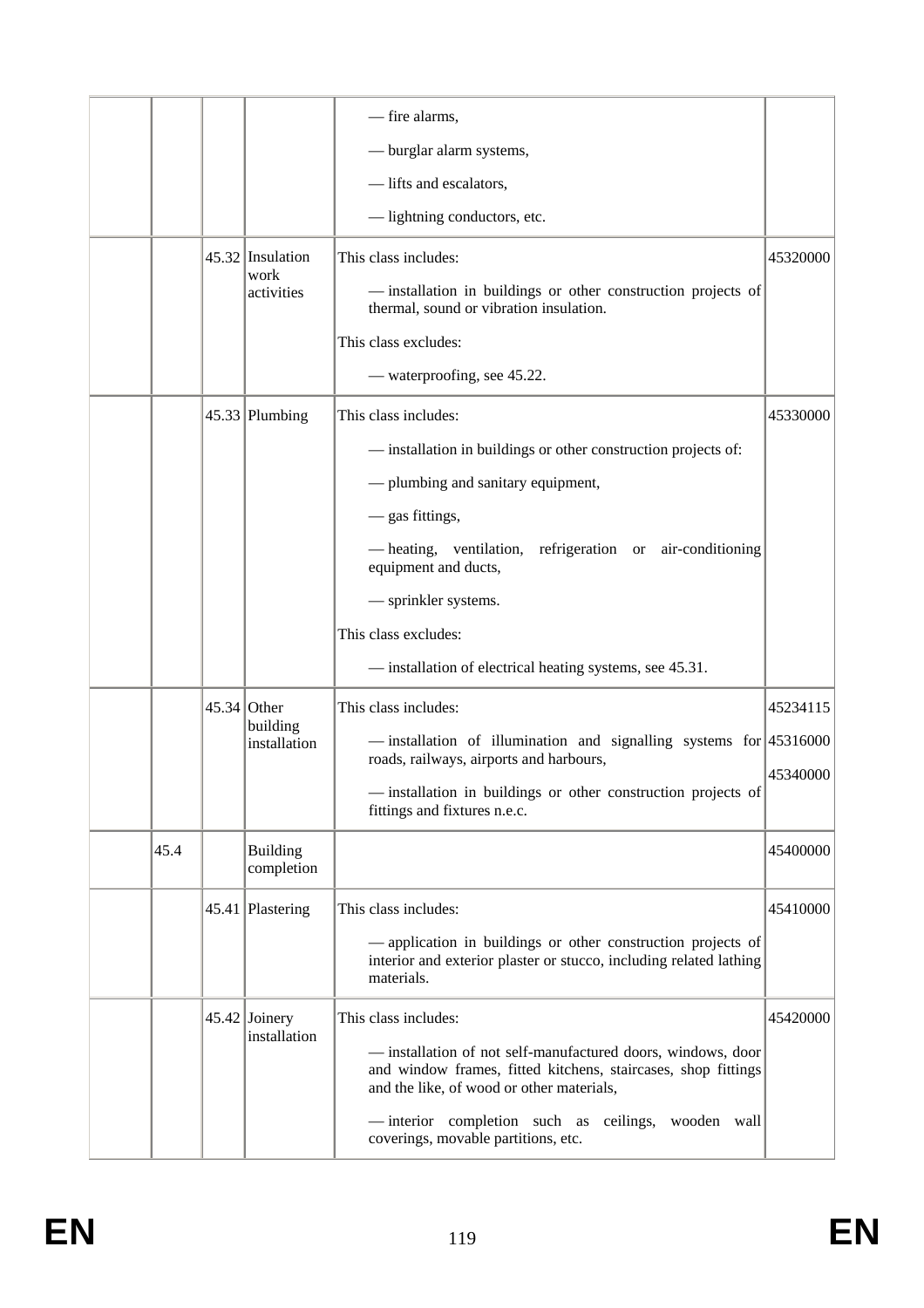|      |               |                                        | - fire alarms,<br>- burglar alarm systems,<br>-lifts and escalators,                                                                                                                                                                                                                                                                             |                      |
|------|---------------|----------------------------------------|--------------------------------------------------------------------------------------------------------------------------------------------------------------------------------------------------------------------------------------------------------------------------------------------------------------------------------------------------|----------------------|
|      |               | 45.32 Insulation<br>work<br>activities | - lightning conductors, etc.<br>This class includes:<br>- installation in buildings or other construction projects of<br>thermal, sound or vibration insulation.<br>This class excludes:<br>— waterproofing, see 45.22.                                                                                                                          | 45320000             |
|      |               | $45.33$ Plumbing                       | This class includes:<br>- installation in buildings or other construction projects of:<br>- plumbing and sanitary equipment,<br>- gas fittings,<br>- heating, ventilation, refrigeration or air-conditioning<br>equipment and ducts,<br>- sprinkler systems.<br>This class excludes:<br>- installation of electrical heating systems, see 45.31. | 45330000             |
|      | $45.34$ Other | building<br>installation               | This class includes:<br>$-$ installation of illumination and signalling systems for 45316000<br>roads, railways, airports and harbours,<br>- installation in buildings or other construction projects of<br>fittings and fixtures n.e.c.                                                                                                         | 45234115<br>45340000 |
| 45.4 |               | <b>Building</b><br>completion          |                                                                                                                                                                                                                                                                                                                                                  | 45400000             |
|      |               | 45.41 Plastering                       | This class includes:<br>- application in buildings or other construction projects of<br>interior and exterior plaster or stucco, including related lathing<br>materials.                                                                                                                                                                         | 45410000             |
|      |               | 45.42 Joinery<br>installation          | This class includes:<br>- installation of not self-manufactured doors, windows, door<br>and window frames, fitted kitchens, staircases, shop fittings<br>and the like, of wood or other materials,<br>-interior completion such as<br>ceilings,<br>wooden wall<br>coverings, movable partitions, etc.                                            | 45420000             |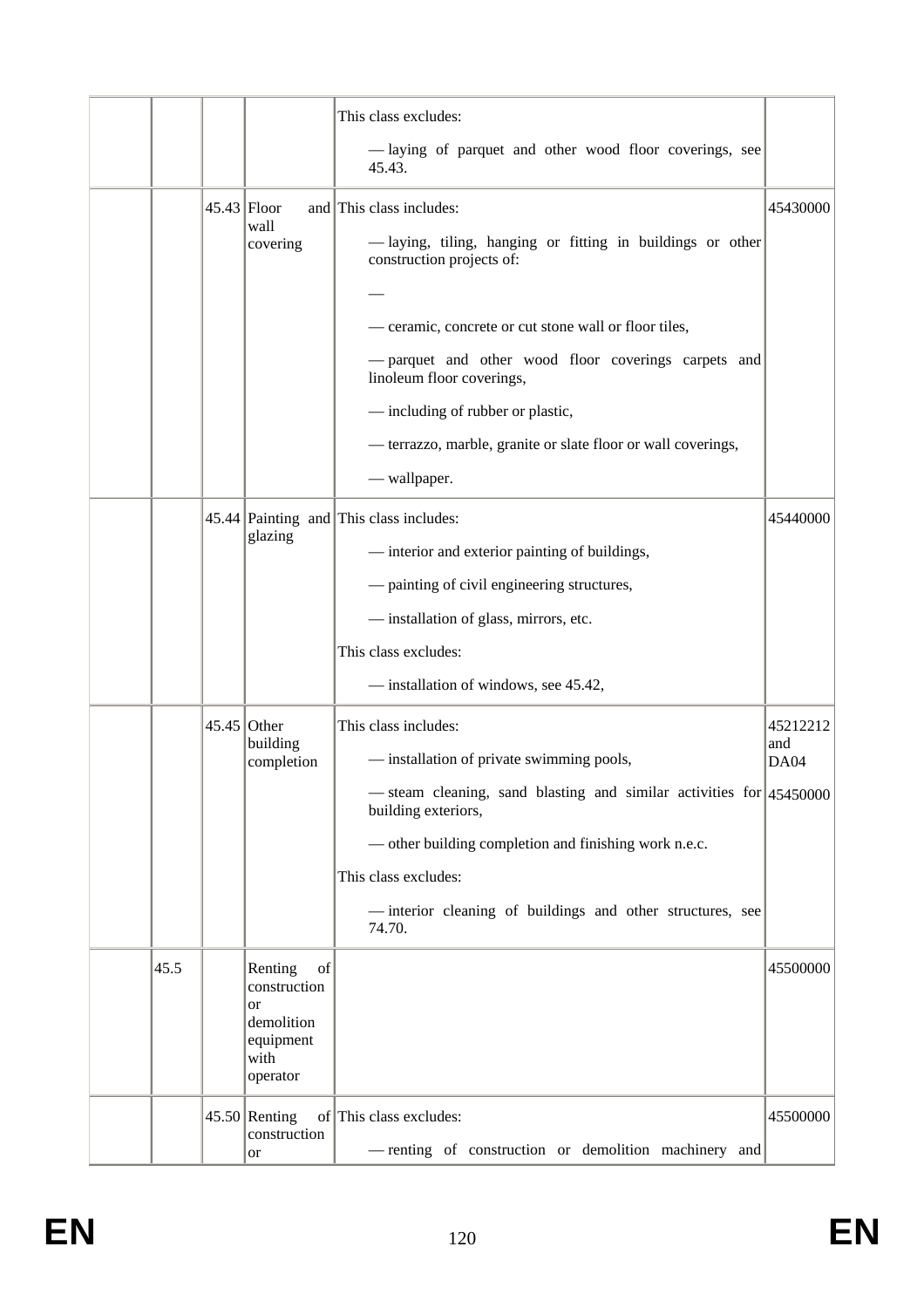|      |               |                                                                                           | This class excludes:<br>-laying of parquet and other wood floor coverings, see<br>45.43.                                                                                                                                                                                                                                |                         |
|------|---------------|-------------------------------------------------------------------------------------------|-------------------------------------------------------------------------------------------------------------------------------------------------------------------------------------------------------------------------------------------------------------------------------------------------------------------------|-------------------------|
|      | $45.43$ Floor | wall<br>covering                                                                          | and This class includes:<br>-laying, tiling, hanging or fitting in buildings or other<br>construction projects of:                                                                                                                                                                                                      | 45430000                |
|      |               |                                                                                           | - ceramic, concrete or cut stone wall or floor tiles,<br>- parquet and other wood floor coverings carpets and<br>linoleum floor coverings,<br>- including of rubber or plastic,<br>- terrazzo, marble, granite or slate floor or wall coverings,<br>- wallpaper.                                                        |                         |
|      |               | glazing                                                                                   | 45.44 Painting and This class includes:<br>- interior and exterior painting of buildings,<br>- painting of civil engineering structures,<br>- installation of glass, mirrors, etc.<br>This class excludes:<br>- installation of windows, see 45.42,                                                                     | 45440000                |
|      | $45.45$ Other | building<br>completion                                                                    | This class includes:<br>- installation of private swimming pools,<br>- steam cleaning, sand blasting and similar activities for 45450000<br>building exteriors,<br>- other building completion and finishing work n.e.c.<br>This class excludes:<br>-interior cleaning of buildings and other structures, see<br>74.70. | 45212212<br>and<br>DA04 |
| 45.5 |               | Renting<br>of<br>construction<br><b>or</b><br>demolition<br>equipment<br>with<br>operator |                                                                                                                                                                                                                                                                                                                         | 45500000                |
|      |               | $45.50$ Renting<br>construction<br>or                                                     | of This class excludes:<br>- renting of construction or demolition machinery and                                                                                                                                                                                                                                        | 45500000                |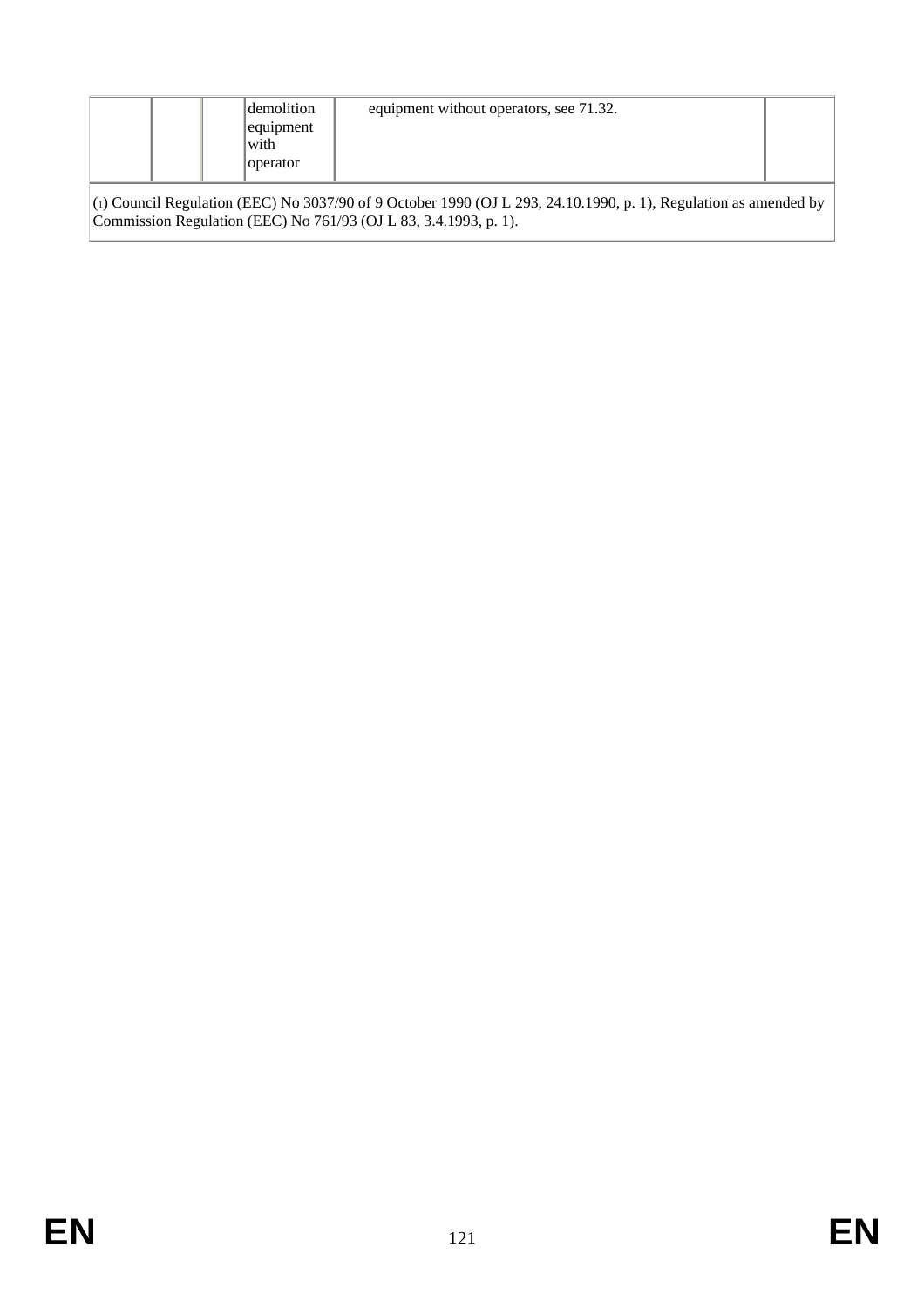|                                                                                                                                                                                        |  |  | demolition<br>equipment<br>with<br>operator | equipment without operators, see 71.32. |  |  |
|----------------------------------------------------------------------------------------------------------------------------------------------------------------------------------------|--|--|---------------------------------------------|-----------------------------------------|--|--|
| $(1)$ Council Regulation (EEC) No 3037/90 of 9 October 1990 (OJ L 293, 24.10.1990, p. 1), Regulation as amended by<br>Commission Regulation (EEC) No 761/93 (OJ L 83, 3.4.1993, p. 1). |  |  |                                             |                                         |  |  |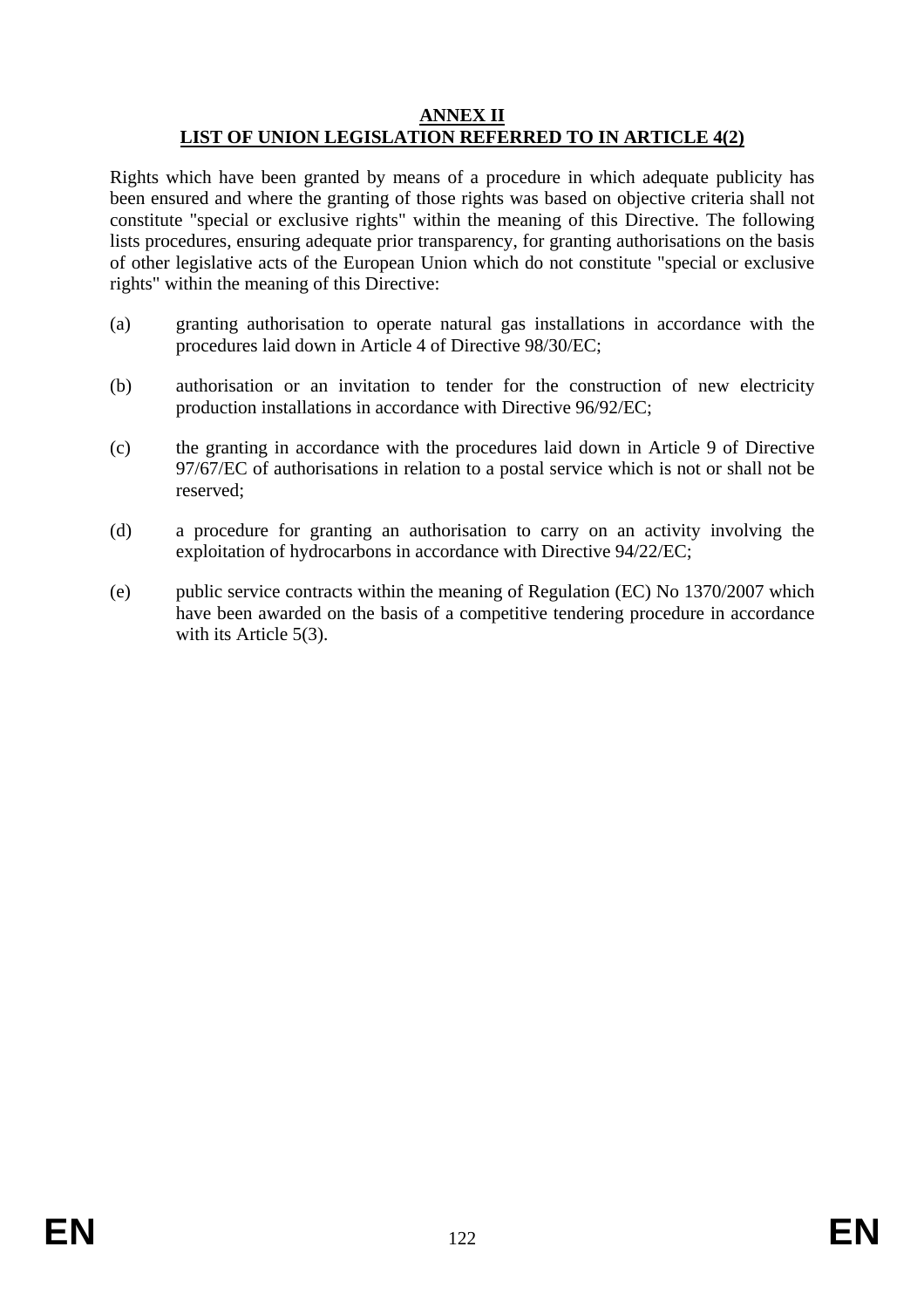#### **ANNEX II LIST OF UNION LEGISLATION REFERRED TO IN ARTICLE 4(2)**

Rights which have been granted by means of a procedure in which adequate publicity has been ensured and where the granting of those rights was based on objective criteria shall not constitute "special or exclusive rights" within the meaning of this Directive. The following lists procedures, ensuring adequate prior transparency, for granting authorisations on the basis of other legislative acts of the European Union which do not constitute "special or exclusive rights" within the meaning of this Directive:

- (a) granting authorisation to operate natural gas installations in accordance with the procedures laid down in Article 4 of Directive 98/30/EC;
- (b) authorisation or an invitation to tender for the construction of new electricity production installations in accordance with Directive 96/92/EC;
- (c) the granting in accordance with the procedures laid down in Article 9 of Directive 97/67/EC of authorisations in relation to a postal service which is not or shall not be reserved;
- (d) a procedure for granting an authorisation to carry on an activity involving the exploitation of hydrocarbons in accordance with Directive 94/22/EC;
- (e) public service contracts within the meaning of Regulation (EC) No 1370/2007 which have been awarded on the basis of a competitive tendering procedure in accordance with its Article 5(3).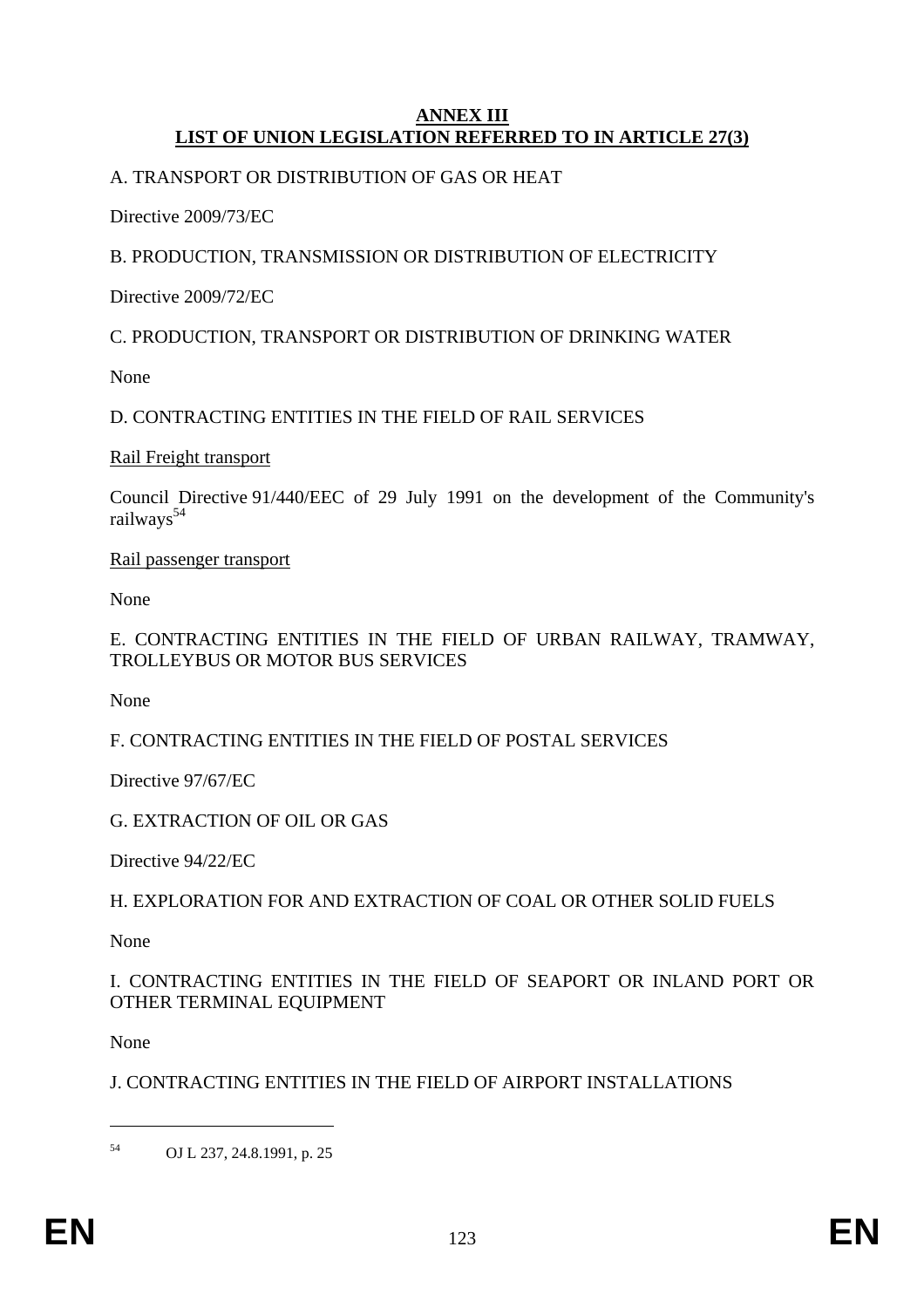#### **ANNEX III LIST OF UNION LEGISLATION REFERRED TO IN ARTICLE 27(3)**

### A. TRANSPORT OR DISTRIBUTION OF GAS OR HEAT

Directive 2009/73/EC

### B. PRODUCTION, TRANSMISSION OR DISTRIBUTION OF ELECTRICITY

Directive 2009/72/EC

C. PRODUCTION, TRANSPORT OR DISTRIBUTION OF DRINKING WATER

None

D. CONTRACTING ENTITIES IN THE FIELD OF RAIL SERVICES

Rail Freight transport

Council Directive 91/440/EEC of 29 July 1991 on the development of the Community's railways<sup>54</sup>

Rail passenger transport

None

### E. CONTRACTING ENTITIES IN THE FIELD OF URBAN RAILWAY, TRAMWAY, TROLLEYBUS OR MOTOR BUS SERVICES

None

F. CONTRACTING ENTITIES IN THE FIELD OF POSTAL SERVICES

Directive 97/67/EC

G. EXTRACTION OF OIL OR GAS

Directive 94/22/EC

H. EXPLORATION FOR AND EXTRACTION OF COAL OR OTHER SOLID FUELS

None

I. CONTRACTING ENTITIES IN THE FIELD OF SEAPORT OR INLAND PORT OR OTHER TERMINAL EQUIPMENT

None

1

J. CONTRACTING ENTITIES IN THE FIELD OF AIRPORT INSTALLATIONS

54 OJ L 237, 24.8.1991, p. 25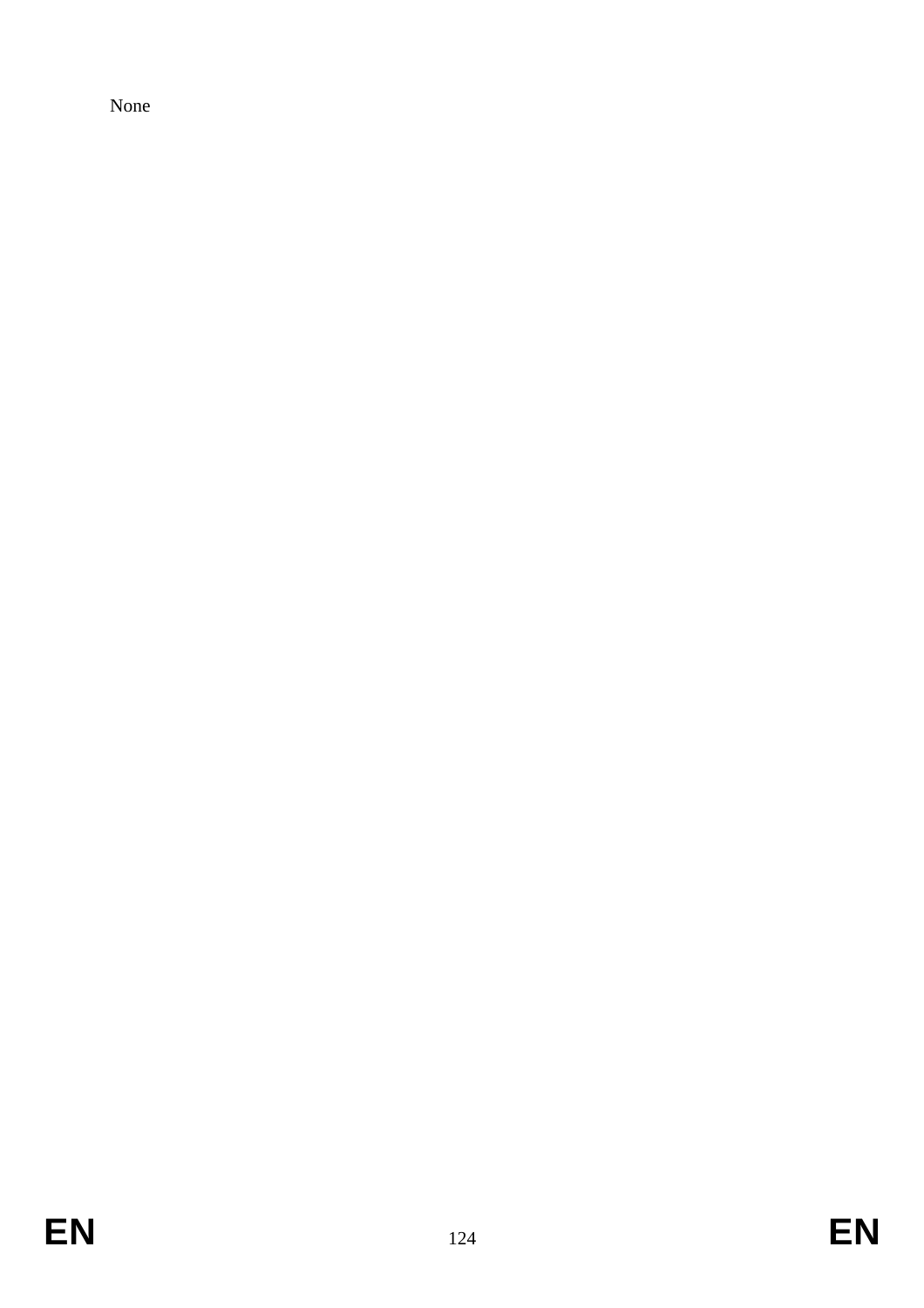None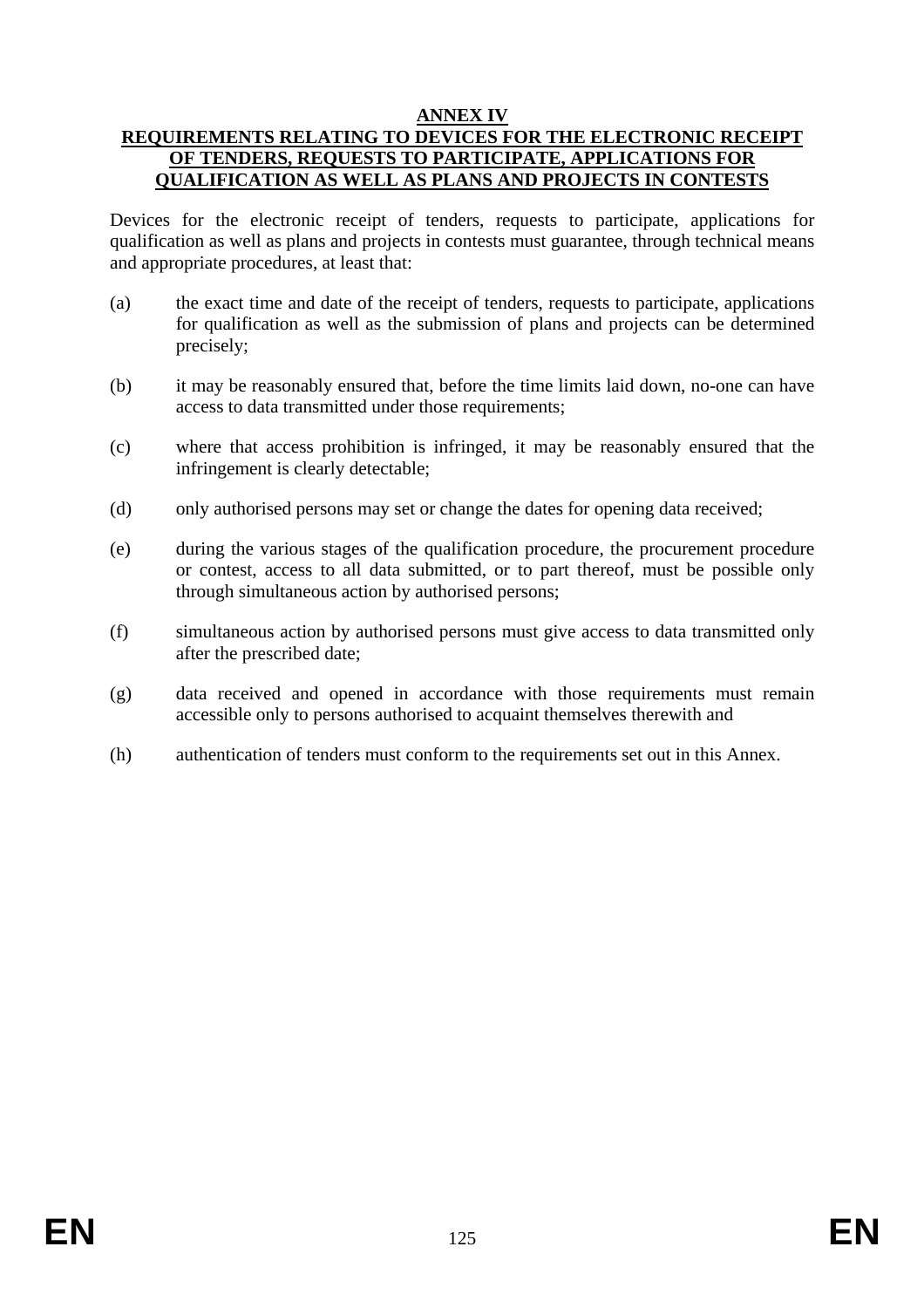### **ANNEX IV**

### **REQUIREMENTS RELATING TO DEVICES FOR THE ELECTRONIC RECEIPT OF TENDERS, REQUESTS TO PARTICIPATE, APPLICATIONS FOR QUALIFICATION AS WELL AS PLANS AND PROJECTS IN CONTESTS**

Devices for the electronic receipt of tenders, requests to participate, applications for qualification as well as plans and projects in contests must guarantee, through technical means and appropriate procedures, at least that:

- (a) the exact time and date of the receipt of tenders, requests to participate, applications for qualification as well as the submission of plans and projects can be determined precisely;
- (b) it may be reasonably ensured that, before the time limits laid down, no-one can have access to data transmitted under those requirements;
- (c) where that access prohibition is infringed, it may be reasonably ensured that the infringement is clearly detectable;
- (d) only authorised persons may set or change the dates for opening data received;
- (e) during the various stages of the qualification procedure, the procurement procedure or contest, access to all data submitted, or to part thereof, must be possible only through simultaneous action by authorised persons;
- (f) simultaneous action by authorised persons must give access to data transmitted only after the prescribed date;
- (g) data received and opened in accordance with those requirements must remain accessible only to persons authorised to acquaint themselves therewith and
- (h) authentication of tenders must conform to the requirements set out in this Annex.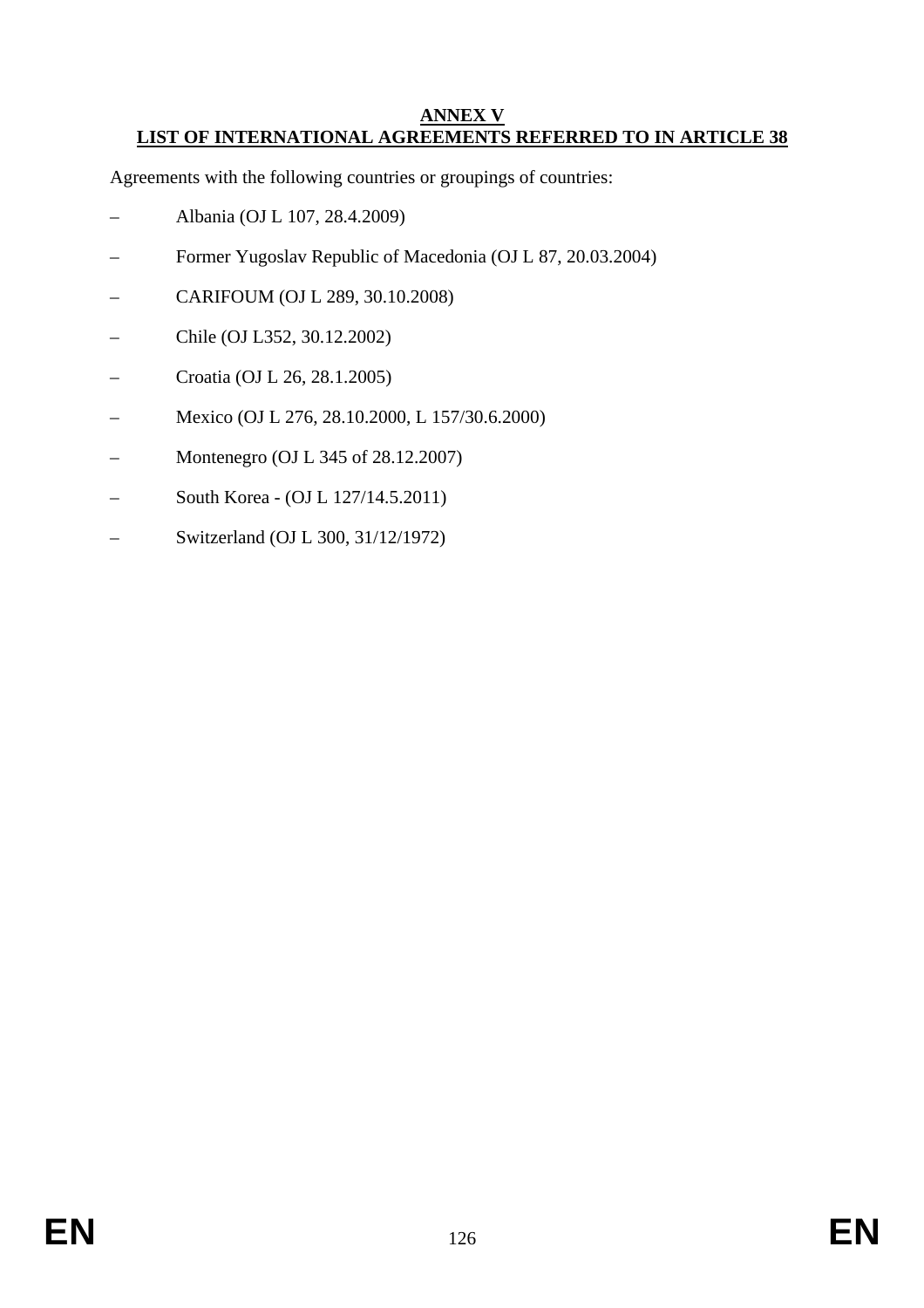#### **ANNEX V LIST OF INTERNATIONAL AGREEMENTS REFERRED TO IN ARTICLE 38**

Agreements with the following countries or groupings of countries:

- Albania (OJ L 107, 28.4.2009)
- Former Yugoslav Republic of Macedonia (OJ L 87, 20.03.2004)
- CARIFOUM (OJ L 289, 30.10.2008)
- Chile (OJ L352, 30.12.2002)
- Croatia (OJ L 26, 28.1.2005)
- Mexico (OJ L 276, 28.10.2000, L 157/30.6.2000)
- Montenegro (OJ L 345 of 28.12.2007)
- South Korea (OJ L 127/14.5.2011)
- Switzerland (OJ L 300, 31/12/1972)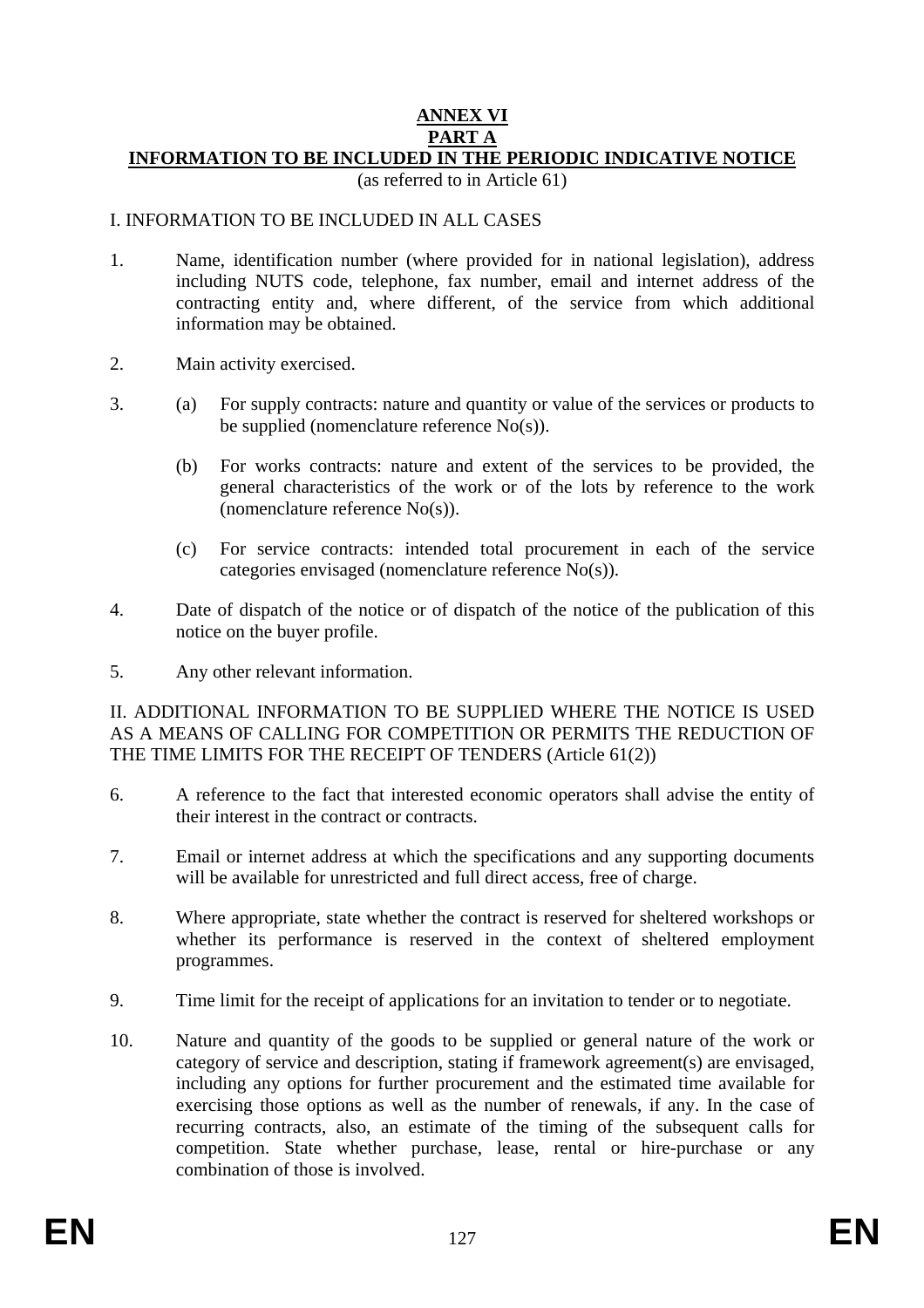#### **ANNEX VI PART A INFORMATION TO BE INCLUDED IN THE PERIODIC INDICATIVE NOTICE**

(as referred to in Article 61)

#### I. INFORMATION TO BE INCLUDED IN ALL CASES

- 1. Name, identification number (where provided for in national legislation), address including NUTS code, telephone, fax number, email and internet address of the contracting entity and, where different, of the service from which additional information may be obtained.
- 2. Main activity exercised.
- 3. (a) For supply contracts: nature and quantity or value of the services or products to be supplied (nomenclature reference No(s)).
	- (b) For works contracts: nature and extent of the services to be provided, the general characteristics of the work or of the lots by reference to the work (nomenclature reference No(s)).
	- (c) For service contracts: intended total procurement in each of the service categories envisaged (nomenclature reference No(s)).
- 4. Date of dispatch of the notice or of dispatch of the notice of the publication of this notice on the buyer profile.
- 5. Any other relevant information.

II. ADDITIONAL INFORMATION TO BE SUPPLIED WHERE THE NOTICE IS USED AS A MEANS OF CALLING FOR COMPETITION OR PERMITS THE REDUCTION OF THE TIME LIMITS FOR THE RECEIPT OF TENDERS (Article 61(2))

- 6. A reference to the fact that interested economic operators shall advise the entity of their interest in the contract or contracts.
- 7. Email or internet address at which the specifications and any supporting documents will be available for unrestricted and full direct access, free of charge.
- 8. Where appropriate, state whether the contract is reserved for sheltered workshops or whether its performance is reserved in the context of sheltered employment programmes.
- 9. Time limit for the receipt of applications for an invitation to tender or to negotiate.
- 10. Nature and quantity of the goods to be supplied or general nature of the work or category of service and description, stating if framework agreement(s) are envisaged, including any options for further procurement and the estimated time available for exercising those options as well as the number of renewals, if any. In the case of recurring contracts, also, an estimate of the timing of the subsequent calls for competition. State whether purchase, lease, rental or hire-purchase or any combination of those is involved.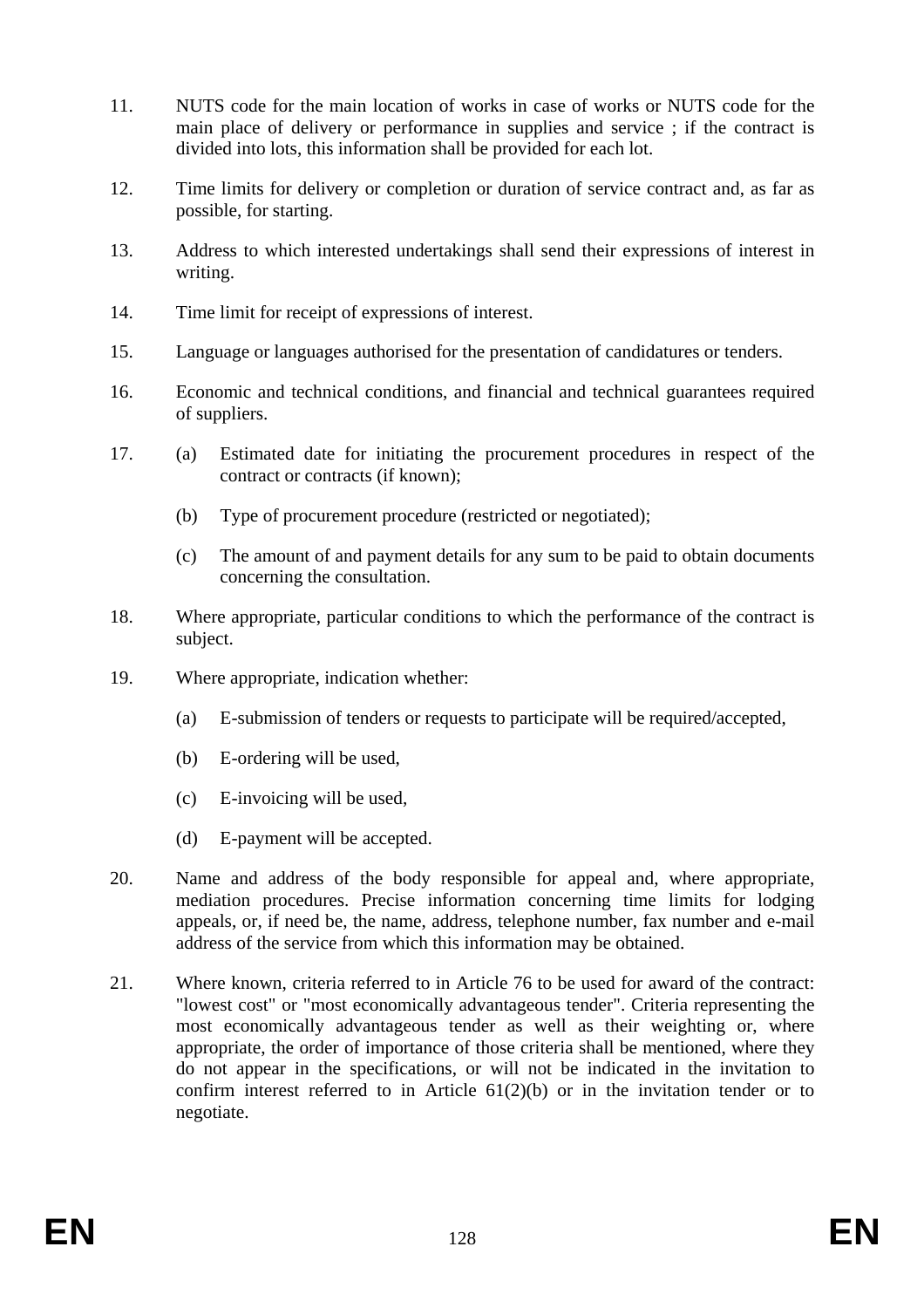- 11. NUTS code for the main location of works in case of works or NUTS code for the main place of delivery or performance in supplies and service ; if the contract is divided into lots, this information shall be provided for each lot.
- 12. Time limits for delivery or completion or duration of service contract and, as far as possible, for starting.
- 13. Address to which interested undertakings shall send their expressions of interest in writing.
- 14. Time limit for receipt of expressions of interest.
- 15. Language or languages authorised for the presentation of candidatures or tenders.
- 16. Economic and technical conditions, and financial and technical guarantees required of suppliers.
- 17. (a) Estimated date for initiating the procurement procedures in respect of the contract or contracts (if known);
	- (b) Type of procurement procedure (restricted or negotiated);
	- (c) The amount of and payment details for any sum to be paid to obtain documents concerning the consultation.
- 18. Where appropriate, particular conditions to which the performance of the contract is subject.
- 19. Where appropriate, indication whether:
	- (a) E-submission of tenders or requests to participate will be required/accepted,
	- (b) E-ordering will be used,
	- (c) E-invoicing will be used,
	- (d) E-payment will be accepted.
- 20. Name and address of the body responsible for appeal and, where appropriate, mediation procedures. Precise information concerning time limits for lodging appeals, or, if need be, the name, address, telephone number, fax number and e-mail address of the service from which this information may be obtained.
- 21. Where known, criteria referred to in Article 76 to be used for award of the contract: "lowest cost" or "most economically advantageous tender". Criteria representing the most economically advantageous tender as well as their weighting or, where appropriate, the order of importance of those criteria shall be mentioned, where they do not appear in the specifications, or will not be indicated in the invitation to confirm interest referred to in Article 61(2)(b) or in the invitation tender or to negotiate.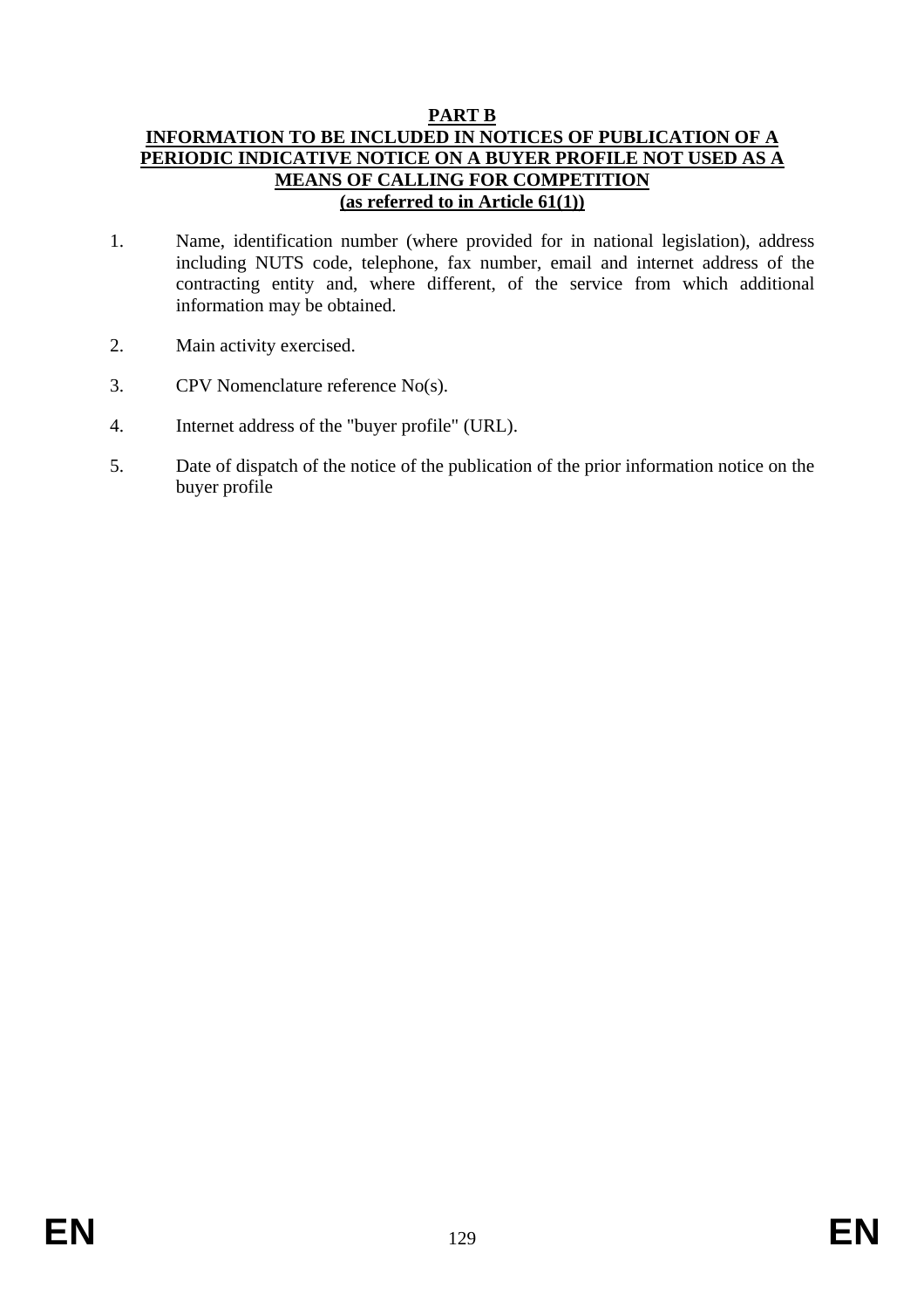### **PART B**

### **INFORMATION TO BE INCLUDED IN NOTICES OF PUBLICATION OF A PERIODIC INDICATIVE NOTICE ON A BUYER PROFILE NOT USED AS A MEANS OF CALLING FOR COMPETITION (as referred to in Article 61(1))**

- 1. Name, identification number (where provided for in national legislation), address including NUTS code, telephone, fax number, email and internet address of the contracting entity and, where different, of the service from which additional information may be obtained.
- 2. Main activity exercised.
- 3. CPV Nomenclature reference No(s).
- 4. Internet address of the "buyer profile" (URL).
- 5. Date of dispatch of the notice of the publication of the prior information notice on the buyer profile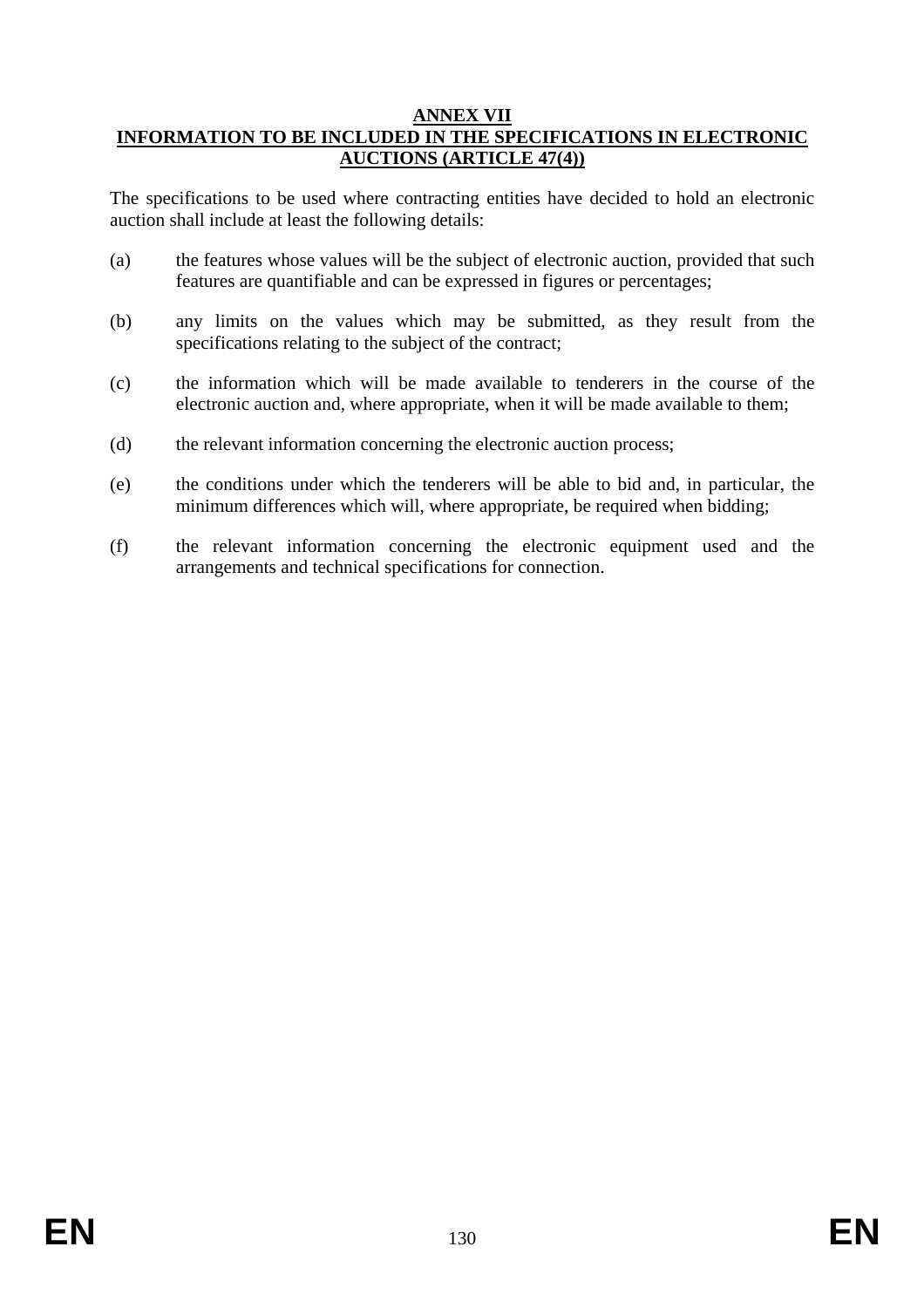#### **ANNEX VII INFORMATION TO BE INCLUDED IN THE SPECIFICATIONS IN ELECTRONIC AUCTIONS (ARTICLE 47(4))**

The specifications to be used where contracting entities have decided to hold an electronic auction shall include at least the following details:

- (a) the features whose values will be the subject of electronic auction, provided that such features are quantifiable and can be expressed in figures or percentages;
- (b) any limits on the values which may be submitted, as they result from the specifications relating to the subject of the contract;
- (c) the information which will be made available to tenderers in the course of the electronic auction and, where appropriate, when it will be made available to them;
- (d) the relevant information concerning the electronic auction process;
- (e) the conditions under which the tenderers will be able to bid and, in particular, the minimum differences which will, where appropriate, be required when bidding;
- (f) the relevant information concerning the electronic equipment used and the arrangements and technical specifications for connection.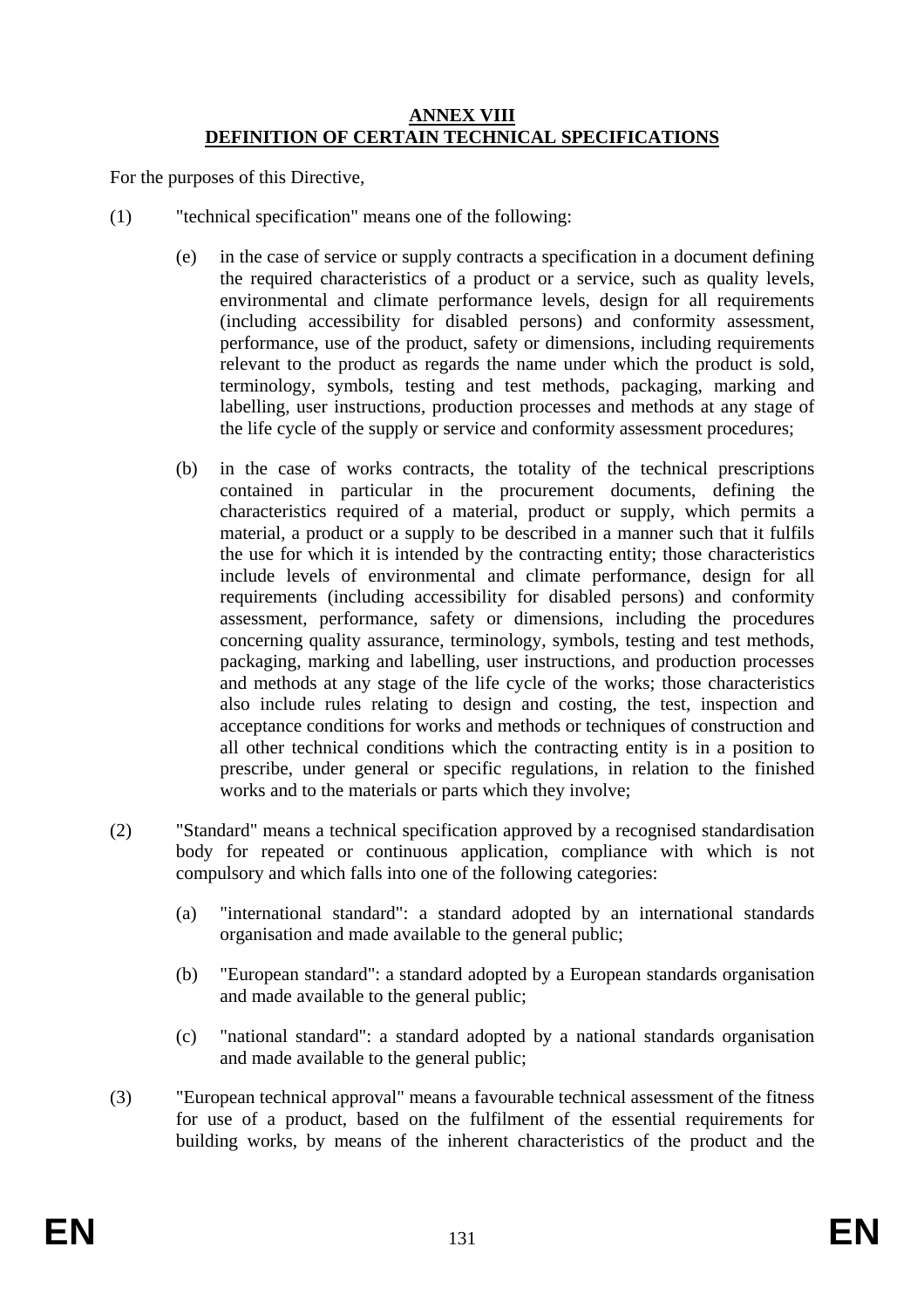#### **ANNEX VIII DEFINITION OF CERTAIN TECHNICAL SPECIFICATIONS**

For the purposes of this Directive,

- (1) "technical specification" means one of the following:
	- (e) in the case of service or supply contracts a specification in a document defining the required characteristics of a product or a service, such as quality levels, environmental and climate performance levels, design for all requirements (including accessibility for disabled persons) and conformity assessment, performance, use of the product, safety or dimensions, including requirements relevant to the product as regards the name under which the product is sold, terminology, symbols, testing and test methods, packaging, marking and labelling, user instructions, production processes and methods at any stage of the life cycle of the supply or service and conformity assessment procedures;
	- (b) in the case of works contracts, the totality of the technical prescriptions contained in particular in the procurement documents, defining the characteristics required of a material, product or supply, which permits a material, a product or a supply to be described in a manner such that it fulfils the use for which it is intended by the contracting entity; those characteristics include levels of environmental and climate performance, design for all requirements (including accessibility for disabled persons) and conformity assessment, performance, safety or dimensions, including the procedures concerning quality assurance, terminology, symbols, testing and test methods, packaging, marking and labelling, user instructions, and production processes and methods at any stage of the life cycle of the works; those characteristics also include rules relating to design and costing, the test, inspection and acceptance conditions for works and methods or techniques of construction and all other technical conditions which the contracting entity is in a position to prescribe, under general or specific regulations, in relation to the finished works and to the materials or parts which they involve;
- (2) "Standard" means a technical specification approved by a recognised standardisation body for repeated or continuous application, compliance with which is not compulsory and which falls into one of the following categories:
	- (a) "international standard": a standard adopted by an international standards organisation and made available to the general public;
	- (b) "European standard": a standard adopted by a European standards organisation and made available to the general public;
	- (c) "national standard": a standard adopted by a national standards organisation and made available to the general public;
- (3) "European technical approval" means a favourable technical assessment of the fitness for use of a product, based on the fulfilment of the essential requirements for building works, by means of the inherent characteristics of the product and the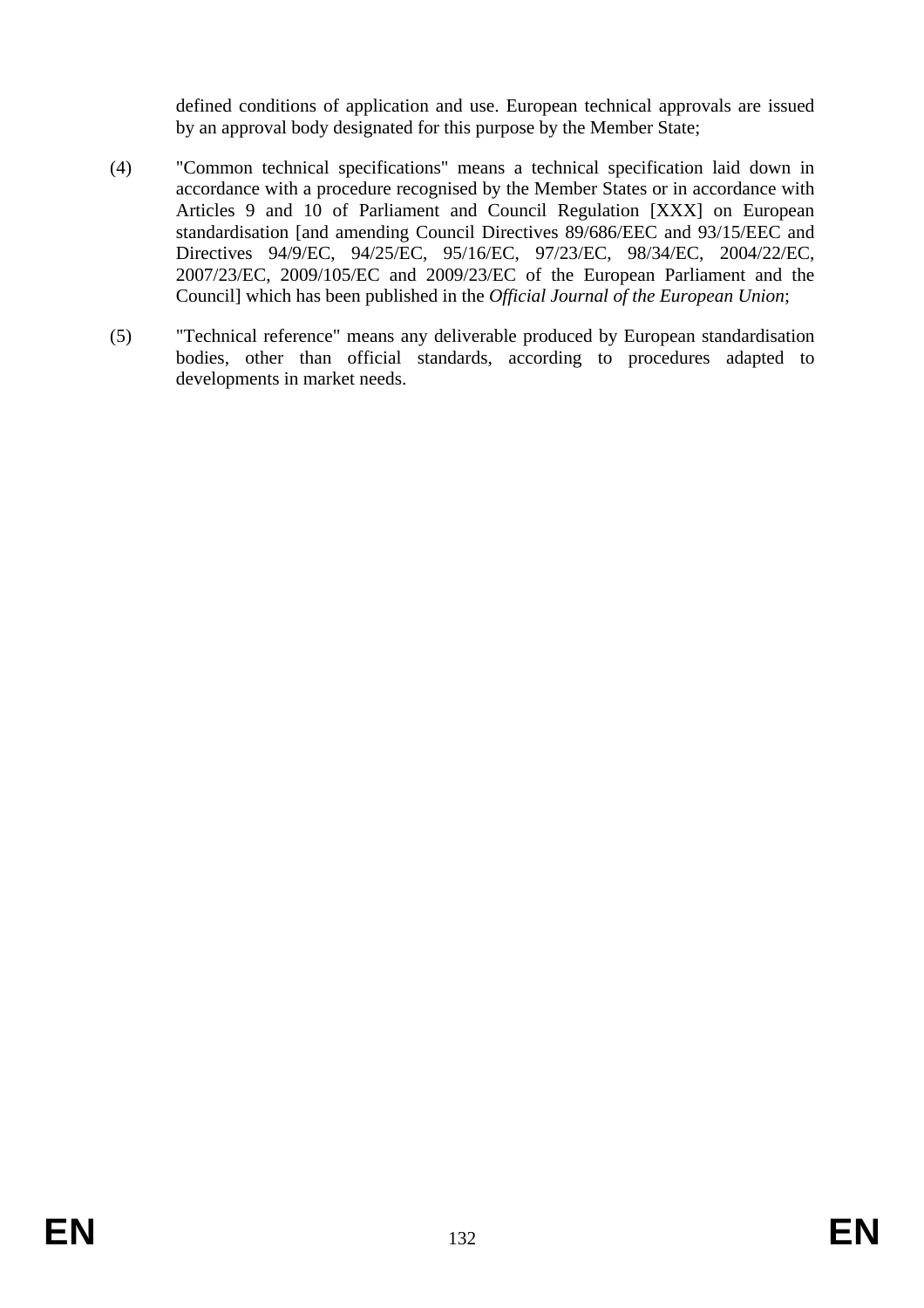defined conditions of application and use. European technical approvals are issued by an approval body designated for this purpose by the Member State;

- (4) "Common technical specifications" means a technical specification laid down in accordance with a procedure recognised by the Member States or in accordance with Articles 9 and 10 of Parliament and Council Regulation [XXX] on European standardisation [and amending Council Directives 89/686/EEC and 93/15/EEC and Directives 94/9/EC, 94/25/EC, 95/16/EC, 97/23/EC, 98/34/EC, 2004/22/EC, 2007/23/EC, 2009/105/EC and 2009/23/EC of the European Parliament and the Council] which has been published in the *Official Journal of the European Union*;
- (5) "Technical reference" means any deliverable produced by European standardisation bodies, other than official standards, according to procedures adapted to developments in market needs.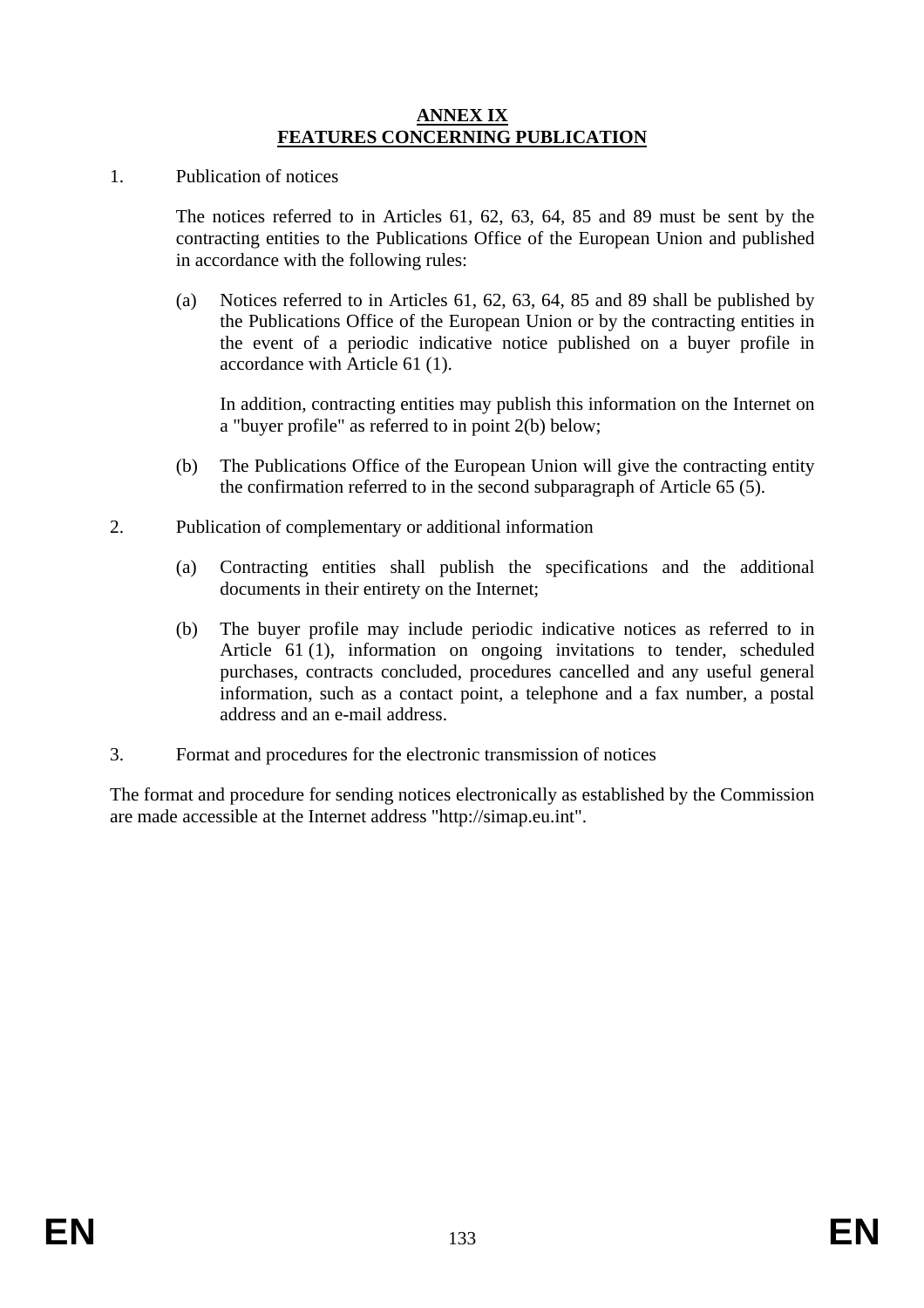#### **ANNEX IX FEATURES CONCERNING PUBLICATION**

1. Publication of notices

The notices referred to in Articles 61, 62, 63, 64, 85 and 89 must be sent by the contracting entities to the Publications Office of the European Union and published in accordance with the following rules:

(a) Notices referred to in Articles 61, 62, 63, 64, 85 and 89 shall be published by the Publications Office of the European Union or by the contracting entities in the event of a periodic indicative notice published on a buyer profile in accordance with Article 61 (1).

In addition, contracting entities may publish this information on the Internet on a "buyer profile" as referred to in point 2(b) below;

- (b) The Publications Office of the European Union will give the contracting entity the confirmation referred to in the second subparagraph of Article 65 (5).
- 2. Publication of complementary or additional information
	- (a) Contracting entities shall publish the specifications and the additional documents in their entirety on the Internet;
	- (b) The buyer profile may include periodic indicative notices as referred to in Article 61 (1), information on ongoing invitations to tender, scheduled purchases, contracts concluded, procedures cancelled and any useful general information, such as a contact point, a telephone and a fax number, a postal address and an e-mail address.
- 3. Format and procedures for the electronic transmission of notices

The format and procedure for sending notices electronically as established by the Commission are made accessible at the Internet address "http://simap.eu.int".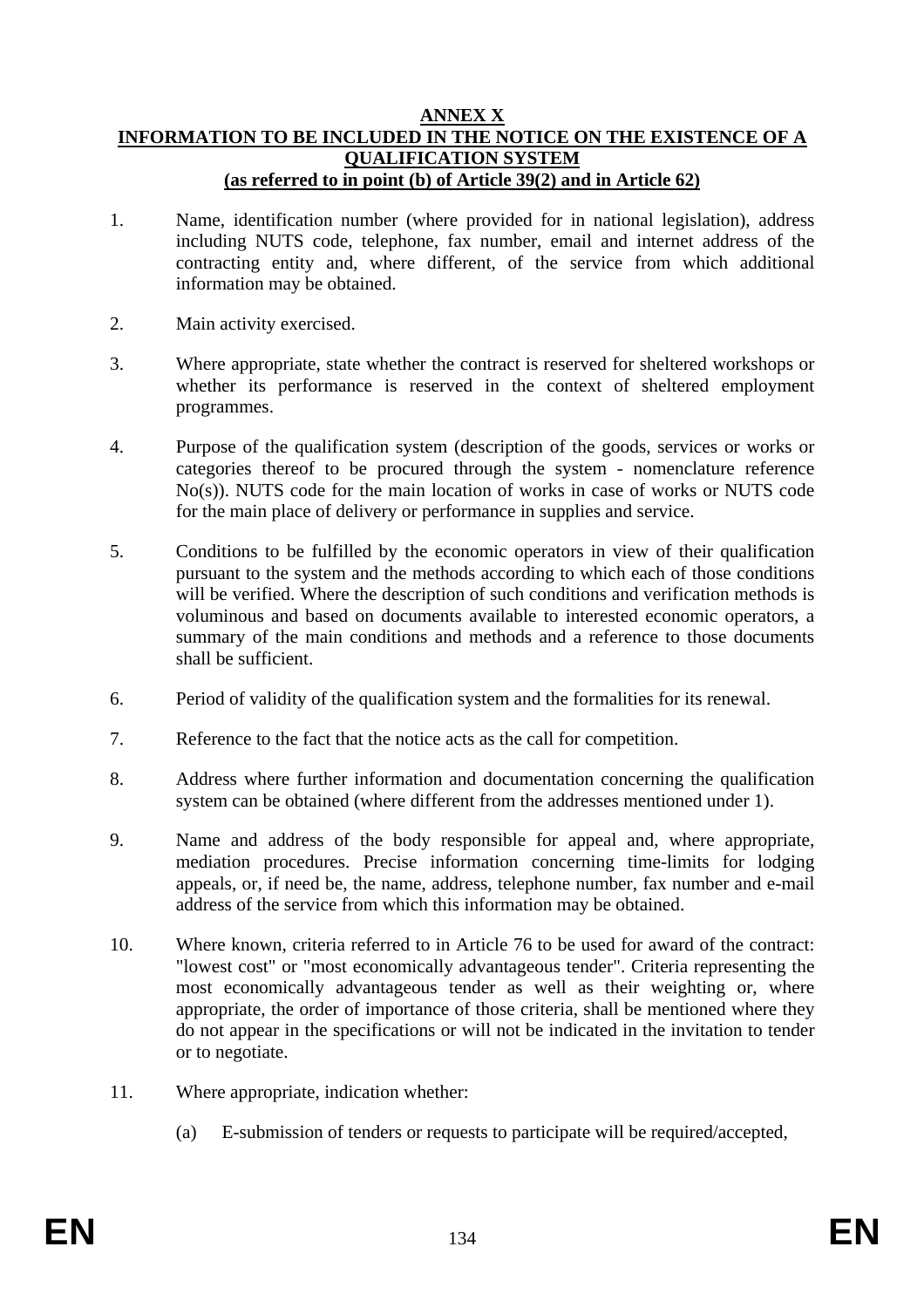#### **ANNEX X INFORMATION TO BE INCLUDED IN THE NOTICE ON THE EXISTENCE OF A QUALIFICATION SYSTEM (as referred to in point (b) of Article 39(2) and in Article 62)**

- 1. Name, identification number (where provided for in national legislation), address including NUTS code, telephone, fax number, email and internet address of the contracting entity and, where different, of the service from which additional information may be obtained.
- 2. Main activity exercised.
- 3. Where appropriate, state whether the contract is reserved for sheltered workshops or whether its performance is reserved in the context of sheltered employment programmes.
- 4. Purpose of the qualification system (description of the goods, services or works or categories thereof to be procured through the system - nomenclature reference No(s)). NUTS code for the main location of works in case of works or NUTS code for the main place of delivery or performance in supplies and service.
- 5. Conditions to be fulfilled by the economic operators in view of their qualification pursuant to the system and the methods according to which each of those conditions will be verified. Where the description of such conditions and verification methods is voluminous and based on documents available to interested economic operators, a summary of the main conditions and methods and a reference to those documents shall be sufficient.
- 6. Period of validity of the qualification system and the formalities for its renewal.
- 7. Reference to the fact that the notice acts as the call for competition.
- 8. Address where further information and documentation concerning the qualification system can be obtained (where different from the addresses mentioned under 1).
- 9. Name and address of the body responsible for appeal and, where appropriate, mediation procedures. Precise information concerning time-limits for lodging appeals, or, if need be, the name, address, telephone number, fax number and e-mail address of the service from which this information may be obtained.
- 10. Where known, criteria referred to in Article 76 to be used for award of the contract: "lowest cost" or "most economically advantageous tender". Criteria representing the most economically advantageous tender as well as their weighting or, where appropriate, the order of importance of those criteria, shall be mentioned where they do not appear in the specifications or will not be indicated in the invitation to tender or to negotiate.
- 11. Where appropriate, indication whether:
	- (a) E-submission of tenders or requests to participate will be required/accepted,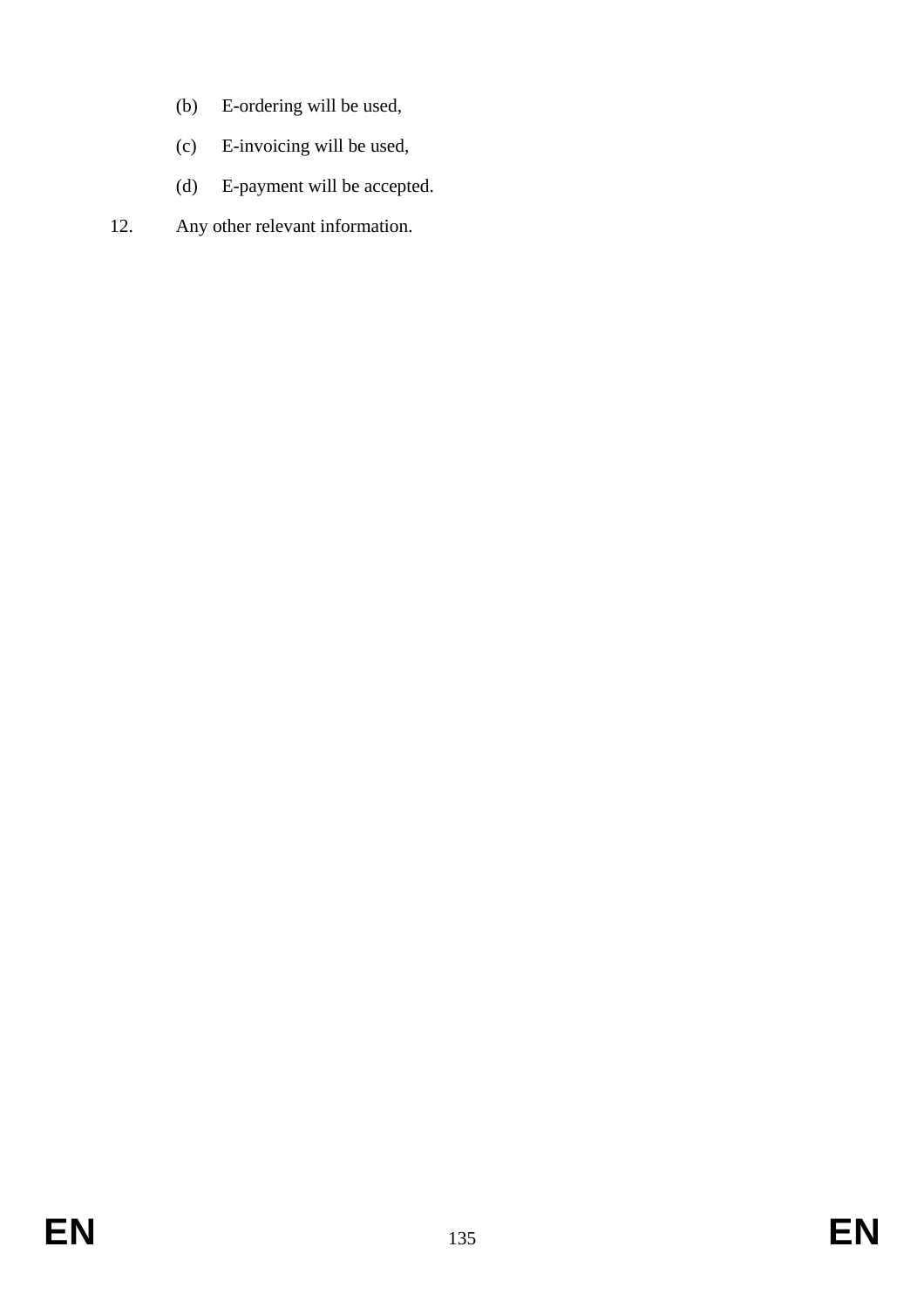- (b) E-ordering will be used,
- (c) E-invoicing will be used,
- (d) E-payment will be accepted.
- 12. Any other relevant information.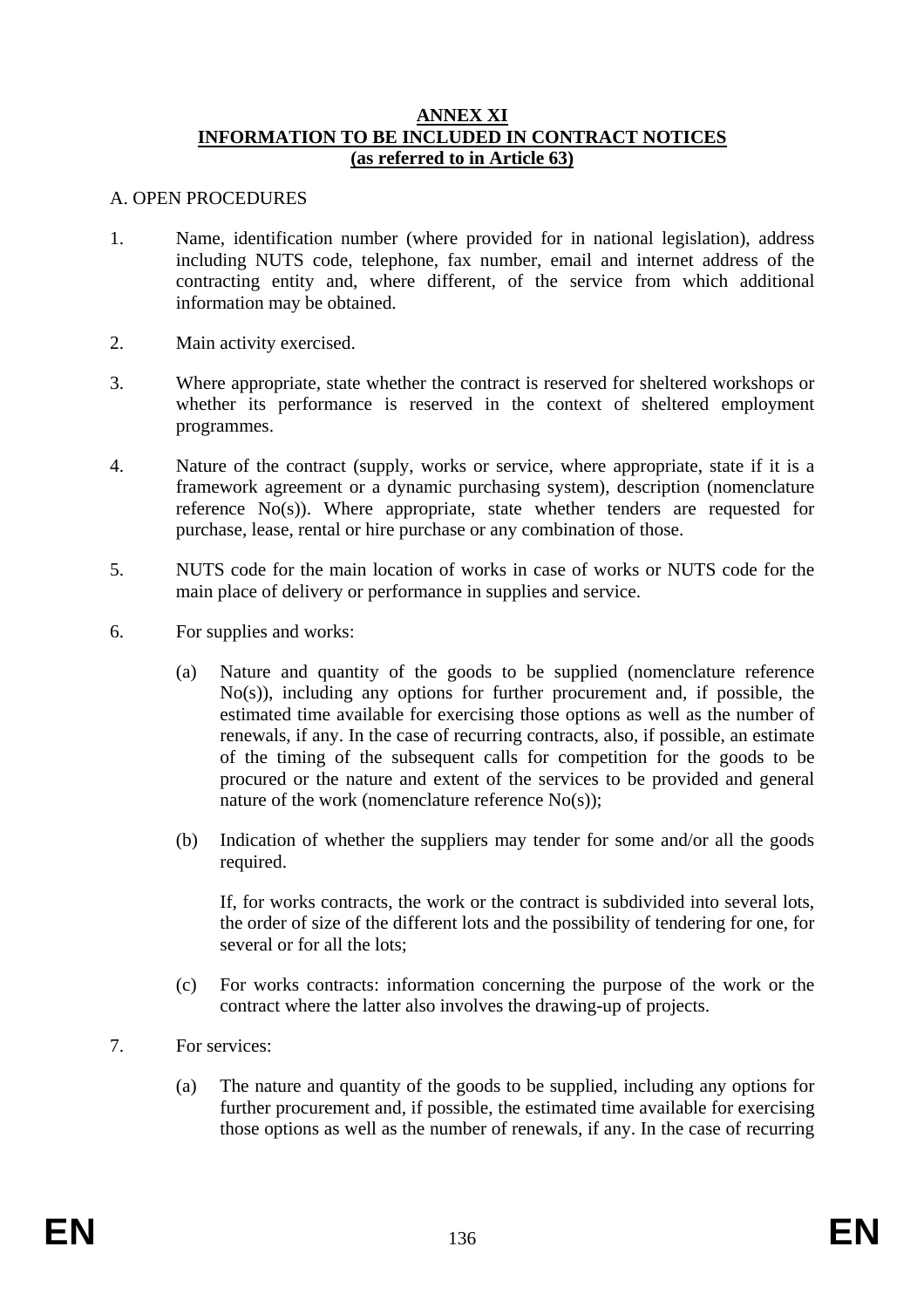#### **ANNEX XI INFORMATION TO BE INCLUDED IN CONTRACT NOTICES (as referred to in Article 63)**

#### A. OPEN PROCEDURES

- 1. Name, identification number (where provided for in national legislation), address including NUTS code, telephone, fax number, email and internet address of the contracting entity and, where different, of the service from which additional information may be obtained.
- 2. Main activity exercised.
- 3. Where appropriate, state whether the contract is reserved for sheltered workshops or whether its performance is reserved in the context of sheltered employment programmes.
- 4. Nature of the contract (supply, works or service, where appropriate, state if it is a framework agreement or a dynamic purchasing system), description (nomenclature reference No(s)). Where appropriate, state whether tenders are requested for purchase, lease, rental or hire purchase or any combination of those.
- 5. NUTS code for the main location of works in case of works or NUTS code for the main place of delivery or performance in supplies and service.
- 6. For supplies and works:
	- (a) Nature and quantity of the goods to be supplied (nomenclature reference No(s)), including any options for further procurement and, if possible, the estimated time available for exercising those options as well as the number of renewals, if any. In the case of recurring contracts, also, if possible, an estimate of the timing of the subsequent calls for competition for the goods to be procured or the nature and extent of the services to be provided and general nature of the work (nomenclature reference No(s));
	- (b) Indication of whether the suppliers may tender for some and/or all the goods required.

If, for works contracts, the work or the contract is subdivided into several lots, the order of size of the different lots and the possibility of tendering for one, for several or for all the lots;

- (c) For works contracts: information concerning the purpose of the work or the contract where the latter also involves the drawing-up of projects.
- 7. For services:
	- (a) The nature and quantity of the goods to be supplied, including any options for further procurement and, if possible, the estimated time available for exercising those options as well as the number of renewals, if any. In the case of recurring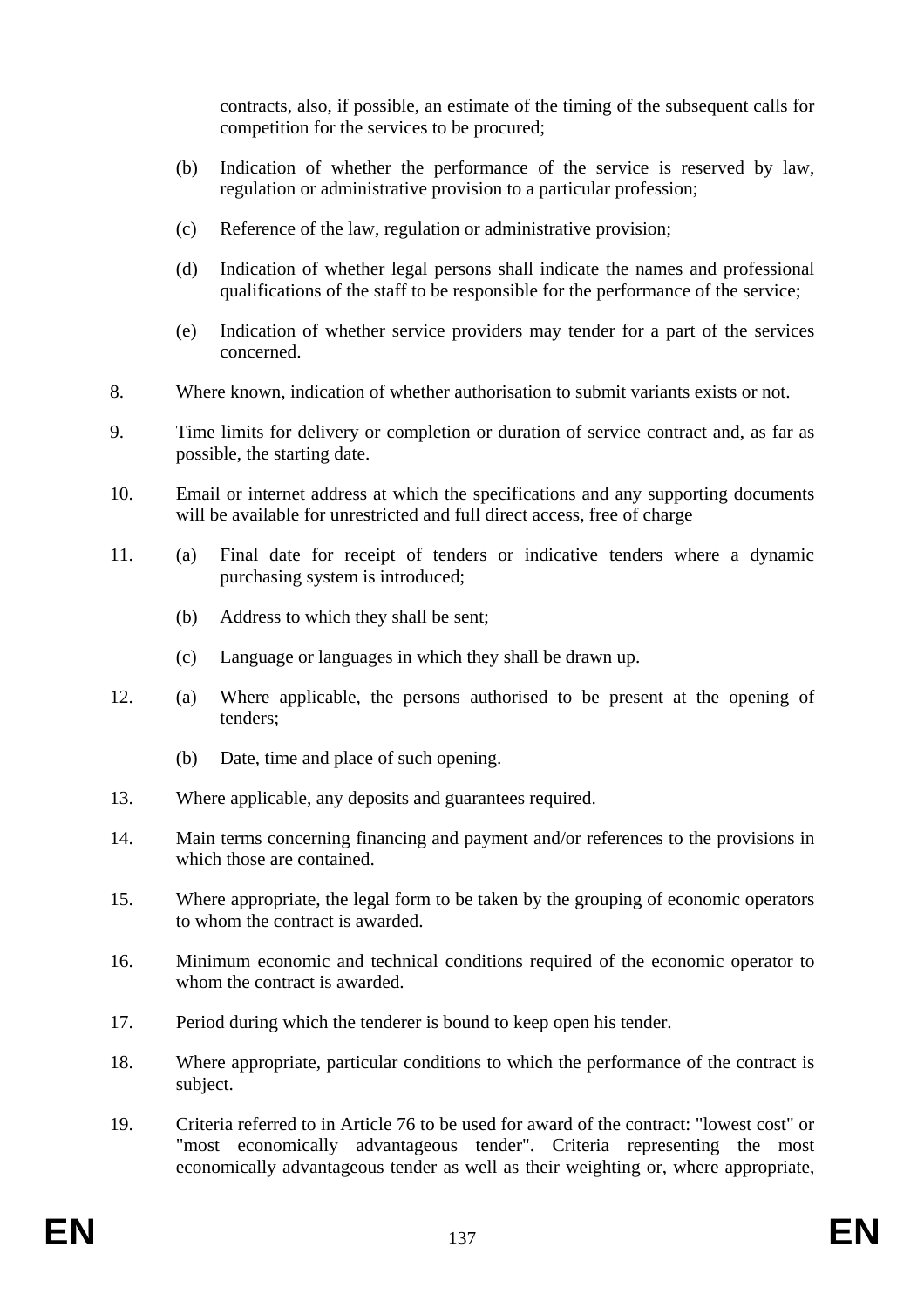contracts, also, if possible, an estimate of the timing of the subsequent calls for competition for the services to be procured;

- (b) Indication of whether the performance of the service is reserved by law, regulation or administrative provision to a particular profession;
- (c) Reference of the law, regulation or administrative provision;
- (d) Indication of whether legal persons shall indicate the names and professional qualifications of the staff to be responsible for the performance of the service;
- (e) Indication of whether service providers may tender for a part of the services concerned.
- 8. Where known, indication of whether authorisation to submit variants exists or not.
- 9. Time limits for delivery or completion or duration of service contract and, as far as possible, the starting date.
- 10. Email or internet address at which the specifications and any supporting documents will be available for unrestricted and full direct access, free of charge
- 11. (a) Final date for receipt of tenders or indicative tenders where a dynamic purchasing system is introduced;
	- (b) Address to which they shall be sent;
	- (c) Language or languages in which they shall be drawn up.
- 12. (a) Where applicable, the persons authorised to be present at the opening of tenders;
	- (b) Date, time and place of such opening.
- 13. Where applicable, any deposits and guarantees required.
- 14. Main terms concerning financing and payment and/or references to the provisions in which those are contained.
- 15. Where appropriate, the legal form to be taken by the grouping of economic operators to whom the contract is awarded.
- 16. Minimum economic and technical conditions required of the economic operator to whom the contract is awarded.
- 17. Period during which the tenderer is bound to keep open his tender.
- 18. Where appropriate, particular conditions to which the performance of the contract is subject.
- 19. Criteria referred to in Article 76 to be used for award of the contract: "lowest cost" or "most economically advantageous tender". Criteria representing the most economically advantageous tender as well as their weighting or, where appropriate,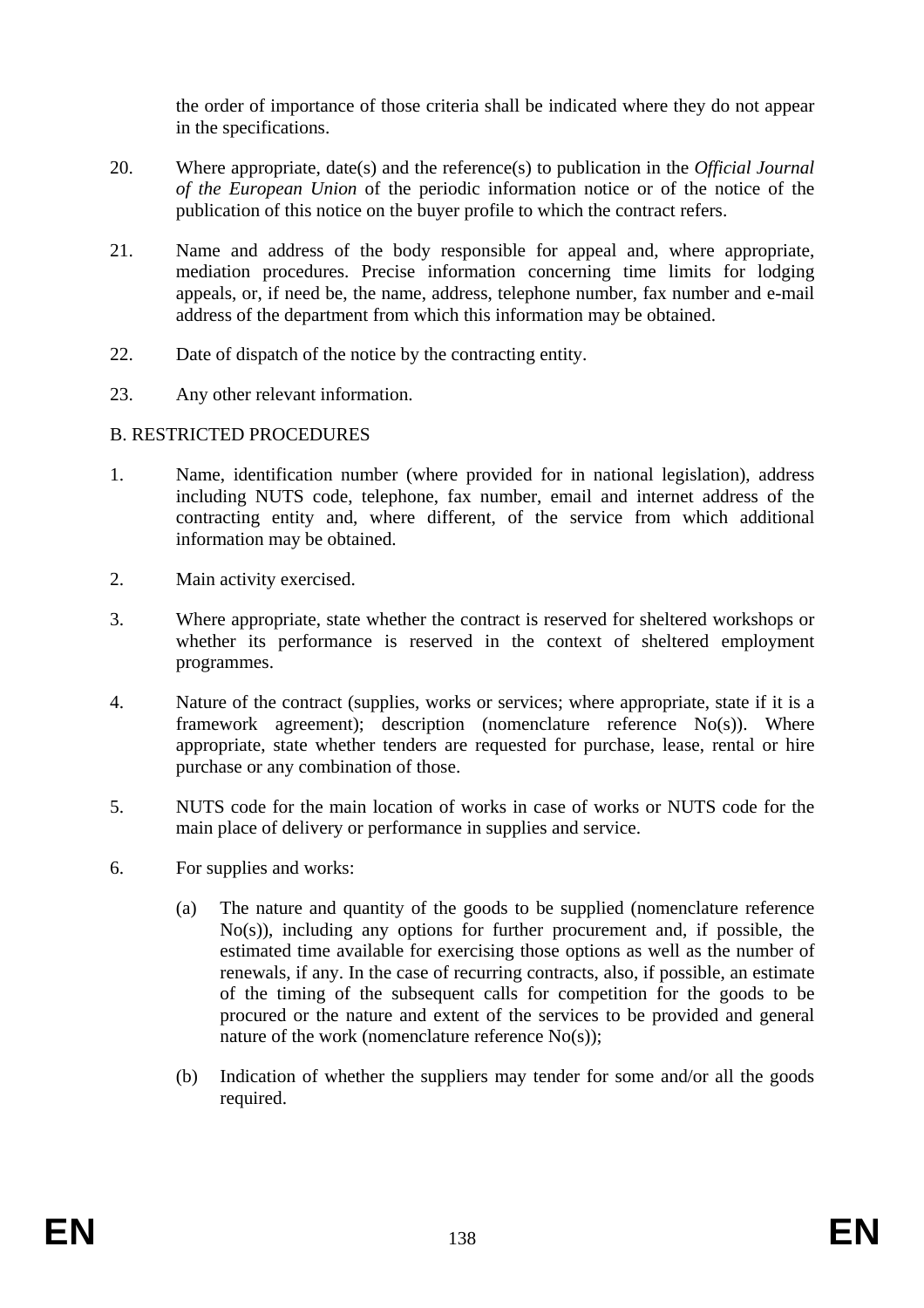the order of importance of those criteria shall be indicated where they do not appear in the specifications.

- 20. Where appropriate, date(s) and the reference(s) to publication in the *Official Journal of the European Union* of the periodic information notice or of the notice of the publication of this notice on the buyer profile to which the contract refers.
- 21. Name and address of the body responsible for appeal and, where appropriate, mediation procedures. Precise information concerning time limits for lodging appeals, or, if need be, the name, address, telephone number, fax number and e-mail address of the department from which this information may be obtained.
- 22. Date of dispatch of the notice by the contracting entity.
- 23. Any other relevant information.

### B. RESTRICTED PROCEDURES

- 1. Name, identification number (where provided for in national legislation), address including NUTS code, telephone, fax number, email and internet address of the contracting entity and, where different, of the service from which additional information may be obtained.
- 2. Main activity exercised.
- 3. Where appropriate, state whether the contract is reserved for sheltered workshops or whether its performance is reserved in the context of sheltered employment programmes.
- 4. Nature of the contract (supplies, works or services; where appropriate, state if it is a framework agreement); description (nomenclature reference No(s)). Where appropriate, state whether tenders are requested for purchase, lease, rental or hire purchase or any combination of those.
- 5. NUTS code for the main location of works in case of works or NUTS code for the main place of delivery or performance in supplies and service.
- 6. For supplies and works:
	- (a) The nature and quantity of the goods to be supplied (nomenclature reference No(s)), including any options for further procurement and, if possible, the estimated time available for exercising those options as well as the number of renewals, if any. In the case of recurring contracts, also, if possible, an estimate of the timing of the subsequent calls for competition for the goods to be procured or the nature and extent of the services to be provided and general nature of the work (nomenclature reference No(s));
	- (b) Indication of whether the suppliers may tender for some and/or all the goods required.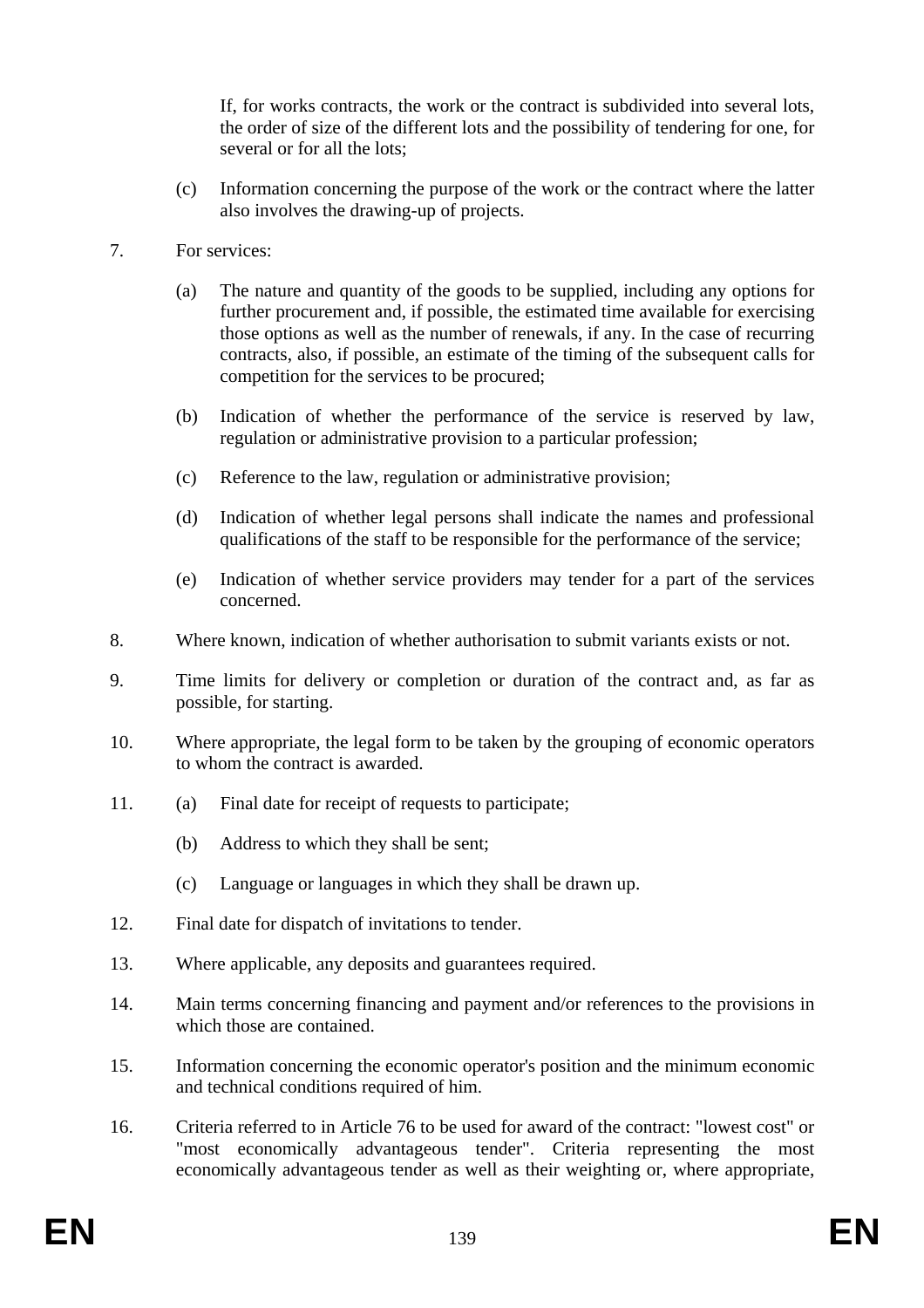If, for works contracts, the work or the contract is subdivided into several lots, the order of size of the different lots and the possibility of tendering for one, for several or for all the lots;

- (c) Information concerning the purpose of the work or the contract where the latter also involves the drawing-up of projects.
- 7. For services:
	- (a) The nature and quantity of the goods to be supplied, including any options for further procurement and, if possible, the estimated time available for exercising those options as well as the number of renewals, if any. In the case of recurring contracts, also, if possible, an estimate of the timing of the subsequent calls for competition for the services to be procured;
	- (b) Indication of whether the performance of the service is reserved by law, regulation or administrative provision to a particular profession;
	- (c) Reference to the law, regulation or administrative provision;
	- (d) Indication of whether legal persons shall indicate the names and professional qualifications of the staff to be responsible for the performance of the service;
	- (e) Indication of whether service providers may tender for a part of the services concerned.
- 8. Where known, indication of whether authorisation to submit variants exists or not.
- 9. Time limits for delivery or completion or duration of the contract and, as far as possible, for starting.
- 10. Where appropriate, the legal form to be taken by the grouping of economic operators to whom the contract is awarded.
- 11. (a) Final date for receipt of requests to participate;
	- (b) Address to which they shall be sent;
	- (c) Language or languages in which they shall be drawn up.
- 12. Final date for dispatch of invitations to tender.
- 13. Where applicable, any deposits and guarantees required.
- 14. Main terms concerning financing and payment and/or references to the provisions in which those are contained.
- 15. Information concerning the economic operator's position and the minimum economic and technical conditions required of him.
- 16. Criteria referred to in Article 76 to be used for award of the contract: "lowest cost" or "most economically advantageous tender". Criteria representing the most economically advantageous tender as well as their weighting or, where appropriate,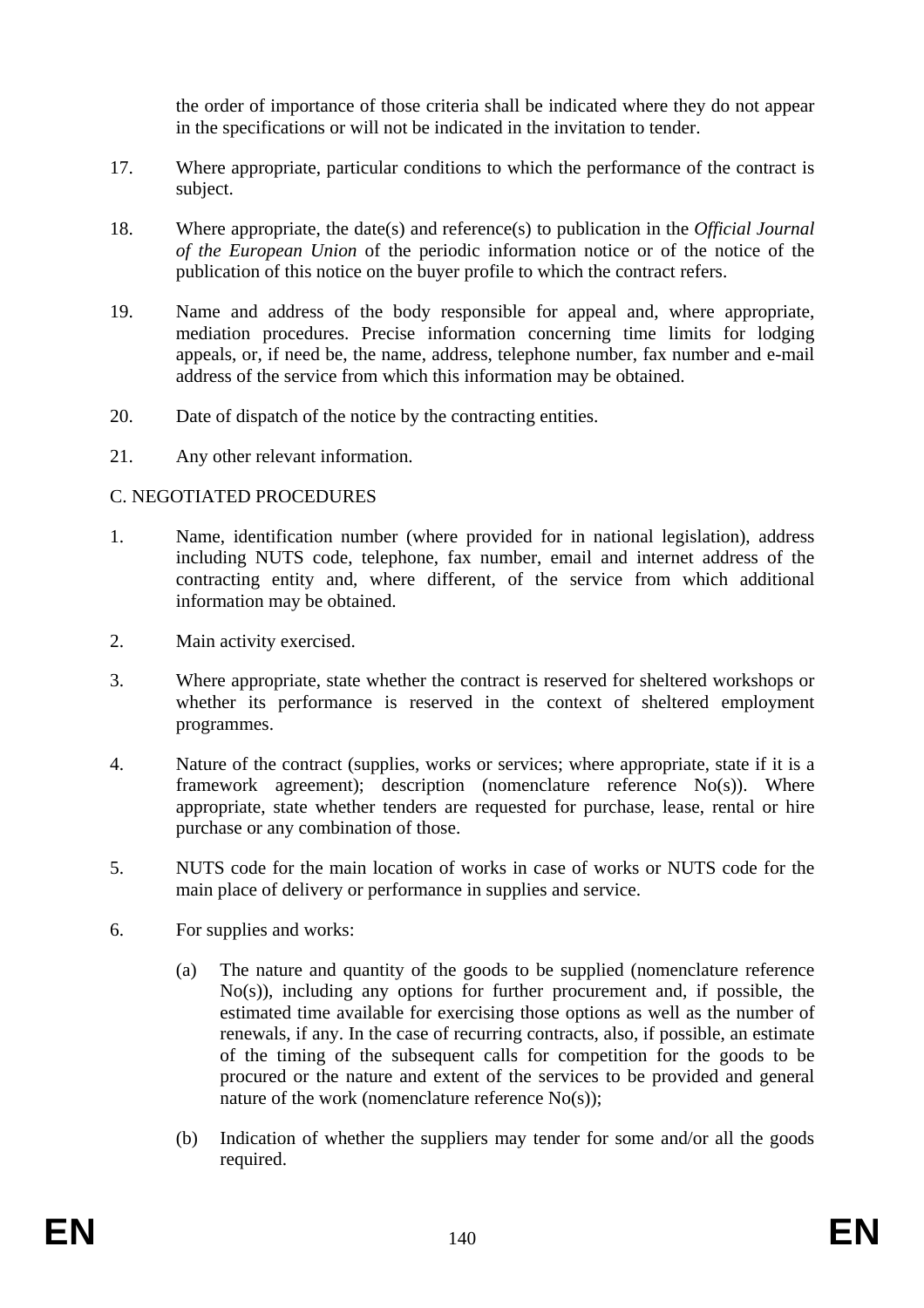the order of importance of those criteria shall be indicated where they do not appear in the specifications or will not be indicated in the invitation to tender.

- 17. Where appropriate, particular conditions to which the performance of the contract is subject.
- 18. Where appropriate, the date(s) and reference(s) to publication in the *Official Journal of the European Union* of the periodic information notice or of the notice of the publication of this notice on the buyer profile to which the contract refers.
- 19. Name and address of the body responsible for appeal and, where appropriate, mediation procedures. Precise information concerning time limits for lodging appeals, or, if need be, the name, address, telephone number, fax number and e-mail address of the service from which this information may be obtained.
- 20. Date of dispatch of the notice by the contracting entities.
- 21. Any other relevant information.

### C. NEGOTIATED PROCEDURES

- 1. Name, identification number (where provided for in national legislation), address including NUTS code, telephone, fax number, email and internet address of the contracting entity and, where different, of the service from which additional information may be obtained.
- 2. Main activity exercised.
- 3. Where appropriate, state whether the contract is reserved for sheltered workshops or whether its performance is reserved in the context of sheltered employment programmes.
- 4. Nature of the contract (supplies, works or services; where appropriate, state if it is a framework agreement); description (nomenclature reference No(s)). Where appropriate, state whether tenders are requested for purchase, lease, rental or hire purchase or any combination of those.
- 5. NUTS code for the main location of works in case of works or NUTS code for the main place of delivery or performance in supplies and service.
- 6. For supplies and works:
	- (a) The nature and quantity of the goods to be supplied (nomenclature reference No(s)), including any options for further procurement and, if possible, the estimated time available for exercising those options as well as the number of renewals, if any. In the case of recurring contracts, also, if possible, an estimate of the timing of the subsequent calls for competition for the goods to be procured or the nature and extent of the services to be provided and general nature of the work (nomenclature reference No(s));
	- (b) Indication of whether the suppliers may tender for some and/or all the goods required.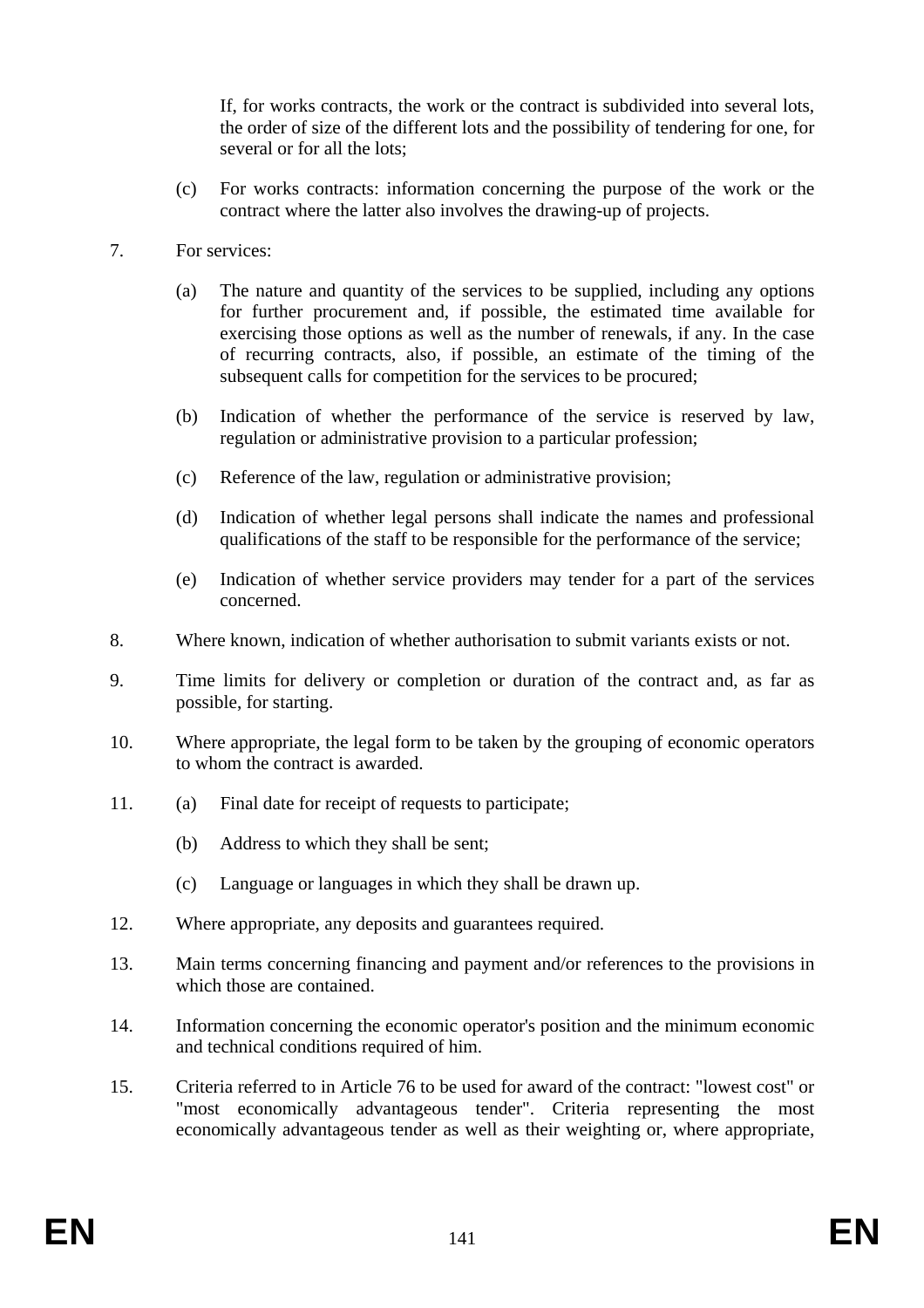If, for works contracts, the work or the contract is subdivided into several lots, the order of size of the different lots and the possibility of tendering for one, for several or for all the lots;

- (c) For works contracts: information concerning the purpose of the work or the contract where the latter also involves the drawing-up of projects.
- 7. For services:
	- (a) The nature and quantity of the services to be supplied, including any options for further procurement and, if possible, the estimated time available for exercising those options as well as the number of renewals, if any. In the case of recurring contracts, also, if possible, an estimate of the timing of the subsequent calls for competition for the services to be procured;
	- (b) Indication of whether the performance of the service is reserved by law, regulation or administrative provision to a particular profession;
	- (c) Reference of the law, regulation or administrative provision;
	- (d) Indication of whether legal persons shall indicate the names and professional qualifications of the staff to be responsible for the performance of the service;
	- (e) Indication of whether service providers may tender for a part of the services concerned.
- 8. Where known, indication of whether authorisation to submit variants exists or not.
- 9. Time limits for delivery or completion or duration of the contract and, as far as possible, for starting.
- 10. Where appropriate, the legal form to be taken by the grouping of economic operators to whom the contract is awarded.
- 11. (a) Final date for receipt of requests to participate;
	- (b) Address to which they shall be sent;
	- (c) Language or languages in which they shall be drawn up.
- 12. Where appropriate, any deposits and guarantees required.
- 13. Main terms concerning financing and payment and/or references to the provisions in which those are contained.
- 14. Information concerning the economic operator's position and the minimum economic and technical conditions required of him.
- 15. Criteria referred to in Article 76 to be used for award of the contract: "lowest cost" or "most economically advantageous tender". Criteria representing the most economically advantageous tender as well as their weighting or, where appropriate,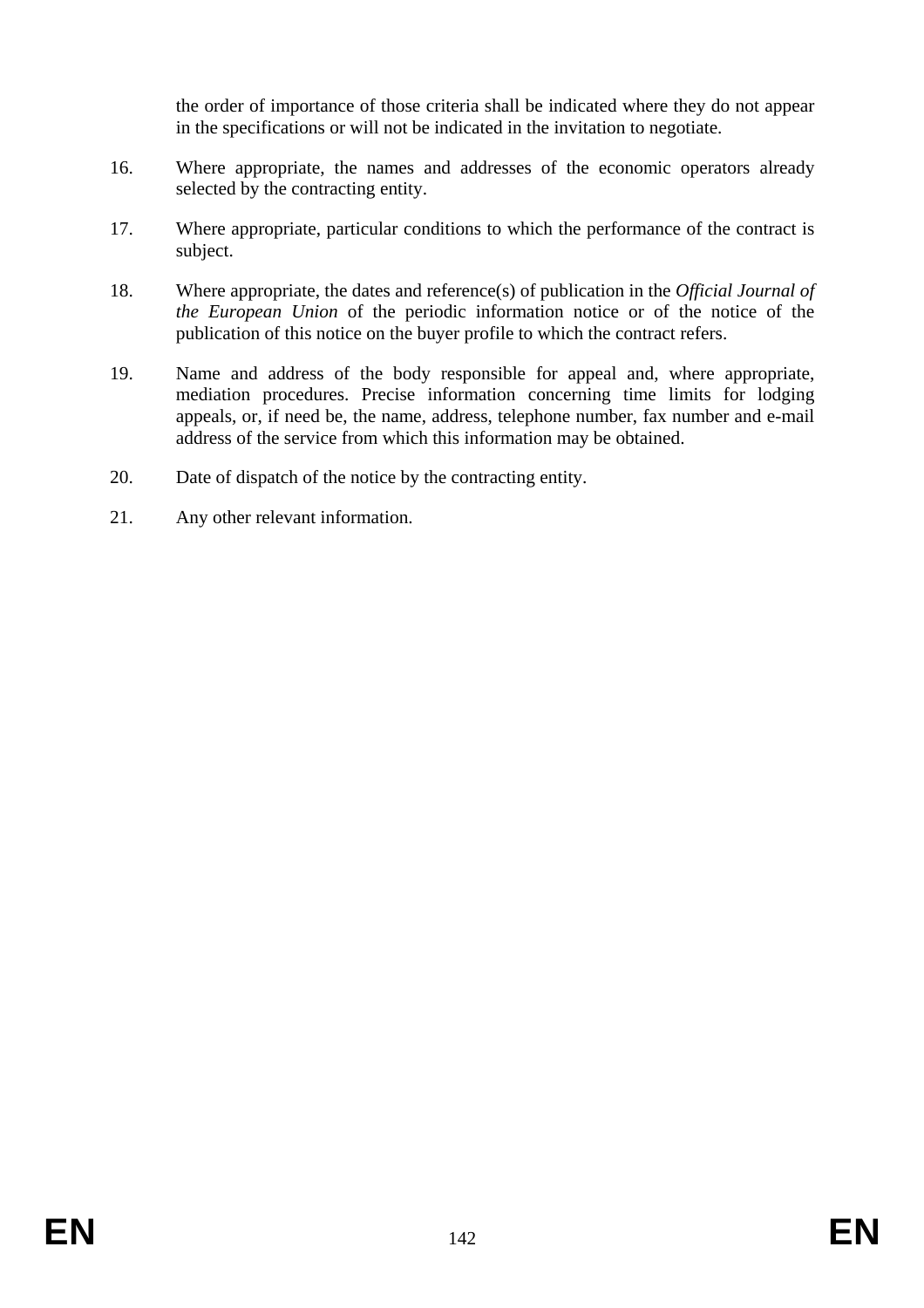the order of importance of those criteria shall be indicated where they do not appear in the specifications or will not be indicated in the invitation to negotiate.

- 16. Where appropriate, the names and addresses of the economic operators already selected by the contracting entity.
- 17. Where appropriate, particular conditions to which the performance of the contract is subject.
- 18. Where appropriate, the dates and reference(s) of publication in the *Official Journal of the European Union* of the periodic information notice or of the notice of the publication of this notice on the buyer profile to which the contract refers.
- 19. Name and address of the body responsible for appeal and, where appropriate, mediation procedures. Precise information concerning time limits for lodging appeals, or, if need be, the name, address, telephone number, fax number and e-mail address of the service from which this information may be obtained.
- 20. Date of dispatch of the notice by the contracting entity.
- 21. Any other relevant information.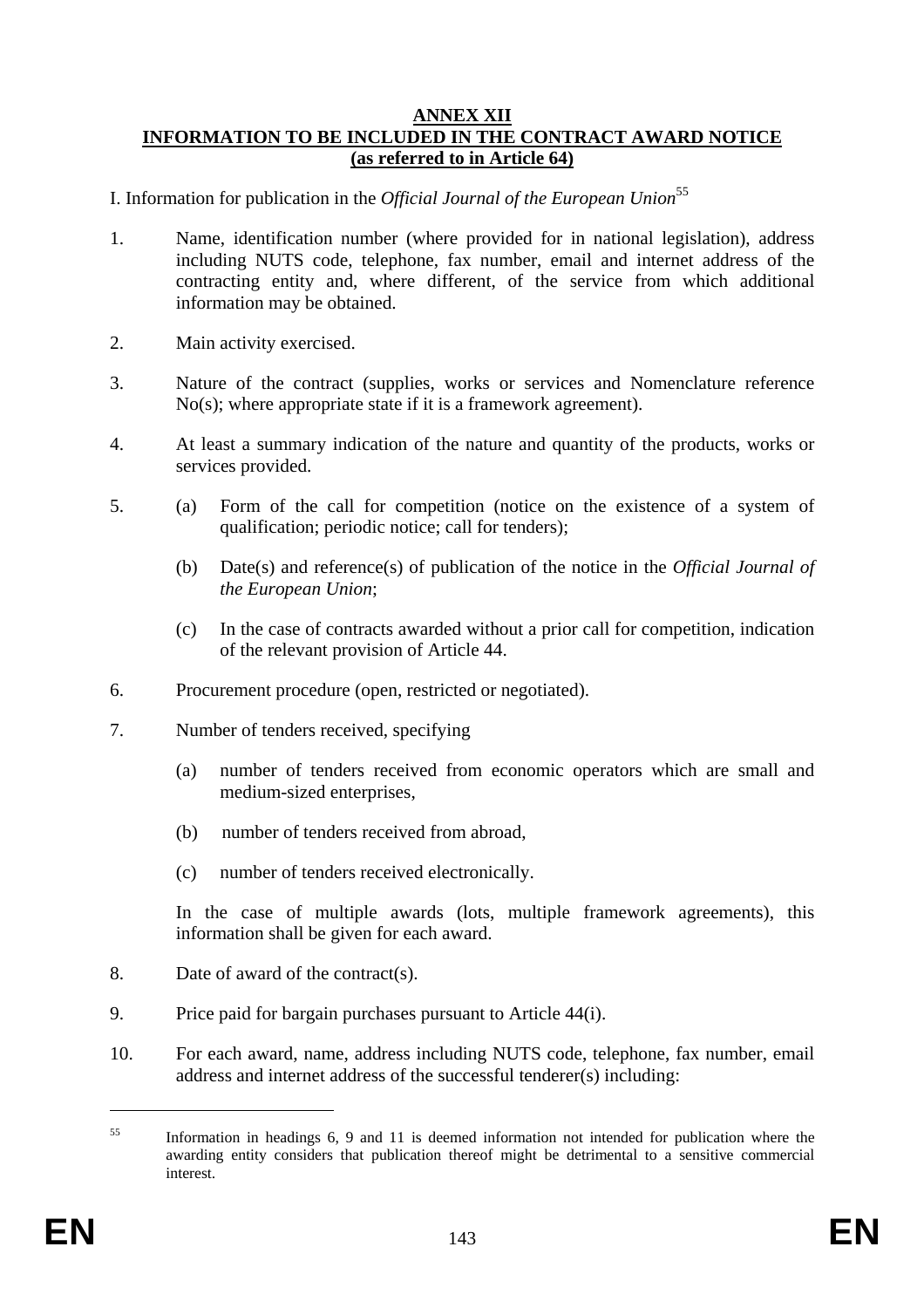#### **ANNEX XII INFORMATION TO BE INCLUDED IN THE CONTRACT AWARD NOTICE (as referred to in Article 64)**

- I. Information for publication in the *Official Journal of the European Union*<sup>55</sup>
- 1. Name, identification number (where provided for in national legislation), address including NUTS code, telephone, fax number, email and internet address of the contracting entity and, where different, of the service from which additional information may be obtained.
- 2. Main activity exercised.
- 3. Nature of the contract (supplies, works or services and Nomenclature reference No(s); where appropriate state if it is a framework agreement).
- 4. At least a summary indication of the nature and quantity of the products, works or services provided.
- 5. (a) Form of the call for competition (notice on the existence of a system of qualification; periodic notice; call for tenders);
	- (b) Date(s) and reference(s) of publication of the notice in the *Official Journal of the European Union*;
	- (c) In the case of contracts awarded without a prior call for competition, indication of the relevant provision of Article 44.
- 6. Procurement procedure (open, restricted or negotiated).
- 7. Number of tenders received, specifying
	- (a) number of tenders received from economic operators which are small and medium-sized enterprises,
	- (b) number of tenders received from abroad,
	- (c) number of tenders received electronically.

In the case of multiple awards (lots, multiple framework agreements), this information shall be given for each award.

- 8. Date of award of the contract(s).
- 9. Price paid for bargain purchases pursuant to Article 44(i).
- 10. For each award, name, address including NUTS code, telephone, fax number, email address and internet address of the successful tenderer(s) including:

1

<sup>55</sup> Information in headings 6, 9 and 11 is deemed information not intended for publication where the awarding entity considers that publication thereof might be detrimental to a sensitive commercial interest.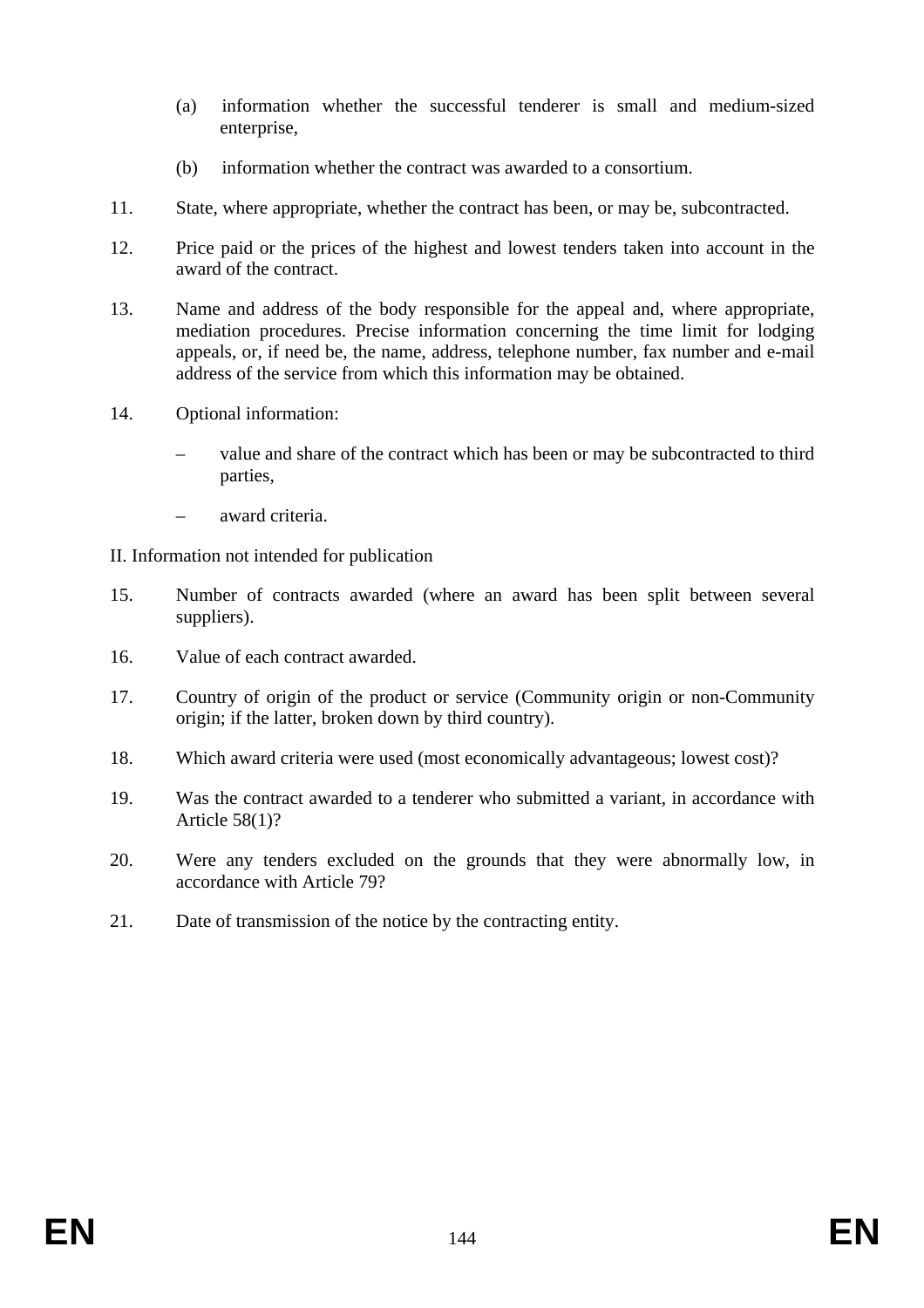- (a) information whether the successful tenderer is small and medium-sized enterprise,
- (b) information whether the contract was awarded to a consortium.
- 11. State, where appropriate, whether the contract has been, or may be, subcontracted.
- 12. Price paid or the prices of the highest and lowest tenders taken into account in the award of the contract.
- 13. Name and address of the body responsible for the appeal and, where appropriate, mediation procedures. Precise information concerning the time limit for lodging appeals, or, if need be, the name, address, telephone number, fax number and e-mail address of the service from which this information may be obtained.
- 14. Optional information:
	- value and share of the contract which has been or may be subcontracted to third parties,
	- award criteria.
- II. Information not intended for publication
- 15. Number of contracts awarded (where an award has been split between several suppliers).
- 16. Value of each contract awarded.
- 17. Country of origin of the product or service (Community origin or non-Community origin; if the latter, broken down by third country).
- 18. Which award criteria were used (most economically advantageous; lowest cost)?
- 19. Was the contract awarded to a tenderer who submitted a variant, in accordance with Article 58(1)?
- 20. Were any tenders excluded on the grounds that they were abnormally low, in accordance with Article 79?
- 21. Date of transmission of the notice by the contracting entity.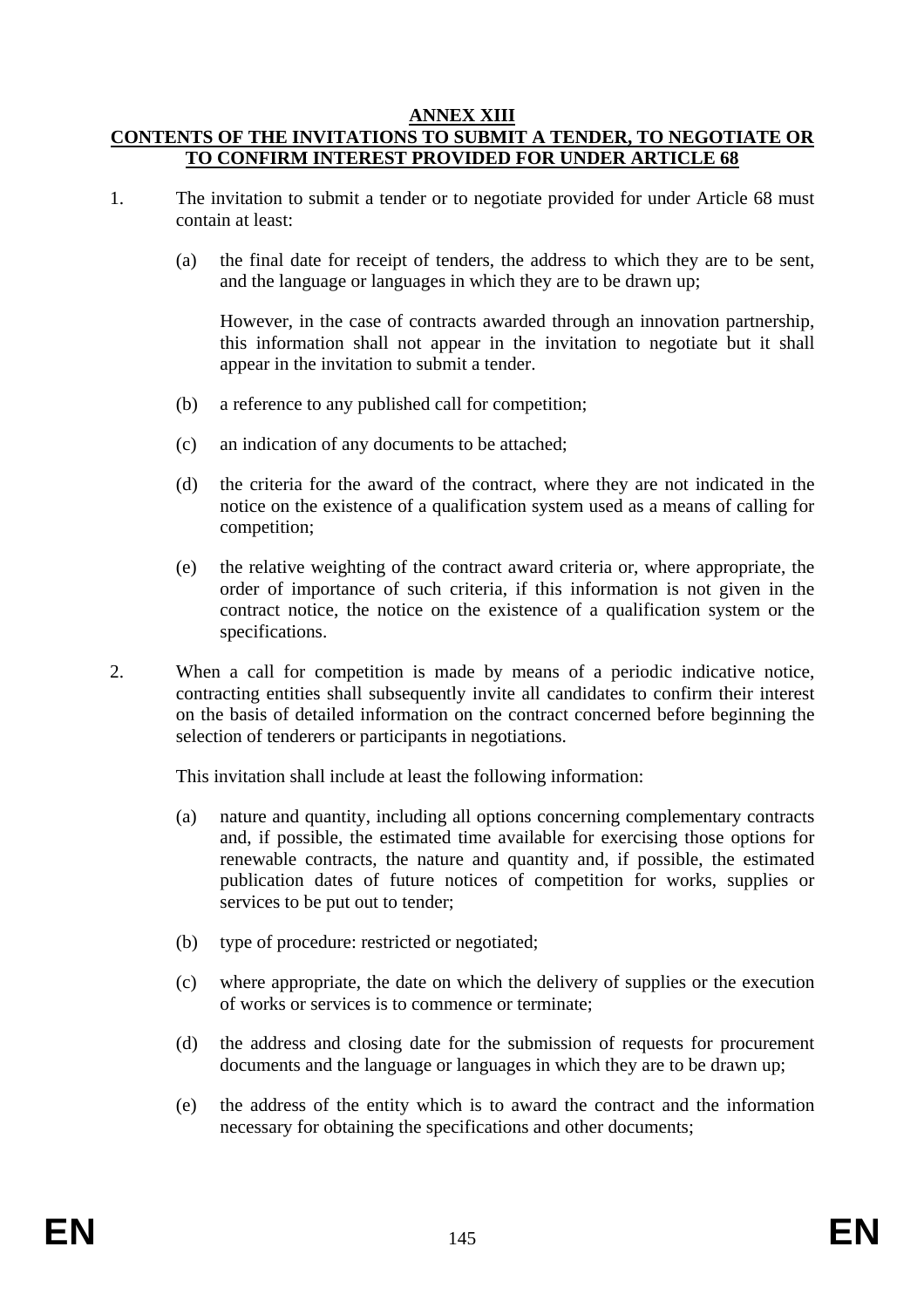### **ANNEX XIII CONTENTS OF THE INVITATIONS TO SUBMIT A TENDER, TO NEGOTIATE OR TO CONFIRM INTEREST PROVIDED FOR UNDER ARTICLE 68**

- 1. The invitation to submit a tender or to negotiate provided for under Article 68 must contain at least:
	- (a) the final date for receipt of tenders, the address to which they are to be sent, and the language or languages in which they are to be drawn up;

However, in the case of contracts awarded through an innovation partnership, this information shall not appear in the invitation to negotiate but it shall appear in the invitation to submit a tender.

- (b) a reference to any published call for competition;
- (c) an indication of any documents to be attached;
- (d) the criteria for the award of the contract, where they are not indicated in the notice on the existence of a qualification system used as a means of calling for competition;
- (e) the relative weighting of the contract award criteria or, where appropriate, the order of importance of such criteria, if this information is not given in the contract notice, the notice on the existence of a qualification system or the specifications.
- 2. When a call for competition is made by means of a periodic indicative notice, contracting entities shall subsequently invite all candidates to confirm their interest on the basis of detailed information on the contract concerned before beginning the selection of tenderers or participants in negotiations.

This invitation shall include at least the following information:

- (a) nature and quantity, including all options concerning complementary contracts and, if possible, the estimated time available for exercising those options for renewable contracts, the nature and quantity and, if possible, the estimated publication dates of future notices of competition for works, supplies or services to be put out to tender;
- (b) type of procedure: restricted or negotiated;
- (c) where appropriate, the date on which the delivery of supplies or the execution of works or services is to commence or terminate;
- (d) the address and closing date for the submission of requests for procurement documents and the language or languages in which they are to be drawn up;
- (e) the address of the entity which is to award the contract and the information necessary for obtaining the specifications and other documents;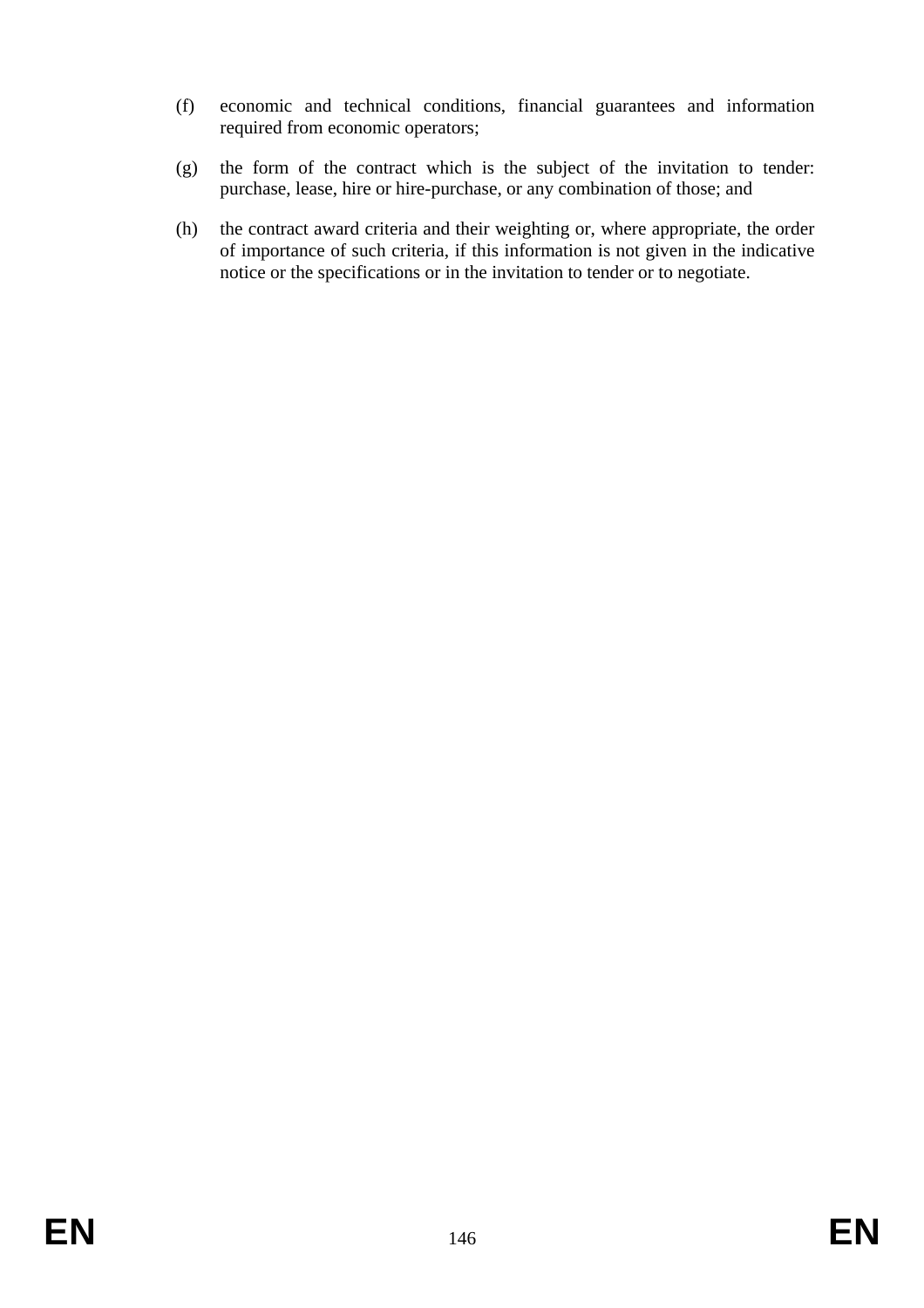- (f) economic and technical conditions, financial guarantees and information required from economic operators;
- (g) the form of the contract which is the subject of the invitation to tender: purchase, lease, hire or hire-purchase, or any combination of those; and
- (h) the contract award criteria and their weighting or, where appropriate, the order of importance of such criteria, if this information is not given in the indicative notice or the specifications or in the invitation to tender or to negotiate.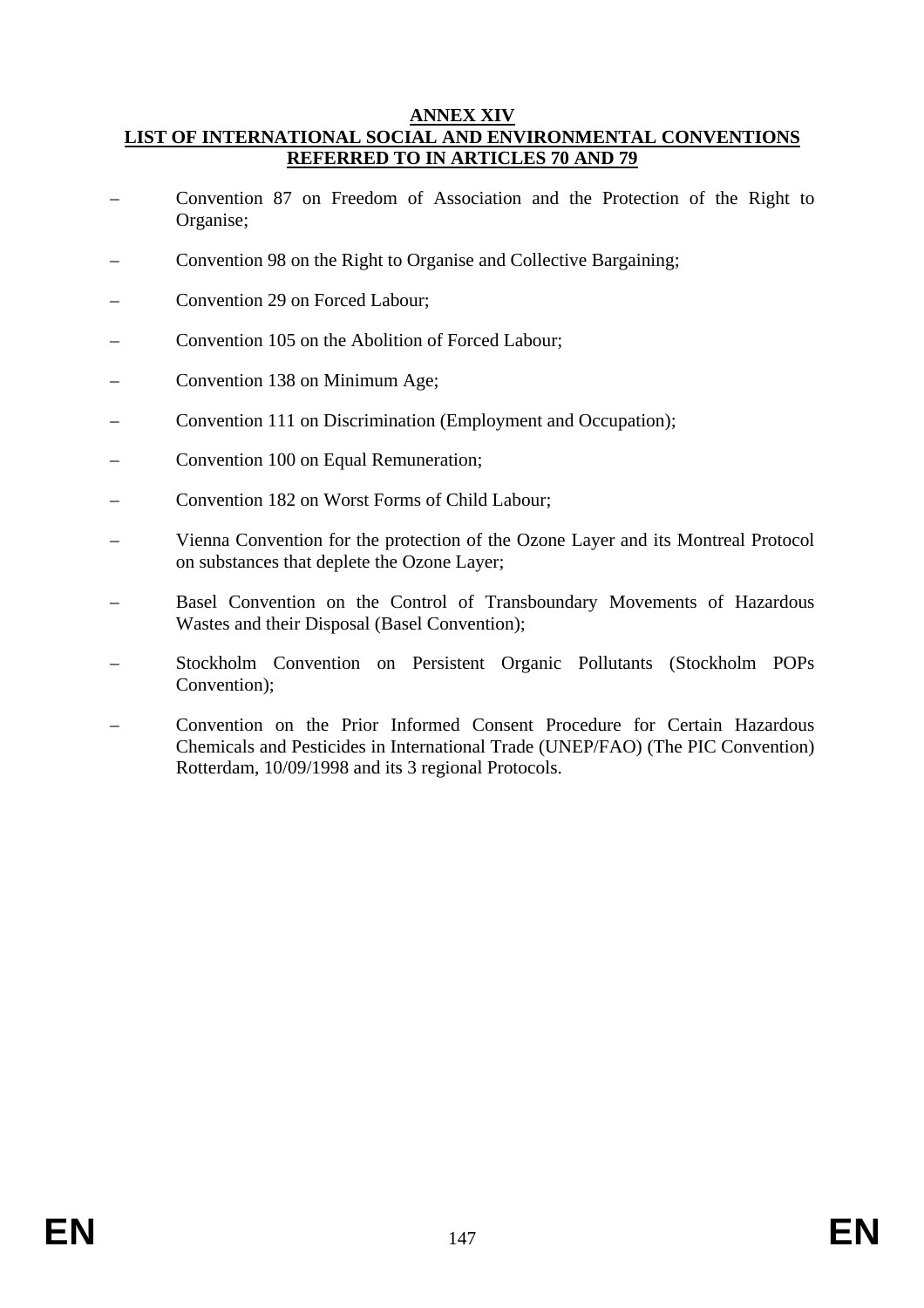### **ANNEX XIV LIST OF INTERNATIONAL SOCIAL AND ENVIRONMENTAL CONVENTIONS REFERRED TO IN ARTICLES 70 AND 79**

- Convention 87 on Freedom of Association and the Protection of the Right to Organise;
- Convention 98 on the Right to Organise and Collective Bargaining;
- Convention 29 on Forced Labour;
- Convention 105 on the Abolition of Forced Labour;
- Convention 138 on Minimum Age;
- Convention 111 on Discrimination (Employment and Occupation);
- Convention 100 on Equal Remuneration;
- Convention 182 on Worst Forms of Child Labour;
- Vienna Convention for the protection of the Ozone Layer and its Montreal Protocol on substances that deplete the Ozone Layer;
- Basel Convention on the Control of Transboundary Movements of Hazardous Wastes and their Disposal (Basel Convention);
- Stockholm Convention on Persistent Organic Pollutants (Stockholm POPs Convention);
- Convention on the Prior Informed Consent Procedure for Certain Hazardous Chemicals and Pesticides in International Trade (UNEP/FAO) (The PIC Convention) Rotterdam, 10/09/1998 and its 3 regional Protocols.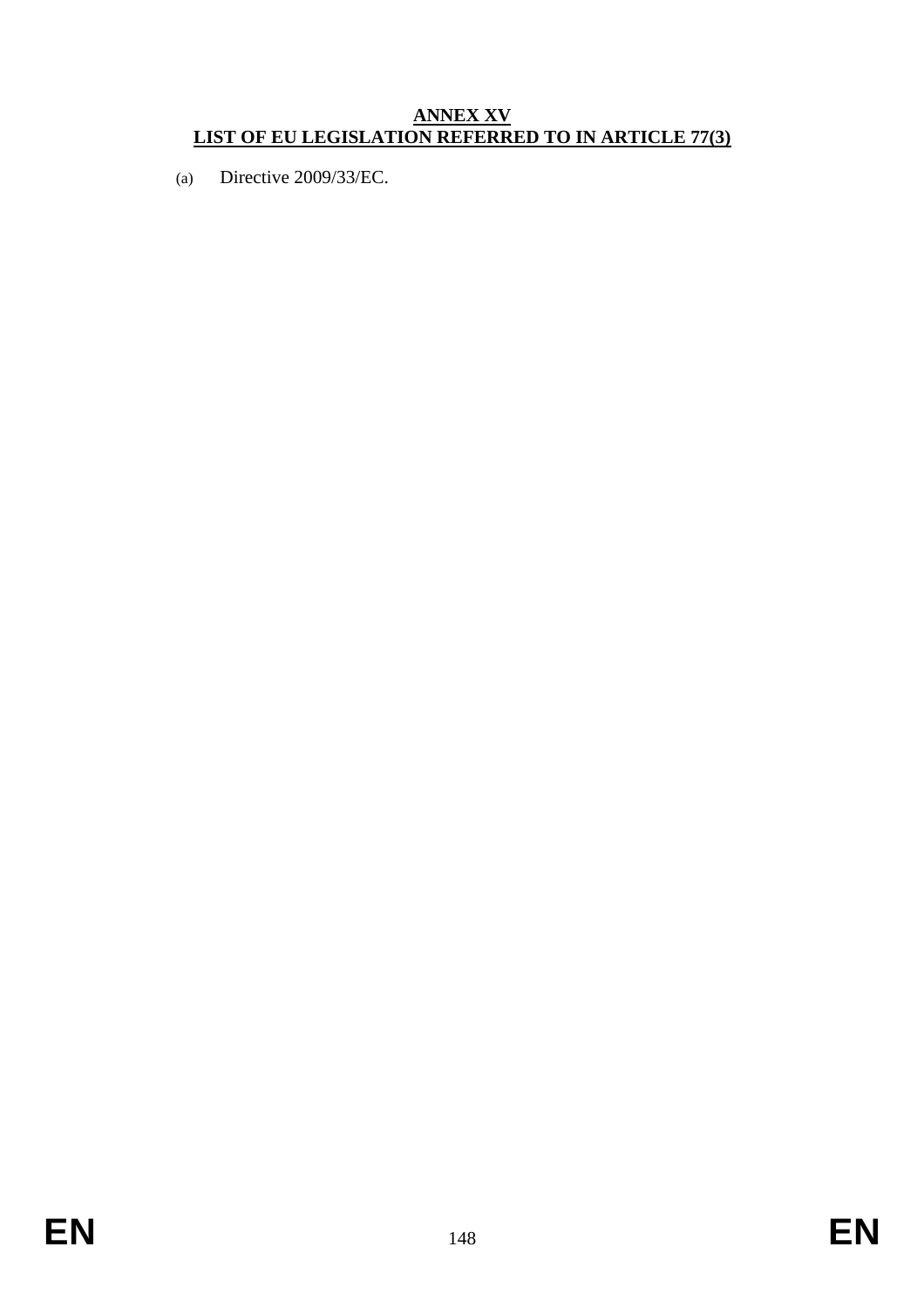# **ANNEX XV LIST OF EU LEGISLATION REFERRED TO IN ARTICLE 77(3)**

(a) Directive 2009/33/EC.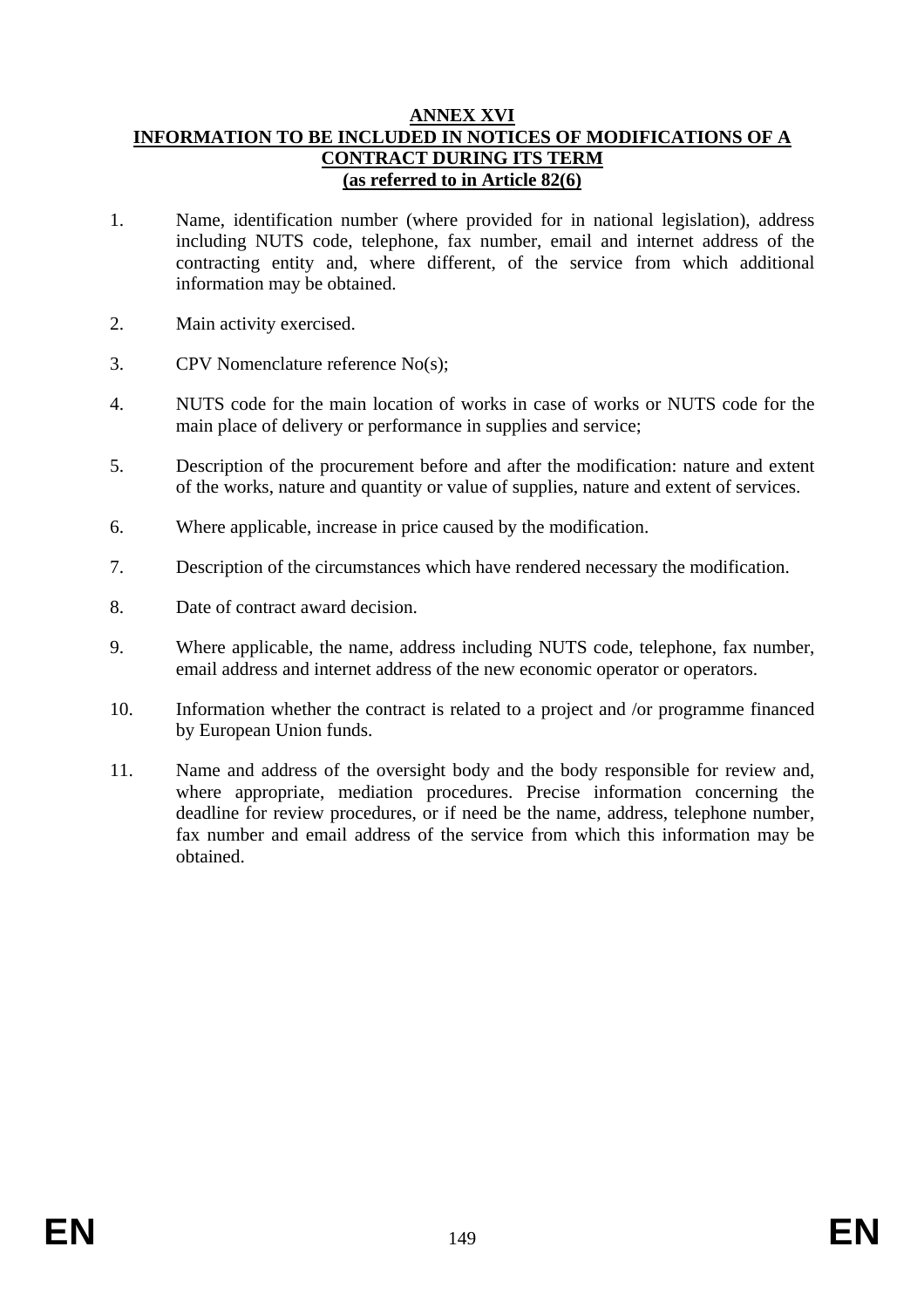### **ANNEX XVI INFORMATION TO BE INCLUDED IN NOTICES OF MODIFICATIONS OF A CONTRACT DURING ITS TERM (as referred to in Article 82(6)**

- 1. Name, identification number (where provided for in national legislation), address including NUTS code, telephone, fax number, email and internet address of the contracting entity and, where different, of the service from which additional information may be obtained.
- 2. Main activity exercised.
- 3. CPV Nomenclature reference No(s);
- 4. NUTS code for the main location of works in case of works or NUTS code for the main place of delivery or performance in supplies and service;
- 5. Description of the procurement before and after the modification: nature and extent of the works, nature and quantity or value of supplies, nature and extent of services.
- 6. Where applicable, increase in price caused by the modification.
- 7. Description of the circumstances which have rendered necessary the modification.
- 8. Date of contract award decision.
- 9. Where applicable, the name, address including NUTS code, telephone, fax number, email address and internet address of the new economic operator or operators.
- 10. Information whether the contract is related to a project and /or programme financed by European Union funds.
- 11. Name and address of the oversight body and the body responsible for review and, where appropriate, mediation procedures. Precise information concerning the deadline for review procedures, or if need be the name, address, telephone number, fax number and email address of the service from which this information may be obtained.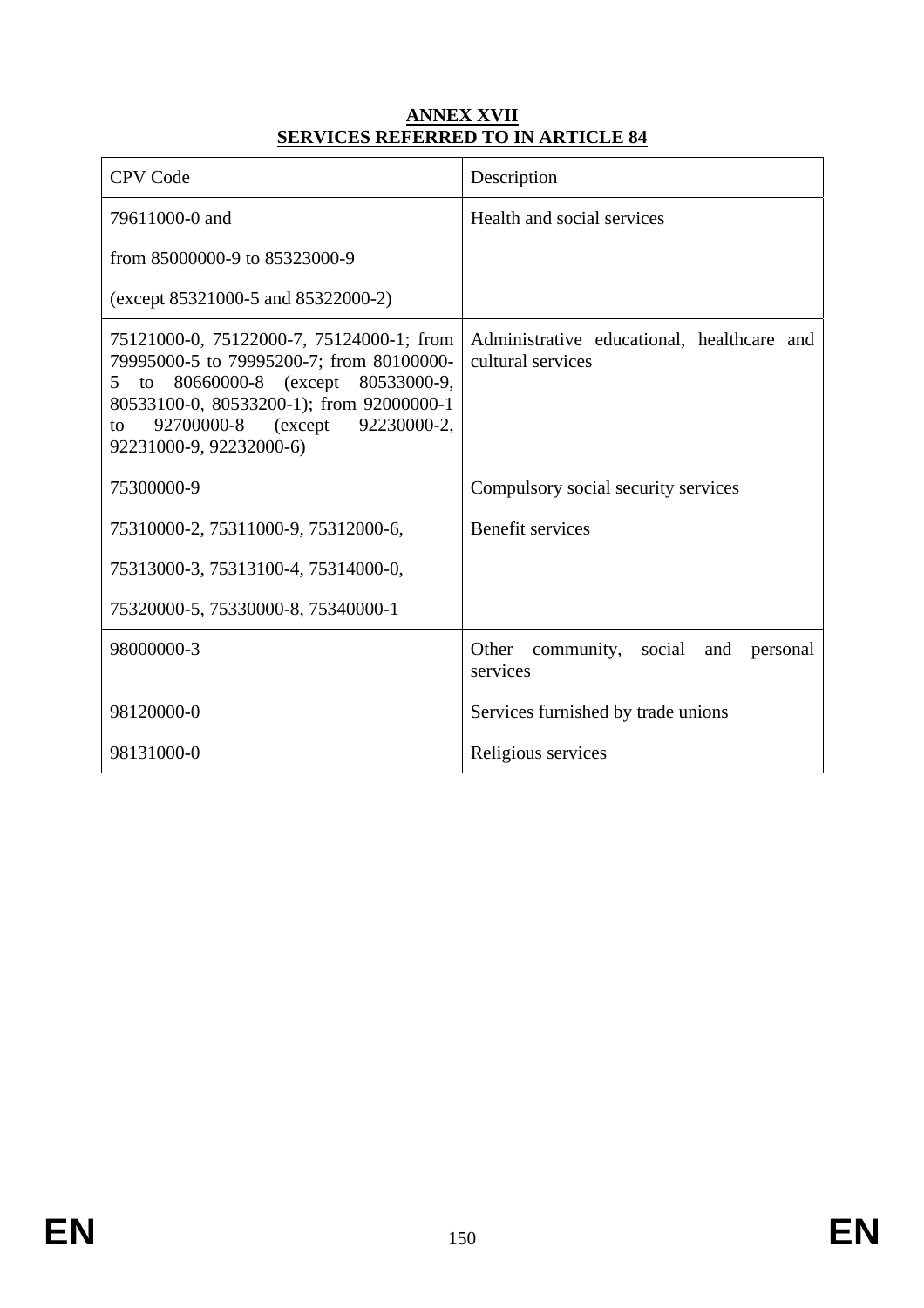## **ANNEX XVII SERVICES REFERRED TO IN ARTICLE 84**

| <b>CPV Code</b>                                                                                                                                                                                                                                  | Description                                                     |
|--------------------------------------------------------------------------------------------------------------------------------------------------------------------------------------------------------------------------------------------------|-----------------------------------------------------------------|
| 79611000-0 and                                                                                                                                                                                                                                   | Health and social services                                      |
| from 85000000-9 to 85323000-9                                                                                                                                                                                                                    |                                                                 |
| $(except 85321000-5 and 85322000-2)$                                                                                                                                                                                                             |                                                                 |
| 75121000-0, 75122000-7, 75124000-1; from<br>79995000-5 to 79995200-7; from 80100000-<br>80660000-8 (except 80533000-9,<br>5<br>to<br>80533100-0, 80533200-1); from 92000000-1<br>92700000-8 (except 92230000-2,<br>to<br>92231000-9, 92232000-6) | Administrative educational, healthcare and<br>cultural services |
| 75300000-9                                                                                                                                                                                                                                       | Compulsory social security services                             |
|                                                                                                                                                                                                                                                  |                                                                 |
| 75310000-2, 75311000-9, 75312000-6,                                                                                                                                                                                                              | <b>Benefit services</b>                                         |
| 75313000-3, 75313100-4, 75314000-0,                                                                                                                                                                                                              |                                                                 |
| 75320000-5, 75330000-8, 75340000-1                                                                                                                                                                                                               |                                                                 |
| 98000000-3                                                                                                                                                                                                                                       | Other community, social and personal<br>services                |
| 98120000-0                                                                                                                                                                                                                                       | Services furnished by trade unions                              |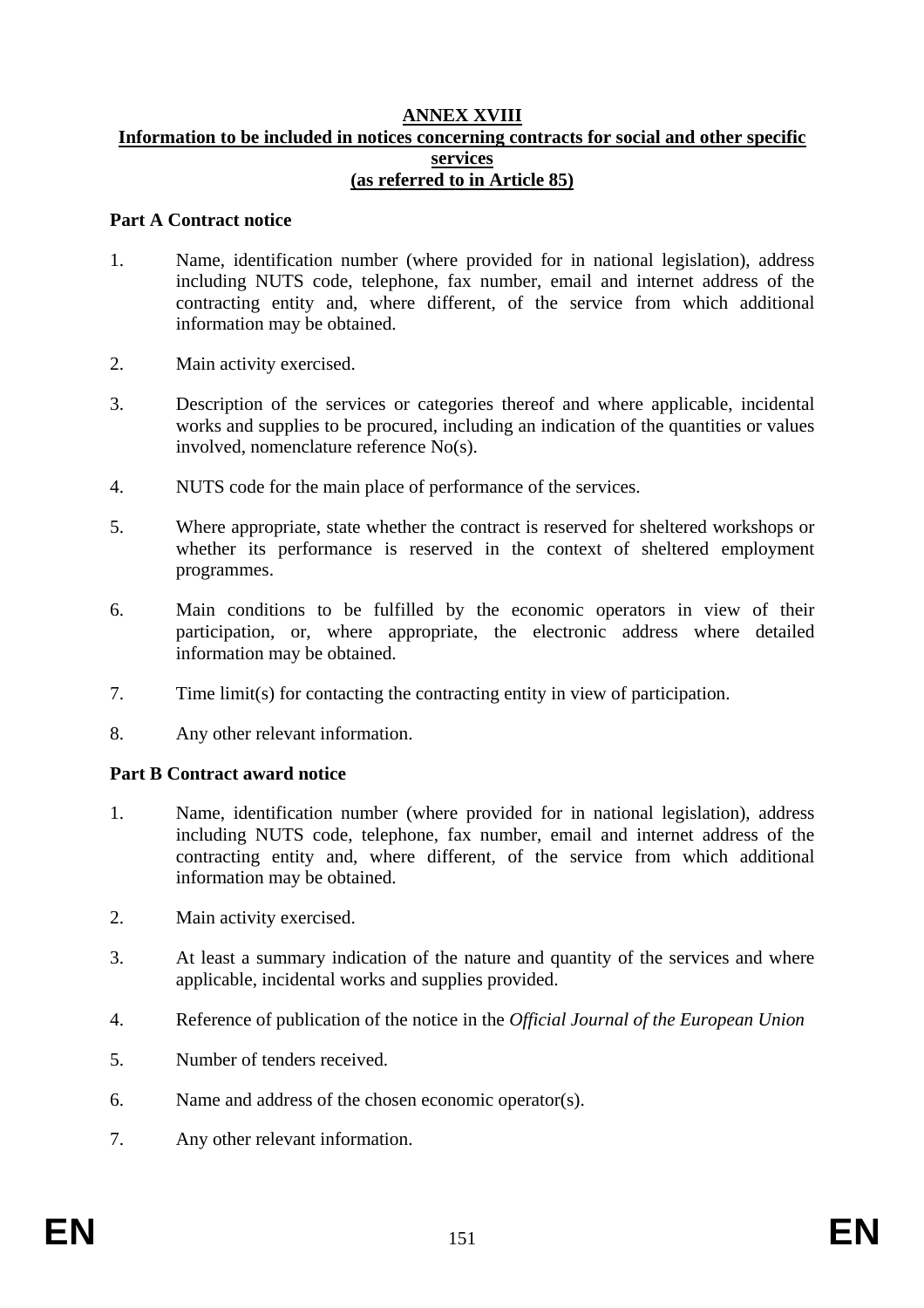### **ANNEX XVIII Information to be included in notices concerning contracts for social and other specific services (as referred to in Article 85)**

## **Part A Contract notice**

- 1. Name, identification number (where provided for in national legislation), address including NUTS code, telephone, fax number, email and internet address of the contracting entity and, where different, of the service from which additional information may be obtained.
- 2. Main activity exercised.
- 3. Description of the services or categories thereof and where applicable, incidental works and supplies to be procured, including an indication of the quantities or values involved, nomenclature reference No(s).
- 4. NUTS code for the main place of performance of the services.
- 5. Where appropriate, state whether the contract is reserved for sheltered workshops or whether its performance is reserved in the context of sheltered employment programmes.
- 6. Main conditions to be fulfilled by the economic operators in view of their participation, or, where appropriate, the electronic address where detailed information may be obtained.
- 7. Time limit(s) for contacting the contracting entity in view of participation.
- 8. Any other relevant information.

## **Part B Contract award notice**

- 1. Name, identification number (where provided for in national legislation), address including NUTS code, telephone, fax number, email and internet address of the contracting entity and, where different, of the service from which additional information may be obtained.
- 2. Main activity exercised.
- 3. At least a summary indication of the nature and quantity of the services and where applicable, incidental works and supplies provided.
- 4. Reference of publication of the notice in the *Official Journal of the European Union*
- 5. Number of tenders received.
- 6. Name and address of the chosen economic operator(s).
- 7. Any other relevant information.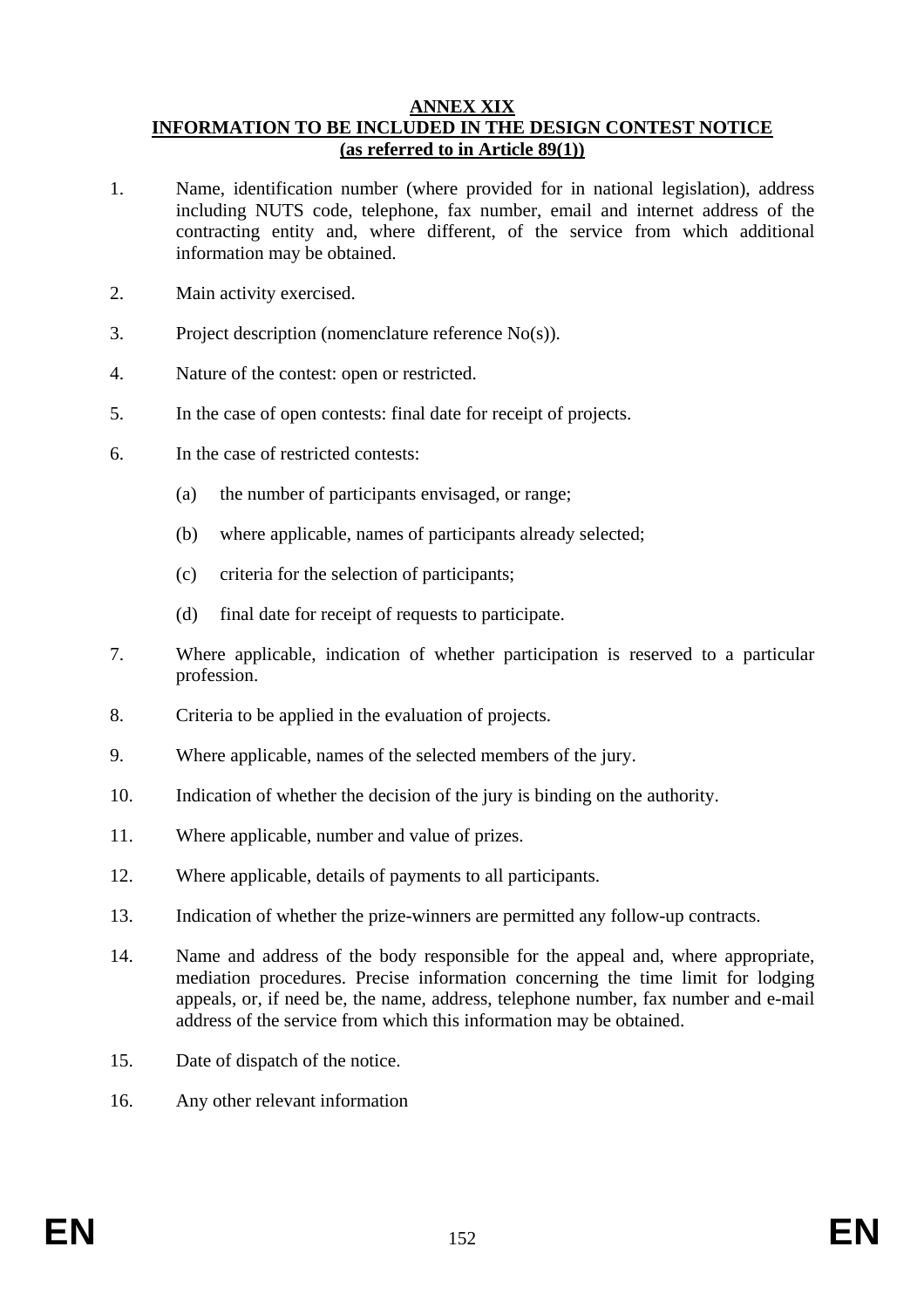#### **ANNEX XIX INFORMATION TO BE INCLUDED IN THE DESIGN CONTEST NOTICE (as referred to in Article 89(1))**

- 1. Name, identification number (where provided for in national legislation), address including NUTS code, telephone, fax number, email and internet address of the contracting entity and, where different, of the service from which additional information may be obtained.
- 2. Main activity exercised.
- 3. Project description (nomenclature reference No(s)).
- 4. Nature of the contest: open or restricted.
- 5. In the case of open contests: final date for receipt of projects.
- 6. In the case of restricted contests:
	- (a) the number of participants envisaged, or range;
	- (b) where applicable, names of participants already selected;
	- (c) criteria for the selection of participants;
	- (d) final date for receipt of requests to participate.
- 7. Where applicable, indication of whether participation is reserved to a particular profession.
- 8. Criteria to be applied in the evaluation of projects.
- 9. Where applicable, names of the selected members of the jury.
- 10. Indication of whether the decision of the jury is binding on the authority.
- 11. Where applicable, number and value of prizes.
- 12. Where applicable, details of payments to all participants.
- 13. Indication of whether the prize-winners are permitted any follow-up contracts.
- 14. Name and address of the body responsible for the appeal and, where appropriate, mediation procedures. Precise information concerning the time limit for lodging appeals, or, if need be, the name, address, telephone number, fax number and e-mail address of the service from which this information may be obtained.
- 15. Date of dispatch of the notice.
- 16. Any other relevant information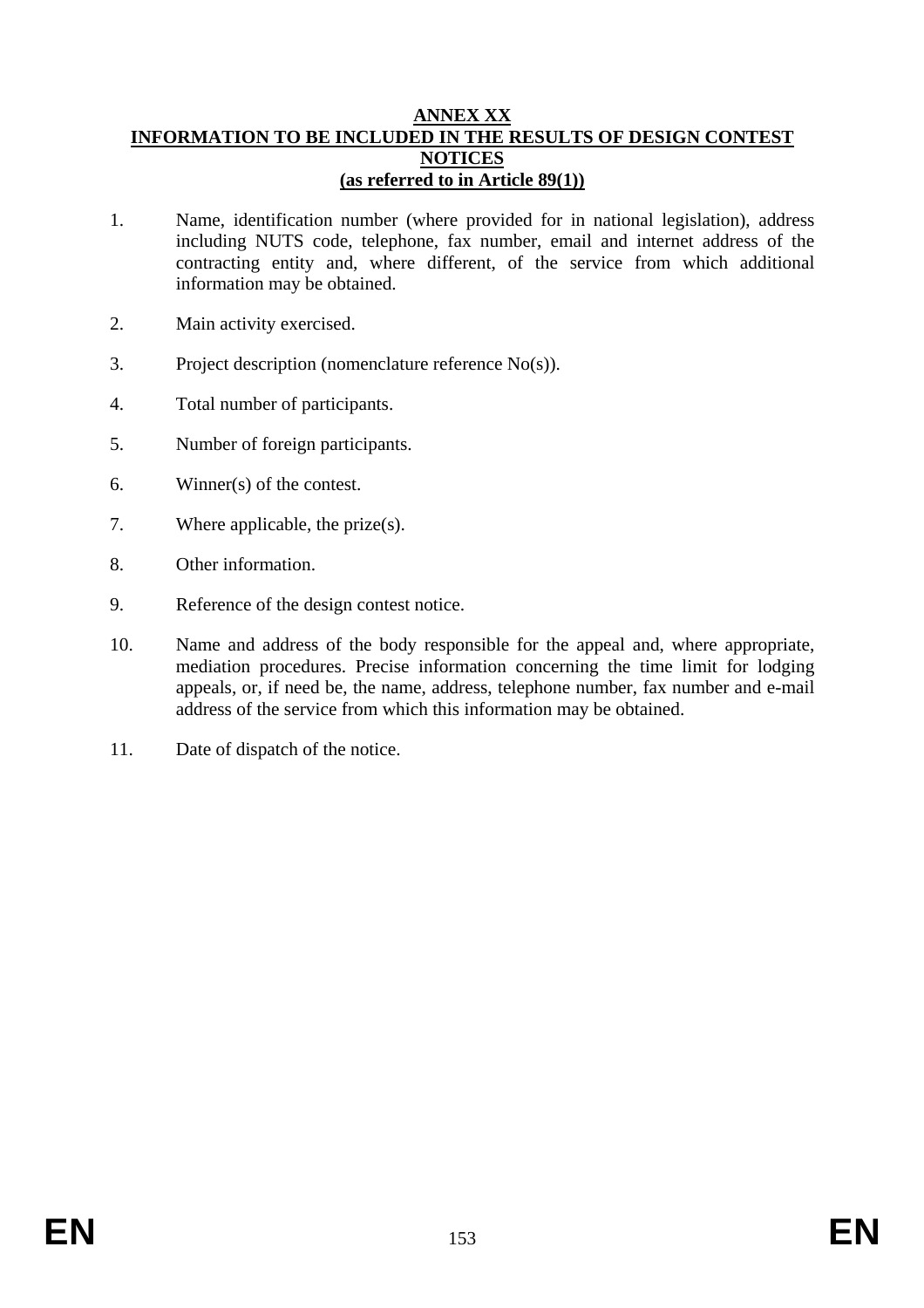### **ANNEX XX INFORMATION TO BE INCLUDED IN THE RESULTS OF DESIGN CONTEST NOTICES (as referred to in Article 89(1))**

- 1. Name, identification number (where provided for in national legislation), address including NUTS code, telephone, fax number, email and internet address of the contracting entity and, where different, of the service from which additional information may be obtained.
- 2. Main activity exercised.
- 3. Project description (nomenclature reference No(s)).
- 4. Total number of participants.
- 5. Number of foreign participants.
- 6. Winner(s) of the contest.
- 7. Where applicable, the prize(s).
- 8. Other information.
- 9. Reference of the design contest notice.
- 10. Name and address of the body responsible for the appeal and, where appropriate, mediation procedures. Precise information concerning the time limit for lodging appeals, or, if need be, the name, address, telephone number, fax number and e-mail address of the service from which this information may be obtained.
- 11. Date of dispatch of the notice.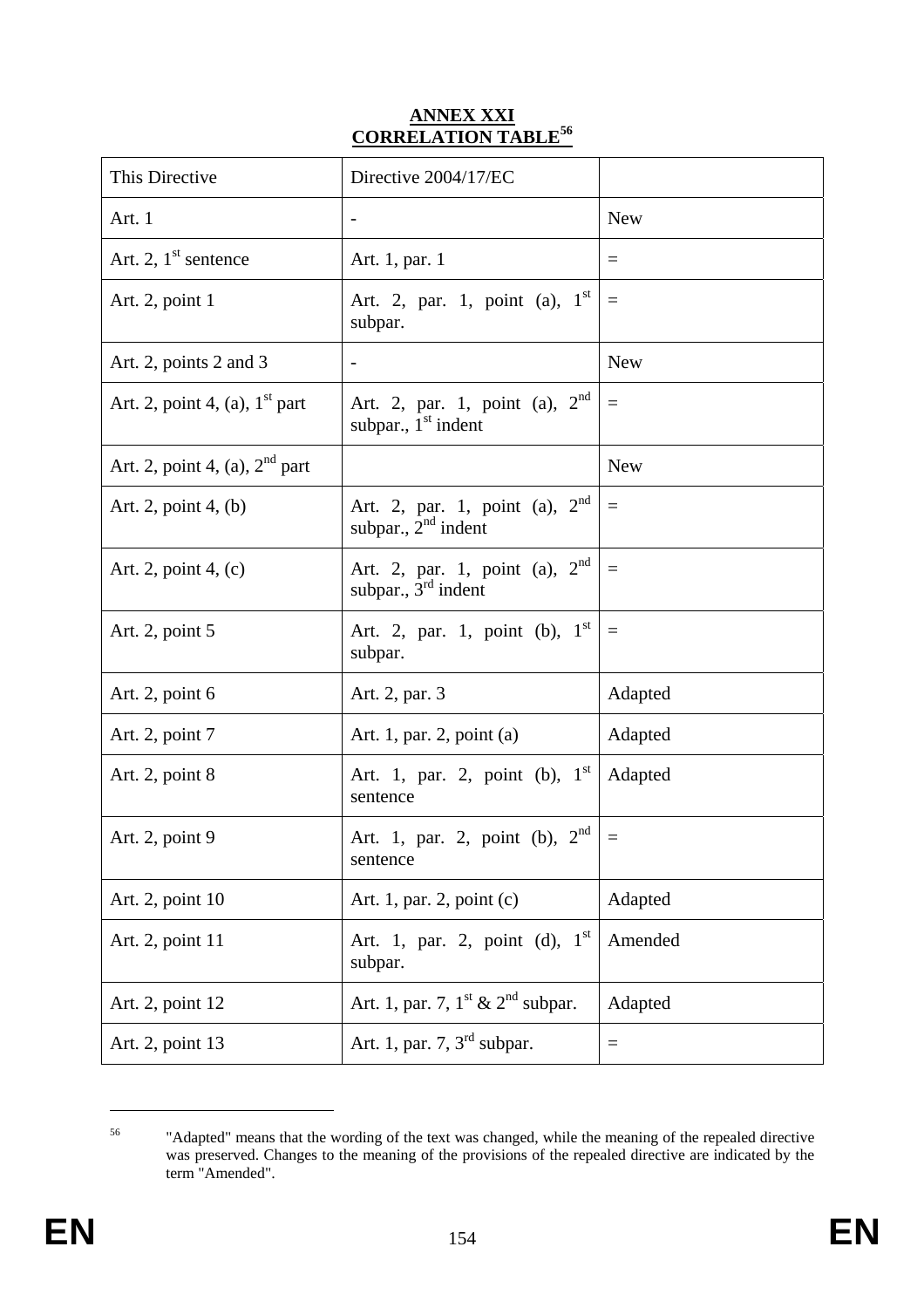# **ANNEX XXI CORRELATION TABLE56**

| This Directive                   | Directive 2004/17/EC                                         |                   |
|----------------------------------|--------------------------------------------------------------|-------------------|
| Art. 1                           |                                                              | <b>New</b>        |
| Art. 2, $1st$ sentence           | Art. 1, par. 1                                               | $=$               |
| Art. 2, point 1                  | Art. 2, par. 1, point (a), $1^{st}$<br>subpar.               | $\equiv$          |
| Art. 2, points 2 and 3           | -                                                            | <b>New</b>        |
| Art. 2, point 4, (a), $1st$ part | Art. 2, par. 1, point (a), $2^{nd}$<br>subpar., $1st$ indent | $\qquad \qquad =$ |
| Art. 2, point 4, (a), $2nd$ part |                                                              | <b>New</b>        |
| Art. 2, point $4$ , (b)          | Art. 2, par. 1, point (a), $2nd$<br>subpar., $2nd$ indent    | $\equiv$          |
| Art. 2, point 4, (c)             | Art. 2, par. 1, point (a), $2nd$<br>subpar., $3rd$ indent    | $\equiv$          |
| Art. 2, point 5                  | Art. 2, par. 1, point (b), $1^{st}$<br>subpar.               | $\equiv$          |
| Art. 2, point $6$                | Art. 2, par. 3                                               | Adapted           |
| Art. 2, point 7                  | Art. 1, par. 2, point (a)                                    | Adapted           |
| Art. 2, point 8                  | Art. 1, par. 2, point (b), $1^{st}$<br>sentence              | Adapted           |
| Art. 2, point 9                  | Art. 1, par. 2, point (b), $2^{nd}$<br>sentence              | $\equiv$          |
| Art. 2, point 10                 | Art. 1, par. 2, point $(c)$                                  | Adapted           |
| Art. 2, point 11                 | Art. 1, par. 2, point (d), $1^{st}$<br>subpar.               | Amended           |
| Art. 2, point 12                 | Art. 1, par. 7, $1^{\text{st}}$ & $2^{\text{nd}}$ subpar.    | Adapted           |
| Art. 2, point 13                 | Art. 1, par. 7, $3rd$ subpar.                                | $\equiv$          |

<sup>&</sup>lt;sup>56</sup> "Adapted" means that the wording of the text was changed, while the meaning of the repealed directive was preserved. Changes to the meaning of the provisions of the repealed directive are indicated by the term "Amended".

1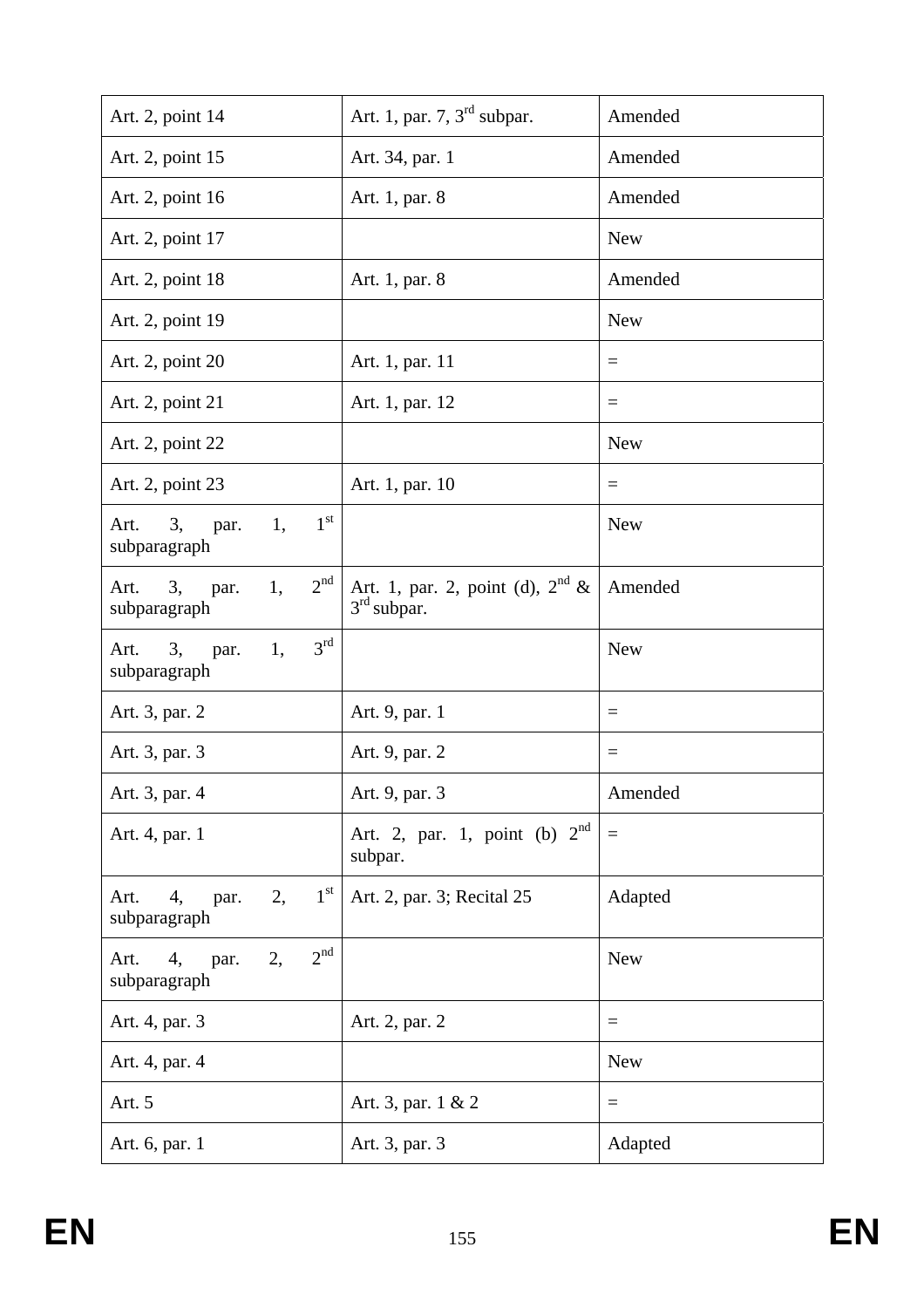| Art. 2, point 14                                            | Art. 1, par. 7, $3rd$ subpar.                                 | Amended                 |
|-------------------------------------------------------------|---------------------------------------------------------------|-------------------------|
| Art. 2, point 15                                            | Art. 34, par. 1                                               | Amended                 |
| Art. 2, point 16                                            | Art. 1, par. 8                                                | Amended                 |
| Art. 2, point 17                                            |                                                               | <b>New</b>              |
| Art. 2, point 18                                            | Art. 1, par. 8                                                | Amended                 |
| Art. 2, point 19                                            |                                                               | <b>New</b>              |
| Art. 2, point 20                                            | Art. 1, par. 11                                               | $=$                     |
| Art. 2, point 21                                            | Art. 1, par. 12                                               | $\equiv$                |
| Art. 2, point 22                                            |                                                               | <b>New</b>              |
| Art. 2, point 23                                            | Art. 1, par. 10                                               | $\equiv$                |
| 1 <sup>st</sup><br>3,<br>1,<br>Art.<br>par.<br>subparagraph |                                                               | <b>New</b>              |
| 2 <sup>nd</sup><br>3,<br>1,<br>Art.<br>par.<br>subparagraph | Art. 1, par. 2, point (d), $2nd$ &<br>3 <sup>rd</sup> subpar. | Amended                 |
| 3 <sup>rd</sup><br>1,<br>3,<br>Art.<br>par.<br>subparagraph |                                                               | <b>New</b>              |
| Art. 3, par. 2                                              | Art. 9, par. 1                                                | $\equiv$                |
| Art. 3, par. 3                                              | Art. 9, par. 2                                                | $\equiv$                |
| Art. 3, par. 4                                              | Art. 9, par. 3                                                | Amended                 |
| Art. 4, par. 1                                              | Art. 2, par. 1, point (b) $2nd$<br>subpar.                    | $\qquad \qquad =\qquad$ |
| $1^{\rm st}$<br>Art.<br>2,<br>4,<br>par.<br>subparagraph    | Art. 2, par. 3; Recital 25                                    | Adapted                 |
| 2 <sup>nd</sup><br>2,<br>Art.<br>4,<br>par.<br>subparagraph |                                                               | <b>New</b>              |
| Art. 4, par. 3                                              | Art. 2, par. 2                                                | $=$                     |
| Art. 4, par. 4                                              |                                                               | <b>New</b>              |
| Art. 5                                                      | Art. 3, par. 1 & 2                                            | $\equiv$                |
| Art. 6, par. 1                                              | Art. 3, par. 3                                                | Adapted                 |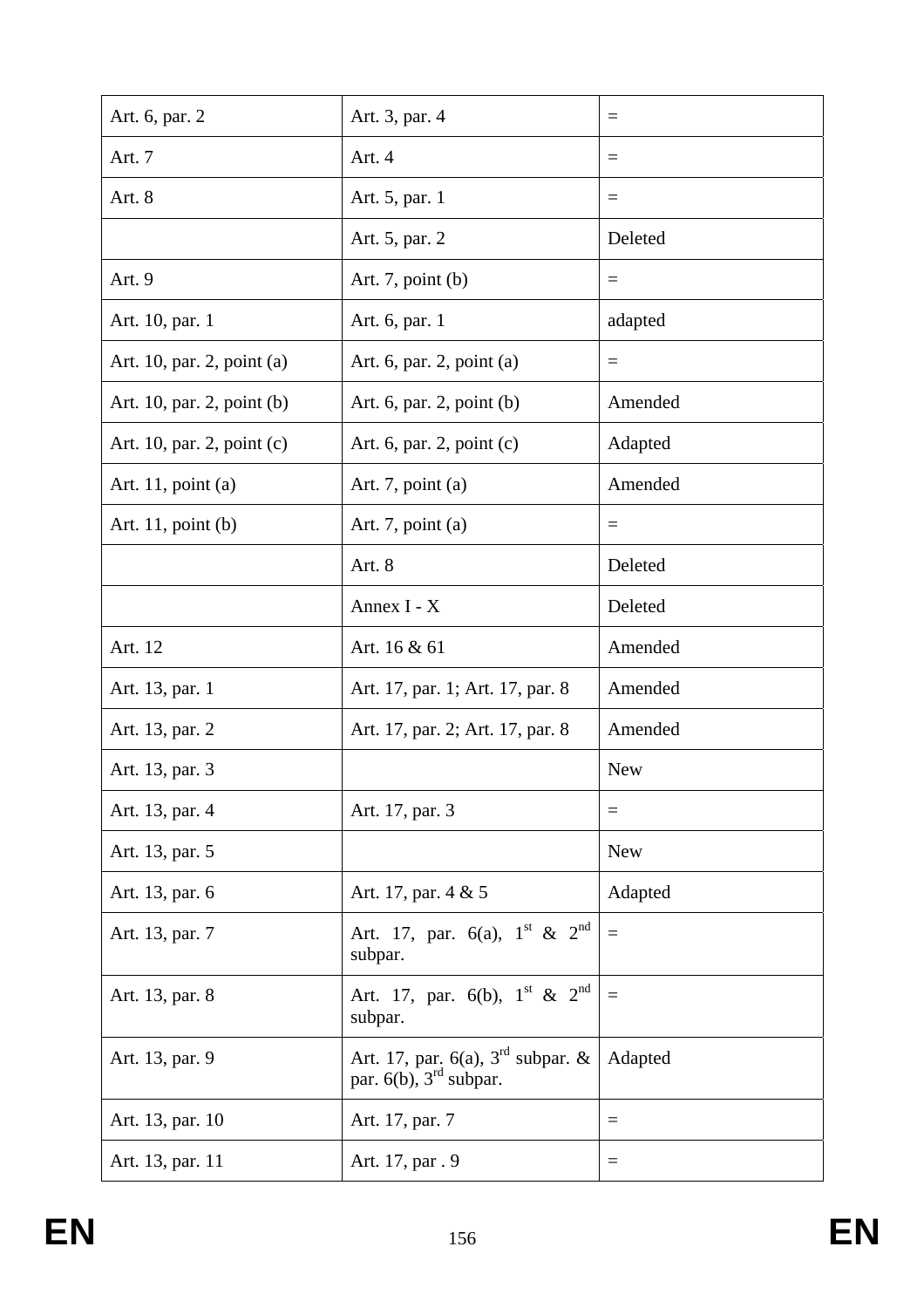| Art. 6, par. 2             | Art. 3, par. 4                                                     | $\equiv$   |
|----------------------------|--------------------------------------------------------------------|------------|
| Art. 7                     | Art. 4                                                             | $\equiv$   |
| Art. 8                     | Art. 5, par. 1                                                     | $\equiv$   |
|                            | Art. 5, par. 2                                                     | Deleted    |
| Art. 9                     | Art. 7, point $(b)$                                                | $\equiv$   |
| Art. 10, par. 1            | Art. 6, par. 1                                                     | adapted    |
| Art. 10, par. 2, point (a) | Art. 6, par. 2, point (a)                                          | $\equiv$   |
| Art. 10, par. 2, point (b) | Art. $6$ , par. $2$ , point $(b)$                                  | Amended    |
| Art. 10, par. 2, point (c) | Art. 6, par. 2, point $(c)$                                        | Adapted    |
| Art. $11$ , point (a)      | Art. 7, point $(a)$                                                | Amended    |
| Art. $11$ , point (b)      | Art. 7, point $(a)$                                                | $=$        |
|                            | Art. 8                                                             | Deleted    |
|                            | Annex I - X                                                        | Deleted    |
| Art. 12                    | Art. 16 & 61                                                       | Amended    |
| Art. 13, par. 1            | Art. 17, par. 1; Art. 17, par. 8                                   | Amended    |
| Art. 13, par. 2            | Art. 17, par. 2; Art. 17, par. 8                                   | Amended    |
| Art. 13, par. 3            |                                                                    | <b>New</b> |
| Art. 13, par. 4            | Art. 17, par. 3                                                    | $=$        |
| Art. 13, par. 5            |                                                                    | <b>New</b> |
| Art. 13, par. 6            | Art. 17, par. 4 & 5                                                | Adapted    |
| Art. 13, par. 7            | Art. 17, par. 6(a), $1^{st}$ & $2^{nd}$<br>subpar.                 | $\equiv$   |
| Art. 13, par. 8            | Art. 17, par. 6(b), $1^{\text{st}}$ & $2^{\text{nd}}$<br>subpar.   | $\equiv$   |
| Art. 13, par. 9            | Art. 17, par. 6(a), $3rd$ subpar. &<br>par. $6(b)$ , $3rd$ subpar. | Adapted    |
| Art. 13, par. 10           | Art. 17, par. 7                                                    | $\equiv$   |
| Art. 13, par. 11           | Art. 17, par . 9                                                   | $=$        |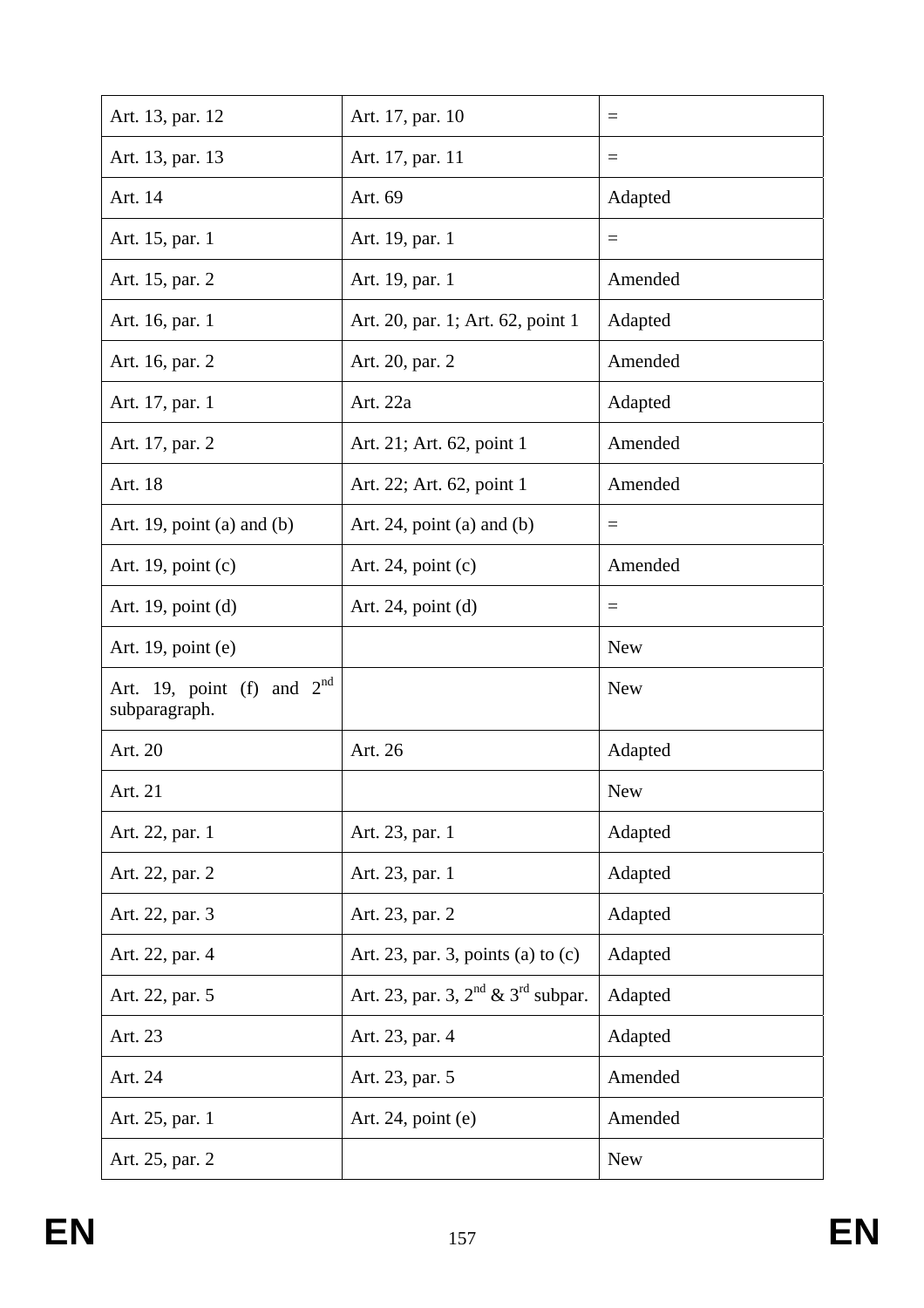| Art. 13, par. 12                              | Art. 17, par. 10                             | $=$        |
|-----------------------------------------------|----------------------------------------------|------------|
| Art. 13, par. 13                              | Art. 17, par. 11                             | $\equiv$   |
| Art. 14                                       | Art. 69                                      | Adapted    |
| Art. 15, par. 1                               | Art. 19, par. 1                              | $=$        |
| Art. 15, par. 2                               | Art. 19, par. 1                              | Amended    |
| Art. 16, par. 1                               | Art. 20, par. 1; Art. 62, point 1            | Adapted    |
| Art. 16, par. 2                               | Art. 20, par. 2                              | Amended    |
| Art. 17, par. 1                               | Art. 22a                                     | Adapted    |
| Art. 17, par. 2                               | Art. 21; Art. 62, point 1                    | Amended    |
| Art. 18                                       | Art. 22; Art. 62, point 1                    | Amended    |
| Art. 19, point (a) and (b)                    | Art. 24, point (a) and (b)                   | $\equiv$   |
| Art. 19, point $(c)$                          | Art. 24, point $(c)$                         | Amended    |
| Art. 19, point $(d)$                          | Art. $24$ , point (d)                        | $=$        |
| Art. 19, point $(e)$                          |                                              | <b>New</b> |
| Art. 19, point (f) and $2nd$<br>subparagraph. |                                              | <b>New</b> |
| Art. 20                                       | Art. 26                                      | Adapted    |
| Art. 21                                       |                                              | New        |
| Art. 22, par. 1                               | Art. 23, par. 1                              | Adapted    |
| Art. 22, par. 2                               | Art. 23, par. 1                              | Adapted    |
| Art. 22, par. 3                               | Art. 23, par. 2                              | Adapted    |
| Art. 22, par. 4                               | Art. 23, par. 3, points (a) to $(c)$         | Adapted    |
| Art. 22, par. 5                               | Art. 23, par. 3, $2^{nd}$ & $3^{rd}$ subpar. | Adapted    |
| Art. 23                                       | Art. 23, par. 4                              | Adapted    |
| Art. 24                                       | Art. 23, par. 5                              | Amended    |
| Art. 25, par. 1                               | Art. $24$ , point (e)                        | Amended    |
| Art. 25, par. 2                               |                                              | <b>New</b> |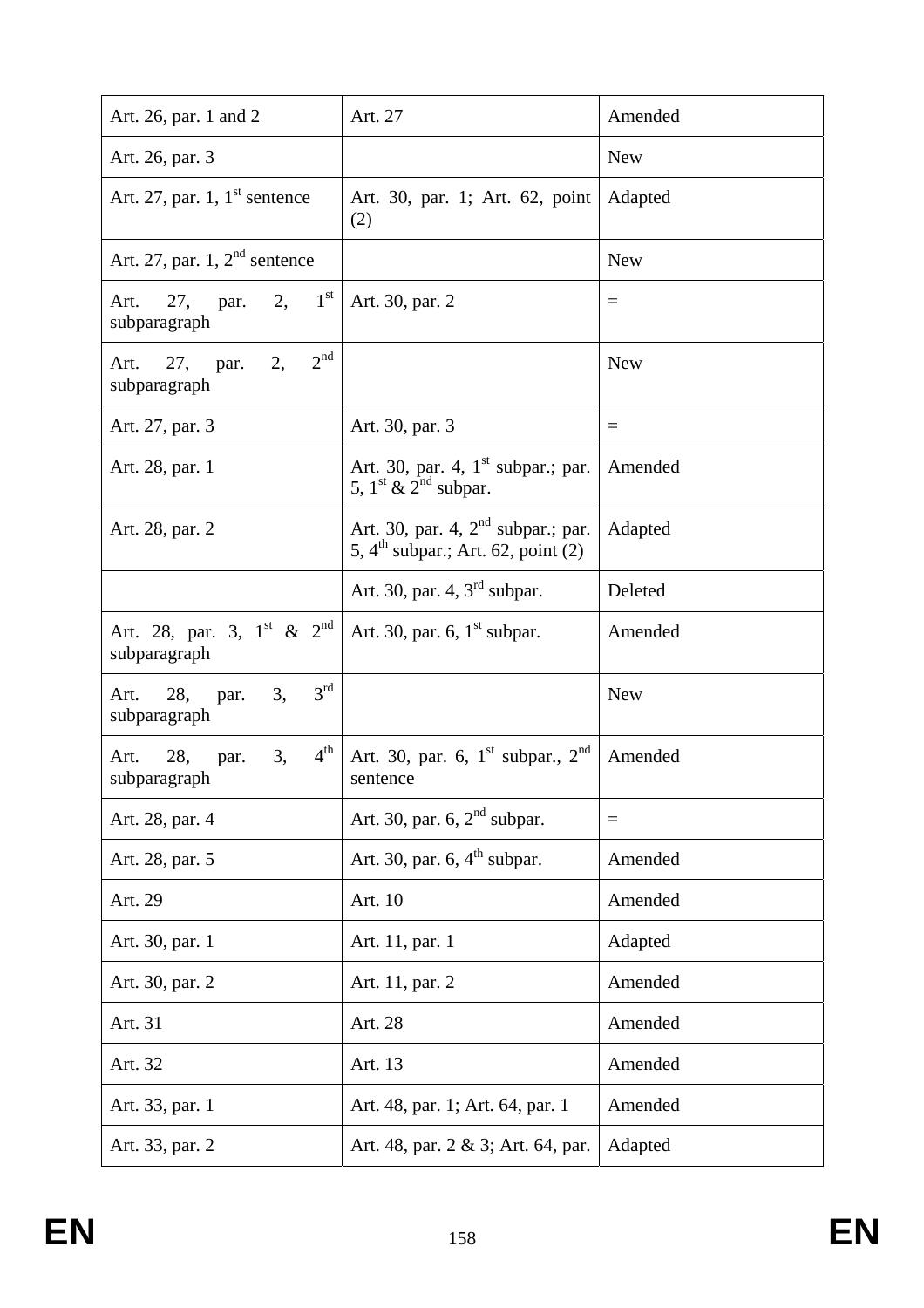| Art. 26, par. 1 and 2                                              | Art. 27                                                                                | Amended    |
|--------------------------------------------------------------------|----------------------------------------------------------------------------------------|------------|
| Art. 26, par. 3                                                    |                                                                                        | <b>New</b> |
| Art. 27, par. 1, $1^{\text{st}}$ sentence                          | Art. 30, par. 1; Art. 62, point   Adapted<br>(2)                                       |            |
| Art. 27, par. 1, $2nd$ sentence                                    |                                                                                        | <b>New</b> |
| 2, $1^{\text{st}}$<br>27, par.<br>Art.<br>subparagraph             | Art. 30, par. 2                                                                        | $\equiv$   |
| 2 <sup>nd</sup><br>2,<br>Art. 27, par.<br>subparagraph             |                                                                                        | <b>New</b> |
| Art. 27, par. 3                                                    | Art. 30, par. 3                                                                        | $=$        |
| Art. 28, par. 1                                                    | Art. 30, par. 4, $1st$ subpar.; par.<br>5, $1^{\text{st}}$ & $2^{\text{nd}}$ subpar.   | Amended    |
| Art. 28, par. 2                                                    | Art. 30, par. 4, $2nd$ subpar.; par.<br>5, $4^{\text{th}}$ subpar.; Art. 62, point (2) | Adapted    |
|                                                                    | Art. 30, par. 4, $3rd$ subpar.                                                         | Deleted    |
| Art. 28, par. 3, $1^{\text{st}}$ & $2^{\text{nd}}$<br>subparagraph | Art. 30, par. 6, $1st$ subpar.                                                         | Amended    |
| $3^{\text{rd}}$<br>3,<br>Art. 28, par.<br>subparagraph             |                                                                                        | <b>New</b> |
| $4^{\rm th}$<br>3,<br>28,<br>Art.<br>par.<br>subparagraph          | Art. 30, par. 6, $1^{\text{st}}$ subpar., $2^{\text{nd}}$<br>sentence                  | Amended    |
| Art. 28, par. 4                                                    | Art. 30, par. 6, $2nd$ subpar.                                                         | $\equiv$   |
| Art. 28, par. 5                                                    | Art. 30, par. $6, 4th$ subpar.                                                         | Amended    |
| Art. 29                                                            | Art. 10                                                                                | Amended    |
| Art. 30, par. 1                                                    | Art. 11, par. 1                                                                        | Adapted    |
| Art. 30, par. 2                                                    | Art. 11, par. 2                                                                        | Amended    |
| Art. 31                                                            | Art. 28                                                                                | Amended    |
| Art. 32                                                            | Art. 13                                                                                | Amended    |
| Art. 33, par. 1                                                    | Art. 48, par. 1; Art. 64, par. 1                                                       | Amended    |
| Art. 33, par. 2                                                    | Art. 48, par. 2 & 3; Art. 64, par.                                                     | Adapted    |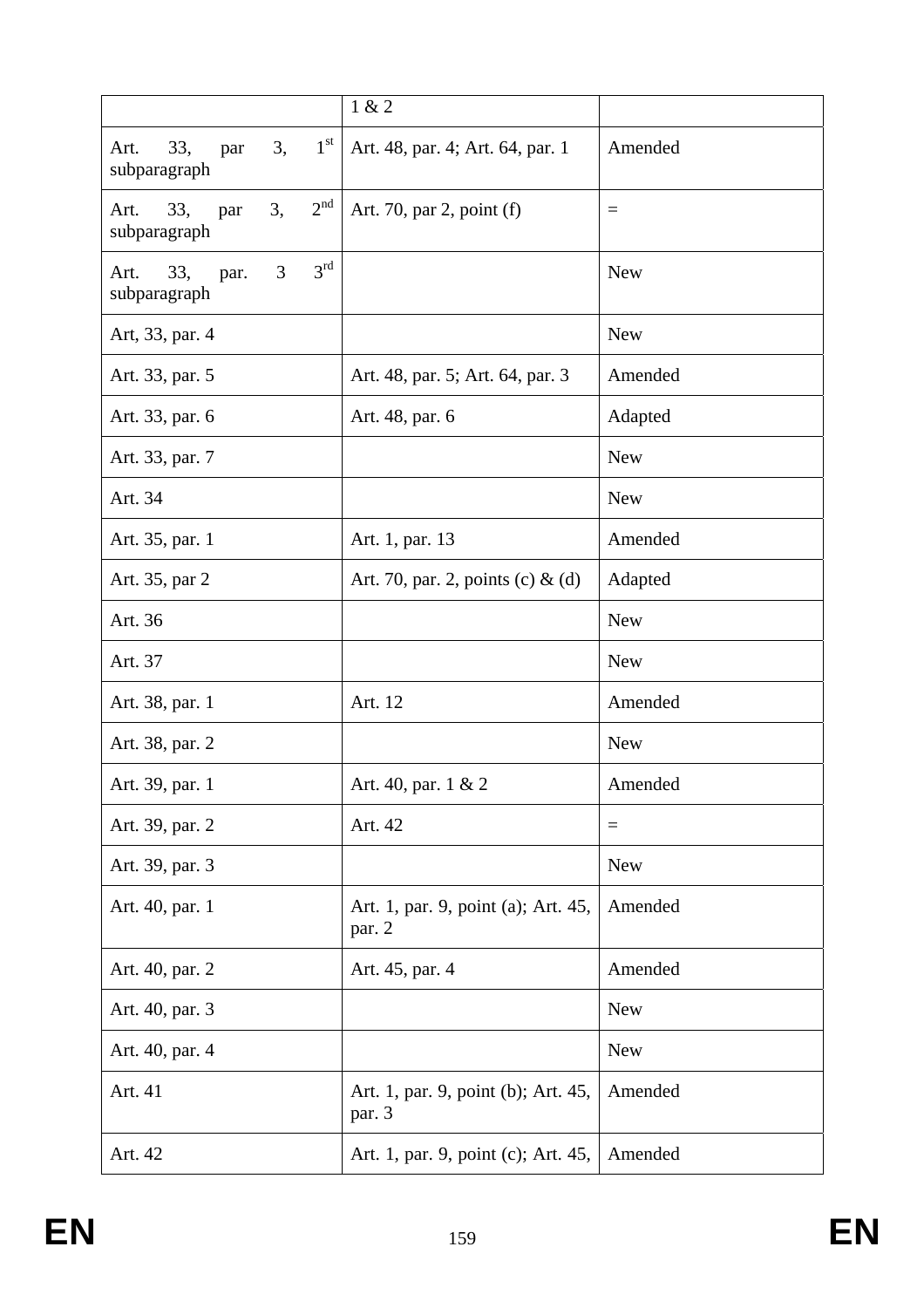|                                                             | 1 & 2                                         |            |
|-------------------------------------------------------------|-----------------------------------------------|------------|
| $1^{\rm st}$<br>33,<br>3,<br>Art.<br>par<br>subparagraph    | Art. 48, par. 4; Art. 64, par. 1              | Amended    |
| 2 <sup>nd</sup><br>3,<br>33,<br>Art.<br>par<br>subparagraph | Art. 70, par 2, point (f)                     | $=$        |
| 3 <sup>rd</sup><br>3<br>33,<br>Art.<br>par.<br>subparagraph |                                               | <b>New</b> |
| Art, 33, par. 4                                             |                                               | <b>New</b> |
| Art. 33, par. 5                                             | Art. 48, par. 5; Art. 64, par. 3              | Amended    |
| Art. 33, par. 6                                             | Art. 48, par. 6                               | Adapted    |
| Art. 33, par. 7                                             |                                               | <b>New</b> |
| Art. 34                                                     |                                               | <b>New</b> |
| Art. 35, par. 1                                             | Art. 1, par. 13                               | Amended    |
| Art. 35, par 2                                              | Art. 70, par. 2, points (c) $\&$ (d)          | Adapted    |
| Art. 36                                                     |                                               | <b>New</b> |
| Art. 37                                                     |                                               | <b>New</b> |
| Art. 38, par. 1                                             | Art. 12                                       | Amended    |
| Art. 38, par. 2                                             |                                               | <b>New</b> |
| Art. 39, par. 1                                             | Art. 40, par. 1 & 2                           | Amended    |
| Art. 39, par. 2                                             | Art. 42                                       | $\equiv$   |
| Art. 39, par. 3                                             |                                               | <b>New</b> |
| Art. 40, par. 1                                             | Art. 1, par. 9, point (a); Art. 45,<br>par. 2 | Amended    |
| Art. 40, par. 2                                             | Art. 45, par. 4                               | Amended    |
| Art. 40, par. 3                                             |                                               | <b>New</b> |
| Art. 40, par. 4                                             |                                               | <b>New</b> |
| Art. 41                                                     | Art. 1, par. 9, point (b); Art. 45,<br>par. 3 | Amended    |
| Art. 42                                                     | Art. 1, par. 9, point (c); Art. 45,           | Amended    |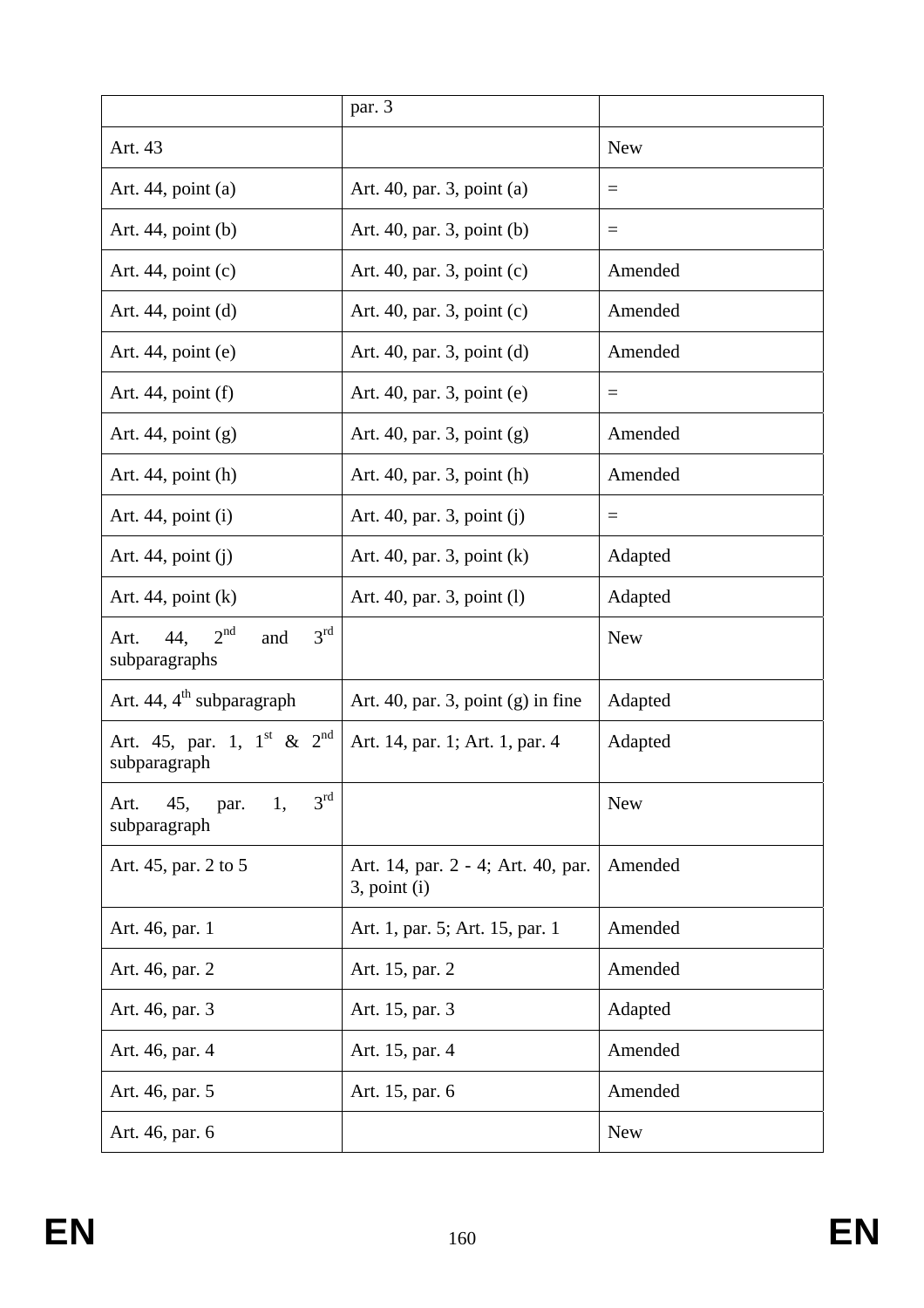|                                                                           | par. 3                                                  |            |
|---------------------------------------------------------------------------|---------------------------------------------------------|------------|
| Art. 43                                                                   |                                                         | <b>New</b> |
| Art. $44$ , point (a)                                                     | Art. 40, par. 3, point (a)                              | $=$        |
| Art. $44$ , point (b)                                                     | Art. 40, par. 3, point (b)                              | $=$        |
| Art. 44, point $(c)$                                                      | Art. 40, par. 3, point (c)                              | Amended    |
| Art. $44$ , point (d)                                                     | Art. 40, par. 3, point (c)                              | Amended    |
| Art. $44$ , point (e)                                                     | Art. 40, par. 3, point (d)                              | Amended    |
| Art. $44$ , point $(f)$                                                   | Art. 40, par. 3, point (e)                              | $=$        |
| Art. 44, point $(g)$                                                      | Art. 40, par. 3, point (g)                              | Amended    |
| Art. $44$ , point (h)                                                     | Art. 40, par. 3, point (h)                              | Amended    |
| Art. $44$ , point (i)                                                     | Art. 40, par. 3, point (j)                              | $=$        |
| Art. $44$ , point (j)                                                     | Art. 40, par. 3, point $(k)$                            | Adapted    |
| Art. 44, point $(k)$                                                      | Art. 40, par. 3, point (1)                              | Adapted    |
| 2 <sup>nd</sup><br>3 <sup>rd</sup><br>44,<br>and<br>Art.<br>subparagraphs |                                                         | <b>New</b> |
| Art. 44, $4^{\text{th}}$ subparagraph                                     | Art. 40, par. 3, point $(g)$ in fine                    | Adapted    |
| Art. 45, par. 1, $1^{st}$ & $2^{nd}$<br>subparagraph                      | Art. 14, par. 1; Art. 1, par. 4                         | Adapted    |
| $3^{\text{rd}}$<br>45,<br>1,<br>Art.<br>par.<br>subparagraph              |                                                         | <b>New</b> |
| Art. 45, par. 2 to 5                                                      | Art. 14, par. 2 - 4; Art. 40, par.<br>$3$ , point $(i)$ | Amended    |
| Art. 46, par. 1                                                           | Art. 1, par. 5; Art. 15, par. 1                         | Amended    |
| Art. 46, par. 2                                                           | Art. 15, par. 2                                         | Amended    |
| Art. 46, par. 3                                                           | Art. 15, par. 3                                         | Adapted    |
| Art. 46, par. 4                                                           | Art. 15, par. 4                                         | Amended    |
| Art. 46, par. 5                                                           | Art. 15, par. 6                                         | Amended    |
| Art. 46, par. 6                                                           |                                                         | <b>New</b> |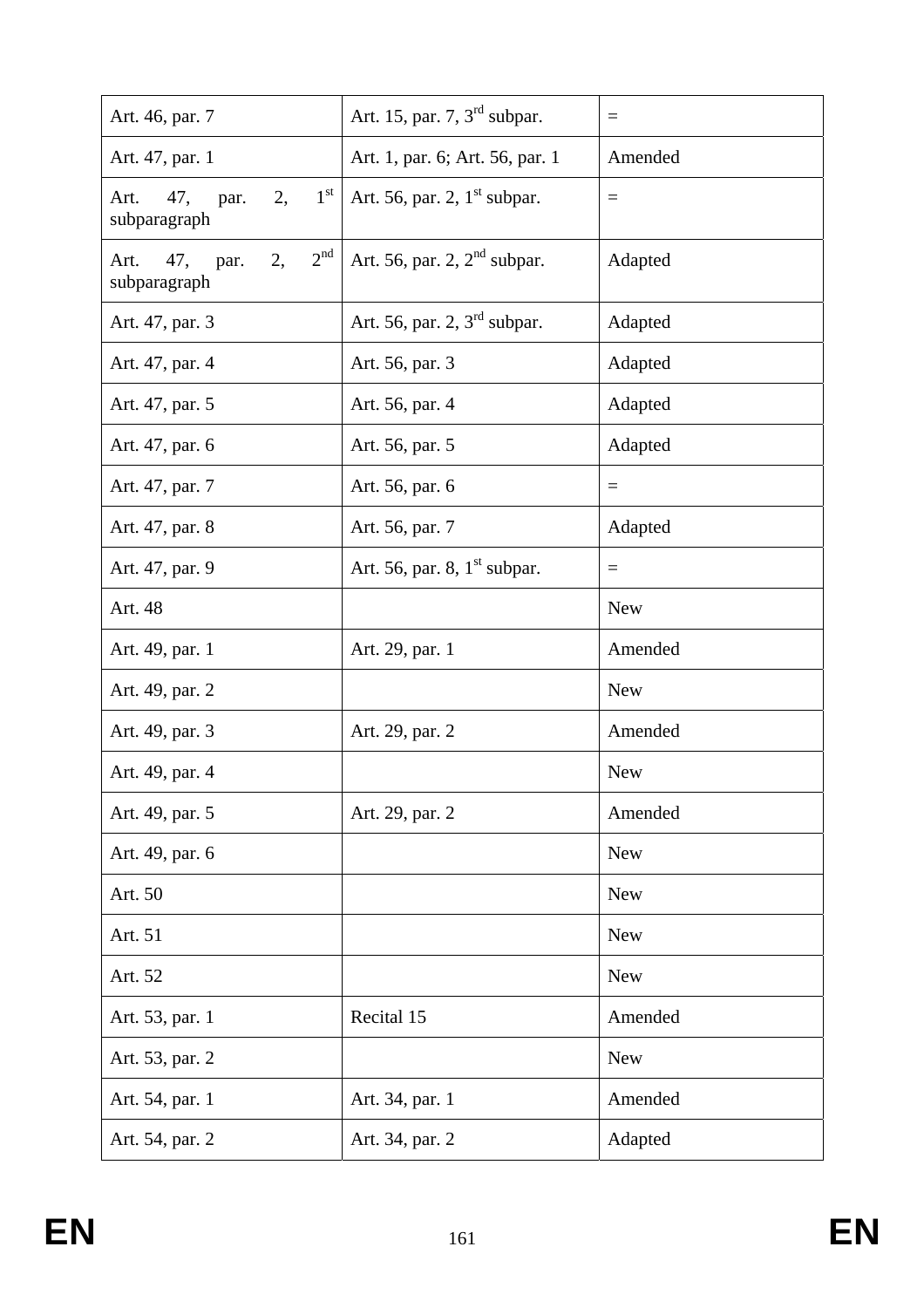| Art. 46, par. 7                                              | Art. 15, par. 7, $3rd$ subpar.  | $=$        |
|--------------------------------------------------------------|---------------------------------|------------|
| Art. 47, par. 1                                              | Art. 1, par. 6; Art. 56, par. 1 | Amended    |
| $1^{\rm st}$<br>2,<br>47,<br>Art.<br>par.<br>subparagraph    | Art. 56, par. 2, $1st$ subpar.  | $\equiv$   |
| 2 <sup>nd</sup><br>2,<br>47,<br>par.<br>Art.<br>subparagraph | Art. 56, par. 2, $2nd$ subpar.  | Adapted    |
| Art. 47, par. 3                                              | Art. 56, par. 2, $3rd$ subpar.  | Adapted    |
| Art. 47, par. 4                                              | Art. 56, par. 3                 | Adapted    |
| Art. 47, par. 5                                              | Art. 56, par. 4                 | Adapted    |
| Art. 47, par. 6                                              | Art. 56, par. 5                 | Adapted    |
| Art. 47, par. 7                                              | Art. 56, par. 6                 | $\equiv$   |
| Art. 47, par. 8                                              | Art. 56, par. 7                 | Adapted    |
| Art. 47, par. 9                                              | Art. 56, par. 8, $1st$ subpar.  | $=$        |
| Art. 48                                                      |                                 | <b>New</b> |
| Art. 49, par. 1                                              | Art. 29, par. 1                 | Amended    |
| Art. 49, par. 2                                              |                                 | <b>New</b> |
| Art. 49, par. 3                                              | Art. 29, par. 2                 | Amended    |
| Art. 49, par. 4                                              |                                 | <b>New</b> |
| Art. 49, par. 5                                              | Art. 29, par. 2                 | Amended    |
| Art. 49, par. 6                                              |                                 | <b>New</b> |
| Art. 50                                                      |                                 | <b>New</b> |
| Art. 51                                                      |                                 | <b>New</b> |
| Art. 52                                                      |                                 | <b>New</b> |
| Art. 53, par. 1                                              | Recital 15                      | Amended    |
| Art. 53, par. 2                                              |                                 | <b>New</b> |
| Art. 54, par. 1                                              | Art. 34, par. 1                 | Amended    |
| Art. 54, par. 2                                              | Art. 34, par. 2                 | Adapted    |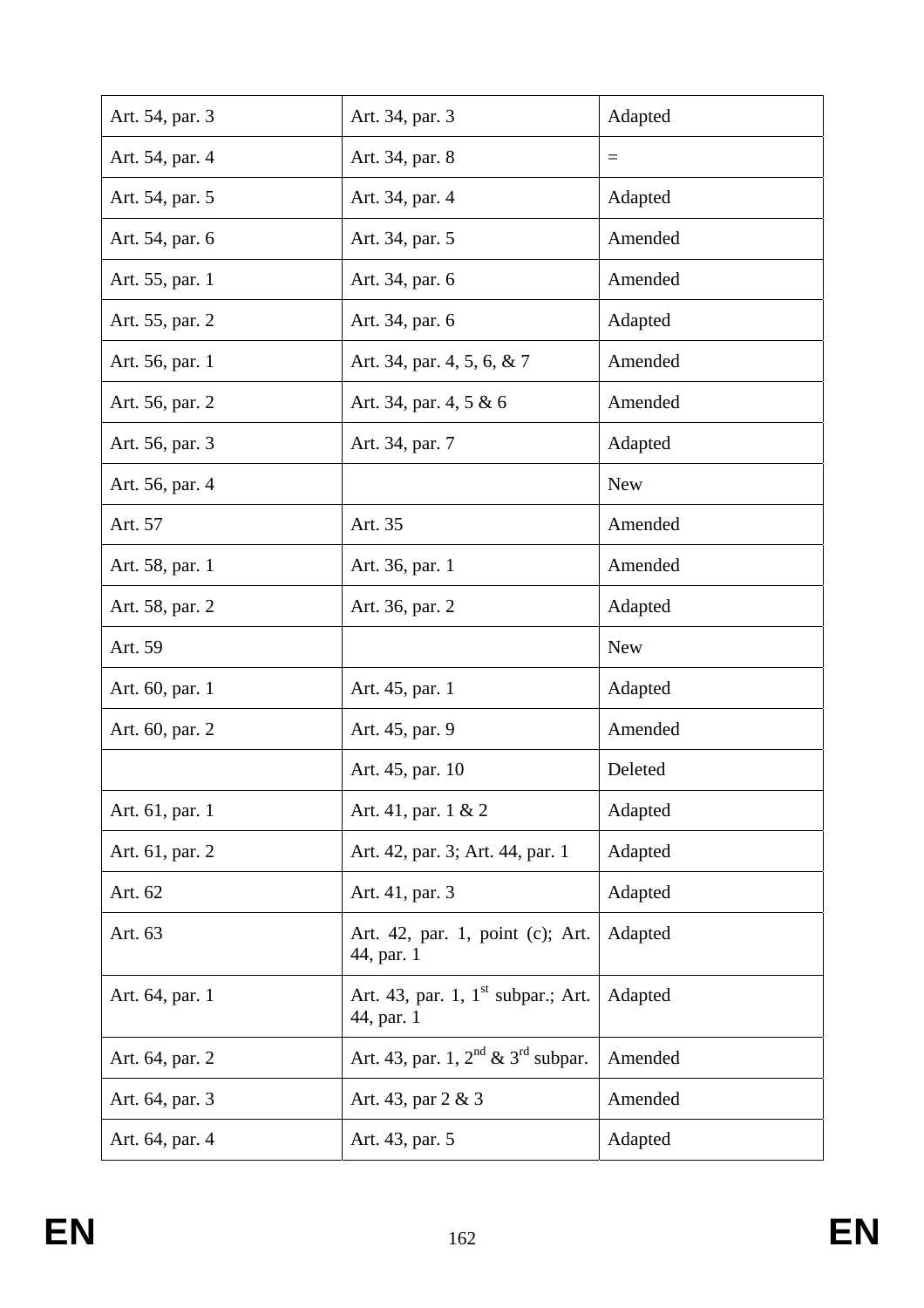| Art. 54, par. 3 | Art. 34, par. 3                                              | Adapted    |
|-----------------|--------------------------------------------------------------|------------|
| Art. 54, par. 4 | Art. 34, par. 8                                              | $=$        |
| Art. 54, par. 5 | Art. 34, par. 4                                              | Adapted    |
| Art. 54, par. 6 | Art. 34, par. 5                                              | Amended    |
| Art. 55, par. 1 | Art. 34, par. 6                                              | Amended    |
| Art. 55, par. 2 | Art. 34, par. 6                                              | Adapted    |
| Art. 56, par. 1 | Art. 34, par. 4, 5, 6, & 7                                   | Amended    |
| Art. 56, par. 2 | Art. 34, par. 4, 5 & 6                                       | Amended    |
| Art. 56, par. 3 | Art. 34, par. 7                                              | Adapted    |
| Art. 56, par. 4 |                                                              | <b>New</b> |
| Art. 57         | Art. 35                                                      | Amended    |
| Art. 58, par. 1 | Art. 36, par. 1                                              | Amended    |
| Art. 58, par. 2 | Art. 36, par. 2                                              | Adapted    |
|                 |                                                              |            |
| Art. 59         |                                                              | <b>New</b> |
| Art. 60, par. 1 | Art. 45, par. 1                                              | Adapted    |
| Art. 60, par. 2 | Art. 45, par. 9                                              | Amended    |
|                 | Art. 45, par. 10                                             | Deleted    |
| Art. 61, par. 1 | Art. 41, par. 1 & 2                                          | Adapted    |
| Art. 61, par. 2 | Art. 42, par. 3; Art. 44, par. 1                             | Adapted    |
| Art. 62         | Art. 41, par. 3                                              | Adapted    |
| Art. 63         | Art. 42, par. 1, point (c); Art.<br>44, par. 1               | Adapted    |
| Art. 64, par. 1 | Art. 43, par. 1, $1^{\text{st}}$ subpar.; Art.<br>44, par. 1 | Adapted    |
| Art. 64, par. 2 | Art. 43, par. 1, $2^{nd}$ & $3^{rd}$ subpar.                 | Amended    |
| Art. 64, par. 3 | Art. 43, par 2 & 3                                           | Amended    |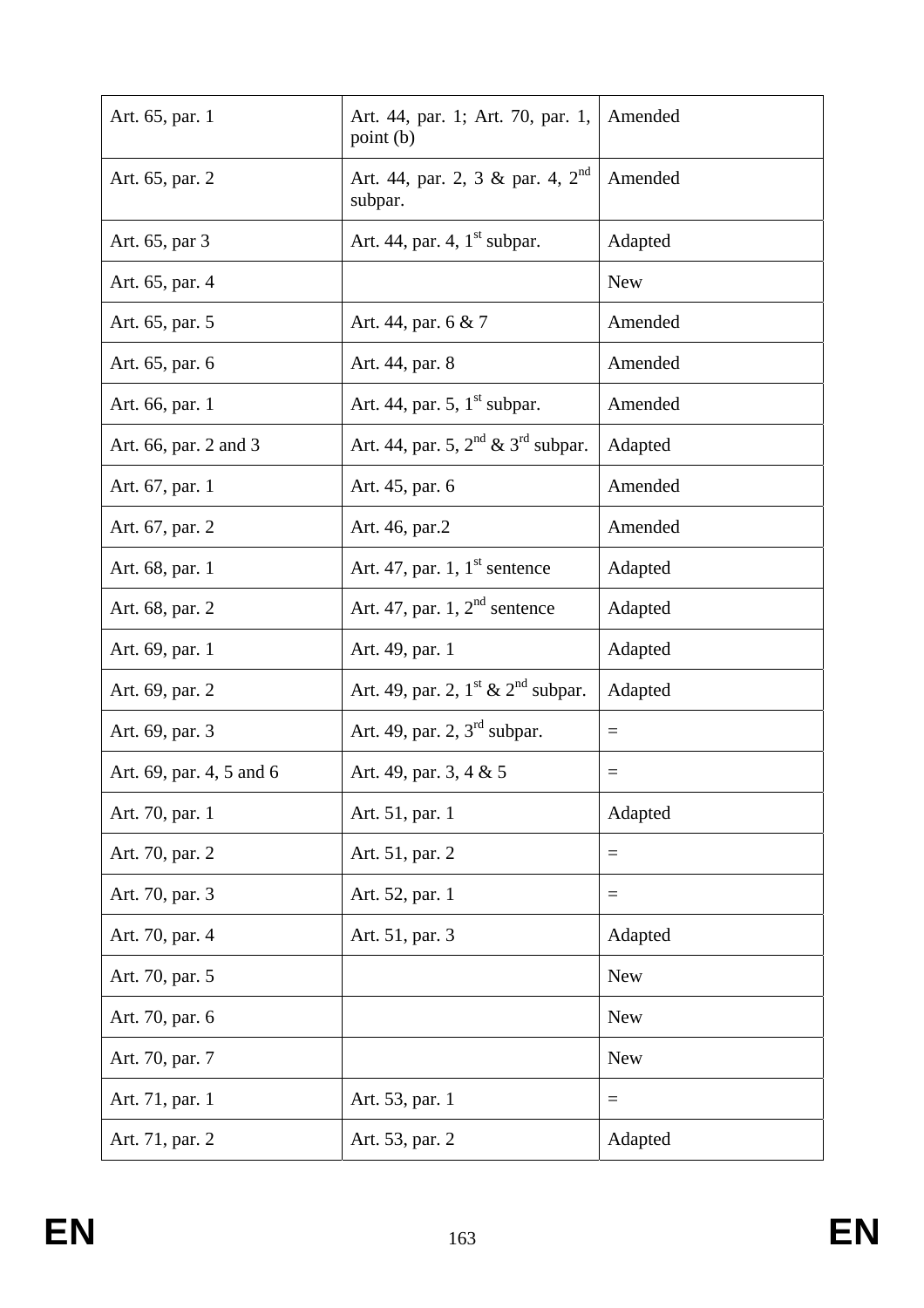| Art. 65, par. 1          | Art. 44, par. 1; Art. 70, par. 1,<br>point (b)          | Amended           |
|--------------------------|---------------------------------------------------------|-------------------|
| Art. 65, par. 2          | Art. 44, par. 2, 3 & par. 4, $2^{\text{nd}}$<br>subpar. | Amended           |
| Art. 65, par 3           | Art. 44, par. 4, $1st$ subpar.                          | Adapted           |
| Art. 65, par. 4          |                                                         | <b>New</b>        |
| Art. 65, par. 5          | Art. 44, par. 6 & 7                                     | Amended           |
| Art. 65, par. 6          | Art. 44, par. 8                                         | Amended           |
| Art. 66, par. 1          | Art. 44, par. 5, $1st$ subpar.                          | Amended           |
| Art. 66, par. 2 and 3    | Art. 44, par. 5, $2^{nd}$ & $3^{rd}$ subpar.            | Adapted           |
| Art. 67, par. 1          | Art. 45, par. 6                                         | Amended           |
| Art. 67, par. 2          | Art. 46, par.2                                          | Amended           |
| Art. 68, par. 1          | Art. 47, par. 1, $1^{\text{st}}$ sentence               | Adapted           |
| Art. 68, par. 2          | Art. 47, par. $1, 2nd$ sentence                         | Adapted           |
| Art. 69, par. 1          | Art. 49, par. 1                                         | Adapted           |
| Art. 69, par. 2          | Art. 49, par. 2, $1st$ & $2nd$ subpar.                  | Adapted           |
| Art. 69, par. 3          | Art. 49, par. 2, $3rd$ subpar.                          | $\qquad \qquad =$ |
| Art. 69, par. 4, 5 and 6 | Art. 49, par. 3, 4 & 5                                  | $=$               |
| Art. 70, par. 1          | Art. 51, par. 1                                         | Adapted           |
| Art. 70, par. 2          | Art. 51, par. 2                                         | $=$               |
| Art. 70, par. 3          | Art. 52, par. 1                                         | $=$               |
| Art. 70, par. 4          | Art. 51, par. 3                                         | Adapted           |
| Art. 70, par. 5          |                                                         | <b>New</b>        |
| Art. 70, par. 6          |                                                         | <b>New</b>        |
| Art. 70, par. 7          |                                                         | <b>New</b>        |
| Art. 71, par. 1          | Art. 53, par. 1                                         | $=$               |
| Art. 71, par. 2          | Art. 53, par. 2                                         | Adapted           |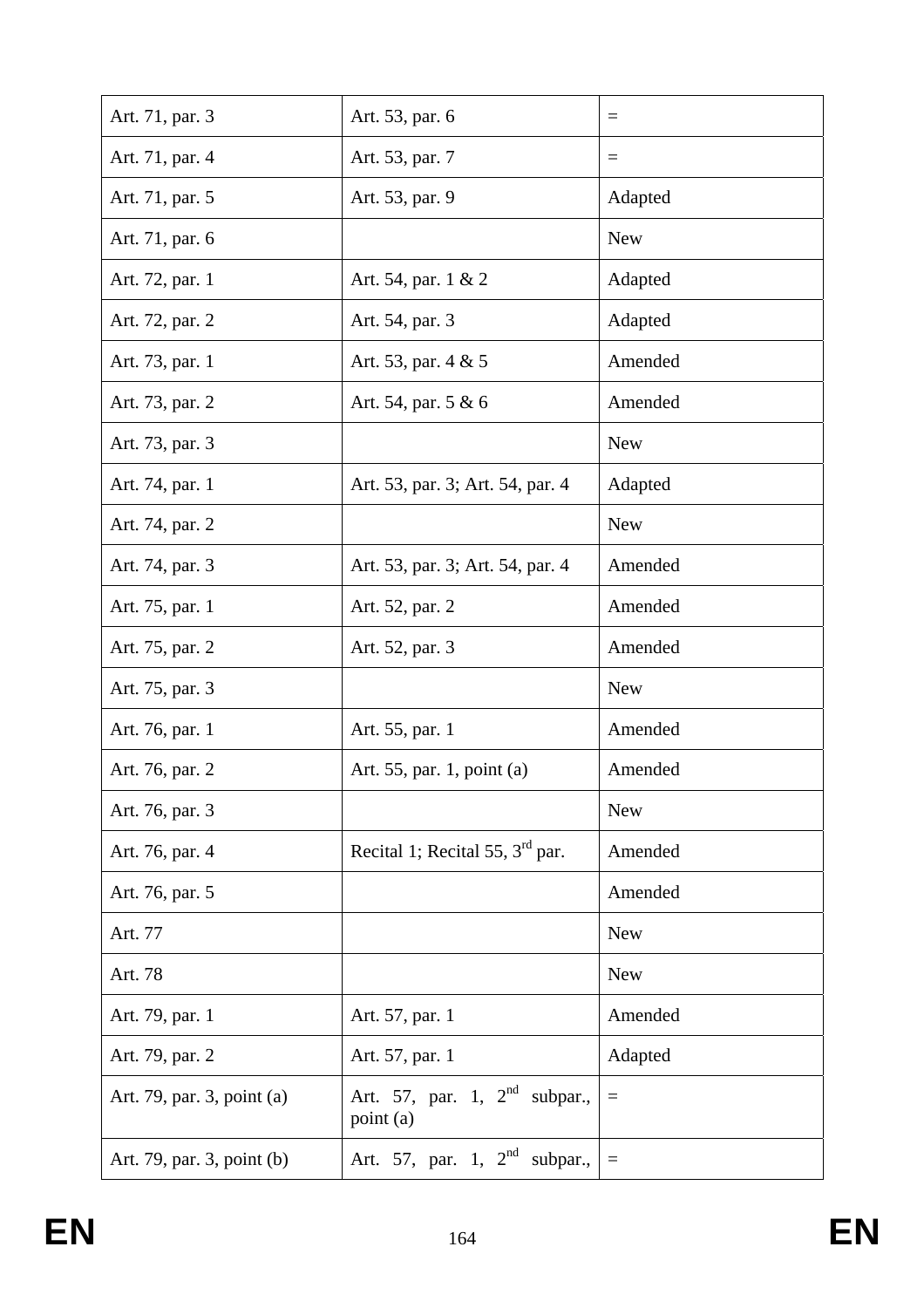| Art. 71, par. 3            | Art. 53, par. 6                              | $\equiv$   |
|----------------------------|----------------------------------------------|------------|
| Art. 71, par. 4            | Art. 53, par. 7                              | $=$        |
| Art. 71, par. 5            | Art. 53, par. 9                              | Adapted    |
| Art. 71, par. 6            |                                              | <b>New</b> |
| Art. 72, par. 1            | Art. 54, par. 1 & 2                          | Adapted    |
| Art. 72, par. 2            | Art. 54, par. 3                              | Adapted    |
| Art. 73, par. 1            | Art. 53, par. 4 & 5                          | Amended    |
| Art. 73, par. 2            | Art. 54, par. 5 & 6                          | Amended    |
| Art. 73, par. 3            |                                              | <b>New</b> |
| Art. 74, par. 1            | Art. 53, par. 3; Art. 54, par. 4             | Adapted    |
| Art. 74, par. 2            |                                              | <b>New</b> |
| Art. 74, par. 3            | Art. 53, par. 3; Art. 54, par. 4             | Amended    |
| Art. 75, par. 1            | Art. 52, par. 2                              | Amended    |
| Art. 75, par. 2            | Art. 52, par. 3                              | Amended    |
| Art. 75, par. 3            |                                              | <b>New</b> |
| Art. 76, par. 1            | Art. 55, par. 1                              | Amended    |
| Art. 76, par. 2            | Art. 55, par. 1, point (a)                   | Amended    |
| Art. 76, par. 3            |                                              | <b>New</b> |
| Art. 76, par. 4            | Recital 1; Recital 55, $3rd$ par.            | Amended    |
| Art. 76, par. 5            |                                              | Amended    |
| Art. 77                    |                                              | <b>New</b> |
| Art. 78                    |                                              | <b>New</b> |
| Art. 79, par. 1            | Art. 57, par. 1                              | Amended    |
| Art. 79, par. 2            | Art. 57, par. 1                              | Adapted    |
| Art. 79, par. 3, point (a) | Art. 57, par. 1, $2nd$ subpar.,<br>point (a) | $\equiv$   |
| Art. 79, par. 3, point (b) | Art. 57, par. 1, $2^{nd}$<br>subpar.,        | $\equiv$   |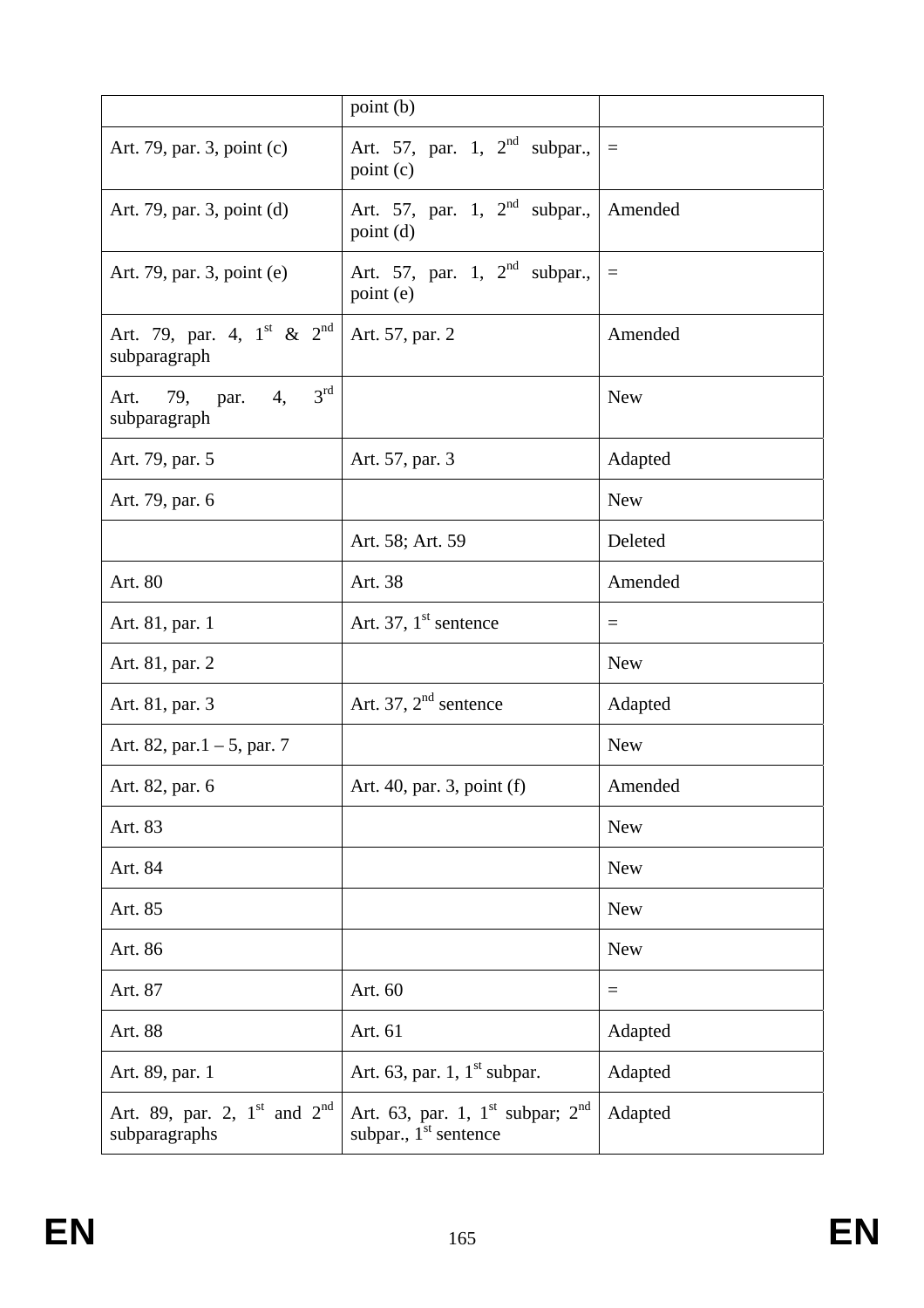|                                                                       | point (b)                                                                                     |            |
|-----------------------------------------------------------------------|-----------------------------------------------------------------------------------------------|------------|
| Art. 79, par. 3, point (c)                                            | Art. 57, par. 1, $2nd$ subpar.,<br>point (c)                                                  | $\equiv$   |
| Art. 79, par. 3, point (d)                                            | Art. 57, par. 1, $2^{nd}$ subpar., Amended<br>point(d)                                        |            |
| Art. 79, par. 3, point (e)                                            | Art. 57, par. 1, $2nd$ subpar.,<br>point (e)                                                  | $\equiv$   |
| Art. 79, par. 4, $1^{\text{st}}$ & $2^{\text{nd}}$<br>subparagraph    | Art. 57, par. 2                                                                               | Amended    |
| $3^{\text{rd}}$<br>4,<br>Art. 79, par.<br>subparagraph                |                                                                                               | <b>New</b> |
| Art. 79, par. 5                                                       | Art. 57, par. 3                                                                               | Adapted    |
| Art. 79, par. 6                                                       |                                                                                               | <b>New</b> |
|                                                                       | Art. 58; Art. 59                                                                              | Deleted    |
| Art. 80                                                               | Art. 38                                                                                       | Amended    |
| Art. 81, par. 1                                                       | Art. 37, $1st$ sentence                                                                       | $=$        |
| Art. 81, par. 2                                                       |                                                                                               | <b>New</b> |
| Art. 81, par. 3                                                       | Art. 37, $2nd$ sentence                                                                       | Adapted    |
| Art. 82, par. $1 - 5$ , par. 7                                        |                                                                                               | <b>New</b> |
| Art. 82, par. 6                                                       | Art. 40, par. 3, point (f)                                                                    | Amended    |
| Art. 83                                                               |                                                                                               | <b>New</b> |
| Art. 84                                                               |                                                                                               | <b>New</b> |
| Art. 85                                                               |                                                                                               | <b>New</b> |
| Art. 86                                                               |                                                                                               | <b>New</b> |
| Art. 87                                                               | Art. 60                                                                                       | $\equiv$   |
| Art. 88                                                               | Art. 61                                                                                       | Adapted    |
| Art. 89, par. 1                                                       | Art. 63, par. 1, $1^{\text{st}}$ subpar.                                                      | Adapted    |
| Art. 89, par. 2, $1^{\text{st}}$ and $2^{\text{nd}}$<br>subparagraphs | Art. 63, par. 1, $1^{\text{st}}$ subpar; $2^{\text{nd}}$<br>subpar., 1 <sup>st</sup> sentence | Adapted    |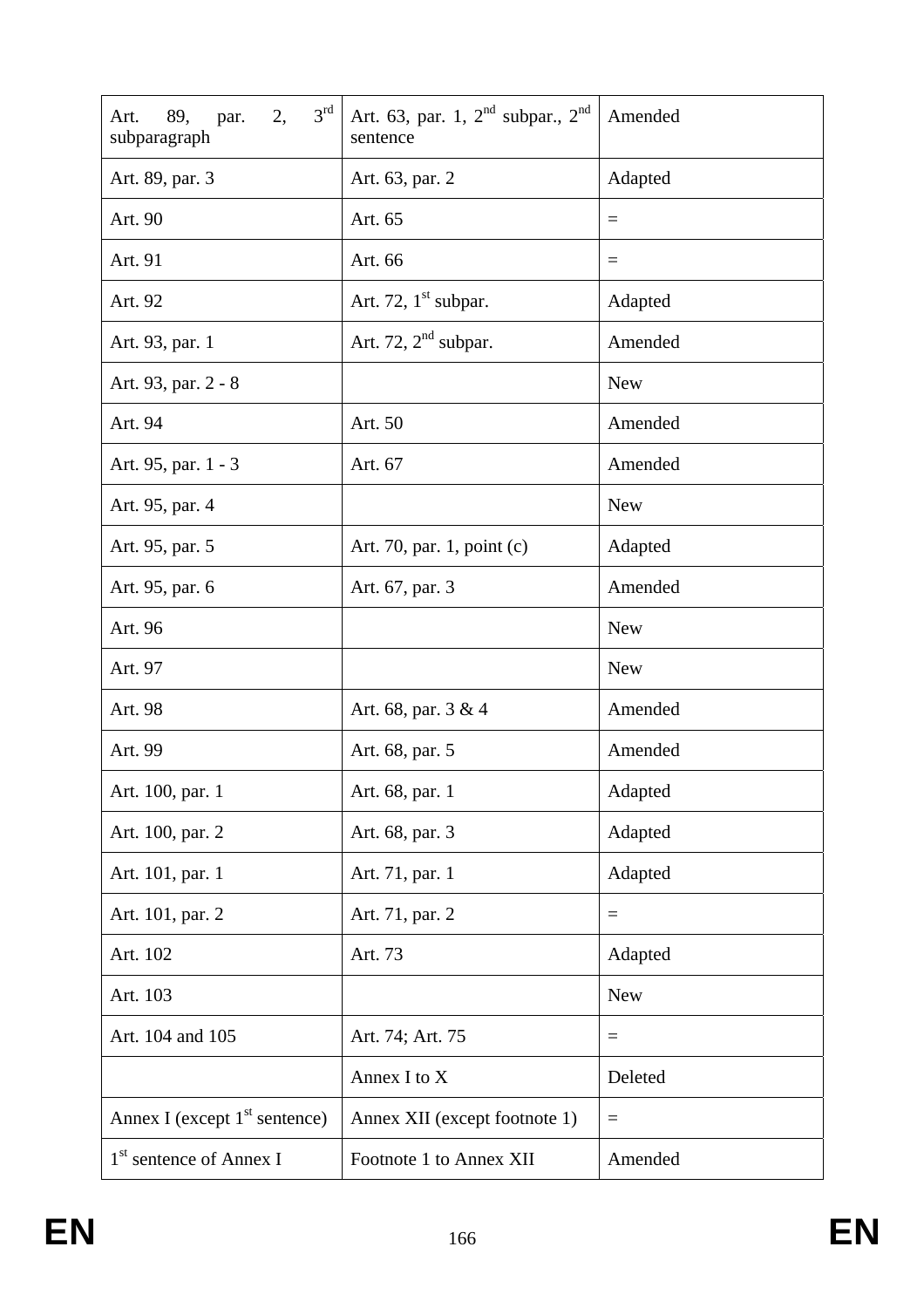| $3^{\text{rd}}$<br>2,<br>89,<br>par.<br>Art.<br>subparagraph | Art. 63, par. 1, $2^{nd}$ subpar., $2^{nd}$<br>sentence | Amended           |
|--------------------------------------------------------------|---------------------------------------------------------|-------------------|
| Art. 89, par. 3                                              | Art. 63, par. 2                                         | Adapted           |
| Art. 90                                                      | Art. 65                                                 | $\equiv$          |
| Art. 91                                                      | Art. 66                                                 | $=$               |
| Art. 92                                                      | Art. 72, $1st$ subpar.                                  | Adapted           |
| Art. 93, par. 1                                              | Art. 72, $2nd$ subpar.                                  | Amended           |
| Art. 93, par. 2 - 8                                          |                                                         | <b>New</b>        |
| Art. 94                                                      | Art. 50                                                 | Amended           |
| Art. 95, par. 1 - 3                                          | Art. 67                                                 | Amended           |
| Art. 95, par. 4                                              |                                                         | <b>New</b>        |
| Art. 95, par. 5                                              | Art. 70, par. 1, point (c)                              | Adapted           |
| Art. 95, par. 6                                              | Art. 67, par. 3                                         | Amended           |
| Art. 96                                                      |                                                         | <b>New</b>        |
| Art. 97                                                      |                                                         | <b>New</b>        |
| Art. 98                                                      | Art. 68, par. 3 & 4                                     | Amended           |
| Art. 99                                                      | Art. 68, par. 5                                         | Amended           |
| Art. 100, par. 1                                             | Art. 68, par. 1                                         | Adapted           |
| Art. 100, par. 2                                             | Art. 68, par. 3                                         | Adapted           |
| Art. 101, par. 1                                             | Art. 71, par. 1                                         | Adapted           |
| Art. 101, par. 2                                             | Art. 71, par. 2                                         | $=$               |
| Art. 102                                                     | Art. 73                                                 | Adapted           |
| Art. 103                                                     |                                                         | <b>New</b>        |
| Art. 104 and 105                                             | Art. 74; Art. 75                                        | $\qquad \qquad =$ |
|                                                              | Annex I to X                                            | Deleted           |
| Annex I (except $1st$ sentence)                              | Annex XII (except footnote 1)                           | $=$               |
| 1 <sup>st</sup> sentence of Annex I                          | Footnote 1 to Annex XII                                 | Amended           |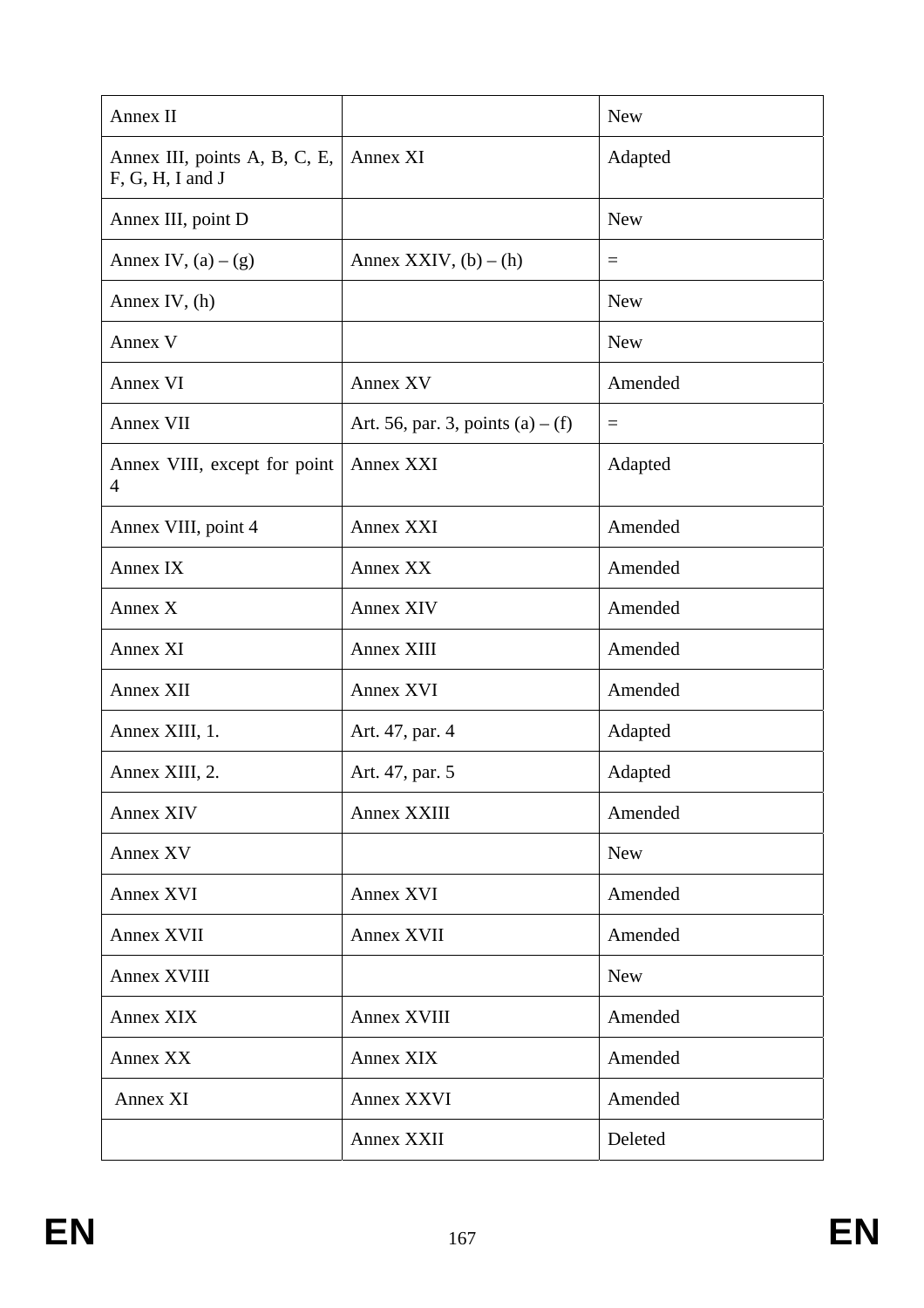| Annex II                                          |                                     | <b>New</b> |
|---------------------------------------------------|-------------------------------------|------------|
| Annex III, points A, B, C, E,<br>F, G, H, I and J | Annex XI                            | Adapted    |
| Annex III, point D                                |                                     | <b>New</b> |
| Annex IV, $(a) - (g)$                             | Annex XXIV, $(b) - (h)$             | $\equiv$   |
| Annex IV, $(h)$                                   |                                     | <b>New</b> |
| Annex V                                           |                                     | <b>New</b> |
| Annex VI                                          | Annex XV                            | Amended    |
| Annex VII                                         | Art. 56, par. 3, points $(a) - (f)$ | $=$        |
| Annex VIII, except for point<br>4                 | <b>Annex XXI</b>                    | Adapted    |
| Annex VIII, point 4                               | Annex XXI                           | Amended    |
| Annex IX                                          | Annex XX                            | Amended    |
| Annex X                                           | <b>Annex XIV</b>                    | Amended    |
| Annex XI                                          | Annex XIII                          | Amended    |
| Annex XII                                         | <b>Annex XVI</b>                    | Amended    |
| Annex XIII, 1.                                    | Art. 47, par. 4                     | Adapted    |
| Annex XIII, 2.                                    | Art. 47, par. 5                     | Adapted    |
| Annex XIV                                         | Annex XXIII                         | Amended    |
| Annex XV                                          |                                     | <b>New</b> |
| Annex XVI                                         | Annex XVI                           | Amended    |
| Annex XVII                                        | Annex XVII                          | Amended    |
| <b>Annex XVIII</b>                                |                                     | <b>New</b> |
| Annex XIX                                         | <b>Annex XVIII</b>                  | Amended    |
| Annex XX                                          | Annex XIX                           | Amended    |
| Annex XI                                          | Annex XXVI                          | Amended    |
|                                                   | Annex XXII                          | Deleted    |